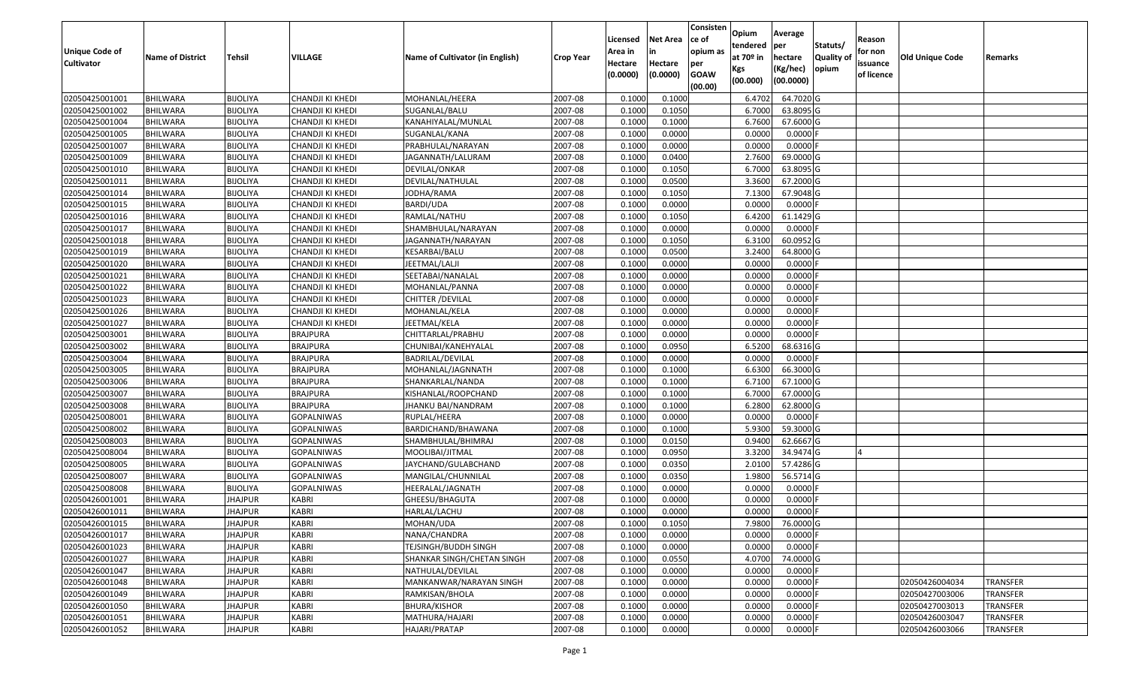| Unique Code of<br><b>Cultivator</b> | <b>Name of District</b> | Tehsil          | VILLAGE           | Name of Cultivator (in English) | Crop Year | Licensed<br>Area in<br>Hectare<br>(0.0000) | Net Area<br>in<br>Hectare<br>(0.0000) | Consisten<br>ce of<br>opium as<br>per<br><b>GOAW</b><br>(00.00) | Opium<br>tendered<br>at 70º in<br>Kgs<br>(00.000) | Average<br>per<br>hectare<br>(Kg/hec)<br>(00.0000) | Statuts/<br><b>Quality of</b><br>opium | Reason<br>for non<br>issuance<br>of licence | Old Unique Code | Remarks         |
|-------------------------------------|-------------------------|-----------------|-------------------|---------------------------------|-----------|--------------------------------------------|---------------------------------------|-----------------------------------------------------------------|---------------------------------------------------|----------------------------------------------------|----------------------------------------|---------------------------------------------|-----------------|-----------------|
| 02050425001001                      | <b>BHILWARA</b>         | <b>BIJOLIYA</b> | CHANDJI KI KHEDI  | MOHANLAL/HEERA                  | 2007-08   | 0.1000                                     | 0.1000                                |                                                                 | 6.4702                                            | 64.7020 G                                          |                                        |                                             |                 |                 |
| 02050425001002                      | <b>BHILWARA</b>         | <b>BIJOLIYA</b> | CHANDJI KI KHEDI  | SUGANLAL/BALU                   | 2007-08   | 0.1000                                     | 0.1050                                |                                                                 | 6.7000                                            | 63.8095 G                                          |                                        |                                             |                 |                 |
| 02050425001004                      | <b>BHILWARA</b>         | <b>BIJOLIYA</b> | CHANDJI KI KHEDI  | KANAHIYALAL/MUNLAL              | 2007-08   | 0.1000                                     | 0.1000                                |                                                                 | 6.7600                                            | 67.6000 G                                          |                                        |                                             |                 |                 |
| 02050425001005                      | <b>BHILWARA</b>         | <b>BIJOLIYA</b> | CHANDJI KI KHEDI  | SUGANLAL/KANA                   | 2007-08   | 0.1000                                     | 0.0000                                |                                                                 | 0.0000                                            | $0.0000$ F                                         |                                        |                                             |                 |                 |
| 02050425001007                      | BHILWARA                | <b>BIJOLIYA</b> | CHANDJI KI KHEDI  | PRABHULAL/NARAYAN               | 2007-08   | 0.1000                                     | 0.0000                                |                                                                 | 0.0000                                            | $0.0000$ F                                         |                                        |                                             |                 |                 |
| 02050425001009                      | <b>BHILWARA</b>         | <b>BIJOLIYA</b> | CHANDJI KI KHEDI  | JAGANNATH/LALURAM               | 2007-08   | 0.1000                                     | 0.0400                                |                                                                 | 2.7600                                            | 69.0000 G                                          |                                        |                                             |                 |                 |
| 02050425001010                      | <b>BHILWARA</b>         | <b>BIJOLIYA</b> | CHANDJI KI KHEDI  | DEVILAL/ONKAR                   | 2007-08   | 0.1000                                     | 0.1050                                |                                                                 | 6.7000                                            | 63.8095 G                                          |                                        |                                             |                 |                 |
| 02050425001011                      | <b>BHILWARA</b>         | <b>BIJOLIYA</b> | CHANDJI KI KHEDI  | DEVILAL/NATHULAL                | 2007-08   | 0.1000                                     | 0.0500                                |                                                                 | 3.3600                                            | 67.2000 G                                          |                                        |                                             |                 |                 |
| 02050425001014                      | BHILWARA                | <b>BIJOLIYA</b> | CHANDJI KI KHEDI  | JODHA/RAMA                      | 2007-08   | 0.1000                                     | 0.1050                                |                                                                 | 7.1300                                            | 67.9048 G                                          |                                        |                                             |                 |                 |
| 02050425001015                      | <b>BHILWARA</b>         | <b>BIJOLIYA</b> | CHANDJI KI KHEDI  | BARDI/UDA                       | 2007-08   | 0.1000                                     | 0.0000                                |                                                                 | 0.0000                                            | $0.0000$ F                                         |                                        |                                             |                 |                 |
| 02050425001016                      | <b>BHILWARA</b>         | <b>BIJOLIYA</b> | CHANDJI KI KHEDI  | RAMLAL/NATHU                    | 2007-08   | 0.1000                                     | 0.1050                                |                                                                 | 6.4200                                            | 61.1429 G                                          |                                        |                                             |                 |                 |
| 02050425001017                      | <b>BHILWARA</b>         | <b>BIJOLIYA</b> | CHANDJI KI KHEDI  | SHAMBHULAL/NARAYAN              | 2007-08   | 0.1000                                     | 0.0000                                |                                                                 | 0.0000                                            | $0.0000$ F                                         |                                        |                                             |                 |                 |
| 02050425001018                      | <b>BHILWARA</b>         | <b>BIJOLIYA</b> | CHANDJI KI KHEDI  | JAGANNATH/NARAYAN               | 2007-08   | 0.1000                                     | 0.1050                                |                                                                 | 6.3100                                            | 60.0952 G                                          |                                        |                                             |                 |                 |
| 02050425001019                      | <b>BHILWARA</b>         | <b>BIJOLIYA</b> | CHANDJI KI KHEDI  | KESARBAI/BALU                   | 2007-08   | 0.1000                                     | 0.0500                                |                                                                 | 3.2400                                            | 64.8000 G                                          |                                        |                                             |                 |                 |
| 02050425001020                      | <b>BHILWARA</b>         | <b>BIJOLIYA</b> | CHANDJI KI KHEDI  | JEETMAL/LALJI                   | 2007-08   | 0.1000                                     | 0.0000                                |                                                                 | 0.0000                                            | $0.0000$ F                                         |                                        |                                             |                 |                 |
| 02050425001021                      | <b>BHILWARA</b>         | <b>BIJOLIYA</b> | CHANDJI KI KHEDI  | SEETABAI/NANALAL                | 2007-08   | 0.1000                                     | 0.0000                                |                                                                 | 0.0000                                            | $0.0000$ F                                         |                                        |                                             |                 |                 |
| 02050425001022                      | <b>BHILWARA</b>         | <b>BIJOLIYA</b> | CHANDJI KI KHEDI  | MOHANLAL/PANNA                  | 2007-08   | 0.1000                                     | 0.0000                                |                                                                 | 0.0000                                            | $0.0000$ F                                         |                                        |                                             |                 |                 |
| 02050425001023                      | <b>BHILWARA</b>         | <b>BIJOLIYA</b> | CHANDJI KI KHEDI  | CHITTER / DEVILAL               | 2007-08   | 0.1000                                     | 0.0000                                |                                                                 | 0.0000                                            | $0.0000$ F                                         |                                        |                                             |                 |                 |
| 02050425001026                      | <b>BHILWARA</b>         | <b>BIJOLIYA</b> | CHANDJI KI KHEDI  | MOHANLAL/KELA                   | 2007-08   | 0.1000                                     | 0.0000                                |                                                                 | 0.0000                                            | $0.0000$ F                                         |                                        |                                             |                 |                 |
| 02050425001027                      | <b>BHILWARA</b>         | <b>BIJOLIYA</b> | CHANDJI KI KHEDI  | JEETMAL/KELA                    | 2007-08   | 0.1000                                     | 0.0000                                |                                                                 | 0.0000                                            | $0.0000$ F                                         |                                        |                                             |                 |                 |
| 02050425003001                      | <b>BHILWARA</b>         | <b>BIJOLIYA</b> | <b>BRAJPURA</b>   | CHITTARLAL/PRABHU               | 2007-08   | 0.1000                                     | 0.0000                                |                                                                 | 0.0000                                            | $0.0000$ F                                         |                                        |                                             |                 |                 |
| 02050425003002                      | <b>BHILWARA</b>         | <b>BIJOLIYA</b> | <b>BRAJPURA</b>   | CHUNIBAI/KANEHYALAL             | 2007-08   | 0.1000                                     | 0.0950                                |                                                                 | 6.5200                                            | 68.6316 G                                          |                                        |                                             |                 |                 |
| 02050425003004                      | <b>BHILWARA</b>         | <b>BIJOLIYA</b> | <b>BRAJPURA</b>   | BADRILAL/DEVILAL                | 2007-08   | 0.1000                                     | 0.0000                                |                                                                 | 0.0000                                            | $0.0000$ F                                         |                                        |                                             |                 |                 |
| 02050425003005                      | <b>BHILWARA</b>         | <b>BIJOLIYA</b> | <b>BRAJPURA</b>   | MOHANLAL/JAGNNATH               | 2007-08   | 0.1000                                     | 0.1000                                |                                                                 | 6.6300                                            | 66.3000 G                                          |                                        |                                             |                 |                 |
| 02050425003006                      | <b>BHILWARA</b>         | <b>BIJOLIYA</b> | <b>BRAJPURA</b>   | SHANKARLAL/NANDA                | 2007-08   | 0.1000                                     | 0.1000                                |                                                                 | 6.7100                                            | 67.1000 G                                          |                                        |                                             |                 |                 |
| 02050425003007                      | <b>BHILWARA</b>         | <b>BIJOLIYA</b> | <b>BRAJPURA</b>   | KISHANLAL/ROOPCHAND             | 2007-08   | 0.1000                                     | 0.1000                                |                                                                 | 6.7000                                            | 67.0000 G                                          |                                        |                                             |                 |                 |
| 02050425003008                      | <b>BHILWARA</b>         | <b>BIJOLIYA</b> | <b>BRAJPURA</b>   | JHANKU BAI/NANDRAM              | 2007-08   | 0.1000                                     | 0.1000                                |                                                                 | 6.2800                                            | 62.8000 G                                          |                                        |                                             |                 |                 |
| 02050425008001                      | <b>BHILWARA</b>         | <b>BIJOLIYA</b> | GOPALNIWAS        | RUPLAL/HEERA                    | 2007-08   | 0.1000                                     | 0.0000                                |                                                                 | 0.0000                                            | $0.0000$ F                                         |                                        |                                             |                 |                 |
| 02050425008002                      | <b>BHILWARA</b>         | <b>BIJOLIYA</b> | <b>GOPALNIWAS</b> | BARDICHAND/BHAWANA              | 2007-08   | 0.1000                                     | 0.1000                                |                                                                 | 5.9300                                            | 59.3000 G                                          |                                        |                                             |                 |                 |
| 02050425008003                      | BHILWARA                | <b>BIJOLIYA</b> | <b>GOPALNIWAS</b> | SHAMBHULAL/BHIMRAJ              | 2007-08   | 0.1000                                     | 0.0150                                |                                                                 | 0.9400                                            | 62.6667 G                                          |                                        |                                             |                 |                 |
| 02050425008004                      | <b>BHILWARA</b>         | <b>BIJOLIYA</b> | <b>GOPALNIWAS</b> | MOOLIBAI/JITMAL                 | 2007-08   | 0.1000                                     | 0.0950                                |                                                                 | 3.3200                                            | 34.9474 G                                          |                                        |                                             |                 |                 |
| 02050425008005                      | <b>BHILWARA</b>         | <b>BIJOLIYA</b> | <b>GOPALNIWAS</b> | JAYCHAND/GULABCHAND             | 2007-08   | 0.1000                                     | 0.0350                                |                                                                 | 2.0100                                            | 57.4286 G                                          |                                        |                                             |                 |                 |
| 02050425008007                      | <b>BHILWARA</b>         | <b>BIJOLIYA</b> | <b>GOPALNIWAS</b> | MANGILAL/CHUNNILAL              | 2007-08   | 0.1000                                     | 0.0350                                |                                                                 | 1.9800                                            | 56.5714 G                                          |                                        |                                             |                 |                 |
| 02050425008008                      | BHILWARA                | <b>BIJOLIYA</b> | <b>GOPALNIWAS</b> | HEERALAL/JAGNATH                | 2007-08   | 0.1000                                     | 0.0000                                |                                                                 | 0.0000                                            | $0.0000$ F                                         |                                        |                                             |                 |                 |
| 02050426001001                      | <b>BHILWARA</b>         | <b>JHAJPUR</b>  | KABRI             | GHEESU/BHAGUTA                  | 2007-08   | 0.1000                                     | 0.0000                                |                                                                 | 0.0000                                            | $0.0000$ F                                         |                                        |                                             |                 |                 |
| 02050426001011                      | <b>BHILWARA</b>         | JHAJPUR         | KABRI             | HARLAL/LACHU                    | 2007-08   | 0.1000                                     | 0.0000                                |                                                                 | 0.0000                                            | $0.0000$ F                                         |                                        |                                             |                 |                 |
| 02050426001015                      | <b>BHILWARA</b>         | <b>JHAJPUR</b>  | <b>KABRI</b>      | MOHAN/UDA                       | 2007-08   | 0.1000                                     | 0.1050                                |                                                                 | 7.9800                                            | 76.0000 G                                          |                                        |                                             |                 |                 |
| 02050426001017                      | <b>BHILWARA</b>         | <b>JHAJPUR</b>  | <b>KABRI</b>      | NANA/CHANDRA                    | 2007-08   | 0.1000                                     | 0.0000                                |                                                                 | 0.0000                                            | $0.0000$ F                                         |                                        |                                             |                 |                 |
| 02050426001023                      | <b>BHILWARA</b>         | <b>JHAJPUR</b>  | <b>KABRI</b>      | TEJSINGH/BUDDH SINGH            | 2007-08   | 0.1000                                     | 0.0000                                |                                                                 | 0.0000                                            | $0.0000$ F                                         |                                        |                                             |                 |                 |
| 02050426001027                      | <b>BHILWARA</b>         | <b>JHAJPUR</b>  | <b>KABRI</b>      | SHANKAR SINGH/CHETAN SINGH      | 2007-08   | 0.1000                                     | 0.0550                                |                                                                 | 4.0700                                            | 74.0000 G                                          |                                        |                                             |                 |                 |
| 02050426001047                      | <b>BHILWARA</b>         | <b>JHAJPUR</b>  | <b>KABRI</b>      | NATHULAL/DEVILAL                | 2007-08   | 0.1000                                     | 0.0000                                |                                                                 | 0.0000                                            | $0.0000$ F                                         |                                        |                                             |                 |                 |
| 02050426001048                      | <b>BHILWARA</b>         | <b>JHAJPUR</b>  | <b>KABRI</b>      | MANKANWAR/NARAYAN SINGH         | 2007-08   | 0.1000                                     | 0.0000                                |                                                                 | 0.0000                                            | $0.0000$ F                                         |                                        |                                             | 02050426004034  | <b>TRANSFER</b> |
| 02050426001049                      | <b>BHILWARA</b>         | <b>JHAJPUR</b>  | <b>KABRI</b>      | RAMKISAN/BHOLA                  | 2007-08   | 0.1000                                     | 0.0000                                |                                                                 | 0.0000                                            | $0.0000$ F                                         |                                        |                                             | 02050427003006  | <b>TRANSFER</b> |
| 02050426001050                      | <b>BHILWARA</b>         | <b>JHAJPUR</b>  | <b>KABRI</b>      | <b>BHURA/KISHOR</b>             | 2007-08   | 0.1000                                     | 0.0000                                |                                                                 | 0.0000                                            | $0.0000$ F                                         |                                        |                                             | 02050427003013  | <b>TRANSFER</b> |
| 02050426001051                      | <b>BHILWARA</b>         | <b>JHAJPUR</b>  | <b>KABRI</b>      | MATHURA/HAJARI                  | 2007-08   | 0.1000                                     | 0.0000                                |                                                                 | 0.0000                                            | $0.0000$ F                                         |                                        |                                             | 02050426003047  | <b>TRANSFER</b> |
| 02050426001052                      | <b>BHILWARA</b>         | <b>JHAJPUR</b>  | KABRI             | HAJARI/PRATAP                   | 2007-08   | 0.1000                                     | 0.0000                                |                                                                 | 0.0000                                            | 0.0000 F                                           |                                        |                                             | 02050426003066  | <b>TRANSFER</b> |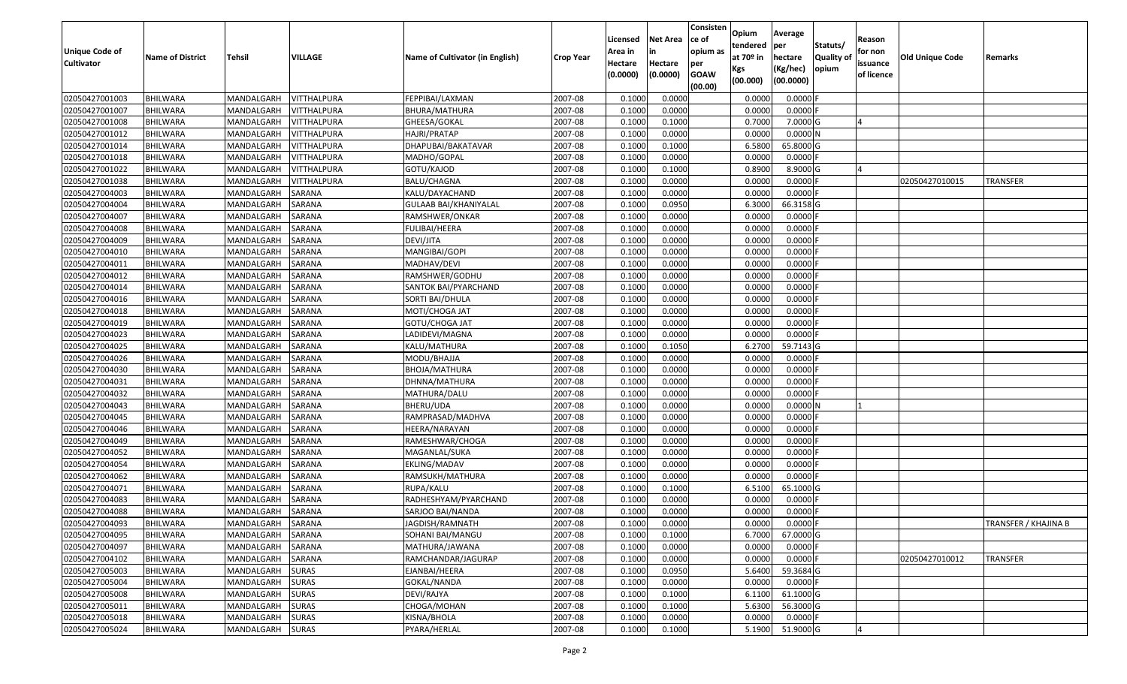| Unique Code of    | <b>Name of District</b> | <b>Tehsil</b>     | VILLAGE            | Name of Cultivator (in English) | <b>Crop Year</b> | Licensed<br>Area in | <b>Net Area</b><br>in | Consisten<br>ce of<br>opium as | Opium<br>tendered<br>at $70°$ in | Average<br>per<br>hectare | Statuts/<br><b>Quality o</b> | Reason<br>for non      | <b>Old Unique Code</b> | Remarks              |
|-------------------|-------------------------|-------------------|--------------------|---------------------------------|------------------|---------------------|-----------------------|--------------------------------|----------------------------------|---------------------------|------------------------------|------------------------|------------------------|----------------------|
| <b>Cultivator</b> |                         |                   |                    |                                 |                  | Hectare<br>(0.0000) | Hectare<br>(0.0000)   | per<br><b>GOAW</b><br>(00.00)  | Kgs<br>(00.000)                  | (Kg/hec)<br>(00.0000)     | opium                        | issuance<br>of licence |                        |                      |
| 02050427001003    | <b>BHILWARA</b>         | MANDALGARH        | <b>VITTHALPURA</b> | FEPPIBAI/LAXMAN                 | 2007-08          | 0.1000              | 0.0000                |                                | 0.0000                           | 0.0000F                   |                              |                        |                        |                      |
| 02050427001007    | <b>BHILWARA</b>         | MANDALGARH        | <b>VITTHALPURA</b> | BHURA/MATHURA                   | 2007-08          | 0.1000              | 0.0000                |                                | 0.0000                           | $0.0000$ F                |                              |                        |                        |                      |
| 02050427001008    | BHILWARA                | MANDALGARH        | VITTHALPURA        | GHEESA/GOKAL                    | 2007-08          | 0.1000              | 0.1000                |                                | 0.7000                           | 7.0000 G                  |                              |                        |                        |                      |
| 02050427001012    | <b>BHILWARA</b>         | MANDALGARH        | <b>VITTHALPURA</b> | HAJRI/PRATAP                    | 2007-08          | 0.1000              | 0.0000                |                                | 0.0000                           | 0.0000N                   |                              |                        |                        |                      |
| 02050427001014    | BHILWARA                | MANDALGARH        | VITTHALPURA        | DHAPUBAI/BAKATAVAR              | 2007-08          | 0.1000              | 0.1000                |                                | 6.5800                           | 65.8000 G                 |                              |                        |                        |                      |
| 02050427001018    | <b>BHILWARA</b>         | MANDALGARH        | <b>VITTHALPURA</b> | MADHO/GOPAL                     | 2007-08          | 0.1000              | 0.0000                |                                | 0.0000                           | $0.0000$ F                |                              |                        |                        |                      |
| 02050427001022    | BHILWARA                | MANDALGARH        | VITTHALPURA        | GOTU/KAJOD                      | 2007-08          | 0.1000              | 0.1000                |                                | 0.8900                           | 8.9000 G                  |                              |                        |                        |                      |
| 02050427001038    | <b>BHILWARA</b>         | MANDALGARH        | <b>VITTHALPURA</b> | <b>BALU/CHAGNA</b>              | 2007-08          | 0.1000              | 0.0000                |                                | 0.0000                           | $0.0000$ F                |                              |                        | 02050427010015         | <b>TRANSFER</b>      |
| 02050427004003    | <b>BHILWARA</b>         | MANDALGARH        | SARANA             | KALU/DAYACHAND                  | 2007-08          | 0.1000              | 0.0000                |                                | 0.0000                           | 0.0000                    |                              |                        |                        |                      |
| 02050427004004    | <b>BHILWARA</b>         | MANDALGARH        | SARANA             | GULAAB BAI/KHANIYALAL           | 2007-08          | 0.1000              | 0.0950                |                                | 6.3000                           | 66.3158 G                 |                              |                        |                        |                      |
| 02050427004007    | BHILWARA                | MANDALGARH        | <b>SARANA</b>      | RAMSHWER/ONKAR                  | 2007-08          | 0.1000              | 0.0000                |                                | 0.0000                           | $0.0000$ F                |                              |                        |                        |                      |
| 02050427004008    | <b>BHILWARA</b>         | MANDALGARH        | SARANA             | <b>FULIBAI/HEERA</b>            | 2007-08          | 0.1000              | 0.0000                |                                | 0.0000                           | 0.0000                    |                              |                        |                        |                      |
| 02050427004009    | <b>BHILWARA</b>         | MANDALGARH        | SARANA             | DEVI/JITA                       | 2007-08          | 0.1000              | 0.0000                |                                | 0.0000                           | 0.0000F                   |                              |                        |                        |                      |
| 02050427004010    | <b>BHILWARA</b>         | MANDALGARH        | SARANA             | MANGIBAI/GOPI                   | 2007-08          | 0.1000              | 0.0000                |                                | 0.0000                           | 0.0000                    |                              |                        |                        |                      |
| 02050427004011    | BHILWARA                | MANDALGARH        | SARANA             | MADHAV/DEVI                     | 2007-08          | 0.1000              | 0.0000                |                                | 0.0000                           | $0.0000$ F                |                              |                        |                        |                      |
| 02050427004012    | <b>BHILWARA</b>         | MANDALGARH        | SARANA             | RAMSHWER/GODHU                  | 2007-08          | 0.1000              | 0.0000                |                                | 0.0000                           | 0.0000                    |                              |                        |                        |                      |
| 02050427004014    | BHILWARA                | MANDALGARH        | <b>SARANA</b>      | SANTOK BAI/PYARCHAND            | 2007-08          | 0.1000              | 0.0000                |                                | 0.0000                           | 0.0000                    |                              |                        |                        |                      |
| 02050427004016    | BHILWARA                | MANDALGARH        | <b>SARANA</b>      | SORTI BAI/DHULA                 | 2007-08          | 0.1000              | 0.0000                |                                | 0.0000                           | 0.0000                    |                              |                        |                        |                      |
| 02050427004018    | <b>BHILWARA</b>         | MANDALGARH        | SARANA             | MOTI/CHOGA JAT                  | 2007-08          | 0.1000              | 0.0000                |                                | 0.0000                           | 0.0000                    |                              |                        |                        |                      |
| 02050427004019    | BHILWARA                | MANDALGARH        | SARANA             | GOTU/CHOGA JAT                  | 2007-08          | 0.1000              | 0.0000                |                                | 0.0000                           | 0.0000                    |                              |                        |                        |                      |
| 02050427004023    | <b>BHILWARA</b>         | MANDALGARH        | <b>SARANA</b>      | LADIDEVI/MAGNA                  | 2007-08          | 0.1000              | 0.0000                |                                | 0.0000                           | 0.0000                    |                              |                        |                        |                      |
| 02050427004025    | BHILWARA                | MANDALGARH        | <b>SARANA</b>      | KALU/MATHURA                    | 2007-08          | 0.1000              | 0.1050                |                                | 6.2700                           | 59.7143 G                 |                              |                        |                        |                      |
| 02050427004026    | BHILWARA                | MANDALGARH        | SARANA             | MODU/BHAJJA                     | 2007-08          | 0.1000              | 0.0000                |                                | 0.0000                           | $0.0000$ F                |                              |                        |                        |                      |
| 02050427004030    | BHILWARA                | MANDALGARH        | SARANA             | BHOJA/MATHURA                   | 2007-08          | 0.1000              | 0.0000                |                                | 0.0000                           | 0.0000                    |                              |                        |                        |                      |
| 02050427004031    | <b>BHILWARA</b>         | MANDALGARH        | SARANA             | DHNNA/MATHURA                   | 2007-08          | 0.1000              | 0.0000                |                                | 0.0000                           | 0.0000                    |                              |                        |                        |                      |
| 02050427004032    | BHILWARA                | MANDALGARH        | SARANA             | MATHURA/DALU                    | 2007-08          | 0.1000              | 0.0000                |                                | 0.0000                           | $0.0000$ F                |                              |                        |                        |                      |
| 02050427004043    | <b>BHILWARA</b>         | MANDALGARH        | SARANA             | BHERU/UDA                       | 2007-08          | 0.1000              | 0.0000                |                                | 0.0000                           | 0.0000N                   |                              |                        |                        |                      |
| 02050427004045    | BHILWARA                | MANDALGARH        | SARANA             | RAMPRASAD/MADHVA                | 2007-08          | 0.1000              | 0.0000                |                                | 0.0000                           | 0.0000                    |                              |                        |                        |                      |
| 02050427004046    | <b>BHILWARA</b>         | MANDALGARH        | SARANA             | HEERA/NARAYAN                   | 2007-08          | 0.1000              | 0.0000                |                                | 0.0000                           | $0.0000$ F                |                              |                        |                        |                      |
| 02050427004049    | BHILWARA                | MANDALGARH        | <b>SARANA</b>      | RAMESHWAR/CHOGA                 | 2007-08          | 0.1000              | 0.0000                |                                | 0.0000                           | 0.0000                    |                              |                        |                        |                      |
| 02050427004052    | <b>BHILWARA</b>         | MANDALGARH        | SARANA             | MAGANLAL/SUKA                   | 2007-08          | 0.1000              | 0.0000                |                                | 0.0000                           | 0.0000                    |                              |                        |                        |                      |
| 02050427004054    | BHILWARA                | MANDALGARH        | SARANA             | EKLING/MADAV                    | 2007-08          | 0.1000              | 0.0000                |                                | 0.0000                           | 0.0000                    |                              |                        |                        |                      |
| 02050427004062    | <b>BHILWARA</b>         | MANDALGARH        | SARANA             | RAMSUKH/MATHURA                 | 2007-08          | 0.1000              | 0.0000                |                                | 0.0000                           | $0.0000$ F                |                              |                        |                        |                      |
| 02050427004071    | BHILWARA                | MANDALGARH        | SARANA             | RUPA/KALU                       | 2007-08          | 0.1000              | 0.1000                |                                | 6.5100                           | 65.1000 G                 |                              |                        |                        |                      |
| 02050427004083    | <b>BHILWARA</b>         | MANDALGARH        | SARANA             | RADHESHYAM/PYARCHAND            | 2007-08          | 0.1000              | 0.0000                |                                | 0.0000                           | 0.0000                    |                              |                        |                        |                      |
| 02050427004088    | <b>BHILWARA</b>         | MANDALGARH        | <b>SARANA</b>      | SARJOO BAI/NANDA                | 2007-08          | 0.1000              | 0.0000                |                                | 0.0000                           | 0.0000                    |                              |                        |                        |                      |
| 02050427004093    | <b>BHILWARA</b>         | MANDALGARH SARANA |                    | JAGDISH/RAMNATH                 | 2007-08          | 0.1000              | 0.0000                |                                | 0.0000                           | $0.0000$ F                |                              |                        |                        | TRANSFER / KHAJINA B |
| 02050427004095    | <b>BHILWARA</b>         | MANDALGARH        | SARANA             | SOHANI BAI/MANGU                | 2007-08          | 0.1000              | 0.1000                |                                | 6.7000                           | 67.0000 G                 |                              |                        |                        |                      |
| 02050427004097    | <b>BHILWARA</b>         | MANDALGARH        | SARANA             | MATHURA/JAWANA                  | 2007-08          | 0.1000              | 0.0000                |                                | 0.0000                           | $0.0000$ F                |                              |                        |                        |                      |
| 02050427004102    | <b>BHILWARA</b>         | MANDALGARH        | SARANA             | RAMCHANDAR/JAGURAP              | 2007-08          | 0.1000              | 0.0000                |                                | 0.0000                           | $0.0000$ F                |                              |                        | 02050427010012         | <b>TRANSFER</b>      |
| 02050427005003    | <b>BHILWARA</b>         | MANDALGARH        | <b>SURAS</b>       | EJANBAI/HEERA                   | 2007-08          | 0.1000              | 0.0950                |                                | 5.6400                           | 59.3684 G                 |                              |                        |                        |                      |
| 02050427005004    | <b>BHILWARA</b>         | MANDALGARH        | <b>SURAS</b>       | GOKAL/NANDA                     | 2007-08          | 0.1000              | 0.0000                |                                | 0.0000                           | $0.0000$ F                |                              |                        |                        |                      |
| 02050427005008    | <b>BHILWARA</b>         | MANDALGARH        | <b>SURAS</b>       | DEVI/RAJYA                      | 2007-08          | 0.1000              | 0.1000                |                                | 6.1100                           | 61.1000 G                 |                              |                        |                        |                      |
| 02050427005011    | <b>BHILWARA</b>         | MANDALGARH        | <b>SURAS</b>       | CHOGA/MOHAN                     | 2007-08          | 0.1000              | 0.1000                |                                | 5.6300                           | 56.3000 G                 |                              |                        |                        |                      |
| 02050427005018    | <b>BHILWARA</b>         | MANDALGARH        | <b>SURAS</b>       | KISNA/BHOLA                     | 2007-08          | 0.1000              | 0.0000                |                                | 0.0000                           | $0.0000$ F                |                              |                        |                        |                      |
| 02050427005024    | <b>BHILWARA</b>         | MANDALGARH        | <b>SURAS</b>       | PYARA/HERLAL                    | 2007-08          | 0.1000              | 0.1000                |                                | 5.1900                           | 51.9000 G                 |                              |                        |                        |                      |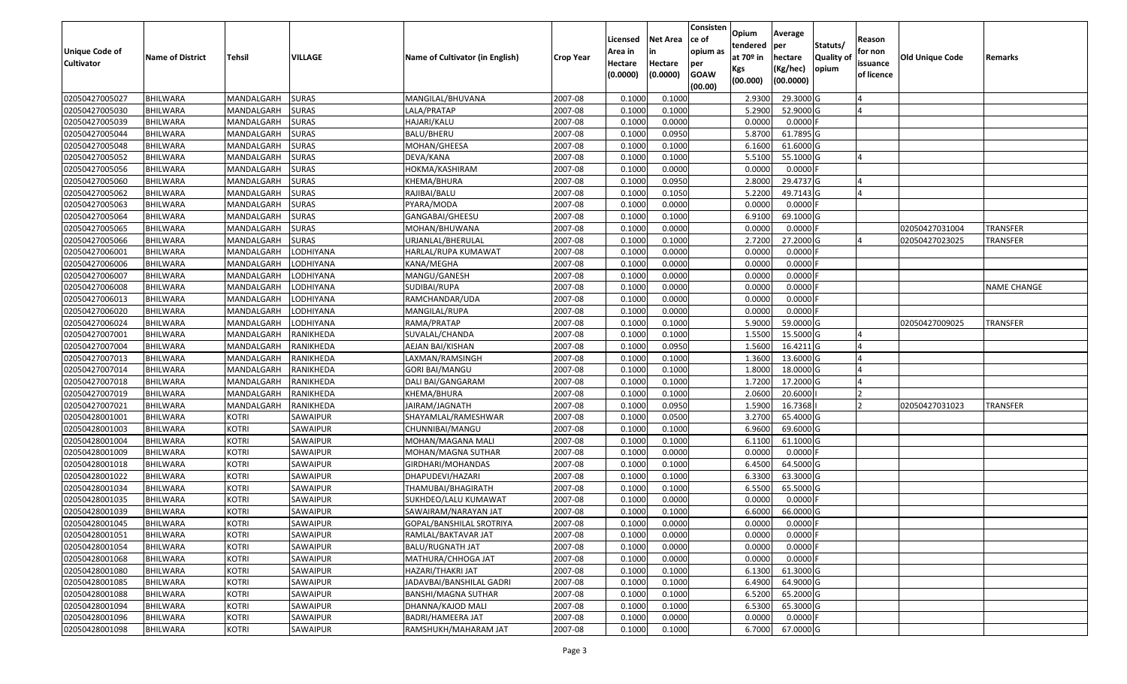| Unique Code of<br><b>Cultivator</b> | <b>Name of District</b> | Tehsil       | VILLAGE      | Name of Cultivator (in English) | <b>Crop Year</b> | Licensed<br>Area in<br>Hectare<br>(0.0000) | Net Area<br>in<br>Hectare<br>(0.0000) | Consisten<br>ce of<br>opium as<br>per<br><b>GOAW</b><br>(00.00) | Opium<br>tendered<br>at 70º in<br>Kgs<br>(00.000) | Average<br>per<br>hectare<br>(Kg/hec)<br>(00.0000) | Statuts/<br><b>Quality of</b><br>opium | Reason<br>for non<br>issuance<br>of licence | <b>Old Unique Code</b> | Remarks            |
|-------------------------------------|-------------------------|--------------|--------------|---------------------------------|------------------|--------------------------------------------|---------------------------------------|-----------------------------------------------------------------|---------------------------------------------------|----------------------------------------------------|----------------------------------------|---------------------------------------------|------------------------|--------------------|
| 02050427005027                      | <b>BHILWARA</b>         | MANDALGARH   | <b>SURAS</b> | MANGILAL/BHUVANA                | 2007-08          | 0.1000                                     | 0.1000                                |                                                                 | 2.9300                                            | 29.3000 G                                          |                                        |                                             |                        |                    |
| 02050427005030                      | <b>BHILWARA</b>         | MANDALGARH   | <b>SURAS</b> | LALA/PRATAP                     | 2007-08          | 0.1000                                     | 0.1000                                |                                                                 | 5.2900                                            | 52.9000 G                                          |                                        |                                             |                        |                    |
| 02050427005039                      | BHILWARA                | MANDALGARH   | <b>SURAS</b> | HAJARI/KALU                     | 2007-08          | 0.1000                                     | 0.0000                                |                                                                 | 0.0000                                            | $0.0000$ F                                         |                                        |                                             |                        |                    |
| 02050427005044                      | <b>BHILWARA</b>         | MANDALGARH   | <b>SURAS</b> | BALU/BHERU                      | 2007-08          | 0.1000                                     | 0.0950                                |                                                                 | 5.8700                                            | 61.7895 G                                          |                                        |                                             |                        |                    |
| 02050427005048                      | BHILWARA                | MANDALGARH   | <b>SURAS</b> | MOHAN/GHEESA                    | 2007-08          | 0.1000                                     | 0.1000                                |                                                                 | 6.1600                                            | 61.6000 G                                          |                                        |                                             |                        |                    |
| 02050427005052                      | BHILWARA                | MANDALGARH   | <b>SURAS</b> | DEVA/KANA                       | 2007-08          | 0.1000                                     | 0.1000                                |                                                                 | 5.5100                                            | 55.1000 G                                          |                                        |                                             |                        |                    |
| 02050427005056                      | <b>BHILWARA</b>         | MANDALGARH   | <b>SURAS</b> | HOKMA/KASHIRAM                  | 2007-08          | 0.1000                                     | 0.0000                                |                                                                 | 0.0000                                            | $0.0000$ F                                         |                                        |                                             |                        |                    |
| 02050427005060                      | <b>BHILWARA</b>         | MANDALGARH   | <b>SURAS</b> | KHEMA/BHURA                     | 2007-08          | 0.1000                                     | 0.0950                                |                                                                 | 2.8000                                            | 29.4737 G                                          |                                        |                                             |                        |                    |
| 02050427005062                      | <b>BHILWARA</b>         | MANDALGARH   | <b>SURAS</b> | RAJIBAI/BALU                    | 2007-08          | 0.1000                                     | 0.1050                                |                                                                 | 5.2200                                            | 49.7143 G                                          |                                        |                                             |                        |                    |
| 02050427005063                      | <b>BHILWARA</b>         | MANDALGARH   | <b>SURAS</b> | PYARA/MODA                      | 2007-08          | 0.1000                                     | 0.0000                                |                                                                 | 0.0000                                            | $0.0000$ F                                         |                                        |                                             |                        |                    |
| 02050427005064                      | <b>BHILWARA</b>         | MANDALGARH   | <b>SURAS</b> | GANGABAI/GHEESU                 | 2007-08          | 0.1000                                     | 0.1000                                |                                                                 | 6.9100                                            | 69.1000 G                                          |                                        |                                             |                        |                    |
| 02050427005065                      | <b>BHILWARA</b>         | MANDALGARH   | <b>SURAS</b> | MOHAN/BHUWANA                   | 2007-08          | 0.1000                                     | 0.0000                                |                                                                 | 0.0000                                            | 0.0000                                             |                                        |                                             | 02050427031004         | <b>TRANSFER</b>    |
| 02050427005066                      | <b>BHILWARA</b>         | MANDALGARH   | <b>SURAS</b> | URJANLAL/BHERULAL               | 2007-08          | 0.1000                                     | 0.1000                                |                                                                 | 2.7200                                            | 27.2000 G                                          |                                        |                                             | 02050427023025         | <b>TRANSFER</b>    |
| 02050427006001                      | <b>BHILWARA</b>         | MANDALGARH   | LODHIYANA    | HARLAL/RUPA KUMAWAT             | 2007-08          | 0.1000                                     | 0.0000                                |                                                                 | 0.0000                                            | $0.0000$ F                                         |                                        |                                             |                        |                    |
| 02050427006006                      | BHILWARA                | MANDALGARH   | LODHIYANA    | KANA/MEGHA                      | 2007-08          | 0.1000                                     | 0.0000                                |                                                                 | 0.0000                                            | $0.0000$ F                                         |                                        |                                             |                        |                    |
| 02050427006007                      | <b>BHILWARA</b>         | MANDALGARH   | LODHIYANA    | MANGU/GANESH                    | 2007-08          | 0.1000                                     | 0.0000                                |                                                                 | 0.0000                                            | $0.0000$ F                                         |                                        |                                             |                        |                    |
| 02050427006008                      | <b>BHILWARA</b>         | MANDALGARH   | LODHIYANA    | SUDIBAI/RUPA                    | 2007-08          | 0.1000                                     | 0.0000                                |                                                                 | 0.0000                                            | $0.0000$ F                                         |                                        |                                             |                        | <b>NAME CHANGE</b> |
| 02050427006013                      | <b>BHILWARA</b>         | MANDALGARH   | LODHIYANA    | RAMCHANDAR/UDA                  | 2007-08          | 0.1000                                     | 0.0000                                |                                                                 | 0.0000                                            | $0.0000$ F                                         |                                        |                                             |                        |                    |
| 02050427006020                      | <b>BHILWARA</b>         | MANDALGARH   | LODHIYANA    | MANGILAL/RUPA                   | 2007-08          | 0.1000                                     | 0.0000                                |                                                                 | 0.0000                                            | $0.0000$ F                                         |                                        |                                             |                        |                    |
| 02050427006024                      | BHILWARA                | MANDALGARH   | LODHIYANA    | RAMA/PRATAP                     | 2007-08          | 0.1000                                     | 0.1000                                |                                                                 | 5.9000                                            | 59.0000 G                                          |                                        |                                             | 02050427009025         | <b>TRANSFER</b>    |
| 02050427007001                      | <b>BHILWARA</b>         | MANDALGARH   | RANIKHEDA    | SUVALAL/CHANDA                  | 2007-08          | 0.1000                                     | 0.1000                                |                                                                 | 1.5500                                            | 15.5000 G                                          |                                        |                                             |                        |                    |
| 02050427007004                      | <b>BHILWARA</b>         | MANDALGARH   | RANIKHEDA    | AEJAN BAI/KISHAN                | 2007-08          | 0.1000                                     | 0.0950                                |                                                                 | 1.5600                                            | 16.4211 G                                          |                                        |                                             |                        |                    |
| 02050427007013                      | <b>BHILWARA</b>         | MANDALGARH   | RANIKHEDA    | LAXMAN/RAMSINGH                 | 2007-08          | 0.1000                                     | 0.1000                                |                                                                 | 1.3600                                            | 13.6000 G                                          |                                        |                                             |                        |                    |
| 02050427007014                      | <b>BHILWARA</b>         | MANDALGARH   | RANIKHEDA    | <b>GORI BAI/MANGU</b>           | 2007-08          | 0.1000                                     | 0.1000                                |                                                                 | 1.8000                                            | 18.0000 G                                          |                                        |                                             |                        |                    |
| 02050427007018                      | <b>BHILWARA</b>         | MANDALGARH   | RANIKHEDA    | DALI BAI/GANGARAM               | 2007-08          | 0.1000                                     | 0.1000                                |                                                                 | 1.7200                                            | 17.2000 G                                          |                                        |                                             |                        |                    |
| 02050427007019                      | <b>BHILWARA</b>         | MANDALGARH   | RANIKHEDA    | KHEMA/BHURA                     | 2007-08          | 0.1000                                     | 0.1000                                |                                                                 | 2.0600                                            | 20.6000                                            |                                        |                                             |                        |                    |
| 02050427007021                      | <b>BHILWARA</b>         | MANDALGARH   | RANIKHEDA    | JAIRAM/JAGNATH                  | 2007-08          | 0.1000                                     | 0.0950                                |                                                                 | 1.5900                                            | 16.7368                                            |                                        |                                             | 02050427031023         | TRANSFER           |
| 02050428001001                      | BHILWARA                | <b>KOTRI</b> | SAWAIPUR     | SHAYAMLAL/RAMESHWAR             | 2007-08          | 0.1000                                     | 0.0500                                |                                                                 | 3.2700                                            | 65.4000 G                                          |                                        |                                             |                        |                    |
| 02050428001003                      | <b>BHILWARA</b>         | <b>KOTRI</b> | SAWAIPUR     | CHUNNIBAI/MANGU                 | 2007-08          | 0.1000                                     | 0.1000                                |                                                                 | 6.9600                                            | 69.6000 G                                          |                                        |                                             |                        |                    |
| 02050428001004                      | <b>BHILWARA</b>         | <b>KOTRI</b> | SAWAIPUR     | MOHAN/MAGANA MALI               | 2007-08          | 0.1000                                     | 0.1000                                |                                                                 | 6.1100                                            | 61.1000 G                                          |                                        |                                             |                        |                    |
| 02050428001009                      | <b>BHILWARA</b>         | <b>KOTRI</b> | SAWAIPUR     | MOHAN/MAGNA SUTHAR              | 2007-08          | 0.1000                                     | 0.0000                                |                                                                 | 0.0000                                            | $0.0000$ F                                         |                                        |                                             |                        |                    |
| 02050428001018                      | BHILWARA                | <b>KOTRI</b> | SAWAIPUR     | GIRDHARI/MOHANDAS               | 2007-08          | 0.1000                                     | 0.1000                                |                                                                 | 6.4500                                            | 64.5000 G                                          |                                        |                                             |                        |                    |
| 02050428001022                      | <b>BHILWARA</b>         | <b>KOTRI</b> | SAWAIPUR     | DHAPUDEVI/HAZARI                | 2007-08          | 0.1000                                     | 0.1000                                |                                                                 | 6.3300                                            | 63.3000 G                                          |                                        |                                             |                        |                    |
| 02050428001034                      | BHILWARA                | <b>KOTRI</b> | SAWAIPUR     | THAMUBAI/BHAGIRATH              | 2007-08          | 0.1000                                     | 0.1000                                |                                                                 | 6.5500                                            | 65.5000 G                                          |                                        |                                             |                        |                    |
| 02050428001035                      | <b>BHILWARA</b>         | <b>KOTRI</b> | SAWAIPUR     | SUKHDEO/LALU KUMAWAT            | 2007-08          | 0.1000                                     | 0.0000                                |                                                                 | 0.0000                                            | $0.0000$ F                                         |                                        |                                             |                        |                    |
| 02050428001039                      | <b>BHILWARA</b>         | <b>KOTRI</b> | SAWAIPUR     | SAWAIRAM/NARAYAN JAT            | 2007-08          | 0.1000                                     | 0.1000                                |                                                                 | 6.6000                                            | 66.0000 G                                          |                                        |                                             |                        |                    |
| 02050428001045                      | <b>BHILWARA</b>         | <b>KOTRI</b> | SAWAIPUR     | GOPAL/BANSHILAL SROTRIYA        | 2007-08          | 0.1000                                     | 0.0000                                |                                                                 | 0.0000                                            | $0.0000$ F                                         |                                        |                                             |                        |                    |
| 02050428001051                      | <b>BHILWARA</b>         | <b>KOTRI</b> | SAWAIPUR     | RAMLAL/BAKTAVAR JAT             | 2007-08          | 0.1000                                     | 0.0000                                |                                                                 | 0.0000                                            | $0.0000$ F                                         |                                        |                                             |                        |                    |
| 02050428001054                      | <b>BHILWARA</b>         | <b>KOTRI</b> | SAWAIPUR     | <b>BALU/RUGNATH JAT</b>         | 2007-08          | 0.1000                                     | 0.0000                                |                                                                 | 0.0000                                            | $0.0000$ F                                         |                                        |                                             |                        |                    |
| 02050428001068                      | <b>BHILWARA</b>         | <b>KOTRI</b> | SAWAIPUR     | MATHURA/CHHOGA JAT              | 2007-08          | 0.1000                                     | 0.0000                                |                                                                 | 0.0000                                            | $0.0000$ F                                         |                                        |                                             |                        |                    |
| 02050428001080                      | <b>BHILWARA</b>         | <b>KOTRI</b> | SAWAIPUR     | HAZARI/THAKRI JAT               | 2007-08          | 0.1000                                     | 0.1000                                |                                                                 | 6.1300                                            | 61.3000 G                                          |                                        |                                             |                        |                    |
| 02050428001085                      | <b>BHILWARA</b>         | <b>KOTRI</b> | SAWAIPUR     | JADAVBAI/BANSHILAL GADRI        | 2007-08          | 0.1000                                     | 0.1000                                |                                                                 | 6.4900                                            | 64.9000 G                                          |                                        |                                             |                        |                    |
| 02050428001088                      | <b>BHILWARA</b>         | <b>KOTRI</b> | SAWAIPUR     | BANSHI/MAGNA SUTHAR             | 2007-08          | 0.1000                                     | 0.1000                                |                                                                 | 6.5200                                            | 65.2000 G                                          |                                        |                                             |                        |                    |
| 02050428001094                      | <b>BHILWARA</b>         | <b>KOTRI</b> | SAWAIPUR     | DHANNA/KAJOD MALI               | 2007-08          | 0.1000                                     | 0.1000                                |                                                                 | 6.5300                                            | 65.3000 G                                          |                                        |                                             |                        |                    |
| 02050428001096                      | <b>BHILWARA</b>         | <b>KOTRI</b> | SAWAIPUR     | BADRI/HAMEERA JAT               | 2007-08          | 0.1000                                     | 0.0000                                |                                                                 | 0.0000                                            | $0.0000$ F                                         |                                        |                                             |                        |                    |
| 02050428001098                      | <b>BHILWARA</b>         | <b>KOTRI</b> | SAWAIPUR     | RAMSHUKH/MAHARAM JAT            | 2007-08          | 0.1000                                     | 0.1000                                |                                                                 | 6.7000                                            | 67.0000 G                                          |                                        |                                             |                        |                    |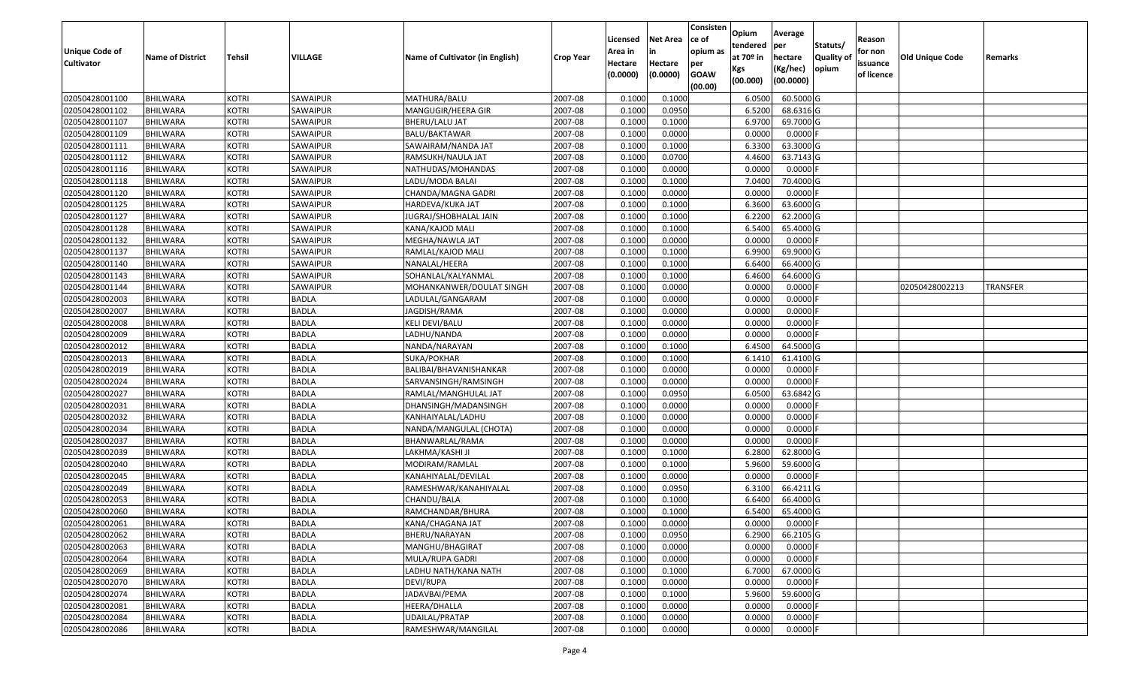| Unique Code of<br><b>Cultivator</b> | <b>Name of District</b> | <b>Tehsil</b> | VILLAGE         | Name of Cultivator (in English) | <b>Crop Year</b> | Licensed<br>Area in<br>Hectare<br>(0.0000) | <b>Net Area</b><br>in<br>Hectare<br>(0.0000) | Consisten<br>ce of<br>opium as<br>per<br><b>GOAW</b><br>(00.00) | Opium<br>tendered<br>at $70°$ in<br>Kgs<br>(00.000) | Average<br>per<br>hectare<br>(Kg/hec)<br>(00.0000) | Statuts/<br><b>Quality o</b><br>opium | Reason<br>for non<br>issuance<br>of licence | Old Unique Code | Remarks         |
|-------------------------------------|-------------------------|---------------|-----------------|---------------------------------|------------------|--------------------------------------------|----------------------------------------------|-----------------------------------------------------------------|-----------------------------------------------------|----------------------------------------------------|---------------------------------------|---------------------------------------------|-----------------|-----------------|
| 02050428001100                      | <b>BHILWARA</b>         | <b>KOTRI</b>  | SAWAIPUR        | MATHURA/BALU                    | 2007-08          | 0.1000                                     | 0.1000                                       |                                                                 | 6.0500                                              | 60.5000G                                           |                                       |                                             |                 |                 |
| 02050428001102                      | <b>BHILWARA</b>         | <b>KOTRI</b>  | SAWAIPUR        | MANGUGIR/HEERA GIR              | 2007-08          | 0.1000                                     | 0.0950                                       |                                                                 | 6.5200                                              | 68.6316 G                                          |                                       |                                             |                 |                 |
| 02050428001107                      | BHILWARA                | <b>KOTRI</b>  | SAWAIPUR        | BHERU/LALU JAT                  | 2007-08          | 0.1000                                     | 0.1000                                       |                                                                 | 6.9700                                              | 69.7000 G                                          |                                       |                                             |                 |                 |
| 02050428001109                      | <b>BHILWARA</b>         | <b>KOTRI</b>  | <b>SAWAIPUR</b> | <b>BALU/BAKTAWAR</b>            | 2007-08          | 0.1000                                     | 0.0000                                       |                                                                 | 0.0000                                              | $0.0000$ F                                         |                                       |                                             |                 |                 |
| 02050428001111                      | BHILWARA                | <b>KOTRI</b>  | SAWAIPUR        | SAWAIRAM/NANDA JAT              | 2007-08          | 0.1000                                     | 0.1000                                       |                                                                 | 6.3300                                              | 63.3000 G                                          |                                       |                                             |                 |                 |
| 02050428001112                      | <b>BHILWARA</b>         | <b>KOTRI</b>  | SAWAIPUR        | RAMSUKH/NAULA JAT               | 2007-08          | 0.1000                                     | 0.0700                                       |                                                                 | 4.4600                                              | 63.7143 G                                          |                                       |                                             |                 |                 |
| 02050428001116                      | BHILWARA                | <b>KOTRI</b>  | SAWAIPUR        | NATHUDAS/MOHANDAS               | 2007-08          | 0.1000                                     | 0.0000                                       |                                                                 | 0.0000                                              | 0.0000                                             |                                       |                                             |                 |                 |
| 02050428001118                      | <b>BHILWARA</b>         | <b>KOTRI</b>  | SAWAIPUR        | LADU/MODA BALAI                 | 2007-08          | 0.1000                                     | 0.1000                                       |                                                                 | 7.0400                                              | 70.4000 G                                          |                                       |                                             |                 |                 |
| 02050428001120                      | BHILWARA                | <b>KOTRI</b>  | SAWAIPUR        | CHANDA/MAGNA GADRI              | 2007-08          | 0.1000                                     | 0.0000                                       |                                                                 | 0.0000                                              | 0.0000F                                            |                                       |                                             |                 |                 |
| 02050428001125                      | <b>BHILWARA</b>         | <b>KOTRI</b>  | SAWAIPUR        | HARDEVA/KUKA JAT                | 2007-08          | 0.1000                                     | 0.1000                                       |                                                                 | 6.3600                                              | 63.6000 G                                          |                                       |                                             |                 |                 |
| 02050428001127                      | BHILWARA                | <b>KOTRI</b>  | SAWAIPUR        | JUGRAJ/SHOBHALAL JAIN           | 2007-08          | 0.1000                                     | 0.1000                                       |                                                                 | 6.2200                                              | 62.2000 G                                          |                                       |                                             |                 |                 |
| 02050428001128                      | <b>BHILWARA</b>         | <b>KOTRI</b>  | SAWAIPUR        | KANA/KAJOD MALI                 | 2007-08          | 0.1000                                     | 0.1000                                       |                                                                 | 6.5400                                              | 65.4000 G                                          |                                       |                                             |                 |                 |
| 02050428001132                      | <b>BHILWARA</b>         | <b>KOTRI</b>  | SAWAIPUR        | MEGHA/NAWLA JAT                 | 2007-08          | 0.1000                                     | 0.0000                                       |                                                                 | 0.0000                                              | $0.0000$ F                                         |                                       |                                             |                 |                 |
| 02050428001137                      | <b>BHILWARA</b>         | <b>KOTRI</b>  | SAWAIPUR        | RAMLAL/KAJOD MALI               | 2007-08          | 0.100                                      | 0.1000                                       |                                                                 | 6.9900                                              | 69.9000 G                                          |                                       |                                             |                 |                 |
| 02050428001140                      | BHILWARA                | <b>KOTRI</b>  | SAWAIPUR        | NANALAL/HEERA                   | 2007-08          | 0.1000                                     | 0.1000                                       |                                                                 | 6.6400                                              | 66.4000 G                                          |                                       |                                             |                 |                 |
| 02050428001143                      | <b>BHILWARA</b>         | <b>KOTRI</b>  | SAWAIPUR        | SOHANLAL/KALYANMAL              | 2007-08          | 0.1000                                     | 0.1000                                       |                                                                 | 6.4600                                              | 64.6000 G                                          |                                       |                                             |                 |                 |
| 02050428001144                      | <b>BHILWARA</b>         | <b>KOTRI</b>  | SAWAIPUR        | MOHANKANWER/DOULAT SINGH        | 2007-08          | 0.100                                      | 0.0000                                       |                                                                 | 0.0000                                              | 0.0000F                                            |                                       |                                             | 02050428002213  | <b>TRANSFER</b> |
| 02050428002003                      | BHILWARA                | <b>KOTRI</b>  | <b>BADLA</b>    | LADULAL/GANGARAM                | 2007-08          | 0.1000                                     | 0.0000                                       |                                                                 | 0.0000                                              | 0.0000                                             |                                       |                                             |                 |                 |
| 02050428002007                      | <b>BHILWARA</b>         | <b>KOTRI</b>  | <b>BADLA</b>    | JAGDISH/RAMA                    | 2007-08          | 0.1000                                     | 0.0000                                       |                                                                 | 0.0000                                              | 0.0000                                             |                                       |                                             |                 |                 |
| 02050428002008                      | BHILWARA                | <b>KOTRI</b>  | <b>BADLA</b>    | KELI DEVI/BALU                  | 2007-08          | 0.1000                                     | 0.0000                                       |                                                                 | 0.0000                                              | 0.0000                                             |                                       |                                             |                 |                 |
| 02050428002009                      | <b>BHILWARA</b>         | <b>KOTRI</b>  | <b>BADLA</b>    | LADHU/NANDA                     | 2007-08          | 0.100                                      | 0.0000                                       |                                                                 | 0.0000                                              | 0.0000                                             |                                       |                                             |                 |                 |
| 02050428002012                      | BHILWARA                | <b>KOTRI</b>  | <b>BADLA</b>    | NANDA/NARAYAN                   | 2007-08          | 0.100                                      | 0.1000                                       |                                                                 | 6.4500                                              | 64.5000 G                                          |                                       |                                             |                 |                 |
| 02050428002013                      | <b>BHILWARA</b>         | <b>KOTRI</b>  | <b>BADLA</b>    | SUKA/POKHAR                     | 2007-08          | 0.1000                                     | 0.1000                                       |                                                                 | 6.1410                                              | 61.4100G                                           |                                       |                                             |                 |                 |
| 02050428002019                      | BHILWARA                | <b>KOTRI</b>  | <b>BADLA</b>    | BALIBAI/BHAVANISHANKAR          | 2007-08          | 0.1000                                     | 0.0000                                       |                                                                 | 0.0000                                              | 0.0000                                             |                                       |                                             |                 |                 |
| 02050428002024                      | <b>BHILWARA</b>         | <b>KOTRI</b>  | <b>BADLA</b>    | SARVANSINGH/RAMSINGH            | 2007-08          | 0.1000                                     | 0.0000                                       |                                                                 | 0.0000                                              | 0.0000F                                            |                                       |                                             |                 |                 |
| 02050428002027                      | BHILWARA                | <b>KOTRI</b>  | <b>BADLA</b>    | RAMLAL/MANGHULAL JAT            | 2007-08          | 0.1000                                     | 0.0950                                       |                                                                 | 6.0500                                              | 63.6842 G                                          |                                       |                                             |                 |                 |
| 02050428002031                      | <b>BHILWARA</b>         | <b>KOTRI</b>  | <b>BADLA</b>    | DHANSINGH/MADANSINGH            | 2007-08          | 0.1000                                     | 0.0000                                       |                                                                 | 0.0000                                              | 0.0000F                                            |                                       |                                             |                 |                 |
| 02050428002032                      | <b>BHILWARA</b>         | <b>KOTRI</b>  | <b>BADLA</b>    | KANHAIYALAL/LADHU               | 2007-08          | 0.1000                                     | 0.0000                                       |                                                                 | 0.0000                                              | 0.0000                                             |                                       |                                             |                 |                 |
| 02050428002034                      | <b>BHILWARA</b>         | <b>KOTRI</b>  | <b>BADLA</b>    | NANDA/MANGULAL (CHOTA)          | 2007-08          | 0.1000                                     | 0.0000                                       |                                                                 | 0.0000                                              | 0.0000F                                            |                                       |                                             |                 |                 |
| 02050428002037                      | <b>BHILWARA</b>         | <b>KOTRI</b>  | <b>BADLA</b>    | BHANWARLAL/RAMA                 | 2007-08          | 0.1000                                     | 0.0000                                       |                                                                 | 0.0000                                              | 0.0000                                             |                                       |                                             |                 |                 |
| 02050428002039                      | <b>BHILWARA</b>         | <b>KOTRI</b>  | <b>BADLA</b>    | LAKHMA/KASHI JI                 | 2007-08          | 0.1000                                     | 0.1000                                       |                                                                 | 6.2800                                              | 62.8000 G                                          |                                       |                                             |                 |                 |
| 02050428002040                      | BHILWARA                | <b>KOTRI</b>  | <b>BADLA</b>    | MODIRAM/RAMLAL                  | 2007-08          | 0.1000                                     | 0.1000                                       |                                                                 | 5.9600                                              | 59.6000 G                                          |                                       |                                             |                 |                 |
| 02050428002045                      | <b>BHILWARA</b>         | <b>KOTRI</b>  | <b>BADLA</b>    | KANAHIYALAL/DEVILAL             | 2007-08          | 0.1000                                     | 0.0000                                       |                                                                 | 0.0000                                              | $0.0000$ F                                         |                                       |                                             |                 |                 |
| 02050428002049                      | BHILWARA                | <b>KOTRI</b>  | <b>BADLA</b>    | RAMESHWAR/KANAHIYALAL           | 2007-08          | 0.1000                                     | 0.0950                                       |                                                                 | 6.3100                                              | 66.4211 G                                          |                                       |                                             |                 |                 |
| 02050428002053                      | <b>BHILWARA</b>         | <b>KOTRI</b>  | <b>BADLA</b>    | CHANDU/BALA                     | 2007-08          | 0.1000                                     | 0.1000                                       |                                                                 | 6.6400                                              | 66.4000 G                                          |                                       |                                             |                 |                 |
| 02050428002060                      | BHILWARA                | <b>KOTRI</b>  | <b>BADLA</b>    | RAMCHANDAR/BHURA                | 2007-08          | 0.1000                                     | 0.1000                                       |                                                                 | 6.5400                                              | 65.4000 G                                          |                                       |                                             |                 |                 |
| 02050428002061                      | <b>BHILWARA</b>         | <b>KOTRI</b>  | <b>BADLA</b>    | KANA/CHAGANA JAT                | 2007-08          | 0.1000                                     | 0.0000                                       |                                                                 | 0.0000                                              | $0.0000$ F                                         |                                       |                                             |                 |                 |
| 02050428002062                      | <b>BHILWARA</b>         | <b>KOTRI</b>  | <b>BADLA</b>    | BHERU/NARAYAN                   | 2007-08          | 0.1000                                     | 0.0950                                       |                                                                 | 6.2900                                              | 66.2105 G                                          |                                       |                                             |                 |                 |
| 02050428002063                      | <b>BHILWARA</b>         | <b>KOTRI</b>  | <b>BADLA</b>    | MANGHU/BHAGIRAT                 | 2007-08          | 0.1000                                     | 0.0000                                       |                                                                 | 0.0000                                              | $0.0000$ F                                         |                                       |                                             |                 |                 |
| 02050428002064                      | <b>BHILWARA</b>         | <b>KOTRI</b>  | <b>BADLA</b>    | MULA/RUPA GADRI                 | 2007-08          | 0.1000                                     | 0.0000                                       |                                                                 | 0.0000                                              | $0.0000$ F                                         |                                       |                                             |                 |                 |
| 02050428002069                      | <b>BHILWARA</b>         | <b>KOTRI</b>  | <b>BADLA</b>    | LADHU NATH/KANA NATH            | 2007-08          | 0.1000                                     | 0.1000                                       |                                                                 | 6.7000                                              | 67.0000G                                           |                                       |                                             |                 |                 |
| 02050428002070                      | <b>BHILWARA</b>         | <b>KOTRI</b>  | <b>BADLA</b>    | DEVI/RUPA                       | 2007-08          | 0.1000                                     | 0.0000                                       |                                                                 | 0.0000                                              | $0.0000$ F                                         |                                       |                                             |                 |                 |
| 02050428002074                      | <b>BHILWARA</b>         | <b>KOTRI</b>  | <b>BADLA</b>    | JADAVBAI/PEMA                   | 2007-08          | 0.1000                                     | 0.1000<br>0.0000                             |                                                                 | 5.9600                                              | 59.6000G<br>$0.0000$ F                             |                                       |                                             |                 |                 |
| 02050428002081                      | <b>BHILWARA</b>         | <b>KOTRI</b>  | <b>BADLA</b>    | HEERA/DHALLA                    | 2007-08          | 0.1000                                     |                                              |                                                                 | 0.0000                                              |                                                    |                                       |                                             |                 |                 |
| 02050428002084                      | <b>BHILWARA</b>         | <b>KOTRI</b>  | <b>BADLA</b>    | UDAILAL/PRATAP                  | 2007-08          | 0.1000                                     | 0.0000                                       |                                                                 | 0.0000                                              | 0.0000                                             |                                       |                                             |                 |                 |
| 02050428002086                      | <b>BHILWARA</b>         | <b>KOTRI</b>  | <b>BADLA</b>    | RAMESHWAR/MANGILAL              | 2007-08          | 0.1000                                     | 0.0000                                       |                                                                 | 0.0000                                              | $0.0000$ F                                         |                                       |                                             |                 |                 |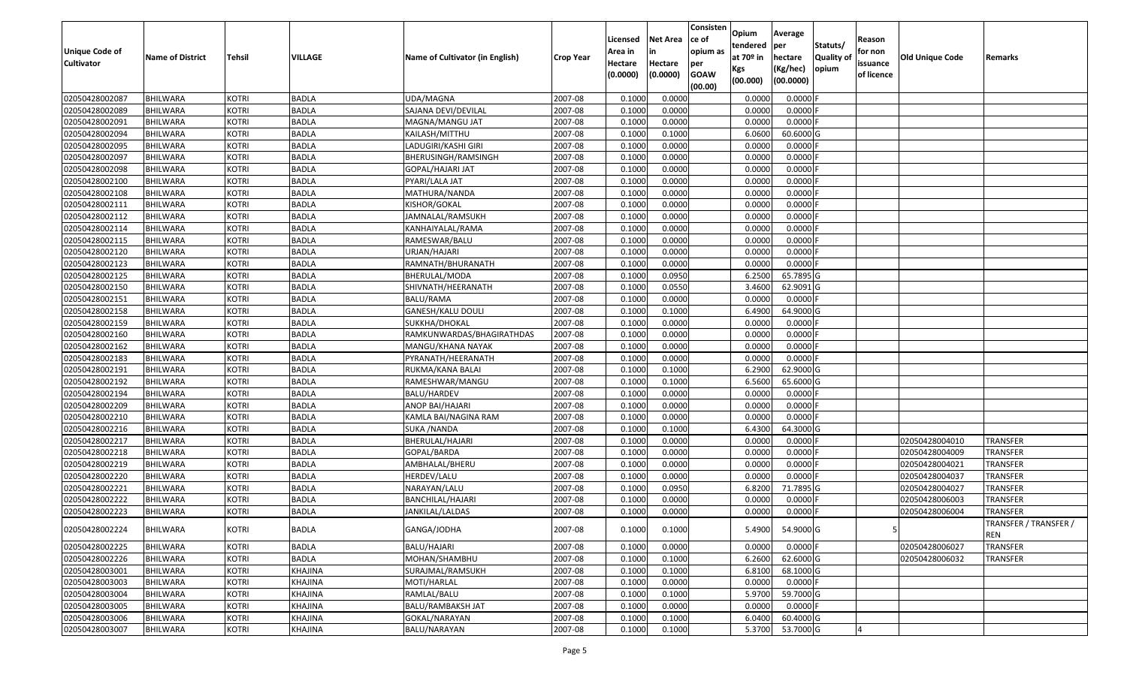| <b>Unique Code of</b><br><b>Cultivator</b> | <b>Name of District</b> | <b>Tehsil</b> | <b>VILLAGE</b> | Name of Cultivator (in English) | <b>Crop Year</b> | Licensed<br>Area in<br>Hectare<br>(0.0000) | <b>Net Area</b><br>in<br>Hectare<br>(0.0000) | Consisten<br>ce of<br>opium as<br>per<br><b>GOAW</b><br>(00.00) | Opium<br>tendered<br>at $70°$ in<br>Kgs<br>(00.000) | Average<br>per<br>hectare<br>(Kg/hec)<br>(00.0000) | Statuts/<br>Quality of<br>opium | Reason<br>for non<br>issuance<br>of licence | <b>Old Unique Code</b> | Remarks                             |
|--------------------------------------------|-------------------------|---------------|----------------|---------------------------------|------------------|--------------------------------------------|----------------------------------------------|-----------------------------------------------------------------|-----------------------------------------------------|----------------------------------------------------|---------------------------------|---------------------------------------------|------------------------|-------------------------------------|
| 02050428002087                             | <b>BHILWARA</b>         | <b>KOTRI</b>  | <b>BADLA</b>   | UDA/MAGNA                       | 2007-08          | 0.1000                                     | 0.0000                                       |                                                                 | 0.0000                                              | 0.0000                                             |                                 |                                             |                        |                                     |
| 02050428002089                             | <b>BHILWARA</b>         | <b>KOTRI</b>  | <b>BADLA</b>   | SAJANA DEVI/DEVILAL             | 2007-08          | 0.1000                                     | 0.0000                                       |                                                                 | 0.0000                                              | 0.0000                                             |                                 |                                             |                        |                                     |
| 02050428002091                             | BHILWARA                | <b>KOTRI</b>  | <b>BADLA</b>   | MAGNA/MANGU JAT                 | 2007-08          | 0.1000                                     | 0.0000                                       |                                                                 | 0.0000                                              | 0.0000                                             |                                 |                                             |                        |                                     |
| 02050428002094                             | <b>BHILWARA</b>         | <b>KOTRI</b>  | <b>BADLA</b>   | KAILASH/MITTHU                  | 2007-08          | 0.1000                                     | 0.1000                                       |                                                                 | 6.0600                                              | 60.6000 G                                          |                                 |                                             |                        |                                     |
| 02050428002095                             | <b>BHILWARA</b>         | <b>KOTRI</b>  | <b>BADLA</b>   | LADUGIRI/KASHI GIRI             | 2007-08          | 0.1000                                     | 0.0000                                       |                                                                 | 0.0000                                              | 0.0000                                             |                                 |                                             |                        |                                     |
| 02050428002097                             | <b>BHILWARA</b>         | <b>KOTRI</b>  | <b>BADLA</b>   | BHERUSINGH/RAMSINGH             | 2007-08          | 0.1000                                     | 0.0000                                       |                                                                 | 0.0000                                              | 0.0000                                             |                                 |                                             |                        |                                     |
| 02050428002098                             | <b>BHILWARA</b>         | <b>KOTRI</b>  | <b>BADLA</b>   | GOPAL/HAJARI JAT                | 2007-08          | 0.1000                                     | 0.0000                                       |                                                                 | 0.0000                                              | 0.0000                                             |                                 |                                             |                        |                                     |
| 02050428002100                             | <b>BHILWARA</b>         | <b>KOTRI</b>  | <b>BADLA</b>   | PYARI/LALA JAT                  | 2007-08          | 0.1000                                     | 0.0000                                       |                                                                 | 0.0000                                              | 0.0000                                             |                                 |                                             |                        |                                     |
| 02050428002108                             | <b>BHILWARA</b>         | <b>KOTRI</b>  | <b>BADLA</b>   | MATHURA/NANDA                   | 2007-08          | 0.1000                                     | 0.0000                                       |                                                                 | 0.0000                                              | 0.0000                                             |                                 |                                             |                        |                                     |
| 02050428002111                             | <b>BHILWARA</b>         | <b>KOTRI</b>  | <b>BADLA</b>   | KISHOR/GOKAL                    | 2007-08          | 0.1000                                     | 0.0000                                       |                                                                 | 0.0000                                              | 0.0000F                                            |                                 |                                             |                        |                                     |
| 02050428002112                             | BHILWARA                | <b>KOTRI</b>  | <b>BADLA</b>   | JAMNALAL/RAMSUKH                | 2007-08          | 0.1000                                     | 0.0000                                       |                                                                 | 0.0000                                              | 0.0000                                             |                                 |                                             |                        |                                     |
| 02050428002114                             | <b>BHILWARA</b>         | <b>KOTRI</b>  | <b>BADLA</b>   | KANHAIYALAL/RAMA                | 2007-08          | 0.1000                                     | 0.0000                                       |                                                                 | 0.0000                                              | 0.0000                                             |                                 |                                             |                        |                                     |
| 02050428002115                             | <b>BHILWARA</b>         | <b>KOTRI</b>  | <b>BADLA</b>   | RAMESWAR/BALU                   | 2007-08          | 0.1000                                     | 0.0000                                       |                                                                 | 0.0000                                              | 0.0000                                             |                                 |                                             |                        |                                     |
| 02050428002120                             | <b>BHILWARA</b>         | <b>KOTRI</b>  | <b>BADLA</b>   | JRJAN/HAJARI                    | 2007-08          | 0.1000                                     | 0.0000                                       |                                                                 | 0.0000                                              | 0.0000                                             |                                 |                                             |                        |                                     |
| 02050428002123                             | BHILWARA                | <b>KOTRI</b>  | <b>BADLA</b>   | RAMNATH/BHURANATH               | 2007-08          | 0.1000                                     | 0.0000                                       |                                                                 | 0.0000                                              | 0.0000F                                            |                                 |                                             |                        |                                     |
| 02050428002125                             | <b>BHILWARA</b>         | <b>KOTRI</b>  | <b>BADLA</b>   | BHERULAL/MODA                   | 2007-08          | 0.1000                                     | 0.0950                                       |                                                                 | 6.2500                                              | 65.7895 G                                          |                                 |                                             |                        |                                     |
| 02050428002150                             | <b>BHILWARA</b>         | <b>KOTRI</b>  | <b>BADLA</b>   | SHIVNATH/HEERANATH              | 2007-08          | 0.1000                                     | 0.0550                                       |                                                                 | 3.4600                                              | 62.9091G                                           |                                 |                                             |                        |                                     |
| 02050428002151                             | <b>BHILWARA</b>         | <b>KOTRI</b>  | <b>BADLA</b>   | BALU/RAMA                       | 2007-08          | 0.1000                                     | 0.0000                                       |                                                                 | 0.0000                                              | $0.0000$ F                                         |                                 |                                             |                        |                                     |
| 02050428002158                             | BHILWARA                | <b>KOTRI</b>  | <b>BADLA</b>   | GANESH/KALU DOULI               | 2007-08          | 0.1000                                     | 0.1000                                       |                                                                 | 6.4900                                              | 64.9000 G                                          |                                 |                                             |                        |                                     |
| 02050428002159                             | <b>BHILWARA</b>         | <b>KOTRI</b>  | <b>BADLA</b>   | SUKKHA/DHOKAL                   | 2007-08          | 0.1000                                     | 0.0000                                       |                                                                 | 0.0000                                              | 0.0000F                                            |                                 |                                             |                        |                                     |
| 02050428002160                             | <b>BHILWARA</b>         | <b>KOTRI</b>  | <b>BADLA</b>   | RAMKUNWARDAS/BHAGIRATHDAS       | 2007-08          | 0.1000                                     | 0.0000                                       |                                                                 | 0.0000                                              | 0.0000                                             |                                 |                                             |                        |                                     |
| 02050428002162                             | <b>BHILWARA</b>         | <b>KOTRI</b>  | <b>BADLA</b>   | MANGU/KHANA NAYAK               | 2007-08          | 0.1000                                     | 0.0000                                       |                                                                 | 0.0000                                              | 0.0000                                             |                                 |                                             |                        |                                     |
| 02050428002183                             | BHILWARA                | <b>KOTRI</b>  | <b>BADLA</b>   | PYRANATH/HEERANATH              | 2007-08          | 0.1000                                     | 0.0000                                       |                                                                 | 0.0000                                              | $0.0000$ F                                         |                                 |                                             |                        |                                     |
| 02050428002191                             | BHILWARA                | <b>KOTRI</b>  | <b>BADLA</b>   | RUKMA/KANA BALAI                | 2007-08          | 0.1000                                     | 0.1000                                       |                                                                 | 6.2900                                              | 62.9000 G                                          |                                 |                                             |                        |                                     |
| 02050428002192                             | <b>BHILWARA</b>         | <b>KOTRI</b>  | <b>BADLA</b>   | RAMESHWAR/MANGU                 | 2007-08          | 0.1000                                     | 0.1000                                       |                                                                 | 6.5600                                              | 65.6000 G                                          |                                 |                                             |                        |                                     |
| 02050428002194                             | <b>BHILWARA</b>         | <b>KOTRI</b>  | <b>BADLA</b>   | BALU/HARDEV                     | 2007-08          | 0.1000                                     | 0.0000                                       |                                                                 | 0.0000                                              | 0.0000                                             |                                 |                                             |                        |                                     |
| 02050428002209                             | <b>BHILWARA</b>         | <b>KOTRI</b>  | <b>BADLA</b>   | ANOP BAI/HAJARI                 | 2007-08          | 0.100                                      | 0.0000                                       |                                                                 | 0.0000                                              | 0.0000                                             |                                 |                                             |                        |                                     |
| 02050428002210                             | BHILWARA                | <b>KOTRI</b>  | <b>BADLA</b>   | KAMLA BAI/NAGINA RAM            | 2007-08          | 0.1000                                     | 0.0000                                       |                                                                 | 0.0000                                              | 0.0000                                             |                                 |                                             |                        |                                     |
| 02050428002216                             | <b>BHILWARA</b>         | <b>KOTRI</b>  | <b>BADLA</b>   | <b>SUKA /NANDA</b>              | 2007-08          | 0.1000                                     | 0.1000                                       |                                                                 | 6.4300                                              | 64.3000 G                                          |                                 |                                             |                        |                                     |
| 02050428002217                             | BHILWARA                | <b>KOTRI</b>  | <b>BADLA</b>   | BHERULAL/HAJARI                 | 2007-08          | 0.1000                                     | 0.0000                                       |                                                                 | 0.0000                                              | 0.0000                                             |                                 |                                             | 02050428004010         | <b>TRANSFER</b>                     |
| 02050428002218                             | <b>BHILWARA</b>         | <b>KOTRI</b>  | <b>BADLA</b>   | GOPAL/BARDA                     | 2007-08          | 0.1000                                     | 0.0000                                       |                                                                 | 0.0000                                              | 0.0000                                             |                                 |                                             | 02050428004009         | <b>TRANSFER</b>                     |
| 02050428002219                             | BHILWARA                | <b>KOTRI</b>  | <b>BADLA</b>   | AMBHALAL/BHERU                  | 2007-08          | 0.1000                                     | 0.0000                                       |                                                                 | 0.0000                                              | 0.0000                                             |                                 |                                             | 02050428004021         | <b>TRANSFER</b>                     |
| 02050428002220                             | <b>BHILWARA</b>         | <b>KOTRI</b>  | <b>BADLA</b>   | HERDEV/LALU                     | 2007-08          | 0.1000                                     | 0.0000                                       |                                                                 | 0.0000                                              | 0.0000                                             |                                 |                                             | 02050428004037         | <b>TRANSFER</b>                     |
| 02050428002221                             | <b>BHILWARA</b>         | <b>KOTRI</b>  | <b>BADLA</b>   | NARAYAN/LALU                    | 2007-08          | 0.1000                                     | 0.0950                                       |                                                                 | 6.8200                                              | 71.7895 G                                          |                                 |                                             | 02050428004027         | <b>TRANSFER</b>                     |
| 02050428002222                             | <b>BHILWARA</b>         | <b>KOTRI</b>  | <b>BADLA</b>   | BANCHILAL/HAJARI                | 2007-08          | 0.1000                                     | 0.0000                                       |                                                                 | 0.0000                                              | 0.0000F                                            |                                 |                                             | 02050428006003         | <b>TRANSFER</b>                     |
| 02050428002223                             | <b>BHILWARA</b>         | <b>KOTRI</b>  | <b>BADLA</b>   | JANKILAL/LALDAS                 | 2007-08          | 0.1000                                     | 0.0000                                       |                                                                 | 0.0000                                              | 0.0000                                             |                                 |                                             | 02050428006004         | <b>TRANSFER</b>                     |
| 02050428002224                             | <b>BHILWARA</b>         | <b>KOTRI</b>  | <b>BADLA</b>   | GANGA/JODHA                     | 2007-08          | 0.1000                                     | 0.1000                                       |                                                                 | 5.4900                                              | 54.9000 G                                          |                                 |                                             |                        | TRANSFER / TRANSFER /<br><b>REN</b> |
| 02050428002225                             | <b>BHILWARA</b>         | <b>KOTRI</b>  | <b>BADLA</b>   | BALU/HAJARI                     | 2007-08          | 0.1000                                     | 0.0000                                       |                                                                 | 0.0000                                              | $0.0000$ F                                         |                                 |                                             | 02050428006027         | <b>TRANSFER</b>                     |
| 02050428002226                             | <b>BHILWARA</b>         | <b>KOTRI</b>  | <b>BADLA</b>   | MOHAN/SHAMBHU                   | 2007-08          | 0.1000                                     | 0.1000                                       |                                                                 | 6.2600                                              | 62.6000 G                                          |                                 |                                             | 02050428006032         | <b>TRANSFER</b>                     |
| 02050428003001                             | <b>BHILWARA</b>         | <b>KOTRI</b>  | KHAJINA        | SURAJMAL/RAMSUKH                | 2007-08          | 0.1000                                     | 0.1000                                       |                                                                 | 6.8100                                              | 68.1000 G                                          |                                 |                                             |                        |                                     |
| 02050428003003                             | <b>BHILWARA</b>         | <b>KOTRI</b>  | KHAJINA        | MOTI/HARLAL                     | 2007-08          | 0.1000                                     | 0.0000                                       |                                                                 | 0.0000                                              | $0.0000$ F                                         |                                 |                                             |                        |                                     |
| 02050428003004                             | <b>BHILWARA</b>         | <b>KOTRI</b>  | KHAJINA        | RAMLAL/BALU                     | 2007-08          | 0.1000                                     | 0.1000                                       |                                                                 | 5.9700                                              | 59.7000G                                           |                                 |                                             |                        |                                     |
| 02050428003005                             | <b>BHILWARA</b>         | <b>KOTRI</b>  | KHAJINA        | BALU/RAMBAKSH JAT               | 2007-08          | 0.1000                                     | 0.0000                                       |                                                                 | 0.0000                                              | $0.0000$ F                                         |                                 |                                             |                        |                                     |
| 02050428003006                             | <b>BHILWARA</b>         | <b>KOTRI</b>  | KHAJINA        | GOKAL/NARAYAN                   | 2007-08          | 0.1000                                     | 0.1000                                       |                                                                 | 6.0400                                              | 60.4000 G                                          |                                 |                                             |                        |                                     |
| 02050428003007                             | <b>BHILWARA</b>         | <b>KOTRI</b>  | KHAJINA        | BALU/NARAYAN                    | 2007-08          | 0.1000                                     | 0.1000                                       |                                                                 | 5.3700                                              | 53.7000 G                                          |                                 |                                             |                        |                                     |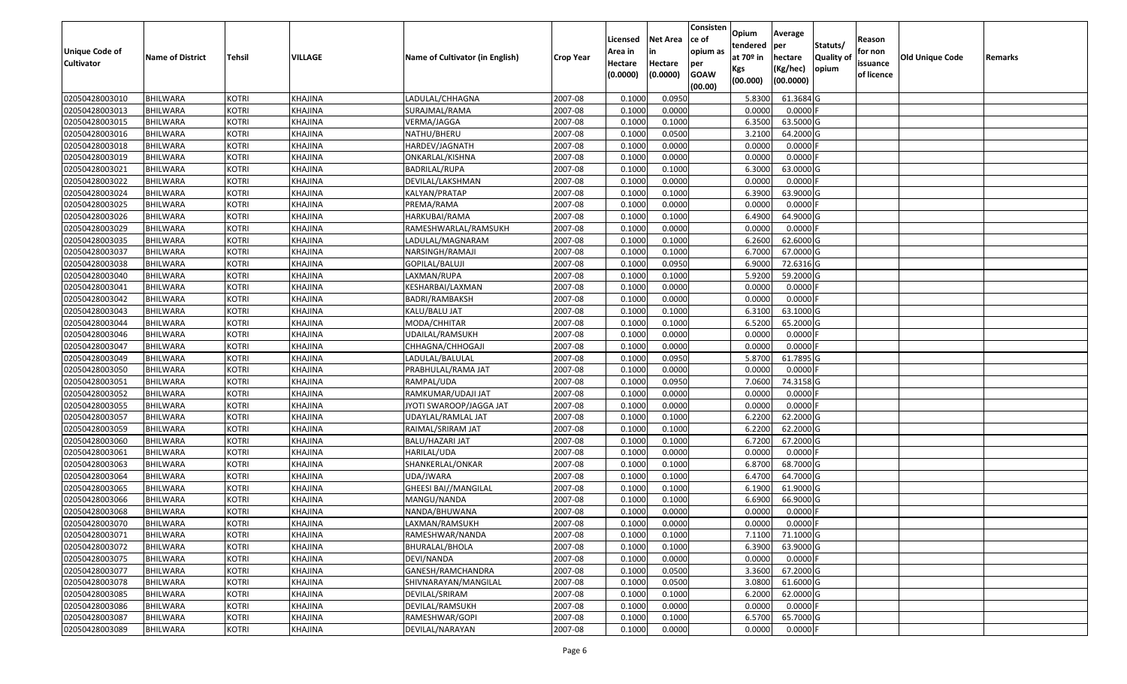| <b>Unique Code of</b> |                         |               | <b>VILLAGE</b> |                                 |                  | Licensed<br>Area in | <b>Net Area</b><br>in | Consisten<br>ce of<br>opium as | Opium<br>tendered<br>at $70°$ in | Average<br>per                   | Statuts/                  | Reason<br>for non      | <b>Old Unique Code</b> |         |
|-----------------------|-------------------------|---------------|----------------|---------------------------------|------------------|---------------------|-----------------------|--------------------------------|----------------------------------|----------------------------------|---------------------------|------------------------|------------------------|---------|
| <b>Cultivator</b>     | <b>Name of District</b> | <b>Tehsil</b> |                | Name of Cultivator (in English) | <b>Crop Year</b> | Hectare<br>(0.0000) | Hectare<br>(0.0000)   | per<br><b>GOAW</b><br>(00.00)  | Kgs<br>(00.000)                  | hectare<br>(Kg/hec)<br>(00.0000) | <b>Quality o</b><br>opium | issuance<br>of licence |                        | Remarks |
| 02050428003010        | <b>BHILWARA</b>         | <b>KOTRI</b>  | KHAJINA        | LADULAL/CHHAGNA                 | 2007-08          | 0.1000              | 0.0950                |                                | 5.8300                           | 61.3684 G                        |                           |                        |                        |         |
| 02050428003013        | <b>BHILWARA</b>         | <b>KOTRI</b>  | KHAJINA        | SURAJMAL/RAMA                   | 2007-08          | 0.1000              | 0.0000                |                                | 0.0000                           | $0.0000$ F                       |                           |                        |                        |         |
| 02050428003015        | <b>BHILWARA</b>         | <b>KOTRI</b>  | KHAJINA        | VERMA/JAGGA                     | 2007-08          | 0.1000              | 0.1000                |                                | 6.3500                           | 63.5000G                         |                           |                        |                        |         |
| 02050428003016        | <b>BHILWARA</b>         | <b>KOTRI</b>  | KHAJINA        | NATHU/BHERU                     | 2007-08          | 0.1000              | 0.0500                |                                | 3.2100                           | 64.2000 G                        |                           |                        |                        |         |
| 02050428003018        | BHILWARA                | <b>KOTRI</b>  | KHAJINA        | HARDEV/JAGNATH                  | 2007-08          | 0.1000              | 0.0000                |                                | 0.0000                           | 0.0000                           |                           |                        |                        |         |
| 02050428003019        | <b>BHILWARA</b>         | <b>KOTRI</b>  | KHAJINA        | ONKARLAL/KISHNA                 | 2007-08          | 0.1000              | 0.0000                |                                | 0.0000                           | 0.0000                           |                           |                        |                        |         |
| 02050428003021        | BHILWARA                | <b>KOTRI</b>  | KHAJINA        | BADRILAL/RUPA                   | 2007-08          | 0.1000              | 0.1000                |                                | 6.3000                           | 63.0000 G                        |                           |                        |                        |         |
| 02050428003022        | <b>BHILWARA</b>         | <b>KOTRI</b>  | <b>KHAJINA</b> | DEVILAL/LAKSHMAN                | 2007-08          | 0.1000              | 0.0000                |                                | 0.0000                           | $0.0000$ F                       |                           |                        |                        |         |
| 02050428003024        | <b>BHILWARA</b>         | <b>KOTRI</b>  | KHAJINA        | KALYAN/PRATAP                   | 2007-08          | 0.1000              | 0.1000                |                                | 6.3900                           | 63.9000 G                        |                           |                        |                        |         |
| 02050428003025        | <b>BHILWARA</b>         | <b>KOTRI</b>  | KHAJINA        | PREMA/RAMA                      | 2007-08          | 0.1000              | 0.0000                |                                | 0.0000                           | $0.0000$ F                       |                           |                        |                        |         |
| 02050428003026        | BHILWARA                | <b>KOTRI</b>  | KHAJINA        | HARKUBAI/RAMA                   | 2007-08          | 0.1000              | 0.1000                |                                | 6.4900                           | 64.9000 G                        |                           |                        |                        |         |
| 02050428003029        | <b>BHILWARA</b>         | <b>KOTRI</b>  | KHAJINA        | RAMESHWARLAL/RAMSUKH            | 2007-08          | 0.1000              | 0.0000                |                                | 0.0000                           | $0.0000$ F                       |                           |                        |                        |         |
| 02050428003035        | <b>BHILWARA</b>         | <b>KOTRI</b>  | KHAJINA        | LADULAL/MAGNARAM                | 2007-08          | 0.1000              | 0.1000                |                                | 6.2600                           | 62.6000G                         |                           |                        |                        |         |
| 02050428003037        | <b>BHILWARA</b>         | <b>KOTRI</b>  | KHAJINA        | NARSINGH/RAMAJI                 | 2007-08          | 0.1000              | 0.1000                |                                | 6.7000                           | 67.0000G                         |                           |                        |                        |         |
| 02050428003038        | BHILWARA                | <b>KOTRI</b>  | KHAJINA        | GOPILAL/BALUJI                  | 2007-08          | 0.1000              | 0.0950                |                                | 6.9000                           | 72.6316 G                        |                           |                        |                        |         |
| 02050428003040        | <b>BHILWARA</b>         | <b>KOTRI</b>  | KHAJINA        | LAXMAN/RUPA                     | 2007-08          | 0.1000              | 0.1000                |                                | 5.9200                           | 59.2000 G                        |                           |                        |                        |         |
| 02050428003041        | <b>BHILWARA</b>         | <b>KOTRI</b>  | KHAJINA        | KESHARBAI/LAXMAN                | 2007-08          | 0.1000              | 0.0000                |                                | 0.0000                           | 0.0000F                          |                           |                        |                        |         |
| 02050428003042        | BHILWARA                | <b>KOTRI</b>  | KHAJINA        | BADRI/RAMBAKSH                  | 2007-08          | 0.1000              | 0.0000                |                                | 0.0000                           | 0.0000                           |                           |                        |                        |         |
| 02050428003043        | <b>BHILWARA</b>         | <b>KOTRI</b>  | KHAJINA        | KALU/BALU JAT                   | 2007-08          | 0.1000              | 0.1000                |                                | 6.3100                           | 63.1000G                         |                           |                        |                        |         |
| 02050428003044        | BHILWARA                | <b>KOTRI</b>  | KHAJINA        | MODA/CHHITAR                    | 2007-08          | 0.1000              | 0.1000                |                                | 6.5200                           | 65.2000 G                        |                           |                        |                        |         |
| 02050428003046        | <b>BHILWARA</b>         | <b>KOTRI</b>  | KHAJINA        | UDAILAL/RAMSUKH                 | 2007-08          | 0.1000              | 0.0000                |                                | 0.0000                           | 0.0000                           |                           |                        |                        |         |
| 02050428003047        | BHILWARA                | <b>KOTRI</b>  | KHAJINA        | CHHAGNA/CHHOGAJI                | 2007-08          | 0.1000              | 0.0000                |                                | 0.0000                           | 0.0000                           |                           |                        |                        |         |
| 02050428003049        | <b>BHILWARA</b>         | <b>KOTRI</b>  | KHAJINA        | LADULAL/BALULAL                 | 2007-08          | 0.1000              | 0.0950                |                                | 5.8700                           | 61.7895 G                        |                           |                        |                        |         |
| 02050428003050        | BHILWARA                | <b>KOTRI</b>  | KHAJINA        | PRABHULAL/RAMA JAT              | 2007-08          | 0.1000              | 0.0000                |                                | 0.0000                           | 0.0000F                          |                           |                        |                        |         |
| 02050428003051        | <b>BHILWARA</b>         | <b>KOTRI</b>  | <b>KHAJINA</b> | RAMPAL/UDA                      | 2007-08          | 0.1000              | 0.0950                |                                | 7.0600                           | 74.3158 G                        |                           |                        |                        |         |
| 02050428003052        | BHILWARA                | <b>KOTRI</b>  | KHAJINA        | RAMKUMAR/UDAJI JAT              | 2007-08          | 0.1000              | 0.0000                |                                | 0.0000                           | 0.0000F                          |                           |                        |                        |         |
| 02050428003055        | <b>BHILWARA</b>         | <b>KOTRI</b>  | KHAJINA        | JYOTI SWAROOP/JAGGA JAT         | 2007-08          | 0.1000              | 0.0000                |                                | 0.0000                           | 0.0000F                          |                           |                        |                        |         |
| 02050428003057        | BHILWARA                | <b>KOTRI</b>  | KHAJINA        | JDAYLAL/RAMLAL JAT              | 2007-08          | 0.1000              | 0.1000                |                                | 6.2200                           | 62.2000 G                        |                           |                        |                        |         |
| 02050428003059        | <b>BHILWARA</b>         | <b>KOTRI</b>  | KHAJINA        | RAIMAL/SRIRAM JAT               | 2007-08          | 0.1000              | 0.1000                |                                | 6.2200                           | 62.2000 G                        |                           |                        |                        |         |
| 02050428003060        | BHILWARA                | <b>KOTRI</b>  | KHAJINA        | BALU/HAZARI JAT                 | 2007-08          | 0.1000              | 0.1000                |                                | 6.7200                           | 67.2000 G                        |                           |                        |                        |         |
| 02050428003061        | BHILWARA                | <b>KOTRI</b>  | KHAJINA        | HARILAL/UDA                     | 2007-08          | 0.1000              | 0.0000                |                                | 0.0000                           | 0.0000                           |                           |                        |                        |         |
| 02050428003063        | BHILWARA                | <b>KOTRI</b>  | KHAJINA        | SHANKERLAL/ONKAR                | 2007-08          | 0.1000              | 0.1000                |                                | 6.8700                           | 68.7000 G                        |                           |                        |                        |         |
| 02050428003064        | <b>BHILWARA</b>         | <b>KOTRI</b>  | KHAJINA        | UDA/JWARA                       | 2007-08          | 0.1000              | 0.1000                |                                | 6.4700                           | 64.7000 G                        |                           |                        |                        |         |
| 02050428003065        | BHILWARA                | <b>KOTRI</b>  | KHAJINA        | GHEESI BAI//MANGILAL            | 2007-08          | 0.1000              | 0.1000                |                                | 6.1900                           | 61.9000G                         |                           |                        |                        |         |
| 02050428003066        | <b>BHILWARA</b>         | <b>KOTRI</b>  | <b>KHAJINA</b> | MANGU/NANDA                     | 2007-08          | 0.1000              | 0.1000                |                                | 6.6900                           | 66.9000 G                        |                           |                        |                        |         |
| 02050428003068        | <b>BHILWARA</b>         | <b>KOTRI</b>  | KHAJINA        | NANDA/BHUWANA                   | 2007-08          | 0.1000              | 0.0000                |                                | 0.0000                           | 0.0000                           |                           |                        |                        |         |
| 02050428003070        | <b>BHILWARA</b>         | <b>KOTRI</b>  | KHAJINA        | LAXMAN/RAMSUKH                  | 2007-08          | 0.1000              | 0.0000                |                                | 0.0000                           | $0.0000$ F                       |                           |                        |                        |         |
| 02050428003071        | <b>BHILWARA</b>         | <b>KOTRI</b>  | KHAJINA        | RAMESHWAR/NANDA                 | 2007-08          | 0.1000              | 0.1000                |                                | 7.1100                           | 71.1000 G                        |                           |                        |                        |         |
| 02050428003072        | <b>BHILWARA</b>         | <b>KOTRI</b>  | KHAJINA        | BHURALAL/BHOLA                  | 2007-08          | 0.1000              | 0.1000                |                                | 6.3900                           | 63.9000 G                        |                           |                        |                        |         |
| 02050428003075        | <b>BHILWARA</b>         | <b>KOTRI</b>  | KHAJINA        | DEVI/NANDA                      | 2007-08          | 0.1000              | 0.0000                |                                | 0.0000                           | $0.0000$ F                       |                           |                        |                        |         |
| 02050428003077        | <b>BHILWARA</b>         | <b>KOTRI</b>  | KHAJINA        | GANESH/RAMCHANDRA               | 2007-08          | 0.1000              | 0.0500                |                                | 3.3600                           | 67.2000 G                        |                           |                        |                        |         |
| 02050428003078        | <b>BHILWARA</b>         | <b>KOTRI</b>  | <b>KHAJINA</b> | SHIVNARAYAN/MANGILAL            | 2007-08          | 0.1000              | 0.0500                |                                | 3.0800                           | 61.6000 G                        |                           |                        |                        |         |
| 02050428003085        | <b>BHILWARA</b>         | <b>KOTRI</b>  | KHAJINA        | DEVILAL/SRIRAM                  | 2007-08          | 0.1000              | 0.1000                |                                | 6.2000                           | 62.0000G                         |                           |                        |                        |         |
| 02050428003086        | <b>BHILWARA</b>         | <b>KOTRI</b>  | KHAJINA        | DEVILAL/RAMSUKH                 | 2007-08          | 0.1000              | 0.0000                |                                | 0.0000                           | $0.0000$ F                       |                           |                        |                        |         |
| 02050428003087        | <b>BHILWARA</b>         | <b>KOTRI</b>  | KHAJINA        | RAMESHWAR/GOPI                  | 2007-08          | 0.1000              | 0.1000                |                                | 6.5700                           | 65.7000 G                        |                           |                        |                        |         |
| 02050428003089        | <b>BHILWARA</b>         | <b>KOTRI</b>  | KHAJINA        | DEVILAL/NARAYAN                 | 2007-08          | 0.1000              | 0.0000                |                                | 0.0000                           | $0.0000$ F                       |                           |                        |                        |         |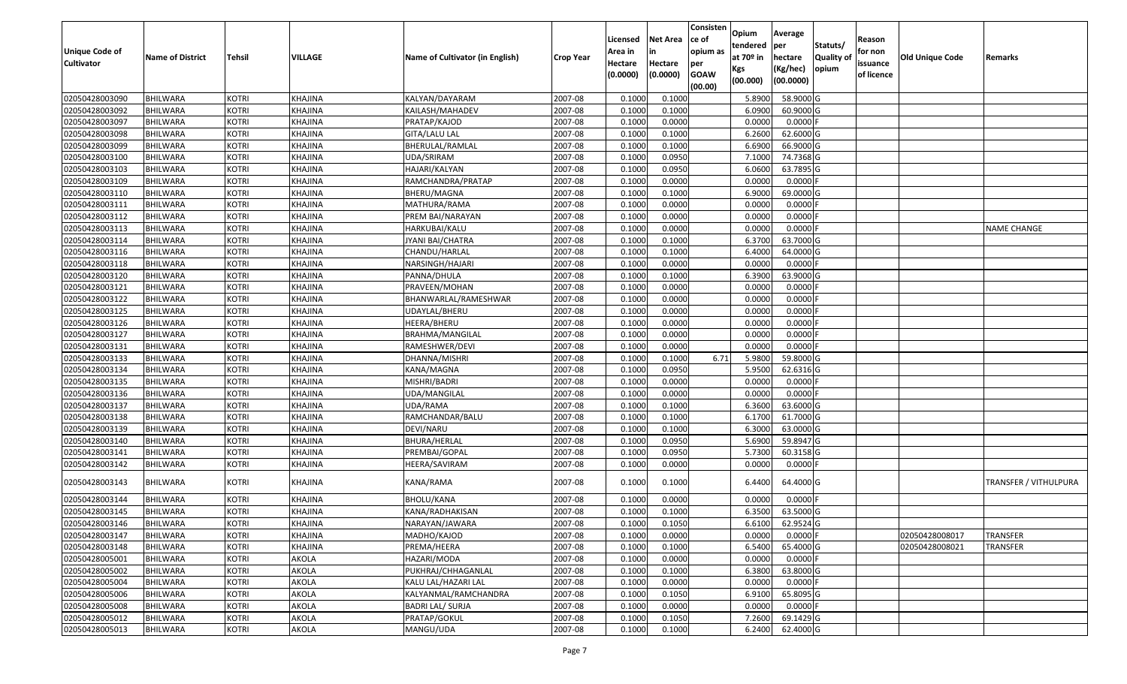| <b>Unique Code of</b><br><b>Cultivator</b> | <b>Name of District</b> | <b>Tehsil</b> | <b>VILLAGE</b> | Name of Cultivator (in English) | <b>Crop Year</b> | Licensed<br>Area in<br>Hectare<br>(0.0000) | <b>Net Area</b><br>in<br>Hectare<br>(0.0000) | Consisten<br>ce of<br>opium as<br>per<br><b>GOAW</b> | Opium<br>tendered<br>at $70°$ in<br>Kgs | Average<br>per<br>hectare<br>(Kg/hec) | Statuts/<br><b>Quality o</b><br>opium | Reason<br>for non<br>issuance<br>of licence | <b>Old Unique Code</b> | Remarks                      |
|--------------------------------------------|-------------------------|---------------|----------------|---------------------------------|------------------|--------------------------------------------|----------------------------------------------|------------------------------------------------------|-----------------------------------------|---------------------------------------|---------------------------------------|---------------------------------------------|------------------------|------------------------------|
|                                            |                         |               |                |                                 |                  |                                            |                                              | (00.00)                                              | (00.000)                                | (00.0000)                             |                                       |                                             |                        |                              |
| 02050428003090                             | <b>BHILWARA</b>         | <b>KOTRI</b>  | KHAJINA        | KALYAN/DAYARAM                  | 2007-08          | 0.1000                                     | 0.1000                                       |                                                      | 5.8900                                  | 58.9000 G                             |                                       |                                             |                        |                              |
| 02050428003092                             | <b>BHILWARA</b>         | <b>KOTRI</b>  | KHAJINA        | KAILASH/MAHADEV                 | 2007-08          | 0.1000                                     | 0.1000                                       |                                                      | 6.0900                                  | 60.9000 G                             |                                       |                                             |                        |                              |
| 02050428003097                             | BHILWARA                | <b>KOTRI</b>  | KHAJINA        | PRATAP/KAJOD                    | 2007-08          | 0.1000                                     | 0.0000                                       |                                                      | 0.0000                                  | 0.0000                                |                                       |                                             |                        |                              |
| 02050428003098                             | <b>BHILWARA</b>         | <b>KOTRI</b>  | KHAJINA        | <b>GITA/LALU LAL</b>            | 2007-08          | 0.1000                                     | 0.1000                                       |                                                      | 6.2600                                  | 62.6000G                              |                                       |                                             |                        |                              |
| 02050428003099                             | BHILWARA                | <b>KOTRI</b>  | KHAJINA        | BHERULAL/RAMLAL                 | 2007-08          | 0.1000                                     | 0.1000                                       |                                                      | 6.6900                                  | 66.9000 G                             |                                       |                                             |                        |                              |
| 02050428003100                             | <b>BHILWARA</b>         | <b>KOTRI</b>  | KHAJINA        | UDA/SRIRAM                      | 2007-08          | 0.1000                                     | 0.0950                                       |                                                      | 7.1000                                  | $\overline{74.7368}$ G                |                                       |                                             |                        |                              |
| 02050428003103                             | BHILWARA                | <b>KOTRI</b>  | KHAJINA        | HAJARI/KALYAN                   | 2007-08          | 0.1000                                     | 0.0950                                       |                                                      | 6.0600                                  | 63.7895 G                             |                                       |                                             |                        |                              |
| 02050428003109                             | <b>BHILWARA</b>         | <b>KOTRI</b>  | <b>KHAJINA</b> | RAMCHANDRA/PRATAP               | 2007-08          | 0.1000                                     | 0.0000                                       |                                                      | 0.0000                                  | 0.0000                                |                                       |                                             |                        |                              |
| 02050428003110                             | <b>BHILWARA</b>         | <b>KOTRI</b>  | KHAJINA        | BHERU/MAGNA                     | 2007-08          | 0.1000                                     | 0.1000                                       |                                                      | 6.9000                                  | 69.0000 G                             |                                       |                                             |                        |                              |
| 02050428003111                             | <b>BHILWARA</b>         | <b>KOTRI</b>  | KHAJINA        | MATHURA/RAMA                    | 2007-08          | 0.1000                                     | 0.0000                                       |                                                      | 0.0000                                  | 0.0000F                               |                                       |                                             |                        |                              |
| 02050428003112                             | BHILWARA                | <b>KOTRI</b>  | KHAJINA        | PREM BAI/NARAYAN                | 2007-08          | 0.1000                                     | 0.0000                                       |                                                      | 0.0000                                  | 0.0000F                               |                                       |                                             |                        |                              |
| 02050428003113                             | <b>BHILWARA</b>         | <b>KOTRI</b>  | KHAJINA        | HARKUBAI/KALU                   | 2007-08          | 0.1000                                     | 0.0000                                       |                                                      | 0.0000                                  | 0.0000F                               |                                       |                                             |                        | <b>NAME CHANGE</b>           |
| 02050428003114                             | <b>BHILWARA</b>         | <b>KOTRI</b>  | KHAJINA        | JYANI BAI/CHATRA                | 2007-08          | 0.1000                                     | 0.1000                                       |                                                      | 6.3700                                  | 63.7000 G                             |                                       |                                             |                        |                              |
| 02050428003116                             | <b>BHILWARA</b>         | <b>KOTRI</b>  | KHAJINA        | CHANDU/HARLAL                   | 2007-08          | 0.1000                                     | 0.1000                                       |                                                      | 6.4000                                  | 64.0000G                              |                                       |                                             |                        |                              |
| 02050428003118                             | BHILWARA                | <b>KOTRI</b>  | KHAJINA        | NARSINGH/HAJARI                 | 2007-08          | 0.1000                                     | 0.0000                                       |                                                      | 0.0000                                  | $0.0000$ F                            |                                       |                                             |                        |                              |
| 02050428003120                             | <b>BHILWARA</b>         | <b>KOTRI</b>  | KHAJINA        | PANNA/DHULA                     | 2007-08          | 0.1000                                     | 0.1000                                       |                                                      | 6.3900                                  | 63.9000 G                             |                                       |                                             |                        |                              |
| 02050428003121                             | <b>BHILWARA</b>         | <b>KOTRI</b>  | KHAJINA        | PRAVEEN/MOHAN                   | 2007-08          | 0.1000                                     | 0.0000                                       |                                                      | 0.0000                                  | 0.0000F                               |                                       |                                             |                        |                              |
| 02050428003122                             | <b>BHILWARA</b>         | <b>KOTRI</b>  | KHAJINA        | BHANWARLAL/RAMESHWAR            | 2007-08          | 0.1000                                     | 0.0000                                       |                                                      | 0.0000                                  | 0.0000                                |                                       |                                             |                        |                              |
| 02050428003125                             | <b>BHILWARA</b>         | <b>KOTRI</b>  | KHAJINA        | UDAYLAL/BHERU                   | 2007-08          | 0.1000                                     | 0.0000                                       |                                                      | 0.0000                                  | 0.0000                                |                                       |                                             |                        |                              |
| 02050428003126                             | BHILWARA                | <b>KOTRI</b>  | KHAJINA        | HEERA/BHERU                     | 2007-08          | 0.1000                                     | 0.0000                                       |                                                      | 0.0000                                  | 0.0000                                |                                       |                                             |                        |                              |
| 02050428003127                             | <b>BHILWARA</b>         | <b>KOTRI</b>  | KHAJINA        | BRAHMA/MANGILAL                 | 2007-08          | 0.1000                                     | 0.0000                                       |                                                      | 0.0000                                  | 0.0000                                |                                       |                                             |                        |                              |
| 02050428003131                             | BHILWARA                | <b>KOTRI</b>  | KHAJINA        | RAMESHWER/DEVI                  | 2007-08          | 0.1000                                     | 0.0000                                       |                                                      | 0.0000                                  | 0.0000                                |                                       |                                             |                        |                              |
| 02050428003133                             | <b>BHILWARA</b>         | <b>KOTRI</b>  | KHAJINA        | DHANNA/MISHRI                   | 2007-08          | 0.1000                                     | 0.1000                                       | 6.71                                                 | 5.9800                                  | 59.8000 G                             |                                       |                                             |                        |                              |
| 02050428003134                             | BHILWARA                | <b>KOTRI</b>  | KHAJINA        | KANA/MAGNA                      | 2007-08          | 0.1000                                     | 0.0950                                       |                                                      | 5.9500                                  | 62.6316 G                             |                                       |                                             |                        |                              |
| 02050428003135                             | <b>BHILWARA</b>         | <b>KOTRI</b>  | <b>KHAJINA</b> | MISHRI/BADRI                    | 2007-08          | 0.1000                                     | 0.0000                                       |                                                      | 0.0000                                  | $0.0000$ F                            |                                       |                                             |                        |                              |
| 02050428003136                             | BHILWARA                | <b>KOTRI</b>  | KHAJINA        | UDA/MANGILAL                    | 2007-08          | 0.1000                                     | 0.0000                                       |                                                      | 0.0000                                  | 0.0000F                               |                                       |                                             |                        |                              |
| 02050428003137                             | <b>BHILWARA</b>         | <b>KOTRI</b>  | KHAJINA        | JDA/RAMA                        | 2007-08          | 0.1000                                     | 0.1000                                       |                                                      | 6.3600                                  | 63.6000 G                             |                                       |                                             |                        |                              |
| 02050428003138                             | BHILWARA                | <b>KOTRI</b>  | KHAJINA        | RAMCHANDAR/BALU                 | 2007-08          | 0.1000                                     | 0.1000                                       |                                                      | 6.1700                                  | 61.7000 G                             |                                       |                                             |                        |                              |
| 02050428003139                             | <b>BHILWARA</b>         | <b>KOTRI</b>  | KHAJINA        | DEVI/NARU                       | 2007-08          | 0.1000                                     | 0.1000                                       |                                                      | 6.3000                                  | 63.0000G                              |                                       |                                             |                        |                              |
| 02050428003140                             | BHILWARA                | <b>KOTRI</b>  | KHAJINA        | BHURA/HERLAL                    | 2007-08          | 0.1000                                     | 0.0950                                       |                                                      | 5.6900                                  | 59.8947 G                             |                                       |                                             |                        |                              |
| 02050428003141                             | <b>BHILWARA</b>         | <b>KOTRI</b>  | KHAJINA        | PREMBAI/GOPAL                   | 2007-08          | 0.1000                                     | 0.0950                                       |                                                      | 5.7300                                  | 60.3158 G                             |                                       |                                             |                        |                              |
| 02050428003142                             | BHILWARA                | <b>KOTRI</b>  | KHAJINA        | <b>HEERA/SAVIRAM</b>            | 2007-08          | 0.1000                                     | 0.0000                                       |                                                      | 0.0000                                  | 0.0000                                |                                       |                                             |                        |                              |
| 02050428003143                             | BHILWARA                | <b>KOTRI</b>  | KHAJINA        | KANA/RAMA                       | 2007-08          | 0.1000                                     | 0.1000                                       |                                                      | 6.4400                                  | 64.4000 G                             |                                       |                                             |                        | <b>TRANSFER / VITHULPURA</b> |
| 02050428003144                             | BHILWARA                | <b>KOTRI</b>  | KHAJINA        | BHOLU/KANA                      | 2007-08          | 0.1000                                     | 0.0000                                       |                                                      | 0.0000                                  | $0.0000$ F                            |                                       |                                             |                        |                              |
| 02050428003145                             | BHILWARA                | <b>KOTRI</b>  | KHAJINA        | KANA/RADHAKISAN                 | 2007-08          | 0.1000                                     | 0.1000                                       |                                                      | 6.3500                                  | 63.5000G                              |                                       |                                             |                        |                              |
| 02050428003146                             | <b>BHILWARA</b>         | <b>KOTRI</b>  | <b>KHAJINA</b> | NARAYAN/JAWARA                  | 2007-08          | 0.1000                                     | 0.1050                                       |                                                      | 6.6100                                  | 62.9524 G                             |                                       |                                             |                        |                              |
| 02050428003147                             | <b>BHILWARA</b>         | <b>KOTRI</b>  | <b>KHAJINA</b> | MADHO/KAJOD                     | 2007-08          | 0.1000                                     | 0.0000                                       |                                                      | 0.0000                                  | $0.0000$ F                            |                                       |                                             | 02050428008017         | <b>TRANSFER</b>              |
| 02050428003148                             | <b>BHILWARA</b>         | <b>KOTRI</b>  | KHAJINA        | PREMA/HEERA                     | 2007-08          | 0.1000                                     | 0.1000                                       |                                                      | 6.5400                                  | 65.4000 G                             |                                       |                                             | 02050428008021         | <b>TRANSFER</b>              |
| 02050428005001                             | <b>BHILWARA</b>         | <b>KOTRI</b>  | AKOLA          | HAZARI/MODA                     | 2007-08          | 0.1000                                     | 0.0000                                       |                                                      | 0.0000                                  | $0.0000$ F                            |                                       |                                             |                        |                              |
| 02050428005002                             | <b>BHILWARA</b>         | <b>KOTRI</b>  | AKOLA          | PUKHRAJ/CHHAGANLAL              | 2007-08          | 0.1000                                     | 0.1000                                       |                                                      | 6.3800                                  | 63.8000G                              |                                       |                                             |                        |                              |
| 02050428005004                             | <b>BHILWARA</b>         | <b>KOTRI</b>  | AKOLA          | KALU LAL/HAZARI LAL             | 2007-08          | 0.1000                                     | 0.0000                                       |                                                      | 0.0000                                  | $0.0000$ F                            |                                       |                                             |                        |                              |
| 02050428005006                             | <b>BHILWARA</b>         | <b>KOTRI</b>  | AKOLA          | KALYANMAL/RAMCHANDRA            | 2007-08          | 0.1000                                     | 0.1050                                       |                                                      | 6.9100                                  | 65.8095 G                             |                                       |                                             |                        |                              |
| 02050428005008                             | <b>BHILWARA</b>         | <b>KOTRI</b>  | AKOLA          | <b>BADRI LAL/ SURJA</b>         | 2007-08          | 0.1000                                     | 0.0000                                       |                                                      | 0.0000                                  | $0.0000$ F                            |                                       |                                             |                        |                              |
| 02050428005012                             | <b>BHILWARA</b>         | <b>KOTRI</b>  | AKOLA          | PRATAP/GOKUL                    | 2007-08          | 0.1000                                     | 0.1050                                       |                                                      | 7.2600                                  | 69.1429 G                             |                                       |                                             |                        |                              |
| 02050428005013                             | <b>BHILWARA</b>         | <b>KOTRI</b>  | AKOLA          | MANGU/UDA                       | 2007-08          | 0.1000                                     | 0.1000                                       |                                                      | 6.2400                                  | 62.4000 G                             |                                       |                                             |                        |                              |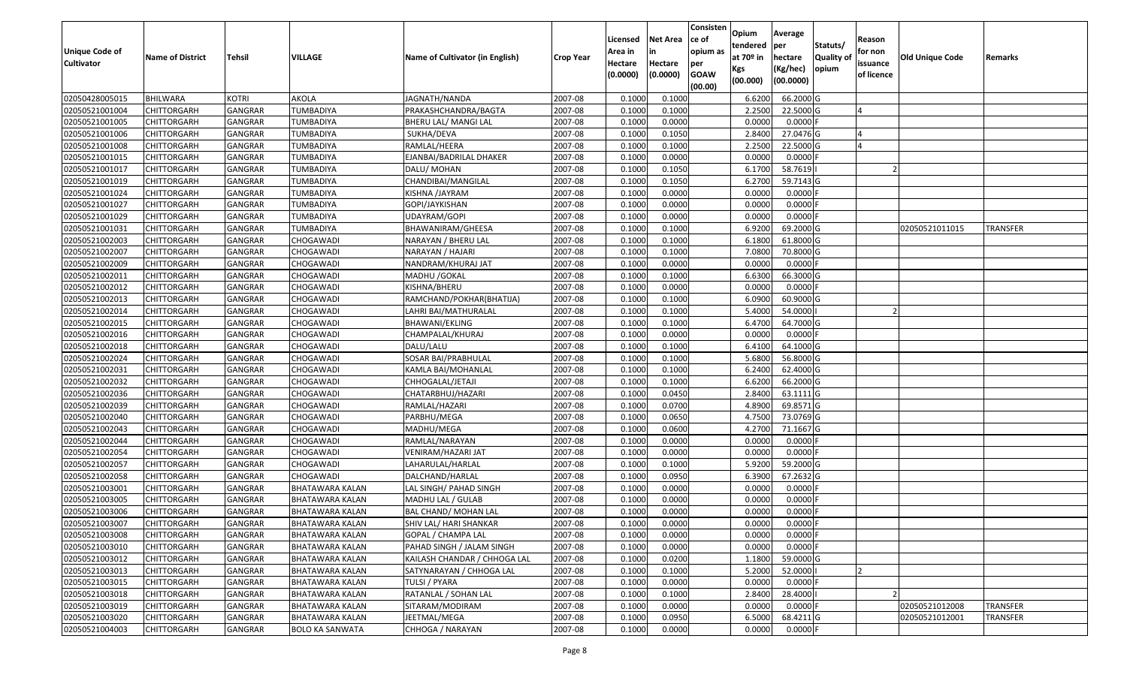| <b>Unique Code of</b><br><b>Cultivator</b> | <b>Name of District</b> | <b>Tehsil</b>  | <b>VILLAGE</b>         | <b>Name of Cultivator (in English)</b> | <b>Crop Year</b> | Licensed<br>Area in<br>Hectare<br>(0.0000) | <b>Net Area</b><br>in<br>Hectare<br>(0.0000) | Consisten<br>ce of<br>opium as<br>per<br><b>GOAW</b><br>(00.00) | Opium<br>tendered<br>at $70°$ in<br>Kgs<br>(00.000) | Average<br>per<br>hectare<br>(Kg/hec)<br>(00.0000) | Statuts/<br>Quality of<br>opium | Reason<br>for non<br>issuance<br>of licence | Old Unique Code | Remarks  |
|--------------------------------------------|-------------------------|----------------|------------------------|----------------------------------------|------------------|--------------------------------------------|----------------------------------------------|-----------------------------------------------------------------|-----------------------------------------------------|----------------------------------------------------|---------------------------------|---------------------------------------------|-----------------|----------|
| 02050428005015                             | <b>BHILWARA</b>         | KOTRI          | AKOLA                  | JAGNATH/NANDA                          | 2007-08          | 0.1000                                     | 0.1000                                       |                                                                 | 6.6200                                              | 66.2000 G                                          |                                 |                                             |                 |          |
| 02050521001004                             | CHITTORGARH             | GANGRAR        | <b>TUMBADIYA</b>       | PRAKASHCHANDRA/BAGTA                   | 2007-08          | 0.1000                                     | 0.1000                                       |                                                                 | 2.2500                                              | 22.5000 G                                          |                                 |                                             |                 |          |
| 02050521001005                             | <b>CHITTORGARH</b>      | GANGRAR        | TUMBADIYA              | BHERU LAL/ MANGI LAL                   | 2007-08          | 0.1000                                     | 0.0000                                       |                                                                 | 0.0000                                              | $0.0000$ F                                         |                                 |                                             |                 |          |
| 02050521001006                             | <b>CHITTORGARH</b>      | <b>GANGRAR</b> | <b>TUMBADIYA</b>       | SUKHA/DEVA                             | 2007-08          | 0.1000                                     | 0.1050                                       |                                                                 | 2.8400                                              | 27.0476 G                                          |                                 |                                             |                 |          |
| 02050521001008                             | <b>CHITTORGARH</b>      | GANGRAR        | TUMBADIYA              | RAMLAL/HEERA                           | 2007-08          | 0.1000                                     | 0.1000                                       |                                                                 | 2.2500                                              | 22.5000 G                                          |                                 | $\overline{a}$                              |                 |          |
| 02050521001015                             | <b>CHITTORGARH</b>      | GANGRAR        | TUMBADIYA              | EJANBAI/BADRILAL DHAKER                | 2007-08          | 0.1000                                     | 0.0000                                       |                                                                 | 0.0000                                              | $0.0000$ F                                         |                                 |                                             |                 |          |
| 02050521001017                             | CHITTORGARH             | GANGRAR        | TUMBADIYA              | DALU/ MOHAN                            | 2007-08          | 0.1000                                     | 0.1050                                       |                                                                 | 6.1700                                              | 58.7619                                            |                                 |                                             |                 |          |
| 02050521001019                             | <b>CHITTORGARH</b>      | <b>GANGRAR</b> | <b>TUMBADIYA</b>       | CHANDIBAI/MANGILAL                     | 2007-08          | 0.1000                                     | 0.1050                                       |                                                                 | 6.2700                                              | 59.7143 G                                          |                                 |                                             |                 |          |
| 02050521001024                             | <b>CHITTORGARH</b>      | GANGRAR        | TUMBADIYA              | KISHNA /JAYRAM                         | 2007-08          | 0.1000                                     | 0.0000                                       |                                                                 | 0.0000                                              | $0.0000$ F                                         |                                 |                                             |                 |          |
| 02050521001027                             | CHITTORGARH             | GANGRAR        | TUMBADIYA              | GOPI/JAYKISHAN                         | 2007-08          | 0.1000                                     | 0.0000                                       |                                                                 | 0.0000                                              | 0.0000                                             |                                 |                                             |                 |          |
| 02050521001029                             | <b>CHITTORGARH</b>      | GANGRAR        | TUMBADIYA              | UDAYRAM/GOPI                           | 2007-08          | 0.1000                                     | 0.0000                                       |                                                                 | 0.0000                                              | $0.0000$ F                                         |                                 |                                             |                 |          |
| 02050521001031                             | <b>CHITTORGARH</b>      | GANGRAR        | <b>TUMBADIYA</b>       | BHAWANIRAM/GHEESA                      | 2007-08          | 0.1000                                     | 0.1000                                       |                                                                 | 6.9200                                              | 69.2000 G                                          |                                 |                                             | 02050521011015  | TRANSFER |
| 02050521002003                             | <b>CHITTORGARH</b>      | <b>GANGRAR</b> | CHOGAWADI              | NARAYAN / BHERU LAL                    | 2007-08          | 0.1000                                     | 0.1000                                       |                                                                 | 6.1800                                              | 61.8000 G                                          |                                 |                                             |                 |          |
| 02050521002007                             | <b>CHITTORGARH</b>      | GANGRAR        | CHOGAWADI              | NARAYAN / HAJARI                       | 2007-08          | 0.1000                                     | 0.1000                                       |                                                                 | 7.0800                                              | 70.8000 G                                          |                                 |                                             |                 |          |
| 02050521002009                             | <b>CHITTORGARH</b>      | GANGRAR        | CHOGAWADI              | NANDRAM/KHURAJ JAT                     | 2007-08          | 0.1000                                     | 0.0000                                       |                                                                 | 0.0000                                              | $0.0000$ F                                         |                                 |                                             |                 |          |
| 02050521002011                             | <b>CHITTORGARH</b>      | GANGRAR        | CHOGAWADI              | MADHU / GOKAL                          | 2007-08          | 0.1000                                     | 0.1000                                       |                                                                 | 6.6300                                              | 66.3000 G                                          |                                 |                                             |                 |          |
| 02050521002012                             | <b>CHITTORGARH</b>      | GANGRAR        | <b>CHOGAWADI</b>       | KISHNA/BHERU                           | 2007-08          | 0.1000                                     | 0.0000                                       |                                                                 | 0.0000                                              | $0.0000$ F                                         |                                 |                                             |                 |          |
| 02050521002013                             | <b>CHITTORGARH</b>      | GANGRAR        | CHOGAWADI              | RAMCHAND/POKHAR(BHATIJA)               | 2007-08          | 0.1000                                     | 0.1000                                       |                                                                 | 6.0900                                              | 60.9000 G                                          |                                 |                                             |                 |          |
| 02050521002014                             | CHITTORGARH             | GANGRAR        | CHOGAWADI              | LAHRI BAI/MATHURALAL                   | 2007-08          | 0.1000                                     | 0.1000                                       |                                                                 | 5.4000                                              | 54.0000                                            |                                 |                                             |                 |          |
| 02050521002015                             | <b>CHITTORGARH</b>      | GANGRAR        | CHOGAWADI              | BHAWANI/EKLING                         | 2007-08          | 0.1000                                     | 0.1000                                       |                                                                 | 6.4700                                              | 64.7000 G                                          |                                 |                                             |                 |          |
| 02050521002016                             | <b>CHITTORGARH</b>      | GANGRAR        | CHOGAWADI              | CHAMPALAL/KHURAJ                       | 2007-08          | 0.1000                                     | 0.0000                                       |                                                                 | 0.0000                                              | $0.0000$ F                                         |                                 |                                             |                 |          |
| 02050521002018                             | CHITTORGARH             | GANGRAR        | CHOGAWADI              | DALU/LALU                              | 2007-08          | 0.1000                                     | 0.1000                                       |                                                                 | 6.4100                                              | 64.1000 G                                          |                                 |                                             |                 |          |
| 02050521002024                             | CHITTORGARH             | GANGRAR        | CHOGAWADI              | SOSAR BAI/PRABHULAL                    | 2007-08          | 0.1000                                     | 0.1000                                       |                                                                 | 5.6800                                              | 56.8000 G                                          |                                 |                                             |                 |          |
| 02050521002031                             | <b>CHITTORGARH</b>      | GANGRAR        | CHOGAWADI              | KAMLA BAI/MOHANLAL                     | 2007-08          | 0.1000                                     | 0.1000                                       |                                                                 | 6.2400                                              | 62.4000 G                                          |                                 |                                             |                 |          |
| 02050521002032                             | <b>CHITTORGARH</b>      | GANGRAR        | CHOGAWADI              | CHHOGALAL/JETAJI                       | 2007-08          | 0.1000                                     | 0.1000                                       |                                                                 | 6.6200                                              | 66.2000 G                                          |                                 |                                             |                 |          |
| 02050521002036                             | <b>CHITTORGARH</b>      | GANGRAR        | CHOGAWADI              | CHATARBHUJ/HAZARI                      | 2007-08          | 0.1000                                     | 0.0450                                       |                                                                 | 2.8400                                              | 63.1111G                                           |                                 |                                             |                 |          |
| 02050521002039                             | <b>CHITTORGARH</b>      | GANGRAR        | CHOGAWADI              | RAMLAL/HAZARI                          | 2007-08          | 0.1000                                     | 0.0700                                       |                                                                 | 4.8900                                              | 69.8571 G                                          |                                 |                                             |                 |          |
| 02050521002040                             | <b>CHITTORGARH</b>      | GANGRAR        | CHOGAWADI              | PARBHU/MEGA                            | 2007-08          | 0.1000                                     | 0.0650                                       |                                                                 | 4.7500                                              | 73.0769 G                                          |                                 |                                             |                 |          |
| 02050521002043                             | <b>CHITTORGARH</b>      | <b>GANGRAR</b> | CHOGAWADI              | MADHU/MEGA                             | 2007-08          | 0.1000                                     | 0.0600                                       |                                                                 | 4.2700                                              | 71.1667 G                                          |                                 |                                             |                 |          |
| 02050521002044                             | <b>CHITTORGARH</b>      | GANGRAR        | CHOGAWADI              | RAMLAL/NARAYAN                         | 2007-08          | 0.1000                                     | 0.0000                                       |                                                                 | 0.0000                                              | $0.0000$ F                                         |                                 |                                             |                 |          |
| 02050521002054                             | <b>CHITTORGARH</b>      | GANGRAR        | CHOGAWADI              | VENIRAM/HAZARI JAT                     | 2007-08          | 0.1000                                     | 0.0000                                       |                                                                 | 0.0000                                              | 0.0000F                                            |                                 |                                             |                 |          |
| 02050521002057                             | CHITTORGARH             | GANGRAR        | CHOGAWADI              | LAHARULAL/HARLAL                       | 2007-08          | 0.1000                                     | 0.1000                                       |                                                                 | 5.9200                                              | 59.2000 G                                          |                                 |                                             |                 |          |
| 02050521002058                             | <b>CHITTORGARH</b>      | GANGRAR        | CHOGAWADI              | DALCHAND/HARLAL                        | 2007-08          | 0.1000                                     | 0.0950                                       |                                                                 | 6.3900                                              | 67.2632 G                                          |                                 |                                             |                 |          |
| 02050521003001                             | <b>CHITTORGARH</b>      | GANGRAR        | BHATAWARA KALAN        | LAL SINGH/ PAHAD SINGH                 | 2007-08          | 0.1000                                     | 0.0000                                       |                                                                 | 0.0000                                              | 0.0000F                                            |                                 |                                             |                 |          |
| 02050521003005                             | CHITTORGARH             | GANGRAR        | BHATAWARA KALAN        | MADHU LAL / GULAB                      | 2007-08          | 0.1000                                     | 0.0000                                       |                                                                 | 0.0000                                              | 0.0000                                             |                                 |                                             |                 |          |
| 02050521003006                             | <b>CHITTORGARH</b>      | GANGRAR        | <b>BHATAWARA KALAN</b> | BAL CHAND/ MOHAN LAL                   | 2007-08          | 0.1000                                     | 0.0000                                       |                                                                 | 0.0000                                              | 0.0000                                             |                                 |                                             |                 |          |
| 02050521003007                             | <b>CHITTORGARH</b>      | GANGRAR        | <b>BHATAWARA KALAN</b> | SHIV LAL/ HARI SHANKAR                 | 2007-08          | 0.1000                                     | 0.0000                                       |                                                                 | 0.0000                                              | $0.0000$ F                                         |                                 |                                             |                 |          |
| 02050521003008                             | <b>CHITTORGARH</b>      | <b>GANGRAR</b> | <b>BHATAWARA KALAN</b> | GOPAL / CHAMPA LAL                     | 2007-08          | 0.1000                                     | 0.0000                                       |                                                                 | 0.0000                                              | $0.0000$ F                                         |                                 |                                             |                 |          |
| 02050521003010                             | <b>CHITTORGARH</b>      | GANGRAR        | <b>BHATAWARA KALAN</b> | PAHAD SINGH / JALAM SINGH              | 2007-08          | 0.1000                                     | 0.0000                                       |                                                                 | 0.0000                                              | $0.0000$ F                                         |                                 |                                             |                 |          |
| 02050521003012                             | <b>CHITTORGARH</b>      | <b>GANGRAR</b> | <b>BHATAWARA KALAN</b> | KAILASH CHANDAR / CHHOGA LAL           | 2007-08          | 0.1000                                     | 0.0200                                       |                                                                 | 1.1800                                              | 59.0000 G                                          |                                 |                                             |                 |          |
| 02050521003013                             | CHITTORGARH             | <b>GANGRAR</b> | <b>BHATAWARA KALAN</b> | SATYNARAYAN / CHHOGA LAL               | 2007-08          | 0.1000                                     | 0.1000                                       |                                                                 | 5.2000                                              | 52.0000                                            |                                 |                                             |                 |          |
| 02050521003015                             | <b>CHITTORGARH</b>      | <b>GANGRAR</b> | <b>BHATAWARA KALAN</b> | TULSI / PYARA                          | 2007-08          | 0.1000                                     | 0.0000                                       |                                                                 | 0.0000                                              | $0.0000$ F                                         |                                 |                                             |                 |          |
| 02050521003018                             | <b>CHITTORGARH</b>      | GANGRAR        | <b>BHATAWARA KALAN</b> | RATANLAL / SOHAN LAL                   | 2007-08          | 0.1000                                     | 0.1000                                       |                                                                 | 2.8400                                              | 28.4000                                            |                                 |                                             |                 |          |
| 02050521003019                             | <b>CHITTORGARH</b>      | GANGRAR        | <b>BHATAWARA KALAN</b> | SITARAM/MODIRAM                        | 2007-08          | 0.1000                                     | 0.0000                                       |                                                                 | 0.0000                                              | $0.0000$ F                                         |                                 |                                             | 02050521012008  | TRANSFER |
| 02050521003020                             | CHITTORGARH             | GANGRAR        | <b>BHATAWARA KALAN</b> | JEETMAL/MEGA                           | 2007-08          | 0.1000                                     | 0.0950                                       |                                                                 | 6.5000                                              | 68.4211 G                                          |                                 |                                             | 02050521012001  | TRANSFER |
| 02050521004003                             | <b>CHITTORGARH</b>      | GANGRAR        | <b>BOLO KA SANWATA</b> | CHHOGA / NARAYAN                       | 2007-08          | 0.1000                                     | 0.0000                                       |                                                                 | 0.0000                                              | $0.0000$ F                                         |                                 |                                             |                 |          |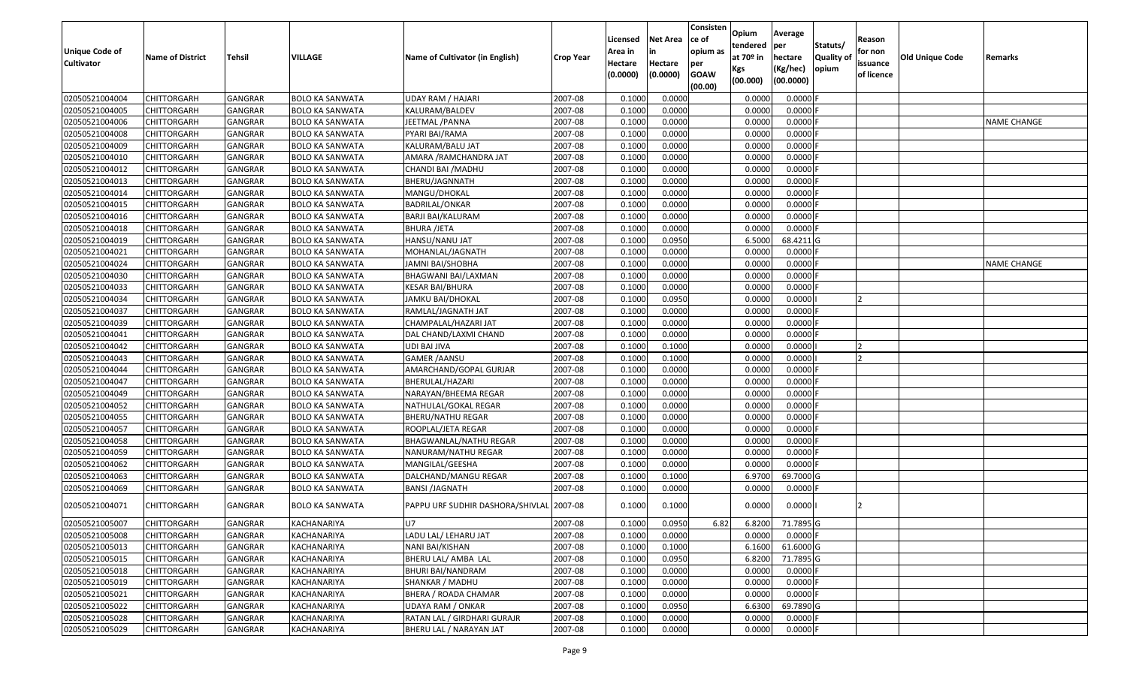| <b>Unique Code of</b><br><b>Cultivator</b> | <b>Name of District</b> | <b>Tehsil</b>  | VILLAGE                | Name of Cultivator (in English)          | <b>Crop Year</b> | Licensed<br>Area in<br>Hectare<br>(0.0000) | <b>Net Area</b><br>in<br>Hectare<br>(0.0000) | Consisten<br>ce of<br>opium as<br>per<br><b>GOAW</b><br>(00.00) | Opium<br>tendered<br>at $70°$ in<br>Kgs<br>(00.000) | Average<br>per<br>hectare<br>(Kg/hec)<br>(00.0000) | Statuts/<br>Quality of<br>opium | Reason<br>for non<br>issuance<br>of licence | <b>Old Unique Code</b> | Remarks            |
|--------------------------------------------|-------------------------|----------------|------------------------|------------------------------------------|------------------|--------------------------------------------|----------------------------------------------|-----------------------------------------------------------------|-----------------------------------------------------|----------------------------------------------------|---------------------------------|---------------------------------------------|------------------------|--------------------|
| 02050521004004                             | <b>CHITTORGARH</b>      | <b>GANGRAR</b> | <b>BOLO KA SANWATA</b> | <b>UDAY RAM / HAJARI</b>                 | 2007-08          | 0.1000                                     | 0.0000                                       |                                                                 | 0.0000                                              | 0.0000                                             |                                 |                                             |                        |                    |
| 02050521004005                             | CHITTORGARH             | <b>GANGRAR</b> | <b>BOLO KA SANWATA</b> | KALURAM/BALDEV                           | 2007-08          | 0.1000                                     | 0.0000                                       |                                                                 | 0.0000                                              | 0.0000F                                            |                                 |                                             |                        |                    |
| 02050521004006                             | CHITTORGARH             | GANGRAR        | BOLO KA SANWATA        | JEETMAL /PANNA                           | 2007-08          | 0.1000                                     | 0.0000                                       |                                                                 | 0.0000                                              | 0.0000                                             |                                 |                                             |                        | <b>NAME CHANGE</b> |
| 02050521004008                             | <b>CHITTORGARH</b>      | <b>GANGRAR</b> | <b>BOLO KA SANWATA</b> | PYARI BAI/RAMA                           | 2007-08          | 0.1000                                     | 0.0000                                       |                                                                 | 0.0000                                              | 0.0000                                             |                                 |                                             |                        |                    |
| 02050521004009                             | <b>CHITTORGARH</b>      | <b>GANGRAR</b> | <b>BOLO KA SANWATA</b> | KALURAM/BALU JAT                         | 2007-08          | 0.1000                                     | 0.0000                                       |                                                                 | 0.0000                                              | 0.0000F                                            |                                 |                                             |                        |                    |
| 02050521004010                             | <b>CHITTORGARH</b>      | GANGRAR        | <b>BOLO KA SANWATA</b> | AMARA /RAMCHANDRA JAT                    | 2007-08          | 0.1000                                     | 0.0000                                       |                                                                 | 0.0000                                              | 0.0000                                             |                                 |                                             |                        |                    |
| 02050521004012                             | <b>CHITTORGARH</b>      | <b>GANGRAR</b> | <b>BOLO KA SANWATA</b> | CHANDI BAI / MADHU                       | 2007-08          | 0.1000                                     | 0.0000                                       |                                                                 | 0.0000                                              | $0.0000$ F                                         |                                 |                                             |                        |                    |
| 02050521004013                             | <b>CHITTORGARH</b>      | <b>GANGRAR</b> | <b>BOLO KA SANWATA</b> | BHERU/JAGNNATH                           | 2007-08          | 0.1000                                     | 0.0000                                       |                                                                 | 0.0000                                              | 0.0000                                             |                                 |                                             |                        |                    |
| 02050521004014                             | <b>CHITTORGARH</b>      | <b>GANGRAR</b> | <b>BOLO KA SANWATA</b> | MANGU/DHOKAL                             | 2007-08          | 0.1000                                     | 0.0000                                       |                                                                 | 0.0000                                              | 0.0000                                             |                                 |                                             |                        |                    |
| 02050521004015                             | CHITTORGARH             | <b>GANGRAR</b> | <b>BOLO KA SANWATA</b> | BADRILAL/ONKAR                           | 2007-08          | 0.100                                      | 0.0000                                       |                                                                 | 0.0000                                              | 0.0000                                             |                                 |                                             |                        |                    |
| 02050521004016                             | <b>CHITTORGARH</b>      | <b>GANGRAR</b> | <b>BOLO KA SANWATA</b> | BARJI BAI/KALURAM                        | 2007-08          | 0.1000                                     | 0.0000                                       |                                                                 | 0.0000                                              | 0.0000                                             |                                 |                                             |                        |                    |
| 02050521004018                             | CHITTORGARH             | <b>GANGRAR</b> | <b>BOLO KA SANWATA</b> | <b>BHURA /JETA</b>                       | 2007-08          | 0.1000                                     | 0.0000                                       |                                                                 | 0.0000                                              | 0.0000                                             |                                 |                                             |                        |                    |
| 02050521004019                             | CHITTORGARH             | <b>GANGRAR</b> | <b>BOLO KA SANWATA</b> | HANSU/NANU JAT                           | 2007-08          | 0.1000                                     | 0.0950                                       |                                                                 | 6.5000                                              | 68.4211 G                                          |                                 |                                             |                        |                    |
| 02050521004021                             | CHITTORGARH             | <b>GANGRAR</b> | <b>BOLO KA SANWATA</b> | MOHANLAL/JAGNATH                         | 2007-08          | 0.1000                                     | 0.0000                                       |                                                                 | 0.0000                                              | 0.0000                                             |                                 |                                             |                        |                    |
| 02050521004024                             | CHITTORGARH             | <b>GANGRAR</b> | <b>BOLO KA SANWATA</b> | JAMNI BAI/SHOBHA                         | 2007-08          | 0.100                                      | 0.0000                                       |                                                                 | 0.0000                                              | 0.0000                                             |                                 |                                             |                        | <b>NAME CHANGE</b> |
| 02050521004030                             | CHITTORGARH             | GANGRAR        | <b>BOLO KA SANWATA</b> | BHAGWANI BAI/LAXMAN                      | 2007-08          | 0.1000                                     | 0.0000                                       |                                                                 | 0.0000                                              | 0.0000                                             |                                 |                                             |                        |                    |
| 02050521004033                             | CHITTORGARH             | <b>GANGRAR</b> | <b>BOLO KA SANWATA</b> | KESAR BAI/BHURA                          | 2007-08          | 0.1000                                     | 0.0000                                       |                                                                 | 0.0000                                              | 0.0000                                             |                                 |                                             |                        |                    |
| 02050521004034                             | <b>CHITTORGARH</b>      | <b>GANGRAR</b> | <b>BOLO KA SANWATA</b> | JAMKU BAI/DHOKAL                         | 2007-08          | 0.100                                      | 0.0950                                       |                                                                 | 0.0000                                              | 0.0000                                             |                                 |                                             |                        |                    |
| 02050521004037                             | CHITTORGARH             | <b>GANGRAR</b> | <b>BOLO KA SANWATA</b> | RAMLAL/JAGNATH JAT                       | 2007-08          | 0.1000                                     | 0.0000                                       |                                                                 | 0.0000                                              | 0.0000F                                            |                                 |                                             |                        |                    |
| 02050521004039                             | CHITTORGARH             | GANGRAR        | <b>BOLO KA SANWATA</b> | CHAMPALAL/HAZARI JAT                     | 2007-08          | 0.1000                                     | 0.0000                                       |                                                                 | 0.0000                                              | 0.0000                                             |                                 |                                             |                        |                    |
| 02050521004041                             | <b>CHITTORGARH</b>      | <b>GANGRAR</b> | <b>BOLO KA SANWATA</b> | DAL CHAND/LAXMI CHAND                    | 2007-08          | 0.1000                                     | 0.0000                                       |                                                                 | 0.0000                                              | 0.0000                                             |                                 |                                             |                        |                    |
| 02050521004042                             | CHITTORGARH             | <b>GANGRAR</b> | <b>BOLO KA SANWATA</b> | UDI BAI JIVA                             | 2007-08          | 0.1000                                     | 0.1000                                       |                                                                 | 0.0000                                              | 0.0000                                             |                                 |                                             |                        |                    |
| 02050521004043                             | CHITTORGARH             | GANGRAR        | <b>BOLO KA SANWATA</b> | <b>GAMER / AANSU</b>                     | 2007-08          | 0.1000                                     | 0.1000                                       |                                                                 | 0.0000                                              | 0.0000                                             |                                 |                                             |                        |                    |
| 02050521004044                             | CHITTORGARH             | GANGRAR        | <b>BOLO KA SANWATA</b> | AMARCHAND/GOPAL GURJAR                   | 2007-08          | 0.1000                                     | 0.0000                                       |                                                                 | 0.0000                                              | 0.0000                                             |                                 |                                             |                        |                    |
| 02050521004047                             | CHITTORGARH             | <b>GANGRAR</b> | <b>BOLO KA SANWATA</b> | BHERULAL/HAZARI                          | 2007-08          | 0.1000                                     | 0.0000                                       |                                                                 | 0.0000                                              | 0.0000                                             |                                 |                                             |                        |                    |
| 02050521004049                             | CHITTORGARH             | <b>GANGRAR</b> | <b>BOLO KA SANWATA</b> | NARAYAN/BHEEMA REGAR                     | 2007-08          | 0.1000                                     | 0.0000                                       |                                                                 | 0.0000                                              | 0.0000                                             |                                 |                                             |                        |                    |
| 02050521004052                             | CHITTORGARH             | <b>GANGRAR</b> | <b>BOLO KA SANWATA</b> | NATHULAL/GOKAL REGAR                     | 2007-08          | 0.1000                                     | 0.0000                                       |                                                                 | 0.0000                                              | 0.0000F                                            |                                 |                                             |                        |                    |
| 02050521004055                             | CHITTORGARH             | GANGRAR        | BOLO KA SANWATA        | <b>BHERU/NATHU REGAR</b>                 | 2007-08          | 0.1000                                     | 0.0000                                       |                                                                 | 0.0000                                              | 0.0000                                             |                                 |                                             |                        |                    |
| 02050521004057                             | <b>CHITTORGARH</b>      | <b>GANGRAR</b> | <b>BOLO KA SANWATA</b> | ROOPLAL/JETA REGAR                       | 2007-08          | 0.1000                                     | 0.0000                                       |                                                                 | 0.0000                                              | 0.0000F                                            |                                 |                                             |                        |                    |
| 02050521004058                             | CHITTORGARH             | <b>GANGRAR</b> | <b>BOLO KA SANWATA</b> | BHAGWANLAL/NATHU REGAR                   | 2007-08          | 0.1000                                     | 0.0000                                       |                                                                 | 0.0000                                              | 0.0000                                             |                                 |                                             |                        |                    |
| 02050521004059                             | <b>CHITTORGARH</b>      | <b>GANGRAR</b> | <b>BOLO KA SANWATA</b> | NANURAM/NATHU REGAR                      | 2007-08          | 0.1000                                     | 0.0000                                       |                                                                 | 0.0000                                              | 0.0000                                             |                                 |                                             |                        |                    |
| 02050521004062                             | <b>CHITTORGARH</b>      | <b>GANGRAR</b> | <b>BOLO KA SANWATA</b> | MANGILAL/GEESHA                          | 2007-08          | 0.1000                                     | 0.0000                                       |                                                                 | 0.0000                                              | $0.0000$ F                                         |                                 |                                             |                        |                    |
| 02050521004063                             | <b>CHITTORGARH</b>      | <b>GANGRAR</b> | <b>BOLO KA SANWATA</b> | DALCHAND/MANGU REGAR                     | 2007-08          | 0.1000                                     | 0.1000                                       |                                                                 | 6.9700                                              | 69.7000 G                                          |                                 |                                             |                        |                    |
| 02050521004069                             | CHITTORGARH             | <b>GANGRAR</b> | <b>BOLO KA SANWATA</b> | <b>BANSI /JAGNATH</b>                    | 2007-08          | 0.1000                                     | 0.0000                                       |                                                                 | 0.0000                                              | $0.0000$ F                                         |                                 |                                             |                        |                    |
| 02050521004071                             | CHITTORGARH             | GANGRAR        | <b>BOLO KA SANWATA</b> | PAPPU URF SUDHIR DASHORA/SHIVLAL 2007-08 |                  | 0.1000                                     | 0.1000                                       |                                                                 | 0.0000                                              | 0.0000                                             |                                 |                                             |                        |                    |
| 02050521005007                             | <b>CHITTORGARH</b>      | GANGRAR        | <b>KACHANARIYA</b>     | U7                                       | 2007-08          | 0.1000                                     | 0.0950                                       | 6.82                                                            | 6.8200                                              | 71.7895 G                                          |                                 |                                             |                        |                    |
| 02050521005008                             | <b>CHITTORGARH</b>      | <b>GANGRAR</b> | KACHANARIYA            | LADU LAL/ LEHARU JAT                     | 2007-08          | 0.1000                                     | 0.0000                                       |                                                                 | 0.0000                                              | $0.0000$ F                                         |                                 |                                             |                        |                    |
| 02050521005013                             | <b>CHITTORGARH</b>      | <b>GANGRAR</b> | KACHANARIYA            | NANI BAI/KISHAN                          | 2007-08          | 0.1000                                     | 0.1000                                       |                                                                 | 6.1600                                              | 61.6000 G                                          |                                 |                                             |                        |                    |
| 02050521005015                             | <b>CHITTORGARH</b>      | <b>GANGRAR</b> | KACHANARIYA            | BHERU LAL/ AMBA LAL                      | 2007-08          | 0.1000                                     | 0.0950                                       |                                                                 | 6.8200                                              | 71.7895 G                                          |                                 |                                             |                        |                    |
| 02050521005018                             | <b>CHITTORGARH</b>      | <b>GANGRAR</b> | KACHANARIYA            | BHURI BAI/NANDRAM                        | 2007-08          | 0.1000                                     | 0.0000                                       |                                                                 | 0.0000                                              | $0.0000$ F                                         |                                 |                                             |                        |                    |
| 02050521005019                             | <b>CHITTORGARH</b>      | <b>GANGRAR</b> | KACHANARIYA            | SHANKAR / MADHU                          | 2007-08          | 0.1000                                     | 0.0000                                       |                                                                 | 0.0000                                              | $0.0000$ F                                         |                                 |                                             |                        |                    |
| 02050521005021                             | <b>CHITTORGARH</b>      | <b>GANGRAR</b> | KACHANARIYA            | BHERA / ROADA CHAMAR                     | 2007-08          | 0.1000                                     | 0.0000                                       |                                                                 | 0.0000                                              | $0.0000$ F                                         |                                 |                                             |                        |                    |
| 02050521005022                             | <b>CHITTORGARH</b>      | <b>GANGRAR</b> | KACHANARIYA            | UDAYA RAM / ONKAR                        | 2007-08          | 0.1000                                     | 0.0950                                       |                                                                 | 6.6300                                              | 69.7890 G                                          |                                 |                                             |                        |                    |
| 02050521005028                             | CHITTORGARH             | <b>GANGRAR</b> | KACHANARIYA            | RATAN LAL / GIRDHARI GURAJR              | 2007-08          | 0.1000                                     | 0.0000                                       |                                                                 | 0.0000                                              | 0.0000F                                            |                                 |                                             |                        |                    |
| 02050521005029                             | <b>CHITTORGARH</b>      | <b>GANGRAR</b> | KACHANARIYA            | BHERU LAL / NARAYAN JAT                  | 2007-08          | 0.1000                                     | 0.0000                                       |                                                                 | 0.0000                                              | $0.0000$ F                                         |                                 |                                             |                        |                    |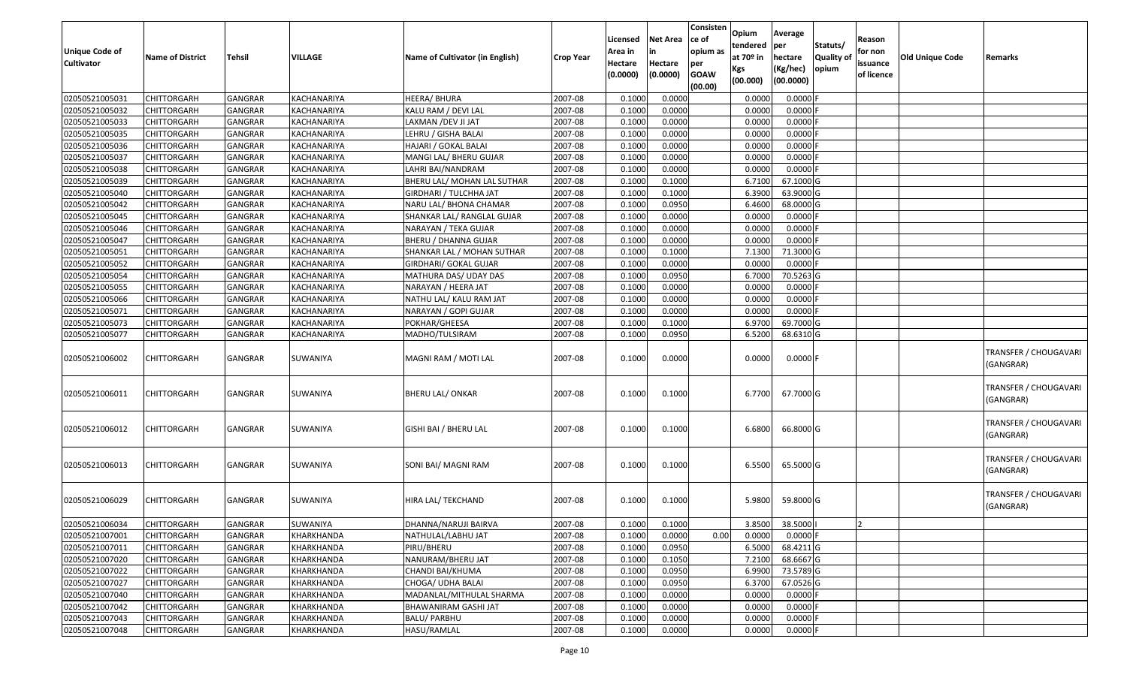| <b>Unique Code of</b><br><b>Cultivator</b> | <b>Name of District</b> | Tehsil         | VILLAGE     | Name of Cultivator (in English) | <b>Crop Year</b> | Licensed<br>Area in<br>Hectare<br>(0.0000) | <b>Net Area</b><br>in<br>Hectare<br>(0.0000) | Consisten<br>ce of<br>opium as<br>per<br><b>GOAW</b><br>(00.00) | Opium<br>tendered<br>at $70°$ in<br>Kgs<br>(00.000) | Average<br>per<br>hectare<br>(Kg/hec)<br>(00.0000) | Statuts/<br><b>Quality of</b><br>opium | Reason<br>for non<br>issuance<br>of licence | <b>Old Unique Code</b> | Remarks                            |
|--------------------------------------------|-------------------------|----------------|-------------|---------------------------------|------------------|--------------------------------------------|----------------------------------------------|-----------------------------------------------------------------|-----------------------------------------------------|----------------------------------------------------|----------------------------------------|---------------------------------------------|------------------------|------------------------------------|
| 02050521005031                             | <b>CHITTORGARH</b>      | <b>GANGRAR</b> | KACHANARIYA | <b>HEERA/ BHURA</b>             | 2007-08          | 0.1000                                     | 0.0000                                       |                                                                 | 0.0000                                              | $0.0000$ F                                         |                                        |                                             |                        |                                    |
| 02050521005032                             | <b>CHITTORGARH</b>      | <b>GANGRAR</b> | KACHANARIYA | KALU RAM / DEVI LAL             | 2007-08          | 0.1000                                     | 0.0000                                       |                                                                 | 0.0000                                              | 0.0000                                             |                                        |                                             |                        |                                    |
| 02050521005033                             | <b>CHITTORGARH</b>      | GANGRAR        | KACHANARIYA | LAXMAN /DEV JI JAT              | 2007-08          | 0.1000                                     | 0.0000                                       |                                                                 | 0.0000                                              | $0.0000$ F                                         |                                        |                                             |                        |                                    |
| 02050521005035                             | <b>CHITTORGARH</b>      | GANGRAR        | KACHANARIYA | LEHRU / GISHA BALAI             | 2007-08          | 0.1000                                     | 0.0000                                       |                                                                 | 0.0000                                              | 0.0000                                             |                                        |                                             |                        |                                    |
| 02050521005036                             | <b>CHITTORGARH</b>      | <b>GANGRAR</b> | KACHANARIYA | HAJARI / GOKAL BALAI            | 2007-08          | 0.1000                                     | 0.0000                                       |                                                                 | 0.0000                                              | 0.0000                                             |                                        |                                             |                        |                                    |
| 02050521005037                             | <b>CHITTORGARH</b>      | GANGRAR        | KACHANARIYA | MANGI LAL/ BHERU GUJAR          | 2007-08          | 0.1000                                     | 0.0000                                       |                                                                 | 0.0000                                              | 0.0000                                             |                                        |                                             |                        |                                    |
| 02050521005038                             | CHITTORGARH             | GANGRAR        | KACHANARIYA | LAHRI BAI/NANDRAM               | 2007-08          | 0.1000                                     | 0.0000                                       |                                                                 | 0.0000                                              | $0.0000$ F                                         |                                        |                                             |                        |                                    |
| 02050521005039                             | CHITTORGARH             | <b>GANGRAR</b> | KACHANARIYA | BHERU LAL/ MOHAN LAL SUTHAR     | 2007-08          | 0.1000                                     | 0.1000                                       |                                                                 | 6.7100                                              | 67.1000 G                                          |                                        |                                             |                        |                                    |
| 02050521005040                             | CHITTORGARH             | <b>GANGRAR</b> | KACHANARIYA | <b>GIRDHARI / TULCHHA JAT</b>   | 2007-08          | 0.1000                                     | 0.1000                                       |                                                                 | 6.3900                                              | 63.9000 G                                          |                                        |                                             |                        |                                    |
| 02050521005042                             | CHITTORGARH             | <b>GANGRAR</b> | KACHANARIYA | NARU LAL/ BHONA CHAMAR          | 2007-08          | 0.1000                                     | 0.0950                                       |                                                                 | 6.4600                                              | 68.0000 G                                          |                                        |                                             |                        |                                    |
| 02050521005045                             | CHITTORGARH             | GANGRAR        | KACHANARIYA | SHANKAR LAL/ RANGLAL GUJAR      | 2007-08          | 0.1000                                     | 0.0000                                       |                                                                 | 0.0000                                              | $0.0000$ F                                         |                                        |                                             |                        |                                    |
| 02050521005046                             | <b>CHITTORGARH</b>      | GANGRAR        | KACHANARIYA | NARAYAN / TEKA GUJAR            | 2007-08          | 0.1000                                     | 0.0000                                       |                                                                 | 0.0000                                              | 0.0000                                             |                                        |                                             |                        |                                    |
| 02050521005047                             | <b>CHITTORGARH</b>      | <b>GANGRAR</b> | KACHANARIYA | <b>BHERU / DHANNA GUJAR</b>     | 2007-08          | 0.1000                                     | 0.0000                                       |                                                                 | 0.0000                                              | $0.0000$ F                                         |                                        |                                             |                        |                                    |
| 02050521005051                             | <b>CHITTORGARH</b>      | GANGRAR        | KACHANARIYA | SHANKAR LAL / MOHAN SUTHAR      | 2007-08          | 0.1000                                     | 0.1000                                       |                                                                 | 7.1300                                              | 71.3000G                                           |                                        |                                             |                        |                                    |
| 02050521005052                             | <b>CHITTORGARH</b>      | <b>GANGRAR</b> | KACHANARIYA | <b>GIRDHARI/ GOKAL GUJAR</b>    | 2007-08          | 0.1000                                     | 0.0000                                       |                                                                 | 0.0000                                              | $0.0000$ F                                         |                                        |                                             |                        |                                    |
| 02050521005054                             | CHITTORGARH             | GANGRAR        | KACHANARIYA | MATHURA DAS/ UDAY DAS           | 2007-08          | 0.1000                                     | 0.0950                                       |                                                                 | 6.7000                                              | 70.5263 G                                          |                                        |                                             |                        |                                    |
| 02050521005055                             | <b>CHITTORGARH</b>      | <b>GANGRAR</b> | KACHANARIYA | NARAYAN / HEERA JAT             | 2007-08          | 0.1000                                     | 0.0000                                       |                                                                 | 0.0000                                              | 0.0000F                                            |                                        |                                             |                        |                                    |
| 02050521005066                             | <b>CHITTORGARH</b>      | <b>GANGRAR</b> | KACHANARIYA | NATHU LAL/ KALU RAM JAT         | 2007-08          | 0.1000                                     | 0.0000                                       |                                                                 | 0.0000                                              | 0.0000                                             |                                        |                                             |                        |                                    |
| 02050521005071                             | <b>CHITTORGARH</b>      | <b>GANGRAR</b> | KACHANARIYA | NARAYAN / GOPI GUJAR            | 2007-08          | 0.1000                                     | 0.0000                                       |                                                                 | 0.0000                                              | $0.0000$ F                                         |                                        |                                             |                        |                                    |
| 02050521005073                             | CHITTORGARH             | <b>GANGRAR</b> | KACHANARIYA | POKHAR/GHEESA                   | 2007-08          | 0.1000                                     | 0.1000                                       |                                                                 | 6.9700                                              | 69.7000 G                                          |                                        |                                             |                        |                                    |
| 02050521005077                             | <b>CHITTORGARH</b>      | GANGRAR        | KACHANARIYA | MADHO/TULSIRAM                  | 2007-08          | 0.1000                                     | 0.0950                                       |                                                                 | 6.5200                                              | 68.6310 G                                          |                                        |                                             |                        |                                    |
| 02050521006002                             | CHITTORGARH             | GANGRAR        | SUWANIYA    | MAGNI RAM / MOTI LAL            | 2007-08          | 0.1000                                     | 0.0000                                       |                                                                 | 0.0000                                              | $0.0000$ F                                         |                                        |                                             |                        | TRANSFER / CHOUGAVARI<br>(GANGRAR) |
| 02050521006011                             | CHITTORGARH             | <b>GANGRAR</b> | SUWANIYA    | <b>BHERU LAL/ ONKAR</b>         | 2007-08          | 0.1000                                     | 0.1000                                       |                                                                 | 6.7700                                              | 67.7000 G                                          |                                        |                                             |                        | TRANSFER / CHOUGAVARI<br>(GANGRAR) |
| 02050521006012                             | CHITTORGARH             | <b>GANGRAR</b> | SUWANIYA    | GISHI BAI / BHERU LAL           | 2007-08          | 0.1000                                     | 0.1000                                       |                                                                 | 6.6800                                              | 66.8000 G                                          |                                        |                                             |                        | TRANSFER / CHOUGAVARI<br>(GANGRAR) |
| 02050521006013                             | CHITTORGARH             | <b>GANGRAR</b> | SUWANIYA    | SONI BAI/ MAGNI RAM             | 2007-08          | 0.1000                                     | 0.1000                                       |                                                                 | 6.5500                                              | 65.5000 G                                          |                                        |                                             |                        | TRANSFER / CHOUGAVARI<br>(GANGRAR) |
| 02050521006029                             | CHITTORGARH             | <b>GANGRAR</b> | SUWANIYA    | HIRA LAL/ TEKCHAND              | 2007-08          | 0.1000                                     | 0.1000                                       |                                                                 | 5.9800                                              | 59.8000 G                                          |                                        |                                             |                        | TRANSFER / CHOUGAVARI<br>(GANGRAR) |
| 02050521006034                             | <b>CHITTORGARH</b>      | GANGRAR        | SUWANIYA    | DHANNA/NARUJI BAIRVA            | 2007-08          | 0.1000                                     | 0.1000                                       |                                                                 | 3.8500                                              | 38.5000                                            |                                        | 12                                          |                        |                                    |
| 02050521007001                             | <b>CHITTORGARH</b>      | <b>GANGRAR</b> | KHARKHANDA  | NATHULAL/LABHU JAT              | 2007-08          | 0.1000                                     | 0.0000                                       | 0.00                                                            | 0.0000                                              | $0.0000$ F                                         |                                        |                                             |                        |                                    |
| 02050521007011                             | <b>CHITTORGARH</b>      | <b>GANGRAR</b> | KHARKHANDA  | PIRU/BHERU                      | 2007-08          | 0.1000                                     | 0.0950                                       |                                                                 | 6.5000                                              | 68.4211 G                                          |                                        |                                             |                        |                                    |
| 02050521007020                             | <b>CHITTORGARH</b>      | <b>GANGRAR</b> | KHARKHANDA  | NANURAM/BHERU JAT               | 2007-08          | 0.1000                                     | 0.1050                                       |                                                                 | 7.2100                                              | 68.6667 G                                          |                                        |                                             |                        |                                    |
| 02050521007022                             | <b>CHITTORGARH</b>      | GANGRAR        | KHARKHANDA  | CHANDI BAI/KHUMA                | 2007-08          | 0.1000                                     | 0.0950                                       |                                                                 | 6.9900                                              | 73.5789 G                                          |                                        |                                             |                        |                                    |
| 02050521007027                             | <b>CHITTORGARH</b>      | <b>GANGRAR</b> | KHARKHANDA  | CHOGA/ UDHA BALAI               | 2007-08          | 0.1000                                     | 0.0950                                       |                                                                 | 6.3700                                              | 67.0526 G                                          |                                        |                                             |                        |                                    |
| 02050521007040                             | <b>CHITTORGARH</b>      | <b>GANGRAR</b> | KHARKHANDA  | MADANLAL/MITHULAL SHARMA        | 2007-08          | 0.1000                                     | 0.0000                                       |                                                                 | 0.0000                                              | $0.0000$ F                                         |                                        |                                             |                        |                                    |
| 02050521007042                             | <b>CHITTORGARH</b>      | GANGRAR        | KHARKHANDA  | BHAWANIRAM GASHI JAT            | 2007-08          | 0.1000                                     | 0.0000                                       |                                                                 | 0.0000                                              | 0.0000                                             |                                        |                                             |                        |                                    |
| 02050521007043                             | <b>CHITTORGARH</b>      | GANGRAR        | KHARKHANDA  | BALU/ PARBHU                    | 2007-08          | 0.1000                                     | 0.0000                                       |                                                                 | 0.0000                                              | $0.0000$ F                                         |                                        |                                             |                        |                                    |
| 02050521007048                             | <b>CHITTORGARH</b>      | GANGRAR        | KHARKHANDA  | HASU/RAMLAL                     | 2007-08          | 0.1000                                     | 0.0000                                       |                                                                 | 0.0000                                              | 0.0000                                             |                                        |                                             |                        |                                    |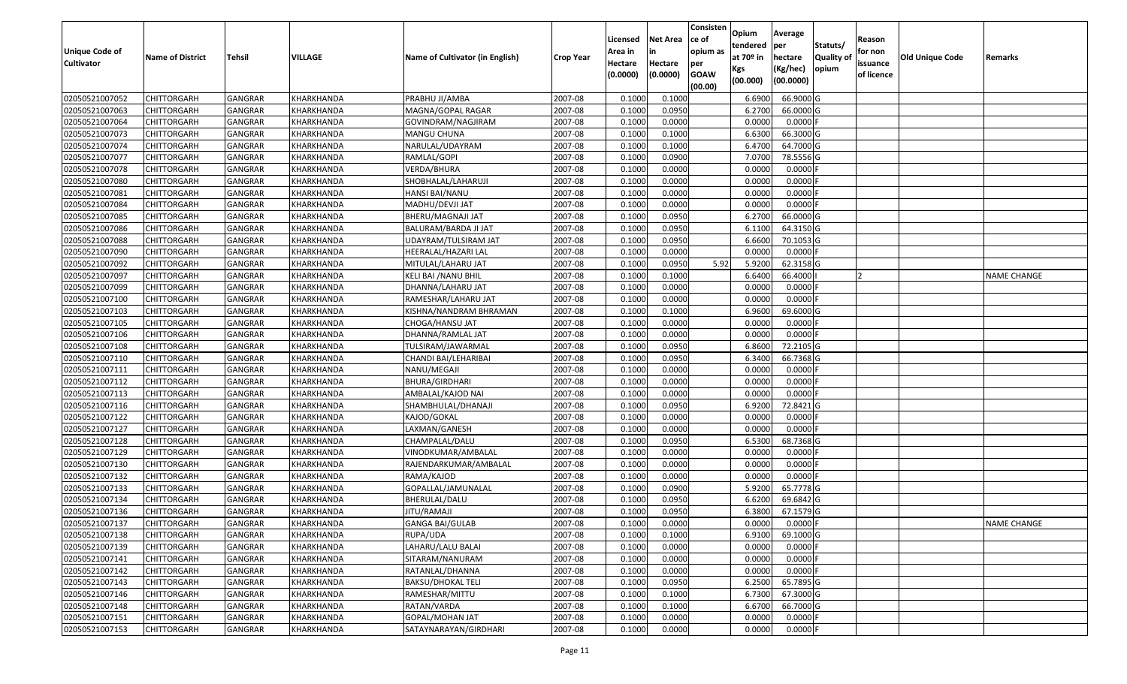| Unique Code of    |                         |                |                   |                                 |                  | Licensed<br>Area in | <b>Net Area</b><br>in | Consisten<br>ce of<br>opium as | Opium<br>tendered<br>at $70°$ in | Average<br>per                   | Statuts/                  | Reason<br>for non      |                 |             |
|-------------------|-------------------------|----------------|-------------------|---------------------------------|------------------|---------------------|-----------------------|--------------------------------|----------------------------------|----------------------------------|---------------------------|------------------------|-----------------|-------------|
| <b>Cultivator</b> | <b>Name of District</b> | Tehsil         | VILLAGE           | Name of Cultivator (in English) | <b>Crop Year</b> | Hectare<br>(0.0000) | Hectare<br>(0.0000)   | per<br><b>GOAW</b><br>(00.00)  | Kgs<br>(00.000)                  | hectare<br>(Kg/hec)<br>(00.0000) | <b>Quality o</b><br>opium | issuance<br>of licence | Old Unique Code | Remarks     |
| 02050521007052    | CHITTORGARH             | GANGRAR        | KHARKHANDA        | PRABHU JI/AMBA                  | 2007-08          | 0.1000              | 0.1000                |                                | 6.6900                           | 66.9000 G                        |                           |                        |                 |             |
| 02050521007063    | CHITTORGARH             | GANGRAR        | KHARKHANDA        | MAGNA/GOPAL RAGAR               | 2007-08          | 0.1000              | 0.0950                |                                | 6.2700                           | 66.0000G                         |                           |                        |                 |             |
| 02050521007064    | CHITTORGARH             | GANGRAR        | KHARKHANDA        | GOVINDRAM/NAGJIRAM              | 2007-08          | 0.1000              | 0.0000                |                                | 0.0000                           | 0.0000F                          |                           |                        |                 |             |
| 02050521007073    | <b>CHITTORGARH</b>      | <b>GANGRAR</b> | <b>KHARKHANDA</b> | <b>MANGU CHUNA</b>              | 2007-08          | 0.1000              | 0.1000                |                                | 6.6300                           | 66.3000 G                        |                           |                        |                 |             |
| 02050521007074    | CHITTORGARH             | GANGRAR        | KHARKHANDA        | NARULAL/UDAYRAM                 | 2007-08          | 0.1000              | 0.1000                |                                | 6.4700                           | 64.7000 G                        |                           |                        |                 |             |
| 02050521007077    | <b>CHITTORGARH</b>      | <b>GANGRAR</b> | KHARKHANDA        | RAMLAL/GOPI                     | 2007-08          | 0.1000              | 0.0900                |                                | 7.0700                           | 78.5556 G                        |                           |                        |                 |             |
| 02050521007078    | CHITTORGARH             | GANGRAR        | KHARKHANDA        | VERDA/BHURA                     | 2007-08          | 0.1000              | 0.0000                |                                | 0.0000                           | 0.0000                           |                           |                        |                 |             |
| 02050521007080    | <b>CHITTORGARH</b>      | <b>GANGRAR</b> | KHARKHANDA        | SHOBHALAL/LAHARUJI              | 2007-08          | 0.1000              | 0.0000                |                                | 0.0000                           | 0.0000F                          |                           |                        |                 |             |
| 02050521007081    | CHITTORGARH             | GANGRAR        | KHARKHANDA        | HANSI BAI/NANU                  | 2007-08          | 0.1000              | 0.0000                |                                | 0.0000                           | 0.0000                           |                           |                        |                 |             |
| 02050521007084    | <b>CHITTORGARH</b>      | <b>GANGRAR</b> | KHARKHANDA        | MADHU/DEVJI JAT                 | 2007-08          | 0.1000              | 0.0000                |                                | 0.0000                           | 0.0000F                          |                           |                        |                 |             |
| 02050521007085    | CHITTORGARH             | <b>GANGRAR</b> | KHARKHANDA        | BHERU/MAGNAJI JAT               | 2007-08          | 0.1000              | 0.0950                |                                | 6.2700                           | 66.0000G                         |                           |                        |                 |             |
| 02050521007086    | <b>CHITTORGARH</b>      | <b>GANGRAR</b> | KHARKHANDA        | BALURAM/BARDA JI JAT            | 2007-08          | 0.1000              | 0.0950                |                                | 6.1100                           | 64.3150 G                        |                           |                        |                 |             |
| 02050521007088    | <b>CHITTORGARH</b>      | <b>GANGRAR</b> | KHARKHANDA        | UDAYRAM/TULSIRAM JAT            | 2007-08          | 0.1000              | 0.0950                |                                | 6.6600                           | 70.1053 G                        |                           |                        |                 |             |
| 02050521007090    | <b>CHITTORGARH</b>      | GANGRAR        | KHARKHANDA        | HEERALAL/HAZARI LAL             | 2007-08          | 0.1000              | 0.0000                |                                | 0.0000                           | $0.0000$ F                       |                           |                        |                 |             |
| 02050521007092    | <b>CHITTORGARH</b>      | <b>GANGRAR</b> | KHARKHANDA        | MITULAL/LAHARU JAT              | 2007-08          | 0.1000              | 0.0950                | 5.92                           | 5.9200                           | 62.3158 G                        |                           |                        |                 |             |
| 02050521007097    | <b>CHITTORGARH</b>      | <b>GANGRAR</b> | KHARKHANDA        | KELI BAI / NANU BHIL            | 2007-08          | 0.1000              | 0.1000                |                                | 6.6400                           | 66.4000                          |                           |                        |                 | NAME CHANGE |
| 02050521007099    | CHITTORGARH             | <b>GANGRAR</b> | KHARKHANDA        | DHANNA/LAHARU JAT               | 2007-08          | 0.1000              | 0.0000                |                                | 0.0000                           | 0.0000F                          |                           |                        |                 |             |
| 02050521007100    | CHITTORGARH             | <b>GANGRAR</b> | KHARKHANDA        | RAMESHAR/LAHARU JAT             | 2007-08          | 0.1000              | 0.0000                |                                | 0.0000                           | $0.0000$ F                       |                           |                        |                 |             |
| 02050521007103    | CHITTORGARH             | <b>GANGRAR</b> | KHARKHANDA        | KISHNA/NANDRAM BHRAMAN          | 2007-08          | 0.100               | 0.1000                |                                | 6.9600                           | 69.6000 G                        |                           |                        |                 |             |
| 02050521007105    | CHITTORGARH             | GANGRAR        | KHARKHANDA        | CHOGA/HANSU JAT                 | 2007-08          | 0.1000              | 0.0000                |                                | 0.0000                           | 0.0000                           |                           |                        |                 |             |
| 02050521007106    | CHITTORGARH             | <b>GANGRAR</b> | KHARKHANDA        | DHANNA/RAMLAL JAT               | 2007-08          | 0.100               | 0.0000                |                                | 0.0000                           | 0.0000                           |                           |                        |                 |             |
| 02050521007108    | CHITTORGARH             | GANGRAR        | KHARKHANDA        | TULSIRAM/JAWARMAL               | 2007-08          | 0.100               | 0.0950                |                                | 6.8600                           | 72.2105 G                        |                           |                        |                 |             |
| 02050521007110    | CHITTORGARH             | <b>GANGRAR</b> | KHARKHANDA        | CHANDI BAI/LEHARIBAI            | 2007-08          | 0.1000              | 0.0950                |                                | 6.3400                           | 66.7368 G                        |                           |                        |                 |             |
| 02050521007111    | <b>CHITTORGARH</b>      | <b>GANGRAR</b> | KHARKHANDA        | NANU/MEGAJI                     | 2007-08          | 0.100               | 0.0000                |                                | 0.0000                           | 0.0000                           |                           |                        |                 |             |
| 02050521007112    | <b>CHITTORGARH</b>      | <b>GANGRAR</b> | KHARKHANDA        | BHURA/GIRDHARI                  | 2007-08          | 0.1000              | 0.0000                |                                | 0.0000                           | 0.0000F                          |                           |                        |                 |             |
| 02050521007113    | CHITTORGARH             | GANGRAR        | KHARKHANDA        | AMBALAL/KAJOD NAI               | 2007-08          | 0.1000              | 0.0000                |                                | 0.0000                           | 0.0000F                          |                           |                        |                 |             |
| 02050521007116    | CHITTORGARH             | GANGRAR        | KHARKHANDA        | SHAMBHULAL/DHANAJI              | 2007-08          | 0.1000              | 0.0950                |                                | 6.9200                           | 72.8421G                         |                           |                        |                 |             |
| 02050521007122    | CHITTORGARH             | GANGRAR        | KHARKHANDA        | KAJOD/GOKAL                     | 2007-08          | 0.1000              | 0.0000                |                                | 0.0000                           | 0.0000F                          |                           |                        |                 |             |
| 02050521007127    | CHITTORGARH             | <b>GANGRAR</b> | KHARKHANDA        | LAXMAN/GANESH                   | 2007-08          | 0.1000              | 0.0000                |                                | 0.0000                           | 0.0000F                          |                           |                        |                 |             |
| 02050521007128    | CHITTORGARH             | <b>GANGRAR</b> | KHARKHANDA        | CHAMPALAL/DALU                  | 2007-08          | 0.1000              | 0.0950                |                                | 6.5300                           | 68.7368 G                        |                           |                        |                 |             |
| 02050521007129    | CHITTORGARH             | GANGRAR        | KHARKHANDA        | VINODKUMAR/AMBALAL              | 2007-08          | 0.1000              | 0.0000                |                                | 0.0000                           | 0.0000F                          |                           |                        |                 |             |
| 02050521007130    | CHITTORGARH             | GANGRAR        | KHARKHANDA        | RAJENDARKUMAR/AMBALAL           | 2007-08          | 0.1000              | 0.0000                |                                | 0.0000                           | 0.0000                           |                           |                        |                 |             |
| 02050521007132    | CHITTORGARH             | <b>GANGRAR</b> | KHARKHANDA        | RAMA/KAJOD                      | 2007-08          | 0.1000              | 0.0000                |                                | 0.0000                           | 0.0000F                          |                           |                        |                 |             |
| 02050521007133    | <b>CHITTORGARH</b>      | GANGRAR        | KHARKHANDA        | GOPALLAL/JAMUNALAL              | 2007-08          | 0.1000              | 0.0900                |                                | 5.9200                           | 65.7778 G                        |                           |                        |                 |             |
| 02050521007134    | CHITTORGARH             | GANGRAR        | KHARKHANDA        | BHERULAL/DALU                   | 2007-08          | 0.1000              | 0.0950                |                                | 6.6200                           | 69.6842 G                        |                           |                        |                 |             |
| 02050521007136    | CHITTORGARH             | GANGRAR        | KHARKHANDA        | IITU/RAMAJI                     | 2007-08          | 0.1000              | 0.0950                |                                | 6.3800                           | 67.1579 G                        |                           |                        |                 |             |
| 02050521007137    | <b>CHITTORGARH</b>      | <b>GANGRAR</b> | KHARKHANDA        | <b>GANGA BAI/GULAB</b>          | 2007-08          | 0.1000              | 0.0000                |                                | 0.0000                           | $0.0000$ F                       |                           |                        |                 | NAME CHANGE |
| 02050521007138    | <b>CHITTORGARH</b>      | <b>GANGRAR</b> | KHARKHANDA        | RUPA/UDA                        | 2007-08          | 0.1000              | 0.1000                |                                | 6.9100                           | 69.1000 G                        |                           |                        |                 |             |
| 02050521007139    | <b>CHITTORGARH</b>      | <b>GANGRAR</b> | KHARKHANDA        | LAHARU/LALU BALAI               | 2007-08          | 0.1000              | 0.0000                |                                | 0.0000                           | $0.0000$ F                       |                           |                        |                 |             |
| 02050521007141    | <b>CHITTORGARH</b>      | <b>GANGRAR</b> | KHARKHANDA        | SITARAM/NANURAM                 | 2007-08          | 0.1000              | 0.0000                |                                | 0.0000                           | $0.0000$ F                       |                           |                        |                 |             |
| 02050521007142    | CHITTORGARH             | <b>GANGRAR</b> | KHARKHANDA        | RATANLAL/DHANNA                 | 2007-08          | 0.1000              | 0.0000                |                                | 0.0000                           | $0.0000$ F                       |                           |                        |                 |             |
| 02050521007143    | <b>CHITTORGARH</b>      | <b>GANGRAR</b> | KHARKHANDA        | <b>BAKSU/DHOKAL TELI</b>        | 2007-08          | 0.1000              | 0.0950                |                                | 6.2500                           | 65.7895 G                        |                           |                        |                 |             |
| 02050521007146    | <b>CHITTORGARH</b>      | <b>GANGRAR</b> | KHARKHANDA        | RAMESHAR/MITTU                  | 2007-08          | 0.1000              | 0.1000                |                                | 6.7300                           | 67.3000 G                        |                           |                        |                 |             |
| 02050521007148    | CHITTORGARH             | <b>GANGRAR</b> | KHARKHANDA        | RATAN/VARDA                     | 2007-08          | 0.1000              | 0.1000                |                                | 6.6700                           | 66.7000 G                        |                           |                        |                 |             |
| 02050521007151    | <b>CHITTORGARH</b>      | <b>GANGRAR</b> | KHARKHANDA        | GOPAL/MOHAN JAT                 | 2007-08          | 0.1000              | 0.0000                |                                | 0.0000                           | 0.0000                           |                           |                        |                 |             |
| 02050521007153    | <b>CHITTORGARH</b>      | <b>GANGRAR</b> | KHARKHANDA        | SATAYNARAYAN/GIRDHARI           | 2007-08          | 0.1000              | 0.0000                |                                | 0.0000                           | $0.0000$ F                       |                           |                        |                 |             |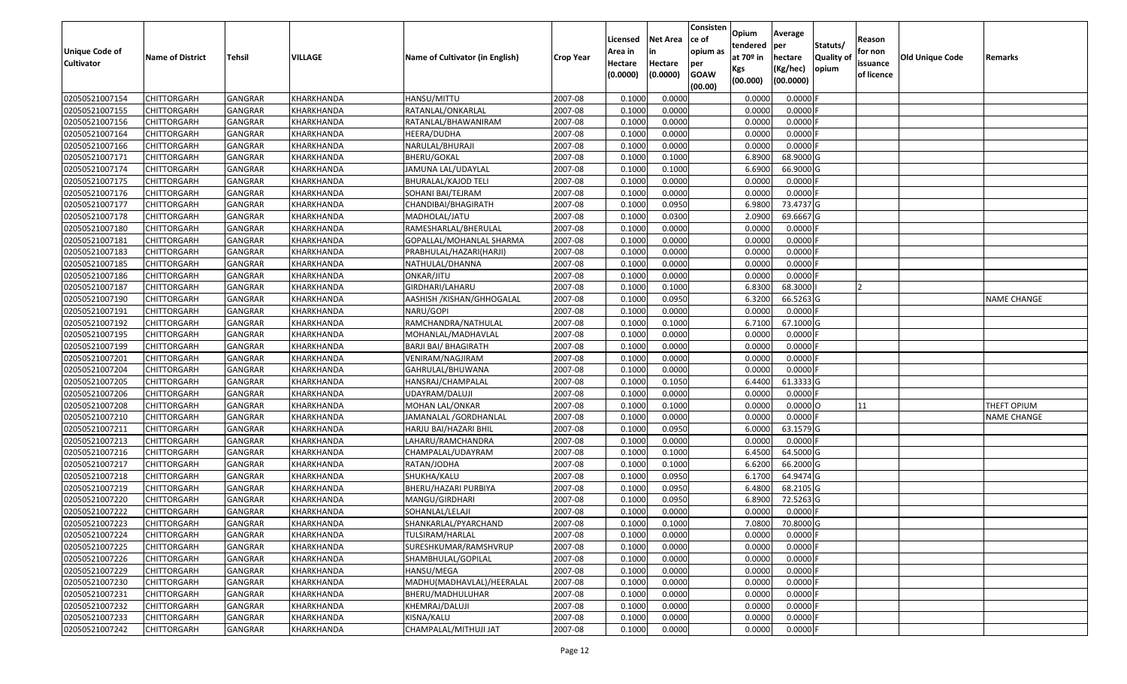| Unique Code of    | <b>Name of District</b> | Tehsil         | VILLAGE    | Name of Cultivator (in English) | <b>Crop Year</b> | Licensed<br>Area in | <b>Net Area</b><br>in | Consisten<br>ce of<br>opium as | Opium<br>tendered<br>at $70°$ in | Average<br>per<br>hectare | Statuts/<br><b>Quality o</b> | Reason<br>for non      | Old Unique Code | Remarks     |
|-------------------|-------------------------|----------------|------------|---------------------------------|------------------|---------------------|-----------------------|--------------------------------|----------------------------------|---------------------------|------------------------------|------------------------|-----------------|-------------|
| <b>Cultivator</b> |                         |                |            |                                 |                  | Hectare<br>(0.0000) | Hectare<br>(0.0000)   | per<br><b>GOAW</b><br>(00.00)  | Kgs<br>(00.000)                  | (Kg/hec)<br>(00.0000)     | opium                        | issuance<br>of licence |                 |             |
| 02050521007154    | CHITTORGARH             | GANGRAR        | KHARKHANDA | HANSU/MITTU                     | 2007-08          | 0.1000              | 0.0000                |                                | 0.0000                           | 0.0000F                   |                              |                        |                 |             |
| 02050521007155    | CHITTORGARH             | GANGRAR        | KHARKHANDA | RATANLAL/ONKARLAL               | 2007-08          | 0.1000              | 0.0000                |                                | 0.0000                           | 0.0000F                   |                              |                        |                 |             |
| 02050521007156    | CHITTORGARH             | GANGRAR        | KHARKHANDA | RATANLAL/BHAWANIRAM             | 2007-08          | 0.1000              | 0.0000                |                                | 0.0000                           | 0.0000                    |                              |                        |                 |             |
| 02050521007164    | CHITTORGARH             | <b>GANGRAR</b> | KHARKHANDA | HEERA/DUDHA                     | 2007-08          | 0.1000              | 0.0000                |                                | 0.0000                           | 0.0000F                   |                              |                        |                 |             |
| 02050521007166    | CHITTORGARH             | GANGRAR        | KHARKHANDA | NARULAL/BHURAJI                 | 2007-08          | 0.1000              | 0.0000                |                                | 0.0000                           | 0.0000F                   |                              |                        |                 |             |
| 02050521007171    | CHITTORGARH             | GANGRAR        | KHARKHANDA | BHERU/GOKAL                     | 2007-08          | 0.1000              | 0.1000                |                                | 6.8900                           | 68.9000 G                 |                              |                        |                 |             |
| 02050521007174    | CHITTORGARH             | GANGRAR        | KHARKHANDA | JAMUNA LAL/UDAYLAL              | 2007-08          | 0.1000              | 0.1000                |                                | 6.6900                           | 66.9000 G                 |                              |                        |                 |             |
| 02050521007175    | <b>CHITTORGARH</b>      | <b>GANGRAR</b> | KHARKHANDA | <b>BHURALAL/KAJOD TELI</b>      | 2007-08          | 0.1000              | 0.0000                |                                | 0.0000                           | 0.0000F                   |                              |                        |                 |             |
| 02050521007176    | CHITTORGARH             | GANGRAR        | KHARKHANDA | SOHANI BAI/TEJRAM               | 2007-08          | 0.1000              | 0.0000                |                                | 0.0000                           | 0.0000F                   |                              |                        |                 |             |
| 02050521007177    | CHITTORGARH             | GANGRAR        | KHARKHANDA | CHANDIBAI/BHAGIRATH             | 2007-08          | 0.1000              | 0.0950                |                                | 6.9800                           | 73.4737 G                 |                              |                        |                 |             |
| 02050521007178    | CHITTORGARH             | <b>GANGRAR</b> | KHARKHANDA | MADHOLAL/JATU                   | 2007-08          | 0.1000              | 0.0300                |                                | 2.0900                           | 69.6667 G                 |                              |                        |                 |             |
| 02050521007180    | <b>CHITTORGARH</b>      | <b>GANGRAR</b> | KHARKHANDA | RAMESHARLAL/BHERULAL            | 2007-08          | 0.1000              | 0.0000                |                                | 0.0000                           | 0.0000F                   |                              |                        |                 |             |
| 02050521007181    | <b>CHITTORGARH</b>      | <b>GANGRAR</b> | KHARKHANDA | GOPALLAL/MOHANLAL SHARMA        | 2007-08          | 0.1000              | 0.0000                |                                | 0.0000                           | 0.0000F                   |                              |                        |                 |             |
| 02050521007183    | <b>CHITTORGARH</b>      | GANGRAR        | KHARKHANDA | PRABHULAL/HAZARI(HARJI)         | 2007-08          | 0.1000              | 0.0000                |                                | 0.0000                           | $0.0000$ F                |                              |                        |                 |             |
| 02050521007185    | CHITTORGARH             | <b>GANGRAR</b> | KHARKHANDA | NATHULAL/DHANNA                 | 2007-08          | 0.1000              | 0.0000                |                                | 0.0000                           | $0.0000$ F                |                              |                        |                 |             |
| 02050521007186    | <b>CHITTORGARH</b>      | <b>GANGRAR</b> | KHARKHANDA | ONKAR/JITU                      | 2007-08          | 0.1000              | 0.0000                |                                | 0.0000                           | 0.0000                    |                              |                        |                 |             |
| 02050521007187    | CHITTORGARH             | <b>GANGRAR</b> | KHARKHANDA | GIRDHARI/LAHARU                 | 2007-08          | 0.1000              | 0.1000                |                                | 6.8300                           | 68.3000                   |                              |                        |                 |             |
| 02050521007190    | CHITTORGARH             | <b>GANGRAR</b> | KHARKHANDA | AASHISH / KISHAN/GHHOGALAL      | 2007-08          | 0.100               | 0.0950                |                                | 6.3200                           | 66.5263 G                 |                              |                        |                 | NAME CHANGE |
| 02050521007191    | CHITTORGARH             | <b>GANGRAR</b> | KHARKHANDA | NARU/GOPI                       | 2007-08          | 0.100               | 0.0000                |                                | 0.0000                           | 0.0000F                   |                              |                        |                 |             |
| 02050521007192    | CHITTORGARH             | GANGRAR        | KHARKHANDA | RAMCHANDRA/NATHULAL             | 2007-08          | 0.1000              | 0.1000                |                                | 6.7100                           | 67.1000 G                 |                              |                        |                 |             |
| 02050521007195    | CHITTORGARH             | <b>GANGRAR</b> | KHARKHANDA | MOHANLAL/MADHAVLAL              | 2007-08          | 0.100               | 0.0000                |                                | 0.0000                           | 0.0000                    |                              |                        |                 |             |
| 02050521007199    | CHITTORGARH             | GANGRAR        | KHARKHANDA | <b>BARJI BAI/ BHAGIRATH</b>     | 2007-08          | 0.100               | 0.0000                |                                | 0.0000                           | 0.0000                    |                              |                        |                 |             |
| 02050521007201    | CHITTORGARH             | <b>GANGRAR</b> | KHARKHANDA | VENIRAM/NAGJIRAM                | 2007-08          | 0.1000              | 0.0000                |                                | 0.0000                           | 0.0000                    |                              |                        |                 |             |
| 02050521007204    | CHITTORGARH             | <b>GANGRAR</b> | KHARKHANDA | GAHRULAL/BHUWANA                | 2007-08          | 0.100               | 0.0000                |                                | 0.0000                           | 0.0000F                   |                              |                        |                 |             |
| 02050521007205    | <b>CHITTORGARH</b>      | <b>GANGRAR</b> | KHARKHANDA | HANSRAJ/CHAMPALAL               | 2007-08          | 0.1000              | 0.1050                |                                | 6.4400                           | 61.3333 G                 |                              |                        |                 |             |
| 02050521007206    | CHITTORGARH             | GANGRAR        | KHARKHANDA | UDAYRAM/DALUJI                  | 2007-08          | 0.1000              | 0.0000                |                                | 0.0000                           | $0.0000$ F                |                              |                        |                 |             |
| 02050521007208    | CHITTORGARH             | GANGRAR        | KHARKHANDA | MOHAN LAL/ONKAR                 | 2007-08          | 0.1000              | 0.1000                |                                | 0.0000                           | $0.0000$ O                |                              | 11                     |                 | THEFT OPIUM |
| 02050521007210    | CHITTORGARH             | GANGRAR        | KHARKHANDA | JAMANALAL / GORDHANLAL          | 2007-08          | 0.1000              | 0.0000                |                                | 0.0000                           | 0.0000F                   |                              |                        |                 | NAME CHANGE |
| 02050521007211    | CHITTORGARH             | <b>GANGRAR</b> | KHARKHANDA | HARJU BAI/HAZARI BHIL           | 2007-08          | 0.1000              | 0.0950                |                                | 6.0000                           | 63.1579 G                 |                              |                        |                 |             |
| 02050521007213    | CHITTORGARH             | <b>GANGRAR</b> | KHARKHANDA | LAHARU/RAMCHANDRA               | 2007-08          | 0.1000              | 0.0000                |                                | 0.0000                           | $0.0000$ F                |                              |                        |                 |             |
| 02050521007216    | CHITTORGARH             | <b>GANGRAR</b> | KHARKHANDA | CHAMPALAL/UDAYRAM               | 2007-08          | 0.100               | 0.1000                |                                | 6.4500                           | 64.5000 G                 |                              |                        |                 |             |
| 02050521007217    | CHITTORGARH             | GANGRAR        | KHARKHANDA | RATAN/JODHA                     | 2007-08          | 0.1000              | 0.1000                |                                | 6.6200                           | 66.2000 G                 |                              |                        |                 |             |
| 02050521007218    | CHITTORGARH             | <b>GANGRAR</b> | KHARKHANDA | SHUKHA/KALU                     | 2007-08          | 0.100               | 0.0950                |                                | 6.1700                           | 64.9474 G                 |                              |                        |                 |             |
| 02050521007219    | CHITTORGARH             | GANGRAR        | KHARKHANDA | BHERU/HAZARI PURBIYA            | 2007-08          | 0.1000              | 0.0950                |                                | 6.4800                           | 68.2105 G                 |                              |                        |                 |             |
| 02050521007220    | CHITTORGARH             | <b>GANGRAR</b> | KHARKHANDA | MANGU/GIRDHARI                  | 2007-08          | 0.1000              | 0.0950                |                                | 6.8900                           | 72.5263 G                 |                              |                        |                 |             |
| 02050521007222    | CHITTORGARH             | GANGRAR        | KHARKHANDA | SOHANLAL/LELAJI                 | 2007-08          | 0.1000              | 0.0000                |                                | 0.0000                           | 0.0000F                   |                              |                        |                 |             |
| 02050521007223    | <b>CHITTORGARH</b>      | <b>GANGRAR</b> | KHARKHANDA | SHANKARLAL/PYARCHAND            | 2007-08          | 0.1000              | 0.1000                |                                | 7.0800                           | 70.8000 G                 |                              |                        |                 |             |
| 02050521007224    | <b>CHITTORGARH</b>      | <b>GANGRAR</b> | KHARKHANDA | TULSIRAM/HARLAL                 | 2007-08          | 0.1000              | 0.0000                |                                | 0.0000                           | $0.0000$ F                |                              |                        |                 |             |
| 02050521007225    | <b>CHITTORGARH</b>      | <b>GANGRAR</b> | KHARKHANDA | SURESHKUMAR/RAMSHVRUP           | 2007-08          | 0.1000              | 0.0000                |                                | 0.0000                           | 0.0000F                   |                              |                        |                 |             |
| 02050521007226    | <b>CHITTORGARH</b>      | <b>GANGRAR</b> | KHARKHANDA | SHAMBHULAL/GOPILAL              | 2007-08          | 0.1000              | 0.0000                |                                | 0.0000                           | $0.0000$ F                |                              |                        |                 |             |
| 02050521007229    | CHITTORGARH             | <b>GANGRAR</b> | KHARKHANDA | HANSU/MEGA                      | 2007-08          | 0.1000              | 0.0000                |                                | 0.0000                           | 0.0000                    |                              |                        |                 |             |
| 02050521007230    | <b>CHITTORGARH</b>      | <b>GANGRAR</b> | KHARKHANDA | MADHU(MADHAVLAL)/HEERALAL       | 2007-08          | 0.1000              | 0.0000                |                                | 0.0000                           | 0.0000                    |                              |                        |                 |             |
| 02050521007231    | <b>CHITTORGARH</b>      | <b>GANGRAR</b> | KHARKHANDA | BHERU/MADHULUHAR                | 2007-08          | 0.1000              | 0.0000                |                                | 0.0000                           | 0.0000                    |                              |                        |                 |             |
| 02050521007232    | <b>CHITTORGARH</b>      | <b>GANGRAR</b> | KHARKHANDA | KHEMRAJ/DALUJI                  | 2007-08          | 0.1000              | 0.0000                |                                | 0.0000                           | $0.0000$ F                |                              |                        |                 |             |
| 02050521007233    | CHITTORGARH             | <b>GANGRAR</b> | KHARKHANDA | KISNA/KALU                      | 2007-08          | 0.1000              | 0.0000                |                                | 0.0000                           | 0.0000                    |                              |                        |                 |             |
| 02050521007242    | <b>CHITTORGARH</b>      | <b>GANGRAR</b> | KHARKHANDA | CHAMPALAL/MITHUJI JAT           | 2007-08          | 0.1000              | 0.0000                |                                | 0.0000                           | $0.0000$ F                |                              |                        |                 |             |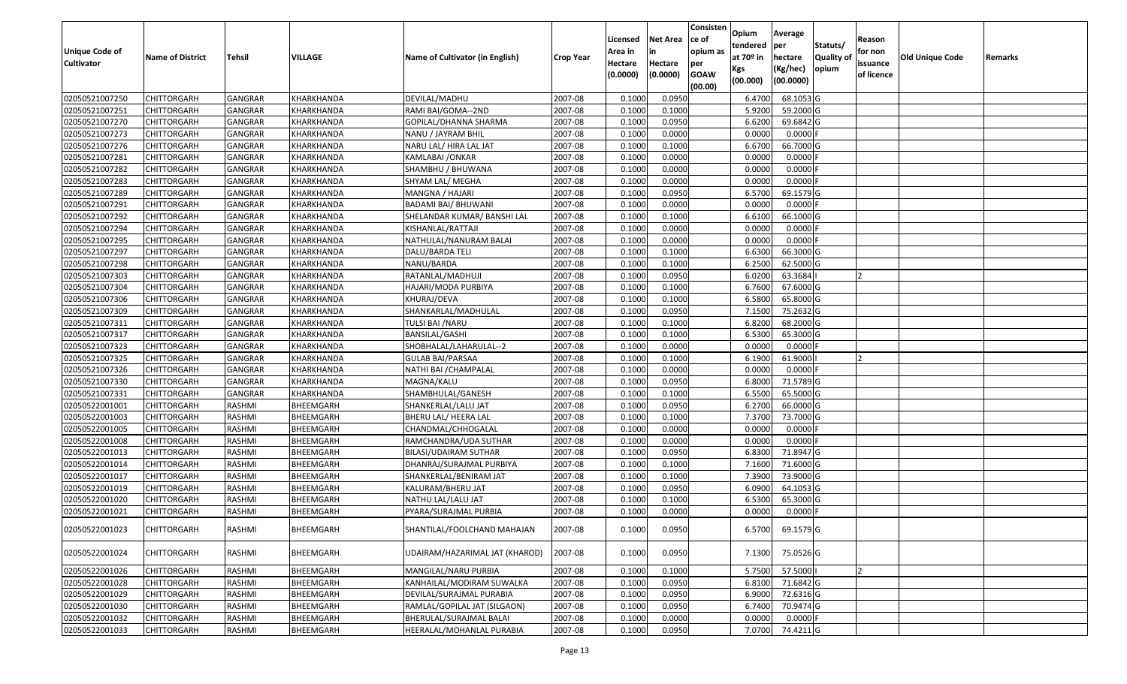| <b>Unique Code of</b><br><b>Cultivator</b> | <b>Name of District</b> | Tehsil         | VILLAGE    | Name of Cultivator (in English) | <b>Crop Year</b> | Licensed<br>Area in<br>Hectare<br>(0.0000) | <b>Net Area</b><br>in<br>Hectare<br>(0.0000) | Consisten<br>ce of<br>opium as<br>per<br><b>GOAW</b> | Opium<br>tendered<br>at $70°$ in<br>Kgs | Average<br>per<br>hectare<br>(Kg/hec) | Statuts/<br><b>Quality o</b><br>opium | Reason<br>for non<br>issuance<br>of licence | <b>Old Unique Code</b> | Remarks |
|--------------------------------------------|-------------------------|----------------|------------|---------------------------------|------------------|--------------------------------------------|----------------------------------------------|------------------------------------------------------|-----------------------------------------|---------------------------------------|---------------------------------------|---------------------------------------------|------------------------|---------|
|                                            |                         |                |            |                                 |                  |                                            |                                              | (00.00)                                              | (00.000)                                | (00.0000)                             |                                       |                                             |                        |         |
| 02050521007250                             | <b>CHITTORGARH</b>      | GANGRAR        | KHARKHANDA | DEVILAL/MADHU                   | 2007-08          | 0.1000                                     | 0.0950                                       |                                                      | 6.4700                                  | 68.1053 G                             |                                       |                                             |                        |         |
| 02050521007251                             | CHITTORGARH             | <b>GANGRAR</b> | KHARKHANDA | RAMI BAI/GOMA--2ND              | 2007-08          | 0.1000                                     | 0.1000                                       |                                                      | 5.9200                                  | 59.2000 G                             |                                       |                                             |                        |         |
| 02050521007270                             | CHITTORGARH             | GANGRAR        | KHARKHANDA | GOPILAL/DHANNA SHARMA           | 2007-08          | 0.1000                                     | 0.0950                                       |                                                      | 6.6200                                  | 69.6842 G                             |                                       |                                             |                        |         |
| 02050521007273                             | <b>CHITTORGARH</b>      | <b>GANGRAR</b> | KHARKHANDA | NANU / JAYRAM BHIL              | 2007-08          | 0.1000                                     | 0.0000                                       |                                                      | 0.0000                                  | $0.0000$ F                            |                                       |                                             |                        |         |
| 02050521007276                             | CHITTORGARH             | GANGRAR        | KHARKHANDA | NARU LAL/ HIRA LAL JAT          | 2007-08          | 0.1000                                     | 0.1000                                       |                                                      | 6.6700                                  | 66.7000 G                             |                                       |                                             |                        |         |
| 02050521007281                             | CHITTORGARH             | <b>GANGRAR</b> | KHARKHANDA | KAMLABAI /ONKAR                 | 2007-08          | 0.1000                                     | 0.0000                                       |                                                      | 0.0000                                  | 0.0000F                               |                                       |                                             |                        |         |
| 02050521007282                             | CHITTORGARH             | GANGRAR        | KHARKHANDA | SHAMBHU / BHUWANA               | 2007-08          | 0.1000                                     | 0.0000                                       |                                                      | 0.0000                                  | 0.0000                                |                                       |                                             |                        |         |
| 02050521007283                             | <b>CHITTORGARH</b>      | <b>GANGRAR</b> | KHARKHANDA | SHYAM LAL/ MEGHA                | 2007-08          | 0.1000                                     | 0.0000                                       |                                                      | 0.0000                                  | 0.0000F                               |                                       |                                             |                        |         |
| 02050521007289                             | CHITTORGARH             | GANGRAR        | KHARKHANDA | MANGNA / HAJARI                 | 2007-08          | 0.1000                                     | 0.0950                                       |                                                      | 6.5700                                  | 69.1579 G                             |                                       |                                             |                        |         |
| 02050521007291                             | CHITTORGARH             | <b>GANGRAR</b> | KHARKHANDA | BADAMI BAI/ BHUWANI             | 2007-08          | 0.1000                                     | 0.0000                                       |                                                      | 0.0000                                  | $0.0000$ F                            |                                       |                                             |                        |         |
| 02050521007292                             | CHITTORGARH             | <b>GANGRAR</b> | KHARKHANDA | SHELANDAR KUMAR/ BANSHI LAL     | 2007-08          | 0.1000                                     | 0.1000                                       |                                                      | 6.6100                                  | 66.1000 G                             |                                       |                                             |                        |         |
| 02050521007294                             | <b>CHITTORGARH</b>      | <b>GANGRAR</b> | KHARKHANDA | KISHANLAL/RATTAJI               | 2007-08          | 0.1000                                     | 0.0000                                       |                                                      | 0.0000                                  | $0.0000$ F                            |                                       |                                             |                        |         |
| 02050521007295                             | <b>CHITTORGARH</b>      | <b>GANGRAR</b> | KHARKHANDA | NATHULAL/NANURAM BALAI          | 2007-08          | 0.1000                                     | 0.0000                                       |                                                      | 0.0000                                  | $0.0000$ F                            |                                       |                                             |                        |         |
| 02050521007297                             | <b>CHITTORGARH</b>      | <b>GANGRAR</b> | KHARKHANDA | DALU/BARDA TELI                 | 2007-08          | 0.1000                                     | 0.1000                                       |                                                      | 6.6300                                  | 66.3000 G                             |                                       |                                             |                        |         |
| 02050521007298                             | CHITTORGARH             | <b>GANGRAR</b> | KHARKHANDA | NANU/BARDA                      | 2007-08          | 0.1000                                     | 0.1000                                       |                                                      | 6.2500                                  | 62.5000G                              |                                       |                                             |                        |         |
| 02050521007303                             | <b>CHITTORGARH</b>      | <b>GANGRAR</b> | KHARKHANDA | RATANLAL/MADHUJI                | 2007-08          | 0.1000                                     | 0.0950                                       |                                                      | 6.0200                                  | 63.3684                               |                                       |                                             |                        |         |
| 02050521007304                             | CHITTORGARH             | <b>GANGRAR</b> | KHARKHANDA | HAJARI/MODA PURBIYA             | 2007-08          | 0.1000                                     | 0.1000                                       |                                                      | 6.7600                                  | 67.6000 G                             |                                       |                                             |                        |         |
| 02050521007306                             | CHITTORGARH             | <b>GANGRAR</b> | KHARKHANDA | KHURAJ/DEVA                     | 2007-08          | 0.100                                      | 0.1000                                       |                                                      | 6.5800                                  | 65.8000 G                             |                                       |                                             |                        |         |
| 02050521007309                             | CHITTORGARH             | <b>GANGRAR</b> | KHARKHANDA | SHANKARLAL/MADHULAL             | 2007-08          | 0.100                                      | 0.0950                                       |                                                      | 7.1500                                  | 75.2632 G                             |                                       |                                             |                        |         |
| 02050521007311                             | CHITTORGARH             | GANGRAR        | KHARKHANDA | TULSI BAI / NARU                | 2007-08          | 0.1000                                     | 0.1000                                       |                                                      | 6.8200                                  | 68.2000 G                             |                                       |                                             |                        |         |
| 02050521007317                             | CHITTORGARH             | <b>GANGRAR</b> | KHARKHANDA | <b>BANSILAL/GASHI</b>           | 2007-08          | 0.1000                                     | 0.1000                                       |                                                      | 6.5300                                  | 65.3000G                              |                                       |                                             |                        |         |
| 02050521007323                             | CHITTORGARH             | GANGRAR        | KHARKHANDA | SHOBHALAL/LAHARULAL--2          | 2007-08          | 0.1000                                     | 0.0000                                       |                                                      | 0.0000                                  | 0.0000                                |                                       |                                             |                        |         |
| 02050521007325                             | CHITTORGARH             | <b>GANGRAR</b> | KHARKHANDA | <b>GULAB BAI/PARSAA</b>         | 2007-08          | 0.1000                                     | 0.1000                                       |                                                      | 6.1900                                  | 61.9000                               |                                       |                                             |                        |         |
| 02050521007326                             | CHITTORGARH             | <b>GANGRAR</b> | KHARKHANDA | NATHI BAI / CHAMPALAL           | 2007-08          | 0.1000                                     | 0.0000                                       |                                                      | 0.0000                                  | 0.0000F                               |                                       |                                             |                        |         |
| 02050521007330                             | <b>CHITTORGARH</b>      | <b>GANGRAR</b> | KHARKHANDA | MAGNA/KALU                      | 2007-08          | 0.1000                                     | 0.0950                                       |                                                      | 6.8000                                  | 71.5789 G                             |                                       |                                             |                        |         |
| 02050521007331                             | CHITTORGARH             | GANGRAR        | KHARKHANDA | SHAMBHULAL/GANESH               | 2007-08          | 0.1000                                     | 0.1000                                       |                                                      | 6.5500                                  | 65.5000G                              |                                       |                                             |                        |         |
| 02050522001001                             | CHITTORGARH             | RASHMI         | BHEEMGARH  | SHANKERLAL/LALU JAT             | 2007-08          | 0.1000                                     | 0.0950                                       |                                                      | 6.2700                                  | 66.0000G                              |                                       |                                             |                        |         |
| 02050522001003                             | CHITTORGARH             | RASHMI         | BHEEMGARH  | BHERU LAL/ HEERA LAL            | 2007-08          | 0.1000                                     | 0.1000                                       |                                                      | 7.3700                                  | 73.7000 G                             |                                       |                                             |                        |         |
| 02050522001005                             | CHITTORGARH             | RASHMI         | BHEEMGARH  | CHANDMAL/CHHOGALAL              | 2007-08          | 0.1000                                     | 0.0000                                       |                                                      | 0.0000                                  | $0.0000$ F                            |                                       |                                             |                        |         |
| 02050522001008                             | CHITTORGARH             | RASHMI         | BHEEMGARH  | RAMCHANDRA/UDA SUTHAR           | 2007-08          | 0.1000                                     | 0.0000                                       |                                                      | 0.0000                                  | 0.0000                                |                                       |                                             |                        |         |
| 02050522001013                             | CHITTORGARH             | RASHMI         | BHEEMGARH  | BILASI/UDAIRAM SUTHAR           | 2007-08          | 0.1000                                     | 0.0950                                       |                                                      | 6.8300                                  | 71.8947 G                             |                                       |                                             |                        |         |
| 02050522001014                             | CHITTORGARH             | RASHMI         | BHEEMGARH  | DHANRAJ/SURAJMAL PURBIYA        | 2007-08          | 0.1000                                     | 0.1000                                       |                                                      | 7.1600                                  | 71.6000G                              |                                       |                                             |                        |         |
| 02050522001017                             | CHITTORGARH             | RASHMI         | BHEEMGARH  | SHANKERLAL/BENIRAM JAT          | 2007-08          | 0.1000                                     | 0.1000                                       |                                                      | 7.3900                                  | 73.9000G                              |                                       |                                             |                        |         |
| 02050522001019                             | CHITTORGARH             | RASHMI         | BHEEMGARH  | KALURAM/BHERU JAT               | 2007-08          | 0.1000                                     | 0.0950                                       |                                                      | 6.0900                                  | 64.1053 G                             |                                       |                                             |                        |         |
| 02050522001020                             | CHITTORGARH             | RASHMI         | BHEEMGARH  | NATHU LAL/LALU JAT              | 2007-08          | 0.1000                                     | 0.1000                                       |                                                      | 6.5300                                  | 65.3000 G                             |                                       |                                             |                        |         |
| 02050522001021                             | CHITTORGARH             | RASHMI         | BHEEMGARH  | PYARA/SURAJMAL PURBIA           | 2007-08          | 0.1000                                     | 0.0000                                       |                                                      | 0.0000                                  | $0.0000$ F                            |                                       |                                             |                        |         |
| 02050522001023                             | <b>CHITTORGARH</b>      | RASHMI         | BHEEMGARH  | SHANTILAL/FOOLCHAND MAHAJAN     | 2007-08          | 0.1000                                     | 0.0950                                       |                                                      | 6.5700                                  | 69.1579 G                             |                                       |                                             |                        |         |
| 02050522001024                             | <b>CHITTORGARH</b>      | RASHMI         | BHEEMGARH  | UDAIRAM/HAZARIMAL JAT (KHAROD)  | 2007-08          | 0.1000                                     | 0.0950                                       |                                                      | 7.1300                                  | 75.0526 G                             |                                       |                                             |                        |         |
| 02050522001026                             | CHITTORGARH             | RASHMI         | BHEEMGARH  | MANGILAL/NARU PURBIA            | 2007-08          | 0.1000                                     | 0.1000                                       |                                                      | 5.7500                                  | 57.5000                               |                                       | 2                                           |                        |         |
| 02050522001028                             | <b>CHITTORGARH</b>      | RASHMI         | BHEEMGARH  | KANHAILAL/MODIRAM SUWALKA       | 2007-08          | 0.1000                                     | 0.0950                                       |                                                      | 6.8100                                  | 71.6842 G                             |                                       |                                             |                        |         |
| 02050522001029                             | <b>CHITTORGARH</b>      | RASHMI         | BHEEMGARH  | DEVILAL/SURAJMAL PURABIA        | 2007-08          | 0.1000                                     | 0.0950                                       |                                                      | 6.9000                                  | 72.6316 G                             |                                       |                                             |                        |         |
| 02050522001030                             | <b>CHITTORGARH</b>      | RASHMI         | BHEEMGARH  | RAMLAL/GOPILAL JAT (SILGAON)    | 2007-08          | 0.1000                                     | 0.0950                                       |                                                      | 6.7400                                  | 70.9474 G                             |                                       |                                             |                        |         |
| 02050522001032                             | CHITTORGARH             | RASHMI         | BHEEMGARH  | BHERULAL/SURAJMAL BALAI         | 2007-08          | 0.1000                                     | 0.0000                                       |                                                      | 0.0000                                  | $0.0000$ F                            |                                       |                                             |                        |         |
| 02050522001033                             | <b>CHITTORGARH</b>      | RASHMI         | BHEEMGARH  | HEERALAL/MOHANLAL PURABIA       | 2007-08          | 0.1000                                     | 0.0950                                       |                                                      | 7.0700                                  | 74.4211 G                             |                                       |                                             |                        |         |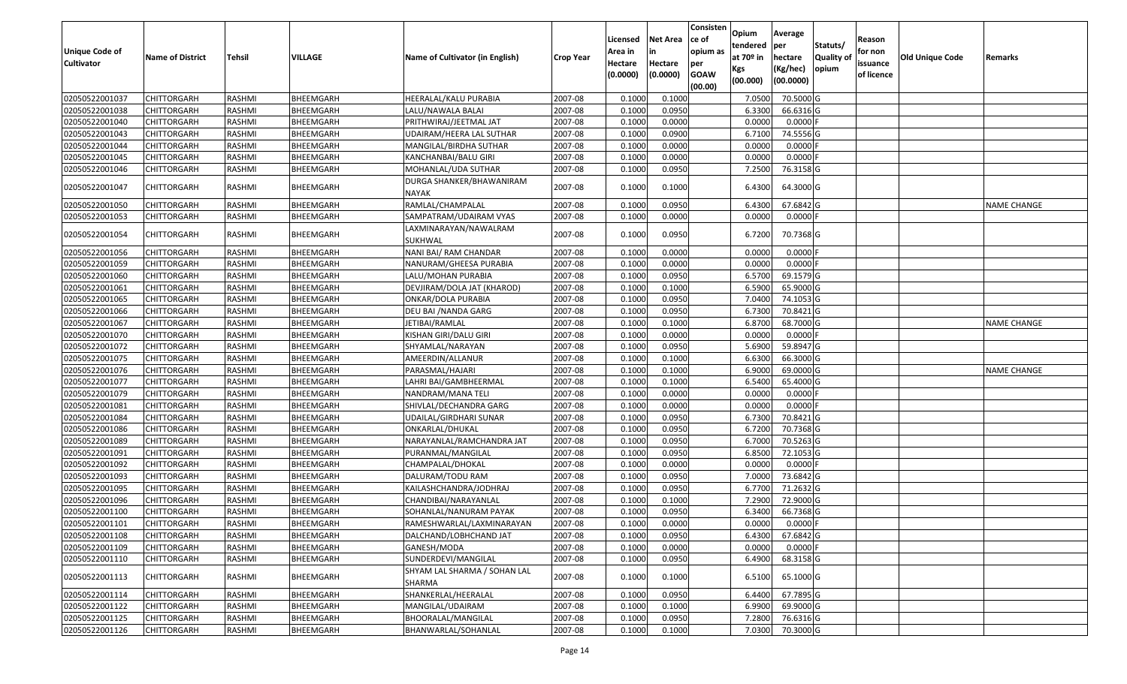| <b>Unique Code of</b><br><b>Cultivator</b> | <b>Name of District</b> | Tehsil        | VILLAGE   | Name of Cultivator (in English)          | <b>Crop Year</b> | Licensed<br>Area in<br>Hectare<br>(0.0000) | <b>Net Area</b><br>in<br>Hectare<br>(0.0000) | Consisten<br>ce of<br>opium as<br>per<br><b>GOAW</b><br>(00.00) | Opium<br>tendered<br>at $70°$ in<br>Kgs<br>(00.000) | Average<br>per<br>hectare<br>(Kg/hec)<br>(00.0000) | Statuts/<br><b>Quality of</b><br>opium | Reason<br>for non<br>issuance<br>of licence | <b>Old Unique Code</b> | Remarks            |
|--------------------------------------------|-------------------------|---------------|-----------|------------------------------------------|------------------|--------------------------------------------|----------------------------------------------|-----------------------------------------------------------------|-----------------------------------------------------|----------------------------------------------------|----------------------------------------|---------------------------------------------|------------------------|--------------------|
| 02050522001037                             | <b>CHITTORGARH</b>      | RASHMI        | BHEEMGARH | HEERALAL/KALU PURABIA                    | 2007-08          | 0.100                                      | 0.1000                                       |                                                                 | 7.0500                                              | 70.5000 G                                          |                                        |                                             |                        |                    |
| 02050522001038                             | CHITTORGARH             | RASHMI        | BHEEMGARH | LALU/NAWALA BALAI                        | 2007-08          | 0.1000                                     | 0.0950                                       |                                                                 | 6.3300                                              | 66.6316 G                                          |                                        |                                             |                        |                    |
| 02050522001040                             | CHITTORGARH             | RASHMI        | BHEEMGARH | PRITHWIRAJ/JEETMAL JAT                   | 2007-08          | 0.1000                                     | 0.0000                                       |                                                                 | 0.0000                                              | 0.0000F                                            |                                        |                                             |                        |                    |
| 02050522001043                             | <b>CHITTORGARH</b>      | <b>RASHMI</b> | BHEEMGARH | UDAIRAM/HEERA LAL SUTHAR                 | 2007-08          | 0.1000                                     | 0.0900                                       |                                                                 | 6.7100                                              | 74.5556 G                                          |                                        |                                             |                        |                    |
| 02050522001044                             | <b>CHITTORGARH</b>      | RASHMI        | BHEEMGARH | MANGILAL/BIRDHA SUTHAR                   | 2007-08          | 0.1000                                     | 0.0000                                       |                                                                 | 0.0000                                              | $0.0000$ F                                         |                                        |                                             |                        |                    |
| 02050522001045                             | <b>CHITTORGARH</b>      | RASHMI        | BHEEMGARH | KANCHANBAI/BALU GIRI                     | 2007-08          | 0.1000                                     | 0.0000                                       |                                                                 | 0.0000                                              | $0.0000$ F                                         |                                        |                                             |                        |                    |
| 02050522001046                             | CHITTORGARH             | RASHMI        | BHEEMGARH | MOHANLAL/UDA SUTHAR                      | 2007-08          | 0.1000                                     | 0.0950                                       |                                                                 | 7.2500                                              | 76.3158 G                                          |                                        |                                             |                        |                    |
| 02050522001047                             | CHITTORGARH             | RASHMI        | BHEEMGARH | DURGA SHANKER/BHAWANIRAM<br><b>NAYAK</b> | 2007-08          | 0.1000                                     | 0.1000                                       |                                                                 | 6.4300                                              | 64.3000 G                                          |                                        |                                             |                        |                    |
| 02050522001050                             | CHITTORGARH             | RASHMI        | BHEEMGARH | RAMLAL/CHAMPALAL                         | 2007-08          | 0.100                                      | 0.0950                                       |                                                                 | 6.4300                                              | 67.6842 G                                          |                                        |                                             |                        | <b>NAME CHANGE</b> |
| 02050522001053                             | CHITTORGARH             | RASHMI        | BHEEMGARH | SAMPATRAM/UDAIRAM VYAS                   | 2007-08          | 0.1000                                     | 0.0000                                       |                                                                 | 0.0000                                              | $0.0000$ F                                         |                                        |                                             |                        |                    |
| 02050522001054                             | CHITTORGARH             | <b>RASHMI</b> | BHEEMGARH | LAXMINARAYAN/NAWALRAM<br>SUKHWAL         | 2007-08          | 0.1000                                     | 0.0950                                       |                                                                 | 6.7200                                              | 70.7368 G                                          |                                        |                                             |                        |                    |
| 02050522001056                             | <b>CHITTORGARH</b>      | RASHMI        | BHEEMGARH | NANI BAI/ RAM CHANDAR                    | 2007-08          | 0.100                                      | 0.0000                                       |                                                                 | 0.0000                                              | 0.0000                                             |                                        |                                             |                        |                    |
| 02050522001059                             | CHITTORGARH             | RASHMI        | BHEEMGARH | NANURAM/GHEESA PURABIA                   | 2007-08          | 0.1000                                     | 0.0000                                       |                                                                 | 0.0000                                              | $0.0000$ F                                         |                                        |                                             |                        |                    |
| 02050522001060                             | CHITTORGARH             | RASHMI        | BHEEMGARH | LALU/MOHAN PURABIA                       | 2007-08          | 0.1000                                     | 0.0950                                       |                                                                 | 6.5700                                              | 69.1579 G                                          |                                        |                                             |                        |                    |
| 02050522001061                             | <b>CHITTORGARH</b>      | RASHMI        | BHEEMGARH | DEVJIRAM/DOLA JAT (KHAROD)               | 2007-08          | 0.1000                                     | 0.1000                                       |                                                                 | 6.5900                                              | 65.9000 G                                          |                                        |                                             |                        |                    |
| 02050522001065                             | <b>CHITTORGARH</b>      | RASHMI        | BHEEMGARH | ONKAR/DOLA PURABIA                       | 2007-08          | 0.1000                                     | 0.0950                                       |                                                                 | 7.0400                                              | 74.1053 G                                          |                                        |                                             |                        |                    |
| 02050522001066                             | CHITTORGARH             | RASHMI        | BHEEMGARH | DEU BAI / NANDA GARG                     | 2007-08          | 0.1000                                     | 0.0950                                       |                                                                 | 6.7300                                              | 70.8421 G                                          |                                        |                                             |                        |                    |
| 02050522001067                             | CHITTORGARH             | RASHMI        | BHEEMGARH | JETIBAI/RAMLAL                           | 2007-08          | 0.1000                                     | 0.1000                                       |                                                                 | 6.8700                                              | 68.7000 G                                          |                                        |                                             |                        | <b>NAME CHANGE</b> |
| 02050522001070                             | <b>CHITTORGARH</b>      | <b>RASHMI</b> | BHEEMGARH | KISHAN GIRI/DALU GIRI                    | 2007-08          | 0.1000                                     | 0.0000                                       |                                                                 | 0.0000                                              | $0.0000$ F                                         |                                        |                                             |                        |                    |
| 02050522001072                             | CHITTORGARH             | RASHMI        | BHEEMGARH | SHYAMLAL/NARAYAN                         | 2007-08          | 0.1000                                     | 0.0950                                       |                                                                 | 5.6900                                              | 59.8947 G                                          |                                        |                                             |                        |                    |
| 02050522001075                             | CHITTORGARH             | RASHMI        | BHEEMGARH | AMEERDIN/ALLANUR                         | 2007-08          | 0.1000                                     | 0.1000                                       |                                                                 | 6.6300                                              | 66.3000 G                                          |                                        |                                             |                        |                    |
| 02050522001076                             | CHITTORGARH             | RASHMI        | BHEEMGARH | PARASMAL/HAJARI                          | 2007-08          | 0.1000                                     | 0.1000                                       |                                                                 | 6.9000                                              | 69.0000 G                                          |                                        |                                             |                        | <b>NAME CHANGE</b> |
| 02050522001077                             | <b>CHITTORGARH</b>      | RASHMI        | BHEEMGARH | LAHRI BAI/GAMBHEERMAL                    | 2007-08          | 0.1000                                     | 0.1000                                       |                                                                 | 6.5400                                              | 65.4000 G                                          |                                        |                                             |                        |                    |
| 02050522001079                             | <b>CHITTORGARH</b>      | RASHMI        | BHEEMGARH | NANDRAM/MANA TELI                        | 2007-08          | 0.1000                                     | 0.0000                                       |                                                                 | 0.0000                                              | $0.0000$ F                                         |                                        |                                             |                        |                    |
| 02050522001081                             | <b>CHITTORGARH</b>      | RASHMI        | BHEEMGARH | SHIVLAL/DECHANDRA GARG                   | 2007-08          | 0.1000                                     | 0.0000                                       |                                                                 | 0.0000                                              | 0.0000                                             |                                        |                                             |                        |                    |
| 02050522001084                             | CHITTORGARH             | RASHMI        | BHEEMGARH | UDAILAL/GIRDHARI SUNAR                   | 2007-08          | 0.1000                                     | 0.0950                                       |                                                                 | 6.7300                                              | 70.8421 G                                          |                                        |                                             |                        |                    |
| 02050522001086                             | <b>CHITTORGARH</b>      | RASHMI        | BHEEMGARH | ONKARLAL/DHUKAL                          | 2007-08          | 0.1000                                     | 0.0950                                       |                                                                 | 6.7200                                              | 70.7368 G                                          |                                        |                                             |                        |                    |
| 02050522001089                             | <b>CHITTORGARH</b>      | RASHMI        | BHEEMGARH | NARAYANLAL/RAMCHANDRA JAT                | 2007-08          | 0.1000                                     | 0.0950                                       |                                                                 | 6.7000                                              | 70.5263 G                                          |                                        |                                             |                        |                    |
| 02050522001091                             | CHITTORGARH             | RASHMI        | BHEEMGARH | PURANMAL/MANGILAL                        | 2007-08          | 0.1000                                     | 0.0950                                       |                                                                 | 6.8500                                              | 72.1053 G                                          |                                        |                                             |                        |                    |
| 02050522001092                             | CHITTORGARH             | RASHMI        | BHEEMGARH | CHAMPALAL/DHOKAL                         | 2007-08          | 0.1000                                     | 0.0000                                       |                                                                 | 0.0000                                              | $0.0000$ F                                         |                                        |                                             |                        |                    |
| 02050522001093                             | CHITTORGARH             | RASHMI        | BHEEMGARH | DALURAM/TODU RAM                         | 2007-08          | 0.1000                                     | 0.0950                                       |                                                                 | 7.0000                                              | 73.6842 G                                          |                                        |                                             |                        |                    |
| 02050522001095                             | CHITTORGARH             | RASHMI        | BHEEMGARH | KAILASHCHANDRA/JODHRAJ                   | 2007-08          | 0.1000                                     | 0.0950                                       |                                                                 | 6.7700                                              | 71.2632 G                                          |                                        |                                             |                        |                    |
| 02050522001096                             | CHITTORGARH             | RASHMI        | BHEEMGARH | CHANDIBAI/NARAYANLAL                     | 2007-08          | 0.100                                      | 0.1000                                       |                                                                 | 7.2900                                              | 72.9000 G                                          |                                        |                                             |                        |                    |
| 02050522001100                             | <b>CHITTORGARH</b>      | RASHMI        | BHEEMGARH | SOHANLAL/NANURAM PAYAK                   | 2007-08          | 0.1000                                     | 0.0950                                       |                                                                 | 6.3400                                              | 66.7368 G                                          |                                        |                                             |                        |                    |
| 02050522001101                             | <b>CHITTORGARH</b>      | <b>RASHMI</b> | BHEEMGARH | RAMESHWARLAL/LAXMINARAYAN                | 2007-08          | 0.1000                                     | 0.0000                                       |                                                                 | 0.0000                                              | $0.0000$ F                                         |                                        |                                             |                        |                    |
| 02050522001108                             | <b>CHITTORGARH</b>      | RASHMI        | BHEEMGARH | DALCHAND/LOBHCHAND JAT                   | 2007-08          | 0.1000                                     | 0.0950                                       |                                                                 | 6.4300                                              | 67.6842 G                                          |                                        |                                             |                        |                    |
| 02050522001109                             | <b>CHITTORGARH</b>      | RASHMI        | BHEEMGARH | GANESH/MODA                              | 2007-08          | 0.1000                                     | 0.0000                                       |                                                                 | 0.0000                                              | $0.0000$ F                                         |                                        |                                             |                        |                    |
| 02050522001110                             | <b>CHITTORGARH</b>      | RASHMI        | BHEEMGARH | SUNDERDEVI/MANGILAL                      | 2007-08          | 0.1000                                     | 0.0950                                       |                                                                 | 6.4900                                              | 68.3158 G                                          |                                        |                                             |                        |                    |
| 02050522001113                             | CHITTORGARH             | RASHMI        | BHEEMGARH | SHYAM LAL SHARMA / SOHAN LAL<br>SHARMA   | 2007-08          | 0.1000                                     | 0.1000                                       |                                                                 | 6.5100                                              | 65.1000 G                                          |                                        |                                             |                        |                    |
| 02050522001114                             | <b>CHITTORGARH</b>      | RASHMI        | BHEEMGARH | SHANKERLAL/HEERALAL                      | 2007-08          | 0.1000                                     | 0.0950                                       |                                                                 | 6.4400                                              | 67.7895 G                                          |                                        |                                             |                        |                    |
| 02050522001122                             | <b>CHITTORGARH</b>      | RASHMI        | BHEEMGARH | MANGILAL/UDAIRAM                         | 2007-08          | 0.1000                                     | 0.1000                                       |                                                                 | 6.9900                                              | 69.9000 G                                          |                                        |                                             |                        |                    |
| 02050522001125                             | <b>CHITTORGARH</b>      | RASHMI        | BHEEMGARH | BHOORALAL/MANGILAL                       | 2007-08          | 0.1000                                     | 0.0950                                       |                                                                 | 7.2800                                              | 76.6316 G                                          |                                        |                                             |                        |                    |
| 02050522001126                             | <b>CHITTORGARH</b>      | RASHMI        | BHEEMGARH | BHANWARLAL/SOHANLAL                      | 2007-08          | 0.1000                                     | 0.1000                                       |                                                                 | 7.0300                                              | 70.3000 G                                          |                                        |                                             |                        |                    |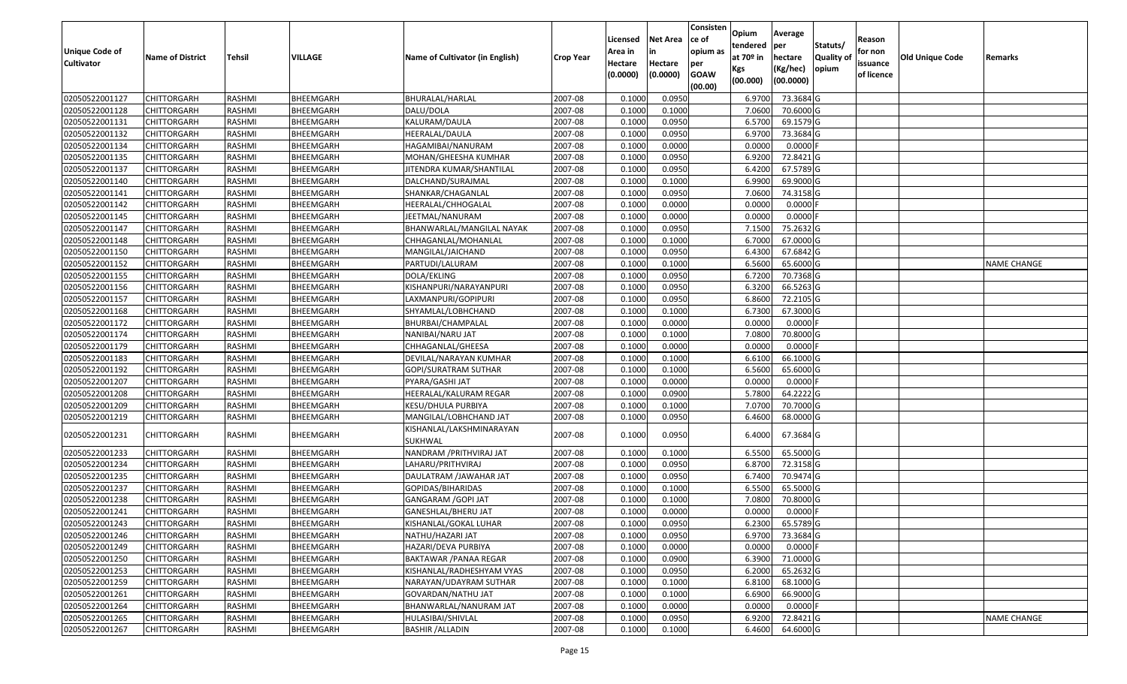| Unique Code of    | <b>Name of District</b> | Tehsil | VILLAGE          | Name of Cultivator (in English)     | <b>Crop Year</b> | Licensed<br>Area in | <b>Net Area</b><br>in | Consisten<br>ce of<br>opium as | Opium<br>tendered<br>at $70°$ in | Average<br>per<br>hectare | Statuts/<br><b>Quality o</b> | Reason<br>for non      | Old Unique Code | Remarks            |
|-------------------|-------------------------|--------|------------------|-------------------------------------|------------------|---------------------|-----------------------|--------------------------------|----------------------------------|---------------------------|------------------------------|------------------------|-----------------|--------------------|
| <b>Cultivator</b> |                         |        |                  |                                     |                  | Hectare<br>(0.0000) | Hectare<br>(0.0000)   | per<br><b>GOAW</b><br>(00.00)  | Kgs<br>(00.000)                  | (Kg/hec)<br>(00.0000)     | opium                        | issuance<br>of licence |                 |                    |
| 02050522001127    | CHITTORGARH             | RASHMI | BHEEMGARH        | BHURALAL/HARLAL                     | 2007-08          | 0.1000              | 0.0950                |                                | 6.9700                           | 73.3684 G                 |                              |                        |                 |                    |
| 02050522001128    | CHITTORGARH             | RASHMI | BHEEMGARH        | DALU/DOLA                           | 2007-08          | 0.1000              | 0.1000                |                                | 7.0600                           | 70.6000 G                 |                              |                        |                 |                    |
| 02050522001131    | CHITTORGARH             | RASHMI | BHEEMGARH        | KALURAM/DAULA                       | 2007-08          | 0.1000              | 0.0950                |                                | 6.5700                           | 69.1579 G                 |                              |                        |                 |                    |
| 02050522001132    | <b>CHITTORGARH</b>      | RASHMI | BHEEMGARH        | HEERALAL/DAULA                      | 2007-08          | 0.1000              | 0.0950                |                                | 6.9700                           | 73.3684 G                 |                              |                        |                 |                    |
| 02050522001134    | CHITTORGARH             | RASHMI | BHEEMGARH        | HAGAMIBAI/NANURAM                   | 2007-08          | 0.1000              | 0.0000                |                                | 0.0000                           | 0.0000F                   |                              |                        |                 |                    |
| 02050522001135    | CHITTORGARH             | RASHMI | <b>BHEEMGARH</b> | MOHAN/GHEESHA KUMHAR                | 2007-08          | 0.1000              | 0.0950                |                                | 6.9200                           | 72.8421G                  |                              |                        |                 |                    |
| 02050522001137    | CHITTORGARH             | RASHMI | BHEEMGARH        | IITENDRA KUMAR/SHANTILAL            | 2007-08          | 0.1000              | 0.0950                |                                | 6.4200                           | 67.5789 G                 |                              |                        |                 |                    |
| 02050522001140    | <b>CHITTORGARH</b>      | RASHMI | BHEEMGARH        | DALCHAND/SURAJMAL                   | 2007-08          | 0.1000              | 0.1000                |                                | 6.9900                           | 69.9000 G                 |                              |                        |                 |                    |
| 02050522001141    | CHITTORGARH             | RASHMI | BHEEMGARH        | SHANKAR/CHAGANLAL                   | 2007-08          | 0.1000              | 0.0950                |                                | 7.0600                           | 74.3158 G                 |                              |                        |                 |                    |
| 02050522001142    | CHITTORGARH             | RASHMI | BHEEMGARH        | HEERALAL/CHHOGALAL                  | 2007-08          | 0.1000              | 0.0000                |                                | 0.0000                           | $0.0000$ F                |                              |                        |                 |                    |
| 02050522001145    | CHITTORGARH             | RASHMI | BHEEMGARH        | JEETMAL/NANURAM                     | 2007-08          | 0.1000              | 0.0000                |                                | 0.0000                           | $0.0000$ F                |                              |                        |                 |                    |
| 02050522001147    | <b>CHITTORGARH</b>      | RASHMI | BHEEMGARH        | BHANWARLAL/MANGILAL NAYAK           | 2007-08          | 0.1000              | 0.0950                |                                | 7.1500                           | 75.2632 G                 |                              |                        |                 |                    |
| 02050522001148    | <b>CHITTORGARH</b>      | RASHMI | BHEEMGARH        | CHHAGANLAL/MOHANLAL                 | 2007-08          | 0.1000              | 0.1000                |                                | 6.7000                           | 67.0000 G                 |                              |                        |                 |                    |
| 02050522001150    | <b>CHITTORGARH</b>      | RASHMI | BHEEMGARH        | MANGILAL/JAICHAND                   | 2007-08          | 0.1000              | 0.0950                |                                | 6.4300                           | 67.6842 G                 |                              |                        |                 |                    |
| 02050522001152    | CHITTORGARH             | RASHMI | BHEEMGARH        | PARTUDI/LALURAM                     | 2007-08          | 0.1000              | 0.1000                |                                | 6.5600                           | 65.6000G                  |                              |                        |                 | <b>NAME CHANGE</b> |
| 02050522001155    | <b>CHITTORGARH</b>      | RASHMI | BHEEMGARH        | DOLA/EKLING                         | 2007-08          | 0.1000              | 0.0950                |                                | 6.7200                           | 70.7368 G                 |                              |                        |                 |                    |
| 02050522001156    | CHITTORGARH             | RASHMI | BHEEMGARH        | KISHANPURI/NARAYANPURI              | 2007-08          | 0.1000              | 0.0950                |                                | 6.3200                           | 66.5263 G                 |                              |                        |                 |                    |
| 02050522001157    | CHITTORGARH             | RASHMI | BHEEMGARH        | LAXMANPURI/GOPIPURI                 | 2007-08          | 0.1000              | 0.0950                |                                | 6.8600                           | 72.2105 G                 |                              |                        |                 |                    |
| 02050522001168    | CHITTORGARH             | RASHMI | BHEEMGARH        | SHYAMLAL/LOBHCHAND                  | 2007-08          | 0.100               | 0.1000                |                                | 6.7300                           | 67.3000 G                 |                              |                        |                 |                    |
| 02050522001172    | CHITTORGARH             | RASHMI | BHEEMGARH        | BHURBAI/CHAMPALAL                   | 2007-08          | 0.1000              | 0.0000                |                                | 0.0000                           | 0.0000                    |                              |                        |                 |                    |
| 02050522001174    | CHITTORGARH             | RASHMI | BHEEMGARH        | NANIBAI/NARU JAT                    | 2007-08          | 0.1000              | 0.1000                |                                | 7.0800                           | 70.8000 G                 |                              |                        |                 |                    |
| 02050522001179    | CHITTORGARH             | RASHMI | BHEEMGARH        | CHHAGANLAL/GHEESA                   | 2007-08          | 0.100               | 0.0000                |                                | 0.0000                           | 0.0000                    |                              |                        |                 |                    |
| 02050522001183    | CHITTORGARH             | RASHMI | BHEEMGARH        | DEVILAL/NARAYAN KUMHAR              | 2007-08          | 0.1000              | 0.1000                |                                | 6.6100                           | 66.1000 G                 |                              |                        |                 |                    |
| 02050522001192    | CHITTORGARH             | RASHMI | BHEEMGARH        | GOPI/SURATRAM SUTHAR                | 2007-08          | 0.100               | 0.1000                |                                | 6.5600                           | 65.6000 G                 |                              |                        |                 |                    |
| 02050522001207    | <b>CHITTORGARH</b>      | RASHMI | BHEEMGARH        | PYARA/GASHI JAT                     | 2007-08          | 0.100               | 0.0000                |                                | 0.0000                           | $0.0000$ F                |                              |                        |                 |                    |
| 02050522001208    | CHITTORGARH             | RASHMI | BHEEMGARH        | HEERALAL/KALURAM REGAR              | 2007-08          | 0.1000              | 0.0900                |                                | 5.7800                           | 64.2222 G                 |                              |                        |                 |                    |
| 02050522001209    | CHITTORGARH             | RASHMI | BHEEMGARH        | KESU/DHULA PURBIYA                  | 2007-08          | 0.1000              | 0.1000                |                                | 7.0700                           | 70.7000G                  |                              |                        |                 |                    |
| 02050522001219    | CHITTORGARH             | RASHMI | BHEEMGARH        | MANGILAL/LOBHCHAND JAT              | 2007-08          | 0.1000              | 0.0950                |                                | 6.4600                           | 68.0000 G                 |                              |                        |                 |                    |
| 02050522001231    | CHITTORGARH             | RASHMI | BHEEMGARH        | KISHANLAL/LAKSHMINARAYAN<br>SUKHWAL | 2007-08          | 0.1000              | 0.0950                |                                | 6.4000                           | 67.3684 G                 |                              |                        |                 |                    |
| 02050522001233    | CHITTORGARH             | RASHMI | BHEEMGARH        | NANDRAM / PRITHVIRAJ JAT            | 2007-08          | 0.1000              | 0.1000                |                                | 6.5500                           | 65.5000G                  |                              |                        |                 |                    |
| 02050522001234    | CHITTORGARH             | RASHMI | BHEEMGARH        | LAHARU/PRITHVIRAJ                   | 2007-08          | 0.1000              | 0.0950                |                                | 6.8700                           | 72.3158 G                 |                              |                        |                 |                    |
| 02050522001235    | CHITTORGARH             | RASHMI | BHEEMGARH        | DAULATRAM /JAWAHAR JAT              | 2007-08          | 0.1000              | 0.0950                |                                | 6.7400                           | 70.9474 G                 |                              |                        |                 |                    |
| 02050522001237    | <b>CHITTORGARH</b>      | RASHMI | BHEEMGARH        | GOPIDAS/BIHARIDAS                   | 2007-08          | 0.1000              | 0.1000                |                                | 6.5500                           | 65.5000 G                 |                              |                        |                 |                    |
| 02050522001238    | CHITTORGARH             | RASHMI | BHEEMGARH        | GANGARAM /GOPI JAT                  | 2007-08          | 0.1000              | 0.1000                |                                | 7.0800                           | 70.8000 G                 |                              |                        |                 |                    |
| 02050522001241    | CHITTORGARH             | RASHMI | BHEEMGARH        | GANESHLAL/BHERU JAT                 | 2007-08          | 0.1000              | 0.0000                |                                | 0.0000                           | 0.0000 F                  |                              |                        |                 |                    |
| 02050522001243    | <b>CHITTORGARH</b>      | RASHMI | BHEEMGARH        | KISHANLAL/GOKAL LUHAR               | 2007-08          | 0.1000              | 0.0950                |                                | 6.2300                           | 65.5789 G                 |                              |                        |                 |                    |
| 02050522001246    | <b>CHITTORGARH</b>      | RASHMI | BHEEMGARH        | NATHU/HAZARI JAT                    | 2007-08          | 0.1000              | 0.0950                |                                | 6.9700                           | 73.3684 G                 |                              |                        |                 |                    |
| 02050522001249    | <b>CHITTORGARH</b>      | RASHMI | BHEEMGARH        | HAZARI/DEVA PURBIYA                 | 2007-08          | 0.1000              | 0.0000                |                                | 0.0000                           | $0.0000$ F                |                              |                        |                 |                    |
| 02050522001250    | <b>CHITTORGARH</b>      | RASHMI | BHEEMGARH        | BAKTAWAR /PANAA REGAR               | 2007-08          | 0.1000              | 0.0900                |                                | 6.3900                           | 71.0000 G                 |                              |                        |                 |                    |
| 02050522001253    | CHITTORGARH             | RASHMI | BHEEMGARH        | KISHANLAL/RADHESHYAM VYAS           | 2007-08          | 0.1000              | 0.0950                |                                | 6.2000                           | 65.2632 G                 |                              |                        |                 |                    |
| 02050522001259    | <b>CHITTORGARH</b>      | RASHMI | BHEEMGARH        | NARAYAN/UDAYRAM SUTHAR              | 2007-08          | 0.1000              | 0.1000                |                                | 6.8100                           | 68.1000 G                 |                              |                        |                 |                    |
| 02050522001261    | <b>CHITTORGARH</b>      | RASHMI | BHEEMGARH        | GOVARDAN/NATHU JAT                  | 2007-08          | 0.1000              | 0.1000                |                                | 6.6900                           | 66.9000 G                 |                              |                        |                 |                    |
| 02050522001264    | CHITTORGARH             | RASHMI | BHEEMGARH        | BHANWARLAL/NANURAM JAT              | 2007-08          | 0.1000              | 0.0000                |                                | 0.0000                           | $0.0000$ F                |                              |                        |                 |                    |
| 02050522001265    | CHITTORGARH             | RASHMI | BHEEMGARH        | HULASIBAI/SHIVLAL                   | 2007-08          | 0.1000              | 0.0950                |                                | 6.9200                           | 72.8421 G                 |                              |                        |                 | <b>NAME CHANGE</b> |
| 02050522001267    | <b>CHITTORGARH</b>      | RASHMI | BHEEMGARH        | <b>BASHIR / ALLADIN</b>             | 2007-08          | 0.1000              | 0.1000                |                                | 6.4600                           | 64.6000 G                 |                              |                        |                 |                    |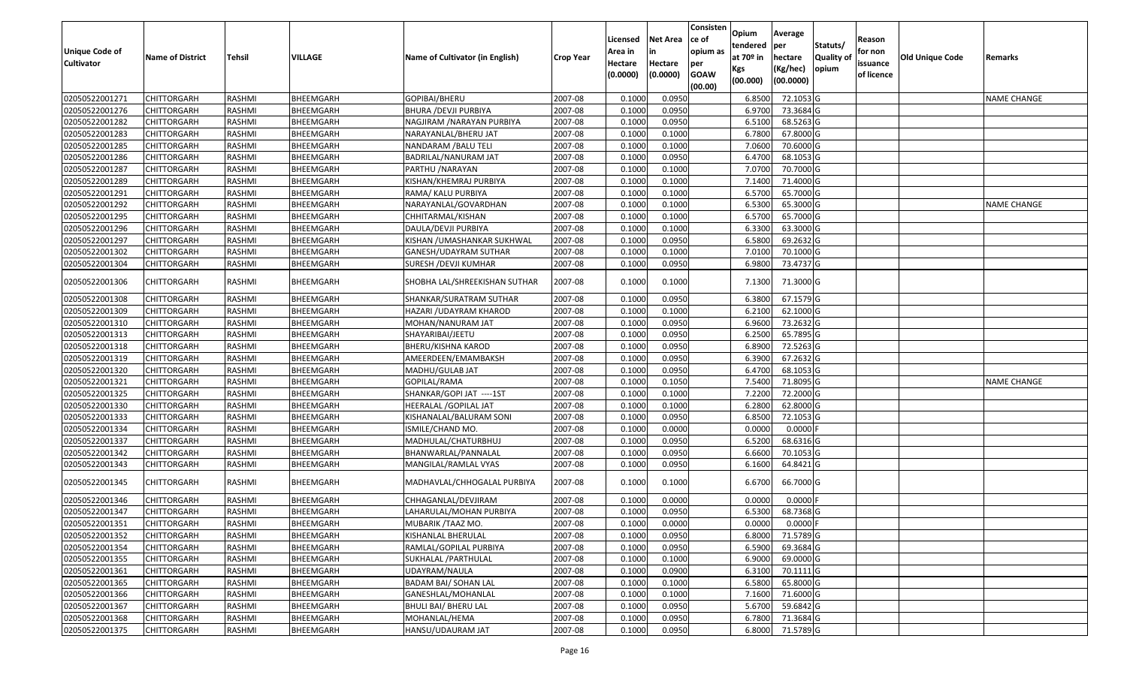| <b>Unique Code of</b><br><b>Cultivator</b> | <b>Name of District</b> | <b>Tehsil</b> | VILLAGE   | Name of Cultivator (in English) | <b>Crop Year</b> | Licensed<br>Area in<br>Hectare<br>(0.0000) | <b>Net Area</b><br>in<br>Hectare<br>(0.0000) | Consisten<br>ce of<br>opium as<br>per<br><b>GOAW</b><br>(00.00) | Opium<br>tendered<br>at 70º in<br>Kgs<br>(00.000) | Average<br>per<br>hectare<br>(Kg/hec)<br>(00.0000) | Statuts/<br><b>Quality of</b><br>opium | Reason<br>for non<br>issuance<br>of licence | Old Unique Code | Remarks            |
|--------------------------------------------|-------------------------|---------------|-----------|---------------------------------|------------------|--------------------------------------------|----------------------------------------------|-----------------------------------------------------------------|---------------------------------------------------|----------------------------------------------------|----------------------------------------|---------------------------------------------|-----------------|--------------------|
| 02050522001271                             | <b>CHITTORGARH</b>      | RASHMI        | BHEEMGARH | GOPIBAI/BHERU                   | 2007-08          | 0.1000                                     | 0.0950                                       |                                                                 | 6.8500                                            | 72.1053 G                                          |                                        |                                             |                 | <b>NAME CHANGE</b> |
| 02050522001276                             | <b>CHITTORGARH</b>      | RASHMI        | BHEEMGARH | BHURA /DEVJI PURBIYA            | 2007-08          | 0.1000                                     | 0.0950                                       |                                                                 | 6.9700                                            | 73.3684 G                                          |                                        |                                             |                 |                    |
| 02050522001282                             | <b>CHITTORGARH</b>      | RASHMI        | BHEEMGARH | NAGJIRAM /NARAYAN PURBIYA       | 2007-08          | 0.1000                                     | 0.0950                                       |                                                                 | 6.5100                                            | 68.5263 G                                          |                                        |                                             |                 |                    |
| 02050522001283                             | <b>CHITTORGARH</b>      | RASHMI        | BHEEMGARH | NARAYANLAL/BHERU JAT            | 2007-08          | 0.1000                                     | 0.1000                                       |                                                                 | 6.7800                                            | 67.8000 G                                          |                                        |                                             |                 |                    |
| 02050522001285                             | <b>CHITTORGARH</b>      | RASHMI        | BHEEMGARH | NANDARAM / BALU TELI            | 2007-08          | 0.1000                                     | 0.1000                                       |                                                                 | 7.0600                                            | 70.6000 G                                          |                                        |                                             |                 |                    |
| 02050522001286                             | <b>CHITTORGARH</b>      | RASHMI        | BHEEMGARH | BADRILAL/NANURAM JAT            | 2007-08          | 0.1000                                     | 0.0950                                       |                                                                 | 6.4700                                            | 68.1053 G                                          |                                        |                                             |                 |                    |
| 02050522001287                             | <b>CHITTORGARH</b>      | RASHMI        | BHEEMGARH | PARTHU /NARAYAN                 | 2007-08          | 0.1000                                     | 0.1000                                       |                                                                 | 7.0700                                            | 70.7000 G                                          |                                        |                                             |                 |                    |
| 02050522001289                             | <b>CHITTORGARH</b>      | RASHMI        | BHEEMGARH | KISHAN/KHEMRAJ PURBIYA          | 2007-08          | 0.1000                                     | 0.1000                                       |                                                                 | 7.1400                                            | 71.4000 G                                          |                                        |                                             |                 |                    |
| 02050522001291                             | <b>CHITTORGARH</b>      | RASHMI        | BHEEMGARH | RAMA/ KALU PURBIYA              | 2007-08          | 0.1000                                     | 0.1000                                       |                                                                 | 6.5700                                            | 65.7000 G                                          |                                        |                                             |                 |                    |
| 02050522001292                             | <b>CHITTORGARH</b>      | RASHMI        | BHEEMGARH | NARAYANLAL/GOVARDHAN            | 2007-08          | 0.1000                                     | 0.1000                                       |                                                                 | 6.5300                                            | 65.3000 G                                          |                                        |                                             |                 | NAME CHANGE        |
| 02050522001295                             | <b>CHITTORGARH</b>      | RASHMI        | BHEEMGARH | CHHITARMAL/KISHAN               | 2007-08          | 0.1000                                     | 0.1000                                       |                                                                 | 6.5700                                            | 65.7000 G                                          |                                        |                                             |                 |                    |
| 02050522001296                             | <b>CHITTORGARH</b>      | RASHMI        | BHEEMGARH | DAULA/DEVJI PURBIYA             | 2007-08          | 0.1000                                     | 0.1000                                       |                                                                 | 6.3300                                            | 63.3000 G                                          |                                        |                                             |                 |                    |
| 02050522001297                             | <b>CHITTORGARH</b>      | RASHMI        | BHEEMGARH | KISHAN /UMASHANKAR SUKHWAL      | 2007-08          | 0.1000                                     | 0.0950                                       |                                                                 | 6.5800                                            | 69.2632 G                                          |                                        |                                             |                 |                    |
| 02050522001302                             | <b>CHITTORGARH</b>      | RASHMI        | BHEEMGARH | GANESH/UDAYRAM SUTHAR           | 2007-08          | 0.1000                                     | 0.1000                                       |                                                                 | 7.0100                                            | 70.1000 G                                          |                                        |                                             |                 |                    |
| 02050522001304                             | <b>CHITTORGARH</b>      | RASHMI        | BHEEMGARH | SURESH / DEVJI KUMHAR           | 2007-08          | 0.1000                                     | 0.0950                                       |                                                                 | 6.9800                                            | 73.4737 G                                          |                                        |                                             |                 |                    |
| 02050522001306                             | <b>CHITTORGARH</b>      | RASHMI        | BHEEMGARH | SHOBHA LAL/SHREEKISHAN SUTHAR   | 2007-08          | 0.1000                                     | 0.1000                                       |                                                                 | 7.1300                                            | 71.3000 G                                          |                                        |                                             |                 |                    |
| 02050522001308                             | <b>CHITTORGARH</b>      | RASHMI        | BHEEMGARH | SHANKAR/SURATRAM SUTHAR         | 2007-08          | 0.1000                                     | 0.0950                                       |                                                                 | 6.3800                                            | 67.1579 G                                          |                                        |                                             |                 |                    |
| 02050522001309                             | <b>CHITTORGARH</b>      | RASHMI        | BHEEMGARH | HAZARI / UDAYRAM KHAROD         | 2007-08          | 0.1000                                     | 0.1000                                       |                                                                 | 6.2100                                            | 62.1000 G                                          |                                        |                                             |                 |                    |
| 02050522001310                             | <b>CHITTORGARH</b>      | RASHMI        | BHEEMGARH | MOHAN/NANURAM JAT               | 2007-08          | 0.1000                                     | 0.0950                                       |                                                                 | 6.9600                                            | 73.2632 G                                          |                                        |                                             |                 |                    |
| 02050522001313                             | <b>CHITTORGARH</b>      | RASHMI        | BHEEMGARH | SHAYARIBAI/JEETU                | 2007-08          | 0.1000                                     | 0.0950                                       |                                                                 | 6.2500                                            | 65.7895 G                                          |                                        |                                             |                 |                    |
| 02050522001318                             | <b>CHITTORGARH</b>      | RASHMI        | BHEEMGARH | BHERU/KISHNA KAROD              | 2007-08          | 0.1000                                     | 0.0950                                       |                                                                 | 6.8900                                            | $72.5263$ G                                        |                                        |                                             |                 |                    |
| 02050522001319                             | <b>CHITTORGARH</b>      | RASHMI        | BHEEMGARH | AMEERDEEN/EMAMBAKSH             | 2007-08          | 0.1000                                     | 0.0950                                       |                                                                 | 6.3900                                            | 67.2632 G                                          |                                        |                                             |                 |                    |
| 02050522001320                             | <b>CHITTORGARH</b>      | RASHMI        | BHEEMGARH | MADHU/GULAB JAT                 | 2007-08          | 0.1000                                     | 0.0950                                       |                                                                 | 6.4700                                            | 68.1053 G                                          |                                        |                                             |                 |                    |
| 02050522001321                             | <b>CHITTORGARH</b>      | RASHMI        | BHEEMGARH | GOPILAL/RAMA                    | 2007-08          | 0.1000                                     | 0.1050                                       |                                                                 | 7.5400                                            | 71.8095 G                                          |                                        |                                             |                 | <b>NAME CHANGE</b> |
| 02050522001325                             | <b>CHITTORGARH</b>      | RASHMI        | BHEEMGARH | SHANKAR/GOPI JAT ----1ST        | 2007-08          | 0.1000                                     | 0.1000                                       |                                                                 | 7.2200                                            | 72.2000 G                                          |                                        |                                             |                 |                    |
| 02050522001330                             | <b>CHITTORGARH</b>      | RASHMI        | BHEEMGARH | HEERALAL / GOPILAL JAT          | 2007-08          | 0.1000                                     | 0.1000                                       |                                                                 | 6.2800                                            | 62.8000 G                                          |                                        |                                             |                 |                    |
| 02050522001333                             | <b>CHITTORGARH</b>      | RASHMI        | BHEEMGARH | KISHANALAL/BALURAM SONI         | 2007-08          | 0.1000                                     | 0.0950                                       |                                                                 | 6.8500                                            | 72.1053 G                                          |                                        |                                             |                 |                    |
| 02050522001334                             | <b>CHITTORGARH</b>      | RASHMI        | BHEEMGARH | ISMILE/CHAND MO                 | 2007-08          | 0.1000                                     | 0.0000                                       |                                                                 | 0.0000                                            | $0.0000$ F                                         |                                        |                                             |                 |                    |
| 02050522001337                             | <b>CHITTORGARH</b>      | RASHMI        | BHEEMGARH | MADHULAL/CHATURBHUJ             | 2007-08          | 0.1000                                     | 0.0950                                       |                                                                 | 6.5200                                            | 68.6316 G                                          |                                        |                                             |                 |                    |
| 02050522001342                             | <b>CHITTORGARH</b>      | RASHMI        | BHEEMGARH | BHANWARLAL/PANNALAL             | 2007-08          | 0.1000                                     | 0.0950                                       |                                                                 | 6.6600                                            | 70.1053 G                                          |                                        |                                             |                 |                    |
| 02050522001343                             | <b>CHITTORGARH</b>      | RASHMI        | BHEEMGARH | MANGILAL/RAMLAL VYAS            | 2007-08          | 0.1000                                     | 0.0950                                       |                                                                 | 6.1600                                            | 64.8421 G                                          |                                        |                                             |                 |                    |
| 02050522001345                             | <b>CHITTORGARH</b>      | RASHMI        | BHEEMGARH | MADHAVLAL/CHHOGALAL PURBIYA     | 2007-08          | 0.1000                                     | 0.1000                                       |                                                                 | 6.6700                                            | 66.7000 G                                          |                                        |                                             |                 |                    |
| 02050522001346                             | <b>CHITTORGARH</b>      | RASHMI        | BHEEMGARH | CHHAGANLAL/DEVJIRAM             | 2007-08          | 0.1000                                     | 0.0000                                       |                                                                 | 0.0000                                            | $0.0000$ F                                         |                                        |                                             |                 |                    |
| 02050522001347                             | <b>CHITTORGARH</b>      | RASHMI        | BHEEMGARH | LAHARULAL/MOHAN PURBIYA         | 2007-08          | 0.1000                                     | 0.0950                                       |                                                                 | 6.5300                                            | 68.7368 G                                          |                                        |                                             |                 |                    |
| 02050522001351                             | CHITTORGARH             | RASHMI        | BHEEMGARH | MUBARIK / TAAZ MO.              | 2007-08          | 0.1000                                     | 0.0000                                       |                                                                 | 0.0000                                            | $0.0000$ F                                         |                                        |                                             |                 |                    |
| 02050522001352                             | CHITTORGARH             | RASHMI        | BHEEMGARH | KISHANLAL BHERULAL              | 2007-08          | 0.1000                                     | 0.0950                                       |                                                                 | 6.8000                                            | 71.5789 G                                          |                                        |                                             |                 |                    |
| 02050522001354                             | <b>CHITTORGARH</b>      | RASHMI        | BHEEMGARH | RAMLAL/GOPILAL PURBIYA          | 2007-08          | 0.1000                                     | 0.0950                                       |                                                                 | 6.5900                                            | 69.3684 G                                          |                                        |                                             |                 |                    |
| 02050522001355                             | <b>CHITTORGARH</b>      | RASHMI        | BHEEMGARH | SUKHALAL /PARTHULAL             | 2007-08          | 0.1000                                     | 0.1000                                       |                                                                 | 6.9000                                            | 69.0000 G                                          |                                        |                                             |                 |                    |
| 02050522001361                             | <b>CHITTORGARH</b>      | RASHMI        | BHEEMGARH | UDAYRAM/NAULA                   | 2007-08          | 0.1000                                     | 0.0900                                       |                                                                 | 6.3100                                            | 70.1111 G                                          |                                        |                                             |                 |                    |
| 02050522001365                             | <b>CHITTORGARH</b>      | RASHMI        | BHEEMGARH | <b>BADAM BAI/ SOHAN LAL</b>     | 2007-08          | 0.1000                                     | 0.1000                                       |                                                                 | 6.5800                                            | 65.8000 G                                          |                                        |                                             |                 |                    |
| 02050522001366                             | <b>CHITTORGARH</b>      | RASHMI        | BHEEMGARH | GANESHLAL/MOHANLAL              | 2007-08          | 0.1000                                     | 0.1000                                       |                                                                 | 7.1600                                            | 71.6000 G                                          |                                        |                                             |                 |                    |
| 02050522001367                             | <b>CHITTORGARH</b>      | RASHMI        | BHEEMGARH | <b>BHULI BAI/ BHERU LAL</b>     | 2007-08          | 0.1000                                     | 0.0950                                       |                                                                 | 5.6700                                            | 59.6842 G                                          |                                        |                                             |                 |                    |
| 02050522001368                             | <b>CHITTORGARH</b>      | RASHMI        | BHEEMGARH | MOHANLAL/HEMA                   | 2007-08          | 0.1000                                     | 0.0950                                       |                                                                 | 6.7800                                            | 71.3684 G                                          |                                        |                                             |                 |                    |
| 02050522001375                             | <b>CHITTORGARH</b>      | RASHMI        | BHEEMGARH | HANSU/UDAURAM JAT               | 2007-08          | 0.1000                                     | 0.0950                                       |                                                                 |                                                   | 6.8000 71.5789 G                                   |                                        |                                             |                 |                    |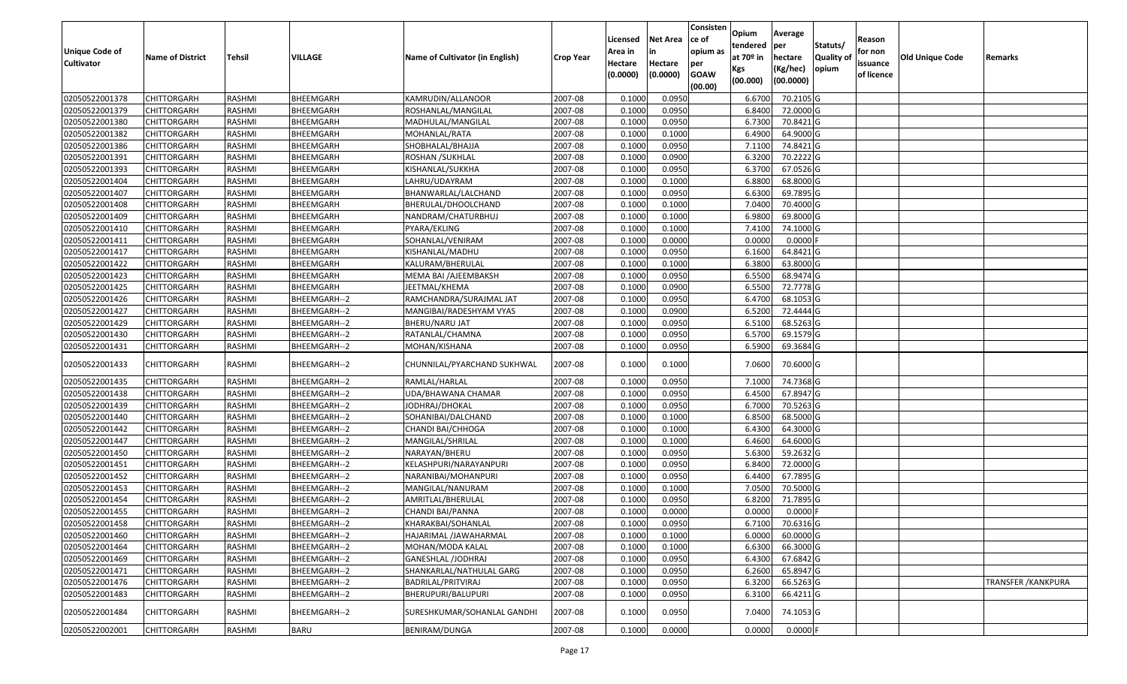| (00.0000)<br>(00.000)<br>(00.00)<br>02050522001378<br><b>CHITTORGARH</b><br>RASHMI<br>BHEEMGARH<br>KAMRUDIN/ALLANOOR<br>0.1000<br>0.0950<br>70.2105 G<br>2007-08<br>6.6700<br>02050522001379<br>0.1000<br>0.0950<br>6.8400<br>72.0000 G<br><b>CHITTORGARH</b><br>RASHMI<br>BHEEMGARH<br>ROSHANLAL/MANGILAL<br>2007-08<br>02050522001380<br>2007-08<br>0.1000<br>0.0950<br>6.7300<br>70.8421 G<br><b>CHITTORGARH</b><br>RASHMI<br>BHEEMGARH<br>MADHULAL/MANGILAL<br>02050522001382<br><b>CHITTORGARH</b><br>RASHMI<br>BHEEMGARH<br>MOHANLAL/RATA<br>2007-08<br>0.1000<br>0.1000<br>6.4900<br>64.9000 G<br>02050522001386<br>RASHMI<br>2007-08<br>0.1000<br>0.0950<br>74.8421 G<br><b>CHITTORGARH</b><br>BHEEMGARH<br>SHOBHALAL/BHAJJA<br>7.1100<br>02050522001391<br>RASHMI<br>BHEEMGARH<br>ROSHAN / SUKHLAL<br>2007-08<br>0.1000<br>0.0900<br>6.3200<br>70.2222 G<br><b>CHITTORGARH</b><br>0.1000<br>0.0950<br>6.3700<br>67.0526 G<br>02050522001393<br>RASHMI<br>BHEEMGARH<br>2007-08<br>CHITTORGARH<br>KISHANLAL/SUKKHA<br>02050522001404<br><b>RASHMI</b><br>BHEEMGARH<br>2007-08<br>0.1000<br>0.1000<br>6.8800<br>68.8000 G<br><b>CHITTORGARH</b><br>LAHRU/UDAYRAM<br>02050522001407<br><b>RASHMI</b><br>BHEEMGARH<br>2007-08<br>0.1000<br>0.0950<br>6.6300<br>69.7895 G<br><b>CHITTORGARH</b><br>BHANWARLAL/LALCHAND<br>02050522001408<br>RASHMI<br>BHEEMGARH<br>2007-08<br>0.1000<br>0.1000<br>7.0400<br>70.4000 G<br><b>CHITTORGARH</b><br>BHERULAL/DHOOLCHAND<br>0.1000<br>02050522001409<br>RASHMI<br>0.1000<br>6.9800<br>69.8000 G<br><b>CHITTORGARH</b><br>BHEEMGARH<br>NANDRAM/CHATURBHUJ<br>2007-08<br>02050522001410<br>RASHMI<br>BHEEMGARH<br>2007-08<br>0.1000<br>0.1000<br>74.1000 G<br><b>CHITTORGARH</b><br>PYARA/EKLING<br>7.4100<br>02050522001411<br>RASHMI<br>0.1000<br>0.0000<br>0.0000<br>0.0000<br><b>CHITTORGARH</b><br>BHEEMGARH<br>SOHANLAL/VENIRAM<br>2007-08<br>02050522001417<br>RASHMI<br>2007-08<br>0.1000<br>0.0950<br>6.1600<br>64.8421 G<br><b>CHITTORGARH</b><br>BHEEMGARH<br>KISHANLAL/MADHU<br>0.1000<br>6.3800<br>02050522001422<br>RASHMI<br>BHEEMGARH<br>KALURAM/BHERULAL<br>2007-08<br>0.1000<br>63.8000 G<br>CHITTORGARH<br>02050522001423<br>RASHMI<br>BHEEMGARH<br>2007-08<br>0.1000<br>0.0950<br>6.5500<br>68.9474 G<br><b>CHITTORGARH</b><br>MEMA BAI / AJEEMBAKSH<br>02050522001425<br>RASHMI<br>BHEEMGARH<br>2007-08<br>0.1000<br>0.0900<br>6.5500<br>72.7778 G<br><b>CHITTORGARH</b><br>JEETMAL/KHEMA<br>02050522001426<br>RASHMI<br>BHEEMGARH--2<br>2007-08<br>0.1000<br>0.0950<br>68.1053 G<br><b>CHITTORGARH</b><br>RAMCHANDRA/SURAJMAL JAT<br>6.4700<br>02050522001427<br>0.1000<br>0.0900<br>6.5200<br>72.4444 G<br><b>CHITTORGARH</b><br>RASHMI<br>BHEEMGARH--2<br>MANGIBAI/RADESHYAM VYAS<br>2007-08<br>02050522001429<br>RASHMI<br>2007-08<br>0.1000<br>0.0950<br>6.5100<br>68.5263 G<br><b>CHITTORGARH</b><br>BHEEMGARH--2<br>BHERU/NARU JAT<br>02050522001430<br>RASHMI<br>BHEEMGARH--2<br>2007-08<br>0.1000<br>0.0950<br>6.5700<br>69.1579 G<br><b>CHITTORGARH</b><br>RATANLAL/CHAMNA<br>RASHMI<br>0.1000<br>6.5900<br>69.3684 G<br>02050522001431<br><b>CHITTORGARH</b><br>BHEEMGARH--2<br>MOHAN/KISHANA<br>2007-08<br>0.0950<br>2007-08<br>02050522001433<br><b>CHITTORGARH</b><br>RASHMI<br>BHEEMGARH--2<br>CHUNNILAL/PYARCHAND SUKHWAL<br>0.1000<br>0.1000<br>7.0600<br>70.6000 G<br>RASHMI<br>2007-08<br>0.1000<br>0.0950<br>7.1000<br>74.7368 G<br>02050522001435<br><b>CHITTORGARH</b><br>BHEEMGARH--2<br>RAMLAL/HARLAL<br>02050522001438<br>RASHMI<br>2007-08<br>0.1000<br>0.0950<br>67.8947 G<br><b>CHITTORGARH</b><br>BHEEMGARH--2<br>UDA/BHAWANA CHAMAR<br>6.4500<br>02050522001439<br>BHEEMGARH--2<br>2007-08<br>0.1000<br>0.0950<br>6.7000<br>70.5263 G<br><b>CHITTORGARH</b><br>RASHMI<br>JODHRAJ/DHOKAL<br>0.1000<br>0.1000<br>68.5000 G<br>02050522001440<br><b>CHITTORGARH</b><br>RASHMI<br>BHEEMGARH--2<br>2007-08<br>6.8500<br>SOHANIBAI/DALCHAND<br>02050522001442<br>0.1000<br>64.3000 G<br><b>CHITTORGARH</b><br><b>RASHMI</b><br>BHEEMGARH--2<br>CHANDI BAI/CHHOGA<br>2007-08<br>0.1000<br>6.4300<br>02050522001447<br>RASHMI<br>BHEEMGARH--2<br>2007-08<br>0.1000<br>64.6000 G<br><b>CHITTORGARH</b><br>MANGILAL/SHRILAL<br>0.1000<br>6.4600<br>02050522001450<br>RASHMI<br>2007-08<br>0.1000<br>0.0950<br>5.6300<br>59.2632 G<br><b>CHITTORGARH</b><br>BHEEMGARH--2<br>NARAYAN/BHERU<br>2007-08<br>0.1000<br>0.0950<br>72.0000 G<br>02050522001451<br>RASHMI<br>BHEEMGARH--2<br>KELASHPURI/NARAYANPURI<br>6.8400<br>CHITTORGARH<br>02050522001452<br>RASHMI<br>BHEEMGARH--2<br>2007-08<br>0.1000<br>0.0950<br>6.4400<br>67.7895 G<br><b>CHITTORGARH</b><br>NARANIBAI/MOHANPURI<br>02050522001453<br>RASHMI<br>BHEEMGARH--2<br>2007-08<br>0.1000<br>0.1000<br>7.0500<br>70.5000 G<br><b>CHITTORGARH</b><br>MANGILAL/NANURAM<br>02050522001454<br>RASHMI<br>0.1000<br>0.0950<br>71.7895 G<br><b>CHITTORGARH</b><br>BHEEMGARH--2<br>AMRITLAL/BHERULAL<br>2007-08<br>6.8200<br>0.1000<br>0.0000<br>0.0000<br>02050522001455<br>RASHMI<br>2007-08<br>0.0000<br><b>CHITTORGARH</b><br>BHEEMGARH--2<br>CHANDI BAI/PANNA<br>02050522001458<br><b>CHITTORGARH</b><br>RASHMI<br>2007-08<br>0.1000<br>0.0950<br>6.7100<br>70.6316 G<br>BHEEMGARH--2<br>KHARAKBAI/SOHANLAL<br>6.0000<br>60.0000 G<br>02050522001460<br><b>CHITTORGARH</b><br>RASHMI<br>BHEEMGARH--2<br>HAJARIMAL /JAWAHARMAL<br>2007-08<br>0.1000<br>0.1000<br>02050522001464<br>66.3000 G<br><b>CHITTORGARH</b><br>RASHMI<br>BHEEMGARH--2<br>MOHAN/MODA KALAL<br>2007-08<br>0.1000<br>0.1000<br>6.6300<br>02050522001469<br>0.0950<br>67.6842 G<br>BHEEMGARH--2<br>2007-08<br>0.1000<br>6.4300<br><b>CHITTORGARH</b><br>RASHMI<br>GANESHLAL /JODHRAJ<br>02050522001471<br>0.0950<br>65.8947 G<br><b>CHITTORGARH</b><br>RASHMI<br>BHEEMGARH--2<br>2007-08<br>0.1000<br>6.2600<br>SHANKARLAL/NATHULAL GARG<br>02050522001476<br>0.1000<br>0.0950<br>6.3200<br>66.5263 G<br><b>CHITTORGARH</b><br>RASHMI<br>BHEEMGARH--2<br>BADRILAL/PRITVIRAJ<br>2007-08<br><b>TRANSFER / KANKPURA</b><br>02050522001483<br>RASHMI<br>BHERUPURI/BALUPURI<br>2007-08<br>0.1000<br>0.0950<br>6.3100<br>66.4211 G<br><b>CHITTORGARH</b><br>BHEEMGARH--2<br>02050522001484<br>2007-08<br>0.1000<br>0.0950<br>7.0400<br><b>CHITTORGARH</b><br>RASHMI<br>BHEEMGARH--2<br>SURESHKUMAR/SOHANLAL GANDHI<br>74.1053 G<br>$0.0000$ F | <b>Unique Code of</b><br><b>Cultivator</b> | <b>Name of District</b> | <b>Tehsil</b> | VILLAGE     | Name of Cultivator (in English) | <b>Crop Year</b> | Licensed<br>Area in<br>Hectare<br>(0.0000) | <b>Net Area</b><br>in<br>Hectare<br>(0.0000) | Consisten<br>lce of<br>opium as<br>per<br><b>GOAW</b> | Opium<br>tendered<br>at 70º in<br>Kgs | Average<br>per<br>hectare<br>(Kg/hec) | Statuts/<br>Quality of<br>opium | Reason<br>for non<br>issuance<br>of licence | Old Unique Code | Remarks |
|------------------------------------------------------------------------------------------------------------------------------------------------------------------------------------------------------------------------------------------------------------------------------------------------------------------------------------------------------------------------------------------------------------------------------------------------------------------------------------------------------------------------------------------------------------------------------------------------------------------------------------------------------------------------------------------------------------------------------------------------------------------------------------------------------------------------------------------------------------------------------------------------------------------------------------------------------------------------------------------------------------------------------------------------------------------------------------------------------------------------------------------------------------------------------------------------------------------------------------------------------------------------------------------------------------------------------------------------------------------------------------------------------------------------------------------------------------------------------------------------------------------------------------------------------------------------------------------------------------------------------------------------------------------------------------------------------------------------------------------------------------------------------------------------------------------------------------------------------------------------------------------------------------------------------------------------------------------------------------------------------------------------------------------------------------------------------------------------------------------------------------------------------------------------------------------------------------------------------------------------------------------------------------------------------------------------------------------------------------------------------------------------------------------------------------------------------------------------------------------------------------------------------------------------------------------------------------------------------------------------------------------------------------------------------------------------------------------------------------------------------------------------------------------------------------------------------------------------------------------------------------------------------------------------------------------------------------------------------------------------------------------------------------------------------------------------------------------------------------------------------------------------------------------------------------------------------------------------------------------------------------------------------------------------------------------------------------------------------------------------------------------------------------------------------------------------------------------------------------------------------------------------------------------------------------------------------------------------------------------------------------------------------------------------------------------------------------------------------------------------------------------------------------------------------------------------------------------------------------------------------------------------------------------------------------------------------------------------------------------------------------------------------------------------------------------------------------------------------------------------------------------------------------------------------------------------------------------------------------------------------------------------------------------------------------------------------------------------------------------------------------------------------------------------------------------------------------------------------------------------------------------------------------------------------------------------------------------------------------------------------------------------------------------------------------------------------------------------------------------------------------------------------------------------------------------------------------------------------------------------------------------------------------------------------------------------------------------------------------------------------------------------------------------------------------------------------------------------------------------------------------------------------------------------------------------------------------------------------------------------------------------------------------------------------------------------------------------------------------------------------------------------------------------------------------------------------------------------------------------------------------------------------------------------------------------------------------------------------------------------------------------------------------------------------------------------------------------------------------------------------------------------------------------------------------------------------------------------------------------------------------------------------------------------------------------------------------------------------------------------------------------------------------------------------------------------------------------------------------------------------------------------------------------------------------------------------------------------------------------------------------------------------------------------------------------------------------------------------|--------------------------------------------|-------------------------|---------------|-------------|---------------------------------|------------------|--------------------------------------------|----------------------------------------------|-------------------------------------------------------|---------------------------------------|---------------------------------------|---------------------------------|---------------------------------------------|-----------------|---------|
|                                                                                                                                                                                                                                                                                                                                                                                                                                                                                                                                                                                                                                                                                                                                                                                                                                                                                                                                                                                                                                                                                                                                                                                                                                                                                                                                                                                                                                                                                                                                                                                                                                                                                                                                                                                                                                                                                                                                                                                                                                                                                                                                                                                                                                                                                                                                                                                                                                                                                                                                                                                                                                                                                                                                                                                                                                                                                                                                                                                                                                                                                                                                                                                                                                                                                                                                                                                                                                                                                                                                                                                                                                                                                                                                                                                                                                                                                                                                                                                                                                                                                                                                                                                                                                                                                                                                                                                                                                                                                                                                                                                                                                                                                                                                                                                                                                                                                                                                                                                                                                                                                                                                                                                                                                                                                                                                                                                                                                                                                                                                                                                                                                                                                                                                                                                                                                                                                                                                                                                                                                                                                                                                                                                                                                                                                                                                                      |                                            |                         |               |             |                                 |                  |                                            |                                              |                                                       |                                       |                                       |                                 |                                             |                 |         |
|                                                                                                                                                                                                                                                                                                                                                                                                                                                                                                                                                                                                                                                                                                                                                                                                                                                                                                                                                                                                                                                                                                                                                                                                                                                                                                                                                                                                                                                                                                                                                                                                                                                                                                                                                                                                                                                                                                                                                                                                                                                                                                                                                                                                                                                                                                                                                                                                                                                                                                                                                                                                                                                                                                                                                                                                                                                                                                                                                                                                                                                                                                                                                                                                                                                                                                                                                                                                                                                                                                                                                                                                                                                                                                                                                                                                                                                                                                                                                                                                                                                                                                                                                                                                                                                                                                                                                                                                                                                                                                                                                                                                                                                                                                                                                                                                                                                                                                                                                                                                                                                                                                                                                                                                                                                                                                                                                                                                                                                                                                                                                                                                                                                                                                                                                                                                                                                                                                                                                                                                                                                                                                                                                                                                                                                                                                                                                      |                                            |                         |               |             |                                 |                  |                                            |                                              |                                                       |                                       |                                       |                                 |                                             |                 |         |
|                                                                                                                                                                                                                                                                                                                                                                                                                                                                                                                                                                                                                                                                                                                                                                                                                                                                                                                                                                                                                                                                                                                                                                                                                                                                                                                                                                                                                                                                                                                                                                                                                                                                                                                                                                                                                                                                                                                                                                                                                                                                                                                                                                                                                                                                                                                                                                                                                                                                                                                                                                                                                                                                                                                                                                                                                                                                                                                                                                                                                                                                                                                                                                                                                                                                                                                                                                                                                                                                                                                                                                                                                                                                                                                                                                                                                                                                                                                                                                                                                                                                                                                                                                                                                                                                                                                                                                                                                                                                                                                                                                                                                                                                                                                                                                                                                                                                                                                                                                                                                                                                                                                                                                                                                                                                                                                                                                                                                                                                                                                                                                                                                                                                                                                                                                                                                                                                                                                                                                                                                                                                                                                                                                                                                                                                                                                                                      |                                            |                         |               |             |                                 |                  |                                            |                                              |                                                       |                                       |                                       |                                 |                                             |                 |         |
|                                                                                                                                                                                                                                                                                                                                                                                                                                                                                                                                                                                                                                                                                                                                                                                                                                                                                                                                                                                                                                                                                                                                                                                                                                                                                                                                                                                                                                                                                                                                                                                                                                                                                                                                                                                                                                                                                                                                                                                                                                                                                                                                                                                                                                                                                                                                                                                                                                                                                                                                                                                                                                                                                                                                                                                                                                                                                                                                                                                                                                                                                                                                                                                                                                                                                                                                                                                                                                                                                                                                                                                                                                                                                                                                                                                                                                                                                                                                                                                                                                                                                                                                                                                                                                                                                                                                                                                                                                                                                                                                                                                                                                                                                                                                                                                                                                                                                                                                                                                                                                                                                                                                                                                                                                                                                                                                                                                                                                                                                                                                                                                                                                                                                                                                                                                                                                                                                                                                                                                                                                                                                                                                                                                                                                                                                                                                                      |                                            |                         |               |             |                                 |                  |                                            |                                              |                                                       |                                       |                                       |                                 |                                             |                 |         |
|                                                                                                                                                                                                                                                                                                                                                                                                                                                                                                                                                                                                                                                                                                                                                                                                                                                                                                                                                                                                                                                                                                                                                                                                                                                                                                                                                                                                                                                                                                                                                                                                                                                                                                                                                                                                                                                                                                                                                                                                                                                                                                                                                                                                                                                                                                                                                                                                                                                                                                                                                                                                                                                                                                                                                                                                                                                                                                                                                                                                                                                                                                                                                                                                                                                                                                                                                                                                                                                                                                                                                                                                                                                                                                                                                                                                                                                                                                                                                                                                                                                                                                                                                                                                                                                                                                                                                                                                                                                                                                                                                                                                                                                                                                                                                                                                                                                                                                                                                                                                                                                                                                                                                                                                                                                                                                                                                                                                                                                                                                                                                                                                                                                                                                                                                                                                                                                                                                                                                                                                                                                                                                                                                                                                                                                                                                                                                      |                                            |                         |               |             |                                 |                  |                                            |                                              |                                                       |                                       |                                       |                                 |                                             |                 |         |
|                                                                                                                                                                                                                                                                                                                                                                                                                                                                                                                                                                                                                                                                                                                                                                                                                                                                                                                                                                                                                                                                                                                                                                                                                                                                                                                                                                                                                                                                                                                                                                                                                                                                                                                                                                                                                                                                                                                                                                                                                                                                                                                                                                                                                                                                                                                                                                                                                                                                                                                                                                                                                                                                                                                                                                                                                                                                                                                                                                                                                                                                                                                                                                                                                                                                                                                                                                                                                                                                                                                                                                                                                                                                                                                                                                                                                                                                                                                                                                                                                                                                                                                                                                                                                                                                                                                                                                                                                                                                                                                                                                                                                                                                                                                                                                                                                                                                                                                                                                                                                                                                                                                                                                                                                                                                                                                                                                                                                                                                                                                                                                                                                                                                                                                                                                                                                                                                                                                                                                                                                                                                                                                                                                                                                                                                                                                                                      |                                            |                         |               |             |                                 |                  |                                            |                                              |                                                       |                                       |                                       |                                 |                                             |                 |         |
|                                                                                                                                                                                                                                                                                                                                                                                                                                                                                                                                                                                                                                                                                                                                                                                                                                                                                                                                                                                                                                                                                                                                                                                                                                                                                                                                                                                                                                                                                                                                                                                                                                                                                                                                                                                                                                                                                                                                                                                                                                                                                                                                                                                                                                                                                                                                                                                                                                                                                                                                                                                                                                                                                                                                                                                                                                                                                                                                                                                                                                                                                                                                                                                                                                                                                                                                                                                                                                                                                                                                                                                                                                                                                                                                                                                                                                                                                                                                                                                                                                                                                                                                                                                                                                                                                                                                                                                                                                                                                                                                                                                                                                                                                                                                                                                                                                                                                                                                                                                                                                                                                                                                                                                                                                                                                                                                                                                                                                                                                                                                                                                                                                                                                                                                                                                                                                                                                                                                                                                                                                                                                                                                                                                                                                                                                                                                                      |                                            |                         |               |             |                                 |                  |                                            |                                              |                                                       |                                       |                                       |                                 |                                             |                 |         |
|                                                                                                                                                                                                                                                                                                                                                                                                                                                                                                                                                                                                                                                                                                                                                                                                                                                                                                                                                                                                                                                                                                                                                                                                                                                                                                                                                                                                                                                                                                                                                                                                                                                                                                                                                                                                                                                                                                                                                                                                                                                                                                                                                                                                                                                                                                                                                                                                                                                                                                                                                                                                                                                                                                                                                                                                                                                                                                                                                                                                                                                                                                                                                                                                                                                                                                                                                                                                                                                                                                                                                                                                                                                                                                                                                                                                                                                                                                                                                                                                                                                                                                                                                                                                                                                                                                                                                                                                                                                                                                                                                                                                                                                                                                                                                                                                                                                                                                                                                                                                                                                                                                                                                                                                                                                                                                                                                                                                                                                                                                                                                                                                                                                                                                                                                                                                                                                                                                                                                                                                                                                                                                                                                                                                                                                                                                                                                      |                                            |                         |               |             |                                 |                  |                                            |                                              |                                                       |                                       |                                       |                                 |                                             |                 |         |
|                                                                                                                                                                                                                                                                                                                                                                                                                                                                                                                                                                                                                                                                                                                                                                                                                                                                                                                                                                                                                                                                                                                                                                                                                                                                                                                                                                                                                                                                                                                                                                                                                                                                                                                                                                                                                                                                                                                                                                                                                                                                                                                                                                                                                                                                                                                                                                                                                                                                                                                                                                                                                                                                                                                                                                                                                                                                                                                                                                                                                                                                                                                                                                                                                                                                                                                                                                                                                                                                                                                                                                                                                                                                                                                                                                                                                                                                                                                                                                                                                                                                                                                                                                                                                                                                                                                                                                                                                                                                                                                                                                                                                                                                                                                                                                                                                                                                                                                                                                                                                                                                                                                                                                                                                                                                                                                                                                                                                                                                                                                                                                                                                                                                                                                                                                                                                                                                                                                                                                                                                                                                                                                                                                                                                                                                                                                                                      |                                            |                         |               |             |                                 |                  |                                            |                                              |                                                       |                                       |                                       |                                 |                                             |                 |         |
|                                                                                                                                                                                                                                                                                                                                                                                                                                                                                                                                                                                                                                                                                                                                                                                                                                                                                                                                                                                                                                                                                                                                                                                                                                                                                                                                                                                                                                                                                                                                                                                                                                                                                                                                                                                                                                                                                                                                                                                                                                                                                                                                                                                                                                                                                                                                                                                                                                                                                                                                                                                                                                                                                                                                                                                                                                                                                                                                                                                                                                                                                                                                                                                                                                                                                                                                                                                                                                                                                                                                                                                                                                                                                                                                                                                                                                                                                                                                                                                                                                                                                                                                                                                                                                                                                                                                                                                                                                                                                                                                                                                                                                                                                                                                                                                                                                                                                                                                                                                                                                                                                                                                                                                                                                                                                                                                                                                                                                                                                                                                                                                                                                                                                                                                                                                                                                                                                                                                                                                                                                                                                                                                                                                                                                                                                                                                                      |                                            |                         |               |             |                                 |                  |                                            |                                              |                                                       |                                       |                                       |                                 |                                             |                 |         |
|                                                                                                                                                                                                                                                                                                                                                                                                                                                                                                                                                                                                                                                                                                                                                                                                                                                                                                                                                                                                                                                                                                                                                                                                                                                                                                                                                                                                                                                                                                                                                                                                                                                                                                                                                                                                                                                                                                                                                                                                                                                                                                                                                                                                                                                                                                                                                                                                                                                                                                                                                                                                                                                                                                                                                                                                                                                                                                                                                                                                                                                                                                                                                                                                                                                                                                                                                                                                                                                                                                                                                                                                                                                                                                                                                                                                                                                                                                                                                                                                                                                                                                                                                                                                                                                                                                                                                                                                                                                                                                                                                                                                                                                                                                                                                                                                                                                                                                                                                                                                                                                                                                                                                                                                                                                                                                                                                                                                                                                                                                                                                                                                                                                                                                                                                                                                                                                                                                                                                                                                                                                                                                                                                                                                                                                                                                                                                      |                                            |                         |               |             |                                 |                  |                                            |                                              |                                                       |                                       |                                       |                                 |                                             |                 |         |
|                                                                                                                                                                                                                                                                                                                                                                                                                                                                                                                                                                                                                                                                                                                                                                                                                                                                                                                                                                                                                                                                                                                                                                                                                                                                                                                                                                                                                                                                                                                                                                                                                                                                                                                                                                                                                                                                                                                                                                                                                                                                                                                                                                                                                                                                                                                                                                                                                                                                                                                                                                                                                                                                                                                                                                                                                                                                                                                                                                                                                                                                                                                                                                                                                                                                                                                                                                                                                                                                                                                                                                                                                                                                                                                                                                                                                                                                                                                                                                                                                                                                                                                                                                                                                                                                                                                                                                                                                                                                                                                                                                                                                                                                                                                                                                                                                                                                                                                                                                                                                                                                                                                                                                                                                                                                                                                                                                                                                                                                                                                                                                                                                                                                                                                                                                                                                                                                                                                                                                                                                                                                                                                                                                                                                                                                                                                                                      |                                            |                         |               |             |                                 |                  |                                            |                                              |                                                       |                                       |                                       |                                 |                                             |                 |         |
|                                                                                                                                                                                                                                                                                                                                                                                                                                                                                                                                                                                                                                                                                                                                                                                                                                                                                                                                                                                                                                                                                                                                                                                                                                                                                                                                                                                                                                                                                                                                                                                                                                                                                                                                                                                                                                                                                                                                                                                                                                                                                                                                                                                                                                                                                                                                                                                                                                                                                                                                                                                                                                                                                                                                                                                                                                                                                                                                                                                                                                                                                                                                                                                                                                                                                                                                                                                                                                                                                                                                                                                                                                                                                                                                                                                                                                                                                                                                                                                                                                                                                                                                                                                                                                                                                                                                                                                                                                                                                                                                                                                                                                                                                                                                                                                                                                                                                                                                                                                                                                                                                                                                                                                                                                                                                                                                                                                                                                                                                                                                                                                                                                                                                                                                                                                                                                                                                                                                                                                                                                                                                                                                                                                                                                                                                                                                                      |                                            |                         |               |             |                                 |                  |                                            |                                              |                                                       |                                       |                                       |                                 |                                             |                 |         |
|                                                                                                                                                                                                                                                                                                                                                                                                                                                                                                                                                                                                                                                                                                                                                                                                                                                                                                                                                                                                                                                                                                                                                                                                                                                                                                                                                                                                                                                                                                                                                                                                                                                                                                                                                                                                                                                                                                                                                                                                                                                                                                                                                                                                                                                                                                                                                                                                                                                                                                                                                                                                                                                                                                                                                                                                                                                                                                                                                                                                                                                                                                                                                                                                                                                                                                                                                                                                                                                                                                                                                                                                                                                                                                                                                                                                                                                                                                                                                                                                                                                                                                                                                                                                                                                                                                                                                                                                                                                                                                                                                                                                                                                                                                                                                                                                                                                                                                                                                                                                                                                                                                                                                                                                                                                                                                                                                                                                                                                                                                                                                                                                                                                                                                                                                                                                                                                                                                                                                                                                                                                                                                                                                                                                                                                                                                                                                      |                                            |                         |               |             |                                 |                  |                                            |                                              |                                                       |                                       |                                       |                                 |                                             |                 |         |
|                                                                                                                                                                                                                                                                                                                                                                                                                                                                                                                                                                                                                                                                                                                                                                                                                                                                                                                                                                                                                                                                                                                                                                                                                                                                                                                                                                                                                                                                                                                                                                                                                                                                                                                                                                                                                                                                                                                                                                                                                                                                                                                                                                                                                                                                                                                                                                                                                                                                                                                                                                                                                                                                                                                                                                                                                                                                                                                                                                                                                                                                                                                                                                                                                                                                                                                                                                                                                                                                                                                                                                                                                                                                                                                                                                                                                                                                                                                                                                                                                                                                                                                                                                                                                                                                                                                                                                                                                                                                                                                                                                                                                                                                                                                                                                                                                                                                                                                                                                                                                                                                                                                                                                                                                                                                                                                                                                                                                                                                                                                                                                                                                                                                                                                                                                                                                                                                                                                                                                                                                                                                                                                                                                                                                                                                                                                                                      |                                            |                         |               |             |                                 |                  |                                            |                                              |                                                       |                                       |                                       |                                 |                                             |                 |         |
|                                                                                                                                                                                                                                                                                                                                                                                                                                                                                                                                                                                                                                                                                                                                                                                                                                                                                                                                                                                                                                                                                                                                                                                                                                                                                                                                                                                                                                                                                                                                                                                                                                                                                                                                                                                                                                                                                                                                                                                                                                                                                                                                                                                                                                                                                                                                                                                                                                                                                                                                                                                                                                                                                                                                                                                                                                                                                                                                                                                                                                                                                                                                                                                                                                                                                                                                                                                                                                                                                                                                                                                                                                                                                                                                                                                                                                                                                                                                                                                                                                                                                                                                                                                                                                                                                                                                                                                                                                                                                                                                                                                                                                                                                                                                                                                                                                                                                                                                                                                                                                                                                                                                                                                                                                                                                                                                                                                                                                                                                                                                                                                                                                                                                                                                                                                                                                                                                                                                                                                                                                                                                                                                                                                                                                                                                                                                                      |                                            |                         |               |             |                                 |                  |                                            |                                              |                                                       |                                       |                                       |                                 |                                             |                 |         |
|                                                                                                                                                                                                                                                                                                                                                                                                                                                                                                                                                                                                                                                                                                                                                                                                                                                                                                                                                                                                                                                                                                                                                                                                                                                                                                                                                                                                                                                                                                                                                                                                                                                                                                                                                                                                                                                                                                                                                                                                                                                                                                                                                                                                                                                                                                                                                                                                                                                                                                                                                                                                                                                                                                                                                                                                                                                                                                                                                                                                                                                                                                                                                                                                                                                                                                                                                                                                                                                                                                                                                                                                                                                                                                                                                                                                                                                                                                                                                                                                                                                                                                                                                                                                                                                                                                                                                                                                                                                                                                                                                                                                                                                                                                                                                                                                                                                                                                                                                                                                                                                                                                                                                                                                                                                                                                                                                                                                                                                                                                                                                                                                                                                                                                                                                                                                                                                                                                                                                                                                                                                                                                                                                                                                                                                                                                                                                      |                                            |                         |               |             |                                 |                  |                                            |                                              |                                                       |                                       |                                       |                                 |                                             |                 |         |
|                                                                                                                                                                                                                                                                                                                                                                                                                                                                                                                                                                                                                                                                                                                                                                                                                                                                                                                                                                                                                                                                                                                                                                                                                                                                                                                                                                                                                                                                                                                                                                                                                                                                                                                                                                                                                                                                                                                                                                                                                                                                                                                                                                                                                                                                                                                                                                                                                                                                                                                                                                                                                                                                                                                                                                                                                                                                                                                                                                                                                                                                                                                                                                                                                                                                                                                                                                                                                                                                                                                                                                                                                                                                                                                                                                                                                                                                                                                                                                                                                                                                                                                                                                                                                                                                                                                                                                                                                                                                                                                                                                                                                                                                                                                                                                                                                                                                                                                                                                                                                                                                                                                                                                                                                                                                                                                                                                                                                                                                                                                                                                                                                                                                                                                                                                                                                                                                                                                                                                                                                                                                                                                                                                                                                                                                                                                                                      |                                            |                         |               |             |                                 |                  |                                            |                                              |                                                       |                                       |                                       |                                 |                                             |                 |         |
|                                                                                                                                                                                                                                                                                                                                                                                                                                                                                                                                                                                                                                                                                                                                                                                                                                                                                                                                                                                                                                                                                                                                                                                                                                                                                                                                                                                                                                                                                                                                                                                                                                                                                                                                                                                                                                                                                                                                                                                                                                                                                                                                                                                                                                                                                                                                                                                                                                                                                                                                                                                                                                                                                                                                                                                                                                                                                                                                                                                                                                                                                                                                                                                                                                                                                                                                                                                                                                                                                                                                                                                                                                                                                                                                                                                                                                                                                                                                                                                                                                                                                                                                                                                                                                                                                                                                                                                                                                                                                                                                                                                                                                                                                                                                                                                                                                                                                                                                                                                                                                                                                                                                                                                                                                                                                                                                                                                                                                                                                                                                                                                                                                                                                                                                                                                                                                                                                                                                                                                                                                                                                                                                                                                                                                                                                                                                                      |                                            |                         |               |             |                                 |                  |                                            |                                              |                                                       |                                       |                                       |                                 |                                             |                 |         |
|                                                                                                                                                                                                                                                                                                                                                                                                                                                                                                                                                                                                                                                                                                                                                                                                                                                                                                                                                                                                                                                                                                                                                                                                                                                                                                                                                                                                                                                                                                                                                                                                                                                                                                                                                                                                                                                                                                                                                                                                                                                                                                                                                                                                                                                                                                                                                                                                                                                                                                                                                                                                                                                                                                                                                                                                                                                                                                                                                                                                                                                                                                                                                                                                                                                                                                                                                                                                                                                                                                                                                                                                                                                                                                                                                                                                                                                                                                                                                                                                                                                                                                                                                                                                                                                                                                                                                                                                                                                                                                                                                                                                                                                                                                                                                                                                                                                                                                                                                                                                                                                                                                                                                                                                                                                                                                                                                                                                                                                                                                                                                                                                                                                                                                                                                                                                                                                                                                                                                                                                                                                                                                                                                                                                                                                                                                                                                      |                                            |                         |               |             |                                 |                  |                                            |                                              |                                                       |                                       |                                       |                                 |                                             |                 |         |
|                                                                                                                                                                                                                                                                                                                                                                                                                                                                                                                                                                                                                                                                                                                                                                                                                                                                                                                                                                                                                                                                                                                                                                                                                                                                                                                                                                                                                                                                                                                                                                                                                                                                                                                                                                                                                                                                                                                                                                                                                                                                                                                                                                                                                                                                                                                                                                                                                                                                                                                                                                                                                                                                                                                                                                                                                                                                                                                                                                                                                                                                                                                                                                                                                                                                                                                                                                                                                                                                                                                                                                                                                                                                                                                                                                                                                                                                                                                                                                                                                                                                                                                                                                                                                                                                                                                                                                                                                                                                                                                                                                                                                                                                                                                                                                                                                                                                                                                                                                                                                                                                                                                                                                                                                                                                                                                                                                                                                                                                                                                                                                                                                                                                                                                                                                                                                                                                                                                                                                                                                                                                                                                                                                                                                                                                                                                                                      |                                            |                         |               |             |                                 |                  |                                            |                                              |                                                       |                                       |                                       |                                 |                                             |                 |         |
|                                                                                                                                                                                                                                                                                                                                                                                                                                                                                                                                                                                                                                                                                                                                                                                                                                                                                                                                                                                                                                                                                                                                                                                                                                                                                                                                                                                                                                                                                                                                                                                                                                                                                                                                                                                                                                                                                                                                                                                                                                                                                                                                                                                                                                                                                                                                                                                                                                                                                                                                                                                                                                                                                                                                                                                                                                                                                                                                                                                                                                                                                                                                                                                                                                                                                                                                                                                                                                                                                                                                                                                                                                                                                                                                                                                                                                                                                                                                                                                                                                                                                                                                                                                                                                                                                                                                                                                                                                                                                                                                                                                                                                                                                                                                                                                                                                                                                                                                                                                                                                                                                                                                                                                                                                                                                                                                                                                                                                                                                                                                                                                                                                                                                                                                                                                                                                                                                                                                                                                                                                                                                                                                                                                                                                                                                                                                                      |                                            |                         |               |             |                                 |                  |                                            |                                              |                                                       |                                       |                                       |                                 |                                             |                 |         |
|                                                                                                                                                                                                                                                                                                                                                                                                                                                                                                                                                                                                                                                                                                                                                                                                                                                                                                                                                                                                                                                                                                                                                                                                                                                                                                                                                                                                                                                                                                                                                                                                                                                                                                                                                                                                                                                                                                                                                                                                                                                                                                                                                                                                                                                                                                                                                                                                                                                                                                                                                                                                                                                                                                                                                                                                                                                                                                                                                                                                                                                                                                                                                                                                                                                                                                                                                                                                                                                                                                                                                                                                                                                                                                                                                                                                                                                                                                                                                                                                                                                                                                                                                                                                                                                                                                                                                                                                                                                                                                                                                                                                                                                                                                                                                                                                                                                                                                                                                                                                                                                                                                                                                                                                                                                                                                                                                                                                                                                                                                                                                                                                                                                                                                                                                                                                                                                                                                                                                                                                                                                                                                                                                                                                                                                                                                                                                      |                                            |                         |               |             |                                 |                  |                                            |                                              |                                                       |                                       |                                       |                                 |                                             |                 |         |
|                                                                                                                                                                                                                                                                                                                                                                                                                                                                                                                                                                                                                                                                                                                                                                                                                                                                                                                                                                                                                                                                                                                                                                                                                                                                                                                                                                                                                                                                                                                                                                                                                                                                                                                                                                                                                                                                                                                                                                                                                                                                                                                                                                                                                                                                                                                                                                                                                                                                                                                                                                                                                                                                                                                                                                                                                                                                                                                                                                                                                                                                                                                                                                                                                                                                                                                                                                                                                                                                                                                                                                                                                                                                                                                                                                                                                                                                                                                                                                                                                                                                                                                                                                                                                                                                                                                                                                                                                                                                                                                                                                                                                                                                                                                                                                                                                                                                                                                                                                                                                                                                                                                                                                                                                                                                                                                                                                                                                                                                                                                                                                                                                                                                                                                                                                                                                                                                                                                                                                                                                                                                                                                                                                                                                                                                                                                                                      |                                            |                         |               |             |                                 |                  |                                            |                                              |                                                       |                                       |                                       |                                 |                                             |                 |         |
|                                                                                                                                                                                                                                                                                                                                                                                                                                                                                                                                                                                                                                                                                                                                                                                                                                                                                                                                                                                                                                                                                                                                                                                                                                                                                                                                                                                                                                                                                                                                                                                                                                                                                                                                                                                                                                                                                                                                                                                                                                                                                                                                                                                                                                                                                                                                                                                                                                                                                                                                                                                                                                                                                                                                                                                                                                                                                                                                                                                                                                                                                                                                                                                                                                                                                                                                                                                                                                                                                                                                                                                                                                                                                                                                                                                                                                                                                                                                                                                                                                                                                                                                                                                                                                                                                                                                                                                                                                                                                                                                                                                                                                                                                                                                                                                                                                                                                                                                                                                                                                                                                                                                                                                                                                                                                                                                                                                                                                                                                                                                                                                                                                                                                                                                                                                                                                                                                                                                                                                                                                                                                                                                                                                                                                                                                                                                                      |                                            |                         |               |             |                                 |                  |                                            |                                              |                                                       |                                       |                                       |                                 |                                             |                 |         |
|                                                                                                                                                                                                                                                                                                                                                                                                                                                                                                                                                                                                                                                                                                                                                                                                                                                                                                                                                                                                                                                                                                                                                                                                                                                                                                                                                                                                                                                                                                                                                                                                                                                                                                                                                                                                                                                                                                                                                                                                                                                                                                                                                                                                                                                                                                                                                                                                                                                                                                                                                                                                                                                                                                                                                                                                                                                                                                                                                                                                                                                                                                                                                                                                                                                                                                                                                                                                                                                                                                                                                                                                                                                                                                                                                                                                                                                                                                                                                                                                                                                                                                                                                                                                                                                                                                                                                                                                                                                                                                                                                                                                                                                                                                                                                                                                                                                                                                                                                                                                                                                                                                                                                                                                                                                                                                                                                                                                                                                                                                                                                                                                                                                                                                                                                                                                                                                                                                                                                                                                                                                                                                                                                                                                                                                                                                                                                      |                                            |                         |               |             |                                 |                  |                                            |                                              |                                                       |                                       |                                       |                                 |                                             |                 |         |
|                                                                                                                                                                                                                                                                                                                                                                                                                                                                                                                                                                                                                                                                                                                                                                                                                                                                                                                                                                                                                                                                                                                                                                                                                                                                                                                                                                                                                                                                                                                                                                                                                                                                                                                                                                                                                                                                                                                                                                                                                                                                                                                                                                                                                                                                                                                                                                                                                                                                                                                                                                                                                                                                                                                                                                                                                                                                                                                                                                                                                                                                                                                                                                                                                                                                                                                                                                                                                                                                                                                                                                                                                                                                                                                                                                                                                                                                                                                                                                                                                                                                                                                                                                                                                                                                                                                                                                                                                                                                                                                                                                                                                                                                                                                                                                                                                                                                                                                                                                                                                                                                                                                                                                                                                                                                                                                                                                                                                                                                                                                                                                                                                                                                                                                                                                                                                                                                                                                                                                                                                                                                                                                                                                                                                                                                                                                                                      |                                            |                         |               |             |                                 |                  |                                            |                                              |                                                       |                                       |                                       |                                 |                                             |                 |         |
|                                                                                                                                                                                                                                                                                                                                                                                                                                                                                                                                                                                                                                                                                                                                                                                                                                                                                                                                                                                                                                                                                                                                                                                                                                                                                                                                                                                                                                                                                                                                                                                                                                                                                                                                                                                                                                                                                                                                                                                                                                                                                                                                                                                                                                                                                                                                                                                                                                                                                                                                                                                                                                                                                                                                                                                                                                                                                                                                                                                                                                                                                                                                                                                                                                                                                                                                                                                                                                                                                                                                                                                                                                                                                                                                                                                                                                                                                                                                                                                                                                                                                                                                                                                                                                                                                                                                                                                                                                                                                                                                                                                                                                                                                                                                                                                                                                                                                                                                                                                                                                                                                                                                                                                                                                                                                                                                                                                                                                                                                                                                                                                                                                                                                                                                                                                                                                                                                                                                                                                                                                                                                                                                                                                                                                                                                                                                                      |                                            |                         |               |             |                                 |                  |                                            |                                              |                                                       |                                       |                                       |                                 |                                             |                 |         |
|                                                                                                                                                                                                                                                                                                                                                                                                                                                                                                                                                                                                                                                                                                                                                                                                                                                                                                                                                                                                                                                                                                                                                                                                                                                                                                                                                                                                                                                                                                                                                                                                                                                                                                                                                                                                                                                                                                                                                                                                                                                                                                                                                                                                                                                                                                                                                                                                                                                                                                                                                                                                                                                                                                                                                                                                                                                                                                                                                                                                                                                                                                                                                                                                                                                                                                                                                                                                                                                                                                                                                                                                                                                                                                                                                                                                                                                                                                                                                                                                                                                                                                                                                                                                                                                                                                                                                                                                                                                                                                                                                                                                                                                                                                                                                                                                                                                                                                                                                                                                                                                                                                                                                                                                                                                                                                                                                                                                                                                                                                                                                                                                                                                                                                                                                                                                                                                                                                                                                                                                                                                                                                                                                                                                                                                                                                                                                      |                                            |                         |               |             |                                 |                  |                                            |                                              |                                                       |                                       |                                       |                                 |                                             |                 |         |
|                                                                                                                                                                                                                                                                                                                                                                                                                                                                                                                                                                                                                                                                                                                                                                                                                                                                                                                                                                                                                                                                                                                                                                                                                                                                                                                                                                                                                                                                                                                                                                                                                                                                                                                                                                                                                                                                                                                                                                                                                                                                                                                                                                                                                                                                                                                                                                                                                                                                                                                                                                                                                                                                                                                                                                                                                                                                                                                                                                                                                                                                                                                                                                                                                                                                                                                                                                                                                                                                                                                                                                                                                                                                                                                                                                                                                                                                                                                                                                                                                                                                                                                                                                                                                                                                                                                                                                                                                                                                                                                                                                                                                                                                                                                                                                                                                                                                                                                                                                                                                                                                                                                                                                                                                                                                                                                                                                                                                                                                                                                                                                                                                                                                                                                                                                                                                                                                                                                                                                                                                                                                                                                                                                                                                                                                                                                                                      |                                            |                         |               |             |                                 |                  |                                            |                                              |                                                       |                                       |                                       |                                 |                                             |                 |         |
|                                                                                                                                                                                                                                                                                                                                                                                                                                                                                                                                                                                                                                                                                                                                                                                                                                                                                                                                                                                                                                                                                                                                                                                                                                                                                                                                                                                                                                                                                                                                                                                                                                                                                                                                                                                                                                                                                                                                                                                                                                                                                                                                                                                                                                                                                                                                                                                                                                                                                                                                                                                                                                                                                                                                                                                                                                                                                                                                                                                                                                                                                                                                                                                                                                                                                                                                                                                                                                                                                                                                                                                                                                                                                                                                                                                                                                                                                                                                                                                                                                                                                                                                                                                                                                                                                                                                                                                                                                                                                                                                                                                                                                                                                                                                                                                                                                                                                                                                                                                                                                                                                                                                                                                                                                                                                                                                                                                                                                                                                                                                                                                                                                                                                                                                                                                                                                                                                                                                                                                                                                                                                                                                                                                                                                                                                                                                                      |                                            |                         |               |             |                                 |                  |                                            |                                              |                                                       |                                       |                                       |                                 |                                             |                 |         |
|                                                                                                                                                                                                                                                                                                                                                                                                                                                                                                                                                                                                                                                                                                                                                                                                                                                                                                                                                                                                                                                                                                                                                                                                                                                                                                                                                                                                                                                                                                                                                                                                                                                                                                                                                                                                                                                                                                                                                                                                                                                                                                                                                                                                                                                                                                                                                                                                                                                                                                                                                                                                                                                                                                                                                                                                                                                                                                                                                                                                                                                                                                                                                                                                                                                                                                                                                                                                                                                                                                                                                                                                                                                                                                                                                                                                                                                                                                                                                                                                                                                                                                                                                                                                                                                                                                                                                                                                                                                                                                                                                                                                                                                                                                                                                                                                                                                                                                                                                                                                                                                                                                                                                                                                                                                                                                                                                                                                                                                                                                                                                                                                                                                                                                                                                                                                                                                                                                                                                                                                                                                                                                                                                                                                                                                                                                                                                      |                                            |                         |               |             |                                 |                  |                                            |                                              |                                                       |                                       |                                       |                                 |                                             |                 |         |
|                                                                                                                                                                                                                                                                                                                                                                                                                                                                                                                                                                                                                                                                                                                                                                                                                                                                                                                                                                                                                                                                                                                                                                                                                                                                                                                                                                                                                                                                                                                                                                                                                                                                                                                                                                                                                                                                                                                                                                                                                                                                                                                                                                                                                                                                                                                                                                                                                                                                                                                                                                                                                                                                                                                                                                                                                                                                                                                                                                                                                                                                                                                                                                                                                                                                                                                                                                                                                                                                                                                                                                                                                                                                                                                                                                                                                                                                                                                                                                                                                                                                                                                                                                                                                                                                                                                                                                                                                                                                                                                                                                                                                                                                                                                                                                                                                                                                                                                                                                                                                                                                                                                                                                                                                                                                                                                                                                                                                                                                                                                                                                                                                                                                                                                                                                                                                                                                                                                                                                                                                                                                                                                                                                                                                                                                                                                                                      |                                            |                         |               |             |                                 |                  |                                            |                                              |                                                       |                                       |                                       |                                 |                                             |                 |         |
|                                                                                                                                                                                                                                                                                                                                                                                                                                                                                                                                                                                                                                                                                                                                                                                                                                                                                                                                                                                                                                                                                                                                                                                                                                                                                                                                                                                                                                                                                                                                                                                                                                                                                                                                                                                                                                                                                                                                                                                                                                                                                                                                                                                                                                                                                                                                                                                                                                                                                                                                                                                                                                                                                                                                                                                                                                                                                                                                                                                                                                                                                                                                                                                                                                                                                                                                                                                                                                                                                                                                                                                                                                                                                                                                                                                                                                                                                                                                                                                                                                                                                                                                                                                                                                                                                                                                                                                                                                                                                                                                                                                                                                                                                                                                                                                                                                                                                                                                                                                                                                                                                                                                                                                                                                                                                                                                                                                                                                                                                                                                                                                                                                                                                                                                                                                                                                                                                                                                                                                                                                                                                                                                                                                                                                                                                                                                                      |                                            |                         |               |             |                                 |                  |                                            |                                              |                                                       |                                       |                                       |                                 |                                             |                 |         |
|                                                                                                                                                                                                                                                                                                                                                                                                                                                                                                                                                                                                                                                                                                                                                                                                                                                                                                                                                                                                                                                                                                                                                                                                                                                                                                                                                                                                                                                                                                                                                                                                                                                                                                                                                                                                                                                                                                                                                                                                                                                                                                                                                                                                                                                                                                                                                                                                                                                                                                                                                                                                                                                                                                                                                                                                                                                                                                                                                                                                                                                                                                                                                                                                                                                                                                                                                                                                                                                                                                                                                                                                                                                                                                                                                                                                                                                                                                                                                                                                                                                                                                                                                                                                                                                                                                                                                                                                                                                                                                                                                                                                                                                                                                                                                                                                                                                                                                                                                                                                                                                                                                                                                                                                                                                                                                                                                                                                                                                                                                                                                                                                                                                                                                                                                                                                                                                                                                                                                                                                                                                                                                                                                                                                                                                                                                                                                      |                                            |                         |               |             |                                 |                  |                                            |                                              |                                                       |                                       |                                       |                                 |                                             |                 |         |
|                                                                                                                                                                                                                                                                                                                                                                                                                                                                                                                                                                                                                                                                                                                                                                                                                                                                                                                                                                                                                                                                                                                                                                                                                                                                                                                                                                                                                                                                                                                                                                                                                                                                                                                                                                                                                                                                                                                                                                                                                                                                                                                                                                                                                                                                                                                                                                                                                                                                                                                                                                                                                                                                                                                                                                                                                                                                                                                                                                                                                                                                                                                                                                                                                                                                                                                                                                                                                                                                                                                                                                                                                                                                                                                                                                                                                                                                                                                                                                                                                                                                                                                                                                                                                                                                                                                                                                                                                                                                                                                                                                                                                                                                                                                                                                                                                                                                                                                                                                                                                                                                                                                                                                                                                                                                                                                                                                                                                                                                                                                                                                                                                                                                                                                                                                                                                                                                                                                                                                                                                                                                                                                                                                                                                                                                                                                                                      |                                            |                         |               |             |                                 |                  |                                            |                                              |                                                       |                                       |                                       |                                 |                                             |                 |         |
|                                                                                                                                                                                                                                                                                                                                                                                                                                                                                                                                                                                                                                                                                                                                                                                                                                                                                                                                                                                                                                                                                                                                                                                                                                                                                                                                                                                                                                                                                                                                                                                                                                                                                                                                                                                                                                                                                                                                                                                                                                                                                                                                                                                                                                                                                                                                                                                                                                                                                                                                                                                                                                                                                                                                                                                                                                                                                                                                                                                                                                                                                                                                                                                                                                                                                                                                                                                                                                                                                                                                                                                                                                                                                                                                                                                                                                                                                                                                                                                                                                                                                                                                                                                                                                                                                                                                                                                                                                                                                                                                                                                                                                                                                                                                                                                                                                                                                                                                                                                                                                                                                                                                                                                                                                                                                                                                                                                                                                                                                                                                                                                                                                                                                                                                                                                                                                                                                                                                                                                                                                                                                                                                                                                                                                                                                                                                                      |                                            |                         |               |             |                                 |                  |                                            |                                              |                                                       |                                       |                                       |                                 |                                             |                 |         |
|                                                                                                                                                                                                                                                                                                                                                                                                                                                                                                                                                                                                                                                                                                                                                                                                                                                                                                                                                                                                                                                                                                                                                                                                                                                                                                                                                                                                                                                                                                                                                                                                                                                                                                                                                                                                                                                                                                                                                                                                                                                                                                                                                                                                                                                                                                                                                                                                                                                                                                                                                                                                                                                                                                                                                                                                                                                                                                                                                                                                                                                                                                                                                                                                                                                                                                                                                                                                                                                                                                                                                                                                                                                                                                                                                                                                                                                                                                                                                                                                                                                                                                                                                                                                                                                                                                                                                                                                                                                                                                                                                                                                                                                                                                                                                                                                                                                                                                                                                                                                                                                                                                                                                                                                                                                                                                                                                                                                                                                                                                                                                                                                                                                                                                                                                                                                                                                                                                                                                                                                                                                                                                                                                                                                                                                                                                                                                      |                                            |                         |               |             |                                 |                  |                                            |                                              |                                                       |                                       |                                       |                                 |                                             |                 |         |
|                                                                                                                                                                                                                                                                                                                                                                                                                                                                                                                                                                                                                                                                                                                                                                                                                                                                                                                                                                                                                                                                                                                                                                                                                                                                                                                                                                                                                                                                                                                                                                                                                                                                                                                                                                                                                                                                                                                                                                                                                                                                                                                                                                                                                                                                                                                                                                                                                                                                                                                                                                                                                                                                                                                                                                                                                                                                                                                                                                                                                                                                                                                                                                                                                                                                                                                                                                                                                                                                                                                                                                                                                                                                                                                                                                                                                                                                                                                                                                                                                                                                                                                                                                                                                                                                                                                                                                                                                                                                                                                                                                                                                                                                                                                                                                                                                                                                                                                                                                                                                                                                                                                                                                                                                                                                                                                                                                                                                                                                                                                                                                                                                                                                                                                                                                                                                                                                                                                                                                                                                                                                                                                                                                                                                                                                                                                                                      |                                            |                         |               |             |                                 |                  |                                            |                                              |                                                       |                                       |                                       |                                 |                                             |                 |         |
|                                                                                                                                                                                                                                                                                                                                                                                                                                                                                                                                                                                                                                                                                                                                                                                                                                                                                                                                                                                                                                                                                                                                                                                                                                                                                                                                                                                                                                                                                                                                                                                                                                                                                                                                                                                                                                                                                                                                                                                                                                                                                                                                                                                                                                                                                                                                                                                                                                                                                                                                                                                                                                                                                                                                                                                                                                                                                                                                                                                                                                                                                                                                                                                                                                                                                                                                                                                                                                                                                                                                                                                                                                                                                                                                                                                                                                                                                                                                                                                                                                                                                                                                                                                                                                                                                                                                                                                                                                                                                                                                                                                                                                                                                                                                                                                                                                                                                                                                                                                                                                                                                                                                                                                                                                                                                                                                                                                                                                                                                                                                                                                                                                                                                                                                                                                                                                                                                                                                                                                                                                                                                                                                                                                                                                                                                                                                                      |                                            |                         |               |             |                                 |                  |                                            |                                              |                                                       |                                       |                                       |                                 |                                             |                 |         |
|                                                                                                                                                                                                                                                                                                                                                                                                                                                                                                                                                                                                                                                                                                                                                                                                                                                                                                                                                                                                                                                                                                                                                                                                                                                                                                                                                                                                                                                                                                                                                                                                                                                                                                                                                                                                                                                                                                                                                                                                                                                                                                                                                                                                                                                                                                                                                                                                                                                                                                                                                                                                                                                                                                                                                                                                                                                                                                                                                                                                                                                                                                                                                                                                                                                                                                                                                                                                                                                                                                                                                                                                                                                                                                                                                                                                                                                                                                                                                                                                                                                                                                                                                                                                                                                                                                                                                                                                                                                                                                                                                                                                                                                                                                                                                                                                                                                                                                                                                                                                                                                                                                                                                                                                                                                                                                                                                                                                                                                                                                                                                                                                                                                                                                                                                                                                                                                                                                                                                                                                                                                                                                                                                                                                                                                                                                                                                      |                                            |                         |               |             |                                 |                  |                                            |                                              |                                                       |                                       |                                       |                                 |                                             |                 |         |
|                                                                                                                                                                                                                                                                                                                                                                                                                                                                                                                                                                                                                                                                                                                                                                                                                                                                                                                                                                                                                                                                                                                                                                                                                                                                                                                                                                                                                                                                                                                                                                                                                                                                                                                                                                                                                                                                                                                                                                                                                                                                                                                                                                                                                                                                                                                                                                                                                                                                                                                                                                                                                                                                                                                                                                                                                                                                                                                                                                                                                                                                                                                                                                                                                                                                                                                                                                                                                                                                                                                                                                                                                                                                                                                                                                                                                                                                                                                                                                                                                                                                                                                                                                                                                                                                                                                                                                                                                                                                                                                                                                                                                                                                                                                                                                                                                                                                                                                                                                                                                                                                                                                                                                                                                                                                                                                                                                                                                                                                                                                                                                                                                                                                                                                                                                                                                                                                                                                                                                                                                                                                                                                                                                                                                                                                                                                                                      |                                            |                         |               |             |                                 |                  |                                            |                                              |                                                       |                                       |                                       |                                 |                                             |                 |         |
|                                                                                                                                                                                                                                                                                                                                                                                                                                                                                                                                                                                                                                                                                                                                                                                                                                                                                                                                                                                                                                                                                                                                                                                                                                                                                                                                                                                                                                                                                                                                                                                                                                                                                                                                                                                                                                                                                                                                                                                                                                                                                                                                                                                                                                                                                                                                                                                                                                                                                                                                                                                                                                                                                                                                                                                                                                                                                                                                                                                                                                                                                                                                                                                                                                                                                                                                                                                                                                                                                                                                                                                                                                                                                                                                                                                                                                                                                                                                                                                                                                                                                                                                                                                                                                                                                                                                                                                                                                                                                                                                                                                                                                                                                                                                                                                                                                                                                                                                                                                                                                                                                                                                                                                                                                                                                                                                                                                                                                                                                                                                                                                                                                                                                                                                                                                                                                                                                                                                                                                                                                                                                                                                                                                                                                                                                                                                                      |                                            |                         |               |             |                                 |                  |                                            |                                              |                                                       |                                       |                                       |                                 |                                             |                 |         |
|                                                                                                                                                                                                                                                                                                                                                                                                                                                                                                                                                                                                                                                                                                                                                                                                                                                                                                                                                                                                                                                                                                                                                                                                                                                                                                                                                                                                                                                                                                                                                                                                                                                                                                                                                                                                                                                                                                                                                                                                                                                                                                                                                                                                                                                                                                                                                                                                                                                                                                                                                                                                                                                                                                                                                                                                                                                                                                                                                                                                                                                                                                                                                                                                                                                                                                                                                                                                                                                                                                                                                                                                                                                                                                                                                                                                                                                                                                                                                                                                                                                                                                                                                                                                                                                                                                                                                                                                                                                                                                                                                                                                                                                                                                                                                                                                                                                                                                                                                                                                                                                                                                                                                                                                                                                                                                                                                                                                                                                                                                                                                                                                                                                                                                                                                                                                                                                                                                                                                                                                                                                                                                                                                                                                                                                                                                                                                      |                                            |                         |               |             |                                 |                  |                                            |                                              |                                                       |                                       |                                       |                                 |                                             |                 |         |
|                                                                                                                                                                                                                                                                                                                                                                                                                                                                                                                                                                                                                                                                                                                                                                                                                                                                                                                                                                                                                                                                                                                                                                                                                                                                                                                                                                                                                                                                                                                                                                                                                                                                                                                                                                                                                                                                                                                                                                                                                                                                                                                                                                                                                                                                                                                                                                                                                                                                                                                                                                                                                                                                                                                                                                                                                                                                                                                                                                                                                                                                                                                                                                                                                                                                                                                                                                                                                                                                                                                                                                                                                                                                                                                                                                                                                                                                                                                                                                                                                                                                                                                                                                                                                                                                                                                                                                                                                                                                                                                                                                                                                                                                                                                                                                                                                                                                                                                                                                                                                                                                                                                                                                                                                                                                                                                                                                                                                                                                                                                                                                                                                                                                                                                                                                                                                                                                                                                                                                                                                                                                                                                                                                                                                                                                                                                                                      | 02050522002001                             | <b>CHITTORGARH</b>      | RASHMI        | <b>BARU</b> | BENIRAM/DUNGA                   | 2007-08          | 0.1000                                     | 0.0000                                       |                                                       | 0.0000                                |                                       |                                 |                                             |                 |         |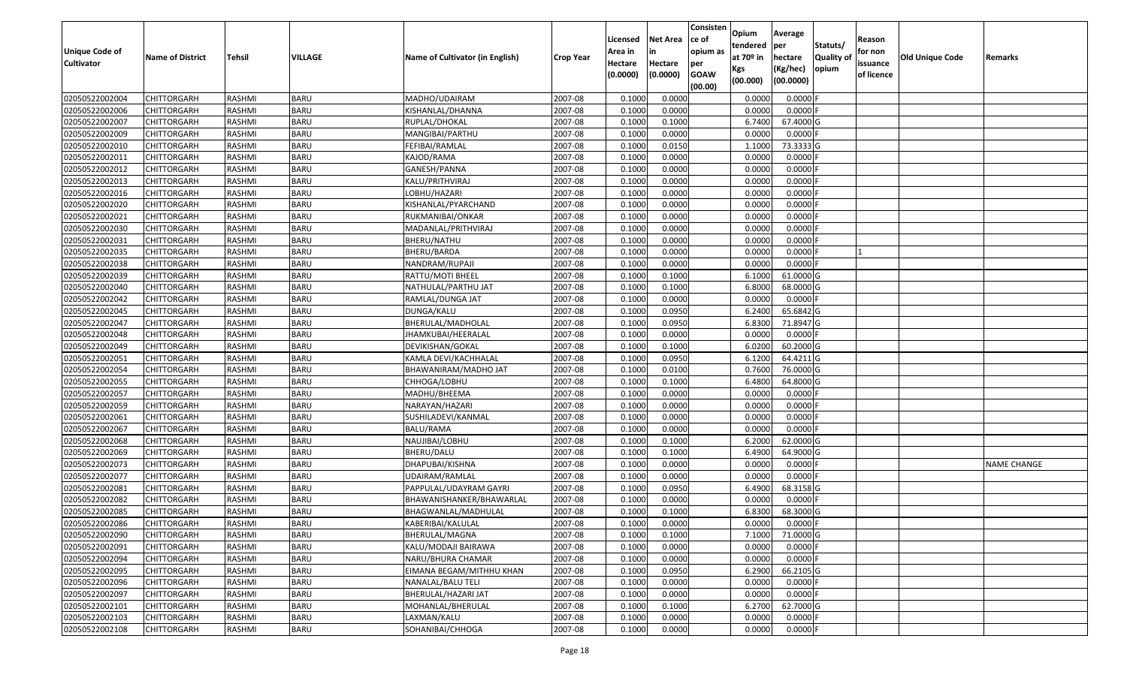| Unique Code of    | <b>Name of District</b> | Tehsil        | VILLAGE     | Name of Cultivator (in English) | <b>Crop Year</b> | Licensed<br>Area in | <b>Net Area</b><br>in | Consisten<br>ce of<br>opium as | Opium<br>tendered<br>at $70°$ in | Average<br>per<br>hectare | Statuts/<br><b>Quality o</b> | Reason<br>for non      | Old Unique Code | Remarks            |
|-------------------|-------------------------|---------------|-------------|---------------------------------|------------------|---------------------|-----------------------|--------------------------------|----------------------------------|---------------------------|------------------------------|------------------------|-----------------|--------------------|
| <b>Cultivator</b> |                         |               |             |                                 |                  | Hectare<br>(0.0000) | Hectare<br>(0.0000)   | per<br><b>GOAW</b><br>(00.00)  | Kgs<br>(00.000)                  | (Kg/hec)<br>(00.0000)     | opium                        | issuance<br>of licence |                 |                    |
| 02050522002004    | CHITTORGARH             | RASHMI        | <b>BARU</b> | MADHO/UDAIRAM                   | 2007-08          | 0.1000              | 0.0000                |                                | 0.0000                           | 0.0000F                   |                              |                        |                 |                    |
| 02050522002006    | CHITTORGARH             | RASHMI        | <b>BARU</b> | KISHANLAL/DHANNA                | 2007-08          | 0.1000              | 0.0000                |                                | 0.0000                           | $0.0000$ F                |                              |                        |                 |                    |
| 02050522002007    | CHITTORGARH             | RASHMI        | <b>BARU</b> | RUPLAL/DHOKAL                   | 2007-08          | 0.1000              | 0.1000                |                                | 6.7400                           | 67.4000 G                 |                              |                        |                 |                    |
| 02050522002009    | <b>CHITTORGARH</b>      | RASHMI        | <b>BARU</b> | MANGIBAI/PARTHU                 | 2007-08          | 0.1000              | 0.0000                |                                | 0.0000                           | $0.0000$ F                |                              |                        |                 |                    |
| 02050522002010    | CHITTORGARH             | RASHMI        | <b>BARU</b> | FEFIBAI/RAMLAL                  | 2007-08          | 0.1000              | 0.0150                |                                | 1.1000                           | 73.3333 G                 |                              |                        |                 |                    |
| 02050522002011    | <b>CHITTORGARH</b>      | RASHMI        | <b>BARU</b> | KAJOD/RAMA                      | 2007-08          | 0.1000              | 0.0000                |                                | 0.0000                           | 0.0000F                   |                              |                        |                 |                    |
| 02050522002012    | CHITTORGARH             | RASHMI        | <b>BARU</b> | GANESH/PANNA                    | 2007-08          | 0.1000              | 0.0000                |                                | 0.0000                           | 0.0000                    |                              |                        |                 |                    |
| 02050522002013    | <b>CHITTORGARH</b>      | <b>RASHMI</b> | <b>BARU</b> | KALU/PRITHVIRAJ                 | 2007-08          | 0.1000              | 0.0000                |                                | 0.0000                           | 0.0000                    |                              |                        |                 |                    |
| 02050522002016    | CHITTORGARH             | RASHMI        | <b>BARU</b> | LOBHU/HAZARI                    | 2007-08          | 0.1000              | 0.0000                |                                | 0.0000                           | 0.0000                    |                              |                        |                 |                    |
| 02050522002020    | <b>CHITTORGARH</b>      | RASHMI        | <b>BARU</b> | KISHANLAL/PYARCHAND             | 2007-08          | 0.1000              | 0.0000                |                                | 0.0000                           | 0.0000                    |                              |                        |                 |                    |
| 02050522002021    | CHITTORGARH             | RASHMI        | <b>BARU</b> | RUKMANIBAI/ONKAR                | 2007-08          | 0.1000              | 0.0000                |                                | 0.0000                           | 0.0000F                   |                              |                        |                 |                    |
| 02050522002030    | <b>CHITTORGARH</b>      | RASHMI        | <b>BARU</b> | MADANLAL/PRITHVIRAJ             | 2007-08          | 0.1000              | 0.0000                |                                | 0.0000                           | 0.0000                    |                              |                        |                 |                    |
| 02050522002031    | <b>CHITTORGARH</b>      | RASHMI        | <b>BARU</b> | BHERU/NATHU                     | 2007-08          | 0.1000              | 0.0000                |                                | 0.0000                           | 0.0000F                   |                              |                        |                 |                    |
| 02050522002035    | <b>CHITTORGARH</b>      | RASHMI        | <b>BARU</b> | BHERU/BARDA                     | 2007-08          | 0.1000              | 0.0000                |                                | 0.0000                           | $0.0000$ F                |                              |                        |                 |                    |
| 02050522002038    | <b>CHITTORGARH</b>      | RASHMI        | <b>BARU</b> | NANDRAM/RUPAJI                  | 2007-08          | 0.1000              | 0.0000                |                                | 0.0000                           | $0.0000$ F                |                              |                        |                 |                    |
| 02050522002039    | CHITTORGARH             | RASHMI        | <b>BARU</b> | RATTU/MOTI BHEEL                | 2007-08          | 0.1000              | 0.1000                |                                | 6.1000                           | 61.0000G                  |                              |                        |                 |                    |
| 02050522002040    | CHITTORGARH             | RASHMI        | <b>BARU</b> | NATHULAL/PARTHU JAT             | 2007-08          | 0.1000              | 0.1000                |                                | 6.8000                           | 68.0000G                  |                              |                        |                 |                    |
| 02050522002042    | CHITTORGARH             | RASHMI        | <b>BARU</b> | RAMLAL/DUNGA JAT                | 2007-08          | 0.1000              | 0.0000                |                                | 0.0000                           | 0.0000F                   |                              |                        |                 |                    |
| 02050522002045    | CHITTORGARH             | RASHMI        | <b>BARU</b> | DUNGA/KALU                      | 2007-08          | 0.1000              | 0.0950                |                                | 6.2400                           | 65.6842 G                 |                              |                        |                 |                    |
| 02050522002047    | CHITTORGARH             | RASHMI        | <b>BARU</b> | BHERULAL/MADHOLAL               | 2007-08          | 0.1000              | 0.0950                |                                | 6.8300                           | 71.8947 G                 |                              |                        |                 |                    |
| 02050522002048    | CHITTORGARH             | RASHMI        | <b>BARU</b> | JHAMKUBAI/HEERALAL              | 2007-08          | 0.1000              | 0.0000                |                                | 0.0000                           | $0.0000$ F                |                              |                        |                 |                    |
| 02050522002049    | CHITTORGARH             | RASHMI        | <b>BARU</b> | DEVIKISHAN/GOKAL                | 2007-08          | 0.1000              | 0.1000                |                                | 6.0200                           | 60.2000 G                 |                              |                        |                 |                    |
| 02050522002051    | CHITTORGARH             | RASHMI        | <b>BARU</b> | KAMLA DEVI/KACHHALAL            | 2007-08          | 0.1000              | 0.0950                |                                | 6.1200                           | 64.4211G                  |                              |                        |                 |                    |
| 02050522002054    | CHITTORGARH             | RASHMI        | <b>BARU</b> | BHAWANIRAM/MADHO JAT            | 2007-08          | 0.1000              | 0.0100                |                                | 0.7600                           | 76.0000G                  |                              |                        |                 |                    |
| 02050522002055    | CHITTORGARH             | RASHMI        | <b>BARU</b> | CHHOGA/LOBHU                    | 2007-08          | 0.1000              | 0.1000                |                                | 6.4800                           | 64.8000 G                 |                              |                        |                 |                    |
| 02050522002057    | CHITTORGARH             | <b>RASHMI</b> | <b>BARU</b> | MADHU/BHEEMA                    | 2007-08          | 0.1000              | 0.0000                |                                | 0.0000                           | 0.0000F                   |                              |                        |                 |                    |
| 02050522002059    | CHITTORGARH             | RASHMI        | <b>BARU</b> | NARAYAN/HAZARI                  | 2007-08          | 0.1000              | 0.0000                |                                | 0.0000                           | 0.0000                    |                              |                        |                 |                    |
| 02050522002061    | CHITTORGARH             | RASHMI        | <b>BARU</b> | SUSHILADEVI/KANMAL              | 2007-08          | 0.1000              | 0.0000                |                                | 0.0000                           | 0.0000                    |                              |                        |                 |                    |
| 02050522002067    | CHITTORGARH             | RASHMI        | <b>BARU</b> | BALU/RAMA                       | 2007-08          | 0.1000              | 0.0000                |                                | 0.0000                           | 0.0000F                   |                              |                        |                 |                    |
| 02050522002068    | CHITTORGARH             | RASHMI        | <b>BARU</b> | NAUJIBAI/LOBHU                  | 2007-08          | 0.1000              | 0.1000                |                                | 6.2000                           | 62.0000G                  |                              |                        |                 |                    |
| 02050522002069    | CHITTORGARH             | RASHMI        | <b>BARU</b> | BHERU/DALU                      | 2007-08          | 0.1000              | 0.1000                |                                | 6.4900                           | 64.9000 G                 |                              |                        |                 |                    |
| 02050522002073    | CHITTORGARH             | RASHMI        | <b>BARU</b> | DHAPUBAI/KISHNA                 | 2007-08          | 0.1000              | 0.0000                |                                | 0.0000                           | 0.0000                    |                              |                        |                 | <b>NAME CHANGE</b> |
| 02050522002077    | CHITTORGARH             | <b>RASHMI</b> | <b>BARU</b> | JDAIRAM/RAMLAL                  | 2007-08          | 0.1000              | 0.0000                |                                | 0.0000                           | 0.0000F                   |                              |                        |                 |                    |
| 02050522002081    | CHITTORGARH             | RASHMI        | <b>BARU</b> | PAPPULAL/UDAYRAM GAYRI          | 2007-08          | 0.1000              | 0.0950                |                                | 6.4900                           | 68.3158 G                 |                              |                        |                 |                    |
| 02050522002082    | CHITTORGARH             | RASHMI        | <b>BARU</b> | BHAWANISHANKER/BHAWARLAL        | 2007-08          | 0.1000              | 0.0000                |                                | 0.0000                           | 0.0000F                   |                              |                        |                 |                    |
| 02050522002085    | CHITTORGARH             | RASHMI        | <b>BARU</b> | BHAGWANLAL/MADHULAL             | 2007-08          | 0.1000              | 0.1000                |                                | 6.8300                           | 68.3000 G                 |                              |                        |                 |                    |
| 02050522002086    | <b>CHITTORGARH</b>      | RASHMI        | <b>BARU</b> | KABERIBAI/KALULAL               | 2007-08          | 0.1000              | 0.0000                |                                | 0.0000                           | $0.0000$ F                |                              |                        |                 |                    |
| 02050522002090    | <b>CHITTORGARH</b>      | RASHMI        | <b>BARU</b> | BHERULAL/MAGNA                  | 2007-08          | 0.1000              | 0.1000                |                                | 7.1000                           | 71.0000 G                 |                              |                        |                 |                    |
| 02050522002091    | <b>CHITTORGARH</b>      | RASHMI        | <b>BARU</b> | KALU/MODAJI BAIRAWA             | 2007-08          | 0.1000              | 0.0000                |                                | 0.0000                           | $0.0000$ F                |                              |                        |                 |                    |
| 02050522002094    | <b>CHITTORGARH</b>      | RASHMI        | <b>BARU</b> | NARU/BHURA CHAMAR               | 2007-08          | 0.1000              | 0.0000                |                                | 0.0000                           | $0.0000$ F                |                              |                        |                 |                    |
| 02050522002095    | <b>CHITTORGARH</b>      | RASHMI        | <b>BARU</b> | EIMANA BEGAM/MITHHU KHAN        | 2007-08          | 0.1000              | 0.0950                |                                | 6.2900                           | 66.2105 G                 |                              |                        |                 |                    |
| 02050522002096    | <b>CHITTORGARH</b>      | RASHMI        | <b>BARU</b> | NANALAL/BALU TELI               | 2007-08          | 0.1000              | 0.0000                |                                | 0.0000                           | 0.0000                    |                              |                        |                 |                    |
| 02050522002097    | <b>CHITTORGARH</b>      | RASHMI        | <b>BARU</b> | BHERULAL/HAZARI JAT             | 2007-08          | 0.1000              | 0.0000                |                                | 0.0000                           | 0.0000                    |                              |                        |                 |                    |
| 02050522002101    | CHITTORGARH             | RASHMI        | <b>BARU</b> | MOHANLAL/BHERULAL               | 2007-08          | 0.1000              | 0.1000                |                                | 6.2700                           | 62.7000 G                 |                              |                        |                 |                    |
| 02050522002103    | CHITTORGARH             | RASHMI        | <b>BARU</b> | LAXMAN/KALU                     | 2007-08          | 0.1000              | 0.0000                |                                | 0.0000                           | 0.0000                    |                              |                        |                 |                    |
| 02050522002108    | <b>CHITTORGARH</b>      | RASHMI        | <b>BARU</b> | SOHANIBAI/CHHOGA                | 2007-08          | 0.1000              | 0.0000                |                                | 0.0000                           | $0.0000$ F                |                              |                        |                 |                    |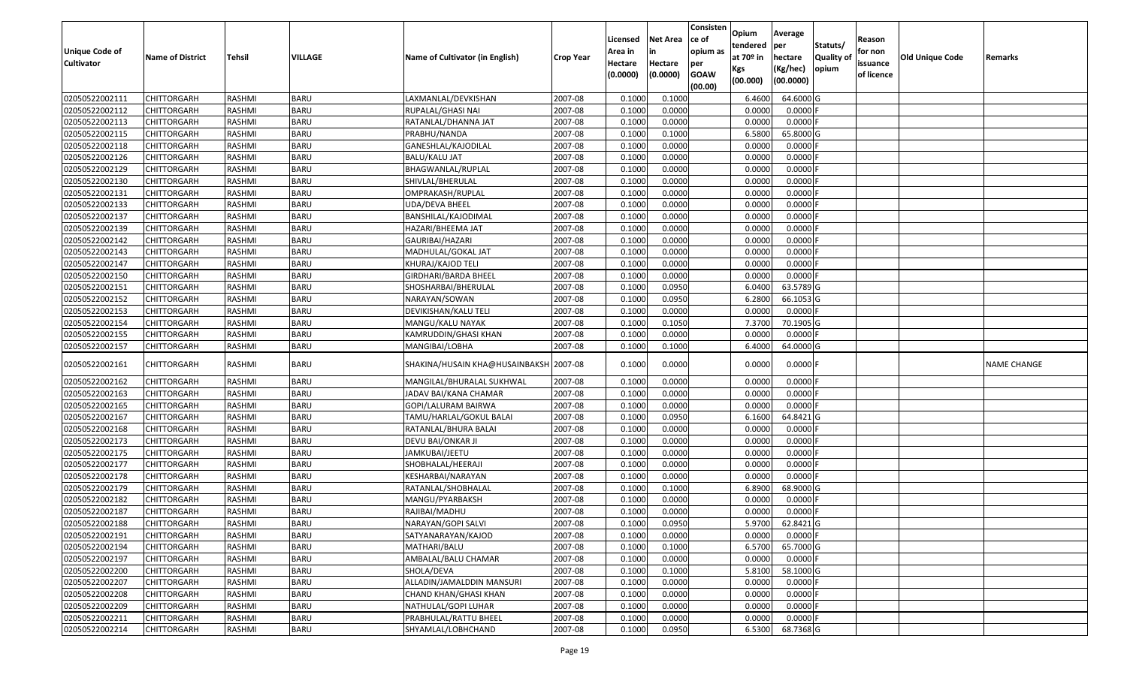| Unique Code of    |                         |               |             |                                        |                  | Licensed<br>Area in | <b>Net Area</b><br>in | Consisten<br>ce of<br>opium as | Opium<br>tendered | Average<br>per        | Statuts/         | Reason<br>for non |                 |             |
|-------------------|-------------------------|---------------|-------------|----------------------------------------|------------------|---------------------|-----------------------|--------------------------------|-------------------|-----------------------|------------------|-------------------|-----------------|-------------|
| <b>Cultivator</b> | <b>Name of District</b> | Tehsil        | VILLAGE     | Name of Cultivator (in English)        | <b>Crop Year</b> | Hectare             | Hectare               | per                            | at $70°$ in       | hectare               | <b>Quality o</b> | issuance          | Old Unique Code | Remarks     |
|                   |                         |               |             |                                        |                  | (0.0000)            | (0.0000)              | <b>GOAW</b><br>(00.00)         | Kgs<br>(00.000)   | (Kg/hec)<br>(00.0000) | opium            | of licence        |                 |             |
| 02050522002111    | CHITTORGARH             | RASHMI        | <b>BARU</b> | LAXMANLAL/DEVKISHAN                    | 2007-08          | 0.1000              | 0.1000                |                                | 6.4600            | 64.6000 G             |                  |                   |                 |             |
| 02050522002112    | CHITTORGARH             | RASHMI        | <b>BARU</b> | RUPALAL/GHASI NAI                      | 2007-08          | 0.1000              | 0.0000                |                                | 0.0000            | $0.0000$ F            |                  |                   |                 |             |
| 02050522002113    | CHITTORGARH             | RASHMI        | <b>BARU</b> | RATANLAL/DHANNA JAT                    | 2007-08          | 0.1000              | 0.0000                |                                | 0.0000            | 0.0000                |                  |                   |                 |             |
| 02050522002115    | <b>CHITTORGARH</b>      | RASHMI        | <b>BARU</b> | PRABHU/NANDA                           | 2007-08          | 0.1000              | 0.1000                |                                | 6.5800            | 65.8000 G             |                  |                   |                 |             |
| 02050522002118    | CHITTORGARH             | RASHMI        | <b>BARU</b> | GANESHLAL/KAJODILAL                    | 2007-08          | 0.1000              | 0.0000                |                                | 0.0000            | 0.0000                |                  |                   |                 |             |
| 02050522002126    | <b>CHITTORGARH</b>      | RASHMI        | <b>BARU</b> | <b>BALU/KALU JAT</b>                   | 2007-08          | 0.1000              | 0.0000                |                                | 0.0000            | 0.0000                |                  |                   |                 |             |
| 02050522002129    | CHITTORGARH             | RASHMI        | <b>BARU</b> | BHAGWANLAL/RUPLAL                      | 2007-08          | 0.1000              | 0.0000                |                                | 0.0000            | 0.0000                |                  |                   |                 |             |
| 02050522002130    | <b>CHITTORGARH</b>      | <b>RASHMI</b> | <b>BARU</b> | SHIVLAL/BHERULAL                       | 2007-08          | 0.1000              | 0.0000                |                                | 0.0000            | 0.0000                |                  |                   |                 |             |
| 02050522002131    | CHITTORGARH             | RASHMI        | <b>BARU</b> | OMPRAKASH/RUPLAL                       | 2007-08          | 0.1000              | 0.0000                |                                | 0.0000            | 0.0000                |                  |                   |                 |             |
| 02050522002133    | CHITTORGARH             | RASHMI        | <b>BARU</b> | <b>UDA/DEVA BHEEL</b>                  | 2007-08          | 0.1000              | 0.0000                |                                | 0.0000            | 0.0000                |                  |                   |                 |             |
| 02050522002137    | CHITTORGARH             | RASHMI        | <b>BARU</b> | BANSHILAL/KAJODIMAL                    | 2007-08          | 0.1000              | 0.0000                |                                | 0.0000            | 0.0000F               |                  |                   |                 |             |
| 02050522002139    | <b>CHITTORGARH</b>      | RASHMI        | <b>BARU</b> | HAZARI/BHEEMA JAT                      | 2007-08          | 0.1000              | 0.0000                |                                | 0.0000            | 0.0000                |                  |                   |                 |             |
| 02050522002142    | <b>CHITTORGARH</b>      | RASHMI        | <b>BARU</b> | GAURIBAI/HAZARI                        | 2007-08          | 0.1000              | 0.0000                |                                | 0.0000            | $0.0000$ F            |                  |                   |                 |             |
| 02050522002143    | CHITTORGARH             | RASHMI        | <b>BARU</b> | MADHULAL/GOKAL JAT                     | 2007-08          | 0.1000              | 0.0000                |                                | 0.0000            | $0.0000$ F            |                  |                   |                 |             |
| 02050522002147    | CHITTORGARH             | RASHMI        | <b>BARU</b> | KHURAJ/KAJOD TELI                      | 2007-08          | 0.1000              | 0.0000                |                                | 0.0000            | $0.0000$ F            |                  |                   |                 |             |
| 02050522002150    | <b>CHITTORGARH</b>      | RASHMI        | <b>BARU</b> | GIRDHARI/BARDA BHEEL                   | 2007-08          | 0.1000              | 0.0000                |                                | 0.0000            | $0.0000$ F            |                  |                   |                 |             |
| 02050522002151    | <b>CHITTORGARH</b>      | RASHMI        | <b>BARU</b> | SHOSHARBAI/BHERULAL                    | 2007-08          | 0.100               | 0.0950                |                                | 6.0400            | 63.5789 G             |                  |                   |                 |             |
| 02050522002152    | CHITTORGARH             | RASHMI        | <b>BARU</b> | NARAYAN/SOWAN                          | 2007-08          | 0.100               | 0.0950                |                                | 6.2800            | 66.1053 G             |                  |                   |                 |             |
| 02050522002153    | CHITTORGARH             | RASHMI        | <b>BARU</b> | DEVIKISHAN/KALU TELI                   | 2007-08          | 0.100               | 0.0000                |                                | 0.0000            | $0.0000$ F            |                  |                   |                 |             |
| 02050522002154    | CHITTORGARH             | RASHMI        | <b>BARU</b> | MANGU/KALU NAYAK                       | 2007-08          | 0.1000              | 0.1050                |                                | 7.3700            | 70.1905 G             |                  |                   |                 |             |
| 02050522002155    | CHITTORGARH             | RASHMI        | <b>BARU</b> | KAMRUDDIN/GHASI KHAN                   | 2007-08          | 0.100               | 0.0000                |                                | 0.0000            | 0.0000                |                  |                   |                 |             |
| 02050522002157    | CHITTORGARH             | RASHMI        | <b>BARU</b> | MANGIBAI/LOBHA                         | 2007-08          | 0.1000              | 0.1000                |                                | 6.4000            | 64.0000 G             |                  |                   |                 |             |
| 02050522002161    | CHITTORGARH             | RASHMI        | <b>BARU</b> | SHAKINA/HUSAIN KHA@HUSAINBAKSH 2007-08 |                  | 0.1000              | 0.0000                |                                | 0.0000            | $0.0000$ F            |                  |                   |                 | NAME CHANGE |
| 02050522002162    | <b>CHITTORGARH</b>      | RASHMI        | <b>BARU</b> | MANGILAL/BHURALAL SUKHWAL              | 2007-08          | 0.1000              | 0.0000                |                                | 0.0000            | 0.0000F               |                  |                   |                 |             |
| 02050522002163    | CHITTORGARH             | <b>RASHMI</b> | <b>BARU</b> | JADAV BAI/KANA CHAMAR                  | 2007-08          | 0.1000              | 0.0000                |                                | 0.0000            | 0.0000F               |                  |                   |                 |             |
| 02050522002165    | CHITTORGARH             | RASHMI        | <b>BARU</b> | GOPI/LALURAM BAIRWA                    | 2007-08          | 0.1000              | 0.0000                |                                | 0.0000            | $0.0000$ F            |                  |                   |                 |             |
| 02050522002167    | CHITTORGARH             | RASHMI        | <b>BARU</b> | TAMU/HARLAL/GOKUL BALAI                | 2007-08          | 0.1000              | 0.0950                |                                | 6.1600            | 64.8421G              |                  |                   |                 |             |
| 02050522002168    | <b>CHITTORGARH</b>      | <b>RASHMI</b> | <b>BARU</b> | RATANLAL/BHURA BALAI                   | 2007-08          | 0.1000              | 0.0000                |                                | 0.0000            | 0.0000                |                  |                   |                 |             |
| 02050522002173    | CHITTORGARH             | RASHMI        | <b>BARU</b> | DEVU BAI/ONKAR JI                      | 2007-08          | 0.1000              | 0.0000                |                                | 0.0000            | 0.0000                |                  |                   |                 |             |
| 02050522002175    | CHITTORGARH             | RASHMI        | <b>BARU</b> | JAMKUBAI/JEETU                         | 2007-08          | 0.1000              | 0.0000                |                                | 0.0000            | 0.0000                |                  |                   |                 |             |
| 02050522002177    | CHITTORGARH             | RASHMI        | <b>BARU</b> | SHOBHALAL/HEERAJI                      | 2007-08          | 0.1000              | 0.0000                |                                | 0.0000            | 0.0000                |                  |                   |                 |             |
| 02050522002178    | <b>CHITTORGARH</b>      | RASHMI        | <b>BARU</b> | KESHARBAI/NARAYAN                      | 2007-08          | 0.1000              | 0.0000                |                                | 0.0000            | $0.0000$ F            |                  |                   |                 |             |
| 02050522002179    | <b>CHITTORGARH</b>      | RASHMI        | <b>BARU</b> | RATANLAL/SHOBHALAL                     | 2007-08          | 0.1000              | 0.1000                |                                | 6.8900            | 68.9000 G             |                  |                   |                 |             |
| 02050522002182    | CHITTORGARH             | RASHMI        | <b>BARU</b> | MANGU/PYARBAKSH                        | 2007-08          | 0.1000              | 0.0000                |                                | 0.0000            | $0.0000$ F            |                  |                   |                 |             |
| 02050522002187    | CHITTORGARH             | RASHMI        | <b>BARU</b> | RAJIBAI/MADHU                          | 2007-08          | 0.1000              | 0.0000                |                                | 0.0000            | $0.0000$ F            |                  |                   |                 |             |
| 02050522002188    | <b>CHITTORGARH</b>      | RASHMI        | <b>BARU</b> | NARAYAN/GOPI SALVI                     | 2007-08          | 0.1000              | 0.0950                |                                | 5.9700            | 62.8421 G             |                  |                   |                 |             |
| 02050522002191    | <b>CHITTORGARH</b>      | RASHMI        | <b>BARU</b> | SATYANARAYAN/KAJOD                     | 2007-08          | 0.1000              | 0.0000                |                                | 0.0000            | $0.0000$ F            |                  |                   |                 |             |
| 02050522002194    | <b>CHITTORGARH</b>      | RASHMI        | <b>BARU</b> | MATHARI/BALU                           | 2007-08          | 0.1000              | 0.1000                |                                | 6.5700            | 65.7000 G             |                  |                   |                 |             |
| 02050522002197    | <b>CHITTORGARH</b>      | RASHMI        | <b>BARU</b> | AMBALAL/BALU CHAMAR                    | 2007-08          | 0.1000              | 0.0000                |                                | 0.0000            | $0.0000$ F            |                  |                   |                 |             |
| 02050522002200    | CHITTORGARH             | RASHMI        | <b>BARU</b> | SHOLA/DEVA                             | 2007-08          | 0.1000              | 0.1000                |                                | 5.8100            | 58.1000 G             |                  |                   |                 |             |
| 02050522002207    | <b>CHITTORGARH</b>      | RASHMI        | <b>BARU</b> | ALLADIN/JAMALDDIN MANSURI              | 2007-08          | 0.1000              | 0.0000                |                                | 0.0000            | $0.0000$ F            |                  |                   |                 |             |
| 02050522002208    | <b>CHITTORGARH</b>      | RASHMI        | <b>BARU</b> | CHAND KHAN/GHASI KHAN                  | 2007-08          | 0.1000              | 0.0000                |                                | 0.0000            | 0.0000                |                  |                   |                 |             |
| 02050522002209    | CHITTORGARH             | RASHMI        | <b>BARU</b> | NATHULAL/GOPI LUHAR                    | 2007-08          | 0.1000              | 0.0000                |                                | 0.0000            | $0.0000$ F            |                  |                   |                 |             |
| 02050522002211    | CHITTORGARH             | RASHMI        | <b>BARU</b> | PRABHULAL/RATTU BHEEL                  | 2007-08          | 0.1000              | 0.0000                |                                | 0.0000            | 0.0000F               |                  |                   |                 |             |
| 02050522002214    | <b>CHITTORGARH</b>      | RASHMI        | <b>BARU</b> | SHYAMLAL/LOBHCHAND                     | 2007-08          | 0.1000              | 0.0950                |                                | 6.5300            | 68.7368 G             |                  |                   |                 |             |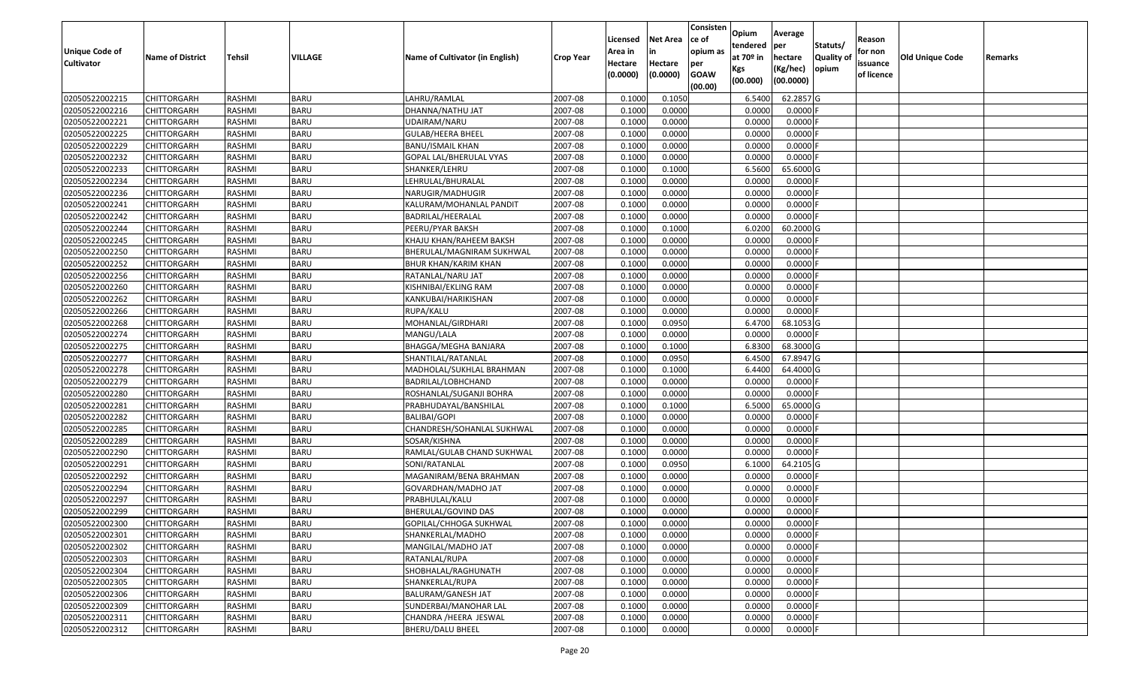| <b>Unique Code of</b><br><b>Cultivator</b> | <b>Name of District</b> | <b>Tehsil</b> | VILLAGE     | Name of Cultivator (in English) | <b>Crop Year</b> | Licensed<br>Area in<br>Hectare<br>(0.0000) | <b>Net Area</b><br>in<br>Hectare<br>(0.0000) | Consisten<br>ce of<br>opium as<br>per<br><b>GOAW</b><br>(00.00) | Opium<br>tendered<br>at 70º in<br>Kgs<br>(00.000) | Average<br>per<br>hectare<br>(Kg/hec)<br>(00.0000) | Statuts/<br>Quality of<br>opium | Reason<br>for non<br>issuance<br>of licence | <b>Old Unique Code</b> | Remarks |
|--------------------------------------------|-------------------------|---------------|-------------|---------------------------------|------------------|--------------------------------------------|----------------------------------------------|-----------------------------------------------------------------|---------------------------------------------------|----------------------------------------------------|---------------------------------|---------------------------------------------|------------------------|---------|
| 02050522002215                             | CHITTORGARH             | RASHMI        | <b>BARU</b> | LAHRU/RAMLAL                    | 2007-08          | 0.1000                                     | 0.1050                                       |                                                                 | 6.5400                                            | 62.2857 G                                          |                                 |                                             |                        |         |
| 02050522002216                             | CHITTORGARH             | RASHMI        | <b>BARU</b> | DHANNA/NATHU JAT                | 2007-08          | 0.1000                                     | 0.0000                                       |                                                                 | 0.0000                                            | $0.0000$ F                                         |                                 |                                             |                        |         |
| 02050522002221                             | CHITTORGARH             | RASHMI        | <b>BARU</b> | JDAIRAM/NARU                    | 2007-08          | 0.1000                                     | 0.0000                                       |                                                                 | 0.0000                                            | 0.0000                                             |                                 |                                             |                        |         |
| 02050522002225                             | CHITTORGARH             | RASHMI        | <b>BARU</b> | GULAB/HEERA BHEEL               | 2007-08          | 0.1000                                     | 0.0000                                       |                                                                 | 0.0000                                            | 0.0000                                             |                                 |                                             |                        |         |
| 02050522002229                             | CHITTORGARH             | RASHMI        | <b>BARU</b> | BANU/ISMAIL KHAN                | 2007-08          | 0.1000                                     | 0.0000                                       |                                                                 | 0.0000                                            | 0.0000                                             |                                 |                                             |                        |         |
| 02050522002232                             | CHITTORGARH             | RASHMI        | <b>BARU</b> | GOPAL LAL/BHERULAL VYAS         | 2007-08          | 0.1000                                     | 0.0000                                       |                                                                 | 0.0000                                            | $0.0000$ F                                         |                                 |                                             |                        |         |
| 02050522002233                             | CHITTORGARH             | RASHMI        | <b>BARU</b> | SHANKER/LEHRU                   | 2007-08          | 0.1000                                     | 0.1000                                       |                                                                 | 6.5600                                            | 65.6000 G                                          |                                 |                                             |                        |         |
| 02050522002234                             | CHITTORGARH             | RASHMI        | <b>BARU</b> | LEHRULAL/BHURALAL               | 2007-08          | 0.1000                                     | 0.0000                                       |                                                                 | 0.0000                                            | 0.0000F                                            |                                 |                                             |                        |         |
| 02050522002236                             | CHITTORGARH             | RASHMI        | <b>BARU</b> | NARUGIR/MADHUGIR                | 2007-08          | 0.1000                                     | 0.0000                                       |                                                                 | 0.0000                                            | 0.0000                                             |                                 |                                             |                        |         |
| 02050522002241                             | CHITTORGARH             | RASHMI        | <b>BARU</b> | KALURAM/MOHANLAL PANDIT         | 2007-08          | 0.1000                                     | 0.0000                                       |                                                                 | 0.0000                                            | $0.0000$ F                                         |                                 |                                             |                        |         |
| 02050522002242                             | CHITTORGARH             | RASHMI        | <b>BARU</b> | BADRILAL/HEERALAL               | 2007-08          | 0.1000                                     | 0.0000                                       |                                                                 | 0.0000                                            | 0.0000                                             |                                 |                                             |                        |         |
| 02050522002244                             | <b>CHITTORGARH</b>      | RASHMI        | <b>BARU</b> | PEERU/PYAR BAKSH                | 2007-08          | 0.1000                                     | 0.1000                                       |                                                                 | 6.0200                                            | 60.2000 G                                          |                                 |                                             |                        |         |
| 02050522002245                             | CHITTORGARH             | RASHMI        | <b>BARU</b> | KHAJU KHAN/RAHEEM BAKSH         | 2007-08          | 0.1000                                     | 0.0000                                       |                                                                 | 0.0000                                            | 0.0000                                             |                                 |                                             |                        |         |
| 02050522002250                             | CHITTORGARH             | RASHMI        | <b>BARU</b> | BHERULAL/MAGNIRAM SUKHWAL       | 2007-08          | 0.1000                                     | 0.0000                                       |                                                                 | 0.0000                                            | 0.0000                                             |                                 |                                             |                        |         |
| 02050522002252                             | CHITTORGARH             | RASHMI        | <b>BARU</b> | BHUR KHAN/KARIM KHAN            | 2007-08          | 0.1000                                     | 0.0000                                       |                                                                 | 0.0000                                            | 0.0000                                             |                                 |                                             |                        |         |
| 02050522002256                             | <b>CHITTORGARH</b>      | RASHMI        | <b>BARU</b> | RATANLAL/NARU JAT               | 2007-08          | 0.1000                                     | 0.0000                                       |                                                                 | 0.0000                                            | 0.0000                                             |                                 |                                             |                        |         |
| 02050522002260                             | <b>CHITTORGARH</b>      | RASHMI        | <b>BARU</b> | KISHNIBAI/EKLING RAM            | 2007-08          | 0.1000                                     | 0.0000                                       |                                                                 | 0.0000                                            | 0.0000                                             |                                 |                                             |                        |         |
| 02050522002262                             | <b>CHITTORGARH</b>      | RASHMI        | <b>BARU</b> | KANKUBAI/HARIKISHAN             | 2007-08          | 0.100                                      | 0.0000                                       |                                                                 | 0.0000                                            | 0.0000                                             |                                 |                                             |                        |         |
| 02050522002266                             | CHITTORGARH             | RASHMI        | <b>BARU</b> | RUPA/KALU                       | 2007-08          | 0.1000                                     | 0.0000                                       |                                                                 | 0.0000                                            | $0.0000$ F                                         |                                 |                                             |                        |         |
| 02050522002268                             | <b>CHITTORGARH</b>      | RASHMI        | <b>BARU</b> | MOHANLAL/GIRDHARI               | 2007-08          | 0.1000                                     | 0.0950                                       |                                                                 | 6.4700                                            | 68.1053 G                                          |                                 |                                             |                        |         |
| 02050522002274                             | <b>CHITTORGARH</b>      | RASHMI        | <b>BARU</b> | MANGU/LALA                      | 2007-08          | 0.1000                                     | 0.0000                                       |                                                                 | 0.0000                                            | $0.0000$ F                                         |                                 |                                             |                        |         |
| 02050522002275                             | CHITTORGARH             | RASHMI        | <b>BARU</b> | BHAGGA/MEGHA BANJARA            | 2007-08          | 0.1000                                     | 0.1000                                       |                                                                 | 6.8300                                            | 68.3000 G                                          |                                 |                                             |                        |         |
| 02050522002277                             | CHITTORGARH             | RASHMI        | <b>BARU</b> | SHANTILAL/RATANLAL              | 2007-08          | 0.1000                                     | 0.0950                                       |                                                                 | 6.4500                                            | 67.8947 G                                          |                                 |                                             |                        |         |
| 02050522002278                             | CHITTORGARH             | RASHMI        | <b>BARU</b> | MADHOLAL/SUKHLAL BRAHMAN        | 2007-08          | 0.1000                                     | 0.1000                                       |                                                                 | 6.4400                                            | 64.4000 G                                          |                                 |                                             |                        |         |
| 02050522002279                             | CHITTORGARH             | RASHMI        | <b>BARU</b> | BADRILAL/LOBHCHAND              | 2007-08          | 0.100                                      | 0.0000                                       |                                                                 | 0.0000                                            | 0.0000                                             |                                 |                                             |                        |         |
| 02050522002280                             | CHITTORGARH             | RASHMI        | <b>BARU</b> | ROSHANLAL/SUGANJI BOHRA         | 2007-08          | 0.1000                                     | 0.0000                                       |                                                                 | 0.0000                                            | 0.0000                                             |                                 |                                             |                        |         |
| 02050522002281                             | CHITTORGARH             | RASHMI        | <b>BARU</b> | PRABHUDAYAL/BANSHILAL           | 2007-08          | 0.100                                      | 0.1000                                       |                                                                 | 6.5000                                            | 65.0000G                                           |                                 |                                             |                        |         |
| 02050522002282                             | CHITTORGARH             | RASHMI        | <b>BARU</b> | BALIBAI/GOPI                    | 2007-08          | 0.1000                                     | 0.0000                                       |                                                                 | 0.0000                                            | 0.0000                                             |                                 |                                             |                        |         |
| 02050522002285                             | CHITTORGARH             | RASHMI        | <b>BARU</b> | CHANDRESH/SOHANLAL SUKHWAL      | 2007-08          | 0.1000                                     | 0.0000                                       |                                                                 | 0.0000                                            | 0.0000                                             |                                 |                                             |                        |         |
| 02050522002289                             | CHITTORGARH             | RASHMI        | <b>BARU</b> | SOSAR/KISHNA                    | 2007-08          | 0.1000                                     | 0.0000                                       |                                                                 | 0.0000                                            | 0.0000                                             |                                 |                                             |                        |         |
| 02050522002290                             | CHITTORGARH             | RASHMI        | <b>BARU</b> | RAMLAL/GULAB CHAND SUKHWAL      | 2007-08          | 0.1000                                     | 0.0000                                       |                                                                 | 0.0000                                            | 0.0000F                                            |                                 |                                             |                        |         |
| 02050522002291                             | CHITTORGARH             | RASHMI        | <b>BARU</b> | SONI/RATANLAL                   | 2007-08          | 0.1000                                     | 0.0950                                       |                                                                 | 6.1000                                            | 64.2105 G                                          |                                 |                                             |                        |         |
| 02050522002292                             | CHITTORGARH             | RASHMI        | <b>BARU</b> | MAGANIRAM/BENA BRAHMAN          | 2007-08          | 0.1000                                     | 0.0000                                       |                                                                 | 0.0000                                            | 0.0000F                                            |                                 |                                             |                        |         |
| 02050522002294                             | CHITTORGARH             | RASHMI        | <b>BARU</b> | GOVARDHAN/MADHO JAT             | 2007-08          | 0.1000                                     | 0.0000                                       |                                                                 | 0.0000                                            | 0.0000                                             |                                 |                                             |                        |         |
| 02050522002297                             | CHITTORGARH             | RASHMI        | <b>BARU</b> | PRABHULAL/KALU                  | 2007-08          | 0.100                                      | 0.0000                                       |                                                                 | 0.0000                                            | 0.0000                                             |                                 |                                             |                        |         |
| 02050522002299                             | CHITTORGARH             | RASHMI        | <b>BARU</b> | BHERULAL/GOVIND DAS             | 2007-08          | 0.1000                                     | 0.0000                                       |                                                                 | 0.0000                                            | 0.0000                                             |                                 |                                             |                        |         |
| 02050522002300                             | <b>CHITTORGARH</b>      | RASHMI        | <b>BARU</b> | GOPILAL/CHHOGA SUKHWAL          | 2007-08          | 0.1000                                     | 0.0000                                       |                                                                 | 0.0000                                            | $0.0000$ F                                         |                                 |                                             |                        |         |
| 02050522002301                             | <b>CHITTORGARH</b>      | RASHMI        | <b>BARU</b> | SHANKERLAL/MADHO                | 2007-08          | 0.1000                                     | 0.0000                                       |                                                                 | 0.0000                                            | $0.0000$ F                                         |                                 |                                             |                        |         |
| 02050522002302                             | <b>CHITTORGARH</b>      | RASHMI        | <b>BARU</b> | MANGILAL/MADHO JAT              | 2007-08          | 0.1000                                     | 0.0000                                       |                                                                 | 0.0000                                            | $0.0000$ F                                         |                                 |                                             |                        |         |
| 02050522002303                             | <b>CHITTORGARH</b>      | RASHMI        | <b>BARU</b> | RATANLAL/RUPA                   | 2007-08          | 0.1000                                     | 0.0000                                       |                                                                 | 0.0000                                            | $0.0000$ F                                         |                                 |                                             |                        |         |
| 02050522002304                             | <b>CHITTORGARH</b>      | RASHMI        | <b>BARU</b> | SHOBHALAL/RAGHUNATH             | 2007-08          | 0.1000                                     | 0.0000                                       |                                                                 | 0.0000                                            | $0.0000$ F                                         |                                 |                                             |                        |         |
| 02050522002305                             | <b>CHITTORGARH</b>      | RASHMI        | <b>BARU</b> | SHANKERLAL/RUPA                 | 2007-08          | 0.1000                                     | 0.0000                                       |                                                                 | 0.0000                                            | $0.0000$ F                                         |                                 |                                             |                        |         |
| 02050522002306                             | <b>CHITTORGARH</b>      | RASHMI        | <b>BARU</b> | <b>BALURAM/GANESH JAT</b>       | 2007-08          | 0.1000                                     | 0.0000                                       |                                                                 | 0.0000                                            | $0.0000$ F                                         |                                 |                                             |                        |         |
| 02050522002309                             | <b>CHITTORGARH</b>      | RASHMI        | <b>BARU</b> | SUNDERBAI/MANOHAR LAL           | 2007-08          | 0.1000                                     | 0.0000                                       |                                                                 | 0.0000                                            | $0.0000$ F                                         |                                 |                                             |                        |         |
| 02050522002311                             | <b>CHITTORGARH</b>      | RASHMI        | <b>BARU</b> | CHANDRA /HEERA JESWAL           | 2007-08          | 0.1000                                     | 0.0000                                       |                                                                 | 0.0000                                            | $0.0000$ F                                         |                                 |                                             |                        |         |
| 02050522002312                             | <b>CHITTORGARH</b>      | RASHMI        | <b>BARU</b> | <b>BHERU/DALU BHEEL</b>         | 2007-08          | 0.1000                                     | 0.0000                                       |                                                                 | 0.0000                                            | $0.0000$ F                                         |                                 |                                             |                        |         |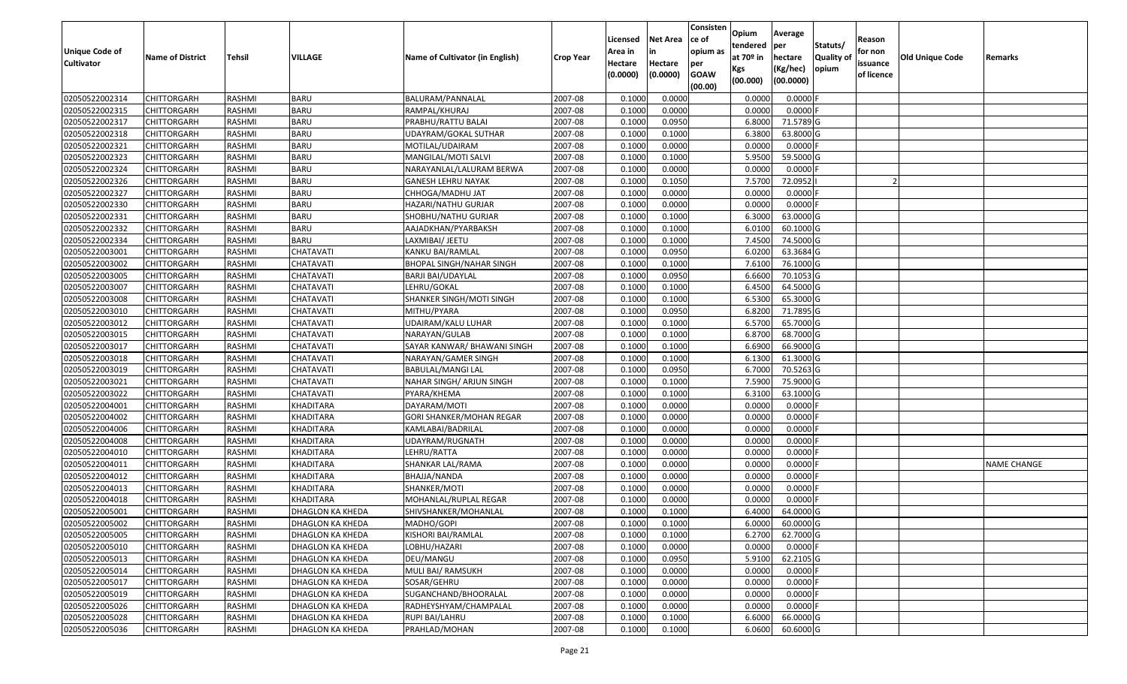| <b>Unique Code of</b><br><b>Cultivator</b> | <b>Name of District</b> | Tehsil        | VILLAGE          | Name of Cultivator (in English) | <b>Crop Year</b> | Licensed<br>Area in<br>Hectare | <b>Net Area</b><br>in<br>Hectare | Consisten<br>ce of<br>opium as<br>per | Opium<br>tendered<br>at $70°$ in | Average<br>per<br>hectare | Statuts/<br><b>Quality o</b> | Reason<br>for non<br>issuance | <b>Old Unique Code</b> | Remarks            |
|--------------------------------------------|-------------------------|---------------|------------------|---------------------------------|------------------|--------------------------------|----------------------------------|---------------------------------------|----------------------------------|---------------------------|------------------------------|-------------------------------|------------------------|--------------------|
|                                            |                         |               |                  |                                 |                  | (0.0000)                       | (0.0000)                         | <b>GOAW</b><br>(00.00)                | Kgs<br>(00.000)                  | (Kg/hec)<br>(00.0000)     | opium                        | of licence                    |                        |                    |
| 02050522002314                             | CHITTORGARH             | RASHMI        | <b>BARU</b>      | BALURAM/PANNALAL                | 2007-08          | 0.1000                         | 0.0000                           |                                       | 0.0000                           | 0.0000F                   |                              |                               |                        |                    |
| 02050522002315                             | CHITTORGARH             | RASHMI        | <b>BARU</b>      | RAMPAL/KHURAJ                   | 2007-08          | 0.1000                         | 0.0000                           |                                       | 0.0000                           | $0.0000$ F                |                              |                               |                        |                    |
| 02050522002317                             | CHITTORGARH             | RASHMI        | <b>BARU</b>      | PRABHU/RATTU BALAI              | 2007-08          | 0.1000                         | 0.0950                           |                                       | 6.8000                           | 71.5789 G                 |                              |                               |                        |                    |
| 02050522002318                             | <b>CHITTORGARH</b>      | RASHMI        | <b>BARU</b>      | UDAYRAM/GOKAL SUTHAR            | 2007-08          | 0.1000                         | 0.1000                           |                                       | 6.3800                           | 63.8000 G                 |                              |                               |                        |                    |
| 02050522002321                             | CHITTORGARH             | RASHMI        | <b>BARU</b>      | MOTILAL/UDAIRAM                 | 2007-08          | 0.1000                         | 0.0000                           |                                       | 0.0000                           | $0.0000$ F                |                              |                               |                        |                    |
| 02050522002323                             | <b>CHITTORGARH</b>      | RASHMI        | <b>BARU</b>      | MANGILAL/MOTI SALVI             | 2007-08          | 0.1000                         | 0.1000                           |                                       | 5.9500                           | 59.5000G                  |                              |                               |                        |                    |
| 02050522002324                             | CHITTORGARH             | RASHMI        | <b>BARU</b>      | NARAYANLAL/LALURAM BERWA        | 2007-08          | 0.1000                         | 0.0000                           |                                       | 0.0000                           | 0.0000                    |                              |                               |                        |                    |
| 02050522002326                             | CHITTORGARH             | RASHMI        | <b>BARU</b>      | <b>GANESH LEHRU NAYAK</b>       | 2007-08          | 0.1000                         | 0.1050                           |                                       | 7.5700                           | 72.0952                   |                              |                               |                        |                    |
| 02050522002327                             | CHITTORGARH             | RASHMI        | <b>BARU</b>      | CHHOGA/MADHU JAT                | 2007-08          | 0.1000                         | 0.0000                           |                                       | 0.0000                           | 0.0000                    |                              |                               |                        |                    |
| 02050522002330                             | <b>CHITTORGARH</b>      | RASHMI        | <b>BARU</b>      | HAZARI/NATHU GURJAR             | 2007-08          | 0.1000                         | 0.0000                           |                                       | 0.0000                           | $0.0000$ F                |                              |                               |                        |                    |
| 02050522002331                             | CHITTORGARH             | RASHMI        | <b>BARU</b>      | SHOBHU/NATHU GURJAR             | 2007-08          | 0.1000                         | 0.1000                           |                                       | 6.3000                           | 63.0000G                  |                              |                               |                        |                    |
| 02050522002332                             | <b>CHITTORGARH</b>      | RASHMI        | <b>BARU</b>      | AAJADKHAN/PYARBAKSH             | 2007-08          | 0.1000                         | 0.1000                           |                                       | 6.0100                           | 60.1000 G                 |                              |                               |                        |                    |
| 02050522002334                             | <b>CHITTORGARH</b>      | RASHMI        | <b>BARU</b>      | LAXMIBAI/ JEETU                 | 2007-08          | 0.1000                         | 0.1000                           |                                       | 7.4500                           | 74.5000 G                 |                              |                               |                        |                    |
| 02050522003001                             | <b>CHITTORGARH</b>      | RASHMI        | CHATAVATI        | KANKU BAI/RAMLAL                | 2007-08          | 0.1000                         | 0.0950                           |                                       | 6.0200                           | 63.3684 G                 |                              |                               |                        |                    |
| 02050522003002                             | <b>CHITTORGARH</b>      | RASHMI        | CHATAVATI        | BHOPAL SINGH/NAHAR SINGH        | 2007-08          | 0.1000                         | 0.1000                           |                                       | 7.6100                           | 76.1000G                  |                              |                               |                        |                    |
| 02050522003005                             | CHITTORGARH             | RASHMI        | CHATAVATI        | <b>BARJI BAI/UDAYLAL</b>        | 2007-08          | 0.1000                         | 0.0950                           |                                       | 6.6600                           | 70.1053 G                 |                              |                               |                        |                    |
| 02050522003007                             | CHITTORGARH             | RASHMI        | CHATAVATI        | LEHRU/GOKAL                     | 2007-08          | 0.1000                         | 0.1000                           |                                       | 6.4500                           | 64.5000 G                 |                              |                               |                        |                    |
| 02050522003008                             | CHITTORGARH             | RASHMI        | CHATAVATI        | SHANKER SINGH/MOTI SINGH        | 2007-08          | 0.1000                         | 0.1000                           |                                       | 6.5300                           | 65.3000G                  |                              |                               |                        |                    |
| 02050522003010                             | CHITTORGARH             | RASHMI        | CHATAVATI        | MITHU/PYARA                     | 2007-08          | 0.1000                         | 0.0950                           |                                       | 6.8200                           | 71.7895 G                 |                              |                               |                        |                    |
| 02050522003012                             | CHITTORGARH             | RASHMI        | CHATAVATI        | UDAIRAM/KALU LUHAR              | 2007-08          | 0.1000                         | 0.1000                           |                                       | 6.5700                           | 65.7000 G                 |                              |                               |                        |                    |
| 02050522003015                             | CHITTORGARH             | RASHMI        | CHATAVATI        | NARAYAN/GULAB                   | 2007-08          | 0.1000                         | 0.1000                           |                                       | 6.8700                           | 68.7000 G                 |                              |                               |                        |                    |
| 02050522003017                             | CHITTORGARH             | RASHMI        | CHATAVATI        | SAYAR KANWAR/ BHAWANI SINGH     | 2007-08          | 0.1000                         | 0.1000                           |                                       | 6.6900                           | 66.9000 G                 |                              |                               |                        |                    |
| 02050522003018                             | CHITTORGARH             | RASHMI        | CHATAVATI        | NARAYAN/GAMER SINGH             | 2007-08          | 0.1000                         | 0.1000                           |                                       | 6.1300                           | 61.3000G                  |                              |                               |                        |                    |
| 02050522003019                             | CHITTORGARH             | RASHMI        | CHATAVATI        | BABULAL/MANGI LAL               | 2007-08          | 0.1000                         | 0.0950                           |                                       | 6.7000                           | 70.5263 G                 |                              |                               |                        |                    |
| 02050522003021                             | CHITTORGARH             | RASHMI        | CHATAVATI        | NAHAR SINGH/ ARJUN SINGH        | 2007-08          | 0.1000                         | 0.1000                           |                                       | 7.5900                           | 75.9000 G                 |                              |                               |                        |                    |
| 02050522003022                             | CHITTORGARH             | <b>RASHMI</b> | CHATAVATI        | PYARA/KHEMA                     | 2007-08          | 0.1000                         | 0.1000                           |                                       | 6.3100                           | 63.1000 G                 |                              |                               |                        |                    |
| 02050522004001                             | CHITTORGARH             | RASHMI        | KHADITARA        | DAYARAM/MOTI                    | 2007-08          | 0.1000                         | 0.0000                           |                                       | 0.0000                           | $0.0000$ F                |                              |                               |                        |                    |
| 02050522004002                             | CHITTORGARH             | RASHMI        | KHADITARA        | GORI SHANKER/MOHAN REGAR        | 2007-08          | 0.1000                         | 0.0000                           |                                       | 0.0000                           | 0.0000                    |                              |                               |                        |                    |
| 02050522004006                             | CHITTORGARH             | RASHMI        | <b>KHADITARA</b> | KAMLABAI/BADRILAL               | 2007-08          | 0.1000                         | 0.0000                           |                                       | 0.0000                           | $0.0000$ F                |                              |                               |                        |                    |
| 02050522004008                             | <b>CHITTORGARH</b>      | RASHMI        | <b>KHADITARA</b> | UDAYRAM/RUGNATH                 | 2007-08          | 0.1000                         | 0.0000                           |                                       | 0.0000                           | 0.0000                    |                              |                               |                        |                    |
| 02050522004010                             | CHITTORGARH             | RASHMI        | <b>KHADITARA</b> | LEHRU/RATTA                     | 2007-08          | 0.1000                         | 0.0000                           |                                       | 0.0000                           | 0.0000                    |                              |                               |                        |                    |
| 02050522004011                             | CHITTORGARH             | RASHMI        | KHADITARA        | SHANKAR LAL/RAMA                | 2007-08          | 0.1000                         | 0.0000                           |                                       | 0.0000                           | 0.0000                    |                              |                               |                        | <b>NAME CHANGE</b> |
| 02050522004012                             | CHITTORGARH             | <b>RASHMI</b> | <b>KHADITARA</b> | BHAJJA/NANDA                    | 2007-08          | 0.1000                         | 0.0000                           |                                       | 0.0000                           | 0.0000                    |                              |                               |                        |                    |
| 02050522004013                             | CHITTORGARH             | RASHMI        | KHADITARA        | SHANKER/MOTI                    | 2007-08          | 0.1000                         | 0.0000                           |                                       | 0.0000                           | 0.0000                    |                              |                               |                        |                    |
| 02050522004018                             | CHITTORGARH             | RASHMI        | <b>KHADITARA</b> | MOHANLAL/RUPLAL REGAR           | 2007-08          | 0.1000                         | 0.0000                           |                                       | 0.0000                           | $0.0000$ F                |                              |                               |                        |                    |
| 02050522005001                             | CHITTORGARH             | RASHMI        | DHAGLON KA KHEDA | SHIVSHANKER/MOHANLAL            | 2007-08          | 0.1000                         | 0.1000                           |                                       | 6.4000                           | 64.0000G                  |                              |                               |                        |                    |
| 02050522005002                             | <b>CHITTORGARH</b>      | RASHMI        | DHAGLON KA KHEDA | MADHO/GOPI                      | 2007-08          | 0.1000                         | 0.1000                           |                                       | 6.0000                           | 60.0000 G                 |                              |                               |                        |                    |
| 02050522005005                             | <b>CHITTORGARH</b>      | RASHMI        | DHAGLON KA KHEDA | KISHORI BAI/RAMLAL              | 2007-08          | 0.1000                         | 0.1000                           |                                       | 6.2700                           | 62.7000 G                 |                              |                               |                        |                    |
| 02050522005010                             | <b>CHITTORGARH</b>      | RASHMI        | DHAGLON KA KHEDA | LOBHU/HAZARI                    | 2007-08          | 0.1000                         | 0.0000                           |                                       | 0.0000                           | $0.0000$ F                |                              |                               |                        |                    |
| 02050522005013                             | <b>CHITTORGARH</b>      | RASHMI        | DHAGLON KA KHEDA | DEU/MANGU                       | 2007-08          | 0.1000                         | 0.0950                           |                                       | 5.9100                           | 62.2105 G                 |                              |                               |                        |                    |
| 02050522005014                             | <b>CHITTORGARH</b>      | RASHMI        | DHAGLON KA KHEDA | MULI BAI/ RAMSUKH               | 2007-08          | 0.1000                         | 0.0000                           |                                       | 0.0000                           | $0.0000$ F                |                              |                               |                        |                    |
| 02050522005017                             | <b>CHITTORGARH</b>      | RASHMI        | DHAGLON KA KHEDA | SOSAR/GEHRU                     | 2007-08          | 0.1000                         | 0.0000                           |                                       | 0.0000                           | 0.0000                    |                              |                               |                        |                    |
| 02050522005019                             | <b>CHITTORGARH</b>      | RASHMI        | DHAGLON KA KHEDA | SUGANCHAND/BHOORALAL            | 2007-08          | 0.1000                         | 0.0000                           |                                       | 0.0000                           | 0.0000                    |                              |                               |                        |                    |
| 02050522005026                             | CHITTORGARH             | RASHMI        | DHAGLON KA KHEDA | RADHEYSHYAM/CHAMPALAL           | 2007-08          | 0.1000                         | 0.0000                           |                                       | 0.0000                           | $0.0000$ F                |                              |                               |                        |                    |
| 02050522005028                             | <b>CHITTORGARH</b>      | RASHMI        | DHAGLON KA KHEDA | RUPI BAI/LAHRU                  | 2007-08          | 0.1000                         | 0.1000                           |                                       | 6.6000                           | 66.0000G                  |                              |                               |                        |                    |
| 02050522005036                             | <b>CHITTORGARH</b>      | RASHMI        | DHAGLON KA KHEDA | PRAHLAD/MOHAN                   | 2007-08          | 0.1000                         | 0.1000                           |                                       | 6.0600                           | 60.6000 G                 |                              |                               |                        |                    |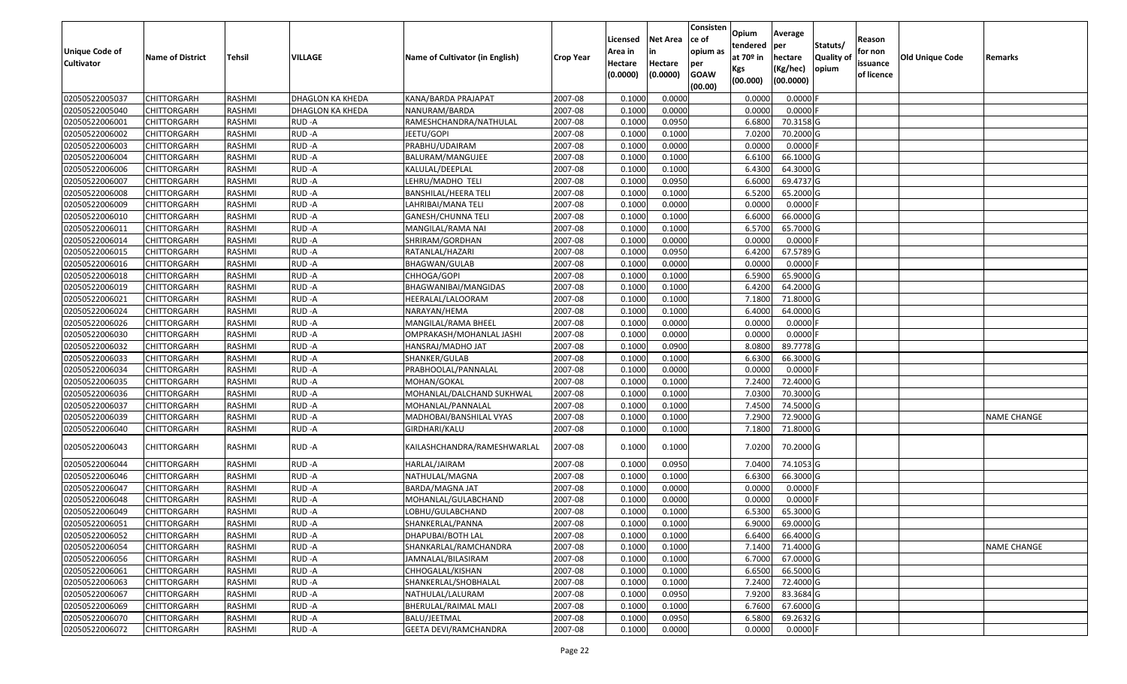| Unique Code of<br><b>Cultivator</b> | <b>Name of District</b> | Tehsil        | VILLAGE          | Name of Cultivator (in English) | <b>Crop Year</b> | Licensed<br>Area in<br>Hectare | <b>Net Area</b><br>in<br>Hectare | Consisten<br>ce of<br>opium as<br>per | Opium<br>tendered<br>at $70°$ in<br>Kgs | Average<br>per<br>hectare<br>(Kg/hec) | Statuts/<br><b>Quality o</b><br>opium | Reason<br>for non<br>issuance | Old Unique Code | Remarks            |
|-------------------------------------|-------------------------|---------------|------------------|---------------------------------|------------------|--------------------------------|----------------------------------|---------------------------------------|-----------------------------------------|---------------------------------------|---------------------------------------|-------------------------------|-----------------|--------------------|
|                                     |                         |               |                  |                                 |                  | (0.0000)                       | (0.0000)                         | <b>GOAW</b><br>(00.00)                | (00.000)                                | (00.0000)                             |                                       | of licence                    |                 |                    |
| 02050522005037                      | CHITTORGARH             | RASHMI        | DHAGLON KA KHEDA | KANA/BARDA PRAJAPAT             | 2007-08          | 0.1000                         | 0.0000                           |                                       | 0.0000                                  | 0.0000F                               |                                       |                               |                 |                    |
| 02050522005040                      | CHITTORGARH             | RASHMI        | DHAGLON KA KHEDA | NANURAM/BARDA                   | 2007-08          | 0.1000                         | 0.0000                           |                                       | 0.0000                                  | $0.0000$ F                            |                                       |                               |                 |                    |
| 02050522006001                      | CHITTORGARH             | RASHMI        | RUD-A            | RAMESHCHANDRA/NATHULAL          | 2007-08          | 0.1000                         | 0.0950                           |                                       | 6.6800                                  | 70.3158 G                             |                                       |                               |                 |                    |
| 02050522006002                      | <b>CHITTORGARH</b>      | RASHMI        | RUD-A            | JEETU/GOPI                      | 2007-08          | 0.1000                         | 0.1000                           |                                       | 7.0200                                  | 70.2000 G                             |                                       |                               |                 |                    |
| 02050522006003                      | CHITTORGARH             | RASHMI        | RUD-A            | PRABHU/UDAIRAM                  | 2007-08          | 0.1000                         | 0.0000                           |                                       | 0.0000                                  | $0.0000$ F                            |                                       |                               |                 |                    |
| 02050522006004                      | CHITTORGARH             | RASHMI        | RUD-A            | BALURAM/MANGUJEE                | 2007-08          | 0.1000                         | 0.1000                           |                                       | 6.6100                                  | 66.1000G                              |                                       |                               |                 |                    |
| 02050522006006                      | CHITTORGARH             | RASHMI        | RUD-A            | KALULAL/DEEPLAL                 | 2007-08          | 0.1000                         | 0.1000                           |                                       | 6.4300                                  | 64.3000 G                             |                                       |                               |                 |                    |
| 02050522006007                      | CHITTORGARH             | <b>RASHMI</b> | RUD-A            | LEHRU/MADHO TELI                | 2007-08          | 0.1000                         | 0.0950                           |                                       | 6.6000                                  | 69.4737 G                             |                                       |                               |                 |                    |
| 02050522006008                      | CHITTORGARH             | RASHMI        | RUD-A            | BANSHILAL/HEERA TELI            | 2007-08          | 0.1000                         | 0.1000                           |                                       | 6.5200                                  | 65.2000 G                             |                                       |                               |                 |                    |
| 02050522006009                      | CHITTORGARH             | RASHMI        | RUD-A            | LAHRIBAI/MANA TELI              | 2007-08          | 0.1000                         | 0.0000                           |                                       | 0.0000                                  | $0.0000$ F                            |                                       |                               |                 |                    |
| 02050522006010                      | CHITTORGARH             | RASHMI        | RUD-A            | GANESH/CHUNNA TELI              | 2007-08          | 0.1000                         | 0.1000                           |                                       | 6.6000                                  | 66.0000G                              |                                       |                               |                 |                    |
| 02050522006011                      | <b>CHITTORGARH</b>      | RASHMI        | RUD-A            | MANGILAL/RAMA NAI               | 2007-08          | 0.1000                         | 0.1000                           |                                       | 6.5700                                  | 65.7000 G                             |                                       |                               |                 |                    |
| 02050522006014                      | <b>CHITTORGARH</b>      | RASHMI        | RUD-A            | SHRIRAM/GORDHAN                 | 2007-08          | 0.1000                         | 0.0000                           |                                       | 0.0000                                  | $0.0000$ F                            |                                       |                               |                 |                    |
| 02050522006015                      | <b>CHITTORGARH</b>      | RASHMI        | RUD-A            | RATANLAL/HAZARI                 | 2007-08          | 0.1000                         | 0.0950                           |                                       | 6.4200                                  | 67.5789 G                             |                                       |                               |                 |                    |
| 02050522006016                      | <b>CHITTORGARH</b>      | RASHMI        | RUD-A            | BHAGWAN/GULAB                   | 2007-08          | 0.1000                         | 0.0000                           |                                       | 0.0000                                  | $0.0000$ F                            |                                       |                               |                 |                    |
| 02050522006018                      | CHITTORGARH             | RASHMI        | RUD-A            | CHHOGA/GOPI                     | 2007-08          | 0.1000                         | 0.1000                           |                                       | 6.5900                                  | 65.9000 G                             |                                       |                               |                 |                    |
| 02050522006019                      | CHITTORGARH             | RASHMI        | RUD-A            | BHAGWANIBAI/MANGIDAS            | 2007-08          | 0.100                          | 0.1000                           |                                       | 6.4200                                  | 64.2000 G                             |                                       |                               |                 |                    |
| 02050522006021                      | CHITTORGARH             | RASHMI        | RUD-A            | HEERALAL/LALOORAM               | 2007-08          | 0.1000                         | 0.1000                           |                                       | 7.1800                                  | 71.8000G                              |                                       |                               |                 |                    |
| 02050522006024                      | CHITTORGARH             | RASHMI        | RUD-A            | NARAYAN/HEMA                    | 2007-08          | 0.100                          | 0.1000                           |                                       | 6.4000                                  | 64.0000G                              |                                       |                               |                 |                    |
| 02050522006026                      | CHITTORGARH             | RASHMI        | RUD-A            | MANGILAL/RAMA BHEEL             | 2007-08          | 0.1000                         | 0.0000                           |                                       | 0.0000                                  | 0.0000                                |                                       |                               |                 |                    |
| 02050522006030                      | CHITTORGARH             | RASHMI        | RUD-A            | OMPRAKASH/MOHANLAL JASHI        | 2007-08          | 0.100                          | 0.0000                           |                                       | 0.0000                                  | $0.0000$ F                            |                                       |                               |                 |                    |
| 02050522006032                      | CHITTORGARH             | RASHMI        | RUD-A            | HANSRAJ/MADHO JAT               | 2007-08          | 0.100                          | 0.0900                           |                                       | 8.0800                                  | 89.7778 G                             |                                       |                               |                 |                    |
| 02050522006033                      | CHITTORGARH             | RASHMI        | RUD-A            | SHANKER/GULAB                   | 2007-08          | 0.1000                         | 0.1000                           |                                       | 6.6300                                  | 66.3000 G                             |                                       |                               |                 |                    |
| 02050522006034                      | CHITTORGARH             | RASHMI        | RUD-A            | PRABHOOLAL/PANNALAL             | 2007-08          | 0.100                          | 0.0000                           |                                       | 0.0000                                  | $0.0000$ F                            |                                       |                               |                 |                    |
| 02050522006035                      | <b>CHITTORGARH</b>      | RASHMI        | RUD-A            | MOHAN/GOKAL                     | 2007-08          | 0.1000                         | 0.1000                           |                                       | 7.2400                                  | 72.4000G                              |                                       |                               |                 |                    |
| 02050522006036                      | CHITTORGARH             | RASHMI        | RUD-A            | MOHANLAL/DALCHAND SUKHWAL       | 2007-08          | 0.1000                         | 0.1000                           |                                       | 7.0300                                  | 70.3000G                              |                                       |                               |                 |                    |
| 02050522006037                      | CHITTORGARH             | RASHMI        | RUD-A            | MOHANLAL/PANNALAL               | 2007-08          | 0.1000                         | 0.1000                           |                                       | 7.4500                                  | 74.5000G                              |                                       |                               |                 |                    |
| 02050522006039                      | CHITTORGARH             | RASHMI        | RUD-A            | MADHOBAI/BANSHILAL VYAS         | 2007-08          | 0.1000                         | 0.1000                           |                                       | 7.2900                                  | 72.9000G                              |                                       |                               |                 | <b>NAME CHANGE</b> |
| 02050522006040                      | CHITTORGARH             | RASHMI        | RUD-A            | GIRDHARI/KALU                   | 2007-08          | 0.1000                         | 0.1000                           |                                       | 7.1800                                  | 71.8000 G                             |                                       |                               |                 |                    |
| 02050522006043                      | CHITTORGARH             | RASHMI        | RUD-A            | KAILASHCHANDRA/RAMESHWARLAL     | 2007-08          | 0.1000                         | 0.1000                           |                                       | 7.0200                                  | 70.2000 G                             |                                       |                               |                 |                    |
| 02050522006044                      | CHITTORGARH             | RASHMI        | RUD-A            | HARLAL/JAIRAM                   | 2007-08          | 0.1000                         | 0.0950                           |                                       | 7.0400                                  | 74.1053 G                             |                                       |                               |                 |                    |
| 02050522006046                      | <b>CHITTORGARH</b>      | RASHMI        | RUD-A            | NATHULAL/MAGNA                  | 2007-08          | 0.1000                         | 0.1000                           |                                       | 6.6300                                  | 66.3000 G                             |                                       |                               |                 |                    |
| 02050522006047                      | <b>CHITTORGARH</b>      | RASHMI        | RUD-A            | BARDA/MAGNA JAT                 | 2007-08          | 0.1000                         | 0.0000                           |                                       | 0.0000                                  | $0.0000$ F                            |                                       |                               |                 |                    |
| 02050522006048                      | CHITTORGARH             | RASHMI        | RUD-A            | MOHANLAL/GULABCHAND             | 2007-08          | 0.1000                         | 0.0000                           |                                       | 0.0000                                  | $0.0000$ F                            |                                       |                               |                 |                    |
| 02050522006049                      | CHITTORGARH             | RASHMI        | RUD-A            | LOBHU/GULABCHAND                | 2007-08          | 0.1000                         | 0.1000                           |                                       | 6.5300                                  | 65.3000 G                             |                                       |                               |                 |                    |
| 02050522006051                      | <b>CHITTORGARH</b>      | RASHMI        | RUD-A            | SHANKERLAL/PANNA                | 2007-08          | 0.1000                         | 0.1000                           |                                       | 6.9000                                  | 69.0000 G                             |                                       |                               |                 |                    |
| 02050522006052                      | <b>CHITTORGARH</b>      | RASHMI        | RUD-A            | DHAPUBAI/BOTH LAL               | 2007-08          | 0.1000                         | 0.1000                           |                                       | 6.6400                                  | 66.4000 G                             |                                       |                               |                 |                    |
| 02050522006054                      | <b>CHITTORGARH</b>      | RASHMI        | RUD-A            | SHANKARLAL/RAMCHANDRA           | 2007-08          | 0.1000                         | 0.1000                           |                                       | 7.1400                                  | 71.4000 G                             |                                       |                               |                 | <b>NAME CHANGE</b> |
| 02050522006056                      | <b>CHITTORGARH</b>      | RASHMI        | RUD-A            | JAMNALAL/BILASIRAM              | 2007-08          | 0.1000                         | 0.1000                           |                                       | 6.7000                                  | 67.0000 G                             |                                       |                               |                 |                    |
| 02050522006061                      | <b>CHITTORGARH</b>      | RASHMI        | RUD-A            | CHHOGALAL/KISHAN                | 2007-08          | 0.1000                         | 0.1000                           |                                       | 6.6500                                  | 66.5000 G                             |                                       |                               |                 |                    |
| 02050522006063                      | <b>CHITTORGARH</b>      | RASHMI        | RUD-A            | SHANKERLAL/SHOBHALAL            | 2007-08          | 0.1000                         | 0.1000                           |                                       | 7.2400                                  | 72.4000 G                             |                                       |                               |                 |                    |
| 02050522006067                      | <b>CHITTORGARH</b>      | RASHMI        | RUD-A            | NATHULAL/LALURAM                | 2007-08          | 0.1000                         | 0.0950                           |                                       | 7.9200                                  | 83.3684 G                             |                                       |                               |                 |                    |
| 02050522006069                      | CHITTORGARH             | RASHMI        | RUD-A            | BHERULAL/RAIMAL MALI            | 2007-08          | 0.1000                         | 0.1000                           |                                       | 6.7600                                  | 67.6000 G                             |                                       |                               |                 |                    |
| 02050522006070                      | <b>CHITTORGARH</b>      | RASHMI        | RUD-A            | BALU/JEETMAL                    | 2007-08          | 0.1000                         | 0.0950                           |                                       | 6.5800                                  | 69.2632 G                             |                                       |                               |                 |                    |
| 02050522006072                      | <b>CHITTORGARH</b>      | RASHMI        | RUD-A            | <b>GEETA DEVI/RAMCHANDRA</b>    | 2007-08          | 0.1000                         | 0.0000                           |                                       | 0.0000                                  | $0.0000$ F                            |                                       |                               |                 |                    |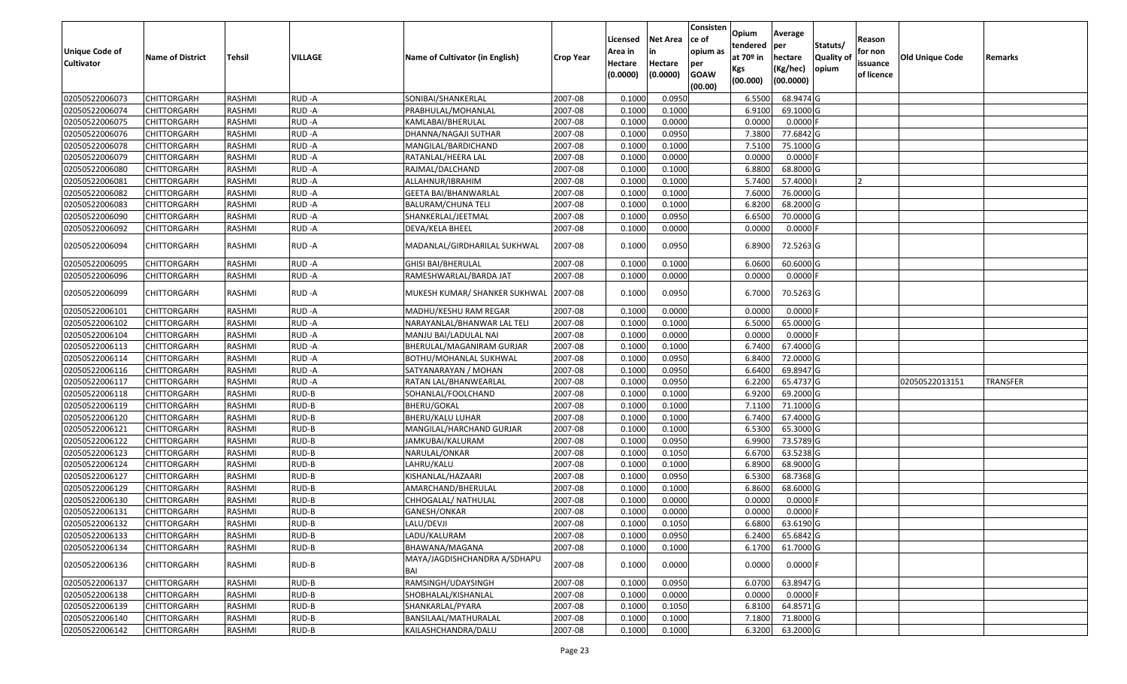| Unique Code of<br><b>Cultivator</b> | <b>Name of District</b> | <b>Tehsil</b> | VILLAGE | Name of Cultivator (in English)     | <b>Crop Year</b> | Licensed<br>Area in<br>Hectare<br>(0.0000) | <b>Net Area</b><br>in<br>Hectare<br>(0.0000) | Consisten<br>ce of<br>opium as<br>per<br><b>GOAW</b><br>(00.00) | Opium<br>tendered<br>at $70°$ in<br>Kgs<br>(00.000) | Average<br>per<br>hectare<br>(Kg/hec)<br>(00.0000) | Statuts/<br>Quality of<br>opium | Reason<br>for non<br>issuance<br>of licence | <b>Old Unique Code</b> | Remarks         |
|-------------------------------------|-------------------------|---------------|---------|-------------------------------------|------------------|--------------------------------------------|----------------------------------------------|-----------------------------------------------------------------|-----------------------------------------------------|----------------------------------------------------|---------------------------------|---------------------------------------------|------------------------|-----------------|
| 02050522006073                      | CHITTORGARH             | RASHMI        | RUD-A   | SONIBAI/SHANKERLAL                  | 2007-08          | 0.1000                                     | 0.0950                                       |                                                                 | 6.5500                                              | 68.9474 G                                          |                                 |                                             |                        |                 |
| 02050522006074                      | CHITTORGARH             | RASHMI        | RUD-A   | PRABHULAL/MOHANLAL                  | 2007-08          | 0.1000                                     | 0.1000                                       |                                                                 | 6.9100                                              | 69.1000G                                           |                                 |                                             |                        |                 |
| 02050522006075                      | CHITTORGARH             | RASHMI        | RUD-A   | KAMLABAI/BHERULAL                   | 2007-08          | 0.1000                                     | 0.0000                                       |                                                                 | 0.0000                                              | 0.0000                                             |                                 |                                             |                        |                 |
| 02050522006076                      | CHITTORGARH             | RASHMI        | RUD-A   | DHANNA/NAGAJI SUTHAR                | 2007-08          | 0.1000                                     | 0.0950                                       |                                                                 | 7.3800                                              | 77.6842 G                                          |                                 |                                             |                        |                 |
| 02050522006078                      | CHITTORGARH             | RASHMI        | RUD-A   | MANGILAL/BARDICHAND                 | 2007-08          | 0.1000                                     | 0.1000                                       |                                                                 | 7.5100                                              | 75.1000 G                                          |                                 |                                             |                        |                 |
| 02050522006079                      | CHITTORGARH             | RASHMI        | RUD-A   | RATANLAL/HEERA LAL                  | 2007-08          | 0.1000                                     | 0.0000                                       |                                                                 | 0.0000                                              | $0.0000$ F                                         |                                 |                                             |                        |                 |
| 02050522006080                      | CHITTORGARH             | RASHMI        | RUD-A   | RAJMAL/DALCHAND                     | 2007-08          | 0.1000                                     | 0.1000                                       |                                                                 | 6.8800                                              | 68.8000 G                                          |                                 |                                             |                        |                 |
| 02050522006081                      | CHITTORGARH             | RASHMI        | RUD-A   | ALLAHNUR/IBRAHIM                    | 2007-08          | 0.1000                                     | 0.1000                                       |                                                                 | 5.7400                                              | 57.4000                                            |                                 |                                             |                        |                 |
| 02050522006082                      | CHITTORGARH             | RASHMI        | RUD-A   | <b>GEETA BAI/BHANWARLAL</b>         | 2007-08          | 0.1000                                     | 0.1000                                       |                                                                 | 7.6000                                              | 76.0000G                                           |                                 |                                             |                        |                 |
| 02050522006083                      | CHITTORGARH             | RASHMI        | RUD-A   | BALURAM/CHUNA TELI                  | 2007-08          | 0.1000                                     | 0.1000                                       |                                                                 | 6.8200                                              | 68.2000 G                                          |                                 |                                             |                        |                 |
| 02050522006090                      | CHITTORGARH             | RASHMI        | RUD-A   | SHANKERLAL/JEETMAL                  | 2007-08          | 0.1000                                     | 0.0950                                       |                                                                 | 6.6500                                              | 70.0000G                                           |                                 |                                             |                        |                 |
| 02050522006092                      | CHITTORGARH             | RASHMI        | RUD-A   | DEVA/KELA BHEEL                     | 2007-08          | 0.1000                                     | 0.0000                                       |                                                                 | 0.0000                                              | 0.0000                                             |                                 |                                             |                        |                 |
| 02050522006094                      | CHITTORGARH             | RASHMI        | RUD-A   | MADANLAL/GIRDHARILAL SUKHWAL        | 2007-08          | 0.1000                                     | 0.0950                                       |                                                                 | 6.8900                                              | 72.5263 G                                          |                                 |                                             |                        |                 |
| 02050522006095                      | CHITTORGARH             | RASHMI        | RUD-A   | <b>GHISI BAI/BHERULAL</b>           | 2007-08          | 0.1000                                     | 0.1000                                       |                                                                 | 6.0600                                              | 60.6000 G                                          |                                 |                                             |                        |                 |
| 02050522006096                      | CHITTORGARH             | RASHMI        | RUD-A   | RAMESHWARLAL/BARDA JAT              | 2007-08          | 0.1000                                     | 0.0000                                       |                                                                 | 0.0000                                              | $0.0000$ F                                         |                                 |                                             |                        |                 |
| 02050522006099                      | CHITTORGARH             | RASHMI        | RUD-A   | MUKESH KUMAR/ SHANKER SUKHWAL       | 2007-08          | 0.1000                                     | 0.0950                                       |                                                                 | 6.7000                                              | 70.5263 G                                          |                                 |                                             |                        |                 |
| 02050522006101                      | CHITTORGARH             | RASHMI        | RUD-A   | MADHU/KESHU RAM REGAR               | 2007-08          | 0.1000                                     | 0.0000                                       |                                                                 | 0.0000                                              | $0.0000$ F                                         |                                 |                                             |                        |                 |
| 02050522006102                      | CHITTORGARH             | RASHMI        | RUD-A   | NARAYANLAL/BHANWAR LAL TELI         | 2007-08          | 0.1000                                     | 0.1000                                       |                                                                 | 6.5000                                              | 65.0000 G                                          |                                 |                                             |                        |                 |
| 02050522006104                      | CHITTORGARH             | RASHMI        | RUD-A   | MANJU BAI/LADULAL NAI               | 2007-08          | 0.1000                                     | 0.0000                                       |                                                                 | 0.0000                                              | 0.0000                                             |                                 |                                             |                        |                 |
| 02050522006113                      | CHITTORGARH             | RASHMI        | RUD-A   | BHERULAL/MAGANIRAM GURJAR           | 2007-08          | 0.1000                                     | 0.1000                                       |                                                                 | 6.7400                                              | 67.4000 G                                          |                                 |                                             |                        |                 |
| 02050522006114                      | CHITTORGARH             | RASHMI        | RUD-A   | BOTHU/MOHANLAL SUKHWAL              | 2007-08          | 0.1000                                     | 0.0950                                       |                                                                 | 6.8400                                              | 72.0000 G                                          |                                 |                                             |                        |                 |
| 02050522006116                      | CHITTORGARH             | RASHMI        | RUD-A   | SATYANARAYAN / MOHAN                | 2007-08          | 0.1000                                     | 0.0950                                       |                                                                 | 6.6400                                              | 69.8947 G                                          |                                 |                                             |                        |                 |
| 02050522006117                      | CHITTORGARH             | RASHMI        | RUD-A   | RATAN LAL/BHANWEARLAL               | 2007-08          | 0.1000                                     | 0.0950                                       |                                                                 | 6.2200                                              | 65.4737 G                                          |                                 |                                             | 02050522013151         | <b>TRANSFER</b> |
| 02050522006118                      | CHITTORGARH             | RASHMI        | RUD-B   | SOHANLAL/FOOLCHAND                  | 2007-08          | 0.1000                                     | 0.1000                                       |                                                                 | 6.9200                                              | 69.2000 G                                          |                                 |                                             |                        |                 |
| 02050522006119                      | CHITTORGARH             | RASHMI        | RUD-B   | BHERU/GOKAL                         | 2007-08          | 0.1000                                     | 0.1000                                       |                                                                 | 7.1100                                              | 71.1000 G                                          |                                 |                                             |                        |                 |
| 02050522006120                      | CHITTORGARH             | RASHMI        | RUD-B   | BHERU/KALU LUHAR                    | 2007-08          | 0.1000                                     | 0.1000                                       |                                                                 | 6.7400                                              | 67.4000 G                                          |                                 |                                             |                        |                 |
| 02050522006121                      | CHITTORGARH             | RASHMI        | RUD-B   | MANGILAL/HARCHAND GURJAR            | 2007-08          | 0.1000                                     | 0.1000                                       |                                                                 | 6.5300                                              | 65.3000G                                           |                                 |                                             |                        |                 |
| 02050522006122                      | CHITTORGARH             | RASHMI        | RUD-B   | JAMKUBAI/KALURAM                    | 2007-08          | 0.1000                                     | 0.0950                                       |                                                                 | 6.9900                                              | 73.5789 G                                          |                                 |                                             |                        |                 |
| 02050522006123                      | CHITTORGARH             | RASHMI        | RUD-B   | NARULAL/ONKAR                       | 2007-08          | 0.1000                                     | 0.1050                                       |                                                                 | 6.6700                                              | 63.5238 G                                          |                                 |                                             |                        |                 |
| 02050522006124                      | CHITTORGARH             | RASHMI        | RUD-B   | LAHRU/KALU                          | 2007-08          | 0.1000                                     | 0.1000                                       |                                                                 | 6.8900                                              | 68.9000 G                                          |                                 |                                             |                        |                 |
| 02050522006127                      | CHITTORGARH             | RASHMI        | RUD-B   | KISHANLAL/HAZAARI                   | 2007-08          | 0.1000                                     | 0.0950                                       |                                                                 | 6.5300                                              | 68.7368 G                                          |                                 |                                             |                        |                 |
| 02050522006129                      | CHITTORGARH             | RASHMI        | RUD-B   | AMARCHAND/BHERULAL                  | 2007-08          | 0.1000                                     | 0.1000                                       |                                                                 | 6.8600                                              | 68.6000 G                                          |                                 |                                             |                        |                 |
| 02050522006130                      | CHITTORGARH             | RASHMI        | RUD-B   | CHHOGALAL/ NATHULAL                 | 2007-08          | 0.1000                                     | 0.0000                                       |                                                                 | 0.0000                                              | 0.0000                                             |                                 |                                             |                        |                 |
| 02050522006131                      | CHITTORGARH             | RASHMI        | RUD-B   | GANESH/ONKAR                        | 2007-08          | 0.1000                                     | 0.0000                                       |                                                                 | 0.0000                                              | 0.0000                                             |                                 |                                             |                        |                 |
| 02050522006132                      | <b>CHITTORGARH</b>      | RASHMI        | RUD-B   | LALU/DEVJI                          | 2007-08          | 0.1000                                     | 0.1050                                       |                                                                 | 6.6800                                              | 63.6190 G                                          |                                 |                                             |                        |                 |
| 02050522006133                      | <b>CHITTORGARH</b>      | RASHMI        | RUD-B   | LADU/KALURAM                        | 2007-08          | 0.1000                                     | 0.0950                                       |                                                                 | 6.2400                                              | 65.6842 G                                          |                                 |                                             |                        |                 |
| 02050522006134                      | CHITTORGARH             | RASHMI        | RUD-B   | BHAWANA/MAGANA                      | 2007-08          | 0.1000                                     | 0.1000                                       |                                                                 | 6.1700                                              | 61.7000 G                                          |                                 |                                             |                        |                 |
| 02050522006136                      | CHITTORGARH             | RASHMI        | RUD-B   | MAYA/JAGDISHCHANDRA A/SDHAPU<br>BAI | 2007-08          | 0.1000                                     | 0.0000                                       |                                                                 | 0.0000                                              | $0.0000$ F                                         |                                 |                                             |                        |                 |
| 02050522006137                      | <b>CHITTORGARH</b>      | RASHMI        | RUD-B   | RAMSINGH/UDAYSINGH                  | 2007-08          | 0.1000                                     | 0.0950                                       |                                                                 | 6.0700                                              | 63.8947 G                                          |                                 |                                             |                        |                 |
| 02050522006138                      | <b>CHITTORGARH</b>      | RASHMI        | RUD-B   | SHOBHALAL/KISHANLAL                 | 2007-08          | 0.1000                                     | 0.0000                                       |                                                                 | 0.0000                                              | $0.0000$ F                                         |                                 |                                             |                        |                 |
| 02050522006139                      | CHITTORGARH             | RASHMI        | RUD-B   | SHANKARLAL/PYARA                    | 2007-08          | 0.1000                                     | 0.1050                                       |                                                                 | 6.8100                                              | 64.8571 G                                          |                                 |                                             |                        |                 |
| 02050522006140                      | <b>CHITTORGARH</b>      | RASHMI        | RUD-B   | BANSILAAL/MATHURALAL                | 2007-08          | 0.1000                                     | 0.1000                                       |                                                                 | 7.1800                                              | 71.8000 G                                          |                                 |                                             |                        |                 |
| 02050522006142                      | <b>CHITTORGARH</b>      | RASHMI        | RUD-B   | KAILASHCHANDRA/DALU                 | 2007-08          | 0.1000                                     | 0.1000                                       |                                                                 | 6.3200                                              | 63.2000 G                                          |                                 |                                             |                        |                 |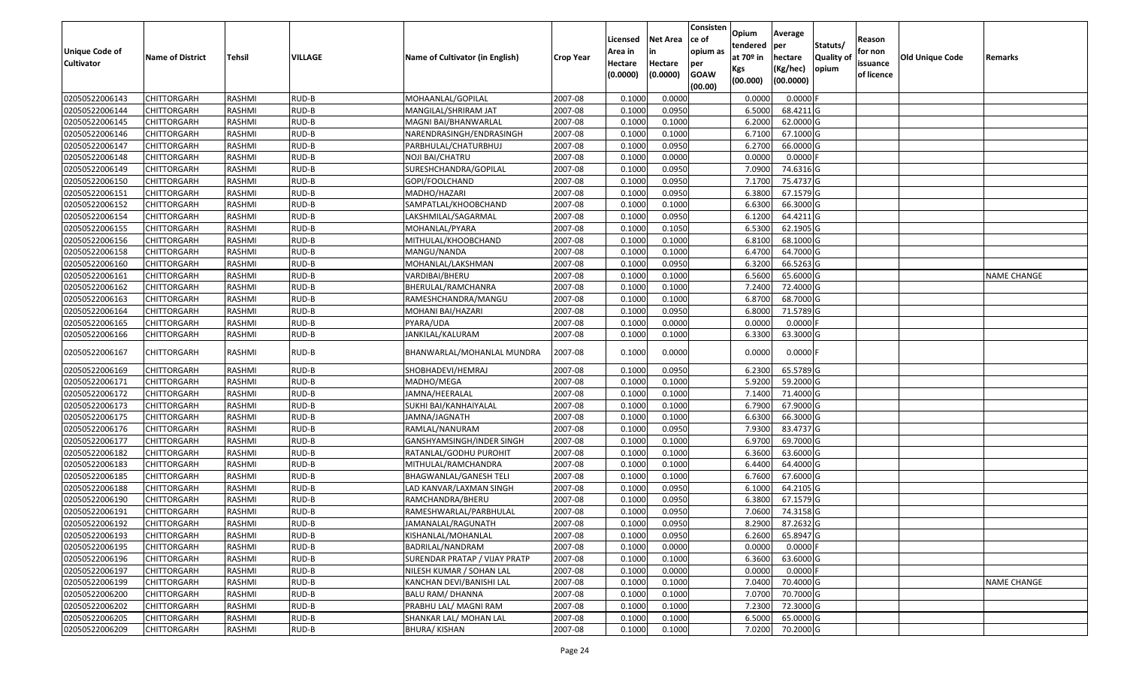| <b>Unique Code of</b><br><b>Cultivator</b> | <b>Name of District</b> | Tehsil        | VILLAGE | Name of Cultivator (in English) | <b>Crop Year</b> | Licensed<br>Area in<br>Hectare | <b>Net Area</b><br>in<br>Hectare | Consisten<br>ce of<br>opium as<br>per | Opium<br>tendered<br>at $70°$ in | Average<br>per<br>hectare | Statuts/<br><b>Quality o</b> | Reason<br>for non<br>issuance | Old Unique Code | Remarks            |
|--------------------------------------------|-------------------------|---------------|---------|---------------------------------|------------------|--------------------------------|----------------------------------|---------------------------------------|----------------------------------|---------------------------|------------------------------|-------------------------------|-----------------|--------------------|
|                                            |                         |               |         |                                 |                  | (0.0000)                       | (0.0000)                         | <b>GOAW</b><br>(00.00)                | Kgs<br>(00.000)                  | (Kg/hec)<br>(00.0000)     | opium                        | of licence                    |                 |                    |
| 02050522006143                             | CHITTORGARH             | RASHMI        | RUD-B   | MOHAANLAL/GOPILAL               | 2007-08          | 0.1000                         | 0.0000                           |                                       | 0.0000                           | 0.0000F                   |                              |                               |                 |                    |
| 02050522006144                             | CHITTORGARH             | RASHMI        | RUD-B   | MANGILAL/SHRIRAM JAT            | 2007-08          | 0.1000                         | 0.0950                           |                                       | 6.5000                           | 68.4211G                  |                              |                               |                 |                    |
| 02050522006145                             | CHITTORGARH             | RASHMI        | RUD-B   | MAGNI BAI/BHANWARLAL            | 2007-08          | 0.1000                         | 0.1000                           |                                       | 6.2000                           | 62.0000G                  |                              |                               |                 |                    |
| 02050522006146                             | CHITTORGARH             | RASHMI        | RUD-B   | NARENDRASINGH/ENDRASINGH        | 2007-08          | 0.1000                         | 0.1000                           |                                       | 6.7100                           | 67.1000G                  |                              |                               |                 |                    |
| 02050522006147                             | CHITTORGARH             | RASHMI        | RUD-B   | PARBHULAL/CHATURBHUJ            | 2007-08          | 0.1000                         | 0.0950                           |                                       | 6.2700                           | 66.0000 G                 |                              |                               |                 |                    |
| 02050522006148                             | CHITTORGARH             | RASHMI        | RUD-B   | NOJI BAI/CHATRU                 | 2007-08          | 0.1000                         | 0.0000                           |                                       | 0.0000                           | $0.0000$ F                |                              |                               |                 |                    |
| 02050522006149                             | CHITTORGARH             | RASHMI        | RUD-B   | SURESHCHANDRA/GOPILAL           | 2007-08          | 0.1000                         | 0.0950                           |                                       | 7.0900                           | 74.6316 G                 |                              |                               |                 |                    |
| 02050522006150                             | <b>CHITTORGARH</b>      | <b>RASHMI</b> | RUD-B   | GOPI/FOOLCHAND                  | 2007-08          | 0.1000                         | 0.0950                           |                                       | 7.1700                           | 75.4737 G                 |                              |                               |                 |                    |
| 02050522006151                             | CHITTORGARH             | RASHMI        | RUD-B   | MADHO/HAZARI                    | 2007-08          | 0.1000                         | 0.0950                           |                                       | 6.3800                           | 67.1579 G                 |                              |                               |                 |                    |
| 02050522006152                             | CHITTORGARH             | RASHMI        | RUD-B   | SAMPATLAL/KHOOBCHAND            | 2007-08          | 0.1000                         | 0.1000                           |                                       | 6.6300                           | 66.3000 G                 |                              |                               |                 |                    |
| 02050522006154                             | CHITTORGARH             | RASHMI        | RUD-B   | LAKSHMILAL/SAGARMAL             | 2007-08          | 0.1000                         | 0.0950                           |                                       | 6.1200                           | 64.4211G                  |                              |                               |                 |                    |
| 02050522006155                             | <b>CHITTORGARH</b>      | RASHMI        | RUD-B   | MOHANLAL/PYARA                  | 2007-08          | 0.1000                         | 0.1050                           |                                       | 6.5300                           | 62.1905 G                 |                              |                               |                 |                    |
| 02050522006156                             | <b>CHITTORGARH</b>      | RASHMI        | RUD-B   | MITHULAL/KHOOBCHAND             | 2007-08          | 0.1000                         | 0.1000                           |                                       | 6.8100                           | 68.1000 G                 |                              |                               |                 |                    |
| 02050522006158                             | <b>CHITTORGARH</b>      | RASHMI        | RUD-B   | MANGU/NANDA                     | 2007-08          | 0.1000                         | 0.1000                           |                                       | 6.4700                           | 64.7000G                  |                              |                               |                 |                    |
| 02050522006160                             | <b>CHITTORGARH</b>      | RASHMI        | RUD-B   | MOHANLAL/LAKSHMAN               | 2007-08          | 0.1000                         | 0.0950                           |                                       | 6.3200                           | 66.5263 G                 |                              |                               |                 |                    |
| 02050522006161                             | CHITTORGARH             | RASHMI        | RUD-B   | VARDIBAI/BHERU                  | 2007-08          | 0.1000                         | 0.1000                           |                                       | 6.5600                           | 65.6000G                  |                              |                               |                 | NAME CHANGE        |
| 02050522006162                             | CHITTORGARH             | RASHMI        | RUD-B   | BHERULAL/RAMCHANRA              | 2007-08          | 0.1000                         | 0.1000                           |                                       | 7.2400                           | 72.4000 G                 |                              |                               |                 |                    |
| 02050522006163                             | CHITTORGARH             | RASHMI        | RUD-B   | RAMESHCHANDRA/MANGU             | 2007-08          | 0.1000                         | 0.1000                           |                                       | 6.8700                           | 68.7000 G                 |                              |                               |                 |                    |
| 02050522006164                             | CHITTORGARH             | RASHMI        | RUD-B   | MOHANI BAI/HAZARI               | 2007-08          | 0.1000                         | 0.0950                           |                                       | 6.8000                           | 71.5789 G                 |                              |                               |                 |                    |
| 02050522006165                             | CHITTORGARH             | RASHMI        | RUD-B   | PYARA/UDA                       | 2007-08          | 0.1000                         | 0.0000                           |                                       | 0.0000                           | 0.0000                    |                              |                               |                 |                    |
| 02050522006166                             | CHITTORGARH             | RASHMI        | RUD-B   | JANKILAL/KALURAM                | 2007-08          | 0.1000                         | 0.1000                           |                                       | 6.3300                           | 63.3000 G                 |                              |                               |                 |                    |
| 02050522006167                             | CHITTORGARH             | RASHMI        | RUD-B   | BHANWARLAL/MOHANLAL MUNDRA      | 2007-08          | 0.1000                         | 0.0000                           |                                       | 0.0000                           | $0.0000$ F                |                              |                               |                 |                    |
| 02050522006169                             | CHITTORGARH             | RASHMI        | RUD-B   | SHOBHADEVI/HEMRAJ               | 2007-08          | 0.1000                         | 0.0950                           |                                       | 6.2300                           | 65.5789 G                 |                              |                               |                 |                    |
| 02050522006171                             | <b>CHITTORGARH</b>      | RASHMI        | RUD-B   | MADHO/MEGA                      | 2007-08          | 0.1000                         | 0.1000                           |                                       | 5.9200                           | 59.2000 G                 |                              |                               |                 |                    |
| 02050522006172                             | CHITTORGARH             | RASHMI        | RUD-B   | JAMNA/HEERALAL                  | 2007-08          | 0.1000                         | 0.1000                           |                                       | 7.1400                           | 71.4000 G                 |                              |                               |                 |                    |
| 02050522006173                             | CHITTORGARH             | RASHMI        | RUD-B   | SUKHI BAI/KANHAIYALAL           | 2007-08          | 0.1000                         | 0.1000                           |                                       | 6.7900                           | 67.9000 G                 |                              |                               |                 |                    |
| 02050522006175                             | CHITTORGARH             | RASHMI        | RUD-B   | JAMNA/JAGNATH                   | 2007-08          | 0.1000                         | 0.1000                           |                                       | 6.6300                           | 66.3000 G                 |                              |                               |                 |                    |
| 02050522006176                             | <b>CHITTORGARH</b>      | <b>RASHMI</b> | RUD-B   | RAMLAL/NANURAM                  | 2007-08          | 0.1000                         | 0.0950                           |                                       | 7.9300                           | 83.4737 G                 |                              |                               |                 |                    |
| 02050522006177                             | CHITTORGARH             | RASHMI        | RUD-B   | GANSHYAMSINGH/INDER SINGH       | 2007-08          | 0.1000                         | 0.1000                           |                                       | 6.9700                           | 69.7000 G                 |                              |                               |                 |                    |
| 02050522006182                             | CHITTORGARH             | RASHMI        | RUD-B   | RATANLAL/GODHU PUROHIT          | 2007-08          | 0.1000                         | 0.1000                           |                                       | 6.3600                           | 63.6000 G                 |                              |                               |                 |                    |
| 02050522006183                             | CHITTORGARH             | RASHMI        | RUD-B   | MITHULAL/RAMCHANDRA             | 2007-08          | 0.1000                         | 0.1000                           |                                       | 6.4400                           | 64.4000 G                 |                              |                               |                 |                    |
| 02050522006185                             | <b>CHITTORGARH</b>      | RASHMI        | RUD-B   | BHAGWANLAL/GANESH TELI          | 2007-08          | 0.1000                         | 0.1000                           |                                       | 6.7600                           | 67.6000 G                 |                              |                               |                 |                    |
| 02050522006188                             | <b>CHITTORGARH</b>      | RASHMI        | RUD-B   | LAD KANVAR/LAXMAN SINGH         | 2007-08          | 0.1000                         | 0.0950                           |                                       | 6.1000                           | 64.2105 G                 |                              |                               |                 |                    |
| 02050522006190                             | CHITTORGARH             | RASHMI        | RUD-B   | RAMCHANDRA/BHERU                | 2007-08          | 0.1000                         | 0.0950                           |                                       | 6.3800                           | 67.1579 G                 |                              |                               |                 |                    |
| 02050522006191                             | CHITTORGARH             | RASHMI        | RUD-B   | RAMESHWARLAL/PARBHULAL          | 2007-08          | 0.1000                         | 0.0950                           |                                       | 7.0600                           | 74.3158 G                 |                              |                               |                 |                    |
| 02050522006192                             | <b>CHITTORGARH</b>      | RASHMI        | RUD-B   | JAMANALAL/RAGUNATH              | 2007-08          | 0.1000                         | 0.0950                           |                                       | 8.2900                           | 87.2632 G                 |                              |                               |                 |                    |
| 02050522006193                             | <b>CHITTORGARH</b>      | RASHMI        | RUD-B   | KISHANLAL/MOHANLAL              | 2007-08          | 0.1000                         | 0.0950                           |                                       | 6.2600                           | 65.8947 G                 |                              |                               |                 |                    |
| 02050522006195                             | <b>CHITTORGARH</b>      | RASHMI        | RUD-B   | BADRILAL/NANDRAM                | 2007-08          | 0.1000                         | 0.0000                           |                                       | 0.0000                           | $0.0000$ F                |                              |                               |                 |                    |
| 02050522006196                             | <b>CHITTORGARH</b>      | RASHMI        | RUD-B   | SURENDAR PRATAP / VIJAY PRATP   | 2007-08          | 0.1000                         | 0.1000                           |                                       | 6.3600                           | 63.6000 G                 |                              |                               |                 |                    |
| 02050522006197                             | CHITTORGARH             | RASHMI        | RUD-B   | NILESH KUMAR / SOHAN LAL        | 2007-08          | 0.1000                         | 0.0000                           |                                       | 0.0000                           | $0.0000$ F                |                              |                               |                 |                    |
| 02050522006199                             | <b>CHITTORGARH</b>      | RASHMI        | RUD-B   | KANCHAN DEVI/BANISHI LAL        | 2007-08          | 0.1000                         | 0.1000                           |                                       | 7.0400                           | 70.4000 G                 |                              |                               |                 | <b>NAME CHANGE</b> |
| 02050522006200                             | <b>CHITTORGARH</b>      | RASHMI        | RUD-B   | <b>BALU RAM/ DHANNA</b>         | 2007-08          | 0.1000                         | 0.1000                           |                                       | 7.0700                           | 70.7000 G                 |                              |                               |                 |                    |
| 02050522006202                             | CHITTORGARH             | RASHMI        | RUD-B   | PRABHU LAL/ MAGNI RAM           | 2007-08          | 0.1000                         | 0.1000                           |                                       | 7.2300                           | 72.3000 G                 |                              |                               |                 |                    |
| 02050522006205                             | CHITTORGARH             | RASHMI        | RUD-B   | SHANKAR LAL/ MOHAN LAL          | 2007-08          | 0.1000                         | 0.1000                           |                                       | 6.5000                           | 65.0000 G                 |                              |                               |                 |                    |
| 02050522006209                             | <b>CHITTORGARH</b>      | RASHMI        | RUD-B   | <b>BHURA/KISHAN</b>             | 2007-08          | 0.1000                         | 0.1000                           |                                       | 7.0200                           | 70.2000 G                 |                              |                               |                 |                    |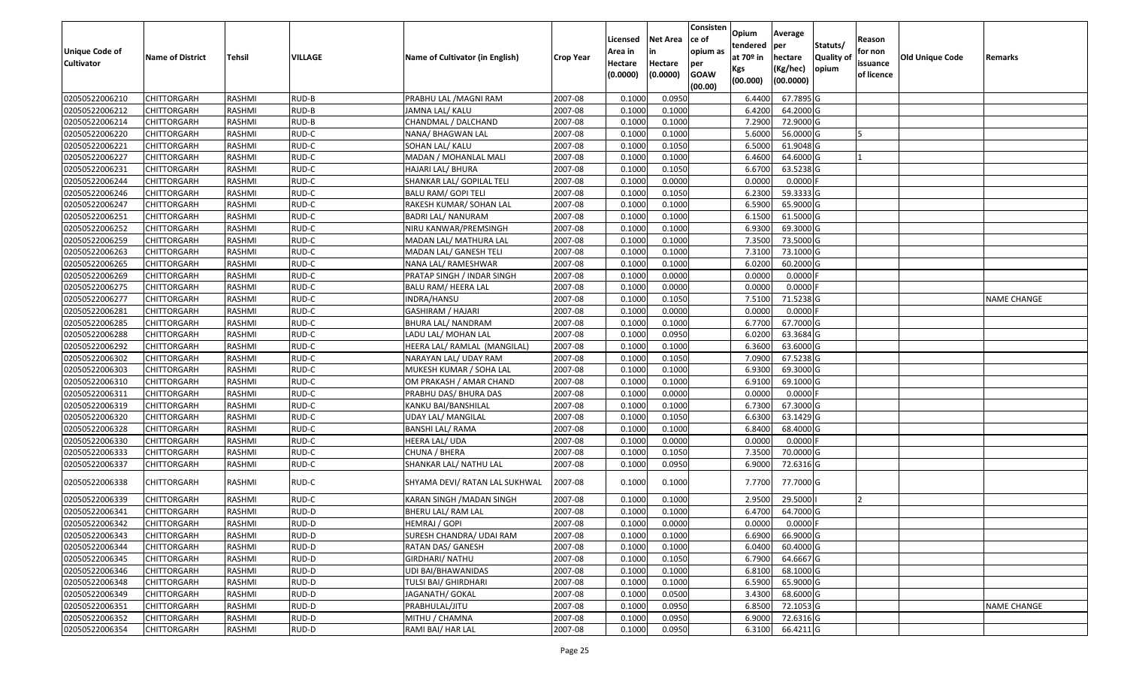| <b>Unique Code of</b> | <b>Name of District</b> | Tehsil | VILLAGE | Name of Cultivator (in English) | <b>Crop Year</b> | Licensed<br>Area in | <b>Net Area</b><br>in | Consisten<br>ce of<br>opium as | Opium<br>tendered<br>at $70°$ in | Average<br>per<br>hectare | Statuts/<br>Quality o | Reason<br>for non      | Old Unique Code | Remarks            |
|-----------------------|-------------------------|--------|---------|---------------------------------|------------------|---------------------|-----------------------|--------------------------------|----------------------------------|---------------------------|-----------------------|------------------------|-----------------|--------------------|
| <b>Cultivator</b>     |                         |        |         |                                 |                  | Hectare<br>(0.0000) | Hectare<br>(0.0000)   | per<br><b>GOAW</b><br>(00.00)  | Kgs<br>(00.000)                  | (Kg/hec)<br>(00.0000)     | opium                 | issuance<br>of licence |                 |                    |
| 02050522006210        | <b>CHITTORGARH</b>      | RASHMI | RUD-B   | PRABHU LAL / MAGNI RAM          | 2007-08          | 0.1000              | 0.0950                |                                | 6.4400                           | 67.7895 G                 |                       |                        |                 |                    |
| 02050522006212        | CHITTORGARH             | RASHMI | RUD-B   | JAMNA LAL/ KALU                 | 2007-08          | 0.1000              | 0.1000                |                                | 6.4200                           | 64.2000 G                 |                       |                        |                 |                    |
| 02050522006214        | CHITTORGARH             | RASHMI | RUD-B   | CHANDMAL / DALCHAND             | 2007-08          | 0.1000              | 0.1000                |                                | 7.2900                           | 72.9000 G                 |                       |                        |                 |                    |
| 02050522006220        | <b>CHITTORGARH</b>      | RASHMI | RUD-C   | NANA/ BHAGWAN LAL               | 2007-08          | 0.1000              | 0.1000                |                                | 5.6000                           | 56.0000G                  |                       |                        |                 |                    |
| 02050522006221        | CHITTORGARH             | RASHMI | RUD-C   | SOHAN LAL/ KALU                 | 2007-08          | 0.1000              | 0.1050                |                                | 6.5000                           | 61.9048 G                 |                       |                        |                 |                    |
| 02050522006227        | CHITTORGARH             | RASHMI | RUD-C   | MADAN / MOHANLAL MALI           | 2007-08          | 0.1000              | 0.1000                |                                | 6.4600                           | 64.6000 G                 |                       |                        |                 |                    |
| 02050522006231        | CHITTORGARH             | RASHMI | RUD-C   | HAJARI LAL/ BHURA               | 2007-08          | 0.1000              | 0.1050                |                                | 6.6700                           | 63.5238 G                 |                       |                        |                 |                    |
| 02050522006244        | CHITTORGARH             | RASHMI | RUD-C   | SHANKAR LAL/ GOPILAL TELI       | 2007-08          | 0.1000              | 0.0000                |                                | 0.0000                           | $0.0000$ F                |                       |                        |                 |                    |
| 02050522006246        | CHITTORGARH             | RASHMI | RUD-C   | <b>BALU RAM/ GOPI TELI</b>      | 2007-08          | 0.1000              | 0.1050                |                                | 6.2300                           | 59.3333 G                 |                       |                        |                 |                    |
| 02050522006247        | CHITTORGARH             | RASHMI | RUD-C   | RAKESH KUMAR/ SOHAN LAL         | 2007-08          | 0.1000              | 0.1000                |                                | 6.5900                           | 65.9000 G                 |                       |                        |                 |                    |
| 02050522006251        | CHITTORGARH             | RASHMI | RUD-C   | <b>BADRI LAL/ NANURAM</b>       | 2007-08          | 0.1000              | 0.1000                |                                | 6.1500                           | 61.5000 G                 |                       |                        |                 |                    |
| 02050522006252        | <b>CHITTORGARH</b>      | RASHMI | RUD-C   | NIRU KANWAR/PREMSINGH           | 2007-08          | 0.1000              | 0.1000                |                                | 6.9300                           | 69.3000 G                 |                       |                        |                 |                    |
| 02050522006259        | <b>CHITTORGARH</b>      | RASHMI | RUD-C   | MADAN LAL/ MATHURA LAL          | 2007-08          | 0.1000              | 0.1000                |                                | 7.3500                           | 73.5000G                  |                       |                        |                 |                    |
| 02050522006263        | <b>CHITTORGARH</b>      | RASHMI | RUD-C   | MADAN LAL/ GANESH TELI          | 2007-08          | 0.1000              | 0.1000                |                                | 7.3100                           | 73.1000 G                 |                       |                        |                 |                    |
| 02050522006265        | <b>CHITTORGARH</b>      | RASHMI | RUD-C   | NANA LAL/ RAMESHWAR             | 2007-08          | 0.1000              | 0.1000                |                                | 6.0200                           | 60.2000 G                 |                       |                        |                 |                    |
| 02050522006269        | <b>CHITTORGARH</b>      | RASHMI | RUD-C   | PRATAP SINGH / INDAR SINGH      | 2007-08          | 0.1000              | 0.0000                |                                | 0.0000                           | $0.0000$ F                |                       |                        |                 |                    |
| 02050522006275        | CHITTORGARH             | RASHMI | RUD-C   | BALU RAM/ HEERA LAL             | 2007-08          | 0.1000              | 0.0000                |                                | 0.0000                           | $0.0000$ F                |                       |                        |                 |                    |
| 02050522006277        | CHITTORGARH             | RASHMI | RUD-C   | INDRA/HANSU                     | 2007-08          | 0.1000              | 0.1050                |                                | 7.5100                           | 71.5238 G                 |                       |                        |                 | NAME CHANGE        |
| 02050522006281        | CHITTORGARH             | RASHMI | RUD-C   | GASHIRAM / HAJARI               | 2007-08          | 0.1000              | 0.0000                |                                | 0.0000                           | $0.0000$ F                |                       |                        |                 |                    |
| 02050522006285        | CHITTORGARH             | RASHMI | RUD-C   | BHURA LAL/ NANDRAM              | 2007-08          | 0.1000              | 0.1000                |                                | 6.7700                           | 67.7000 G                 |                       |                        |                 |                    |
| 02050522006288        | CHITTORGARH             | RASHMI | RUD-C   | LADU LAL/ MOHAN LAL             | 2007-08          | 0.1000              | 0.0950                |                                | 6.0200                           | 63.3684 G                 |                       |                        |                 |                    |
| 02050522006292        | CHITTORGARH             | RASHMI | RUD-C   | HEERA LAL/ RAMLAL (MANGILAL)    | 2007-08          | 0.1000              | 0.1000                |                                | 6.3600                           | 63.6000 G                 |                       |                        |                 |                    |
| 02050522006302        | CHITTORGARH             | RASHMI | RUD-C   | NARAYAN LAL/ UDAY RAM           | 2007-08          | 0.1000              | 0.1050                |                                | 7.0900                           | 67.5238 G                 |                       |                        |                 |                    |
| 02050522006303        | <b>CHITTORGARH</b>      | RASHMI | RUD-C   | MUKESH KUMAR / SOHA LAL         | 2007-08          | 0.1000              | 0.1000                |                                | 6.9300                           | 69.3000 G                 |                       |                        |                 |                    |
| 02050522006310        | <b>CHITTORGARH</b>      | RASHMI | RUD-C   | OM PRAKASH / AMAR CHAND         | 2007-08          | 0.1000              | 0.1000                |                                | 6.9100                           | 69.1000G                  |                       |                        |                 |                    |
| 02050522006311        | CHITTORGARH             | RASHMI | RUD-C   | PRABHU DAS/ BHURA DAS           | 2007-08          | 0.1000              | 0.0000                |                                | 0.0000                           | $0.0000$ F                |                       |                        |                 |                    |
| 02050522006319        | CHITTORGARH             | RASHMI | RUD-C   | KANKU BAI/BANSHILAL             | 2007-08          | 0.1000              | 0.1000                |                                | 6.7300                           | 67.3000 G                 |                       |                        |                 |                    |
| 02050522006320        | CHITTORGARH             | RASHMI | RUD-C   | UDAY LAL/ MANGILAL              | 2007-08          | 0.1000              | 0.1050                |                                | 6.6300                           | 63.1429 G                 |                       |                        |                 |                    |
| 02050522006328        | CHITTORGARH             | RASHMI | RUD-C   | <b>BANSHI LAL/ RAMA</b>         | 2007-08          | 0.1000              | 0.1000                |                                | 6.8400                           | 68.4000 G                 |                       |                        |                 |                    |
| 02050522006330        | CHITTORGARH             | RASHMI | RUD-C   | HEERA LAL/ UDA                  | 2007-08          | 0.1000              | 0.0000                |                                | 0.0000                           | $0.0000$ F                |                       |                        |                 |                    |
| 02050522006333        | CHITTORGARH             | RASHMI | RUD-C   | CHUNA / BHERA                   | 2007-08          | 0.1000              | 0.1050                |                                | 7.3500                           | 70.0000 G                 |                       |                        |                 |                    |
| 02050522006337        | CHITTORGARH             | RASHMI | RUD-C   | SHANKAR LAL/ NATHU LAL          | 2007-08          | 0.1000              | 0.0950                |                                | 6.9000                           | 72.6316 G                 |                       |                        |                 |                    |
| 02050522006338        | CHITTORGARH             | RASHMI | RUD-C   | SHYAMA DEVI/ RATAN LAL SUKHWAL  | 2007-08          | 0.1000              | 0.1000                |                                | 7.7700                           | 77.7000 G                 |                       |                        |                 |                    |
| 02050522006339        | CHITTORGARH             | RASHMI | RUD-C   | KARAN SINGH /MADAN SINGH        | 2007-08          | 0.1000              | 0.1000                |                                | 2.9500                           | 29.5000                   |                       |                        |                 |                    |
| 02050522006341        | CHITTORGARH             | RASHMI | RUD-D   | BHERU LAL/ RAM LAL              | 2007-08          | 0.1000              | 0.1000                |                                | 6.4700                           | 64.7000 G                 |                       |                        |                 |                    |
| 02050522006342        | <b>CHITTORGARH</b>      | RASHMI | RUD-D   | HEMRAJ / GOPI                   | 2007-08          | 0.1000              | 0.0000                |                                | 0.0000                           | $0.0000$ F                |                       |                        |                 |                    |
| 02050522006343        | <b>CHITTORGARH</b>      | RASHMI | RUD-D   | SURESH CHANDRA/ UDAI RAM        | 2007-08          | 0.1000              | 0.1000                |                                | 6.6900                           | 66.9000 G                 |                       |                        |                 |                    |
| 02050522006344        | <b>CHITTORGARH</b>      | RASHMI | RUD-D   | RATAN DAS/ GANESH               | 2007-08          | 0.1000              | 0.1000                |                                | 6.0400                           | 60.4000 G                 |                       |                        |                 |                    |
| 02050522006345        | <b>CHITTORGARH</b>      | RASHMI | RUD-D   | <b>GIRDHARI/ NATHU</b>          | 2007-08          | 0.1000              | 0.1050                |                                | 6.7900                           | 64.6667 G                 |                       |                        |                 |                    |
| 02050522006346        | <b>CHITTORGARH</b>      | RASHMI | RUD-D   | UDI BAI/BHAWANIDAS              | 2007-08          | 0.1000              | 0.1000                |                                | 6.8100                           | 68.1000 G                 |                       |                        |                 |                    |
| 02050522006348        | <b>CHITTORGARH</b>      | RASHMI | RUD-D   | TULSI BAI/ GHIRDHARI            | 2007-08          | 0.1000              | 0.1000                |                                | 6.5900                           | 65.9000 G                 |                       |                        |                 |                    |
| 02050522006349        | <b>CHITTORGARH</b>      | RASHMI | RUD-D   | JAGANATH/ GOKAL                 | 2007-08          | 0.1000              | 0.0500                |                                | 3.4300                           | 68.6000 G                 |                       |                        |                 |                    |
| 02050522006351        | <b>CHITTORGARH</b>      | RASHMI | RUD-D   | PRABHULAL/JITU                  | 2007-08          | 0.1000              | 0.0950                |                                | 6.8500                           | 72.1053 G                 |                       |                        |                 | <b>NAME CHANGE</b> |
| 02050522006352        | <b>CHITTORGARH</b>      | RASHMI | RUD-D   | MITHU / CHAMNA                  | 2007-08          | 0.1000              | 0.0950                |                                | 6.9000                           | 72.6316 G                 |                       |                        |                 |                    |
| 02050522006354        | <b>CHITTORGARH</b>      | RASHMI | RUD-D   | RAMI BAI/ HAR LAL               | 2007-08          | 0.1000              | 0.0950                |                                | 6.3100                           | 66.4211 G                 |                       |                        |                 |                    |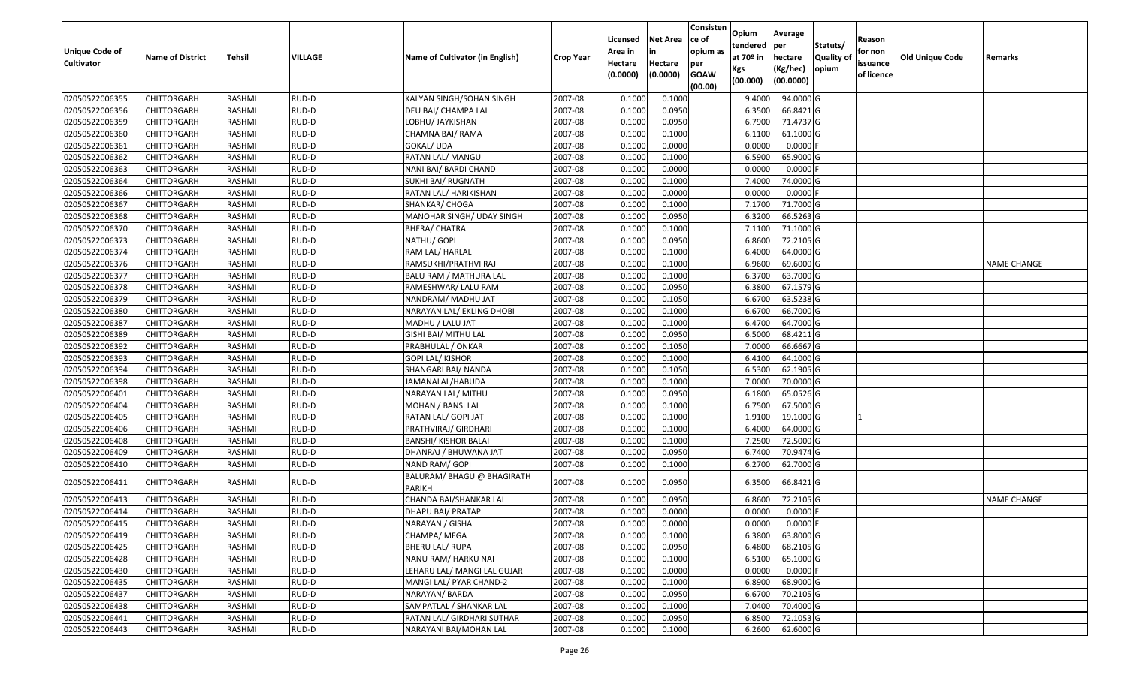| Unique Code of<br><b>Cultivator</b> | <b>Name of District</b> | Tehsil        | VILLAGE | Name of Cultivator (in English)             | <b>Crop Year</b> | Licensed<br>Area in<br>Hectare | <b>Net Area</b><br>in<br>Hectare | Consisten<br>ce of<br>opium as<br>per | Opium<br>tendered<br>at $70°$ in | Average<br>per<br>hectare | Statuts/<br>Quality o | Reason<br>for non<br>issuance | <b>Old Unique Code</b> | Remarks            |
|-------------------------------------|-------------------------|---------------|---------|---------------------------------------------|------------------|--------------------------------|----------------------------------|---------------------------------------|----------------------------------|---------------------------|-----------------------|-------------------------------|------------------------|--------------------|
|                                     |                         |               |         |                                             |                  | (0.0000)                       | (0.0000)                         | <b>GOAW</b><br>(00.00)                | Kgs<br>(00.000)                  | (Kg/hec)<br>(00.0000)     | opium                 | of licence                    |                        |                    |
| 02050522006355                      | <b>CHITTORGARH</b>      | RASHMI        | RUD-D   | KALYAN SINGH/SOHAN SINGH                    | 2007-08          | 0.1000                         | 0.1000                           |                                       | 9.4000                           | 94.0000G                  |                       |                               |                        |                    |
| 02050522006356                      | CHITTORGARH             | RASHMI        | RUD-D   | DEU BAI/ CHAMPA LAL                         | 2007-08          | 0.1000                         | 0.0950                           |                                       | 6.3500                           | 66.8421G                  |                       |                               |                        |                    |
| 02050522006359                      | CHITTORGARH             | RASHMI        | RUD-D   | LOBHU/ JAYKISHAN                            | 2007-08          | 0.1000                         | 0.0950                           |                                       | 6.7900                           | 71.4737 G                 |                       |                               |                        |                    |
| 02050522006360                      | <b>CHITTORGARH</b>      | RASHMI        | RUD-D   | CHAMNA BAI/ RAMA                            | 2007-08          | 0.1000                         | 0.1000                           |                                       | 6.1100                           | 61.1000G                  |                       |                               |                        |                    |
| 02050522006361                      | CHITTORGARH             | RASHMI        | RUD-D   | GOKAL/ UDA                                  | 2007-08          | 0.1000                         | 0.0000                           |                                       | 0.0000                           | $0.0000$ F                |                       |                               |                        |                    |
| 02050522006362                      | <b>CHITTORGARH</b>      | RASHMI        | RUD-D   | RATAN LAL/ MANGU                            | 2007-08          | 0.1000                         | 0.1000                           |                                       | 6.5900                           | 65.9000 G                 |                       |                               |                        |                    |
| 02050522006363                      | CHITTORGARH             | RASHMI        | RUD-D   | NANI BAI/ BARDI CHAND                       | 2007-08          | 0.1000                         | 0.0000                           |                                       | 0.0000                           | 0.0000                    |                       |                               |                        |                    |
| 02050522006364                      | CHITTORGARH             | <b>RASHMI</b> | RUD-D   | <b>SUKHI BAI/ RUGNATH</b>                   | 2007-08          | 0.1000                         | 0.1000                           |                                       | 7.4000                           | 74.0000 G                 |                       |                               |                        |                    |
| 02050522006366                      | CHITTORGARH             | RASHMI        | RUD-D   | RATAN LAL/ HARIKISHAN                       | 2007-08          | 0.1000                         | 0.0000                           |                                       | 0.0000                           | $0.0000$ F                |                       |                               |                        |                    |
| 02050522006367                      | <b>CHITTORGARH</b>      | RASHMI        | RUD-D   | SHANKAR/ CHOGA                              | 2007-08          | 0.1000                         | 0.1000                           |                                       | 7.1700                           | 71.7000G                  |                       |                               |                        |                    |
| 02050522006368                      | CHITTORGARH             | RASHMI        | RUD-D   | MANOHAR SINGH/ UDAY SINGH                   | 2007-08          | 0.1000                         | 0.0950                           |                                       | 6.3200                           | 66.5263 G                 |                       |                               |                        |                    |
| 02050522006370                      | <b>CHITTORGARH</b>      | RASHMI        | RUD-D   | BHERA/ CHATRA                               | 2007-08          | 0.1000                         | 0.1000                           |                                       | 7.1100                           | 71.1000 G                 |                       |                               |                        |                    |
| 02050522006373                      | <b>CHITTORGARH</b>      | RASHMI        | RUD-D   | NATHU/ GOPI                                 | 2007-08          | 0.1000                         | 0.0950                           |                                       | 6.8600                           | 72.2105 G                 |                       |                               |                        |                    |
| 02050522006374                      | <b>CHITTORGARH</b>      | RASHMI        | RUD-D   | RAM LAL/ HARLAL                             | 2007-08          | 0.1000                         | 0.1000                           |                                       | 6.4000                           | 64.0000 G                 |                       |                               |                        |                    |
| 02050522006376                      | CHITTORGARH             | RASHMI        | RUD-D   | RAMSUKHI/PRATHVI RAJ                        | 2007-08          | 0.1000                         | 0.1000                           |                                       | 6.9600                           | 69.6000 G                 |                       |                               |                        | <b>NAME CHANGE</b> |
| 02050522006377                      | CHITTORGARH             | RASHMI        | RUD-D   | BALU RAM / MATHURA LAL                      | 2007-08          | 0.1000                         | 0.1000                           |                                       | 6.3700                           | 63.7000 G                 |                       |                               |                        |                    |
| 02050522006378                      | CHITTORGARH             | RASHMI        | RUD-D   | RAMESHWAR/ LALU RAM                         | 2007-08          | 0.1000                         | 0.0950                           |                                       | 6.3800                           | 67.1579 G                 |                       |                               |                        |                    |
| 02050522006379                      | CHITTORGARH             | RASHMI        | RUD-D   | NANDRAM/ MADHU JAT                          | 2007-08          | 0.1000                         | 0.1050                           |                                       | 6.6700                           | 63.5238 G                 |                       |                               |                        |                    |
| 02050522006380                      | CHITTORGARH             | RASHMI        | RUD-D   | NARAYAN LAL/ EKLING DHOBI                   | 2007-08          | 0.1000                         | 0.1000                           |                                       | 6.6700                           | 66.7000 G                 |                       |                               |                        |                    |
| 02050522006387                      | CHITTORGARH             | RASHMI        | RUD-D   | MADHU / LALU JAT                            | 2007-08          | 0.1000                         | 0.1000                           |                                       | 6.4700                           | 64.7000 G                 |                       |                               |                        |                    |
| 02050522006389                      | CHITTORGARH             | RASHMI        | RUD-D   | GISHI BAI/ MITHU LAL                        | 2007-08          | 0.1000                         | 0.0950                           |                                       | 6.5000                           | 68.4211 G                 |                       |                               |                        |                    |
| 02050522006392                      | CHITTORGARH             | RASHMI        | RUD-D   | PRABHULAL / ONKAR                           | 2007-08          | 0.1000                         | 0.1050                           |                                       | 7.0000                           | 66.6667 G                 |                       |                               |                        |                    |
| 02050522006393                      | CHITTORGARH             | RASHMI        | RUD-D   | gopi lal/ Kishor                            | 2007-08          | 0.1000                         | 0.1000                           |                                       | 6.4100                           | 64.1000 G                 |                       |                               |                        |                    |
| 02050522006394                      | CHITTORGARH             | RASHMI        | RUD-D   | SHANGARI BAI/ NANDA                         | 2007-08          | 0.1000                         | 0.1050                           |                                       | 6.5300                           | 62.1905 G                 |                       |                               |                        |                    |
| 02050522006398                      | CHITTORGARH             | RASHMI        | RUD-D   | JAMANALAL/HABUDA                            | 2007-08          | 0.1000                         | 0.1000                           |                                       | 7.0000                           | 70.0000 G                 |                       |                               |                        |                    |
| 02050522006401                      | CHITTORGARH             | <b>RASHMI</b> | RUD-D   | NARAYAN LAL/ MITHU                          | 2007-08          | 0.1000                         | 0.0950                           |                                       | 6.1800                           | 65.0526 G                 |                       |                               |                        |                    |
| 02050522006404                      | <b>CHITTORGARH</b>      | RASHMI        | RUD-D   | MOHAN / BANSI LAL                           | 2007-08          | 0.1000                         | 0.1000                           |                                       | 6.7500                           | 67.5000G                  |                       |                               |                        |                    |
| 02050522006405                      | CHITTORGARH             | RASHMI        | RUD-D   | RATAN LAL/ GOPI JAT                         | 2007-08          | 0.1000                         | 0.1000                           |                                       | 1.9100                           | 19.1000 G                 |                       |                               |                        |                    |
| 02050522006406                      | <b>CHITTORGARH</b>      | RASHMI        | RUD-D   | PRATHVIRAJ/ GIRDHARI                        | 2007-08          | 0.1000                         | 0.1000                           |                                       | 6.4000                           | 64.0000G                  |                       |                               |                        |                    |
| 02050522006408                      | <b>CHITTORGARH</b>      | RASHMI        | RUD-D   | <b>BANSHI/ KISHOR BALAI</b>                 | 2007-08          | 0.1000                         | 0.1000                           |                                       | 7.2500                           | 72.5000 G                 |                       |                               |                        |                    |
| 02050522006409                      | CHITTORGARH             | RASHMI        | RUD-D   | DHANRAJ / BHUWANA JAT                       | 2007-08          | 0.1000                         | 0.0950                           |                                       | 6.7400                           | 70.9474 G                 |                       |                               |                        |                    |
| 02050522006410                      | CHITTORGARH             | RASHMI        | RUD-D   | NAND RAM/ GOPI                              | 2007-08          | 0.1000                         | 0.1000                           |                                       | 6.2700                           | 62.7000 G                 |                       |                               |                        |                    |
| 02050522006411                      | CHITTORGARH             | RASHMI        | RUD-D   | BALURAM/ BHAGU @ BHAGIRATH<br><b>PARIKH</b> | 2007-08          | 0.1000                         | 0.0950                           |                                       | 6.3500                           | 66.8421 G                 |                       |                               |                        |                    |
| 02050522006413                      | CHITTORGARH             | RASHMI        | RUD-D   | CHANDA BAI/SHANKAR LAL                      | 2007-08          | 0.1000                         | 0.0950                           |                                       | 6.8600                           | 72.2105 G                 |                       |                               |                        | <b>NAME CHANGE</b> |
| 02050522006414                      | CHITTORGARH             | RASHMI        | RUD-D   | DHAPU BAI/ PRATAP                           | 2007-08          | 0.1000                         | 0.0000                           |                                       | 0.0000                           | 0.0000 F                  |                       |                               |                        |                    |
| 02050522006415                      | <b>CHITTORGARH</b>      | RASHMI        | RUD-D   | NARAYAN / GISHA                             | 2007-08          | 0.1000                         | 0.0000                           |                                       | 0.0000                           | $0.0000$ F                |                       |                               |                        |                    |
| 02050522006419                      | <b>CHITTORGARH</b>      | RASHMI        | RUD-D   | CHAMPA/MEGA                                 | 2007-08          | 0.1000                         | 0.1000                           |                                       | 6.3800                           | 63.8000 G                 |                       |                               |                        |                    |
| 02050522006425                      | <b>CHITTORGARH</b>      | RASHMI        | RUD-D   | <b>BHERU LAL/ RUPA</b>                      | 2007-08          | 0.1000                         | 0.0950                           |                                       | 6.4800                           | 68.2105 G                 |                       |                               |                        |                    |
| 02050522006428                      | <b>CHITTORGARH</b>      | RASHMI        | RUD-D   | NANU RAM/ HARKU NAI                         | 2007-08          | 0.1000                         | 0.1000                           |                                       | 6.5100                           | 65.1000 G                 |                       |                               |                        |                    |
| 02050522006430                      | <b>CHITTORGARH</b>      | RASHMI        | RUD-D   | LEHARU LAL/ MANGI LAL GUJAR                 | 2007-08          | 0.1000                         | 0.0000                           |                                       | 0.0000                           | $0.0000$ F                |                       |                               |                        |                    |
| 02050522006435                      | <b>CHITTORGARH</b>      | RASHMI        | RUD-D   | MANGI LAL/ PYAR CHAND-2                     | 2007-08          | 0.1000                         | 0.1000                           |                                       | 6.8900                           | 68.9000 G                 |                       |                               |                        |                    |
| 02050522006437                      | <b>CHITTORGARH</b>      | RASHMI        | RUD-D   | NARAYAN/ BARDA                              | 2007-08          | 0.1000                         | 0.0950                           |                                       | 6.6700                           | 70.2105 G                 |                       |                               |                        |                    |
| 02050522006438                      | CHITTORGARH             | RASHMI        | RUD-D   | SAMPATLAL / SHANKAR LAL                     | 2007-08          | 0.1000                         | 0.1000                           |                                       | 7.0400                           | 70.4000 G                 |                       |                               |                        |                    |
| 02050522006441                      | CHITTORGARH             | RASHMI        | RUD-D   | RATAN LAL/ GIRDHARI SUTHAR                  | 2007-08          | 0.1000                         | 0.0950                           |                                       | 6.8500                           | 72.1053 G                 |                       |                               |                        |                    |
| 02050522006443                      | <b>CHITTORGARH</b>      | RASHMI        | RUD-D   | NARAYANI BAI/MOHAN LAL                      | 2007-08          | 0.1000                         | 0.1000                           |                                       | 6.2600                           | $62.6000$ G               |                       |                               |                        |                    |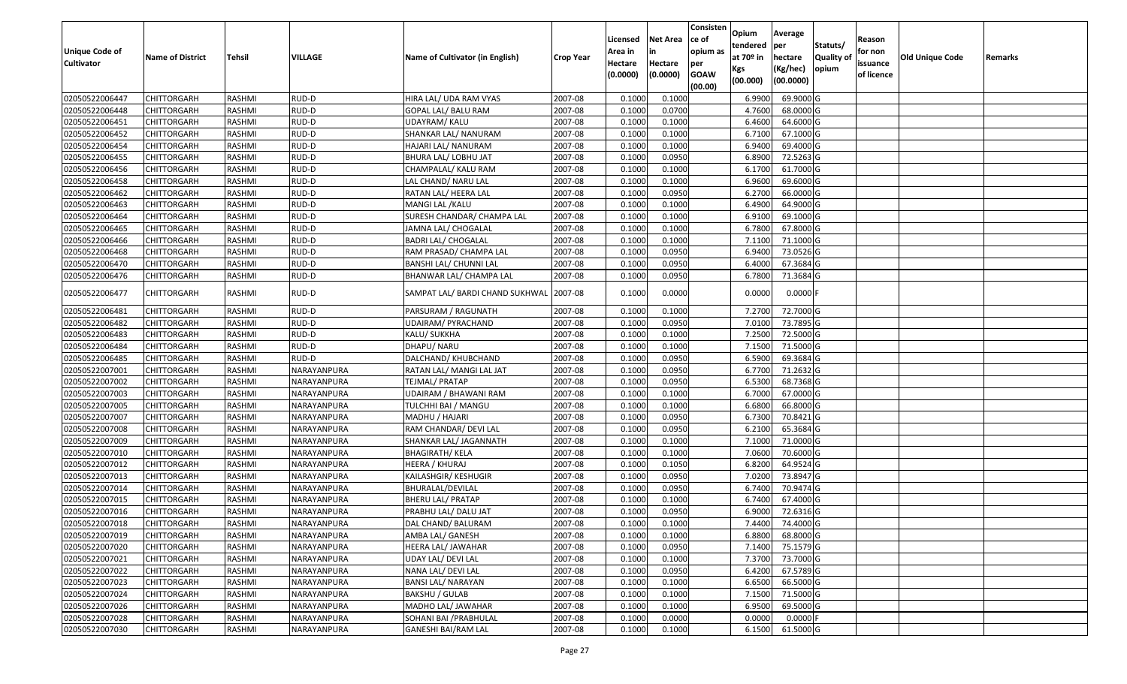| <b>Unique Code of</b><br><b>Cultivator</b> | <b>Name of District</b> | Tehsil | VILLAGE     | Name of Cultivator (in English) | <b>Crop Year</b> | Licensed<br>Area in<br>Hectare<br>(0.0000) | <b>Net Area</b><br>in<br>Hectare<br>(0.0000) | Consisten<br>ce of<br>opium as<br>per<br><b>GOAW</b><br>(00.00) | Opium<br>tendered<br>at $70°$ in<br>Kgs<br>(00.000) | Average<br>lper<br>hectare<br>(Kg/hec)<br>(00.0000) | Statuts/<br>Quality of<br>opium | Reason<br>for non<br>issuance<br>of licence | <b>Old Unique Code</b> | Remarks |
|--------------------------------------------|-------------------------|--------|-------------|---------------------------------|------------------|--------------------------------------------|----------------------------------------------|-----------------------------------------------------------------|-----------------------------------------------------|-----------------------------------------------------|---------------------------------|---------------------------------------------|------------------------|---------|
| 02050522006447                             | CHITTORGARH             | RASHMI | RUD-D       | HIRA LAL/ UDA RAM VYAS          | 2007-08          | 0.1000                                     | 0.1000                                       |                                                                 | 6.9900                                              | 69.9000 G                                           |                                 |                                             |                        |         |
| 02050522006448                             | CHITTORGARH             | RASHMI | RUD-D       | GOPAL LAL/ BALU RAM             | 2007-08          | 0.1000                                     | 0.0700                                       |                                                                 | 4.7600                                              | 68.0000 G                                           |                                 |                                             |                        |         |
| 02050522006451                             | CHITTORGARH             | RASHMI | RUD-D       | JDAYRAM/ KALU                   | 2007-08          | 0.1000                                     | 0.1000                                       |                                                                 | 6.4600                                              | 64.6000 G                                           |                                 |                                             |                        |         |
| 02050522006452                             | CHITTORGARH             | RASHMI | RUD-D       | SHANKAR LAL/ NANURAM            | 2007-08          | 0.1000                                     | 0.1000                                       |                                                                 | 6.7100                                              | 67.1000 G                                           |                                 |                                             |                        |         |
| 02050522006454                             | CHITTORGARH             | RASHMI | RUD-D       | HAJARI LAL/ NANURAM             | 2007-08          | 0.1000                                     | 0.1000                                       |                                                                 | 6.9400                                              | 69.4000 G                                           |                                 |                                             |                        |         |
| 02050522006455                             | CHITTORGARH             | RASHMI | RUD-D       | BHURA LAL/ LOBHU JAT            | 2007-08          | 0.1000                                     | 0.0950                                       |                                                                 | 6.8900                                              | 72.5263 G                                           |                                 |                                             |                        |         |
| 02050522006456                             | CHITTORGARH             | RASHMI | RUD-D       | CHAMPALAL/ KALU RAM             | 2007-08          | 0.1000                                     | 0.1000                                       |                                                                 | 6.1700                                              | 61.7000 G                                           |                                 |                                             |                        |         |
| 02050522006458                             | <b>CHITTORGARH</b>      | RASHMI | RUD-D       | LAL CHAND/ NARU LAL             | 2007-08          | 0.1000                                     | 0.1000                                       |                                                                 | 6.9600                                              | 69.6000 G                                           |                                 |                                             |                        |         |
| 02050522006462                             | CHITTORGARH             | RASHMI | RUD-D       | RATAN LAL/ HEERA LAL            | 2007-08          | 0.1000                                     | 0.0950                                       |                                                                 | 6.2700                                              | 66.0000G                                            |                                 |                                             |                        |         |
| 02050522006463                             | CHITTORGARH             | RASHMI | RUD-D       | MANGI LAL / KALU                | 2007-08          | 0.1000                                     | 0.1000                                       |                                                                 | 6.4900                                              | 64.9000 G                                           |                                 |                                             |                        |         |
| 02050522006464                             | CHITTORGARH             | RASHMI | RUD-D       | SURESH CHANDAR/ CHAMPA LAL      | 2007-08          | 0.1000                                     | 0.1000                                       |                                                                 | 6.9100                                              | 69.1000G                                            |                                 |                                             |                        |         |
| 02050522006465                             | <b>CHITTORGARH</b>      | RASHMI | RUD-D       | JAMNA LAL/ CHOGALAL             | 2007-08          | 0.1000                                     | 0.1000                                       |                                                                 | 6.7800                                              | 67.8000 G                                           |                                 |                                             |                        |         |
| 02050522006466                             | <b>CHITTORGARH</b>      | RASHMI | RUD-D       | <b>BADRI LAL/ CHOGALAL</b>      | 2007-08          | 0.1000                                     | 0.1000                                       |                                                                 | 7.1100                                              | 71.1000G                                            |                                 |                                             |                        |         |
| 02050522006468                             | CHITTORGARH             | RASHMI | RUD-D       | RAM PRASAD/ CHAMPA LAL          | 2007-08          | 0.1000                                     | 0.0950                                       |                                                                 | 6.9400                                              | 73.0526 G                                           |                                 |                                             |                        |         |
| 02050522006470                             | CHITTORGARH             | RASHMI | RUD-D       | BANSHI LAL/ CHUNNI LAL          | 2007-08          | 0.1000                                     | 0.0950                                       |                                                                 | 6.4000                                              | 67.3684 G                                           |                                 |                                             |                        |         |
| 02050522006476                             | CHITTORGARH             | RASHMI | RUD-D       | BHANWAR LAL/ CHAMPA LAL         | 2007-08          | 0.1000                                     | 0.0950                                       |                                                                 | 6.7800                                              | 71.3684 G                                           |                                 |                                             |                        |         |
| 02050522006477                             | <b>CHITTORGARH</b>      | RASHMI | RUD-D       | SAMPAT LAL/ BARDI CHAND SUKHWAL | 2007-08          | 0.1000                                     | 0.0000                                       |                                                                 | 0.0000                                              | $0.0000$ F                                          |                                 |                                             |                        |         |
| 02050522006481                             | CHITTORGARH             | RASHMI | RUD-D       | PARSURAM / RAGUNATH             | 2007-08          | 0.1000                                     | 0.1000                                       |                                                                 | 7.2700                                              | 72.7000 G                                           |                                 |                                             |                        |         |
| 02050522006482                             | CHITTORGARH             | RASHMI | RUD-D       | UDAIRAM/ PYRACHAND              | 2007-08          | 0.1000                                     | 0.0950                                       |                                                                 | 7.0100                                              | 73.7895 G                                           |                                 |                                             |                        |         |
| 02050522006483                             | <b>CHITTORGARH</b>      | RASHMI | RUD-D       | KALU/ SUKKHA                    | 2007-08          | 0.1000                                     | 0.1000                                       |                                                                 | 7.2500                                              | 72.5000 G                                           |                                 |                                             |                        |         |
| 02050522006484                             | CHITTORGARH             | RASHMI | RUD-D       | DHAPU/ NARU                     | 2007-08          | 0.1000                                     | 0.1000                                       |                                                                 | 7.1500                                              | 71.5000 G                                           |                                 |                                             |                        |         |
| 02050522006485                             | CHITTORGARH             | RASHMI | RUD-D       | DALCHAND/ KHUBCHAND             | 2007-08          | 0.1000                                     | 0.0950                                       |                                                                 | 6.5900                                              | 69.3684 G                                           |                                 |                                             |                        |         |
| 02050522007001                             | CHITTORGARH             | RASHMI | NARAYANPURA | RATAN LAL/ MANGI LAL JAT        | 2007-08          | 0.1000                                     | 0.0950                                       |                                                                 | 6.7700                                              | 71.2632 G                                           |                                 |                                             |                        |         |
| 02050522007002                             | CHITTORGARH             | RASHMI | NARAYANPURA | TEJMAL/ PRATAP                  | 2007-08          | 0.1000                                     | 0.0950                                       |                                                                 | 6.5300                                              | 68.7368 G                                           |                                 |                                             |                        |         |
| 02050522007003                             | CHITTORGARH             | RASHMI | NARAYANPURA | UDAIRAM / BHAWANI RAM           | 2007-08          | 0.1000                                     | 0.1000                                       |                                                                 | 6.7000                                              | 67.0000G                                            |                                 |                                             |                        |         |
| 02050522007005                             | CHITTORGARH             | RASHMI | NARAYANPURA | TULCHHI BAI / MANGU             | 2007-08          | 0.1000                                     | 0.1000                                       |                                                                 | 6.6800                                              | 66.8000 G                                           |                                 |                                             |                        |         |
| 02050522007007                             | CHITTORGARH             | RASHMI | NARAYANPURA | MADHU / HAJARI                  | 2007-08          | 0.1000                                     | 0.0950                                       |                                                                 | 6.7300                                              | 70.8421G                                            |                                 |                                             |                        |         |
| 02050522007008                             | CHITTORGARH             | RASHMI | NARAYANPURA | RAM CHANDAR/ DEVI LAL           | 2007-08          | 0.1000                                     | 0.0950                                       |                                                                 | 6.2100                                              | 65.3684 G                                           |                                 |                                             |                        |         |
| 02050522007009                             | CHITTORGARH             | RASHMI | NARAYANPURA | SHANKAR LAL/ JAGANNATH          | 2007-08          | 0.1000                                     | 0.1000                                       |                                                                 | 7.1000                                              | 71.0000 G                                           |                                 |                                             |                        |         |
| 02050522007010                             | <b>CHITTORGARH</b>      | RASHMI | NARAYANPURA | <b>BHAGIRATH/ KELA</b>          | 2007-08          | 0.1000                                     | 0.1000                                       |                                                                 | 7.0600                                              | 70.6000 G                                           |                                 |                                             |                        |         |
| 02050522007012                             | CHITTORGARH             | RASHMI | NARAYANPURA | HEERA / KHURAJ                  | 2007-08          | 0.1000                                     | 0.1050                                       |                                                                 | 6.8200                                              | 64.9524 G                                           |                                 |                                             |                        |         |
| 02050522007013                             | CHITTORGARH             | RASHMI | NARAYANPURA | KAILASHGIR/ KESHUGIR            | 2007-08          | 0.1000                                     | 0.0950                                       |                                                                 | 7.0200                                              | 73.8947 G                                           |                                 |                                             |                        |         |
| 02050522007014                             | CHITTORGARH             | RASHMI | NARAYANPURA | BHURALAL/DEVILAL                | 2007-08          | 0.1000                                     | 0.0950                                       |                                                                 | 6.7400                                              | 70.9474 G                                           |                                 |                                             |                        |         |
| 02050522007015                             | CHITTORGARH             | RASHMI | NARAYANPURA | <b>BHERU LAL/ PRATAP</b>        | 2007-08          | 0.1000                                     | 0.1000                                       |                                                                 | 6.7400                                              | 67.4000 G                                           |                                 |                                             |                        |         |
| 02050522007016                             | CHITTORGARH             | RASHMI | NARAYANPURA | PRABHU LAL/ DALU JAT            | 2007-08          | 0.1000                                     | 0.0950                                       |                                                                 | 6.9000                                              | 72.6316 G                                           |                                 |                                             |                        |         |
| 02050522007018                             | <b>CHITTORGARH</b>      | RASHMI | NARAYANPURA | DAL CHAND/ BALURAM              | 2007-08          | 0.1000                                     | 0.1000                                       |                                                                 | 7.4400                                              | 74.4000 G                                           |                                 |                                             |                        |         |
| 02050522007019                             | <b>CHITTORGARH</b>      | RASHMI | NARAYANPURA | AMBA LAL/ GANESH                | 2007-08          | 0.1000                                     | 0.1000                                       |                                                                 | 6.8800                                              | 68.8000 G                                           |                                 |                                             |                        |         |
| 02050522007020                             | <b>CHITTORGARH</b>      | RASHMI | NARAYANPURA | HEERA LAL/ JAWAHAR              | 2007-08          | 0.1000                                     | 0.0950                                       |                                                                 | 7.1400                                              | 75.1579 G                                           |                                 |                                             |                        |         |
| 02050522007021                             | <b>CHITTORGARH</b>      | RASHMI | NARAYANPURA | UDAY LAL/ DEVI LAL              | 2007-08          | 0.1000                                     | 0.1000                                       |                                                                 | 7.3700                                              | 73.7000 G                                           |                                 |                                             |                        |         |
| 02050522007022                             | CHITTORGARH             | RASHMI | NARAYANPURA | NANA LAL/ DEVI LAL              | 2007-08          | 0.1000                                     | 0.0950                                       |                                                                 | 6.4200                                              | 67.5789 G                                           |                                 |                                             |                        |         |
| 02050522007023                             | <b>CHITTORGARH</b>      | RASHMI | NARAYANPURA | <b>BANSI LAL/ NARAYAN</b>       | 2007-08          | 0.1000                                     | 0.1000                                       |                                                                 | 6.6500                                              | 66.5000 G                                           |                                 |                                             |                        |         |
| 02050522007024                             | <b>CHITTORGARH</b>      | RASHMI | NARAYANPURA | <b>BAKSHU / GULAB</b>           | 2007-08          | 0.1000                                     | 0.1000                                       |                                                                 | 7.1500                                              | 71.5000 G                                           |                                 |                                             |                        |         |
| 02050522007026                             | <b>CHITTORGARH</b>      | RASHMI | NARAYANPURA | MADHO LAL/ JAWAHAR              | 2007-08          | 0.1000                                     | 0.1000                                       |                                                                 | 6.9500                                              | 69.5000 G                                           |                                 |                                             |                        |         |
| 02050522007028                             | <b>CHITTORGARH</b>      | RASHMI | NARAYANPURA | SOHANI BAI / PRABHULAL          | 2007-08          | 0.1000                                     | 0.0000                                       |                                                                 | 0.0000                                              | $0.0000$ F                                          |                                 |                                             |                        |         |
| 02050522007030                             | <b>CHITTORGARH</b>      | RASHMI | NARAYANPURA | <b>GANESHI BAI/RAM LAL</b>      | 2007-08          | 0.1000                                     | 0.1000                                       |                                                                 | 6.1500                                              | 61.5000 G                                           |                                 |                                             |                        |         |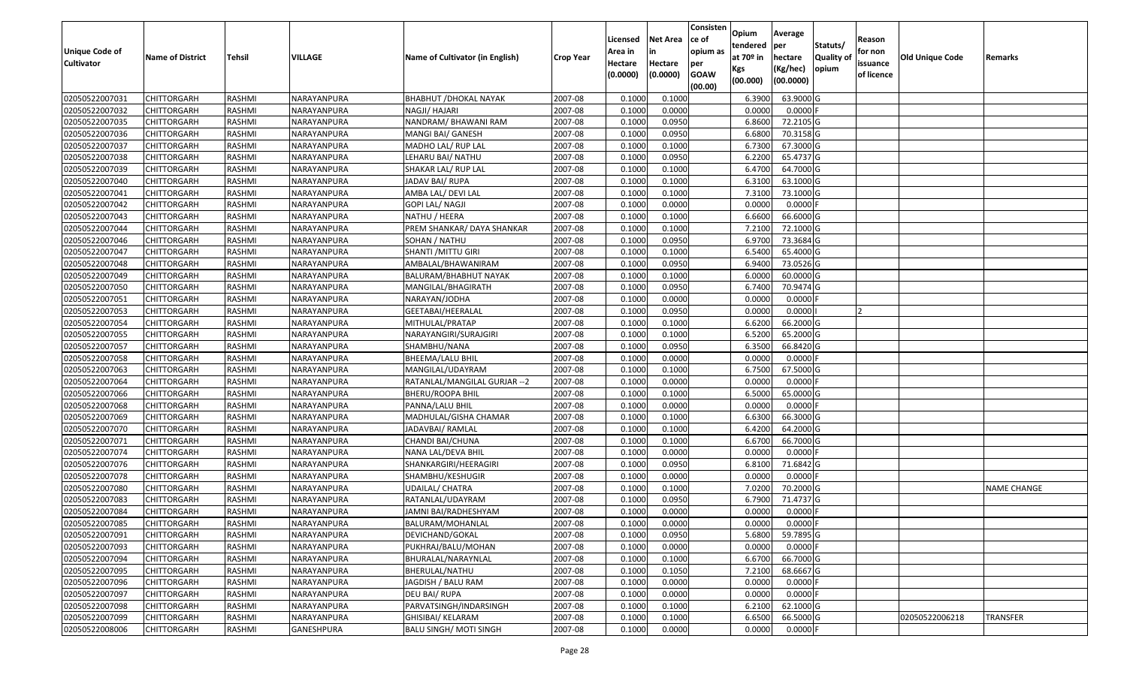| Unique Code of    |                         |               |             |                                 |                  | Licensed<br>Area in | <b>Net Area</b><br>in | Consisten<br>ce of<br>opium as | Opium<br>tendered              | Average<br>per                   | Statuts/                  | Reason<br>for non      |                 |                    |
|-------------------|-------------------------|---------------|-------------|---------------------------------|------------------|---------------------|-----------------------|--------------------------------|--------------------------------|----------------------------------|---------------------------|------------------------|-----------------|--------------------|
| <b>Cultivator</b> | <b>Name of District</b> | Tehsil        | VILLAGE     | Name of Cultivator (in English) | <b>Crop Year</b> | Hectare<br>(0.0000) | Hectare<br>(0.0000)   | per<br><b>GOAW</b><br>(00.00)  | at $70°$ in<br>Kgs<br>(00.000) | hectare<br>(Kg/hec)<br>(00.0000) | <b>Quality o</b><br>opium | issuance<br>of licence | Old Unique Code | Remarks            |
| 02050522007031    | <b>CHITTORGARH</b>      | RASHMI        | NARAYANPURA | <b>BHABHUT / DHOKAL NAYAK</b>   | 2007-08          | 0.1000              | 0.1000                |                                | 6.3900                         | 63.9000 G                        |                           |                        |                 |                    |
| 02050522007032    | CHITTORGARH             | RASHMI        | NARAYANPURA | NAGJI/ HAJARI                   | 2007-08          | 0.1000              | 0.0000                |                                | 0.0000                         | $0.0000$ F                       |                           |                        |                 |                    |
| 02050522007035    | CHITTORGARH             | RASHMI        | NARAYANPURA | NANDRAM/ BHAWANI RAM            | 2007-08          | 0.1000              | 0.0950                |                                | 6.8600                         | 72.2105 G                        |                           |                        |                 |                    |
| 02050522007036    | <b>CHITTORGARH</b>      | RASHMI        | NARAYANPURA | MANGI BAI/ GANESH               | 2007-08          | 0.1000              | 0.0950                |                                | 6.6800                         | 70.3158 G                        |                           |                        |                 |                    |
| 02050522007037    | CHITTORGARH             | RASHMI        | NARAYANPURA | MADHO LAL/ RUP LAL              | 2007-08          | 0.1000              | 0.1000                |                                | 6.7300                         | 67.3000 G                        |                           |                        |                 |                    |
| 02050522007038    | <b>CHITTORGARH</b>      | RASHMI        | NARAYANPURA | LEHARU BAI/ NATHU               | 2007-08          | 0.1000              | 0.0950                |                                | 6.2200                         | 65.4737 G                        |                           |                        |                 |                    |
| 02050522007039    | CHITTORGARH             | RASHMI        | NARAYANPURA | SHAKAR LAL/ RUP LAL             | 2007-08          | 0.1000              | 0.1000                |                                | 6.4700                         | 64.7000 G                        |                           |                        |                 |                    |
| 02050522007040    | <b>CHITTORGARH</b>      | <b>RASHMI</b> | NARAYANPURA | JADAV BAI/RUPA                  | 2007-08          | 0.1000              | 0.1000                |                                | 6.3100                         | 63.1000G                         |                           |                        |                 |                    |
| 02050522007041    | CHITTORGARH             | RASHMI        | NARAYANPURA | AMBA LAL/ DEVI LAL              | 2007-08          | 0.1000              | 0.1000                |                                | 7.3100                         | 73.1000G                         |                           |                        |                 |                    |
| 02050522007042    | CHITTORGARH             | RASHMI        | NARAYANPURA | GOPI LAL/ NAGJI                 | 2007-08          | 0.1000              | 0.0000                |                                | 0.0000                         | $0.0000$ F                       |                           |                        |                 |                    |
| 02050522007043    | CHITTORGARH             | RASHMI        | NARAYANPURA | NATHU / HEERA                   | 2007-08          | 0.1000              | 0.1000                |                                | 6.6600                         | 66.6000 G                        |                           |                        |                 |                    |
| 02050522007044    | <b>CHITTORGARH</b>      | RASHMI        | NARAYANPURA | PREM SHANKAR/ DAYA SHANKAR      | 2007-08          | 0.1000              | 0.1000                |                                | 7.2100                         | 72.1000 G                        |                           |                        |                 |                    |
| 02050522007046    | <b>CHITTORGARH</b>      | RASHMI        | NARAYANPURA | SOHAN / NATHU                   | 2007-08          | 0.1000              | 0.0950                |                                | 6.9700                         | 73.3684 G                        |                           |                        |                 |                    |
| 02050522007047    | <b>CHITTORGARH</b>      | RASHMI        | NARAYANPURA | SHANTI /MITTU GIRI              | 2007-08          | 0.1000              | 0.1000                |                                | 6.5400                         | 65.4000 G                        |                           |                        |                 |                    |
| 02050522007048    | CHITTORGARH             | RASHMI        | NARAYANPURA | AMBALAL/BHAWANIRAM              | 2007-08          | 0.1000              | 0.0950                |                                | 6.9400                         | 73.0526 G                        |                           |                        |                 |                    |
| 02050522007049    | <b>CHITTORGARH</b>      | RASHMI        | NARAYANPURA | BALURAM/BHABHUT NAYAK           | 2007-08          | 0.1000              | 0.1000                |                                | 6.0000                         | 60.0000 G                        |                           |                        |                 |                    |
| 02050522007050    | <b>CHITTORGARH</b>      | RASHMI        | NARAYANPURA | MANGILAL/BHAGIRATH              | 2007-08          | 0.1000              | 0.0950                |                                | 6.7400                         | 70.9474 G                        |                           |                        |                 |                    |
| 02050522007051    | CHITTORGARH             | RASHMI        | NARAYANPURA | NARAYAN/JODHA                   | 2007-08          | 0.1000              | 0.0000                |                                | 0.0000                         | $0.0000$ F                       |                           |                        |                 |                    |
| 02050522007053    | CHITTORGARH             | RASHMI        | NARAYANPURA | GEETABAI/HEERALAL               | 2007-08          | 0.1000              | 0.0950                |                                | 0.0000                         | 0.0000                           |                           |                        |                 |                    |
| 02050522007054    | CHITTORGARH             | RASHMI        | NARAYANPURA | MITHULAL/PRATAP                 | 2007-08          | 0.1000              | 0.1000                |                                | 6.6200                         | 66.2000 G                        |                           |                        |                 |                    |
| 02050522007055    | CHITTORGARH             | RASHMI        | NARAYANPURA | NARAYANGIRI/SURAJGIRI           | 2007-08          | 0.1000              | 0.1000                |                                | 6.5200                         | 65.2000 G                        |                           |                        |                 |                    |
| 02050522007057    | CHITTORGARH             | RASHMI        | NARAYANPURA | SHAMBHU/NANA                    | 2007-08          | 0.1000              | 0.0950                |                                | 6.3500                         | 66.8420 G                        |                           |                        |                 |                    |
| 02050522007058    | CHITTORGARH             | RASHMI        | NARAYANPURA | BHEEMA/LALU BHIL                | 2007-08          | 0.1000              | 0.0000                |                                | 0.0000                         | $0.0000$ F                       |                           |                        |                 |                    |
| 02050522007063    | CHITTORGARH             | RASHMI        | NARAYANPURA | MANGILAL/UDAYRAM                | 2007-08          | 0.1000              | 0.1000                |                                | 6.7500                         | 67.5000 G                        |                           |                        |                 |                    |
| 02050522007064    | <b>CHITTORGARH</b>      | RASHMI        | NARAYANPURA | RATANLAL/MANGILAL GURJAR -- 2   | 2007-08          | 0.1000              | 0.0000                |                                | 0.0000                         | $0.0000$ F                       |                           |                        |                 |                    |
| 02050522007066    | CHITTORGARH             | RASHMI        | NARAYANPURA | BHERU/ROOPA BHIL                | 2007-08          | 0.1000              | 0.1000                |                                | 6.5000                         | 65.0000 G                        |                           |                        |                 |                    |
| 02050522007068    | CHITTORGARH             | RASHMI        | NARAYANPURA | PANNA/LALU BHIL                 | 2007-08          | 0.1000              | 0.0000                |                                | 0.0000                         | $0.0000$ F                       |                           |                        |                 |                    |
| 02050522007069    | CHITTORGARH             | RASHMI        | NARAYANPURA | MADHULAL/GISHA CHAMAR           | 2007-08          | 0.1000              | 0.1000                |                                | 6.6300                         | 66.3000 G                        |                           |                        |                 |                    |
| 02050522007070    | CHITTORGARH             | RASHMI        | NARAYANPURA | JADAVBAI/ RAMLAL                | 2007-08          | 0.1000              | 0.1000                |                                | 6.4200                         | 64.2000 G                        |                           |                        |                 |                    |
| 02050522007071    | CHITTORGARH             | RASHMI        | NARAYANPURA | CHANDI BAI/CHUNA                | 2007-08          | 0.1000              | 0.1000                |                                | 6.6700                         | 66.7000 G                        |                           |                        |                 |                    |
| 02050522007074    | CHITTORGARH             | RASHMI        | NARAYANPURA | NANA LAL/DEVA BHIL              | 2007-08          | 0.1000              | 0.0000                |                                | 0.0000                         | $0.0000$ F                       |                           |                        |                 |                    |
| 02050522007076    | CHITTORGARH             | RASHMI        | NARAYANPURA | SHANKARGIRI/HEERAGIRI           | 2007-08          | 0.1000              | 0.0950                |                                | 6.8100                         | 71.6842 G                        |                           |                        |                 |                    |
| 02050522007078    | CHITTORGARH             | RASHMI        | NARAYANPURA | SHAMBHU/KESHUGIR                | 2007-08          | 0.1000              | 0.0000                |                                | 0.0000                         | $0.0000$ F                       |                           |                        |                 |                    |
| 02050522007080    | CHITTORGARH             | RASHMI        | NARAYANPURA | <b>UDAILAL/ CHATRA</b>          | 2007-08          | 0.1000              | 0.1000                |                                | 7.0200                         | 70.2000 G                        |                           |                        |                 | <b>NAME CHANGE</b> |
| 02050522007083    | CHITTORGARH             | RASHMI        | NARAYANPURA | RATANLAL/UDAYRAM                | 2007-08          | 0.1000              | 0.0950                |                                | 6.7900                         | 71.4737 G                        |                           |                        |                 |                    |
| 02050522007084    | CHITTORGARH             | RASHMI        | NARAYANPURA | JAMNI BAI/RADHESHYAM            | 2007-08          | 0.1000              | 0.0000                |                                | 0.0000                         | $0.0000$ F                       |                           |                        |                 |                    |
| 02050522007085    | <b>CHITTORGARH</b>      | RASHMI        | NARAYANPURA | BALURAM/MOHANLAL                | 2007-08          | 0.1000              | 0.0000                |                                | 0.0000                         | $0.0000$ F                       |                           |                        |                 |                    |
| 02050522007091    | <b>CHITTORGARH</b>      | RASHMI        | NARAYANPURA | DEVICHAND/GOKAL                 | 2007-08          | 0.1000              | 0.0950                |                                | 5.6800                         | 59.7895 G                        |                           |                        |                 |                    |
| 02050522007093    | <b>CHITTORGARH</b>      | RASHMI        | NARAYANPURA | PUKHRAJ/BALU/MOHAN              | 2007-08          | 0.1000              | 0.0000                |                                | 0.0000                         | $0.0000$ F                       |                           |                        |                 |                    |
| 02050522007094    | <b>CHITTORGARH</b>      | RASHMI        | NARAYANPURA | BHURALAL/NARAYNLAL              | 2007-08          | 0.1000              | 0.1000                |                                | 6.6700                         | 66.7000 G                        |                           |                        |                 |                    |
| 02050522007095    | CHITTORGARH             | RASHMI        | NARAYANPURA | BHERULAL/NATHU                  | 2007-08          | 0.1000              | 0.1050                |                                | 7.2100                         | 68.6667 G                        |                           |                        |                 |                    |
| 02050522007096    | <b>CHITTORGARH</b>      | RASHMI        | NARAYANPURA | JAGDISH / BALU RAM              | 2007-08          | 0.1000              | 0.0000                |                                | 0.0000                         | 0.0000                           |                           |                        |                 |                    |
| 02050522007097    | <b>CHITTORGARH</b>      | RASHMI        | NARAYANPURA | DEU BAI/RUPA                    | 2007-08          | 0.1000              | 0.0000                |                                | 0.0000                         | 0.0000                           |                           |                        |                 |                    |
| 02050522007098    | CHITTORGARH             | RASHMI        | NARAYANPURA | PARVATSINGH/INDARSINGH          | 2007-08          | 0.1000              | 0.1000                |                                | 6.2100                         | 62.1000 G                        |                           |                        |                 |                    |
| 02050522007099    | CHITTORGARH             | RASHMI        | NARAYANPURA | GHISIBAI/ KELARAM               | 2007-08          | 0.1000              | 0.1000                |                                | 6.6500                         | 66.5000 G                        |                           |                        | 02050522006218  | <b>TRANSFER</b>    |
| 02050522008006    | <b>CHITTORGARH</b>      | RASHMI        | GANESHPURA  | <b>BALU SINGH/ MOTI SINGH</b>   | 2007-08          | 0.1000              | 0.0000                |                                | 0.0000                         | $0.0000$ F                       |                           |                        |                 |                    |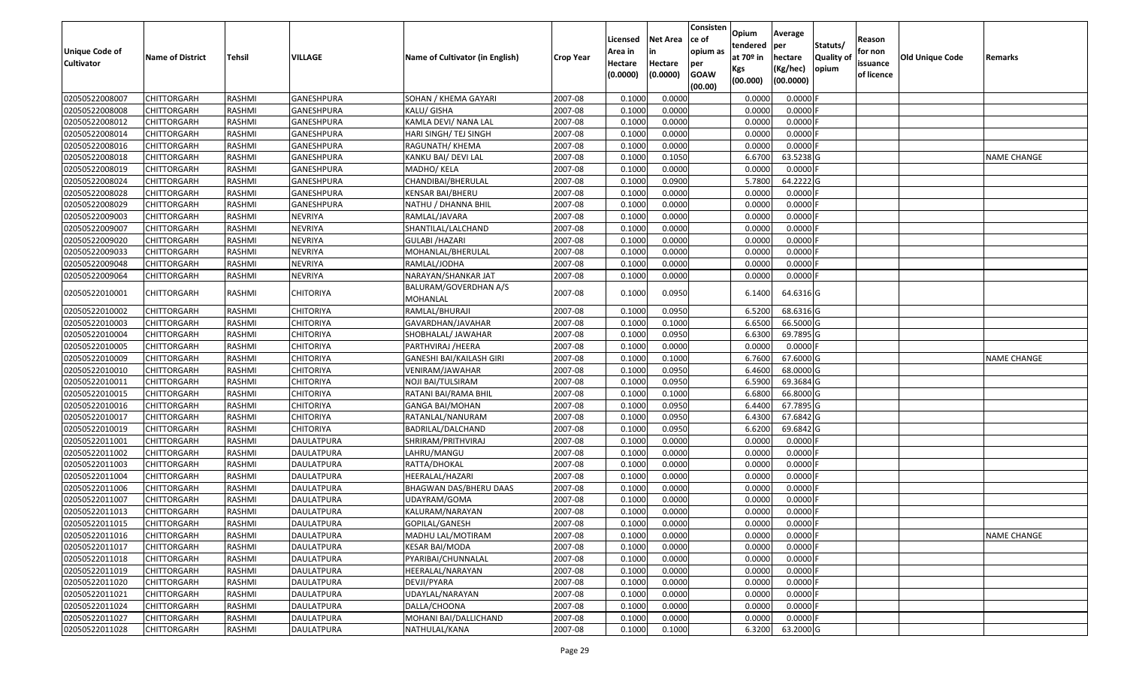| Unique Code of<br><b>Cultivator</b> | <b>Name of District</b> | Tehsil        | VILLAGE           | Name of Cultivator (in English)   | <b>Crop Year</b> | Licensed<br>Area in<br>Hectare | <b>Net Area</b><br>in<br>Hectare | Consisten<br>ce of<br>opium as<br>per | Opium<br>tendered<br>at $70°$ in<br>Kgs | Average<br>per<br>hectare<br>(Kg/hec) | Statuts/<br>Quality o<br>opium | Reason<br>for non<br>issuance | <b>Old Unique Code</b> | Remarks            |
|-------------------------------------|-------------------------|---------------|-------------------|-----------------------------------|------------------|--------------------------------|----------------------------------|---------------------------------------|-----------------------------------------|---------------------------------------|--------------------------------|-------------------------------|------------------------|--------------------|
|                                     |                         |               |                   |                                   |                  | (0.0000)                       | (0.0000)                         | <b>GOAW</b><br>(00.00)                | (00.000)                                | (00.0000)                             |                                | of licence                    |                        |                    |
| 02050522008007                      | CHITTORGARH             | RASHMI        | <b>GANESHPURA</b> | SOHAN / KHEMA GAYARI              | 2007-08          | 0.1000                         | 0.0000                           |                                       | 0.0000                                  | 0.0000F                               |                                |                               |                        |                    |
| 02050522008008                      | CHITTORGARH             | RASHMI        | GANESHPURA        | KALU/ GISHA                       | 2007-08          | 0.1000                         | 0.0000                           |                                       | 0.0000                                  | $0.0000$ F                            |                                |                               |                        |                    |
| 02050522008012                      | CHITTORGARH             | RASHMI        | GANESHPURA        | KAMLA DEVI/ NANA LAL              | 2007-08          | 0.1000                         | 0.0000                           |                                       | 0.0000                                  | 0.0000                                |                                |                               |                        |                    |
| 02050522008014                      | <b>CHITTORGARH</b>      | RASHMI        | GANESHPURA        | HARI SINGH/ TEJ SINGH             | 2007-08          | 0.1000                         | 0.0000                           |                                       | 0.0000                                  | 0.0000F                               |                                |                               |                        |                    |
| 02050522008016                      | CHITTORGARH             | RASHMI        | GANESHPURA        | RAGUNATH/ KHEMA                   | 2007-08          | 0.1000                         | 0.0000                           |                                       | 0.0000                                  | 0.0000                                |                                |                               |                        |                    |
| 02050522008018                      | <b>CHITTORGARH</b>      | RASHMI        | GANESHPURA        | KANKU BAI/ DEVI LAL               | 2007-08          | 0.1000                         | 0.1050                           |                                       | 6.6700                                  | 63.5238 G                             |                                |                               |                        | <b>NAME CHANGE</b> |
| 02050522008019                      | CHITTORGARH             | RASHMI        | GANESHPURA        | MADHO/ KELA                       | 2007-08          | 0.1000                         | 0.0000                           |                                       | 0.0000                                  | 0.0000                                |                                |                               |                        |                    |
| 02050522008024                      | CHITTORGARH             | <b>RASHMI</b> | <b>GANESHPURA</b> | CHANDIBAI/BHERULAL                | 2007-08          | 0.1000                         | 0.0900                           |                                       | 5.7800                                  | 64.2222 G                             |                                |                               |                        |                    |
| 02050522008028                      | CHITTORGARH             | RASHMI        | GANESHPURA        | KENSAR BAI/BHERU                  | 2007-08          | 0.1000                         | 0.0000                           |                                       | 0.0000                                  | 0.0000                                |                                |                               |                        |                    |
| 02050522008029                      | <b>CHITTORGARH</b>      | RASHMI        | GANESHPURA        | NATHU / DHANNA BHIL               | 2007-08          | 0.1000                         | 0.0000                           |                                       | 0.0000                                  | 0.0000                                |                                |                               |                        |                    |
| 02050522009003                      | CHITTORGARH             | RASHMI        | <b>NEVRIYA</b>    | RAMLAL/JAVARA                     | 2007-08          | 0.1000                         | 0.0000                           |                                       | 0.0000                                  | 0.0000F                               |                                |                               |                        |                    |
| 02050522009007                      | CHITTORGARH             | RASHMI        | <b>NEVRIYA</b>    | SHANTILAL/LALCHAND                | 2007-08          | 0.1000                         | 0.0000                           |                                       | 0.0000                                  | 0.0000                                |                                |                               |                        |                    |
| 02050522009020                      | <b>CHITTORGARH</b>      | RASHMI        | <b>NEVRIYA</b>    | <b>GULABI /HAZARI</b>             | 2007-08          | 0.1000                         | 0.0000                           |                                       | 0.0000                                  | 0.0000F                               |                                |                               |                        |                    |
| 02050522009033                      | CHITTORGARH             | RASHMI        | <b>NEVRIYA</b>    | MOHANLAL/BHERULAL                 | 2007-08          | 0.1000                         | 0.0000                           |                                       | 0.0000                                  | $0.0000$ F                            |                                |                               |                        |                    |
| 02050522009048                      | <b>CHITTORGARH</b>      | RASHMI        | <b>NEVRIYA</b>    | RAMLAL/JODHA                      | 2007-08          | 0.1000                         | 0.0000                           |                                       | 0.0000                                  | $0.0000$ F                            |                                |                               |                        |                    |
| 02050522009064                      | <b>CHITTORGARH</b>      | RASHMI        | <b>NEVRIYA</b>    | NARAYAN/SHANKAR JAT               | 2007-08          | 0.1000                         | 0.0000                           |                                       | 0.0000                                  | 0.0000                                |                                |                               |                        |                    |
| 02050522010001                      | CHITTORGARH             | RASHMI        | <b>CHITORIYA</b>  | BALURAM/GOVERDHAN A/S<br>MOHANLAL | 2007-08          | 0.1000                         | 0.0950                           |                                       | 6.1400                                  | 64.6316 G                             |                                |                               |                        |                    |
| 02050522010002                      | CHITTORGARH             | RASHMI        | <b>CHITORIYA</b>  | RAMLAL/BHURAJI                    | 2007-08          | 0.1000                         | 0.0950                           |                                       | 6.5200                                  | 68.6316 G                             |                                |                               |                        |                    |
| 02050522010003                      | CHITTORGARH             | RASHMI        | CHITORIYA         | GAVARDHAN/JAVAHAR                 | 2007-08          | 0.1000                         | 0.1000                           |                                       | 6.6500                                  | 66.5000 G                             |                                |                               |                        |                    |
| 02050522010004                      | CHITTORGARH             | RASHMI        | <b>CHITORIYA</b>  | SHOBHALAL/ JAWAHAR                | 2007-08          | 0.1000                         | 0.0950                           |                                       | 6.6300                                  | 69.7895 G                             |                                |                               |                        |                    |
| 02050522010005                      | CHITTORGARH             | RASHMI        | <b>CHITORIYA</b>  | PARTHVIRAJ /HEERA                 | 2007-08          | 0.1000                         | 0.0000                           |                                       | 0.0000                                  | 0.0000                                |                                |                               |                        |                    |
| 02050522010009                      | CHITTORGARH             | RASHMI        | <b>CHITORIYA</b>  | GANESHI BAI/KAILASH GIRI          | 2007-08          | 0.1000                         | 0.1000                           |                                       | 6.7600                                  | 67.6000 G                             |                                |                               |                        | <b>NAME CHANGE</b> |
| 02050522010010                      | CHITTORGARH             | RASHMI        | <b>CHITORIYA</b>  | VENIRAM/JAWAHAR                   | 2007-08          | 0.1000                         | 0.0950                           |                                       | 6.4600                                  | 68.0000 G                             |                                |                               |                        |                    |
| 02050522010011                      | <b>CHITTORGARH</b>      | RASHMI        | <b>CHITORIYA</b>  | NOJI BAI/TULSIRAM                 | 2007-08          | 0.1000                         | 0.0950                           |                                       | 6.5900                                  | 69.3684 G                             |                                |                               |                        |                    |
| 02050522010015                      | CHITTORGARH             | RASHMI        | <b>CHITORIYA</b>  | RATANI BAI/RAMA BHIL              | 2007-08          | 0.1000                         | 0.1000                           |                                       | 6.6800                                  | 66.8000 G                             |                                |                               |                        |                    |
| 02050522010016                      | CHITTORGARH             | RASHMI        | <b>CHITORIYA</b>  | GANGA BAI/MOHAN                   | 2007-08          | 0.1000                         | 0.0950                           |                                       | 6.4400                                  | 67.7895 G                             |                                |                               |                        |                    |
| 02050522010017                      | CHITTORGARH             | RASHMI        | CHITORIYA         | RATANLAL/NANURAM                  | 2007-08          | 0.1000                         | 0.0950                           |                                       | 6.4300                                  | 67.6842 G                             |                                |                               |                        |                    |
| 02050522010019                      | <b>CHITTORGARH</b>      | <b>RASHMI</b> | <b>CHITORIYA</b>  | BADRILAL/DALCHAND                 | 2007-08          | 0.1000                         | 0.0950                           |                                       | 6.6200                                  | 69.6842 G                             |                                |                               |                        |                    |
| 02050522011001                      | <b>CHITTORGARH</b>      | RASHMI        | DAULATPURA        | SHRIRAM/PRITHVIRAJ                | 2007-08          | 0.1000                         | 0.0000                           |                                       | 0.0000                                  | 0.0000                                |                                |                               |                        |                    |
| 02050522011002                      | CHITTORGARH             | RASHMI        | DAULATPURA        | LAHRU/MANGU                       | 2007-08          | 0.1000                         | 0.0000                           |                                       | 0.0000                                  | 0.0000                                |                                |                               |                        |                    |
| 02050522011003                      | <b>CHITTORGARH</b>      | RASHMI        | <b>DAULATPURA</b> | RATTA/DHOKAL                      | 2007-08          | 0.1000                         | 0.0000                           |                                       | 0.0000                                  | 0.0000                                |                                |                               |                        |                    |
| 02050522011004                      | CHITTORGARH             | RASHMI        | <b>DAULATPURA</b> | HEERALAL/HAZARI                   | 2007-08          | 0.1000                         | 0.0000                           |                                       | 0.0000                                  | 0.0000F                               |                                |                               |                        |                    |
| 02050522011006                      | <b>CHITTORGARH</b>      | RASHMI        | <b>DAULATPURA</b> | BHAGWAN DAS/BHERU DAAS            | 2007-08          | 0.1000                         | 0.0000                           |                                       | 0.0000                                  | 0.0000                                |                                |                               |                        |                    |
| 02050522011007                      | CHITTORGARH             | RASHMI        | <b>DAULATPURA</b> | UDAYRAM/GOMA                      | 2007-08          | 0.1000                         | 0.0000                           |                                       | 0.0000                                  | $0.0000$ F                            |                                |                               |                        |                    |
| 02050522011013                      | CHITTORGARH             | RASHMI        | DAULATPURA        | KALURAM/NARAYAN                   | 2007-08          | 0.1000                         | 0.0000                           |                                       | 0.0000                                  | $0.0000$ F                            |                                |                               |                        |                    |
| 02050522011015                      | <b>CHITTORGARH</b>      | RASHMI        | DAULATPURA        | GOPILAL/GANESH                    | 2007-08          | 0.1000                         | 0.0000                           |                                       | 0.0000                                  | $0.0000$ F                            |                                |                               |                        |                    |
| 02050522011016                      | <b>CHITTORGARH</b>      | RASHMI        | <b>DAULATPURA</b> | MADHU LAL/MOTIRAM                 | 2007-08          | 0.1000                         | 0.0000                           |                                       | 0.0000                                  | $0.0000$ F                            |                                |                               |                        | <b>NAME CHANGE</b> |
| 02050522011017                      | <b>CHITTORGARH</b>      | RASHMI        | <b>DAULATPURA</b> | <b>KESAR BAI/MODA</b>             | 2007-08          | 0.1000                         | 0.0000                           |                                       | 0.0000                                  | 0.0000F                               |                                |                               |                        |                    |
| 02050522011018                      | <b>CHITTORGARH</b>      | RASHMI        | DAULATPURA        | PYARIBAI/CHUNNALAL                | 2007-08          | 0.1000                         | 0.0000                           |                                       | 0.0000                                  | 0.0000F                               |                                |                               |                        |                    |
| 02050522011019                      | <b>CHITTORGARH</b>      | RASHMI        | DAULATPURA        | HEERALAL/NARAYAN                  | 2007-08          | 0.1000                         | 0.0000                           |                                       | 0.0000                                  | 0.0000                                |                                |                               |                        |                    |
| 02050522011020                      | <b>CHITTORGARH</b>      | RASHMI        | <b>DAULATPURA</b> | DEVJI/PYARA                       | 2007-08          | 0.1000                         | 0.0000                           |                                       | 0.0000                                  | 0.0000                                |                                |                               |                        |                    |
| 02050522011021                      | <b>CHITTORGARH</b>      | RASHMI        | <b>DAULATPURA</b> | UDAYLAL/NARAYAN                   | 2007-08          | 0.1000                         | 0.0000                           |                                       | 0.0000                                  | 0.0000                                |                                |                               |                        |                    |
| 02050522011024                      | CHITTORGARH             | RASHMI        | <b>DAULATPURA</b> | DALLA/CHOONA                      | 2007-08          | 0.1000                         | 0.0000                           |                                       | 0.0000                                  | $0.0000$ F                            |                                |                               |                        |                    |
| 02050522011027                      | <b>CHITTORGARH</b>      | RASHMI        | DAULATPURA        | MOHANI BAI/DALLICHAND             | 2007-08          | 0.1000                         | 0.0000                           |                                       | 0.0000                                  | 0.0000F                               |                                |                               |                        |                    |
| 02050522011028                      | <b>CHITTORGARH</b>      | RASHMI        | <b>DAULATPURA</b> | NATHULAL/KANA                     | 2007-08          | 0.1000                         | 0.1000                           |                                       | 6.3200                                  | 63.2000 G                             |                                |                               |                        |                    |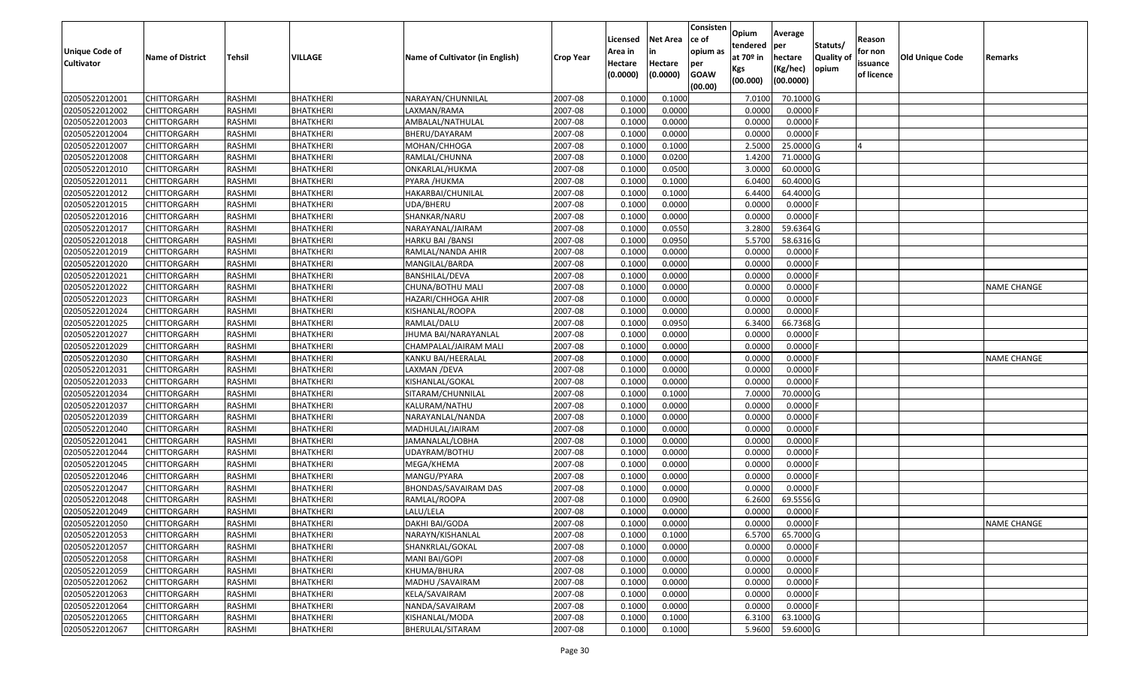| <b>Unique Code of</b><br><b>Cultivator</b> | <b>Name of District</b>                  | <b>Tehsil</b>    | VILLAGE                              | Name of Cultivator (in English) | <b>Crop Year</b> | Licensed<br>Area in<br>Hectare<br>(0.0000) | <b>Net Area</b><br>in<br>Hectare<br>(0.0000) | Consisten<br>lce of<br>opium as<br>per<br><b>GOAW</b><br>(00.00) | Opium<br>tendered<br>at $70°$ in<br>Kgs<br>(00.000) | Average<br>per<br>hectare<br>(Kg/hec)<br>(00.0000) | Statuts/<br>Quality of<br>opium | Reason<br>for non<br>issuance<br>of licence | <b>Old Unique Code</b> | Remarks            |
|--------------------------------------------|------------------------------------------|------------------|--------------------------------------|---------------------------------|------------------|--------------------------------------------|----------------------------------------------|------------------------------------------------------------------|-----------------------------------------------------|----------------------------------------------------|---------------------------------|---------------------------------------------|------------------------|--------------------|
| 02050522012001                             | <b>CHITTORGARH</b>                       | RASHMI           | <b>BHATKHERI</b>                     | NARAYAN/CHUNNILAL               | 2007-08          | 0.1000                                     | 0.1000                                       |                                                                  | 7.0100                                              | 70.1000 G                                          |                                 |                                             |                        |                    |
| 02050522012002                             | CHITTORGARH                              | RASHMI           | <b>BHATKHERI</b>                     | LAXMAN/RAMA                     | 2007-08          | 0.1000                                     | 0.0000                                       |                                                                  | 0.0000                                              | $0.0000$ F                                         |                                 |                                             |                        |                    |
| 02050522012003                             | <b>CHITTORGARH</b>                       | <b>RASHMI</b>    | <b>BHATKHERI</b>                     | AMBALAL/NATHULAL                | 2007-08          | 0.1000                                     | 0.0000                                       |                                                                  | 0.0000                                              | 0.0000                                             |                                 |                                             |                        |                    |
| 02050522012004                             | <b>CHITTORGARH</b>                       | <b>RASHMI</b>    | <b>BHATKHERI</b>                     | BHERU/DAYARAM                   | 2007-08          | 0.1000                                     | 0.0000                                       |                                                                  | 0.0000                                              | $0.0000$ F                                         |                                 |                                             |                        |                    |
| 02050522012007                             | <b>CHITTORGARH</b>                       | <b>RASHMI</b>    | <b>BHATKHERI</b>                     | MOHAN/CHHOGA                    | 2007-08          | 0.1000                                     | 0.1000                                       |                                                                  | 2.5000                                              | 25.0000 G                                          |                                 | $\overline{a}$                              |                        |                    |
| 02050522012008                             | <b>CHITTORGARH</b>                       | <b>RASHMI</b>    | <b>BHATKHERI</b>                     | RAMLAL/CHUNNA                   | 2007-08          | 0.1000                                     | 0.0200                                       |                                                                  | 1.4200                                              | 71.0000 G                                          |                                 |                                             |                        |                    |
| 02050522012010                             | CHITTORGARH                              | <b>RASHMI</b>    | BHATKHERI                            | ONKARLAL/HUKMA                  | 2007-08          | 0.1000                                     | 0.0500                                       |                                                                  | 3.0000                                              | 60.0000 G                                          |                                 |                                             |                        |                    |
| 02050522012011                             | <b>CHITTORGARH</b>                       | <b>RASHMI</b>    | <b>BHATKHERI</b>                     | PYARA /HUKMA                    | 2007-08          | 0.1000                                     | 0.1000                                       |                                                                  | 6.0400                                              | 60.4000 G                                          |                                 |                                             |                        |                    |
| 02050522012012                             | <b>CHITTORGARH</b>                       | <b>RASHMI</b>    | <b>BHATKHERI</b>                     | HAKARBAI/CHUNILAL               | 2007-08          | 0.1000                                     | 0.1000                                       |                                                                  | 6.4400                                              | 64.4000 G                                          |                                 |                                             |                        |                    |
| 02050522012015                             | CHITTORGARH                              | <b>RASHMI</b>    | <b>BHATKHERI</b>                     | UDA/BHERU                       | 2007-08          | 0.1000                                     | 0.0000                                       |                                                                  | 0.0000                                              | 0.0000F                                            |                                 |                                             |                        |                    |
| 02050522012016                             | <b>CHITTORGARH</b>                       | <b>RASHMI</b>    | <b>BHATKHERI</b>                     | SHANKAR/NARU                    | 2007-08          | 0.1000                                     | 0.0000                                       |                                                                  | 0.0000                                              | $0.0000$ F                                         |                                 |                                             |                        |                    |
| 02050522012017                             | <b>CHITTORGARH</b>                       | <b>RASHMI</b>    | <b>BHATKHERI</b>                     | NARAYANAL/JAIRAM                | 2007-08          | 0.1000                                     | 0.0550                                       |                                                                  | 3.2800                                              | 59.6364 G                                          |                                 |                                             |                        |                    |
| 02050522012018                             | <b>CHITTORGARH</b>                       | <b>RASHMI</b>    | <b>BHATKHERI</b>                     | <b>HARKU BAI / BANSI</b>        | 2007-08          | 0.1000                                     | 0.0950                                       |                                                                  | 5.5700                                              | 58.6316 G                                          |                                 |                                             |                        |                    |
| 02050522012019                             | <b>CHITTORGARH</b>                       | RASHMI           | <b>BHATKHERI</b>                     | RAMLAL/NANDA AHIR               | 2007-08          | 0.1000                                     | 0.0000                                       |                                                                  | 0.0000                                              | 0.0000F                                            |                                 |                                             |                        |                    |
| 02050522012020                             | <b>CHITTORGARH</b>                       | RASHMI           | <b>BHATKHERI</b>                     | MANGILAL/BARDA                  | 2007-08          | 0.1000                                     | 0.0000                                       |                                                                  | 0.0000                                              | 0.0000F                                            |                                 |                                             |                        |                    |
| 02050522012021                             | <b>CHITTORGARH</b>                       | <b>RASHMI</b>    | <b>BHATKHERI</b>                     | BANSHILAL/DEVA                  | 2007-08          | 0.1000                                     | 0.0000                                       |                                                                  | 0.0000                                              | 0.0000                                             |                                 |                                             |                        |                    |
| 02050522012022                             | <b>CHITTORGARH</b>                       | RASHMI           | <b>BHATKHERI</b>                     | CHUNA/BOTHU MALI                | 2007-08          | 0.1000                                     | 0.0000                                       |                                                                  | 0.0000                                              | 0.0000F                                            |                                 |                                             |                        | <b>NAME CHANGE</b> |
| 02050522012023                             | <b>CHITTORGARH</b>                       | <b>RASHMI</b>    | <b>BHATKHERI</b>                     | HAZARI/CHHOGA AHIR              | 2007-08          | 0.1000                                     | 0.0000                                       |                                                                  | 0.0000                                              | 0.0000                                             |                                 |                                             |                        |                    |
| 02050522012024                             | CHITTORGARH                              | RASHMI           | <b>BHATKHERI</b>                     | KISHANLAL/ROOPA                 | 2007-08          | 0.1000                                     | 0.0000                                       |                                                                  | 0.0000                                              | 0.0000F                                            |                                 |                                             |                        |                    |
| 02050522012025                             | <b>CHITTORGARH</b>                       | <b>RASHMI</b>    | <b>BHATKHERI</b>                     | RAMLAL/DALU                     | 2007-08          | 0.1000                                     | 0.0950                                       |                                                                  | 6.3400                                              | 66.7368 G                                          |                                 |                                             |                        |                    |
| 02050522012027                             | <b>CHITTORGARH</b>                       | <b>RASHMI</b>    | <b>BHATKHERI</b>                     | JHUMA BAI/NARAYANLAL            | 2007-08          | 0.1000                                     | 0.0000                                       |                                                                  | 0.0000                                              | $0.0000$ F                                         |                                 |                                             |                        |                    |
| 02050522012029                             | CHITTORGARH                              | <b>RASHMI</b>    | <b>BHATKHERI</b>                     | CHAMPALAL/JAIRAM MALI           | 2007-08          | 0.1000                                     | 0.0000                                       |                                                                  | 0.0000                                              | 0.0000                                             |                                 |                                             |                        |                    |
| 02050522012030                             | CHITTORGARH                              | RASHMI           | <b>BHATKHERI</b>                     | KANKU BAI/HEERALAL              | 2007-08          | 0.1000                                     | 0.0000                                       |                                                                  | 0.0000                                              | 0.0000F                                            |                                 |                                             |                        | <b>NAME CHANGE</b> |
| 02050522012031                             | <b>CHITTORGARH</b>                       | <b>RASHMI</b>    | <b>BHATKHERI</b>                     | LAXMAN /DEVA                    | 2007-08          | 0.1000                                     | 0.0000                                       |                                                                  | 0.0000                                              | 0.0000                                             |                                 |                                             |                        |                    |
| 02050522012033                             | <b>CHITTORGARH</b>                       | <b>RASHMI</b>    | <b>BHATKHERI</b>                     | KISHANLAL/GOKAL                 | 2007-08          | 0.1000                                     | 0.0000                                       |                                                                  | 0.0000                                              | $0.0000$ F                                         |                                 |                                             |                        |                    |
| 02050522012034                             | <b>CHITTORGARH</b>                       | <b>RASHMI</b>    | <b>BHATKHERI</b>                     | SITARAM/CHUNNILAL               | 2007-08          | 0.1000                                     | 0.1000                                       |                                                                  | 7.0000                                              | 70.0000 G                                          |                                 |                                             |                        |                    |
| 02050522012037                             | <b>CHITTORGARH</b>                       | <b>RASHMI</b>    | <b>BHATKHERI</b>                     | KALURAM/NATHU                   | 2007-08          | 0.1000                                     | 0.0000                                       |                                                                  | 0.0000                                              | $0.0000$ F                                         |                                 |                                             |                        |                    |
| 02050522012039                             | <b>CHITTORGARH</b>                       | RASHMI           | <b>BHATKHERI</b>                     | NARAYANLAL/NANDA                | 2007-08          | 0.1000                                     | 0.0000                                       |                                                                  | 0.0000                                              | 0.0000F                                            |                                 |                                             |                        |                    |
| 02050522012040                             | <b>CHITTORGARH</b>                       | <b>RASHMI</b>    | <b>BHATKHERI</b>                     | MADHULAL/JAIRAM                 | 2007-08          | 0.1000                                     | 0.0000                                       |                                                                  | 0.0000                                              | $0.0000$ F                                         |                                 |                                             |                        |                    |
| 02050522012041                             | <b>CHITTORGARH</b>                       | <b>RASHMI</b>    | <b>BHATKHERI</b>                     | JAMANALAL/LOBHA                 | 2007-08          | 0.1000                                     | 0.0000                                       |                                                                  | 0.0000                                              | 0.0000F                                            |                                 |                                             |                        |                    |
| 02050522012044                             | <b>CHITTORGARH</b>                       | <b>RASHMI</b>    | <b>BHATKHERI</b>                     | UDAYRAM/BOTHU                   | 2007-08          | 0.1000                                     | 0.0000                                       |                                                                  | 0.0000                                              | 0.0000                                             |                                 |                                             |                        |                    |
| 02050522012045                             | CHITTORGARH                              | <b>RASHMI</b>    | <b>BHATKHERI</b>                     | MEGA/KHEMA                      | 2007-08          | 0.1000                                     | 0.0000                                       |                                                                  | 0.0000                                              | 0.0000                                             |                                 |                                             |                        |                    |
| 02050522012046                             | <b>CHITTORGARH</b>                       | <b>RASHMI</b>    | <b>BHATKHERI</b>                     | MANGU/PYARA                     | 2007-08          | 0.1000                                     | 0.0000                                       |                                                                  | 0.0000                                              | 0.0000F                                            |                                 |                                             |                        |                    |
| 02050522012047                             | <b>CHITTORGARH</b>                       | <b>RASHMI</b>    | <b>BHATKHERI</b>                     | BHONDAS/SAVAIRAM DAS            | 2007-08          | 0.1000                                     | 0.0000                                       |                                                                  | 0.0000                                              | 0.0000F                                            |                                 |                                             |                        |                    |
| 02050522012048                             | <b>CHITTORGARH</b>                       | <b>RASHMI</b>    | <b>BHATKHERI</b>                     | RAMLAL/ROOPA                    | 2007-08          | 0.1000                                     | 0.0900                                       |                                                                  | 6.2600                                              | 69.5556 G                                          |                                 |                                             |                        |                    |
| 02050522012049                             | <b>CHITTORGARH</b>                       | RASHMI           | <b>BHATKHERI</b>                     | LALU/LELA                       | 2007-08          | 0.1000                                     | 0.0000                                       |                                                                  | 0.0000                                              | 0.0000F                                            |                                 |                                             |                        |                    |
| 02050522012050                             | <b>CHITTORGARH</b>                       | RASHMI           | <b>BHATKHERI</b>                     | DAKHI BAI/GODA                  | 2007-08          | 0.1000                                     | 0.0000                                       |                                                                  | 0.0000                                              | $0.0000$ F                                         |                                 |                                             |                        | <b>NAME CHANGE</b> |
| 02050522012053                             | <b>CHITTORGARH</b>                       | RASHMI           | <b>BHATKHERI</b>                     | NARAYN/KISHANLAL                | 2007-08          | 0.1000                                     | 0.1000                                       |                                                                  | 6.5700                                              | 65.7000 G                                          |                                 |                                             |                        |                    |
| 02050522012057                             | <b>CHITTORGARH</b>                       | RASHMI           | <b>BHATKHERI</b>                     | SHANKRLAL/GOKAL                 | 2007-08          | 0.1000                                     | 0.0000                                       |                                                                  | 0.0000                                              | 0.0000                                             |                                 |                                             |                        |                    |
| 02050522012058                             | <b>CHITTORGARH</b>                       | RASHMI           | <b>BHATKHERI</b>                     | MANI BAI/GOPI                   | 2007-08          | 0.1000                                     | 0.0000                                       |                                                                  | 0.0000                                              | $0.0000$ F                                         |                                 |                                             |                        |                    |
| 02050522012059                             | CHITTORGARH                              | RASHMI           | <b>BHATKHERI</b>                     | KHUMA/BHURA                     | 2007-08          | 0.1000                                     | 0.0000                                       |                                                                  | 0.0000                                              | $0.0000$ F                                         |                                 |                                             |                        |                    |
| 02050522012062                             | <b>CHITTORGARH</b>                       | RASHMI           | BHATKHERI                            | MADHU / SAVAIRAM                | 2007-08          | 0.1000                                     | 0.0000                                       |                                                                  | 0.0000                                              | $0.0000$ F                                         |                                 |                                             |                        |                    |
| 02050522012063                             | <b>CHITTORGARH</b>                       | RASHMI           | <b>BHATKHERI</b>                     | KELA/SAVAIRAM                   | 2007-08          | 0.1000                                     | 0.0000<br>0.0000                             |                                                                  | 0.0000                                              | $0.0000$ F<br>$0.0000$ F                           |                                 |                                             |                        |                    |
| 02050522012064<br>02050522012065           | <b>CHITTORGARH</b><br><b>CHITTORGARH</b> | RASHMI<br>RASHMI | <b>BHATKHERI</b><br><b>BHATKHERI</b> | NANDA/SAVAIRAM                  | 2007-08          | 0.1000                                     | 0.1000                                       |                                                                  | 0.0000                                              | 63.1000 G                                          |                                 |                                             |                        |                    |
| 02050522012067                             |                                          |                  |                                      | KISHANLAL/MODA                  | 2007-08          | 0.1000                                     |                                              |                                                                  | 6.3100                                              | 59.6000 G                                          |                                 |                                             |                        |                    |
|                                            | <b>CHITTORGARH</b>                       | RASHMI           | <b>BHATKHERI</b>                     | BHERULAL/SITARAM                | 2007-08          | 0.1000                                     | 0.1000                                       |                                                                  | 5.9600                                              |                                                    |                                 |                                             |                        |                    |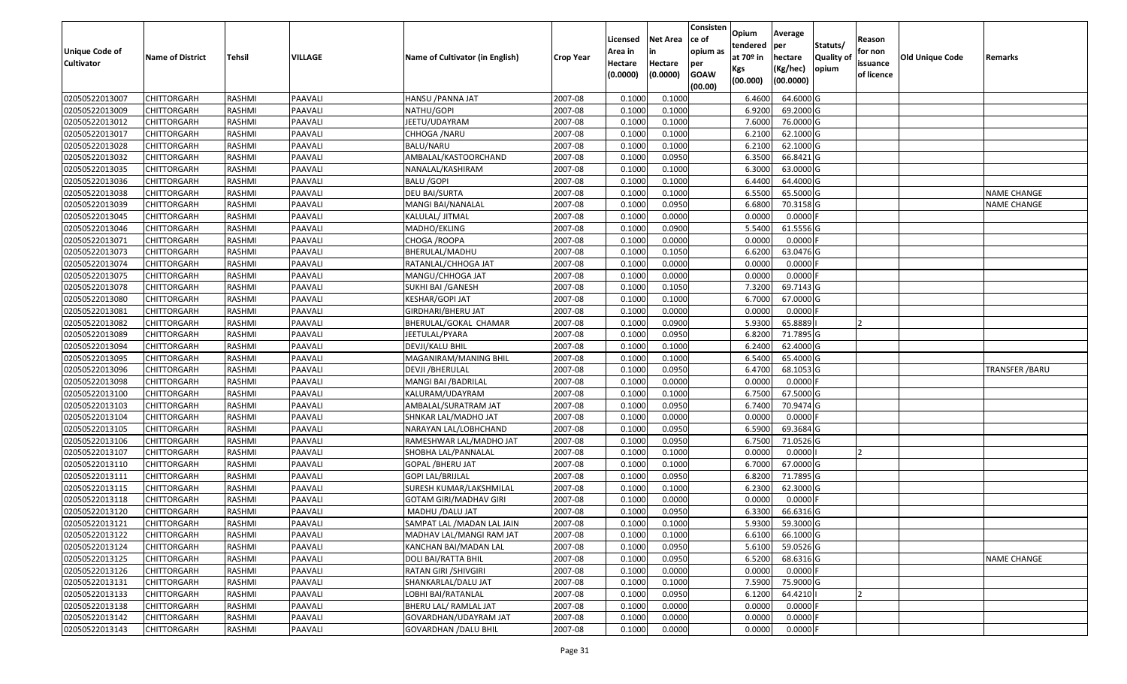| Unique Code of    |                         |               |         |                                 |                  | Licensed<br>Area in | <b>Net Area</b><br>in | Consisten<br>ce of<br>opium as | Opium<br>tendered              | Average<br>per                   | Statuts/                  | Reason<br>for non      |                 |                    |
|-------------------|-------------------------|---------------|---------|---------------------------------|------------------|---------------------|-----------------------|--------------------------------|--------------------------------|----------------------------------|---------------------------|------------------------|-----------------|--------------------|
| <b>Cultivator</b> | <b>Name of District</b> | Tehsil        | VILLAGE | Name of Cultivator (in English) | <b>Crop Year</b> | Hectare<br>(0.0000) | Hectare<br>(0.0000)   | per<br><b>GOAW</b><br>(00.00)  | at $70°$ in<br>Kgs<br>(00.000) | hectare<br>(Kg/hec)<br>(00.0000) | <b>Quality o</b><br>opium | issuance<br>of licence | Old Unique Code | Remarks            |
| 02050522013007    | CHITTORGARH             | RASHMI        | PAAVALI | HANSU / PANNA JAT               | 2007-08          | 0.1000              | 0.1000                |                                | 6.4600                         | 64.6000 G                        |                           |                        |                 |                    |
| 02050522013009    | CHITTORGARH             | RASHMI        | PAAVALI | NATHU/GOPI                      | 2007-08          | 0.1000              | 0.1000                |                                | 6.9200                         | 69.2000 G                        |                           |                        |                 |                    |
| 02050522013012    | CHITTORGARH             | RASHMI        | PAAVALI | JEETU/UDAYRAM                   | 2007-08          | 0.1000              | 0.1000                |                                | 7.6000                         | 76.0000G                         |                           |                        |                 |                    |
| 02050522013017    | <b>CHITTORGARH</b>      | RASHMI        | PAAVALI | CHHOGA / NARU                   | 2007-08          | 0.1000              | 0.1000                |                                | 6.2100                         | 62.1000G                         |                           |                        |                 |                    |
| 02050522013028    | CHITTORGARH             | RASHMI        | PAAVALI | BALU/NARU                       | 2007-08          | 0.1000              | 0.1000                |                                | 6.2100                         | 62.1000G                         |                           |                        |                 |                    |
| 02050522013032    | <b>CHITTORGARH</b>      | RASHMI        | PAAVALI | AMBALAL/KASTOORCHAND            | 2007-08          | 0.1000              | 0.0950                |                                | 6.3500                         | 66.8421G                         |                           |                        |                 |                    |
| 02050522013035    | CHITTORGARH             | RASHMI        | PAAVALI | NANALAL/KASHIRAM                | 2007-08          | 0.1000              | 0.1000                |                                | 6.3000                         | 63.0000G                         |                           |                        |                 |                    |
| 02050522013036    | <b>CHITTORGARH</b>      | <b>RASHMI</b> | PAAVALI | <b>BALU /GOPI</b>               | 2007-08          | 0.1000              | 0.1000                |                                | 6.4400                         | 64.4000 G                        |                           |                        |                 |                    |
| 02050522013038    | CHITTORGARH             | RASHMI        | PAAVALI | DEU BAI/SURTA                   | 2007-08          | 0.1000              | 0.1000                |                                | 6.5500                         | 65.5000G                         |                           |                        |                 | <b>NAME CHANGE</b> |
| 02050522013039    | CHITTORGARH             | RASHMI        | PAAVALI | MANGI BAI/NANALAL               | 2007-08          | 0.1000              | 0.0950                |                                | 6.6800                         | 70.3158 G                        |                           |                        |                 | <b>NAME CHANGE</b> |
| 02050522013045    | CHITTORGARH             | RASHMI        | PAAVALI | KALULAL/ JITMAL                 | 2007-08          | 0.1000              | 0.0000                |                                | 0.0000                         | $0.0000$ F                       |                           |                        |                 |                    |
| 02050522013046    | <b>CHITTORGARH</b>      | RASHMI        | PAAVALI | MADHO/EKLING                    | 2007-08          | 0.1000              | 0.0900                |                                | 5.5400                         | 61.5556 G                        |                           |                        |                 |                    |
| 02050522013071    | <b>CHITTORGARH</b>      | RASHMI        | PAAVALI | CHOGA / ROOPA                   | 2007-08          | 0.1000              | 0.0000                |                                | 0.0000                         | $0.0000$ F                       |                           |                        |                 |                    |
| 02050522013073    | <b>CHITTORGARH</b>      | RASHMI        | PAAVALI | BHERULAL/MADHU                  | 2007-08          | 0.1000              | 0.1050                |                                | 6.6200                         | 63.0476 G                        |                           |                        |                 |                    |
| 02050522013074    | <b>CHITTORGARH</b>      | RASHMI        | PAAVALI | RATANLAL/CHHOGA JAT             | 2007-08          | 0.1000              | 0.0000                |                                | 0.0000                         | $0.0000$ F                       |                           |                        |                 |                    |
| 02050522013075    | CHITTORGARH             | RASHMI        | PAAVALI | MANGU/CHHOGA JAT                | 2007-08          | 0.1000              | 0.0000                |                                | 0.0000                         | 0.0000F                          |                           |                        |                 |                    |
| 02050522013078    | CHITTORGARH             | RASHMI        | PAAVALI | SUKHI BAI / GANESH              | 2007-08          | 0.1000              | 0.1050                |                                | 7.3200                         | 69.7143 G                        |                           |                        |                 |                    |
| 02050522013080    | CHITTORGARH             | RASHMI        | PAAVALI | KESHAR/GOPI JAT                 | 2007-08          | 0.1000              | 0.1000                |                                | 6.7000                         | 67.0000G                         |                           |                        |                 |                    |
| 02050522013081    | CHITTORGARH             | RASHMI        | PAAVALI | GIRDHARI/BHERU JAT              | 2007-08          | 0.1000              | 0.0000                |                                | 0.0000                         | 0.0000                           |                           |                        |                 |                    |
| 02050522013082    | CHITTORGARH             | RASHMI        | PAAVALI | BHERULAL/GOKAL CHAMAR           | 2007-08          | 0.1000              | 0.0900                |                                | 5.9300                         | 65.8889                          |                           |                        |                 |                    |
| 02050522013089    | CHITTORGARH             | RASHMI        | PAAVALI | JEETULAL/PYARA                  | 2007-08          | 0.1000              | 0.0950                |                                | 6.8200                         | 71.7895 G                        |                           |                        |                 |                    |
| 02050522013094    | CHITTORGARH             | RASHMI        | PAAVALI | DEVJI/KALU BHIL                 | 2007-08          | 0.1000              | 0.1000                |                                | 6.2400                         | 62.4000 G                        |                           |                        |                 |                    |
| 02050522013095    | CHITTORGARH             | RASHMI        | PAAVALI | MAGANIRAM/MANING BHIL           | 2007-08          | 0.1000              | 0.1000                |                                | 6.5400                         | 65.4000 G                        |                           |                        |                 |                    |
| 02050522013096    | <b>CHITTORGARH</b>      | RASHMI        | PAAVALI | <b>DEVJI / BHERULAL</b>         | 2007-08          | 0.1000              | 0.0950                |                                | 6.4700                         | 68.1053 G                        |                           |                        |                 | TRANSFER / BARU    |
| 02050522013098    | <b>CHITTORGARH</b>      | RASHMI        | PAAVALI | MANGI BAI / BADRILAL            | 2007-08          | 0.1000              | 0.0000                |                                | 0.0000                         | $0.0000$ F                       |                           |                        |                 |                    |
| 02050522013100    | CHITTORGARH             | RASHMI        | PAAVALI | KALURAM/UDAYRAM                 | 2007-08          | 0.1000              | 0.1000                |                                | 6.7500                         | 67.5000G                         |                           |                        |                 |                    |
| 02050522013103    | CHITTORGARH             | RASHMI        | PAAVALI | AMBALAL/SURATRAM JAT            | 2007-08          | 0.1000              | 0.0950                |                                | 6.7400                         | 70.9474 G                        |                           |                        |                 |                    |
| 02050522013104    | CHITTORGARH             | RASHMI        | PAAVALI | SHNKAR LAL/MADHO JAT            | 2007-08          | 0.1000              | 0.0000                |                                | 0.0000                         | $0.0000$ F                       |                           |                        |                 |                    |
| 02050522013105    | CHITTORGARH             | RASHMI        | PAAVALI | NARAYAN LAL/LOBHCHAND           | 2007-08          | 0.1000              | 0.0950                |                                | 6.5900                         | 69.3684 G                        |                           |                        |                 |                    |
| 02050522013106    | CHITTORGARH             | RASHMI        | PAAVALI | RAMESHWAR LAL/MADHO JAT         | 2007-08          | 0.1000              | 0.0950                |                                | 6.7500                         | 71.0526 G                        |                           |                        |                 |                    |
| 02050522013107    | CHITTORGARH             | RASHMI        | PAAVALI | SHOBHA LAL/PANNALAL             | 2007-08          | 0.1000              | 0.1000                |                                | 0.0000                         | 0.0000                           |                           |                        |                 |                    |
| 02050522013110    | CHITTORGARH             | RASHMI        | PAAVALI | GOPAL /BHERU JAT                | 2007-08          | 0.1000              | 0.1000                |                                | 6.7000                         | 67.0000G                         |                           |                        |                 |                    |
| 02050522013111    | CHITTORGARH             | <b>RASHMI</b> | PAAVALI | GOPI LAL/BRIJLAL                | 2007-08          | 0.1000              | 0.0950                |                                | 6.8200                         | 71.7895 G                        |                           |                        |                 |                    |
| 02050522013115    | <b>CHITTORGARH</b>      | RASHMI        | PAAVALI | SURESH KUMAR/LAKSHMILAL         | 2007-08          | 0.1000              | 0.1000                |                                | 6.2300                         | 62.3000 G                        |                           |                        |                 |                    |
| 02050522013118    | CHITTORGARH             | RASHMI        | PAAVALI | GOTAM GIRI/MADHAV GIRI          | 2007-08          | 0.1000              | 0.0000                |                                | 0.0000                         | 0.0000F                          |                           |                        |                 |                    |
| 02050522013120    | CHITTORGARH             | RASHMI        | PAAVALI | MADHU /DALU JAT                 | 2007-08          | 0.1000              | 0.0950                |                                | 6.3300                         | 66.6316 G                        |                           |                        |                 |                    |
| 02050522013121    | CHITTORGARH             | RASHMI        | PAAVALI | SAMPAT LAL / MADAN LAL JAIN     | 2007-08          | 0.1000              | 0.1000                |                                | 5.9300                         | 59.3000G                         |                           |                        |                 |                    |
| 02050522013122    | <b>CHITTORGARH</b>      | RASHMI        | PAAVALI | MADHAV LAL/MANGI RAM JAT        | 2007-08          | 0.1000              | 0.1000                |                                | 6.6100                         | 66.1000 G                        |                           |                        |                 |                    |
| 02050522013124    | <b>CHITTORGARH</b>      | RASHMI        | PAAVALI | KANCHAN BAI/MADAN LAL           | 2007-08          | 0.1000              | 0.0950                |                                | 5.6100                         | 59.0526 G                        |                           |                        |                 |                    |
| 02050522013125    | <b>CHITTORGARH</b>      | RASHMI        | PAAVALI | DOLI BAI/RATTA BHIL             | 2007-08          | 0.1000              | 0.0950                |                                | 6.5200                         | 68.6316 G                        |                           |                        |                 | <b>NAME CHANGE</b> |
| 02050522013126    | <b>CHITTORGARH</b>      | RASHMI        | PAAVALI | RATAN GIRI /SHIVGIRI            | 2007-08          | 0.1000              | 0.0000                |                                | 0.0000                         | $0.0000$ F                       |                           |                        |                 |                    |
| 02050522013131    | <b>CHITTORGARH</b>      | RASHMI        | PAAVALI | SHANKARLAL/DALU JAT             | 2007-08          | 0.1000              | 0.1000                |                                | 7.5900                         | 75.9000 G                        |                           |                        |                 |                    |
| 02050522013133    | <b>CHITTORGARH</b>      | RASHMI        | PAAVALI | LOBHI BAI/RATANLAL              | 2007-08          | 0.1000              | 0.0950                |                                | 6.1200                         | 64.4210                          |                           |                        |                 |                    |
| 02050522013138    | <b>CHITTORGARH</b>      | RASHMI        | PAAVALI | BHERU LAL/ RAMLAL JAT           | 2007-08          | 0.1000              | 0.0000                |                                | 0.0000                         | $0.0000$ F                       |                           |                        |                 |                    |
| 02050522013142    | <b>CHITTORGARH</b>      | RASHMI        | PAAVALI | GOVARDHAN/UDAYRAM JAT           | 2007-08          | 0.1000              | 0.0000                |                                | 0.0000                         | 0.0000                           |                           |                        |                 |                    |
| 02050522013143    | <b>CHITTORGARH</b>      | RASHMI        | PAAVALI | <b>GOVARDHAN / DALU BHIL</b>    | 2007-08          | 0.1000              | 0.0000                |                                | 0.0000                         | $0.0000$ F                       |                           |                        |                 |                    |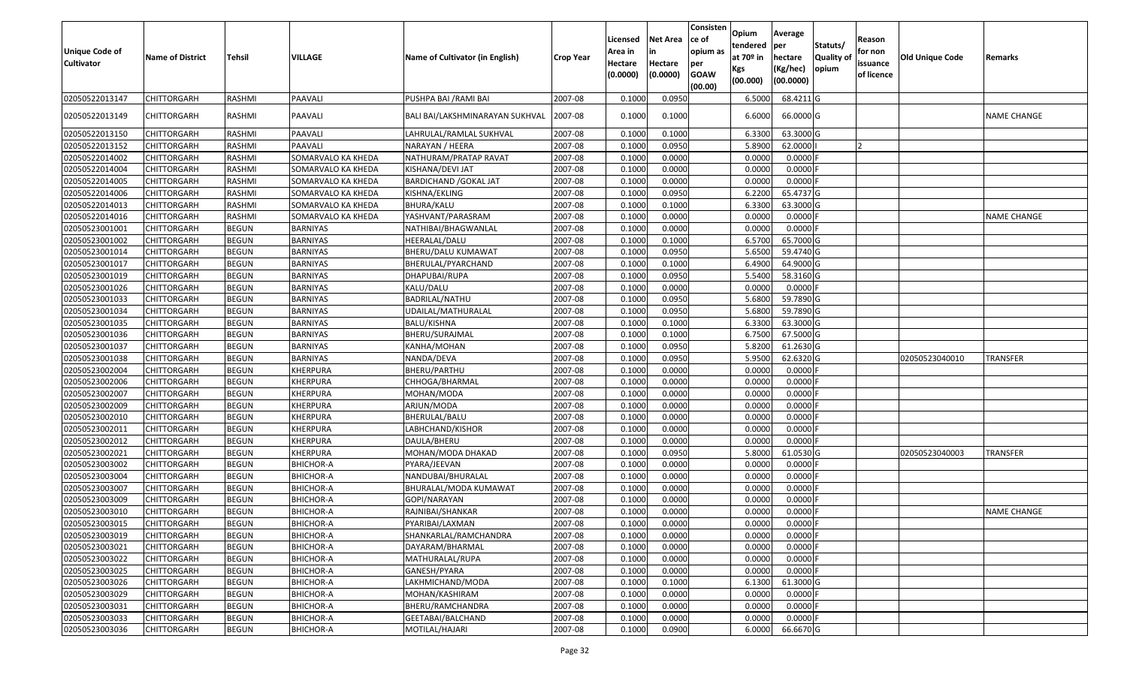| <b>Unique Code of</b><br><b>Cultivator</b> | <b>Name of District</b> | <b>Tehsil</b> | VILLAGE            | Name of Cultivator (in English) | <b>Crop Year</b> | Licensed<br>Area in<br>Hectare<br>(0.0000) | <b>Net Area</b><br>in<br>Hectare<br>(0.0000) | Consisten<br>lce of<br>opium as<br>per<br><b>GOAW</b><br>(00.00) | Opium<br>tendered<br>at $70°$ in<br>Kgs<br>(00.000) | Average<br>per<br>hectare<br>(Kg/hec)<br>(00.0000) | Statuts/<br>Quality of<br>opium | Reason<br>for non<br>issuance<br>of licence | <b>Old Unique Code</b> | Remarks            |
|--------------------------------------------|-------------------------|---------------|--------------------|---------------------------------|------------------|--------------------------------------------|----------------------------------------------|------------------------------------------------------------------|-----------------------------------------------------|----------------------------------------------------|---------------------------------|---------------------------------------------|------------------------|--------------------|
| 02050522013147                             | <b>CHITTORGARH</b>      | RASHMI        | PAAVALI            | PUSHPA BAI /RAMI BAI            | 2007-08          | 0.1000                                     | 0.0950                                       |                                                                  | 6.5000                                              | 68.4211 G                                          |                                 |                                             |                        |                    |
| 02050522013149                             | CHITTORGARH             | RASHMI        | PAAVALI            | BALI BAI/LAKSHMINARAYAN SUKHVAL | 2007-08          | 0.1000                                     | 0.1000                                       |                                                                  | 6.6000                                              | 66.0000 G                                          |                                 |                                             |                        | NAME CHANGE        |
| 02050522013150                             | <b>CHITTORGARH</b>      | <b>RASHMI</b> | <b>PAAVALI</b>     | LAHRULAL/RAMLAL SUKHVAL         | 2007-08          | 0.1000                                     | 0.1000                                       |                                                                  | 6.3300                                              | 63.3000 G                                          |                                 |                                             |                        |                    |
| 02050522013152                             | <b>CHITTORGARH</b>      | <b>RASHMI</b> | PAAVALI            | NARAYAN / HEERA                 | 2007-08          | 0.1000                                     | 0.0950                                       |                                                                  | 5.8900                                              | 62.0000                                            |                                 |                                             |                        |                    |
| 02050522014002                             | CHITTORGARH             | RASHMI        | SOMARVALO KA KHEDA | NATHURAM/PRATAP RAVAT           | 2007-08          | 0.1000                                     | 0.0000                                       |                                                                  | 0.0000                                              | 0.0000F                                            |                                 |                                             |                        |                    |
| 02050522014004                             | CHITTORGARH             | <b>RASHMI</b> | SOMARVALO KA KHEDA | KISHANA/DEVI JAT                | 2007-08          | 0.1000                                     | 0.0000                                       |                                                                  | 0.0000                                              | 0.0000                                             |                                 |                                             |                        |                    |
| 02050522014005                             | <b>CHITTORGARH</b>      | <b>RASHMI</b> | SOMARVALO KA KHEDA | <b>BARDICHAND / GOKAL JAT</b>   | 2007-08          | 0.1000                                     | 0.0000                                       |                                                                  | 0.0000                                              | $0.0000$ F                                         |                                 |                                             |                        |                    |
| 02050522014006                             | <b>CHITTORGARH</b>      | <b>RASHMI</b> | SOMARVALO KA KHEDA | KISHNA/EKLING                   | 2007-08          | 0.1000                                     | 0.0950                                       |                                                                  | 6.2200                                              | 65.4737 G                                          |                                 |                                             |                        |                    |
| 02050522014013                             | CHITTORGARH             | RASHMI        | SOMARVALO KA KHEDA | BHURA/KALU                      | 2007-08          | 0.1000                                     | 0.1000                                       |                                                                  | 6.3300                                              | 63.3000 G                                          |                                 |                                             |                        |                    |
| 02050522014016                             | <b>CHITTORGARH</b>      | RASHMI        | SOMARVALO KA KHEDA | YASHVANT/PARASRAM               | 2007-08          | 0.1000                                     | 0.0000                                       |                                                                  | 0.0000                                              | $0.0000$ F                                         |                                 |                                             |                        | NAME CHANGE        |
| 02050523001001                             | <b>CHITTORGARH</b>      | <b>BEGUN</b>  | <b>BARNIYAS</b>    | NATHIBAI/BHAGWANLAL             | 2007-08          | 0.1000                                     | 0.0000                                       |                                                                  | 0.0000                                              | 0.0000                                             |                                 |                                             |                        |                    |
| 02050523001002                             | <b>CHITTORGARH</b>      | <b>BEGUN</b>  | <b>BARNIYAS</b>    | HEERALAL/DALU                   | 2007-08          | 0.1000                                     | 0.1000                                       |                                                                  | 6.5700                                              | 65.7000 G                                          |                                 |                                             |                        |                    |
| 02050523001014                             | <b>CHITTORGARH</b>      | <b>BEGUN</b>  | <b>BARNIYAS</b>    | BHERU/DALU KUMAWAT              | 2007-08          | 0.1000                                     | 0.0950                                       |                                                                  | 5.6500                                              | 59.4740 G                                          |                                 |                                             |                        |                    |
| 02050523001017                             | <b>CHITTORGARH</b>      | <b>BEGUN</b>  | <b>BARNIYAS</b>    | BHERULAL/PYARCHAND              | 2007-08          | 0.1000                                     | 0.1000                                       |                                                                  | 6.4900                                              | 64.9000 G                                          |                                 |                                             |                        |                    |
| 02050523001019                             | <b>CHITTORGARH</b>      | <b>BEGUN</b>  | <b>BARNIYAS</b>    | DHAPUBAI/RUPA                   | 2007-08          | 0.1000                                     | 0.0950                                       |                                                                  | 5.5400                                              | 58.3160 G                                          |                                 |                                             |                        |                    |
| 02050523001026                             | <b>CHITTORGARH</b>      | <b>BEGUN</b>  | <b>BARNIYAS</b>    | KALU/DALU                       | 2007-08          | 0.1000                                     | 0.0000                                       |                                                                  | 0.0000                                              | $0.0000$ F                                         |                                 |                                             |                        |                    |
| 02050523001033                             | <b>CHITTORGARH</b>      | <b>BEGUN</b>  | <b>BARNIYAS</b>    | BADRILAL/NATHU                  | 2007-08          | 0.1000                                     | 0.0950                                       |                                                                  | 5.6800                                              | 59.7890 G                                          |                                 |                                             |                        |                    |
| 02050523001034                             | <b>CHITTORGARH</b>      | <b>BEGUN</b>  | <b>BARNIYAS</b>    | UDAILAL/MATHURALAL              | 2007-08          | 0.1000                                     | 0.0950                                       |                                                                  | 5.6800                                              | 59.7890 G                                          |                                 |                                             |                        |                    |
| 02050523001035                             | <b>CHITTORGARH</b>      | <b>BEGUN</b>  | <b>BARNIYAS</b>    | BALU/KISHNA                     | 2007-08          | 0.1000                                     | 0.1000                                       |                                                                  | 6.3300                                              | 63.3000 G                                          |                                 |                                             |                        |                    |
| 02050523001036                             | <b>CHITTORGARH</b>      | <b>BEGUN</b>  | <b>BARNIYAS</b>    | BHERU/SURAJMAI                  | 2007-08          | 0.1000                                     | 0.1000                                       |                                                                  | 6.7500                                              | 67.5000 G                                          |                                 |                                             |                        |                    |
| 02050523001037                             | <b>CHITTORGARH</b>      | <b>BEGUN</b>  | <b>BARNIYAS</b>    | KANHA/MOHAN                     | 2007-08          | 0.1000                                     | 0.0950                                       |                                                                  | 5.8200                                              | 61.2630 G                                          |                                 |                                             |                        |                    |
| 02050523001038                             | <b>CHITTORGARH</b>      | <b>BEGUN</b>  | <b>BARNIYAS</b>    | NANDA/DEVA                      | 2007-08          | 0.1000                                     | 0.0950                                       |                                                                  | 5.9500                                              | 62.6320 G                                          |                                 |                                             | 02050523040010         | TRANSFER           |
| 02050523002004                             | <b>CHITTORGARH</b>      | <b>BEGUN</b>  | <b>KHERPURA</b>    | BHERU/PARTHU                    | 2007-08          | 0.1000                                     | 0.0000                                       |                                                                  | 0.0000                                              | 0.0000F                                            |                                 |                                             |                        |                    |
| 02050523002006                             | <b>CHITTORGARH</b>      | <b>BEGUN</b>  | <b>KHERPURA</b>    | CHHOGA/BHARMAL                  | 2007-08          | 0.1000                                     | 0.0000                                       |                                                                  | 0.0000                                              | $0.0000$ F                                         |                                 |                                             |                        |                    |
| 02050523002007                             | <b>CHITTORGARH</b>      | <b>BEGUN</b>  | <b>KHERPURA</b>    | MOHAN/MODA                      | 2007-08          | 0.1000                                     | 0.0000                                       |                                                                  | 0.0000                                              | $0.0000$ F                                         |                                 |                                             |                        |                    |
| 02050523002009                             | CHITTORGARH             | <b>BEGUN</b>  | KHERPURA           | ARJUN/MODA                      | 2007-08          | 0.1000                                     | 0.0000                                       |                                                                  | 0.0000                                              | 0.0000F                                            |                                 |                                             |                        |                    |
| 02050523002010                             | <b>CHITTORGARH</b>      | <b>BEGUN</b>  | KHERPURA           | BHERULAL/BALU                   | 2007-08          | 0.1000                                     | 0.0000                                       |                                                                  | 0.0000                                              | 0.0000F                                            |                                 |                                             |                        |                    |
| 02050523002011                             | <b>CHITTORGARH</b>      | <b>BEGUN</b>  | KHERPURA           | LABHCHAND/KISHOR                | 2007-08          | 0.1000                                     | 0.0000                                       |                                                                  | 0.0000                                              | 0.0000                                             |                                 |                                             |                        |                    |
| 02050523002012                             | <b>CHITTORGARH</b>      | <b>BEGUN</b>  | <b>KHERPURA</b>    | DAULA/BHERU                     | 2007-08          | 0.1000                                     | 0.0000                                       |                                                                  | 0.0000                                              | 0.0000F                                            |                                 |                                             |                        |                    |
| 02050523002021                             | CHITTORGARH             | <b>BEGUN</b>  | <b>KHERPURA</b>    | MOHAN/MODA DHAKAD               | 2007-08          | 0.1000                                     | 0.0950                                       |                                                                  | 5.8000                                              | 61.0530 G                                          |                                 |                                             | 02050523040003         | TRANSFER           |
| 02050523003002                             | CHITTORGARH             | <b>BEGUN</b>  | BHICHOR-A          | PYARA/JEEVAN                    | 2007-08          | 0.1000                                     | 0.0000                                       |                                                                  | 0.0000                                              | 0.0000                                             |                                 |                                             |                        |                    |
| 02050523003004                             | <b>CHITTORGARH</b>      | <b>BEGUN</b>  | <b>BHICHOR-A</b>   | NANDUBAI/BHURALAL               | 2007-08          | 0.1000                                     | 0.0000                                       |                                                                  | 0.0000                                              | 0.0000F                                            |                                 |                                             |                        |                    |
| 02050523003007                             | <b>CHITTORGARH</b>      | <b>BEGUN</b>  | <b>BHICHOR-A</b>   | BHURALAL/MODA KUMAWAT           | 2007-08          | 0.1000                                     | 0.0000                                       |                                                                  | 0.0000                                              | 0.0000F                                            |                                 |                                             |                        |                    |
| 02050523003009                             | CHITTORGARH             | <b>BEGUN</b>  | BHICHOR-A          | GOPI/NARAYAN                    | 2007-08          | 0.1000                                     | 0.0000                                       |                                                                  | 0.0000                                              | $0.0000$ F                                         |                                 |                                             |                        |                    |
| 02050523003010                             | <b>CHITTORGARH</b>      | <b>BEGUN</b>  | <b>BHICHOR-A</b>   | RAJNIBAI/SHANKAR                | 2007-08          | 0.1000                                     | 0.0000                                       |                                                                  | 0.0000                                              | $0.0000$ F                                         |                                 |                                             |                        | <b>NAME CHANGE</b> |
| 02050523003015                             | <b>CHITTORGARH</b>      | <b>BEGUN</b>  | BHICHOR-A          | PYARIBAI/LAXMAN                 | 2007-08          | 0.1000                                     | 0.0000                                       |                                                                  | 0.0000                                              | $0.0000$ F                                         |                                 |                                             |                        |                    |
| 02050523003019                             | <b>CHITTORGARH</b>      | <b>BEGUN</b>  | <b>BHICHOR-A</b>   | SHANKARLAL/RAMCHANDRA           | 2007-08          | 0.1000                                     | 0.0000                                       |                                                                  | 0.0000                                              | $0.0000$ F                                         |                                 |                                             |                        |                    |
| 02050523003021                             | <b>CHITTORGARH</b>      | <b>BEGUN</b>  | <b>BHICHOR-A</b>   | DAYARAM/BHARMAL                 | 2007-08          | 0.1000                                     | 0.0000                                       |                                                                  | 0.0000                                              | 0.0000F                                            |                                 |                                             |                        |                    |
| 02050523003022                             | <b>CHITTORGARH</b>      | <b>BEGUN</b>  | <b>BHICHOR-A</b>   | MATHURALAL/RUPA                 | 2007-08          | 0.1000                                     | 0.0000                                       |                                                                  | 0.0000                                              | $0.0000$ F                                         |                                 |                                             |                        |                    |
| 02050523003025                             | <b>CHITTORGARH</b>      | <b>BEGUN</b>  | <b>BHICHOR-A</b>   | GANESH/PYARA                    | 2007-08          | 0.1000                                     | 0.0000                                       |                                                                  | 0.0000                                              | $0.0000$ F                                         |                                 |                                             |                        |                    |
| 02050523003026                             | <b>CHITTORGARH</b>      | <b>BEGUN</b>  | <b>BHICHOR-A</b>   | LAKHMICHAND/MODA                | 2007-08          | 0.1000                                     | 0.1000                                       |                                                                  | 6.1300                                              | 61.3000 G                                          |                                 |                                             |                        |                    |
| 02050523003029                             | <b>CHITTORGARH</b>      | <b>BEGUN</b>  | <b>BHICHOR-A</b>   | MOHAN/KASHIRAM                  | 2007-08          | 0.1000                                     | 0.0000                                       |                                                                  | 0.0000                                              | $0.0000$ F                                         |                                 |                                             |                        |                    |
| 02050523003031                             | <b>CHITTORGARH</b>      | <b>BEGUN</b>  | BHICHOR-A          | BHERU/RAMCHANDRA                | 2007-08          | 0.1000                                     | 0.0000                                       |                                                                  | 0.0000                                              | $0.0000$ F                                         |                                 |                                             |                        |                    |
| 02050523003033                             | <b>CHITTORGARH</b>      | <b>BEGUN</b>  | <b>BHICHOR-A</b>   | GEETABAI/BALCHAND               | 2007-08          | 0.1000                                     | 0.0000                                       |                                                                  | 0.0000                                              | 0.0000F                                            |                                 |                                             |                        |                    |
| 02050523003036                             | <b>CHITTORGARH</b>      | <b>BEGUN</b>  | <b>BHICHOR-A</b>   | MOTILAL/HAJARI                  | 2007-08          | 0.1000                                     | 0.0900                                       |                                                                  | 6.0000                                              | 66.6670 G                                          |                                 |                                             |                        |                    |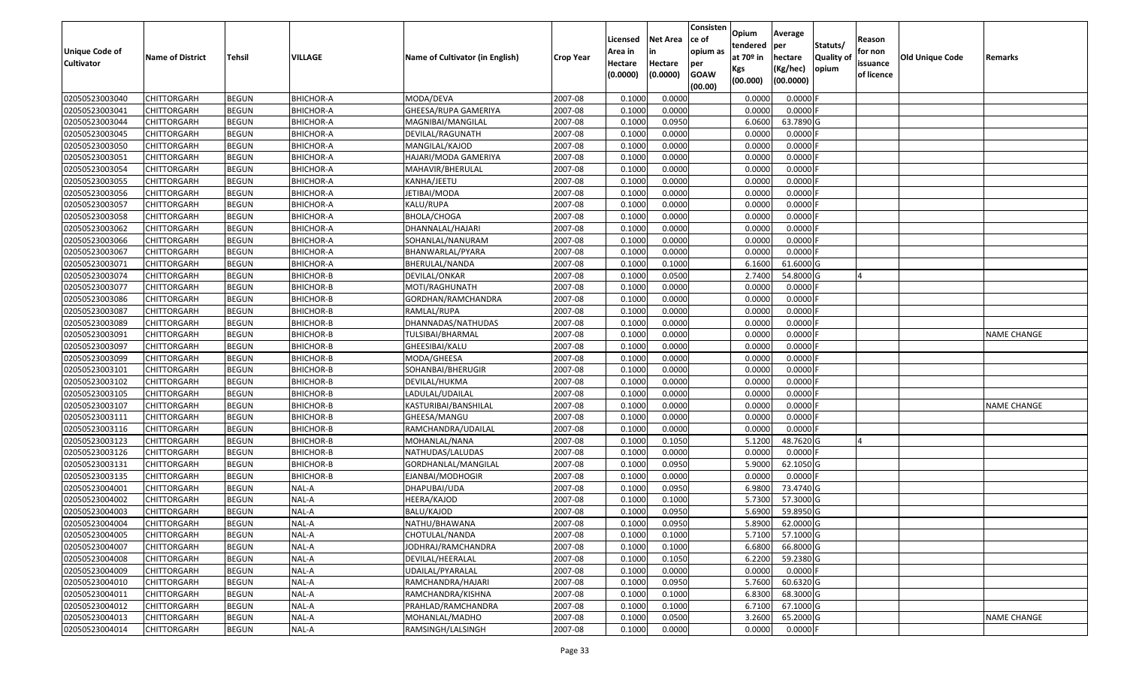| Unique Code of<br><b>Cultivator</b> | <b>Name of District</b> | <b>Tehsil</b> | VILLAGE          | Name of Cultivator (in English) | <b>Crop Year</b> | Licensed<br>Area in<br>Hectare | <b>Net Area</b><br>in<br>Hectare | Consisten<br>ce of<br>opium as | Opium<br>tendered<br>at $70°$ in | Average<br>per<br>hectare | Statuts/<br><b>Quality o</b> | Reason<br>for non<br>issuance | <b>Old Unique Code</b> | Remarks            |
|-------------------------------------|-------------------------|---------------|------------------|---------------------------------|------------------|--------------------------------|----------------------------------|--------------------------------|----------------------------------|---------------------------|------------------------------|-------------------------------|------------------------|--------------------|
|                                     |                         |               |                  |                                 |                  | (0.0000)                       | (0.0000)                         | per<br><b>GOAW</b><br>(00.00)  | Kgs<br>(00.000)                  | (Kg/hec)<br>(00.0000)     | opium                        | of licence                    |                        |                    |
| 02050523003040                      | CHITTORGARH             | <b>BEGUN</b>  | <b>BHICHOR-A</b> | MODA/DEVA                       | 2007-08          | 0.1000                         | 0.0000                           |                                | 0.0000                           | 0.0000F                   |                              |                               |                        |                    |
| 02050523003041                      | CHITTORGARH             | <b>BEGUN</b>  | <b>BHICHOR-A</b> | GHEESA/RUPA GAMERIYA            | 2007-08          | 0.1000                         | 0.0000                           |                                | 0.0000                           | $0.0000$ F                |                              |                               |                        |                    |
| 02050523003044                      | CHITTORGARH             | <b>BEGUN</b>  | <b>BHICHOR-A</b> | MAGNIBAI/MANGILAL               | 2007-08          | 0.1000                         | 0.0950                           |                                | 6.0600                           | 63.7890 G                 |                              |                               |                        |                    |
| 02050523003045                      | <b>CHITTORGARH</b>      | <b>BEGUN</b>  | <b>BHICHOR-A</b> | DEVILAL/RAGUNATH                | 2007-08          | 0.1000                         | 0.0000                           |                                | 0.0000                           | $0.0000$ F                |                              |                               |                        |                    |
| 02050523003050                      | CHITTORGARH             | <b>BEGUN</b>  | <b>BHICHOR-A</b> | MANGILAL/KAJOD                  | 2007-08          | 0.1000                         | 0.0000                           |                                | 0.0000                           | 0.0000                    |                              |                               |                        |                    |
| 02050523003051                      | <b>CHITTORGARH</b>      | <b>BEGUN</b>  | <b>BHICHOR-A</b> | HAJARI/MODA GAMERIYA            | 2007-08          | 0.1000                         | 0.0000                           |                                | 0.0000                           | 0.0000                    |                              |                               |                        |                    |
| 02050523003054                      | CHITTORGARH             | <b>BEGUN</b>  | <b>BHICHOR-A</b> | MAHAVIR/BHERULAL                | 2007-08          | 0.1000                         | 0.0000                           |                                | 0.0000                           | 0.0000                    |                              |                               |                        |                    |
| 02050523003055                      | CHITTORGARH             | <b>BEGUN</b>  | <b>BHICHOR-A</b> | KANHA/JEETU                     | 2007-08          | 0.1000                         | 0.0000                           |                                | 0.0000                           | 0.0000                    |                              |                               |                        |                    |
| 02050523003056                      | CHITTORGARH             | <b>BEGUN</b>  | <b>BHICHOR-A</b> | JETIBAI/MODA                    | 2007-08          | 0.1000                         | 0.0000                           |                                | 0.0000                           | 0.0000                    |                              |                               |                        |                    |
| 02050523003057                      | CHITTORGARH             | <b>BEGUN</b>  | <b>BHICHOR-A</b> | KALU/RUPA                       | 2007-08          | 0.1000                         | 0.0000                           |                                | 0.0000                           | 0.0000                    |                              |                               |                        |                    |
| 02050523003058                      | CHITTORGARH             | <b>BEGUN</b>  | <b>BHICHOR-A</b> | BHOLA/CHOGA                     | 2007-08          | 0.1000                         | 0.0000                           |                                | 0.0000                           | 0.0000F                   |                              |                               |                        |                    |
| 02050523003062                      | <b>CHITTORGARH</b>      | <b>BEGUN</b>  | <b>BHICHOR-A</b> | DHANNALAL/HAJARI                | 2007-08          | 0.1000                         | 0.0000                           |                                | 0.0000                           | 0.0000                    |                              |                               |                        |                    |
| 02050523003066                      | <b>CHITTORGARH</b>      | <b>BEGUN</b>  | <b>BHICHOR-A</b> | SOHANLAL/NANURAM                | 2007-08          | 0.1000                         | 0.0000                           |                                | 0.0000                           | 0.0000F                   |                              |                               |                        |                    |
| 02050523003067                      | <b>CHITTORGARH</b>      | <b>BEGUN</b>  | <b>BHICHOR-A</b> | BHANWARLAL/PYARA                | 2007-08          | 0.1000                         | 0.0000                           |                                | 0.0000                           | 0.0000F                   |                              |                               |                        |                    |
| 02050523003071                      | <b>CHITTORGARH</b>      | <b>BEGUN</b>  | <b>BHICHOR-A</b> | BHERULAL/NANDA                  | 2007-08          | 0.1000                         | 0.1000                           |                                | 6.1600                           | 61.6000G                  |                              |                               |                        |                    |
| 02050523003074                      | CHITTORGARH             | <b>BEGUN</b>  | <b>BHICHOR-B</b> | DEVILAL/ONKAR                   | 2007-08          | 0.1000                         | 0.0500                           |                                | 2.7400                           | 54.8000G                  |                              |                               |                        |                    |
| 02050523003077                      | CHITTORGARH             | <b>BEGUN</b>  | <b>BHICHOR-B</b> | MOTI/RAGHUNATH                  | 2007-08          | 0.1000                         | 0.0000                           |                                | 0.0000                           | 0.0000F                   |                              |                               |                        |                    |
| 02050523003086                      | CHITTORGARH             | <b>BEGUN</b>  | BHICHOR-B        | GORDHAN/RAMCHANDRA              | 2007-08          | 0.1000                         | 0.0000                           |                                | 0.0000                           | 0.0000                    |                              |                               |                        |                    |
| 02050523003087                      | CHITTORGARH             | <b>BEGUN</b>  | <b>BHICHOR-B</b> | RAMLAL/RUPA                     | 2007-08          | 0.1000                         | 0.0000                           |                                | 0.0000                           | 0.0000                    |                              |                               |                        |                    |
| 02050523003089                      | CHITTORGARH             | <b>BEGUN</b>  | BHICHOR-B        | DHANNADAS/NATHUDAS              | 2007-08          | 0.1000                         | 0.0000                           |                                | 0.0000                           | 0.0000                    |                              |                               |                        |                    |
| 02050523003091                      | CHITTORGARH             | <b>BEGUN</b>  | <b>BHICHOR-B</b> | TULSIBAI/BHARMAL                | 2007-08          | 0.1000                         | 0.0000                           |                                | 0.0000                           | 0.0000                    |                              |                               |                        | <b>NAME CHANGE</b> |
| 02050523003097                      | CHITTORGARH             | <b>BEGUN</b>  | BHICHOR-B        | GHEESIBAI/KALU                  | 2007-08          | 0.1000                         | 0.0000                           |                                | 0.0000                           | 0.0000                    |                              |                               |                        |                    |
| 02050523003099                      | CHITTORGARH             | <b>BEGUN</b>  | <b>BHICHOR-B</b> | MODA/GHEESA                     | 2007-08          | 0.1000                         | 0.0000                           |                                | 0.0000                           | 0.0000                    |                              |                               |                        |                    |
| 02050523003101                      | CHITTORGARH             | <b>BEGUN</b>  | <b>BHICHOR-B</b> | SOHANBAI/BHERUGIR               | 2007-08          | 0.1000                         | 0.0000                           |                                | 0.0000                           | 0.0000                    |                              |                               |                        |                    |
| 02050523003102                      | CHITTORGARH             | <b>BEGUN</b>  | <b>BHICHOR-B</b> | DEVILAL/HUKMA                   | 2007-08          | 0.1000                         | 0.0000                           |                                | 0.0000                           | 0.0000                    |                              |                               |                        |                    |
| 02050523003105                      | CHITTORGARH             | <b>BEGUN</b>  | <b>BHICHOR-B</b> | LADULAL/UDAILAL                 | 2007-08          | 0.1000                         | 0.0000                           |                                | 0.0000                           | 0.0000                    |                              |                               |                        |                    |
| 02050523003107                      | CHITTORGARH             | <b>BEGUN</b>  | BHICHOR-B        | KASTURIBAI/BANSHILAL            | 2007-08          | 0.1000                         | 0.0000                           |                                | 0.0000                           | 0.0000                    |                              |                               |                        | <b>NAME CHANGE</b> |
| 02050523003111                      | CHITTORGARH             | <b>BEGUN</b>  | <b>BHICHOR-B</b> | GHEESA/MANGU                    | 2007-08          | 0.1000                         | 0.0000                           |                                | 0.0000                           | 0.0000                    |                              |                               |                        |                    |
| 02050523003116                      | CHITTORGARH             | <b>BEGUN</b>  | <b>BHICHOR-B</b> | RAMCHANDRA/UDAILAL              | 2007-08          | 0.1000                         | 0.0000                           |                                | 0.0000                           | 0.0000F                   |                              |                               |                        |                    |
| 02050523003123                      | <b>CHITTORGARH</b>      | <b>BEGUN</b>  | <b>BHICHOR-B</b> | MOHANLAL/NANA                   | 2007-08          | 0.1000                         | 0.1050                           |                                | 5.1200                           | 48.7620 G                 |                              |                               |                        |                    |
| 02050523003126                      | CHITTORGARH             | <b>BEGUN</b>  | BHICHOR-B        | NATHUDAS/LALUDAS                | 2007-08          | 0.1000                         | 0.0000                           |                                | 0.0000                           | $0.0000$ F                |                              |                               |                        |                    |
| 02050523003131                      | CHITTORGARH             | <b>BEGUN</b>  | BHICHOR-B        | GORDHANLAL/MANGILAL             | 2007-08          | 0.1000                         | 0.0950                           |                                | 5.9000                           | 62.1050 G                 |                              |                               |                        |                    |
| 02050523003135                      | CHITTORGARH             | <b>BEGUN</b>  | BHICHOR-B        | EJANBAI/MODHOGIR                | 2007-08          | 0.1000                         | 0.0000                           |                                | 0.0000                           | $0.0000$ F                |                              |                               |                        |                    |
| 02050523004001                      | CHITTORGARH             | <b>BEGUN</b>  | NAL-A            | DHAPUBAI/UDA                    | 2007-08          | 0.1000                         | 0.0950                           |                                | 6.9800                           | 73.4740 G                 |                              |                               |                        |                    |
| 02050523004002                      | CHITTORGARH             | <b>BEGUN</b>  | NAL-A            | HEERA/KAJOD                     | 2007-08          | 0.1000                         | 0.1000                           |                                | 5.7300                           | 57.3000G                  |                              |                               |                        |                    |
| 02050523004003                      | CHITTORGARH             | <b>BEGUN</b>  | NAL-A            | BALU/KAJOD                      | 2007-08          | 0.1000                         | 0.0950                           |                                | 5.6900                           | 59.8950G                  |                              |                               |                        |                    |
| 02050523004004                      | <b>CHITTORGARH</b>      | <b>BEGUN</b>  | NAL-A            | NATHU/BHAWANA                   | 2007-08          | 0.1000                         | 0.0950                           |                                | 5.8900                           | 62.0000 G                 |                              |                               |                        |                    |
| 02050523004005                      | <b>CHITTORGARH</b>      | <b>BEGUN</b>  | NAL-A            | CHOTULAL/NANDA                  | 2007-08          | 0.1000                         | 0.1000                           |                                | 5.7100                           | 57.1000 G                 |                              |                               |                        |                    |
| 02050523004007                      | <b>CHITTORGARH</b>      | <b>BEGUN</b>  | NAL-A            | JODHRAJ/RAMCHANDRA              | 2007-08          | 0.1000                         | 0.1000                           |                                | 6.6800                           | 66.8000 G                 |                              |                               |                        |                    |
| 02050523004008                      | <b>CHITTORGARH</b>      | <b>BEGUN</b>  | NAL-A            | DEVILAL/HEERALAL                | 2007-08          | 0.1000                         | 0.1050                           |                                | 6.2200                           | 59.2380 G                 |                              |                               |                        |                    |
| 02050523004009                      | <b>CHITTORGARH</b>      | <b>BEGUN</b>  | NAL-A            | UDAILAL/PYARALAL                | 2007-08          | 0.1000                         | 0.0000                           |                                | 0.0000                           | $0.0000$ F                |                              |                               |                        |                    |
| 02050523004010                      | <b>CHITTORGARH</b>      | <b>BEGUN</b>  | NAL-A            | RAMCHANDRA/HAJARI               | 2007-08          | 0.1000                         | 0.0950                           |                                | 5.7600                           | 60.6320 G                 |                              |                               |                        |                    |
| 02050523004011                      | <b>CHITTORGARH</b>      | <b>BEGUN</b>  | NAL-A            | RAMCHANDRA/KISHNA               | 2007-08          | 0.1000                         | 0.1000                           |                                | 6.8300                           | 68.3000 G                 |                              |                               |                        |                    |
| 02050523004012                      | CHITTORGARH             | <b>BEGUN</b>  | NAL-A            | PRAHLAD/RAMCHANDRA              | 2007-08          | 0.1000                         | 0.1000                           |                                | 6.7100                           | 67.1000 G                 |                              |                               |                        |                    |
| 02050523004013                      | CHITTORGARH             | <b>BEGUN</b>  | NAL-A            | MOHANLAL/MADHO                  | 2007-08          | 0.1000                         | 0.0500                           |                                | 3.2600                           | 65.2000 G                 |                              |                               |                        | <b>NAME CHANGE</b> |
| 02050523004014                      | <b>CHITTORGARH</b>      | <b>BEGUN</b>  | NAL-A            | RAMSINGH/LALSINGH               | 2007-08          | 0.1000                         | 0.0000                           |                                | 0.0000                           | $0.0000$ F                |                              |                               |                        |                    |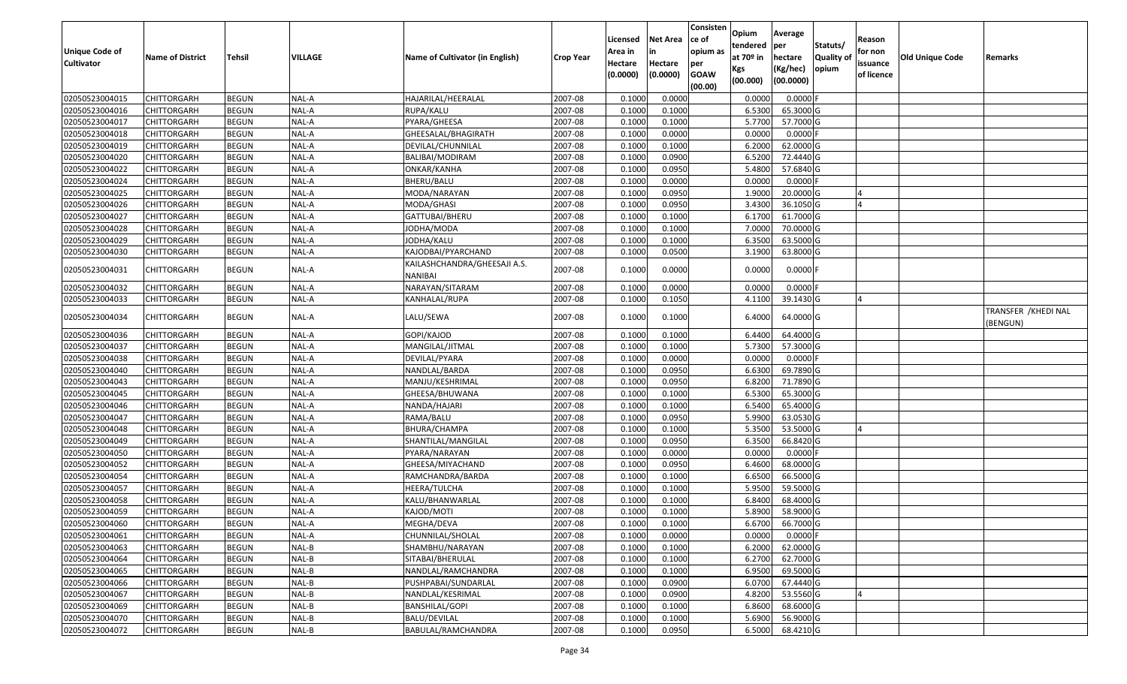| Unique Code of<br><b>Cultivator</b> | <b>Name of District</b> | <b>Tehsil</b> | VILLAGE | Name of Cultivator (in English)         | <b>Crop Year</b> | Licensed<br>Area in<br>Hectare<br>(0.0000) | <b>Net Area</b><br>in<br>Hectare<br>(0.0000) | Consisten<br>ce of<br>opium as<br>per<br><b>GOAW</b><br>(00.00) | Opium<br>tendered<br>at $70°$ in<br>Kgs<br>(00.000) | Average<br>per<br>hectare<br>(Kg/hec)<br>(00.0000) | Statuts/<br>Quality of<br>opium | Reason<br>for non<br>issuance<br>of licence | <b>Old Unique Code</b> | Remarks                          |
|-------------------------------------|-------------------------|---------------|---------|-----------------------------------------|------------------|--------------------------------------------|----------------------------------------------|-----------------------------------------------------------------|-----------------------------------------------------|----------------------------------------------------|---------------------------------|---------------------------------------------|------------------------|----------------------------------|
| 02050523004015                      | CHITTORGARH             | <b>BEGUN</b>  | NAL-A   | HAJARILAL/HEERALAL                      | 2007-08          | 0.1000                                     | 0.0000                                       |                                                                 | 0.0000                                              | 0.0000                                             |                                 |                                             |                        |                                  |
| 02050523004016                      | CHITTORGARH             | <b>BEGUN</b>  | NAL-A   | RUPA/KALU                               | 2007-08          | 0.1000                                     | 0.1000                                       |                                                                 | 6.5300                                              | 65.3000 G                                          |                                 |                                             |                        |                                  |
| 02050523004017                      | CHITTORGARH             | <b>BEGUN</b>  | NAL-A   | PYARA/GHEESA                            | 2007-08          | 0.1000                                     | 0.1000                                       |                                                                 | 5.7700                                              | 57.7000G                                           |                                 |                                             |                        |                                  |
| 02050523004018                      | CHITTORGARH             | <b>BEGUN</b>  | NAL-A   | GHEESALAL/BHAGIRATH                     | 2007-08          | 0.1000                                     | 0.0000                                       |                                                                 | 0.0000                                              | 0.0000                                             |                                 |                                             |                        |                                  |
| 02050523004019                      | CHITTORGARH             | <b>BEGUN</b>  | NAL-A   | DEVILAL/CHUNNILAL                       | 2007-08          | 0.1000                                     | 0.1000                                       |                                                                 | 6.2000                                              | 62.0000G                                           |                                 |                                             |                        |                                  |
| 02050523004020                      | CHITTORGARH             | <b>BEGUN</b>  | NAL-A   | BALIBAI/MODIRAM                         | 2007-08          | 0.1000                                     | 0.0900                                       |                                                                 | 6.5200                                              | 72.4440 G                                          |                                 |                                             |                        |                                  |
| 02050523004022                      | CHITTORGARH             | <b>BEGUN</b>  | NAL-A   | ONKAR/KANHA                             | 2007-08          | 0.1000                                     | 0.0950                                       |                                                                 | 5.4800                                              | 57.6840 G                                          |                                 |                                             |                        |                                  |
| 02050523004024                      | CHITTORGARH             | <b>BEGUN</b>  | NAL-A   | BHERU/BALU                              | 2007-08          | 0.1000                                     | 0.0000                                       |                                                                 | 0.0000                                              | $0.0000$ F                                         |                                 |                                             |                        |                                  |
| 02050523004025                      | CHITTORGARH             | <b>BEGUN</b>  | NAL-A   | MODA/NARAYAN                            | 2007-08          | 0.1000                                     | 0.0950                                       |                                                                 | 1.9000                                              | 20.0000G                                           |                                 |                                             |                        |                                  |
| 02050523004026                      | CHITTORGARH             | <b>BEGUN</b>  | NAL-A   | MODA/GHASI                              | 2007-08          | 0.1000                                     | 0.0950                                       |                                                                 | 3.4300                                              | 36.1050 G                                          |                                 |                                             |                        |                                  |
| 02050523004027                      | CHITTORGARH             | <b>BEGUN</b>  | NAL-A   | GATTUBAI/BHERU                          | 2007-08          | 0.1000                                     | 0.1000                                       |                                                                 | 6.1700                                              | 61.7000G                                           |                                 |                                             |                        |                                  |
| 02050523004028                      | CHITTORGARH             | <b>BEGUN</b>  | NAL-A   | JODHA/MODA                              | 2007-08          | 0.1000                                     | 0.1000                                       |                                                                 | 7.0000                                              | 70.0000 G                                          |                                 |                                             |                        |                                  |
| 02050523004029                      | <b>CHITTORGARH</b>      | <b>BEGUN</b>  | NAL-A   | JODHA/KALU                              | 2007-08          | 0.1000                                     | 0.1000                                       |                                                                 | 6.350                                               | 63.5000 G                                          |                                 |                                             |                        |                                  |
| 02050523004030                      | CHITTORGARH             | <b>BEGUN</b>  | NAL-A   | KAJODBAI/PYARCHAND                      | 2007-08          | 0.1000                                     | 0.0500                                       |                                                                 | 3.1900                                              | 63.8000 G                                          |                                 |                                             |                        |                                  |
| 02050523004031                      | CHITTORGARH             | <b>BEGUN</b>  | NAL-A   | KAILASHCHANDRA/GHEESAJI A.S.<br>NANIBAI | 2007-08          | 0.1000                                     | 0.0000                                       |                                                                 | 0.0000                                              | $0.0000$ F                                         |                                 |                                             |                        |                                  |
| 02050523004032                      | CHITTORGARH             | <b>BEGUN</b>  | NAL-A   | NARAYAN/SITARAM                         | 2007-08          | 0.1000                                     | 0.0000                                       |                                                                 | 0.0000                                              | $0.0000$ F                                         |                                 |                                             |                        |                                  |
| 02050523004033                      | CHITTORGARH             | <b>BEGUN</b>  | NAL-A   | KANHALAL/RUPA                           | 2007-08          | 0.1000                                     | 0.1050                                       |                                                                 | 4.1100                                              | 39.1430 G                                          |                                 |                                             |                        |                                  |
| 02050523004034                      | CHITTORGARH             | <b>BEGUN</b>  | NAL-A   | LALU/SEWA                               | 2007-08          | 0.1000                                     | 0.1000                                       |                                                                 | 6.4000                                              | 64.0000 G                                          |                                 |                                             |                        | TRANSFER / KHEDI NAL<br>(BENGUN) |
| 02050523004036                      | CHITTORGARH             | <b>BEGUN</b>  | NAL-A   | GOPI/KAJOD                              | 2007-08          | 0.1000                                     | 0.1000                                       |                                                                 | 6.4400                                              | 64.4000 G                                          |                                 |                                             |                        |                                  |
| 02050523004037                      | CHITTORGARH             | <b>BEGUN</b>  | NAL-A   | MANGILAL/JITMAL                         | 2007-08          | 0.1000                                     | 0.1000                                       |                                                                 | 5.7300                                              | 57.3000 G                                          |                                 |                                             |                        |                                  |
| 02050523004038                      | CHITTORGARH             | <b>BEGUN</b>  | NAL-A   | DEVILAL/PYARA                           | 2007-08          | 0.1000                                     | 0.0000                                       |                                                                 | 0.0000                                              | $0.0000$ F                                         |                                 |                                             |                        |                                  |
| 02050523004040                      | CHITTORGARH             | <b>BEGUN</b>  | NAL-A   | NANDLAL/BARDA                           | 2007-08          | 0.1000                                     | 0.0950                                       |                                                                 | 6.6300                                              | 69.7890 G                                          |                                 |                                             |                        |                                  |
| 02050523004043                      | CHITTORGARH             | <b>BEGUN</b>  | NAL-A   | MANJU/KESHRIMAL                         | 2007-08          | 0.1000                                     | 0.0950                                       |                                                                 | 6.8200                                              | 71.7890 G                                          |                                 |                                             |                        |                                  |
| 02050523004045                      | CHITTORGARH             | <b>BEGUN</b>  | NAL-A   | GHEESA/BHUWANA                          | 2007-08          | 0.1000                                     | 0.1000                                       |                                                                 | 6.5300                                              | 65.3000 G                                          |                                 |                                             |                        |                                  |
| 02050523004046                      | CHITTORGARH             | <b>BEGUN</b>  | NAL-A   | NANDA/HAJARI                            | 2007-08          | 0.1000                                     | 0.1000                                       |                                                                 | 6.5400                                              | 65.4000 G                                          |                                 |                                             |                        |                                  |
| 02050523004047                      | CHITTORGARH             | <b>BEGUN</b>  | NAL-A   | RAMA/BALU                               | 2007-08          | 0.1000                                     | 0.0950                                       |                                                                 | 5.9900                                              | 63.0530 G                                          |                                 |                                             |                        |                                  |
| 02050523004048                      | CHITTORGARH             | <b>BEGUN</b>  | NAL-A   | <b>BHURA/CHAMPA</b>                     | 2007-08          | 0.1000                                     | 0.1000                                       |                                                                 | 5.3500                                              | 53.5000G                                           |                                 |                                             |                        |                                  |
| 02050523004049                      | <b>CHITTORGARH</b>      | <b>BEGUN</b>  | NAL-A   | SHANTILAL/MANGILAL                      | 2007-08          | 0.1000                                     | 0.0950                                       |                                                                 | 6.3500                                              | 66.8420 G                                          |                                 |                                             |                        |                                  |
| 02050523004050                      | CHITTORGARH             | <b>BEGUN</b>  | NAL-A   | PYARA/NARAYAN                           | 2007-08          | 0.1000                                     | 0.0000                                       |                                                                 | 0.0000                                              | $0.0000$ F                                         |                                 |                                             |                        |                                  |
| 02050523004052                      | CHITTORGARH             | <b>BEGUN</b>  | NAL-A   | GHEESA/MIYACHAND                        | 2007-08          | 0.1000                                     | 0.0950                                       |                                                                 | 6.4600                                              | 68.0000G                                           |                                 |                                             |                        |                                  |
| 02050523004054                      | CHITTORGARH             | <b>BEGUN</b>  | NAL-A   | RAMCHANDRA/BARDA                        | 2007-08          | 0.1000                                     | 0.1000                                       |                                                                 | 6.6500                                              | 66.5000 G                                          |                                 |                                             |                        |                                  |
| 02050523004057                      | CHITTORGARH             | <b>BEGUN</b>  | NAL-A   | HEERA/TULCHA                            | 2007-08          | 0.1000                                     | 0.1000                                       |                                                                 | 5.9500                                              | 59.5000G                                           |                                 |                                             |                        |                                  |
| 02050523004058                      | CHITTORGARH             | <b>BEGUN</b>  | NAL-A   | KALU/BHANWARLAL                         | 2007-08          | 0.1000                                     | 0.1000                                       |                                                                 | 6.8400                                              | 68.4000 G                                          |                                 |                                             |                        |                                  |
| 02050523004059                      | CHITTORGARH             | <b>BEGUN</b>  | NAL-A   | KAJOD/MOTI                              | 2007-08          | 0.1000                                     | 0.1000                                       |                                                                 | 5.8900                                              | 58.9000 G                                          |                                 |                                             |                        |                                  |
| 02050523004060                      | <b>CHITTORGARH</b>      | <b>BEGUN</b>  | NAL-A   | MEGHA/DEVA                              | 2007-08          | 0.1000                                     | 0.1000                                       |                                                                 | 6.6700                                              | 66.7000 G                                          |                                 |                                             |                        |                                  |
| 02050523004061                      | <b>CHITTORGARH</b>      | <b>BEGUN</b>  | NAL-A   | CHUNNILAL/SHOLAL                        | 2007-08          | 0.1000                                     | 0.0000                                       |                                                                 | 0.0000                                              | $0.0000$ F                                         |                                 |                                             |                        |                                  |
| 02050523004063                      | <b>CHITTORGARH</b>      | <b>BEGUN</b>  | NAL-B   | SHAMBHU/NARAYAN                         | 2007-08          | 0.1000                                     | 0.1000                                       |                                                                 | 6.2000                                              | 62.0000 G                                          |                                 |                                             |                        |                                  |
| 02050523004064                      | <b>CHITTORGARH</b>      | <b>BEGUN</b>  | NAL-B   | SITABAI/BHERULAL                        | 2007-08          | 0.1000                                     | 0.1000                                       |                                                                 | 6.2700                                              | 62.7000 G                                          |                                 |                                             |                        |                                  |
| 02050523004065                      | CHITTORGARH             | <b>BEGUN</b>  | NAL-B   | NANDLAL/RAMCHANDRA                      | 2007-08          | 0.1000                                     | 0.1000                                       |                                                                 | 6.9500                                              | 69.5000 G                                          |                                 |                                             |                        |                                  |
| 02050523004066                      | <b>CHITTORGARH</b>      | <b>BEGUN</b>  | NAL-B   | PUSHPABAI/SUNDARLAL                     | 2007-08          | 0.1000                                     | 0.0900                                       |                                                                 | 6.0700                                              | 67.4440 G                                          |                                 |                                             |                        |                                  |
| 02050523004067                      | <b>CHITTORGARH</b>      | <b>BEGUN</b>  | NAL-B   | NANDLAL/KESRIMAL                        | 2007-08          | 0.1000                                     | 0.0900                                       |                                                                 | 4.8200                                              | 53.5560 G                                          |                                 |                                             |                        |                                  |
| 02050523004069                      | <b>CHITTORGARH</b>      | <b>BEGUN</b>  | NAL-B   | <b>BANSHILAL/GOPI</b>                   | 2007-08          | 0.1000                                     | 0.1000                                       |                                                                 | 6.8600                                              | 68.6000 G                                          |                                 |                                             |                        |                                  |
| 02050523004070                      | <b>CHITTORGARH</b>      | <b>BEGUN</b>  | NAL-B   | BALU/DEVILAL                            | 2007-08          | 0.1000                                     | 0.1000                                       |                                                                 | 5.6900                                              | 56.9000 G                                          |                                 |                                             |                        |                                  |
| 02050523004072                      | <b>CHITTORGARH</b>      | <b>BEGUN</b>  | $NAL-B$ | BABULAL/RAMCHANDRA                      | 2007-08          | 0.1000                                     | 0.0950                                       |                                                                 | 6.5000                                              | 68.4210 G                                          |                                 |                                             |                        |                                  |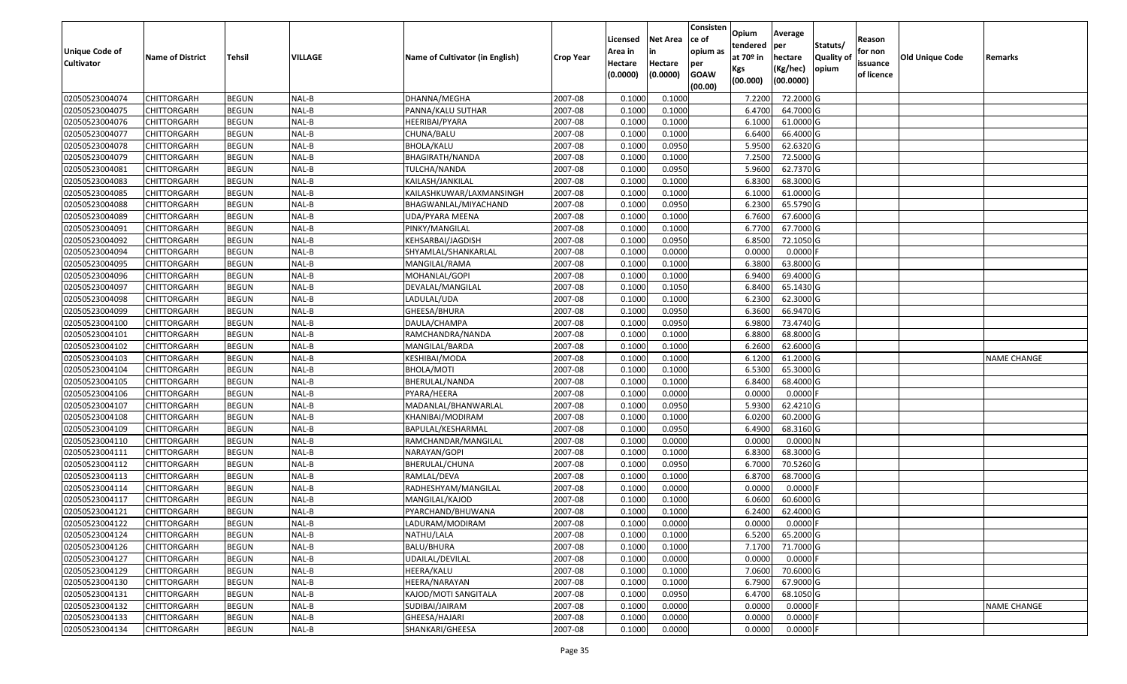| Unique Code of<br><b>Cultivator</b> | <b>Name of District</b> | <b>Tehsil</b> | VILLAGE | Name of Cultivator (in English) | <b>Crop Year</b> | Licensed<br>Area in<br>Hectare<br>(0.0000) | <b>Net Area</b><br>in<br>Hectare<br>(0.0000) | Consisten<br>ce of<br>opium as<br>per<br><b>GOAW</b><br>(00.00) | Opium<br>tendered<br>at $70°$ in<br>Kgs<br>(00.000) | Average<br>per<br>hectare<br>(Kg/hec)<br>(00.0000) | Statuts/<br>Quality of<br>opium | Reason<br>for non<br>issuance<br>of licence | <b>Old Unique Code</b> | Remarks            |
|-------------------------------------|-------------------------|---------------|---------|---------------------------------|------------------|--------------------------------------------|----------------------------------------------|-----------------------------------------------------------------|-----------------------------------------------------|----------------------------------------------------|---------------------------------|---------------------------------------------|------------------------|--------------------|
| 02050523004074                      | CHITTORGARH             | <b>BEGUN</b>  | NAL-B   | DHANNA/MEGHA                    | 2007-08          | 0.1000                                     | 0.1000                                       |                                                                 | 7.2200                                              | 72.2000 G                                          |                                 |                                             |                        |                    |
| 02050523004075                      | CHITTORGARH             | <b>BEGUN</b>  | NAL-B   | PANNA/KALU SUTHAR               | 2007-08          | 0.1000                                     | 0.1000                                       |                                                                 | 6.4700                                              | 64.7000 G                                          |                                 |                                             |                        |                    |
| 02050523004076                      | CHITTORGARH             | <b>BEGUN</b>  | NAL-B   | HEERIBAI/PYARA                  | 2007-08          | 0.100                                      | 0.1000                                       |                                                                 | 6.1000                                              | 61.0000G                                           |                                 |                                             |                        |                    |
| 02050523004077                      | CHITTORGARH             | <b>BEGUN</b>  | NAL-B   | CHUNA/BALU                      | 2007-08          | 0.1000                                     | 0.1000                                       |                                                                 | 6.6400                                              | $66.4000$ G                                        |                                 |                                             |                        |                    |
| 02050523004078                      | CHITTORGARH             | <b>BEGUN</b>  | NAL-B   | BHOLA/KALU                      | 2007-08          | 0.1000                                     | 0.0950                                       |                                                                 | 5.9500                                              | 62.6320 G                                          |                                 |                                             |                        |                    |
| 02050523004079                      | CHITTORGARH             | <b>BEGUN</b>  | NAL-B   | BHAGIRATH/NANDA                 | 2007-08          | 0.1000                                     | 0.1000                                       |                                                                 | 7.2500                                              | 72.5000G                                           |                                 |                                             |                        |                    |
| 02050523004081                      | CHITTORGARH             | <b>BEGUN</b>  | NAL-B   | TULCHA/NANDA                    | 2007-08          | 0.1000                                     | 0.0950                                       |                                                                 | 5.9600                                              | 62.7370 G                                          |                                 |                                             |                        |                    |
| 02050523004083                      | CHITTORGARH             | <b>BEGUN</b>  | NAL-B   | KAILASH/JANKILAL                | 2007-08          | 0.1000                                     | 0.1000                                       |                                                                 | 6.8300                                              | 68.3000G                                           |                                 |                                             |                        |                    |
| 02050523004085                      | CHITTORGARH             | <b>BEGUN</b>  | NAL-B   | KAILASHKUWAR/LAXMANSINGH        | 2007-08          | 0.1000                                     | 0.1000                                       |                                                                 | 6.1000                                              | 61.0000G                                           |                                 |                                             |                        |                    |
| 02050523004088                      | CHITTORGARH             | <b>BEGUN</b>  | NAL-B   | BHAGWANLAL/MIYACHAND            | 2007-08          | 0.1000                                     | 0.0950                                       |                                                                 | 6.2300                                              | 65.5790 G                                          |                                 |                                             |                        |                    |
| 02050523004089                      | CHITTORGARH             | <b>BEGUN</b>  | NAL-B   | JDA/PYARA MEENA                 | 2007-08          | 0.1000                                     | 0.1000                                       |                                                                 | 6.7600                                              | 67.6000 G                                          |                                 |                                             |                        |                    |
| 02050523004091                      | <b>CHITTORGARH</b>      | <b>BEGUN</b>  | NAL-B   | PINKY/MANGILAL                  | 2007-08          | 0.1000                                     | 0.1000                                       |                                                                 | 6.7700                                              | 67.7000 G                                          |                                 |                                             |                        |                    |
| 02050523004092                      | CHITTORGARH             | <b>BEGUN</b>  | NAL-B   | KEHSARBAI/JAGDISH               | 2007-08          | 0.1000                                     | 0.0950                                       |                                                                 | 6.8500                                              | 72.1050 G                                          |                                 |                                             |                        |                    |
| 02050523004094                      | CHITTORGARH             | <b>BEGUN</b>  | NAL-B   | SHYAMLAL/SHANKARLAL             | 2007-08          | 0.1000                                     | 0.0000                                       |                                                                 | 0.0000                                              | 0.0000                                             |                                 |                                             |                        |                    |
| 02050523004095                      | CHITTORGARH             | <b>BEGUN</b>  | NAL-B   | MANGILAL/RAMA                   | 2007-08          | 0.1000                                     | 0.1000                                       |                                                                 | 6.3800                                              | 63.8000 G                                          |                                 |                                             |                        |                    |
| 02050523004096                      | <b>CHITTORGARH</b>      | <b>BEGUN</b>  | NAL-B   | MOHANLAL/GOPI                   | 2007-08          | 0.1000                                     | 0.1000                                       |                                                                 | 6.9400                                              | 69.4000 G                                          |                                 |                                             |                        |                    |
| 02050523004097                      | <b>CHITTORGARH</b>      | <b>BEGUN</b>  | NAL-B   | DEVALAL/MANGILAL                | 2007-08          | 0.1000                                     | 0.1050                                       |                                                                 | 6.8400                                              | 65.1430 G                                          |                                 |                                             |                        |                    |
| 02050523004098                      | CHITTORGARH             | <b>BEGUN</b>  | NAL-B   | LADULAL/UDA                     | 2007-08          | 0.100                                      | 0.1000                                       |                                                                 | 6.2300                                              | 62.3000G                                           |                                 |                                             |                        |                    |
| 02050523004099                      | CHITTORGARH             | <b>BEGUN</b>  | NAL-B   | GHEESA/BHURA                    | 2007-08          | 0.1000                                     | 0.0950                                       |                                                                 | 6.3600                                              | 66.9470 G                                          |                                 |                                             |                        |                    |
| 02050523004100                      | <b>CHITTORGARH</b>      | <b>BEGUN</b>  | NAL-B   | DAULA/CHAMPA                    | 2007-08          | 0.1000                                     | 0.0950                                       |                                                                 | 6.9800                                              | 73.4740 G                                          |                                 |                                             |                        |                    |
| 02050523004101                      | <b>CHITTORGARH</b>      | <b>BEGUN</b>  | NAL-B   | RAMCHANDRA/NANDA                | 2007-08          | 0.1000                                     | 0.1000                                       |                                                                 | 6.8800                                              | 68.8000 G                                          |                                 |                                             |                        |                    |
| 02050523004102                      | <b>CHITTORGARH</b>      | <b>BEGUN</b>  | NAL-B   | MANGILAL/BARDA                  | 2007-08          | 0.1000                                     | 0.1000                                       |                                                                 | 6.2600                                              | 62.6000 G                                          |                                 |                                             |                        |                    |
| 02050523004103                      | CHITTORGARH             | <b>BEGUN</b>  | NAL-B   | KESHIBAI/MODA                   | 2007-08          | 0.1000                                     | 0.1000                                       |                                                                 | 6.1200                                              | 61.2000 G                                          |                                 |                                             |                        | <b>NAME CHANGE</b> |
| 02050523004104                      | CHITTORGARH             | <b>BEGUN</b>  | NAL-B   | BHOLA/MOTI                      | 2007-08          | 0.1000                                     | 0.1000                                       |                                                                 | 6.5300                                              | 65.3000 G                                          |                                 |                                             |                        |                    |
| 02050523004105                      | CHITTORGARH             | <b>BEGUN</b>  | NAL-B   | BHERULAL/NANDA                  | 2007-08          | 0.100                                      | 0.1000                                       |                                                                 | 6.8400                                              | 68.4000 G                                          |                                 |                                             |                        |                    |
| 02050523004106                      | CHITTORGARH             | <b>BEGUN</b>  | NAL-B   | PYARA/HEERA                     | 2007-08          | 0.1000                                     | 0.0000                                       |                                                                 | 0.0000                                              | 0.0000                                             |                                 |                                             |                        |                    |
| 02050523004107                      | CHITTORGARH             | <b>BEGUN</b>  | NAL-B   | MADANLAL/BHANWARLAL             | 2007-08          | 0.100                                      | 0.0950                                       |                                                                 | 5.9300                                              | 62.4210 G                                          |                                 |                                             |                        |                    |
| 02050523004108                      | CHITTORGARH             | <b>BEGUN</b>  | NAL-B   | KHANIBAI/MODIRAM                | 2007-08          | 0.1000                                     | 0.1000                                       |                                                                 | 6.0200                                              | 60.2000 G                                          |                                 |                                             |                        |                    |
| 02050523004109                      | CHITTORGARH             | <b>BEGUN</b>  | NAL-B   | BAPULAL/KESHARMAL               | 2007-08          | 0.1000                                     | 0.0950                                       |                                                                 | 6.4900                                              | 68.3160 G                                          |                                 |                                             |                        |                    |
| 02050523004110                      | CHITTORGARH             | <b>BEGUN</b>  | NAL-B   | RAMCHANDAR/MANGILAL             | 2007-08          | 0.1000                                     | 0.0000                                       |                                                                 | 0.0000                                              | 0.0000N                                            |                                 |                                             |                        |                    |
| 02050523004111                      | CHITTORGARH             | <b>BEGUN</b>  | NAL-B   | NARAYAN/GOPI                    | 2007-08          | 0.1000                                     | 0.1000                                       |                                                                 | 6.8300                                              | 68.3000 G                                          |                                 |                                             |                        |                    |
| 02050523004112                      | CHITTORGARH             | <b>BEGUN</b>  | NAL-B   | BHERULAL/CHUNA                  | 2007-08          | 0.1000                                     | 0.0950                                       |                                                                 | 6.7000                                              | 70.5260 G                                          |                                 |                                             |                        |                    |
| 02050523004113                      | CHITTORGARH             | <b>BEGUN</b>  | NAL-B   | RAMLAL/DEVA                     | 2007-08          | 0.1000                                     | 0.1000                                       |                                                                 | 6.8700                                              | 68.7000 G                                          |                                 |                                             |                        |                    |
| 02050523004114                      | CHITTORGARH             | <b>BEGUN</b>  | NAL-B   | RADHESHYAM/MANGILAL             | 2007-08          | 0.1000                                     | 0.0000                                       |                                                                 | 0.0000                                              | 0.0000                                             |                                 |                                             |                        |                    |
| 02050523004117                      | CHITTORGARH             | <b>BEGUN</b>  | NAL-B   | MANGILAL/KAJOD                  | 2007-08          | 0.100                                      | 0.1000                                       |                                                                 | 6.0600                                              | 60.6000 G                                          |                                 |                                             |                        |                    |
| 02050523004121                      | CHITTORGARH             | <b>BEGUN</b>  | NAL-B   | PYARCHAND/BHUWANA               | 2007-08          | 0.1000                                     | 0.1000                                       |                                                                 | 6.2400                                              | 62.4000 G                                          |                                 |                                             |                        |                    |
| 02050523004122                      | <b>CHITTORGARH</b>      | <b>BEGUN</b>  | $NAL-B$ | LADURAM/MODIRAM                 | 2007-08          | 0.1000                                     | 0.0000                                       |                                                                 | 0.0000                                              | $0.0000$ F                                         |                                 |                                             |                        |                    |
| 02050523004124                      | <b>CHITTORGARH</b>      | <b>BEGUN</b>  | NAL-B   | NATHU/LALA                      | 2007-08          | 0.1000                                     | 0.1000                                       |                                                                 | 6.5200                                              | 65.2000 G                                          |                                 |                                             |                        |                    |
| 02050523004126                      | <b>CHITTORGARH</b>      | <b>BEGUN</b>  | NAL-B   | BALU/BHURA                      | 2007-08          | 0.1000                                     | 0.1000                                       |                                                                 | 7.1700                                              | 71.7000 G                                          |                                 |                                             |                        |                    |
| 02050523004127                      | <b>CHITTORGARH</b>      | <b>BEGUN</b>  | NAL-B   | UDAILAL/DEVILAL                 | 2007-08          | 0.1000                                     | 0.0000                                       |                                                                 | 0.0000                                              | $0.0000$ F                                         |                                 |                                             |                        |                    |
| 02050523004129                      | <b>CHITTORGARH</b>      | <b>BEGUN</b>  | NAL-B   | HEERA/KALU                      | 2007-08          | 0.1000                                     | 0.1000                                       |                                                                 | 7.0600                                              | 70.6000 G                                          |                                 |                                             |                        |                    |
| 02050523004130                      | <b>CHITTORGARH</b>      | <b>BEGUN</b>  | NAL-B   | HEERA/NARAYAN                   | 2007-08          | 0.1000                                     | 0.1000                                       |                                                                 | 6.7900                                              | 67.9000 G                                          |                                 |                                             |                        |                    |
| 02050523004131                      | <b>CHITTORGARH</b>      | <b>BEGUN</b>  | NAL-B   | KAJOD/MOTI SANGITALA            | 2007-08          | 0.1000                                     | 0.0950                                       |                                                                 | 6.4700                                              | 68.1050 G                                          |                                 |                                             |                        |                    |
| 02050523004132                      | <b>CHITTORGARH</b>      | <b>BEGUN</b>  | NAL-B   | SUDIBAI/JAIRAM                  | 2007-08          | 0.1000                                     | 0.0000                                       |                                                                 | 0.0000                                              | $0.0000$ F                                         |                                 |                                             |                        | <b>NAME CHANGE</b> |
| 02050523004133                      | <b>CHITTORGARH</b>      | <b>BEGUN</b>  | NAL-B   | GHEESA/HAJARI                   | 2007-08          | 0.1000                                     | 0.0000                                       |                                                                 | 0.0000                                              | $0.0000$ F                                         |                                 |                                             |                        |                    |
| 02050523004134                      | <b>CHITTORGARH</b>      | <b>BEGUN</b>  | NAL-B   | SHANKARI/GHEESA                 | 2007-08          | 0.1000                                     | 0.0000                                       |                                                                 | 0.0000                                              | $0.0000$ F                                         |                                 |                                             |                        |                    |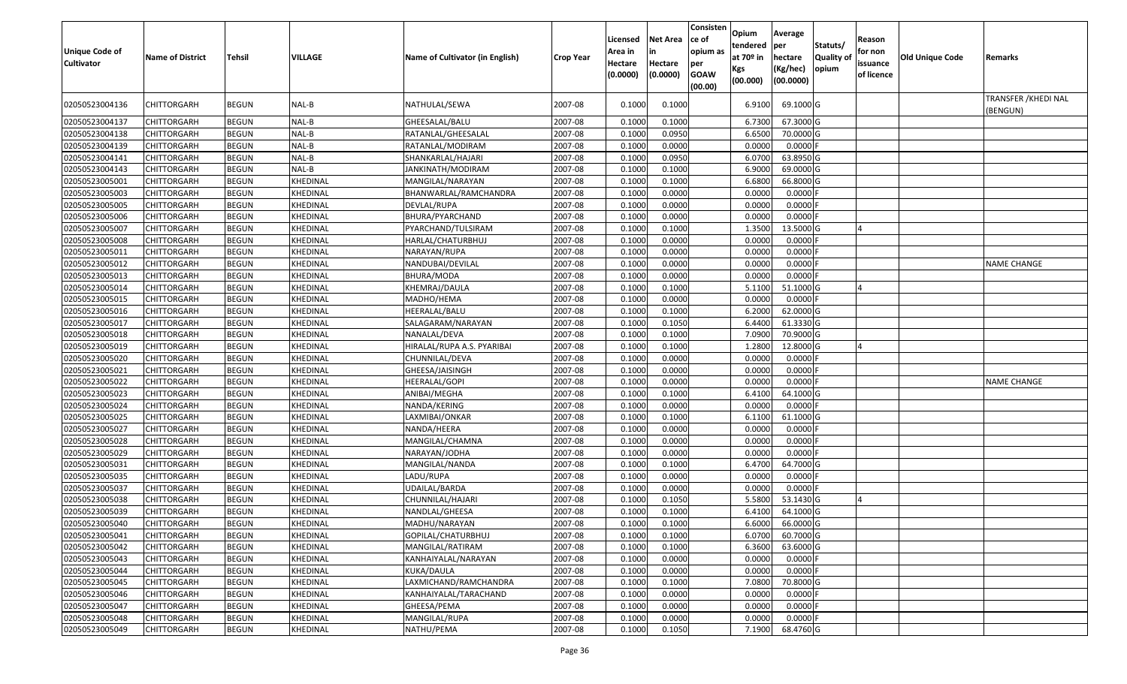| <b>Unique Code of</b><br><b>Cultivator</b> | <b>Name of District</b> | Tehsil       | <b>VILLAGE</b> | Name of Cultivator (in English) | <b>Crop Year</b> | Licensed<br>Area in<br>Hectare<br>(0.0000) | <b>Net Area</b><br>Hectare<br>(0.0000) | Consisten<br>ce of<br>opium as<br>per<br><b>GOAW</b><br>(00.00) | <b>Opium</b><br>Itendered<br>at 70 <sup>o</sup> in<br>Kgs<br>(00.000) | Average<br>per<br>hectare<br>(Kg/hec)<br>(00.0000) | Statuts/<br>Quality of<br>opium | Reason<br>for non<br>issuance<br>of licence | Old Unique Code | Remarks                          |
|--------------------------------------------|-------------------------|--------------|----------------|---------------------------------|------------------|--------------------------------------------|----------------------------------------|-----------------------------------------------------------------|-----------------------------------------------------------------------|----------------------------------------------------|---------------------------------|---------------------------------------------|-----------------|----------------------------------|
| 02050523004136                             | CHITTORGARH             | <b>BEGUN</b> | NAL-B          | NATHULAL/SEWA                   | 2007-08          | 0.1000                                     | 0.1000                                 |                                                                 | 6.9100                                                                | 69.1000 G                                          |                                 |                                             |                 | TRANSFER / KHEDI NAL<br>(BENGUN) |
| 02050523004137                             | CHITTORGARH             | <b>BEGUN</b> | NAL-B          | GHEESALAL/BALU                  | 2007-08          | 0.1000                                     | 0.1000                                 |                                                                 | 6.7300                                                                | 67.3000 G                                          |                                 |                                             |                 |                                  |
| 02050523004138                             | CHITTORGARH             | <b>BEGUN</b> | NAL-B          | RATANLAL/GHEESALAL              | 2007-08          | 0.1000                                     | 0.0950                                 |                                                                 | 6.6500                                                                | 70.0000 G                                          |                                 |                                             |                 |                                  |
| 02050523004139                             | CHITTORGARH             | <b>BEGUN</b> | NAL-B          | RATANLAL/MODIRAM                | 2007-08          | 0.1000                                     | 0.0000                                 |                                                                 | 0.0000                                                                | 0.0000                                             |                                 |                                             |                 |                                  |
| 02050523004141                             | CHITTORGARH             | <b>BEGUN</b> | NAL-B          | SHANKARLAL/HAJARI               | 2007-08          | 0.1000                                     | 0.0950                                 |                                                                 | 6.0700                                                                | 63.8950 G                                          |                                 |                                             |                 |                                  |
| 02050523004143                             | CHITTORGARH             | <b>BEGUN</b> | NAL-B          | JANKINATH/MODIRAM               | 2007-08          | 0.1000                                     | 0.1000                                 |                                                                 | 6.9000                                                                | 69.0000 G                                          |                                 |                                             |                 |                                  |
| 02050523005001                             | CHITTORGARH             | <b>BEGUN</b> | KHEDINAL       | MANGILAL/NARAYAN                | 2007-08          | 0.1000                                     | 0.1000                                 |                                                                 | 6.6800                                                                | 66.8000 G                                          |                                 |                                             |                 |                                  |
| 02050523005003                             | <b>CHITTORGARH</b>      | <b>BEGUN</b> | KHEDINAL       | BHANWARLAL/RAMCHANDRA           | 2007-08          | 0.1000                                     | 0.0000                                 |                                                                 | 0.0000                                                                | 0.0000F                                            |                                 |                                             |                 |                                  |
| 02050523005005                             | <b>CHITTORGARH</b>      | <b>BEGUN</b> | KHEDINAL       | DEVLAL/RUPA                     | 2007-08          | 0.1000                                     | 0.0000                                 |                                                                 | 0.0000                                                                | $0.0000$ F                                         |                                 |                                             |                 |                                  |
| 02050523005006                             | CHITTORGARH             | <b>BEGUN</b> | KHEDINAL       | BHURA/PYARCHAND                 | 2007-08          | 0.1000                                     | 0.0000                                 |                                                                 | 0.0000                                                                | $0.0000$ F                                         |                                 |                                             |                 |                                  |
| 02050523005007                             | CHITTORGARH             | <b>BEGUN</b> | KHEDINAL       | PYARCHAND/TULSIRAM              | 2007-08          | 0.1000                                     | 0.1000                                 |                                                                 | 1.3500                                                                | 13.5000 G                                          |                                 |                                             |                 |                                  |
| 02050523005008                             | CHITTORGARH             | <b>BEGUN</b> | KHEDINAL       | HARLAL/CHATURBHUJ               | 2007-08          | 0.1000                                     | 0.0000                                 |                                                                 | 0.0000                                                                | 0.0000                                             |                                 |                                             |                 |                                  |
| 02050523005011                             | CHITTORGARH             | <b>BEGUN</b> | KHEDINAL       | NARAYAN/RUPA                    | 2007-08          | 0.1000                                     | 0.0000                                 |                                                                 | 0.0000                                                                | 0.0000                                             |                                 |                                             |                 |                                  |
| 02050523005012                             | CHITTORGARH             | <b>BEGUN</b> | KHEDINAL       | NANDUBAI/DEVILAL                | 2007-08          | 0.1000                                     | 0.0000                                 |                                                                 | 0.0000                                                                | 0.0000                                             |                                 |                                             |                 | <b>NAME CHANGE</b>               |
| 02050523005013                             | CHITTORGARH             | <b>BEGUN</b> | KHEDINAL       | BHURA/MODA                      | 2007-08          | 0.1000                                     | 0.0000                                 |                                                                 | 0.0000                                                                | 0.0000                                             |                                 |                                             |                 |                                  |
| 02050523005014                             | CHITTORGARH             | <b>BEGUN</b> | KHEDINAL       | KHEMRAJ/DAULA                   | 2007-08          | 0.1000                                     | 0.1000                                 |                                                                 | 5.1100                                                                | 51.1000 G                                          |                                 |                                             |                 |                                  |
| 02050523005015                             | CHITTORGARH             | <b>BEGUN</b> | KHEDINAL       | MADHO/HEMA                      | 2007-08          | 0.1000                                     | 0.0000                                 |                                                                 | 0.0000                                                                | 0.0000                                             |                                 |                                             |                 |                                  |
| 02050523005016                             | CHITTORGARH             | <b>BEGUN</b> | KHEDINAL       | HEERALAL/BALU                   | 2007-08          | 0.1000                                     | 0.1000                                 |                                                                 | 6.2000                                                                | 62.0000 G                                          |                                 |                                             |                 |                                  |
| 02050523005017                             | CHITTORGARH             | <b>BEGUN</b> | KHEDINAL       | SALAGARAM/NARAYAN               | 2007-08          | 0.1000                                     | 0.1050                                 |                                                                 | 6.4400                                                                | 61.3330 G                                          |                                 |                                             |                 |                                  |
| 02050523005018                             | CHITTORGARH             | <b>BEGUN</b> | KHEDINAL       | NANALAL/DEVA                    | 2007-08          | 0.1000                                     | 0.1000                                 |                                                                 | 7.0900                                                                | $70.9000$ G                                        |                                 |                                             |                 |                                  |
| 02050523005019                             | CHITTORGARH             | <b>BEGUN</b> | KHEDINAL       | HIRALAL/RUPA A.S. PYARIBAI      | 2007-08          | 0.1000                                     | 0.1000                                 |                                                                 | 1.2800                                                                | 12.8000 G                                          |                                 |                                             |                 |                                  |
| 02050523005020                             | CHITTORGARH             | <b>BEGUN</b> | KHEDINAL       | CHUNNILAL/DEVA                  | 2007-08          | 0.1000                                     | 0.0000                                 |                                                                 | 0.0000                                                                | $0.0000$ F                                         |                                 |                                             |                 |                                  |
| 02050523005021                             | CHITTORGARH             | <b>BEGUN</b> | KHEDINAL       | GHEESA/JAISINGH                 | 2007-08          | 0.1000                                     | 0.0000                                 |                                                                 | 0.0000                                                                | $0.0000$ F                                         |                                 |                                             |                 |                                  |
| 02050523005022                             | CHITTORGARH             | <b>BEGUN</b> | KHEDINAL       | <b>HEERALAL/GOPI</b>            | 2007-08          | 0.1000                                     | 0.0000                                 |                                                                 | 0.0000                                                                | $0.0000$ F                                         |                                 |                                             |                 | <b>NAME CHANGE</b>               |
| 02050523005023                             | CHITTORGARH             | <b>BEGUN</b> | KHEDINAL       | ANIBAI/MEGHA                    | 2007-08          | 0.1000                                     | 0.1000                                 |                                                                 | 6.4100                                                                | 64.1000 G                                          |                                 |                                             |                 |                                  |
| 02050523005024                             | CHITTORGARH             | <b>BEGUN</b> | KHEDINAL       | NANDA/KERING                    | 2007-08          | 0.1000                                     | 0.0000                                 |                                                                 | 0.0000                                                                | $0.0000$ F                                         |                                 |                                             |                 |                                  |
| 02050523005025                             | CHITTORGARH             | <b>BEGUN</b> | KHEDINAL       | LAXMIBAI/ONKAR                  | 2007-08          | 0.1000                                     | 0.1000                                 |                                                                 | 6.1100                                                                | 61.1000 G                                          |                                 |                                             |                 |                                  |
| 02050523005027                             | CHITTORGARH             | <b>BEGUN</b> | KHEDINAL       | NANDA/HEERA                     | 2007-08          | 0.1000                                     | 0.0000                                 |                                                                 | 0.0000                                                                | $0.0000$ F                                         |                                 |                                             |                 |                                  |
| 02050523005028                             | CHITTORGARH             | <b>BEGUN</b> | KHEDINAL       | MANGILAL/CHAMNA                 | 2007-08          | 0.1000                                     | 0.0000                                 |                                                                 | 0.0000                                                                | $0.0000$ F                                         |                                 |                                             |                 |                                  |
| 02050523005029                             | CHITTORGARH             | <b>BEGUN</b> | KHEDINAL       | NARAYAN/JODHA                   | 2007-08          | 0.1000                                     | 0.0000                                 |                                                                 | 0.0000                                                                | $0.0000$ F                                         |                                 |                                             |                 |                                  |
| 02050523005031                             | CHITTORGARH             | <b>BEGUN</b> | KHEDINAL       | MANGILAL/NANDA                  | 2007-08          | 0.1000                                     | 0.1000                                 |                                                                 | 6.4700                                                                | 64.7000 G                                          |                                 |                                             |                 |                                  |
| 02050523005035                             | CHITTORGARH             | <b>BEGUN</b> | KHEDINAL       | LADU/RUPA                       | 2007-08          | 0.1000                                     | 0.0000                                 |                                                                 | 0.0000                                                                | $0.0000$ F                                         |                                 |                                             |                 |                                  |
| 02050523005037                             | CHITTORGARH             | <b>BEGUN</b> | KHEDINAL       | <b>UDAILAL/BARDA</b>            | 2007-08          | 0.1000                                     | 0.0000                                 |                                                                 | 0.0000                                                                | $0.0000$ F                                         |                                 |                                             |                 |                                  |
| 02050523005038                             | CHITTORGARH             | <b>BEGUN</b> | KHEDINAL       | CHUNNILAL/HAJARI                | 2007-08          | 0.1000                                     | 0.1050                                 |                                                                 | 5.5800                                                                | 53.1430 G                                          |                                 |                                             |                 |                                  |
| 02050523005039                             | CHITTORGARH             | <b>BEGUN</b> | KHEDINAL       | NANDLAL/GHEESA                  | 2007-08          | 0.1000                                     | 0.1000                                 |                                                                 | 6.4100                                                                | 64.1000 G                                          |                                 |                                             |                 |                                  |
| 02050523005040                             | <b>CHITTORGARH</b>      | <b>BEGUN</b> | KHEDINAL       | MADHU/NARAYAN                   | 2007-08          | 0.1000                                     | 0.1000                                 |                                                                 | 6.6000                                                                | 66.0000G                                           |                                 |                                             |                 |                                  |
| 02050523005041                             | <b>CHITTORGARH</b>      | <b>BEGUN</b> | KHEDINAL       | GOPILAL/CHATURBHUJ              | 2007-08          | 0.1000                                     | 0.1000                                 |                                                                 | 6.0700                                                                | 60.7000 G                                          |                                 |                                             |                 |                                  |
| 02050523005042                             | <b>CHITTORGARH</b>      | <b>BEGUN</b> | KHEDINAL       | MANGILAL/RATIRAM                | 2007-08          | 0.1000                                     | 0.1000                                 |                                                                 | 6.3600                                                                | 63.6000 G                                          |                                 |                                             |                 |                                  |
| 02050523005043                             | <b>CHITTORGARH</b>      | <b>BEGUN</b> | KHEDINAL       | KANHAIYALAL/NARAYAN             | 2007-08          | 0.1000                                     | 0.0000                                 |                                                                 | 0.0000                                                                | $0.0000$ F                                         |                                 |                                             |                 |                                  |
| 02050523005044                             | <b>CHITTORGARH</b>      | <b>BEGUN</b> | KHEDINAL       | KUKA/DAULA                      | 2007-08          | 0.1000                                     | 0.0000                                 |                                                                 | 0.0000                                                                | 0.0000F                                            |                                 |                                             |                 |                                  |
| 02050523005045                             | <b>CHITTORGARH</b>      | <b>BEGUN</b> | KHEDINAL       | LAXMICHAND/RAMCHANDRA           | 2007-08          | 0.1000                                     | 0.1000                                 |                                                                 | 7.0800                                                                | 70.8000 G                                          |                                 |                                             |                 |                                  |
| 02050523005046                             | <b>CHITTORGARH</b>      | <b>BEGUN</b> | KHEDINAL       | KANHAIYALAL/TARACHAND           | 2007-08          | 0.1000                                     | 0.0000                                 |                                                                 | 0.0000                                                                | $0.0000$ F                                         |                                 |                                             |                 |                                  |
| 02050523005047                             | CHITTORGARH             | <b>BEGUN</b> | KHEDINAL       | GHEESA/PEMA                     | 2007-08          | 0.1000                                     | 0.0000                                 |                                                                 | 0.0000                                                                | $0.0000$ F                                         |                                 |                                             |                 |                                  |
| 02050523005048                             | CHITTORGARH             | <b>BEGUN</b> | KHEDINAL       | MANGILAL/RUPA                   | 2007-08          | 0.1000                                     | 0.0000                                 |                                                                 | 0.0000                                                                | $0.0000$ F                                         |                                 |                                             |                 |                                  |
| 02050523005049                             | <b>CHITTORGARH</b>      | <b>BEGUN</b> | KHEDINAL       | NATHU/PEMA                      | 2007-08          | 0.1000                                     | 0.1050                                 |                                                                 | 7.1900                                                                | 68.4760 G                                          |                                 |                                             |                 |                                  |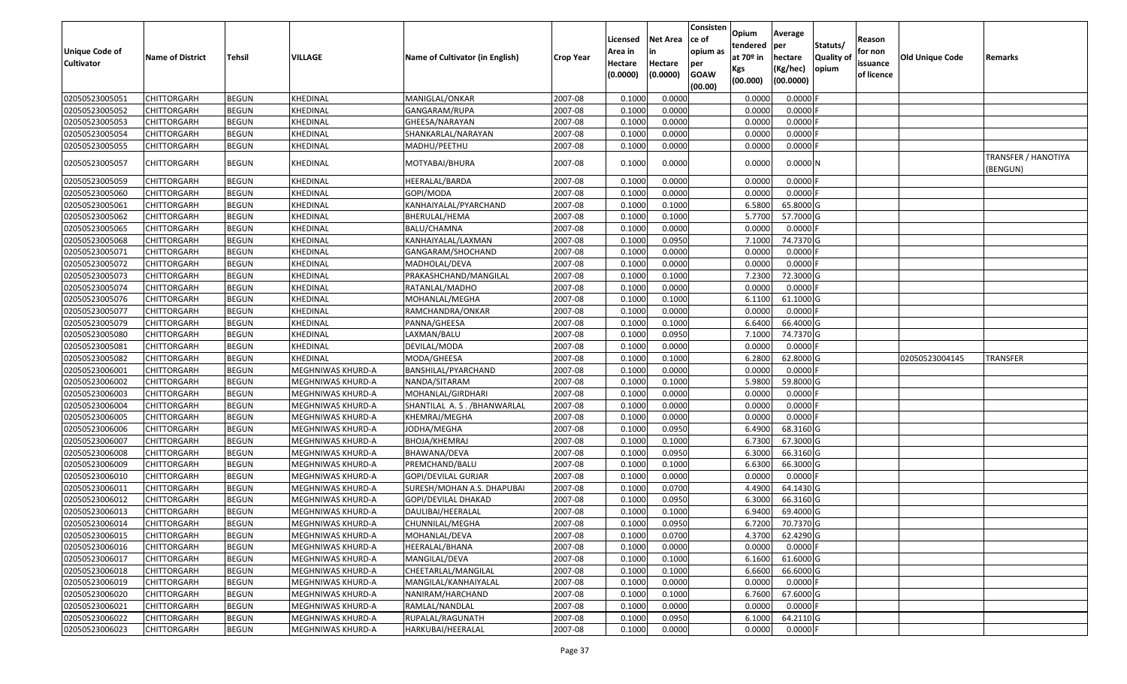| <b>Unique Code of</b><br><b>Cultivator</b> | <b>Name of District</b> | Tehsil       | VILLAGE           | Name of Cultivator (in English) | <b>Crop Year</b> | Licensed<br>Area in<br>Hectare<br>(0.0000) | Net Area<br>in<br>Hectare<br>(0.0000) | Consisten<br>ce of<br>opium as<br>per<br><b>GOAW</b><br>(00.00) | Opium<br>tendered<br>at 70º in<br>Kgs<br>(00.000) | Average<br>per<br>hectare<br>(Kg/hec)<br>(00.0000) | Statuts/<br><b>Quality of</b><br>opium | Reason<br>for non<br>issuance<br>of licence | Old Unique Code | Remarks                        |
|--------------------------------------------|-------------------------|--------------|-------------------|---------------------------------|------------------|--------------------------------------------|---------------------------------------|-----------------------------------------------------------------|---------------------------------------------------|----------------------------------------------------|----------------------------------------|---------------------------------------------|-----------------|--------------------------------|
| 02050523005051                             | <b>CHITTORGARH</b>      | <b>BEGUN</b> | KHEDINAL          | MANIGLAL/ONKAR                  | 2007-08          | 0.1000                                     | 0.0000                                |                                                                 | 0.0000                                            | $0.0000$ F                                         |                                        |                                             |                 |                                |
| 02050523005052                             | CHITTORGARH             | <b>BEGUN</b> | KHEDINAL          | GANGARAM/RUPA                   | 2007-08          | 0.1000                                     | 0.0000                                |                                                                 | 0.0000                                            | $0.0000$ F                                         |                                        |                                             |                 |                                |
| 02050523005053                             | CHITTORGARH             | <b>BEGUN</b> | KHEDINAL          | GHEESA/NARAYAN                  | 2007-08          | 0.1000                                     | 0.0000                                |                                                                 | 0.0000                                            | $0.0000$ F                                         |                                        |                                             |                 |                                |
| 02050523005054                             | <b>CHITTORGARH</b>      | <b>BEGUN</b> | KHEDINAL          | SHANKARLAL/NARAYAN              | 2007-08          | 0.1000                                     | 0.0000                                |                                                                 | 0.0000                                            | $0.0000$ F                                         |                                        |                                             |                 |                                |
| 02050523005055                             | CHITTORGARH             | <b>BEGUN</b> | KHEDINAL          | MADHU/PEETHU                    | 2007-08          | 0.1000                                     | 0.0000                                |                                                                 | 0.0000                                            | $0.0000$ F                                         |                                        |                                             |                 |                                |
| 02050523005057                             | CHITTORGARH             | <b>BEGUN</b> | KHEDINAL          | MOTYABAI/BHURA                  | 2007-08          | 0.1000                                     | 0.0000                                |                                                                 | 0.0000                                            | $0.0000$ N                                         |                                        |                                             |                 | TRANSFER / HANOTIYA<br>BENGUN) |
| 02050523005059                             | CHITTORGARH             | <b>BEGUN</b> | KHEDINAL          | HEERALAL/BARDA                  | 2007-08          | 0.1000                                     | 0.0000                                |                                                                 | 0.0000                                            | $0.0000$ F                                         |                                        |                                             |                 |                                |
| 02050523005060                             | <b>CHITTORGARH</b>      | <b>BEGUN</b> | KHEDINAL          | GOPI/MODA                       | 2007-08          | 0.1000                                     | 0.0000                                |                                                                 | 0.0000                                            | $0.0000$ F                                         |                                        |                                             |                 |                                |
| 02050523005061                             | <b>CHITTORGARH</b>      | <b>BEGUN</b> | KHEDINAL          | KANHAIYALAL/PYARCHAND           | 2007-08          | 0.1000                                     | 0.1000                                |                                                                 | 6.5800                                            | 65.8000 G                                          |                                        |                                             |                 |                                |
| 02050523005062                             | CHITTORGARH             | <b>BEGUN</b> | KHEDINAL          | BHERULAL/HEMA                   | 2007-08          | 0.1000                                     | 0.1000                                |                                                                 | 5.7700                                            | 57.7000 G                                          |                                        |                                             |                 |                                |
| 02050523005065                             | <b>CHITTORGARH</b>      | <b>BEGUN</b> | KHEDINAL          | BALU/CHAMNA                     | 2007-08          | 0.1000                                     | 0.0000                                |                                                                 | 0.0000                                            | $0.0000$ F                                         |                                        |                                             |                 |                                |
| 02050523005068                             | <b>CHITTORGARH</b>      | <b>BEGUN</b> | KHEDINAL          | KANHAIYALAL/LAXMAN              | 2007-08          | 0.1000                                     | 0.0950                                |                                                                 | 7.1000                                            | 74.7370 G                                          |                                        |                                             |                 |                                |
| 02050523005071                             | <b>CHITTORGARH</b>      | <b>BEGUN</b> | KHEDINAL          | GANGARAM/SHOCHAND               | 2007-08          | 0.1000                                     | 0.0000                                |                                                                 | 0.0000                                            | $0.0000$ F                                         |                                        |                                             |                 |                                |
| 02050523005072                             | CHITTORGARH             | <b>BEGUN</b> | KHEDINAL          | MADHOLAL/DEVA                   | 2007-08          | 0.1000                                     | 0.0000                                |                                                                 | 0.0000                                            | $0.0000$ F                                         |                                        |                                             |                 |                                |
| 02050523005073                             | CHITTORGARH             | <b>BEGUN</b> | KHEDINAL          | PRAKASHCHAND/MANGILAL           | 2007-08          | 0.1000                                     | 0.1000                                |                                                                 | 7.2300                                            | 72.3000 G                                          |                                        |                                             |                 |                                |
| 02050523005074                             | CHITTORGARH             | <b>BEGUN</b> | KHEDINAL          | RATANLAL/MADHO                  | 2007-08          | 0.1000                                     | 0.0000                                |                                                                 | 0.0000                                            | $0.0000$ F                                         |                                        |                                             |                 |                                |
| 02050523005076                             | CHITTORGARH             | <b>BEGUN</b> | KHEDINAL          | MOHANLAL/MEGHA                  | 2007-08          | 0.1000                                     | 0.1000                                |                                                                 | 6.1100                                            | 61.1000 G                                          |                                        |                                             |                 |                                |
| 02050523005077                             | CHITTORGARH             | <b>BEGUN</b> | KHEDINAL          | RAMCHANDRA/ONKAR                | 2007-08          | 0.1000                                     | 0.0000                                |                                                                 | 0.0000                                            | $0.0000$ F                                         |                                        |                                             |                 |                                |
| 02050523005079                             | CHITTORGARH             | <b>BEGUN</b> | KHEDINAL          | PANNA/GHEESA                    | 2007-08          | 0.1000                                     | 0.1000                                |                                                                 | 6.6400                                            | 66.4000 G                                          |                                        |                                             |                 |                                |
| 02050523005080                             | <b>CHITTORGARH</b>      | <b>BEGUN</b> | KHEDINAL          | LAXMAN/BALU                     | 2007-08          | 0.1000                                     | 0.0950                                |                                                                 | 7.1000                                            | 74.7370 G                                          |                                        |                                             |                 |                                |
| 02050523005081                             | CHITTORGARH             | <b>BEGUN</b> | KHEDINAL          | DEVILAL/MODA                    | 2007-08          | 0.1000                                     | 0.0000                                |                                                                 | 0.0000                                            | $0.0000$ F                                         |                                        |                                             |                 |                                |
| 02050523005082                             | CHITTORGARH             | <b>BEGUN</b> | KHEDINAL          | MODA/GHEESA                     | 2007-08          | 0.1000                                     | 0.1000                                |                                                                 | 6.2800                                            | 62.8000 G                                          |                                        |                                             | 02050523004145  | TRANSFER                       |
| 02050523006001                             | CHITTORGARH             | <b>BEGUN</b> | MEGHNIWAS KHURD-A | BANSHILAL/PYARCHAND             | 2007-08          | 0.1000                                     | 0.0000                                |                                                                 | 0.0000                                            | $0.0000$ F                                         |                                        |                                             |                 |                                |
| 02050523006002                             | <b>CHITTORGARH</b>      | <b>BEGUN</b> | MEGHNIWAS KHURD-A | NANDA/SITARAM                   | 2007-08          | 0.1000                                     | 0.1000                                |                                                                 | 5.9800                                            | 59.8000 G                                          |                                        |                                             |                 |                                |
| 02050523006003                             | CHITTORGARH             | <b>BEGUN</b> | MEGHNIWAS KHURD-A | MOHANLAL/GIRDHARI               | 2007-08          | 0.1000                                     | 0.0000                                |                                                                 | 0.0000                                            | $0.0000$ F                                         |                                        |                                             |                 |                                |
| 02050523006004                             | CHITTORGARH             | <b>BEGUN</b> | MEGHNIWAS KHURD-A | SHANTILAL A.S. / BHANWARLAL     | 2007-08          | 0.1000                                     | 0.0000                                |                                                                 | 0.0000                                            | $0.0000$ F                                         |                                        |                                             |                 |                                |
| 02050523006005                             | CHITTORGARH             | <b>BEGUN</b> | MEGHNIWAS KHURD-A | KHEMRAJ/MEGHA                   | 2007-08          | 0.1000                                     | 0.0000                                |                                                                 | 0.0000                                            | $0.0000$ F                                         |                                        |                                             |                 |                                |
| 02050523006006                             | <b>CHITTORGARH</b>      | <b>BEGUN</b> | MEGHNIWAS KHURD-A | JODHA/MEGHA                     | 2007-08          | 0.1000                                     | 0.0950                                |                                                                 | 6.4900                                            | 68.3160 G                                          |                                        |                                             |                 |                                |
| 02050523006007                             | CHITTORGARH             | <b>BEGUN</b> | MEGHNIWAS KHURD-A | BHOJA/KHEMRAJ                   | 2007-08          | 0.1000                                     | 0.1000                                |                                                                 | 6.7300                                            | 67.3000 G                                          |                                        |                                             |                 |                                |
| 02050523006008                             | <b>CHITTORGARH</b>      | <b>BEGUN</b> | MEGHNIWAS KHURD-A | BHAWANA/DEVA                    | 2007-08          | 0.1000                                     | 0.0950                                |                                                                 | 6.3000                                            | 66.3160 G                                          |                                        |                                             |                 |                                |
| 02050523006009                             | CHITTORGARH             | <b>BEGUN</b> | MEGHNIWAS KHURD-A | PREMCHAND/BALU                  | 2007-08          | 0.1000                                     | 0.1000                                |                                                                 | 6.6300                                            | 66.3000 G                                          |                                        |                                             |                 |                                |
| 02050523006010                             | <b>CHITTORGARH</b>      | <b>BEGUN</b> | MEGHNIWAS KHURD-A | GOPI/DEVILAL GURJAR             | 2007-08          | 0.1000                                     | 0.0000                                |                                                                 | 0.0000                                            | $0.0000$ F                                         |                                        |                                             |                 |                                |
| 02050523006011                             | <b>CHITTORGARH</b>      | <b>BEGUN</b> | MEGHNIWAS KHURD-A | SURESH/MOHAN A.S. DHAPUBAI      | 2007-08          | 0.1000                                     | 0.0700                                |                                                                 | 4.4900                                            | 64.1430 G                                          |                                        |                                             |                 |                                |
| 02050523006012                             | CHITTORGARH             | <b>BEGUN</b> | MEGHNIWAS KHURD-A | GOPI/DEVILAL DHAKAD             | 2007-08          | 0.1000                                     | 0.0950                                |                                                                 | 6.3000                                            | 66.3160 G                                          |                                        |                                             |                 |                                |
| 02050523006013                             | CHITTORGARH             | <b>BEGUN</b> | MEGHNIWAS KHURD-A | DAULIBAI/HEERALAL               | 2007-08          | 0.1000                                     | 0.1000                                |                                                                 | 6.9400                                            | 69.4000 G                                          |                                        |                                             |                 |                                |
| 02050523006014                             | <b>CHITTORGARH</b>      | <b>BEGUN</b> | MEGHNIWAS KHURD-A | CHUNNILAL/MEGHA                 | 2007-08          | 0.1000                                     | 0.0950                                |                                                                 |                                                   | 6.7200 70.7370 G                                   |                                        |                                             |                 |                                |
| 02050523006015                             | <b>CHITTORGARH</b>      | <b>BEGUN</b> | MEGHNIWAS KHURD-A | MOHANLAL/DEVA                   | 2007-08          | 0.1000                                     | 0.0700                                |                                                                 | 4.3700                                            | 62.4290 G                                          |                                        |                                             |                 |                                |
| 02050523006016                             | <b>CHITTORGARH</b>      | <b>BEGUN</b> | MEGHNIWAS KHURD-A | HEERALAL/BHANA                  | 2007-08          | 0.1000                                     | 0.0000                                |                                                                 | 0.0000                                            | $0.0000$ F                                         |                                        |                                             |                 |                                |
| 02050523006017                             | <b>CHITTORGARH</b>      | <b>BEGUN</b> | MEGHNIWAS KHURD-A | MANGILAL/DEVA                   | 2007-08          | 0.1000                                     | 0.1000                                |                                                                 | 6.1600                                            | 61.6000 G                                          |                                        |                                             |                 |                                |
| 02050523006018                             | <b>CHITTORGARH</b>      | <b>BEGUN</b> | MEGHNIWAS KHURD-A | CHEETARLAL/MANGILAL             | 2007-08          | 0.1000                                     | 0.1000                                |                                                                 | 6.6600                                            | 66.6000 G                                          |                                        |                                             |                 |                                |
| 02050523006019                             | <b>CHITTORGARH</b>      | <b>BEGUN</b> | MEGHNIWAS KHURD-A | MANGILAL/KANHAIYALAL            | 2007-08          | 0.1000                                     | 0.0000                                |                                                                 | 0.0000                                            | $0.0000$ F                                         |                                        |                                             |                 |                                |
| 02050523006020                             | <b>CHITTORGARH</b>      | <b>BEGUN</b> | MEGHNIWAS KHURD-A | NANIRAM/HARCHAND                | 2007-08          | 0.1000                                     | 0.1000                                |                                                                 | 6.7600                                            | 67.6000 G                                          |                                        |                                             |                 |                                |
| 02050523006021                             | <b>CHITTORGARH</b>      | <b>BEGUN</b> | MEGHNIWAS KHURD-A | RAMLAL/NANDLAL                  | 2007-08          | 0.1000                                     | 0.0000                                |                                                                 | 0.0000                                            | $0.0000$ F                                         |                                        |                                             |                 |                                |
| 02050523006022                             | <b>CHITTORGARH</b>      | <b>BEGUN</b> | MEGHNIWAS KHURD-A | RUPALAL/RAGUNATH                | 2007-08          | 0.1000                                     | 0.0950                                |                                                                 | 6.1000                                            | 64.2110 G                                          |                                        |                                             |                 |                                |
| 02050523006023                             | <b>CHITTORGARH</b>      | <b>BEGUN</b> | MEGHNIWAS KHURD-A | HARKUBAI/HEERALAL               | 2007-08          | 0.1000                                     | 0.0000                                |                                                                 | 0.0000                                            | $0.0000$ F                                         |                                        |                                             |                 |                                |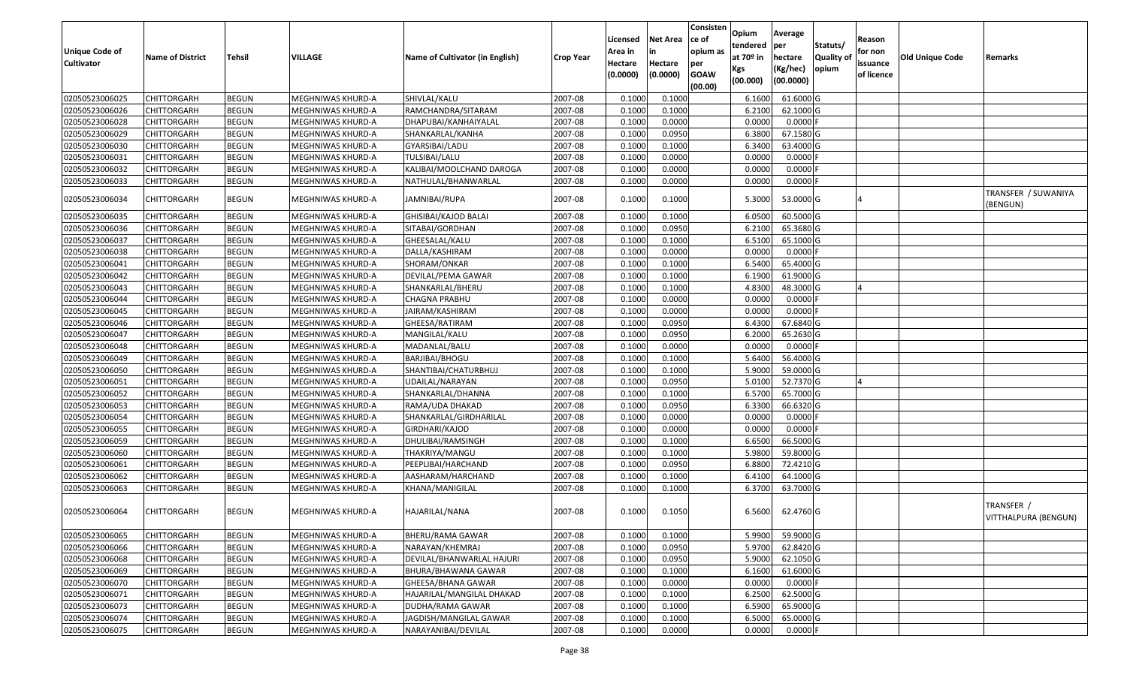| <b>Unique Code of</b><br><b>Cultivator</b> | <b>Name of District</b> | Tehsil       | VILLAGE           | Name of Cultivator (in English) | <b>Crop Year</b> | Licensed<br>Area in<br>Hectare<br>(0.0000) | Net Area<br>in<br>Hectare<br>(0.0000) | Consisten<br>ce of<br>opium as<br>per<br><b>GOAW</b><br>(00.00) | Opium<br>tendered<br>at 70º in<br>Kgs<br>(00.000) | Average<br>per<br>hectare<br>(Kg/hec)<br>(00.0000) | Statuts/<br><b>Quality of</b><br>opium | Reason<br>for non<br>issuance<br>of licence | Old Unique Code | Remarks                            |
|--------------------------------------------|-------------------------|--------------|-------------------|---------------------------------|------------------|--------------------------------------------|---------------------------------------|-----------------------------------------------------------------|---------------------------------------------------|----------------------------------------------------|----------------------------------------|---------------------------------------------|-----------------|------------------------------------|
| 02050523006025                             | <b>CHITTORGARH</b>      | <b>BEGUN</b> | MEGHNIWAS KHURD-A | SHIVLAL/KALU                    | 2007-08          | 0.1000                                     | 0.1000                                |                                                                 | 6.1600                                            | 61.6000 G                                          |                                        |                                             |                 |                                    |
| 02050523006026                             | <b>CHITTORGARH</b>      | <b>BEGUN</b> | MEGHNIWAS KHURD-A | RAMCHANDRA/SITARAM              | 2007-08          | 0.1000                                     | 0.1000                                |                                                                 | 6.2100                                            | 62.1000 G                                          |                                        |                                             |                 |                                    |
| 02050523006028                             | CHITTORGARH             | <b>BEGUN</b> | MEGHNIWAS KHURD-A | DHAPUBAI/KANHAIYALAL            | 2007-08          | 0.1000                                     | 0.0000                                |                                                                 | 0.0000                                            | 0.0000                                             |                                        |                                             |                 |                                    |
| 02050523006029                             | <b>CHITTORGARH</b>      | <b>BEGUN</b> | MEGHNIWAS KHURD-A | SHANKARLAL/KANHA                | 2007-08          | 0.1000                                     | 0.0950                                |                                                                 | 6.3800                                            | 67.1580 G                                          |                                        |                                             |                 |                                    |
| 02050523006030                             | <b>CHITTORGARH</b>      | <b>BEGUN</b> | MEGHNIWAS KHURD-A | GYARSIBAI/LADU                  | 2007-08          | 0.1000                                     | 0.1000                                |                                                                 | 6.3400                                            | 63.4000 G                                          |                                        |                                             |                 |                                    |
| 02050523006031                             | <b>CHITTORGARH</b>      | <b>BEGUN</b> | MEGHNIWAS KHURD-A | TULSIBAI/LALU                   | 2007-08          | 0.1000                                     | 0.0000                                |                                                                 | 0.0000                                            | 0.0000                                             |                                        |                                             |                 |                                    |
| 02050523006032                             | <b>CHITTORGARH</b>      | <b>BEGUN</b> | MEGHNIWAS KHURD-A | KALIBAI/MOOLCHAND DAROGA        | 2007-08          | 0.1000                                     | 0.0000                                |                                                                 | 0.0000                                            | 0.0000                                             |                                        |                                             |                 |                                    |
| 02050523006033                             | <b>CHITTORGARH</b>      | <b>BEGUN</b> | MEGHNIWAS KHURD-A | NATHULAL/BHANWARLAL             | 2007-08          | 0.1000                                     | 0.0000                                |                                                                 | 0.0000                                            | 0.0000                                             |                                        |                                             |                 |                                    |
| 02050523006034                             | <b>CHITTORGARH</b>      | <b>BEGUN</b> | MEGHNIWAS KHURD-A | JAMNIBAI/RUPA                   | 2007-08          | 0.1000                                     | 0.1000                                |                                                                 | 5.3000                                            | 53.0000 G                                          |                                        |                                             |                 | TRANSFER / SUWANIYA<br>(BENGUN)    |
| 02050523006035                             | <b>CHITTORGARH</b>      | <b>BEGUN</b> | MEGHNIWAS KHURD-A | GHISIBAI/KAJOD BALAI            | 2007-08          | 0.1000                                     | 0.1000                                |                                                                 | 6.0500                                            | 60.5000 G                                          |                                        |                                             |                 |                                    |
| 02050523006036                             | CHITTORGARH             | <b>BEGUN</b> | MEGHNIWAS KHURD-A | SITABAI/GORDHAN                 | 2007-08          | 0.1000                                     | 0.0950                                |                                                                 | 6.2100                                            | 65.3680 G                                          |                                        |                                             |                 |                                    |
| 02050523006037                             | <b>CHITTORGARH</b>      | <b>BEGUN</b> | MEGHNIWAS KHURD-A | GHEESALAL/KALU                  | 2007-08          | 0.1000                                     | 0.1000                                |                                                                 | 6.5100                                            | 65.1000 G                                          |                                        |                                             |                 |                                    |
| 02050523006038                             | <b>CHITTORGARH</b>      | <b>BEGUN</b> | MEGHNIWAS KHURD-A | DALLA/KASHIRAM                  | 2007-08          | 0.1000                                     | 0.0000                                |                                                                 | 0.0000                                            | 0.0000                                             |                                        |                                             |                 |                                    |
| 02050523006041                             | <b>CHITTORGARH</b>      | <b>BEGUN</b> | MEGHNIWAS KHURD-A | SHORAM/ONKAR                    | 2007-08          | 0.1000                                     | 0.1000                                |                                                                 | 6.5400                                            | 65.4000 G                                          |                                        |                                             |                 |                                    |
| 02050523006042                             | <b>CHITTORGARH</b>      | <b>BEGUN</b> | MEGHNIWAS KHURD-A | DEVILAL/PEMA GAWAR              | 2007-08          | 0.1000                                     | 0.1000                                |                                                                 | 6.1900                                            | 61.9000 G                                          |                                        |                                             |                 |                                    |
| 02050523006043                             | <b>CHITTORGARH</b>      | <b>BEGUN</b> | MEGHNIWAS KHURD-A | SHANKARLAL/BHERU                | 2007-08          | 0.1000                                     | 0.1000                                |                                                                 | 4.8300                                            | 48.3000 G                                          |                                        |                                             |                 |                                    |
| 02050523006044                             | <b>CHITTORGARH</b>      | <b>BEGUN</b> | MEGHNIWAS KHURD-A | <b>CHAGNA PRABHU</b>            | 2007-08          | 0.1000                                     | 0.0000                                |                                                                 | 0.0000                                            | 0.0000                                             |                                        |                                             |                 |                                    |
| 02050523006045                             | <b>CHITTORGARH</b>      | <b>BEGUN</b> | MEGHNIWAS KHURD-A | JAIRAM/KASHIRAM                 | 2007-08          | 0.1000                                     | 0.0000                                |                                                                 | 0.0000                                            | 0.0000                                             |                                        |                                             |                 |                                    |
| 02050523006046                             | <b>CHITTORGARH</b>      | <b>BEGUN</b> | MEGHNIWAS KHURD-A | GHEESA/RATIRAM                  | 2007-08          | 0.1000                                     | 0.0950                                |                                                                 | 6.4300                                            | 67.6840 G                                          |                                        |                                             |                 |                                    |
| 02050523006047                             | <b>CHITTORGARH</b>      | <b>BEGUN</b> | MEGHNIWAS KHURD-A | MANGILAL/KALU                   | 2007-08          | 0.1000                                     | 0.0950                                |                                                                 | 6.2000                                            | 65.2630 G                                          |                                        |                                             |                 |                                    |
| 02050523006048                             | <b>CHITTORGARH</b>      | <b>BEGUN</b> | MEGHNIWAS KHURD-A | MADANLAL/BALU                   | 2007-08          | 0.1000                                     | 0.0000                                |                                                                 | 0.0000                                            | 0.0000                                             |                                        |                                             |                 |                                    |
| 02050523006049                             | <b>CHITTORGARH</b>      | <b>BEGUN</b> | MEGHNIWAS KHURD-A | BARJIBAI/BHOGU                  | 2007-08          | 0.1000                                     | 0.1000                                |                                                                 | 5.6400                                            | 56.4000 G                                          |                                        |                                             |                 |                                    |
| 02050523006050                             | CHITTORGARH             | <b>BEGUN</b> | MEGHNIWAS KHURD-A | SHANTIBAI/CHATURBHUJ            | 2007-08          | 0.1000                                     | 0.1000                                |                                                                 | 5.9000                                            | 59.0000 G                                          |                                        |                                             |                 |                                    |
| 02050523006051                             | <b>CHITTORGARH</b>      | <b>BEGUN</b> | MEGHNIWAS KHURD-A | UDAILAL/NARAYAN                 | 2007-08          | 0.1000                                     | 0.0950                                |                                                                 | 5.0100                                            | 52.7370 G                                          |                                        |                                             |                 |                                    |
| 02050523006052                             | <b>CHITTORGARH</b>      | <b>BEGUN</b> | MEGHNIWAS KHURD-A | SHANKARLAL/DHANNA               | 2007-08          | 0.1000                                     | 0.1000                                |                                                                 | 6.5700                                            | 65.7000 G                                          |                                        |                                             |                 |                                    |
| 02050523006053                             | <b>CHITTORGARH</b>      | <b>BEGUN</b> | MEGHNIWAS KHURD-A | RAMA/UDA DHAKAD                 | 2007-08          | 0.1000                                     | 0.0950                                |                                                                 | 6.3300                                            | 66.6320 G                                          |                                        |                                             |                 |                                    |
| 02050523006054                             | <b>CHITTORGARH</b>      | <b>BEGUN</b> | MEGHNIWAS KHURD-A | SHANKARLAL/GIRDHARILAL          | 2007-08          | 0.1000                                     | 0.0000                                |                                                                 | 0.0000                                            | 0.0000                                             |                                        |                                             |                 |                                    |
| 02050523006055                             | <b>CHITTORGARH</b>      | <b>BEGUN</b> | MEGHNIWAS KHURD-A | GIRDHARI/KAJOD                  | 2007-08          | 0.1000                                     | 0.0000                                |                                                                 | 0.0000                                            | 0.0000                                             |                                        |                                             |                 |                                    |
| 02050523006059                             | <b>CHITTORGARH</b>      | <b>BEGUN</b> | MEGHNIWAS KHURD-A | DHULIBAI/RAMSINGH               | 2007-08          | 0.1000                                     | 0.1000                                |                                                                 | 6.6500                                            | 66.5000 G                                          |                                        |                                             |                 |                                    |
| 02050523006060                             | <b>CHITTORGARH</b>      | <b>BEGUN</b> | MEGHNIWAS KHURD-A | THAKRIYA/MANGU                  | 2007-08          | 0.1000                                     | 0.1000                                |                                                                 | 5.9800                                            | 59.8000 G                                          |                                        |                                             |                 |                                    |
| 02050523006061                             | CHITTORGARH             | <b>BEGUN</b> | MEGHNIWAS KHURD-A | PEEPLIBAI/HARCHAND              | 2007-08          | 0.1000                                     | 0.0950                                |                                                                 | 6.8800                                            | 72.4210 G                                          |                                        |                                             |                 |                                    |
| 02050523006062                             | <b>CHITTORGARH</b>      | <b>BEGUN</b> | MEGHNIWAS KHURD-A | AASHARAM/HARCHAND               | 2007-08          | 0.1000                                     | 0.1000                                |                                                                 | 6.4100                                            | 64.1000 G                                          |                                        |                                             |                 |                                    |
| 02050523006063                             | <b>CHITTORGARH</b>      | <b>BEGUN</b> | MEGHNIWAS KHURD-A | KHANA/MANIGILAL                 | 2007-08          | 0.1000                                     | 0.1000                                |                                                                 | 6.3700                                            | 63.7000 G                                          |                                        |                                             |                 |                                    |
| 02050523006064                             | <b>CHITTORGARH</b>      | <b>BEGUN</b> | MEGHNIWAS KHURD-A | HAJARILAL/NANA                  | 2007-08          | 0.1000                                     | 0.1050                                |                                                                 | 6.5600                                            | 62.4760 G                                          |                                        |                                             |                 | TRANSFER /<br>VITTHALPURA (BENGUN) |
| 02050523006065                             | <b>CHITTORGARH</b>      | <b>BEGUN</b> | MEGHNIWAS KHURD-A | BHERU/RAMA GAWAR                | 2007-08          | 0.1000                                     | 0.1000                                |                                                                 | 5.9900                                            | 59.9000 G                                          |                                        |                                             |                 |                                    |
| 02050523006066                             | <b>CHITTORGARH</b>      | <b>BEGUN</b> | MEGHNIWAS KHURD-A | NARAYAN/KHEMRAJ                 | 2007-08          | 0.1000                                     | 0.0950                                |                                                                 | 5.9700                                            | 62.8420 G                                          |                                        |                                             |                 |                                    |
| 02050523006068                             | CHITTORGARH             | <b>BEGUN</b> | MEGHNIWAS KHURD-A | DEVILAL/BHANWARLAL HAJURI       | 2007-08          | 0.1000                                     | 0.0950                                |                                                                 | 5.9000                                            | 62.1050 G                                          |                                        |                                             |                 |                                    |
| 02050523006069                             | <b>CHITTORGARH</b>      | <b>BEGUN</b> | MEGHNIWAS KHURD-A | BHURA/BHAWANA GAWAR             | 2007-08          | 0.1000                                     | 0.1000                                |                                                                 | 6.1600                                            | 61.6000 G                                          |                                        |                                             |                 |                                    |
| 02050523006070                             | <b>CHITTORGARH</b>      | <b>BEGUN</b> | MEGHNIWAS KHURD-A | GHEESA/BHANA GAWAR              | 2007-08          | 0.1000                                     | 0.0000                                |                                                                 | 0.0000                                            | 0.0000                                             |                                        |                                             |                 |                                    |
| 02050523006071                             | <b>CHITTORGARH</b>      | <b>BEGUN</b> | MEGHNIWAS KHURD-A | HAJARILAL/MANGILAL DHAKAD       | 2007-08          | 0.1000                                     | 0.1000                                |                                                                 | 6.2500                                            | 62.5000 G                                          |                                        |                                             |                 |                                    |
| 02050523006073                             | <b>CHITTORGARH</b>      | <b>BEGUN</b> | MEGHNIWAS KHURD-A | DUDHA/RAMA GAWAR                | 2007-08          | 0.1000                                     | 0.1000                                |                                                                 | 6.5900                                            | 65.9000 G                                          |                                        |                                             |                 |                                    |
| 02050523006074                             | <b>CHITTORGARH</b>      | <b>BEGUN</b> | MEGHNIWAS KHURD-A | JAGDISH/MANGILAL GAWAR          | 2007-08          | 0.1000                                     | 0.1000                                |                                                                 | 6.5000                                            | 65.0000 G                                          |                                        |                                             |                 |                                    |
| 02050523006075                             | <b>CHITTORGARH</b>      | <b>BEGUN</b> | MEGHNIWAS KHURD-A | NARAYANIBAI/DEVILAL             | 2007-08          | 0.1000                                     | 0.0000                                |                                                                 | 0.0000                                            | 0.0000                                             |                                        |                                             |                 |                                    |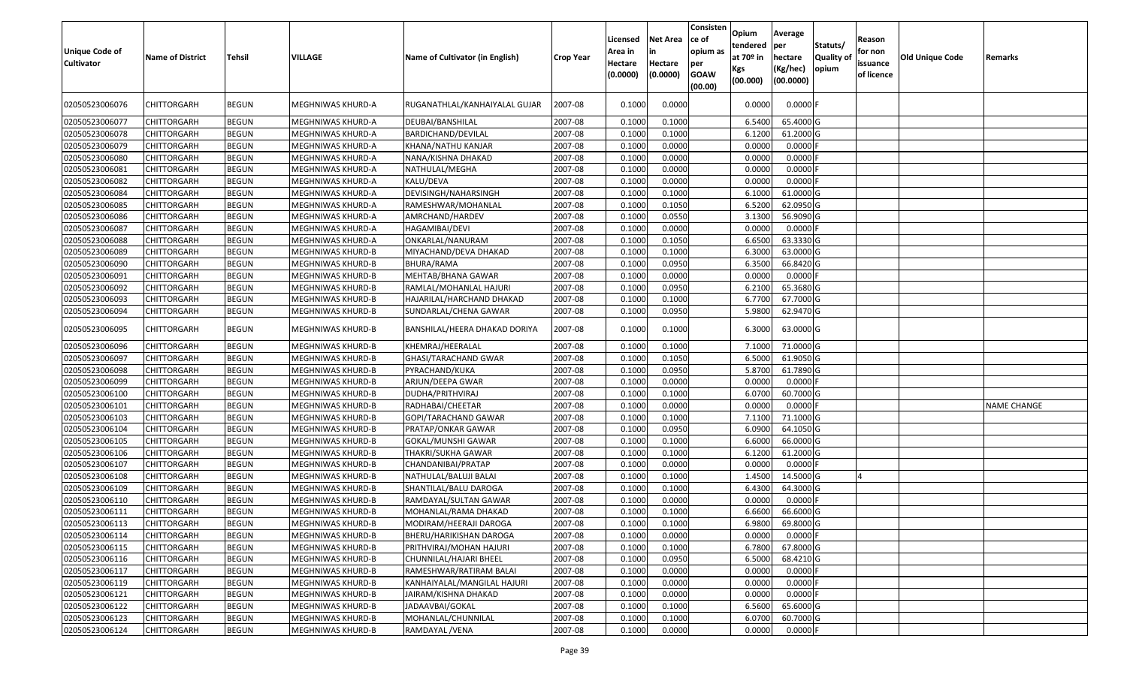| <b>Unique Code of</b><br><b>Cultivator</b> | <b>Name of District</b> | <b>Tehsil</b> | VILLAGE           | Name of Cultivator (in English) | <b>Crop Year</b> | Licensed<br>Area in<br>Hectare<br>(0.0000) | <b>Net Area</b><br>in<br>Hectare<br>(0.0000) | Consisten<br>ce of<br>opium as<br>per<br><b>GOAW</b><br>(00.00) | Opium<br>tendered<br>at $70°$ in<br>Kgs<br>(00.000) | Average<br>per<br>hectare<br>(Kg/hec)<br>(00.0000) | Statuts/<br>Quality of<br>opium | Reason<br>for non<br>issuance<br>of licence | <b>Old Unique Code</b> | Remarks            |
|--------------------------------------------|-------------------------|---------------|-------------------|---------------------------------|------------------|--------------------------------------------|----------------------------------------------|-----------------------------------------------------------------|-----------------------------------------------------|----------------------------------------------------|---------------------------------|---------------------------------------------|------------------------|--------------------|
| 02050523006076                             | CHITTORGARH             | <b>BEGUN</b>  | MEGHNIWAS KHURD-A | RUGANATHLAL/KANHAIYALAL GUJAR   | 2007-08          | 0.1000                                     | 0.0000                                       |                                                                 | 0.0000                                              | $0.0000$ F                                         |                                 |                                             |                        |                    |
| 02050523006077                             | <b>CHITTORGARH</b>      | <b>BEGUN</b>  | MEGHNIWAS KHURD-A | DEUBAI/BANSHILAL                | 2007-08          | 0.1000                                     | 0.1000                                       |                                                                 | 6.5400                                              | 65.4000 G                                          |                                 |                                             |                        |                    |
| 02050523006078                             | CHITTORGARH             | <b>BEGUN</b>  | MEGHNIWAS KHURD-A | BARDICHAND/DEVILAL              | 2007-08          | 0.1000                                     | 0.1000                                       |                                                                 | 6.1200                                              | 61.2000 G                                          |                                 |                                             |                        |                    |
| 02050523006079                             | <b>CHITTORGARH</b>      | <b>BEGUN</b>  | MEGHNIWAS KHURD-A | KHANA/NATHU KANJAR              | 2007-08          | 0.1000                                     | 0.0000                                       |                                                                 | 0.0000                                              | $0.0000$ F                                         |                                 |                                             |                        |                    |
| 02050523006080                             | <b>CHITTORGARH</b>      | <b>BEGUN</b>  | MEGHNIWAS KHURD-A | NANA/KISHNA DHAKAD              | 2007-08          | 0.1000                                     | 0.0000                                       |                                                                 | 0.0000                                              | 0.0000                                             |                                 |                                             |                        |                    |
| 02050523006081                             | <b>CHITTORGARH</b>      | <b>BEGUN</b>  | MEGHNIWAS KHURD-A | NATHULAL/MEGHA                  | 2007-08          | 0.1000                                     | 0.0000                                       |                                                                 | 0.0000                                              | $0.0000$ F                                         |                                 |                                             |                        |                    |
| 02050523006082                             | <b>CHITTORGARH</b>      | <b>BEGUN</b>  | MEGHNIWAS KHURD-A | KALU/DEVA                       | 2007-08          | 0.1000                                     | 0.0000                                       |                                                                 | 0.0000                                              | $0.0000$ F                                         |                                 |                                             |                        |                    |
| 02050523006084                             | CHITTORGARH             | <b>BEGUN</b>  | MEGHNIWAS KHURD-A | DEVISINGH/NAHARSINGH            | 2007-08          | 0.1000                                     | 0.1000                                       |                                                                 | 6.1000                                              | 61.0000G                                           |                                 |                                             |                        |                    |
| 02050523006085                             | CHITTORGARH             | <b>BEGUN</b>  | MEGHNIWAS KHURD-A | RAMESHWAR/MOHANLAL              | 2007-08          | 0.1000                                     | 0.1050                                       |                                                                 | 6.5200                                              | 62.0950 G                                          |                                 |                                             |                        |                    |
| 02050523006086                             | CHITTORGARH             | <b>BEGUN</b>  | MEGHNIWAS KHURD-A | AMRCHAND/HARDEV                 | 2007-08          | 0.1000                                     | 0.0550                                       |                                                                 | 3.1300                                              | 56.9090 G                                          |                                 |                                             |                        |                    |
| 02050523006087                             | CHITTORGARH             | <b>BEGUN</b>  | MEGHNIWAS KHURD-A | HAGAMIBAI/DEVI                  | 2007-08          | 0.1000                                     | 0.0000                                       |                                                                 | 0.0000                                              | 0.0000                                             |                                 |                                             |                        |                    |
| 02050523006088                             | CHITTORGARH             | <b>BEGUN</b>  | MEGHNIWAS KHURD-A | ONKARLAL/NANURAM                | 2007-08          | 0.1000                                     | 0.1050                                       |                                                                 | 6.6500                                              | 63.3330 G                                          |                                 |                                             |                        |                    |
| 02050523006089                             | CHITTORGARH             | <b>BEGUN</b>  | MEGHNIWAS KHURD-B | MIYACHAND/DEVA DHAKAD           | 2007-08          | 0.1000                                     | 0.1000                                       |                                                                 | 6.3000                                              | 63.0000G                                           |                                 |                                             |                        |                    |
| 02050523006090                             | CHITTORGARH             | <b>BEGUN</b>  | MEGHNIWAS KHURD-B | <b>BHURA/RAMA</b>               | 2007-08          | 0.1000                                     | 0.0950                                       |                                                                 | 6.3500                                              | 66.8420 G                                          |                                 |                                             |                        |                    |
| 02050523006091                             | <b>CHITTORGARH</b>      | <b>BEGUN</b>  | MEGHNIWAS KHURD-B | MEHTAB/BHANA GAWAR              | 2007-08          | 0.1000                                     | 0.0000                                       |                                                                 | 0.0000                                              | 0.0000                                             |                                 |                                             |                        |                    |
| 02050523006092                             | CHITTORGARH             | <b>BEGUN</b>  | MEGHNIWAS KHURD-B | RAMLAL/MOHANLAL HAJURI          | 2007-08          | 0.1000                                     | 0.0950                                       |                                                                 | 6.2100                                              | 65.3680 G                                          |                                 |                                             |                        |                    |
| 02050523006093                             | CHITTORGARH             | <b>BEGUN</b>  | MEGHNIWAS KHURD-B | HAJARILAL/HARCHAND DHAKAD       | 2007-08          | 0.1000                                     | 0.1000                                       |                                                                 | 6.7700                                              | 67.7000G                                           |                                 |                                             |                        |                    |
| 02050523006094                             | CHITTORGARH             | <b>BEGUN</b>  | MEGHNIWAS KHURD-B | SUNDARLAL/CHENA GAWAR           | 2007-08          | 0.1000                                     | 0.0950                                       |                                                                 | 5.9800                                              | 62.9470 G                                          |                                 |                                             |                        |                    |
| 02050523006095                             | CHITTORGARH             | <b>BEGUN</b>  | MEGHNIWAS KHURD-B | BANSHILAL/HEERA DHAKAD DORIYA   | 2007-08          | 0.1000                                     | 0.1000                                       |                                                                 | 6.3000                                              | 63.0000 G                                          |                                 |                                             |                        |                    |
| 02050523006096                             | CHITTORGARH             | <b>BEGUN</b>  | MEGHNIWAS KHURD-B | KHEMRAJ/HEERALAL                | 2007-08          | 0.1000                                     | 0.1000                                       |                                                                 | 7.100                                               | 71.0000G                                           |                                 |                                             |                        |                    |
| 02050523006097                             | CHITTORGARH             | <b>BEGUN</b>  | MEGHNIWAS KHURD-B | GHASI/TARACHAND GWAR            | 2007-08          | 0.1000                                     | 0.1050                                       |                                                                 | 6.5000                                              | 61.9050 G                                          |                                 |                                             |                        |                    |
| 02050523006098                             | CHITTORGARH             | <b>BEGUN</b>  | MEGHNIWAS KHURD-B | PYRACHAND/KUKA                  | 2007-08          | 0.1000                                     | 0.0950                                       |                                                                 | 5.8700                                              | 61.7890 G                                          |                                 |                                             |                        |                    |
| 02050523006099                             | CHITTORGARH             | <b>BEGUN</b>  | MEGHNIWAS KHURD-B | ARJUN/DEEPA GWAR                | 2007-08          | 0.1000                                     | 0.0000                                       |                                                                 | 0.0000                                              | $0.0000$ F                                         |                                 |                                             |                        |                    |
| 02050523006100                             | <b>CHITTORGARH</b>      | <b>BEGUN</b>  | MEGHNIWAS KHURD-B | DUDHA/PRITHVIRAJ                | 2007-08          | 0.1000                                     | 0.1000                                       |                                                                 | 6.0700                                              | 60.7000 G                                          |                                 |                                             |                        |                    |
| 02050523006101                             | CHITTORGARH             | <b>BEGUN</b>  | MEGHNIWAS KHURD-B | RADHABAI/CHEETAR                | 2007-08          | 0.1000                                     | 0.0000                                       |                                                                 | 0.0000                                              | 0.0000F                                            |                                 |                                             |                        | <b>NAME CHANGE</b> |
| 02050523006103                             | <b>CHITTORGARH</b>      | <b>BEGUN</b>  | MEGHNIWAS KHURD-B | GOPI/TARACHAND GAWAR            | 2007-08          | 0.1000                                     | 0.1000                                       |                                                                 | 7.1100                                              | 71.1000 G                                          |                                 |                                             |                        |                    |
| 02050523006104                             | <b>CHITTORGARH</b>      | <b>BEGUN</b>  | MEGHNIWAS KHURD-B | PRATAP/ONKAR GAWAR              | 2007-08          | 0.1000                                     | 0.0950                                       |                                                                 | 6.0900                                              | 64.1050 G                                          |                                 |                                             |                        |                    |
| 02050523006105                             | <b>CHITTORGARH</b>      | <b>BEGUN</b>  | MEGHNIWAS KHURD-B | GOKAL/MUNSHI GAWAR              | 2007-08          | 0.1000                                     | 0.1000                                       |                                                                 | 6.6000                                              | 66.0000G                                           |                                 |                                             |                        |                    |
| 02050523006106                             | CHITTORGARH             | <b>BEGUN</b>  | MEGHNIWAS KHURD-B | THAKRI/SUKHA GAWAR              | 2007-08          | 0.1000                                     | 0.1000                                       |                                                                 | 6.1200                                              | 61.2000 G                                          |                                 |                                             |                        |                    |
| 02050523006107                             | CHITTORGARH             | <b>BEGUN</b>  | MEGHNIWAS KHURD-B | CHANDANIBAI/PRATAP              | 2007-08          | 0.1000                                     | 0.0000                                       |                                                                 | 0.0000                                              | $0.0000$ F                                         |                                 |                                             |                        |                    |
| 02050523006108                             | CHITTORGARH             | <b>BEGUN</b>  | MEGHNIWAS KHURD-B | NATHULAL/BALUJI BALAI           | 2007-08          | 0.1000                                     | 0.1000                                       |                                                                 | 1.4500                                              | 14.5000G                                           |                                 |                                             |                        |                    |
| 02050523006109                             | CHITTORGARH             | <b>BEGUN</b>  | MEGHNIWAS KHURD-B | SHANTILAL/BALU DAROGA           | 2007-08          | 0.1000                                     | 0.1000                                       |                                                                 | 6.4300                                              | 64.3000 G                                          |                                 |                                             |                        |                    |
| 02050523006110                             | CHITTORGARH             | <b>BEGUN</b>  | MEGHNIWAS KHURD-B | RAMDAYAL/SULTAN GAWAR           | 2007-08          | 0.1000                                     | 0.0000                                       |                                                                 | 0.0000                                              | 0.0000                                             |                                 |                                             |                        |                    |
| 02050523006111                             | CHITTORGARH             | <b>BEGUN</b>  | MEGHNIWAS KHURD-B | MOHANLAL/RAMA DHAKAD            | 2007-08          | 0.1000                                     | 0.1000                                       |                                                                 | 6.6600                                              | 66.6000 G                                          |                                 |                                             |                        |                    |
| 02050523006113                             | <b>CHITTORGARH</b>      | <b>BEGUN</b>  | MEGHNIWAS KHURD-B | MODIRAM/HEERAJI DAROGA          | 2007-08          | 0.1000                                     | 0.1000                                       |                                                                 | 6.9800                                              | 69.8000 G                                          |                                 |                                             |                        |                    |
| 02050523006114                             | <b>CHITTORGARH</b>      | <b>BEGUN</b>  | MEGHNIWAS KHURD-B | BHERU/HARIKISHAN DAROGA         | 2007-08          | 0.1000                                     | 0.0000                                       |                                                                 | 0.0000                                              | $0.0000$ F                                         |                                 |                                             |                        |                    |
| 02050523006115                             | <b>CHITTORGARH</b>      | <b>BEGUN</b>  | MEGHNIWAS KHURD-B | PRITHVIRAJ/MOHAN HAJURI         | 2007-08          | 0.1000                                     | 0.1000                                       |                                                                 | 6.7800                                              | 67.8000 G                                          |                                 |                                             |                        |                    |
| 02050523006116                             | <b>CHITTORGARH</b>      | <b>BEGUN</b>  | MEGHNIWAS KHURD-B | CHUNNILAL/HAJARI BHEEL          | 2007-08          | 0.1000                                     | 0.0950                                       |                                                                 | 6.5000                                              | 68.4210 G                                          |                                 |                                             |                        |                    |
| 02050523006117                             | <b>CHITTORGARH</b>      | <b>BEGUN</b>  | MEGHNIWAS KHURD-B | RAMESHWAR/RATIRAM BALAI         | 2007-08          | 0.1000                                     | 0.0000                                       |                                                                 | 0.0000                                              | $0.0000$ F                                         |                                 |                                             |                        |                    |
| 02050523006119                             | <b>CHITTORGARH</b>      | <b>BEGUN</b>  | MEGHNIWAS KHURD-B | KANHAIYALAL/MANGILAL HAJURI     | 2007-08          | 0.1000                                     | 0.0000                                       |                                                                 | 0.0000                                              | $0.0000$ F                                         |                                 |                                             |                        |                    |
| 02050523006121                             | <b>CHITTORGARH</b>      | <b>BEGUN</b>  | MEGHNIWAS KHURD-B | JAIRAM/KISHNA DHAKAD            | 2007-08          | 0.1000                                     | 0.0000                                       |                                                                 | 0.0000                                              | $0.0000$ F                                         |                                 |                                             |                        |                    |
| 02050523006122<br>02050523006123           | <b>CHITTORGARH</b>      | <b>BEGUN</b>  | MEGHNIWAS KHURD-B | JADAAVBAI/GOKAL                 | 2007-08          | 0.1000<br>0.1000                           | 0.1000<br>0.1000                             |                                                                 | 6.5600<br>6.0700                                    | 65.6000 G<br>60.7000 G                             |                                 |                                             |                        |                    |
|                                            | CHITTORGARH             | <b>BEGUN</b>  | MEGHNIWAS KHURD-B | MOHANLAL/CHUNNILAL              | 2007-08          |                                            |                                              |                                                                 |                                                     |                                                    |                                 |                                             |                        |                    |
| 02050523006124                             | <b>CHITTORGARH</b>      | <b>BEGUN</b>  | MEGHNIWAS KHURD-B | RAMDAYAL /VENA                  | 2007-08          | 0.1000                                     | 0.0000                                       |                                                                 | 0.0000                                              | $0.0000$ F                                         |                                 |                                             |                        |                    |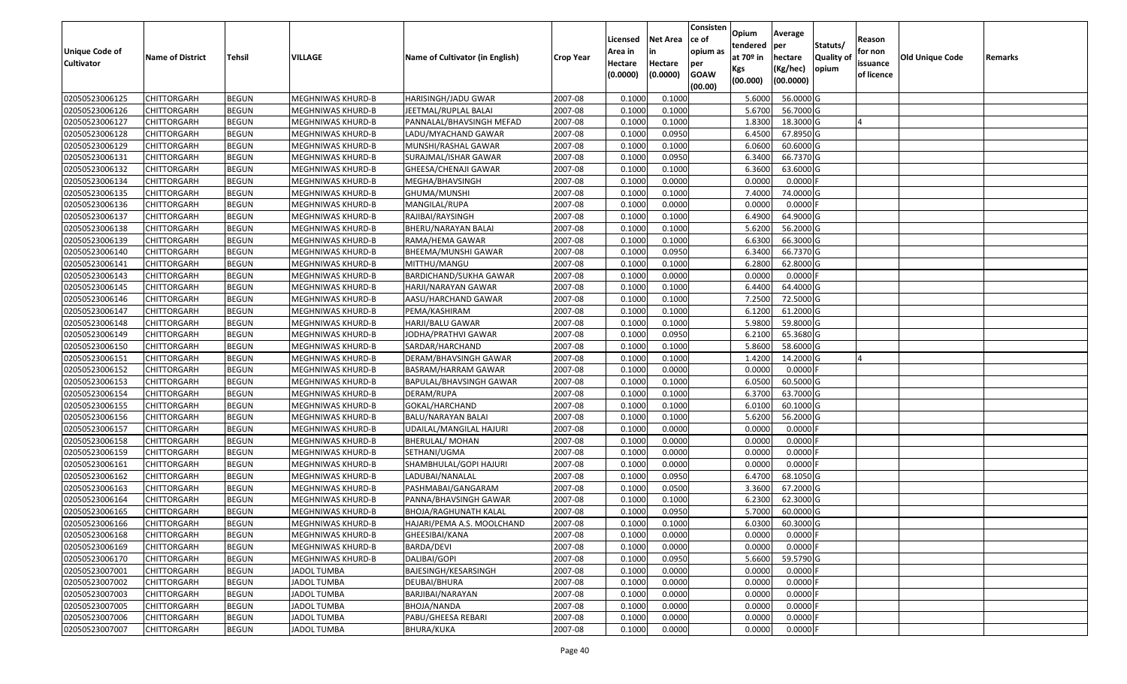| <b>Unique Code of</b><br><b>Cultivator</b> | <b>Name of District</b> | Tehsil       | VILLAGE                  | Name of Cultivator (in English) | <b>Crop Year</b> | Licensed<br>Area in<br>Hectare | <b>Net Area</b><br>in<br>Hectare | Consisten<br>ce of<br>opium as<br>per | Opium<br>tendered<br>at $70°$ in<br>Kgs | Average<br>per<br>hectare<br>(Kg/hec) | Statuts/<br><b>Quality o</b><br>opium | Reason<br>for non<br>issuance | Old Unique Code | Remarks |
|--------------------------------------------|-------------------------|--------------|--------------------------|---------------------------------|------------------|--------------------------------|----------------------------------|---------------------------------------|-----------------------------------------|---------------------------------------|---------------------------------------|-------------------------------|-----------------|---------|
|                                            |                         |              |                          |                                 |                  | (0.0000)                       | (0.0000)                         | <b>GOAW</b><br>(00.00)                | (00.000)                                | (00.0000)                             |                                       | of licence                    |                 |         |
| 02050523006125                             | CHITTORGARH             | <b>BEGUN</b> | MEGHNIWAS KHURD-B        | HARISINGH/JADU GWAR             | 2007-08          | 0.1000                         | 0.1000                           |                                       | 5.6000                                  | 56.0000G                              |                                       |                               |                 |         |
| 02050523006126                             | CHITTORGARH             | <b>BEGUN</b> | MEGHNIWAS KHURD-B        | JEETMAL/RUPLAL BALAI            | 2007-08          | 0.1000                         | 0.1000                           |                                       | 5.6700                                  | 56.7000 G                             |                                       |                               |                 |         |
| 02050523006127                             | CHITTORGARH             | <b>BEGUN</b> | MEGHNIWAS KHURD-B        | PANNALAL/BHAVSINGH MEFAD        | 2007-08          | 0.1000                         | 0.1000                           |                                       | 1.8300                                  | 18.3000 G                             |                                       |                               |                 |         |
| 02050523006128                             | <b>CHITTORGARH</b>      | <b>BEGUN</b> | MEGHNIWAS KHURD-B        | LADU/MYACHAND GAWAR             | 2007-08          | 0.1000                         | 0.0950                           |                                       | 6.4500                                  | 67.8950 G                             |                                       |                               |                 |         |
| 02050523006129                             | CHITTORGARH             | <b>BEGUN</b> | MEGHNIWAS KHURD-B        | MUNSHI/RASHAL GAWAR             | 2007-08          | 0.1000                         | 0.1000                           |                                       | 6.0600                                  | 60.6000 G                             |                                       |                               |                 |         |
| 02050523006131                             | CHITTORGARH             | <b>BEGUN</b> | MEGHNIWAS KHURD-B        | SURAJMAL/ISHAR GAWAR            | 2007-08          | 0.1000                         | 0.0950                           |                                       | 6.3400                                  | 66.7370 G                             |                                       |                               |                 |         |
| 02050523006132                             | CHITTORGARH             | <b>BEGUN</b> | MEGHNIWAS KHURD-B        | GHEESA/CHENAJI GAWAR            | 2007-08          | 0.1000                         | 0.1000                           |                                       | 6.3600                                  | 63.6000 G                             |                                       |                               |                 |         |
| 02050523006134                             | <b>CHITTORGARH</b>      | <b>BEGUN</b> | <b>MEGHNIWAS KHURD-B</b> | MEGHA/BHAVSINGH                 | 2007-08          | 0.1000                         | 0.0000                           |                                       | 0.0000                                  | $0.0000$ F                            |                                       |                               |                 |         |
| 02050523006135                             | <b>CHITTORGARH</b>      | <b>BEGUN</b> | MEGHNIWAS KHURD-B        | GHUMA/MUNSHI                    | 2007-08          | 0.1000                         | 0.1000                           |                                       | 7.4000                                  | 74.0000 G                             |                                       |                               |                 |         |
| 02050523006136                             | CHITTORGARH             | <b>BEGUN</b> | MEGHNIWAS KHURD-B        | MANGILAL/RUPA                   | 2007-08          | 0.1000                         | 0.0000                           |                                       | 0.0000                                  | $0.0000$ F                            |                                       |                               |                 |         |
| 02050523006137                             | CHITTORGARH             | <b>BEGUN</b> | MEGHNIWAS KHURD-B        | RAJIBAI/RAYSINGH                | 2007-08          | 0.1000                         | 0.1000                           |                                       | 6.4900                                  | 64.9000 G                             |                                       |                               |                 |         |
| 02050523006138                             | <b>CHITTORGARH</b>      | <b>BEGUN</b> | MEGHNIWAS KHURD-B        | BHERU/NARAYAN BALAI             | 2007-08          | 0.1000                         | 0.1000                           |                                       | 5.6200                                  | 56.2000 G                             |                                       |                               |                 |         |
| 02050523006139                             | <b>CHITTORGARH</b>      | <b>BEGUN</b> | MEGHNIWAS KHURD-B        | RAMA/HEMA GAWAR                 | 2007-08          | 0.1000                         | 0.1000                           |                                       | 6.6300                                  | 66.3000 G                             |                                       |                               |                 |         |
| 02050523006140                             | <b>CHITTORGARH</b>      | <b>BEGUN</b> | MEGHNIWAS KHURD-B        | BHEEMA/MUNSHI GAWAR             | 2007-08          | 0.1000                         | 0.0950                           |                                       | 6.3400                                  | 66.7370 G                             |                                       |                               |                 |         |
| 02050523006141                             | CHITTORGARH             | <b>BEGUN</b> | MEGHNIWAS KHURD-B        | MITTHU/MANGU                    | 2007-08          | 0.1000                         | 0.1000                           |                                       | 6.2800                                  | 62.8000 G                             |                                       |                               |                 |         |
| 02050523006143                             | <b>CHITTORGARH</b>      | <b>BEGUN</b> | MEGHNIWAS KHURD-B        | BARDICHAND/SUKHA GAWAR          | 2007-08          | 0.1000                         | 0.0000                           |                                       | 0.0000                                  | $0.0000$ F                            |                                       |                               |                 |         |
| 02050523006145                             | <b>CHITTORGARH</b>      | <b>BEGUN</b> | MEGHNIWAS KHURD-B        | HARJI/NARAYAN GAWAR             | 2007-08          | 0.1000                         | 0.1000                           |                                       | 6.4400                                  | 64.4000 G                             |                                       |                               |                 |         |
| 02050523006146                             | CHITTORGARH             | <b>BEGUN</b> | MEGHNIWAS KHURD-B        | AASU/HARCHAND GAWAR             | 2007-08          | 0.1000                         | 0.1000                           |                                       | 7.2500                                  | 72.5000G                              |                                       |                               |                 |         |
| 02050523006147                             | CHITTORGARH             | <b>BEGUN</b> | MEGHNIWAS KHURD-B        | PEMA/KASHIRAM                   | 2007-08          | 0.1000                         | 0.1000                           |                                       | 6.1200                                  | 61.2000 G                             |                                       |                               |                 |         |
| 02050523006148                             | CHITTORGARH             | <b>BEGUN</b> | MEGHNIWAS KHURD-B        | HARJI/BALU GAWAR                | 2007-08          | 0.1000                         | 0.1000                           |                                       | 5.9800                                  | 59.8000 G                             |                                       |                               |                 |         |
| 02050523006149                             | CHITTORGARH             | <b>BEGUN</b> | MEGHNIWAS KHURD-B        | JODHA/PRATHVI GAWAR             | 2007-08          | 0.1000                         | 0.0950                           |                                       | 6.2100                                  | 65.3680 G                             |                                       |                               |                 |         |
| 02050523006150                             | CHITTORGARH             | <b>BEGUN</b> | MEGHNIWAS KHURD-B        | SARDAR/HARCHAND                 | 2007-08          | 0.1000                         | 0.1000                           |                                       | 5.8600                                  | 58.6000 G                             |                                       |                               |                 |         |
| 02050523006151                             | CHITTORGARH             | <b>BEGUN</b> | MEGHNIWAS KHURD-B        | DERAM/BHAVSINGH GAWAR           | 2007-08          | 0.1000                         | 0.1000                           |                                       | 1.4200                                  | 14.2000 G                             |                                       |                               |                 |         |
| 02050523006152                             | <b>CHITTORGARH</b>      | <b>BEGUN</b> | MEGHNIWAS KHURD-B        | BASRAM/HARRAM GAWAR             | 2007-08          | 0.1000                         | 0.0000                           |                                       | 0.0000                                  | 0.0000F                               |                                       |                               |                 |         |
| 02050523006153                             | CHITTORGARH             | <b>BEGUN</b> | MEGHNIWAS KHURD-B        | BAPULAL/BHAVSINGH GAWAR         | 2007-08          | 0.1000                         | 0.1000                           |                                       | 6.0500                                  | 60.5000 G                             |                                       |                               |                 |         |
| 02050523006154                             | CHITTORGARH             | <b>BEGUN</b> | MEGHNIWAS KHURD-B        | DERAM/RUPA                      | 2007-08          | 0.1000                         | 0.1000                           |                                       | 6.3700                                  | 63.7000 G                             |                                       |                               |                 |         |
| 02050523006155                             | CHITTORGARH             | <b>BEGUN</b> | MEGHNIWAS KHURD-B        | GOKAL/HARCHAND                  | 2007-08          | 0.1000                         | 0.1000                           |                                       | 6.0100                                  | 60.1000G                              |                                       |                               |                 |         |
| 02050523006156                             | CHITTORGARH             | <b>BEGUN</b> | MEGHNIWAS KHURD-B        | BALU/NARAYAN BALAI              | 2007-08          | 0.1000                         | 0.1000                           |                                       | 5.6200                                  | 56.2000 G                             |                                       |                               |                 |         |
| 02050523006157                             | CHITTORGARH             | <b>BEGUN</b> | MEGHNIWAS KHURD-B        | UDAILAL/MANGILAL HAJURI         | 2007-08          | 0.1000                         | 0.0000                           |                                       | 0.0000                                  | $0.0000$ F                            |                                       |                               |                 |         |
| 02050523006158                             | CHITTORGARH             | <b>BEGUN</b> | MEGHNIWAS KHURD-B        | <b>BHERULAL/ MOHAN</b>          | 2007-08          | 0.1000                         | 0.0000                           |                                       | 0.0000                                  | 0.0000                                |                                       |                               |                 |         |
| 02050523006159                             | CHITTORGARH             | <b>BEGUN</b> | MEGHNIWAS KHURD-B        | SETHANI/UGMA                    | 2007-08          | 0.1000                         | 0.0000                           |                                       | 0.0000                                  | 0.0000                                |                                       |                               |                 |         |
| 02050523006161                             | CHITTORGARH             | <b>BEGUN</b> | MEGHNIWAS KHURD-B        | SHAMBHULAL/GOPI HAJURI          | 2007-08          | 0.1000                         | 0.0000                           |                                       | 0.0000                                  | 0.0000                                |                                       |                               |                 |         |
| 02050523006162                             | CHITTORGARH             | <b>BEGUN</b> | MEGHNIWAS KHURD-B        | LADUBAI/NANALAL                 | 2007-08          | 0.1000                         | 0.0950                           |                                       | 6.4700                                  | 68.1050G                              |                                       |                               |                 |         |
| 02050523006163                             | <b>CHITTORGARH</b>      | <b>BEGUN</b> | MEGHNIWAS KHURD-B        | PASHMABAI/GANGARAM              | 2007-08          | 0.1000                         | 0.0500                           |                                       | 3.3600                                  | 67.2000 G                             |                                       |                               |                 |         |
| 02050523006164                             | CHITTORGARH             | <b>BEGUN</b> | MEGHNIWAS KHURD-B        | PANNA/BHAVSINGH GAWAR           | 2007-08          | 0.1000                         | 0.1000                           |                                       | 6.2300                                  | 62.3000 G                             |                                       |                               |                 |         |
| 02050523006165                             | CHITTORGARH             | <b>BEGUN</b> | MEGHNIWAS KHURD-B        | BHOJA/RAGHUNATH KALAL           | 2007-08          | 0.1000                         | 0.0950                           |                                       | 5.7000                                  | 60.0000 G                             |                                       |                               |                 |         |
| 02050523006166                             | <b>CHITTORGARH</b>      | <b>BEGUN</b> | MEGHNIWAS KHURD-B        | HAJARI/PEMA A.S. MOOLCHAND      | 2007-08          | 0.1000                         | 0.1000                           |                                       | 6.0300                                  | 60.3000 G                             |                                       |                               |                 |         |
| 02050523006168                             | <b>CHITTORGARH</b>      | <b>BEGUN</b> | MEGHNIWAS KHURD-B        | GHEESIBAI/KANA                  | 2007-08          | 0.1000                         | 0.0000                           |                                       | 0.0000                                  | $0.0000$ F                            |                                       |                               |                 |         |
| 02050523006169                             | <b>CHITTORGARH</b>      | <b>BEGUN</b> | MEGHNIWAS KHURD-B        | BARDA/DEVI                      | 2007-08          | 0.1000                         | 0.0000                           |                                       | 0.0000                                  | $0.0000$ F                            |                                       |                               |                 |         |
| 02050523006170                             | <b>CHITTORGARH</b>      | <b>BEGUN</b> | MEGHNIWAS KHURD-B        | DALIBAI/GOPI                    | 2007-08          | 0.1000                         | 0.0950                           |                                       | 5.6600                                  | 59.5790 G                             |                                       |                               |                 |         |
| 02050523007001                             | <b>CHITTORGARH</b>      | <b>BEGUN</b> | <b>JADOL TUMBA</b>       | BAJESINGH/KESARSINGH            | 2007-08          | 0.1000                         | 0.0000                           |                                       | 0.0000                                  | $0.0000$ F                            |                                       |                               |                 |         |
| 02050523007002                             | <b>CHITTORGARH</b>      | <b>BEGUN</b> | <b>JADOL TUMBA</b>       | DEUBAI/BHURA                    | 2007-08          | 0.1000                         | 0.0000                           |                                       | 0.0000                                  | 0.0000                                |                                       |                               |                 |         |
| 02050523007003                             | <b>CHITTORGARH</b>      | <b>BEGUN</b> | JADOL TUMBA              | BARJIBAI/NARAYAN                | 2007-08          | 0.1000                         | 0.0000                           |                                       | 0.0000                                  | 0.0000                                |                                       |                               |                 |         |
| 02050523007005                             | <b>CHITTORGARH</b>      | <b>BEGUN</b> | JADOL TUMBA              | BHOJA/NANDA                     | 2007-08          | 0.1000                         | 0.0000                           |                                       | 0.0000                                  | $0.0000$ F                            |                                       |                               |                 |         |
| 02050523007006                             | CHITTORGARH             | <b>BEGUN</b> | <b>JADOL TUMBA</b>       | PABU/GHEESA REBARI              | 2007-08          | 0.1000                         | 0.0000                           |                                       | 0.0000                                  | 0.0000                                |                                       |                               |                 |         |
| 02050523007007                             | <b>CHITTORGARH</b>      | <b>BEGUN</b> | <b>JADOL TUMBA</b>       | BHURA/KUKA                      | 2007-08          | 0.1000                         | 0.0000                           |                                       | 0.0000                                  | $0.0000$ F                            |                                       |                               |                 |         |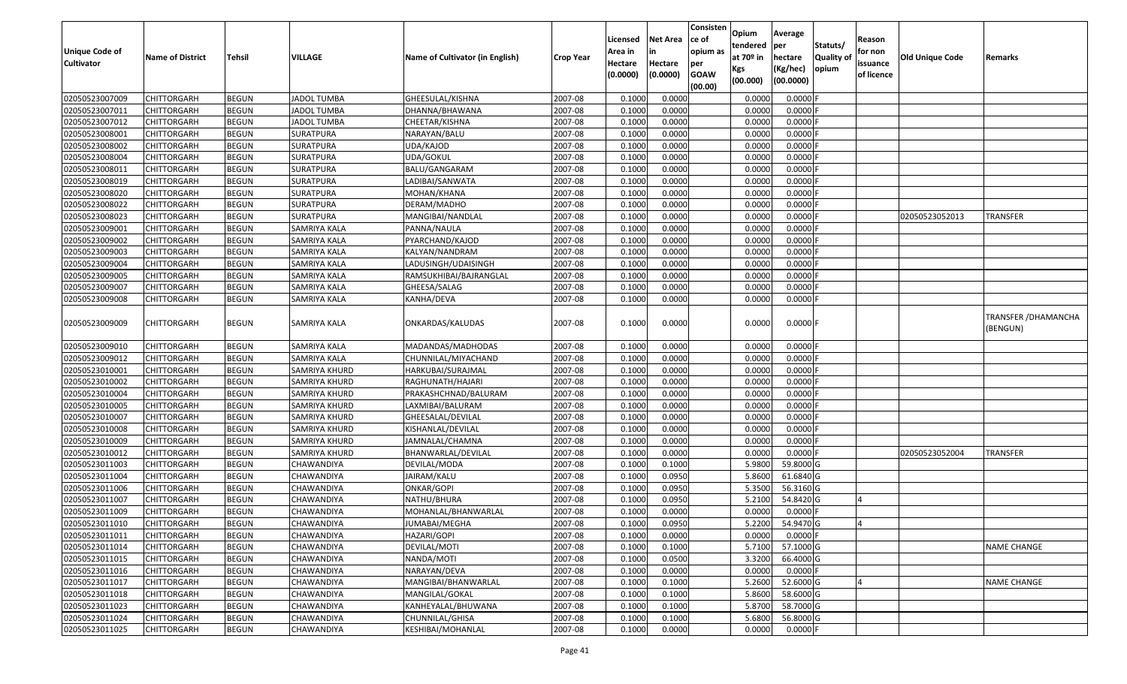| <b>Unique Code of</b><br><b>Cultivator</b> | <b>Name of District</b>           | Tehsil                       | VILLAGE                                | Name of Cultivator (in English) | <b>Crop Year</b>   | Licensed<br>Area in<br>Hectare<br>(0.0000) | <b>Net Area</b><br>in<br>Hectare<br>(0.0000) | Consisten<br>ce of<br>opium as<br>per<br><b>GOAW</b> | Opium<br>tendered<br>at $70°$ in<br>Kgs<br>(00.000) | Average<br>per<br>hectare<br>(Kg/hec)<br>(00.0000) | Statuts/<br><b>Quality o</b><br>opium | Reason<br>for non<br>issuance<br>of licence | Old Unique Code | Remarks                                 |
|--------------------------------------------|-----------------------------------|------------------------------|----------------------------------------|---------------------------------|--------------------|--------------------------------------------|----------------------------------------------|------------------------------------------------------|-----------------------------------------------------|----------------------------------------------------|---------------------------------------|---------------------------------------------|-----------------|-----------------------------------------|
| 02050523007009                             |                                   |                              |                                        |                                 |                    |                                            |                                              | (00.00)                                              |                                                     |                                                    |                                       |                                             |                 |                                         |
|                                            | CHITTORGARH                       | <b>BEGUN</b>                 | <b>JADOL TUMBA</b>                     | GHEESULAL/KISHNA                | 2007-08            | 0.1000                                     | 0.0000                                       |                                                      | 0.0000                                              | 0.0000F                                            |                                       |                                             |                 |                                         |
| 02050523007011                             | CHITTORGARH                       | <b>BEGUN</b>                 | <b>JADOL TUMBA</b>                     | DHANNA/BHAWANA                  | 2007-08<br>2007-08 | 0.1000<br>0.1000                           | 0.0000<br>0.0000                             |                                                      | 0.0000                                              | $0.0000$ F                                         |                                       |                                             |                 |                                         |
| 02050523007012<br>02050523008001           | CHITTORGARH<br><b>CHITTORGARH</b> | <b>BEGUN</b><br><b>BEGUN</b> | <b>JADOL TUMBA</b><br><b>SURATPURA</b> | CHEETAR/KISHNA<br>NARAYAN/BALU  | 2007-08            | 0.1000                                     | 0.0000                                       |                                                      | 0.0000<br>0.0000                                    | 0.0000<br>0.0000F                                  |                                       |                                             |                 |                                         |
| 02050523008002                             | CHITTORGARH                       | <b>BEGUN</b>                 | SURATPURA                              | UDA/KAJOD                       | 2007-08            | 0.1000                                     | 0.0000                                       |                                                      | 0.0000                                              | 0.0000                                             |                                       |                                             |                 |                                         |
| 02050523008004                             | CHITTORGARH                       | <b>BEGUN</b>                 | SURATPURA                              | UDA/GOKUL                       | 2007-08            | 0.1000                                     | 0.0000                                       |                                                      | 0.0000                                              | 0.0000                                             |                                       |                                             |                 |                                         |
| 02050523008011                             | CHITTORGARH                       | <b>BEGUN</b>                 | SURATPURA                              | BALU/GANGARAM                   | 2007-08            | 0.1000                                     | 0.0000                                       |                                                      | 0.0000                                              | 0.0000                                             |                                       |                                             |                 |                                         |
| 02050523008019                             | CHITTORGARH                       | <b>BEGUN</b>                 | SURATPURA                              | LADIBAI/SANWATA                 | 2007-08            | 0.1000                                     | 0.0000                                       |                                                      | 0.0000                                              | 0.0000F                                            |                                       |                                             |                 |                                         |
| 02050523008020                             | CHITTORGARH                       | <b>BEGUN</b>                 | SURATPURA                              | MOHAN/KHANA                     | 2007-08            | 0.1000                                     | 0.0000                                       |                                                      | 0.0000                                              | 0.0000                                             |                                       |                                             |                 |                                         |
| 02050523008022                             | CHITTORGARH                       | <b>BEGUN</b>                 | SURATPURA                              | DERAM/MADHO                     | 2007-08            | 0.1000                                     | 0.0000                                       |                                                      | 0.0000                                              | 0.0000                                             |                                       |                                             |                 |                                         |
| 02050523008023                             | CHITTORGARH                       | <b>BEGUN</b>                 | SURATPURA                              | MANGIBAI/NANDLAL                | 2007-08            | 0.1000                                     | 0.0000                                       |                                                      | 0.0000                                              | 0.0000F                                            |                                       |                                             | 02050523052013  | <b>TRANSFER</b>                         |
| 02050523009001                             | <b>CHITTORGARH</b>                | <b>BEGUN</b>                 | <b>SAMRIYA KALA</b>                    | PANNA/NAULA                     | 2007-08            | 0.1000                                     | 0.0000                                       |                                                      | 0.0000                                              | 0.0000                                             |                                       |                                             |                 |                                         |
| 02050523009002                             | <b>CHITTORGARH</b>                | <b>BEGUN</b>                 | <b>SAMRIYA KALA</b>                    | PYARCHAND/KAJOD                 | 2007-08            | 0.1000                                     | 0.0000                                       |                                                      | 0.0000                                              | $0.0000$ F                                         |                                       |                                             |                 |                                         |
| 02050523009003                             | CHITTORGARH                       | <b>BEGUN</b>                 | SAMRIYA KALA                           | KALYAN/NANDRAM                  | 2007-08            | 0.1000                                     | 0.0000                                       |                                                      | 0.0000                                              | $0.0000$ F                                         |                                       |                                             |                 |                                         |
| 02050523009004                             |                                   | <b>BEGUN</b>                 | SAMRIYA KALA                           | LADUSINGH/UDAISINGH             | 2007-08            | 0.1000                                     | 0.0000                                       |                                                      | 0.0000                                              | $0.0000$ F                                         |                                       |                                             |                 |                                         |
| 02050523009005                             | CHITTORGARH<br>CHITTORGARH        | <b>BEGUN</b>                 | SAMRIYA KALA                           | RAMSUKHIBAI/BAJRANGLAL          | 2007-08            | 0.1000                                     | 0.0000                                       |                                                      | 0.0000                                              | 0.0000                                             |                                       |                                             |                 |                                         |
| 02050523009007                             | CHITTORGARH                       | <b>BEGUN</b>                 | SAMRIYA KALA                           | GHEESA/SALAG                    | 2007-08            | 0.1000                                     | 0.0000                                       |                                                      | 0.0000                                              | $0.0000$ F                                         |                                       |                                             |                 |                                         |
| 02050523009008                             | CHITTORGARH                       | <b>BEGUN</b>                 | SAMRIYA KALA                           | KANHA/DEVA                      | 2007-08            | 0.1000                                     | 0.0000                                       |                                                      | 0.0000                                              | $0.0000$ F                                         |                                       |                                             |                 |                                         |
| 02050523009009                             | CHITTORGARH                       | <b>BEGUN</b>                 | SAMRIYA KALA                           | ONKARDAS/KALUDAS                | 2007-08            | 0.1000                                     | 0.0000                                       |                                                      | 0.0000                                              | $0.0000$ F                                         |                                       |                                             |                 | <b>TRANSFER / DHAMANCHA</b><br>(BENGUN) |
| 02050523009010                             | CHITTORGARH                       | <b>BEGUN</b>                 | SAMRIYA KALA                           | MADANDAS/MADHODAS               | 2007-08            | 0.1000                                     | 0.0000                                       |                                                      | 0.0000                                              | $0.0000$ F                                         |                                       |                                             |                 |                                         |
| 02050523009012                             | CHITTORGARH                       | <b>BEGUN</b>                 | SAMRIYA KALA                           | CHUNNILAL/MIYACHAND             | 2007-08            | 0.1000                                     | 0.0000                                       |                                                      | 0.0000                                              | $0.0000$ F                                         |                                       |                                             |                 |                                         |
| 02050523010001                             | CHITTORGARH                       | <b>BEGUN</b>                 | SAMRIYA KHURD                          | HARKUBAI/SURAJMAL               | 2007-08            | 0.1000                                     | 0.0000                                       |                                                      | 0.0000                                              | 0.0000                                             |                                       |                                             |                 |                                         |
| 02050523010002                             | CHITTORGARH                       | <b>BEGUN</b>                 | SAMRIYA KHURD                          | RAGHUNATH/HAJARI                | 2007-08            | 0.1000                                     | 0.0000                                       |                                                      | 0.0000                                              | 0.0000F                                            |                                       |                                             |                 |                                         |
| 02050523010004                             | CHITTORGARH                       | <b>BEGUN</b>                 | SAMRIYA KHURD                          | PRAKASHCHNAD/BALURAM            | 2007-08            | 0.1000                                     | 0.0000                                       |                                                      | 0.0000                                              | 0.0000F                                            |                                       |                                             |                 |                                         |
| 02050523010005                             | CHITTORGARH                       | <b>BEGUN</b>                 | SAMRIYA KHURD                          | LAXMIBAI/BALURAM                | 2007-08            | 0.1000                                     | 0.0000                                       |                                                      | 0.0000                                              | $0.0000$ F                                         |                                       |                                             |                 |                                         |
| 02050523010007                             | CHITTORGARH                       | <b>BEGUN</b>                 | SAMRIYA KHURD                          | GHEESALAL/DEVILAL               | 2007-08            | 0.1000                                     | 0.0000                                       |                                                      | 0.0000                                              | 0.0000                                             |                                       |                                             |                 |                                         |
| 02050523010008                             | <b>CHITTORGARH</b>                | <b>BEGUN</b>                 | SAMRIYA KHURD                          | KISHANLAL/DEVILAL               | 2007-08            | 0.1000                                     | 0.0000                                       |                                                      | 0.0000                                              | 0.0000                                             |                                       |                                             |                 |                                         |
| 02050523010009                             | CHITTORGARH                       | <b>BEGUN</b>                 | SAMRIYA KHURD                          | JAMNALAL/CHAMNA                 | 2007-08            | 0.1000                                     | 0.0000                                       |                                                      | 0.0000                                              | 0.0000                                             |                                       |                                             |                 |                                         |
| 02050523010012                             | CHITTORGARH                       | <b>BEGUN</b>                 | SAMRIYA KHURD                          | BHANWARLAL/DEVILAL              | 2007-08            | 0.1000                                     | 0.0000                                       |                                                      | 0.0000                                              | 0.0000                                             |                                       |                                             | 02050523052004  | TRANSFER                                |
| 02050523011003                             | CHITTORGARH                       | <b>BEGUN</b>                 | CHAWANDIYA                             | DEVILAL/MODA                    | 2007-08            | 0.1000                                     | 0.1000                                       |                                                      | 5.9800                                              | 59.8000 G                                          |                                       |                                             |                 |                                         |
| 02050523011004                             | CHITTORGARH                       | <b>BEGUN</b>                 | CHAWANDIYA                             | JAIRAM/KALU                     | 2007-08            | 0.1000                                     | 0.0950                                       |                                                      | 5.8600                                              | 61.6840 G                                          |                                       |                                             |                 |                                         |
| 02050523011006                             | <b>CHITTORGARH</b>                | <b>BEGUN</b>                 | CHAWANDIYA                             | ONKAR/GOPI                      | 2007-08            | 0.1000                                     | 0.0950                                       |                                                      | 5.3500                                              | 56.3160 G                                          |                                       |                                             |                 |                                         |
| 02050523011007                             | CHITTORGARH                       | <b>BEGUN</b>                 | CHAWANDIYA                             | NATHU/BHURA                     | 2007-08            | 0.1000                                     | 0.0950                                       |                                                      | 5.2100                                              | 54.8420 G                                          |                                       |                                             |                 |                                         |
| 02050523011009                             | CHITTORGARH                       | <b>BEGUN</b>                 | CHAWANDIYA                             | MOHANLAL/BHANWARLAL             | 2007-08            | 0.1000                                     | 0.0000                                       |                                                      | 0.0000                                              | 0.0000 F                                           |                                       |                                             |                 |                                         |
| 02050523011010                             | <b>CHITTORGARH</b>                | <b>BEGUN</b>                 | CHAWANDIYA                             | JUMABAI/MEGHA                   | 2007-08            | 0.1000                                     | 0.0950                                       |                                                      | 5.2200                                              | 54.9470 G                                          |                                       |                                             |                 |                                         |
| 02050523011011                             | <b>CHITTORGARH</b>                | <b>BEGUN</b>                 | CHAWANDIYA                             | HAZARI/GOPI                     | 2007-08            | 0.1000                                     | 0.0000                                       |                                                      | 0.0000                                              | $0.0000$ F                                         |                                       |                                             |                 |                                         |
| 02050523011014                             | <b>CHITTORGARH</b>                | <b>BEGUN</b>                 | CHAWANDIYA                             | DEVILAL/MOTI                    | 2007-08            | 0.1000                                     | 0.1000                                       |                                                      | 5.7100                                              | 57.1000 G                                          |                                       |                                             |                 | <b>NAME CHANGE</b>                      |
| 02050523011015                             | <b>CHITTORGARH</b>                | <b>BEGUN</b>                 | CHAWANDIYA                             | NANDA/MOTI                      | 2007-08            | 0.1000                                     | 0.0500                                       |                                                      | 3.3200                                              | 66.4000 G                                          |                                       |                                             |                 |                                         |
| 02050523011016                             | CHITTORGARH                       | <b>BEGUN</b>                 | CHAWANDIYA                             | NARAYAN/DEVA                    | 2007-08            | 0.1000                                     | 0.0000                                       |                                                      | 0.0000                                              | $0.0000$ F                                         |                                       |                                             |                 |                                         |
| 02050523011017                             | <b>CHITTORGARH</b>                | <b>BEGUN</b>                 | CHAWANDIYA                             | MANGIBAI/BHANWARLAL             | 2007-08            | 0.1000                                     | 0.1000                                       |                                                      | 5.2600                                              | 52.6000 G                                          |                                       |                                             |                 | <b>NAME CHANGE</b>                      |
| 02050523011018                             | <b>CHITTORGARH</b>                | <b>BEGUN</b>                 | CHAWANDIYA                             | MANGILAL/GOKAL                  | 2007-08            | 0.1000                                     | 0.1000                                       |                                                      | 5.8600                                              | 58.6000 G                                          |                                       |                                             |                 |                                         |
| 02050523011023                             | <b>CHITTORGARH</b>                | <b>BEGUN</b>                 | CHAWANDIYA                             | KANHEYALAL/BHUWANA              | 2007-08            | 0.1000                                     | 0.1000                                       |                                                      | 5.8700                                              | 58.7000 G                                          |                                       |                                             |                 |                                         |
| 02050523011024                             | CHITTORGARH                       | <b>BEGUN</b>                 | CHAWANDIYA                             | CHUNNILAL/GHISA                 | 2007-08            | 0.1000                                     | 0.1000                                       |                                                      | 5.6800                                              | 56.8000 G                                          |                                       |                                             |                 |                                         |
| 02050523011025                             | <b>CHITTORGARH</b>                | <b>BEGUN</b>                 | CHAWANDIYA                             | KESHIBAI/MOHANLAL               | 2007-08            | 0.1000                                     | 0.0000                                       |                                                      | 0.0000                                              | $0.0000$ F                                         |                                       |                                             |                 |                                         |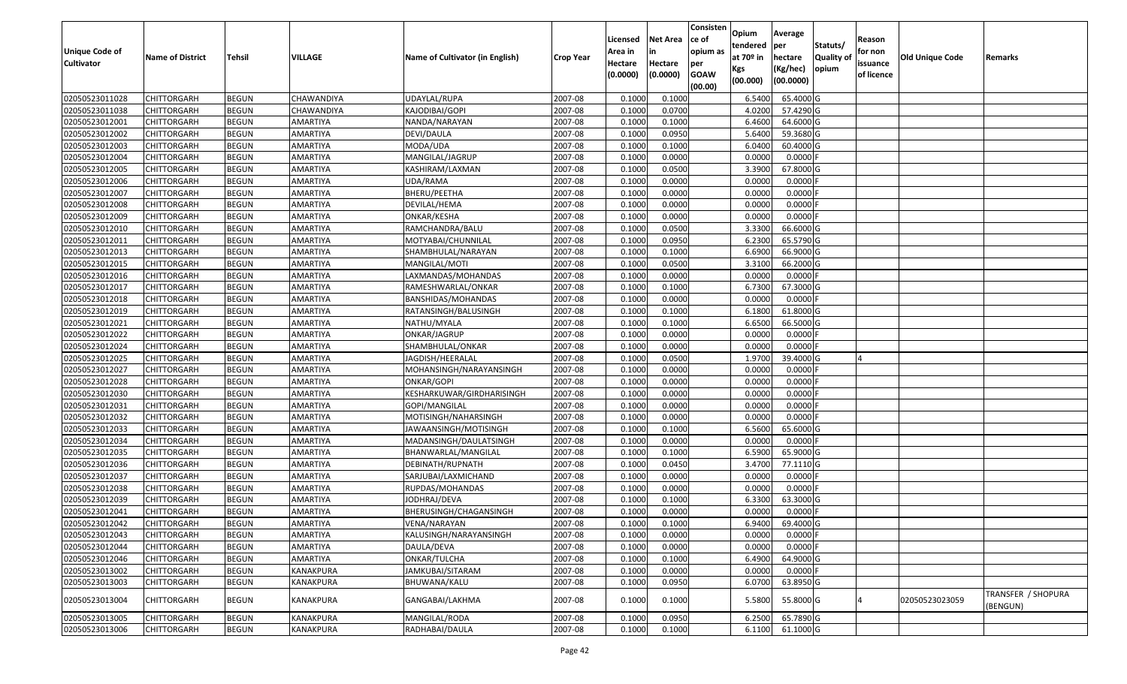| <b>Unique Code of</b><br><b>Cultivator</b> | <b>Name of District</b> | <b>Tehsil</b> | VILLAGE         | Name of Cultivator (in English) | <b>Crop Year</b> | Licensed<br>Area in<br>Hectare<br>(0.0000) | <b>Net Area</b><br>in<br>Hectare<br>(0.0000) | Consisten<br>ce of<br>opium as<br>per<br><b>GOAW</b><br>(00.00) | Opium<br>tendered<br>at $70°$ in<br>Kgs<br>(00.000) | Average<br>per<br>hectare<br>(Kg/hec)<br>(00.0000) | Statuts/<br>Quality of<br>opium | Reason<br>for non<br>issuance<br>of licence | <b>Old Unique Code</b> | Remarks                        |
|--------------------------------------------|-------------------------|---------------|-----------------|---------------------------------|------------------|--------------------------------------------|----------------------------------------------|-----------------------------------------------------------------|-----------------------------------------------------|----------------------------------------------------|---------------------------------|---------------------------------------------|------------------------|--------------------------------|
| 02050523011028                             | <b>CHITTORGARH</b>      | <b>BEGUN</b>  | CHAWANDIYA      | UDAYLAL/RUPA                    | 2007-08          | 0.1000                                     | 0.1000                                       |                                                                 | 6.5400                                              | 65.4000 G                                          |                                 |                                             |                        |                                |
| 02050523011038                             | CHITTORGARH             | <b>BEGUN</b>  | CHAWANDIYA      | KAJODIBAI/GOPI                  | 2007-08          | 0.1000                                     | 0.0700                                       |                                                                 | 4.0200                                              | 57.4290 G                                          |                                 |                                             |                        |                                |
| 02050523012001                             | CHITTORGARH             | <b>BEGUN</b>  | AMARTIYA        | NANDA/NARAYAN                   | 2007-08          | 0.1000                                     | 0.1000                                       |                                                                 | 6.4600                                              | 64.6000 G                                          |                                 |                                             |                        |                                |
| 02050523012002                             | <b>CHITTORGARH</b>      | <b>BEGUN</b>  | AMARTIYA        | DEVI/DAULA                      | 2007-08          | 0.1000                                     | 0.0950                                       |                                                                 | 5.6400                                              | 59.3680 G                                          |                                 |                                             |                        |                                |
| 02050523012003                             | <b>CHITTORGARH</b>      | <b>BEGUN</b>  | AMARTIYA        | MODA/UDA                        | 2007-08          | 0.1000                                     | 0.1000                                       |                                                                 | 6.0400                                              | 60.4000 G                                          |                                 |                                             |                        |                                |
| 02050523012004                             | CHITTORGARH             | <b>BEGUN</b>  | AMARTIYA        | MANGILAL/JAGRUP                 | 2007-08          | 0.1000                                     | 0.0000                                       |                                                                 | 0.0000                                              | $0.0000$ F                                         |                                 |                                             |                        |                                |
| 02050523012005                             | CHITTORGARH             | <b>BEGUN</b>  | AMARTIYA        | KASHIRAM/LAXMAN                 | 2007-08          | 0.1000                                     | 0.0500                                       |                                                                 | 3.3900                                              | 67.8000 G                                          |                                 |                                             |                        |                                |
| 02050523012006                             | CHITTORGARH             | <b>BEGUN</b>  | AMARTIYA        | UDA/RAMA                        | 2007-08          | 0.1000                                     | 0.0000                                       |                                                                 | 0.0000                                              | 0.0000F                                            |                                 |                                             |                        |                                |
| 02050523012007                             | CHITTORGARH             | <b>BEGUN</b>  | AMARTIYA        | BHERU/PEETHA                    | 2007-08          | 0.1000                                     | 0.0000                                       |                                                                 | 0.0000                                              | 0.0000                                             |                                 |                                             |                        |                                |
| 02050523012008                             | CHITTORGARH             | <b>BEGUN</b>  | AMARTIYA        | DEVILAL/HEMA                    | 2007-08          | 0.1000                                     | 0.0000                                       |                                                                 | 0.0000                                              | 0.0000                                             |                                 |                                             |                        |                                |
| 02050523012009                             | CHITTORGARH             | <b>BEGUN</b>  | AMARTIYA        | ONKAR/KESHA                     | 2007-08          | 0.1000                                     | 0.0000                                       |                                                                 | 0.0000                                              | 0.0000F                                            |                                 |                                             |                        |                                |
| 02050523012010                             | CHITTORGARH             | <b>BEGUN</b>  | AMARTIYA        | RAMCHANDRA/BALU                 | 2007-08          | 0.1000                                     | 0.0500                                       |                                                                 | 3.3300                                              | 66.6000 G                                          |                                 |                                             |                        |                                |
| 02050523012011                             | CHITTORGARH             | <b>BEGUN</b>  | <b>AMARTIYA</b> | MOTYABAI/CHUNNILAL              | 2007-08          | 0.1000                                     | 0.0950                                       |                                                                 | 6.2300                                              | 65.5790 G                                          |                                 |                                             |                        |                                |
| 02050523012013                             | CHITTORGARH             | <b>BEGUN</b>  | AMARTIYA        | SHAMBHULAL/NARAYAN              | 2007-08          | 0.1000                                     | 0.1000                                       |                                                                 | 6.6900                                              | 66.9000 G                                          |                                 |                                             |                        |                                |
| 02050523012015                             | CHITTORGARH             | <b>BEGUN</b>  | AMARTIYA        | MANGILAL/MOTI                   | 2007-08          | 0.1000                                     | 0.0500                                       |                                                                 | 3.3100                                              | 66.2000 G                                          |                                 |                                             |                        |                                |
| 02050523012016                             | CHITTORGARH             | <b>BEGUN</b>  | AMARTIYA        | LAXMANDAS/MOHANDAS              | 2007-08          | 0.1000                                     | 0.0000                                       |                                                                 | 0.0000                                              | 0.0000                                             |                                 |                                             |                        |                                |
| 02050523012017                             | CHITTORGARH             | <b>BEGUN</b>  | <b>AMARTIYA</b> | RAMESHWARLAL/ONKAR              | 2007-08          | 0.1000                                     | 0.1000                                       |                                                                 | 6.7300                                              | 67.3000 G                                          |                                 |                                             |                        |                                |
| 02050523012018                             | CHITTORGARH             | <b>BEGUN</b>  | AMARTIYA        | BANSHIDAS/MOHANDAS              | 2007-08          | 0.1000                                     | 0.0000                                       |                                                                 | 0.0000                                              | 0.0000                                             |                                 |                                             |                        |                                |
| 02050523012019                             | <b>CHITTORGARH</b>      | <b>BEGUN</b>  | <b>AMARTIYA</b> | RATANSINGH/BALUSINGH            | 2007-08          | 0.1000                                     | 0.1000                                       |                                                                 | 6.1800                                              | 61.8000 G                                          |                                 |                                             |                        |                                |
| 02050523012021                             | CHITTORGARH             | <b>BEGUN</b>  | AMARTIYA        | NATHU/MYALA                     | 2007-08          | 0.1000                                     | 0.1000                                       |                                                                 | 6.6500                                              | 66.5000 G                                          |                                 |                                             |                        |                                |
| 02050523012022                             | <b>CHITTORGARH</b>      | <b>BEGUN</b>  | AMARTIYA        | ONKAR/JAGRUP                    | 2007-08          | 0.1000                                     | 0.0000                                       |                                                                 | 0.0000                                              | 0.0000F                                            |                                 |                                             |                        |                                |
| 02050523012024                             | CHITTORGARH             | <b>BEGUN</b>  | AMARTIYA        | SHAMBHULAL/ONKAR                | 2007-08          | 0.1000                                     | 0.0000                                       |                                                                 | 0.0000                                              | 0.0000                                             |                                 |                                             |                        |                                |
| 02050523012025                             | CHITTORGARH             | <b>BEGUN</b>  | AMARTIYA        | JAGDISH/HEERALAL                | 2007-08          | 0.1000                                     | 0.0500                                       |                                                                 | 1.9700                                              | 39.4000 G                                          |                                 |                                             |                        |                                |
| 02050523012027                             | CHITTORGARH             | <b>BEGUN</b>  | AMARTIYA        | MOHANSINGH/NARAYANSINGH         | 2007-08          | 0.1000                                     | 0.0000                                       |                                                                 | 0.0000                                              | 0.0000                                             |                                 |                                             |                        |                                |
| 02050523012028                             | CHITTORGARH             | <b>BEGUN</b>  | AMARTIYA        | <b>ONKAR/GOPI</b>               | 2007-08          | 0.1000                                     | 0.0000                                       |                                                                 | 0.0000                                              | 0.0000                                             |                                 |                                             |                        |                                |
| 02050523012030                             | CHITTORGARH             | <b>BEGUN</b>  | AMARTIYA        | KESHARKUWAR/GIRDHARISINGH       | 2007-08          | 0.1000                                     | 0.0000                                       |                                                                 | 0.0000                                              | 0.0000                                             |                                 |                                             |                        |                                |
| 02050523012031                             | CHITTORGARH             | <b>BEGUN</b>  | AMARTIYA        | GOPI/MANGILAL                   | 2007-08          | 0.1000                                     | 0.0000                                       |                                                                 | 0.0000                                              | 0.0000F                                            |                                 |                                             |                        |                                |
| 02050523012032                             | CHITTORGARH             | <b>BEGUN</b>  | AMARTIYA        | MOTISINGH/NAHARSINGH            | 2007-08          | 0.1000                                     | 0.0000                                       |                                                                 | 0.0000                                              | 0.0000                                             |                                 |                                             |                        |                                |
| 02050523012033                             | <b>CHITTORGARH</b>      | <b>BEGUN</b>  | AMARTIYA        | JAWAANSINGH/MOTISINGH           | 2007-08          | 0.1000                                     | 0.1000                                       |                                                                 | 6.5600                                              | 65.6000 G                                          |                                 |                                             |                        |                                |
| 02050523012034                             | <b>CHITTORGARH</b>      | <b>BEGUN</b>  | AMARTIYA        | MADANSINGH/DAULATSINGH          | 2007-08          | 0.1000                                     | 0.0000                                       |                                                                 | 0.0000                                              | $0.0000$ F                                         |                                 |                                             |                        |                                |
| 02050523012035                             | CHITTORGARH             | <b>BEGUN</b>  | AMARTIYA        | BHANWARLAL/MANGILAL             | 2007-08          | 0.1000                                     | 0.1000                                       |                                                                 | 6.5900                                              | 65.9000 G                                          |                                 |                                             |                        |                                |
| 02050523012036                             | CHITTORGARH             | <b>BEGUN</b>  | AMARTIYA        | DEBINATH/RUPNATH                | 2007-08          | 0.1000                                     | 0.0450                                       |                                                                 | 3.4700                                              | 77.1110G                                           |                                 |                                             |                        |                                |
| 02050523012037                             | CHITTORGARH             | <b>BEGUN</b>  | AMARTIYA        | SARJUBAI/LAXMICHAND             | 2007-08          | 0.1000                                     | 0.0000                                       |                                                                 | 0.0000                                              | 0.0000                                             |                                 |                                             |                        |                                |
| 02050523012038                             | CHITTORGARH             | <b>BEGUN</b>  | AMARTIYA        | RUPDAS/MOHANDAS                 | 2007-08          | 0.1000                                     | 0.0000                                       |                                                                 | 0.0000                                              | 0.0000F                                            |                                 |                                             |                        |                                |
| 02050523012039                             | CHITTORGARH             | <b>BEGUN</b>  | AMARTIYA        | IODHRAJ/DEVA                    | 2007-08          | 0.100                                      | 0.1000                                       |                                                                 | 6.3300                                              | 63.3000 G                                          |                                 |                                             |                        |                                |
| 02050523012041                             | CHITTORGARH             | <b>BEGUN</b>  | AMARTIYA        | BHERUSINGH/CHAGANSINGH          | 2007-08          | 0.1000                                     | 0.0000                                       |                                                                 | 0.0000                                              | $0.0000$ F                                         |                                 |                                             |                        |                                |
| 02050523012042                             | <b>CHITTORGARH</b>      | <b>BEGUN</b>  | <b>AMARTIYA</b> | VENA/NARAYAN                    | 2007-08          | 0.1000                                     | 0.1000                                       |                                                                 | 6.9400                                              | 69.4000 G                                          |                                 |                                             |                        |                                |
| 02050523012043                             | <b>CHITTORGARH</b>      | <b>BEGUN</b>  | AMARTIYA        | KALUSINGH/NARAYANSINGH          | 2007-08          | 0.1000                                     | 0.0000                                       |                                                                 | 0.0000                                              | $0.0000$ F                                         |                                 |                                             |                        |                                |
| 02050523012044                             | <b>CHITTORGARH</b>      | <b>BEGUN</b>  | AMARTIYA        | DAULA/DEVA                      | 2007-08          | 0.1000                                     | 0.0000                                       |                                                                 | 0.0000                                              | $0.0000$ F                                         |                                 |                                             |                        |                                |
| 02050523012046                             | CHITTORGARH             | <b>BEGUN</b>  | AMARTIYA        | ONKAR/TULCHA                    | 2007-08          | 0.1000                                     | 0.1000                                       |                                                                 | 6.4900                                              | 64.9000 G                                          |                                 |                                             |                        |                                |
| 02050523013002                             | <b>CHITTORGARH</b>      | <b>BEGUN</b>  | KANAKPURA       | JAMKUBAI/SITARAM                | 2007-08          | 0.1000                                     | 0.0000                                       |                                                                 | 0.0000                                              | $0.0000$ F                                         |                                 |                                             |                        |                                |
| 02050523013003                             | <b>CHITTORGARH</b>      | <b>BEGUN</b>  | KANAKPURA       | BHUWANA/KALU                    | 2007-08          | 0.1000                                     | 0.0950                                       |                                                                 | 6.0700                                              | 63.8950 G                                          |                                 |                                             |                        |                                |
| 02050523013004                             | <b>CHITTORGARH</b>      | <b>BEGUN</b>  | KANAKPURA       | GANGABAI/LAKHMA                 | 2007-08          | 0.1000                                     | 0.1000                                       |                                                                 | 5.5800                                              | 55.8000 G                                          |                                 |                                             | 02050523023059         | TRANSFER / SHOPURA<br>(BENGUN) |
| 02050523013005                             | CHITTORGARH             | <b>BEGUN</b>  | KANAKPURA       | MANGILAL/RODA                   | 2007-08          | 0.1000                                     | 0.0950                                       |                                                                 | 6.2500                                              | 65.7890 G                                          |                                 |                                             |                        |                                |
| 02050523013006                             | <b>CHITTORGARH</b>      | <b>BEGUN</b>  | KANAKPURA       | RADHABAI/DAULA                  | 2007-08          | 0.1000                                     | 0.1000                                       |                                                                 | 6.1100                                              | 61.1000 G                                          |                                 |                                             |                        |                                |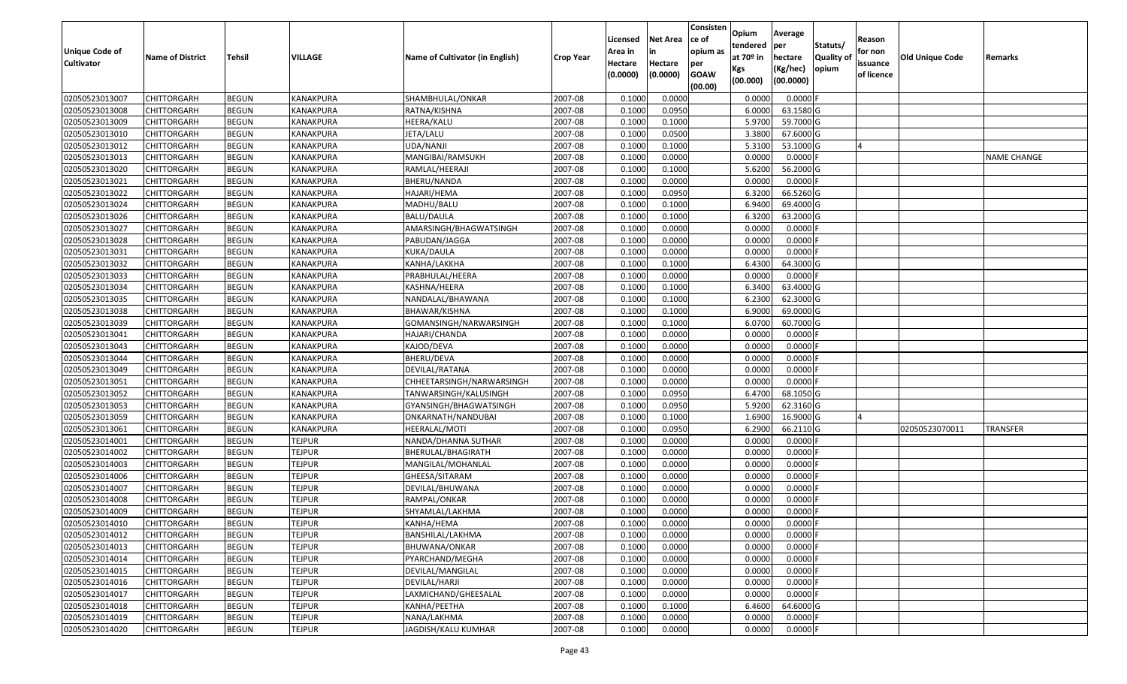| Unique Code of    | <b>Name of District</b> | <b>Tehsil</b> | VILLAGE          | Name of Cultivator (in English) | <b>Crop Year</b> | Licensed<br>Area in | <b>Net Area</b><br>in | Consisten<br>ce of<br>opium as | Opium<br>tendered<br>at $70°$ in | Average<br>per<br>hectare | Statuts/<br><b>Quality o</b> | Reason<br>for non      | <b>Old Unique Code</b> | Remarks            |
|-------------------|-------------------------|---------------|------------------|---------------------------------|------------------|---------------------|-----------------------|--------------------------------|----------------------------------|---------------------------|------------------------------|------------------------|------------------------|--------------------|
| <b>Cultivator</b> |                         |               |                  |                                 |                  | Hectare<br>(0.0000) | Hectare<br>(0.0000)   | per<br><b>GOAW</b><br>(00.00)  | Kgs<br>(00.000)                  | (Kg/hec)<br>(00.0000)     | opium                        | issuance<br>of licence |                        |                    |
| 02050523013007    | CHITTORGARH             | <b>BEGUN</b>  | <b>KANAKPURA</b> | SHAMBHULAL/ONKAR                | 2007-08          | 0.1000              | 0.0000                |                                | 0.0000                           | 0.0000F                   |                              |                        |                        |                    |
| 02050523013008    | CHITTORGARH             | <b>BEGUN</b>  | KANAKPURA        | RATNA/KISHNA                    | 2007-08          | 0.1000              | 0.0950                |                                | 6.0000                           | 63.1580 G                 |                              |                        |                        |                    |
| 02050523013009    | CHITTORGARH             | <b>BEGUN</b>  | KANAKPURA        | HEERA/KALU                      | 2007-08          | 0.1000              | 0.1000                |                                | 5.9700                           | 59.7000G                  |                              |                        |                        |                    |
| 02050523013010    | <b>CHITTORGARH</b>      | <b>BEGUN</b>  | KANAKPURA        | JETA/LALU                       | 2007-08          | 0.1000              | 0.0500                |                                | 3.3800                           | 67.6000G                  |                              |                        |                        |                    |
| 02050523013012    | CHITTORGARH             | <b>BEGUN</b>  | <b>KANAKPURA</b> | UDA/NANJI                       | 2007-08          | 0.1000              | 0.1000                |                                | 5.3100                           | 53.1000G                  |                              |                        |                        |                    |
| 02050523013013    | CHITTORGARH             | <b>BEGUN</b>  | KANAKPURA        | MANGIBAI/RAMSUKH                | 2007-08          | 0.1000              | 0.0000                |                                | 0.0000                           | $0.0000$ F                |                              |                        |                        | <b>NAME CHANGE</b> |
| 02050523013020    | CHITTORGARH             | <b>BEGUN</b>  | KANAKPURA        | RAMLAL/HEERAJI                  | 2007-08          | 0.1000              | 0.1000                |                                | 5.6200                           | 56.2000 G                 |                              |                        |                        |                    |
| 02050523013021    | CHITTORGARH             | <b>BEGUN</b>  | <b>KANAKPURA</b> | BHERU/NANDA                     | 2007-08          | 0.1000              | 0.0000                |                                | 0.0000                           | $0.0000$ F                |                              |                        |                        |                    |
| 02050523013022    | CHITTORGARH             | <b>BEGUN</b>  | KANAKPURA        | HAJARI/HEMA                     | 2007-08          | 0.1000              | 0.0950                |                                | 6.3200                           | 66.5260 G                 |                              |                        |                        |                    |
| 02050523013024    | CHITTORGARH             | <b>BEGUN</b>  | KANAKPURA        | MADHU/BALU                      | 2007-08          | 0.1000              | 0.1000                |                                | 6.9400                           | 69.4000 G                 |                              |                        |                        |                    |
| 02050523013026    | CHITTORGARH             | <b>BEGUN</b>  | KANAKPURA        | BALU/DAULA                      | 2007-08          | 0.1000              | 0.1000                |                                | 6.3200                           | 63.2000 G                 |                              |                        |                        |                    |
| 02050523013027    | CHITTORGARH             | <b>BEGUN</b>  | <b>KANAKPURA</b> | AMARSINGH/BHAGWATSINGH          | 2007-08          | 0.1000              | 0.0000                |                                | 0.0000                           | 0.0000F                   |                              |                        |                        |                    |
| 02050523013028    | <b>CHITTORGARH</b>      | <b>BEGUN</b>  | <b>KANAKPURA</b> | PABUDAN/JAGGA                   | 2007-08          | 0.1000              | 0.0000                |                                | 0.0000                           | 0.0000F                   |                              |                        |                        |                    |
| 02050523013031    | <b>CHITTORGARH</b>      | <b>BEGUN</b>  | KANAKPURA        | KUKA/DAULA                      | 2007-08          | 0.1000              | 0.0000                |                                | 0.0000                           | 0.0000F                   |                              |                        |                        |                    |
| 02050523013032    | <b>CHITTORGARH</b>      | <b>BEGUN</b>  | KANAKPURA        | KANHA/LAKKHA                    | 2007-08          | 0.1000              | 0.1000                |                                | 6.4300                           | 64.3000 G                 |                              |                        |                        |                    |
| 02050523013033    | CHITTORGARH             | <b>BEGUN</b>  | KANAKPURA        | PRABHULAL/HEERA                 | 2007-08          | 0.1000              | 0.0000                |                                | 0.0000                           | 0.0000F                   |                              |                        |                        |                    |
| 02050523013034    | CHITTORGARH             | <b>BEGUN</b>  | KANAKPURA        | KASHNA/HEERA                    | 2007-08          | 0.1000              | 0.1000                |                                | 6.3400                           | 63.4000 G                 |                              |                        |                        |                    |
| 02050523013035    | CHITTORGARH             | <b>BEGUN</b>  | KANAKPURA        | NANDALAL/BHAWANA                | 2007-08          | 0.1000              | 0.1000                |                                | 6.2300                           | 62.3000G                  |                              |                        |                        |                    |
| 02050523013038    | CHITTORGARH             | <b>BEGUN</b>  | KANAKPURA        | BHAWAR/KISHNA                   | 2007-08          | 0.1000              | 0.1000                |                                | 6.9000                           | 69.0000G                  |                              |                        |                        |                    |
| 02050523013039    | CHITTORGARH             | <b>BEGUN</b>  | KANAKPURA        | GOMANSINGH/NARWARSINGH          | 2007-08          | 0.1000              | 0.1000                |                                | 6.0700                           | 60.7000 G                 |                              |                        |                        |                    |
| 02050523013041    | CHITTORGARH             | <b>BEGUN</b>  | <b>KANAKPURA</b> | HAJARI/CHANDA                   | 2007-08          | 0.1000              | 0.0000                |                                | 0.0000                           | 0.0000                    |                              |                        |                        |                    |
| 02050523013043    | CHITTORGARH             | <b>BEGUN</b>  | KANAKPURA        | KAJOD/DEVA                      | 2007-08          | 0.1000              | 0.0000                |                                | 0.0000                           | 0.0000                    |                              |                        |                        |                    |
| 02050523013044    | CHITTORGARH             | <b>BEGUN</b>  | KANAKPURA        | BHERU/DEVA                      | 2007-08          | 0.1000              | 0.0000                |                                | 0.0000                           | 0.0000                    |                              |                        |                        |                    |
| 02050523013049    | CHITTORGARH             | <b>BEGUN</b>  | KANAKPURA        | DEVILAL/RATANA                  | 2007-08          | 0.1000              | 0.0000                |                                | 0.0000                           | 0.0000                    |                              |                        |                        |                    |
| 02050523013051    | <b>CHITTORGARH</b>      | <b>BEGUN</b>  | KANAKPURA        | CHHEETARSINGH/NARWARSINGH       | 2007-08          | 0.1000              | 0.0000                |                                | 0.0000                           | 0.0000F                   |                              |                        |                        |                    |
| 02050523013052    | CHITTORGARH             | <b>BEGUN</b>  | KANAKPURA        | TANWARSINGH/KALUSINGH           | 2007-08          | 0.1000              | 0.0950                |                                | 6.4700                           | 68.1050 G                 |                              |                        |                        |                    |
| 02050523013053    | CHITTORGARH             | <b>BEGUN</b>  | KANAKPURA        | GYANSINGH/BHAGWATSINGH          | 2007-08          | 0.1000              | 0.0950                |                                | 5.9200                           | 62.3160 G                 |                              |                        |                        |                    |
| 02050523013059    | CHITTORGARH             | <b>BEGUN</b>  | KANAKPURA        | ONKARNATH/NANDUBAI              | 2007-08          | 0.1000              | 0.1000                |                                | 1.6900                           | 16.9000G                  |                              |                        |                        |                    |
| 02050523013061    | CHITTORGARH             | <b>BEGUN</b>  | <b>KANAKPURA</b> | HEERALAL/MOTI                   | 2007-08          | 0.1000              | 0.0950                |                                | 6.2900                           | 66.2110 G                 |                              |                        | 02050523070011         | <b>TRANSFER</b>    |
| 02050523014001    | CHITTORGARH             | <b>BEGUN</b>  | <b>TEJPUR</b>    | NANDA/DHANNA SUTHAR             | 2007-08          | 0.1000              | 0.0000                |                                | 0.0000                           | 0.0000                    |                              |                        |                        |                    |
| 02050523014002    | CHITTORGARH             | <b>BEGUN</b>  | <b>TEJPUR</b>    | BHERULAL/BHAGIRATH              | 2007-08          | 0.1000              | 0.0000                |                                | 0.0000                           | 0.0000                    |                              |                        |                        |                    |
| 02050523014003    | CHITTORGARH             | <b>BEGUN</b>  | <b>TEJPUR</b>    | MANGILAL/MOHANLAL               | 2007-08          | 0.1000              | 0.0000                |                                | 0.0000                           | 0.0000                    |                              |                        |                        |                    |
| 02050523014006    | CHITTORGARH             | <b>BEGUN</b>  | <b>TEJPUR</b>    | GHEESA/SITARAM                  | 2007-08          | 0.1000              | 0.0000                |                                | 0.0000                           | 0.0000F                   |                              |                        |                        |                    |
| 02050523014007    | CHITTORGARH             | <b>BEGUN</b>  | <b>TEJPUR</b>    | DEVILAL/BHUWANA                 | 2007-08          | 0.1000              | 0.0000                |                                | 0.0000                           | 0.0000                    |                              |                        |                        |                    |
| 02050523014008    | CHITTORGARH             | <b>BEGUN</b>  | <b>TEJPUR</b>    | RAMPAL/ONKAR                    | 2007-08          | 0.1000              | 0.0000                |                                | 0.0000                           | 0.0000                    |                              |                        |                        |                    |
| 02050523014009    | CHITTORGARH             | <b>BEGUN</b>  | <b>TEJPUR</b>    | SHYAMLAL/LAKHMA                 | 2007-08          | 0.1000              | 0.0000                |                                | 0.0000                           | 0.0000                    |                              |                        |                        |                    |
| 02050523014010    | <b>CHITTORGARH</b>      | <b>BEGUN</b>  | <b>TEJPUR</b>    | KANHA/HEMA                      | 2007-08          | 0.1000              | 0.0000                |                                | 0.0000                           | 0.0000 F                  |                              |                        |                        |                    |
| 02050523014012    | <b>CHITTORGARH</b>      | <b>BEGUN</b>  | <b>TEJPUR</b>    | BANSHILAL/LAKHMA                | 2007-08          | 0.1000              | 0.0000                |                                | 0.0000                           | $0.0000$ F                |                              |                        |                        |                    |
| 02050523014013    | <b>CHITTORGARH</b>      | <b>BEGUN</b>  | <b>TEJPUR</b>    | BHUWANA/ONKAR                   | 2007-08          | 0.1000              | 0.0000                |                                | 0.0000                           | 0.0000F                   |                              |                        |                        |                    |
| 02050523014014    | <b>CHITTORGARH</b>      | <b>BEGUN</b>  | <b>TEJPUR</b>    | PYARCHAND/MEGHA                 | 2007-08          | 0.1000              | 0.0000                |                                | 0.0000                           | $0.0000$ F                |                              |                        |                        |                    |
| 02050523014015    | <b>CHITTORGARH</b>      | <b>BEGUN</b>  | <b>TEJPUR</b>    | DEVILAL/MANGILAL                | 2007-08          | 0.1000              | 0.0000                |                                | 0.0000                           | 0.0000F                   |                              |                        |                        |                    |
| 02050523014016    | <b>CHITTORGARH</b>      | <b>BEGUN</b>  | <b>TEJPUR</b>    | DEVILAL/HARJI                   | 2007-08          | 0.1000              | 0.0000                |                                | 0.0000                           | 0.0000                    |                              |                        |                        |                    |
| 02050523014017    | <b>CHITTORGARH</b>      | <b>BEGUN</b>  | <b>TEJPUR</b>    | LAXMICHAND/GHEESALAL            | 2007-08          | 0.1000              | 0.0000                |                                | 0.0000                           | 0.0000                    |                              |                        |                        |                    |
| 02050523014018    | CHITTORGARH             | <b>BEGUN</b>  | <b>TEJPUR</b>    | KANHA/PEETHA                    | 2007-08          | 0.1000              | 0.1000                |                                | 6.4600                           | 64.6000 G                 |                              |                        |                        |                    |
| 02050523014019    | CHITTORGARH             | <b>BEGUN</b>  | <b>TEJPUR</b>    | NANA/LAKHMA                     | 2007-08          | 0.1000              | 0.0000                |                                | 0.0000                           | 0.0000                    |                              |                        |                        |                    |
| 02050523014020    | <b>CHITTORGARH</b>      | <b>BEGUN</b>  | <b>TEJPUR</b>    | JAGDISH/KALU KUMHAR             | 2007-08          | 0.1000              | 0.0000                |                                | 0.0000                           | $0.0000$ F                |                              |                        |                        |                    |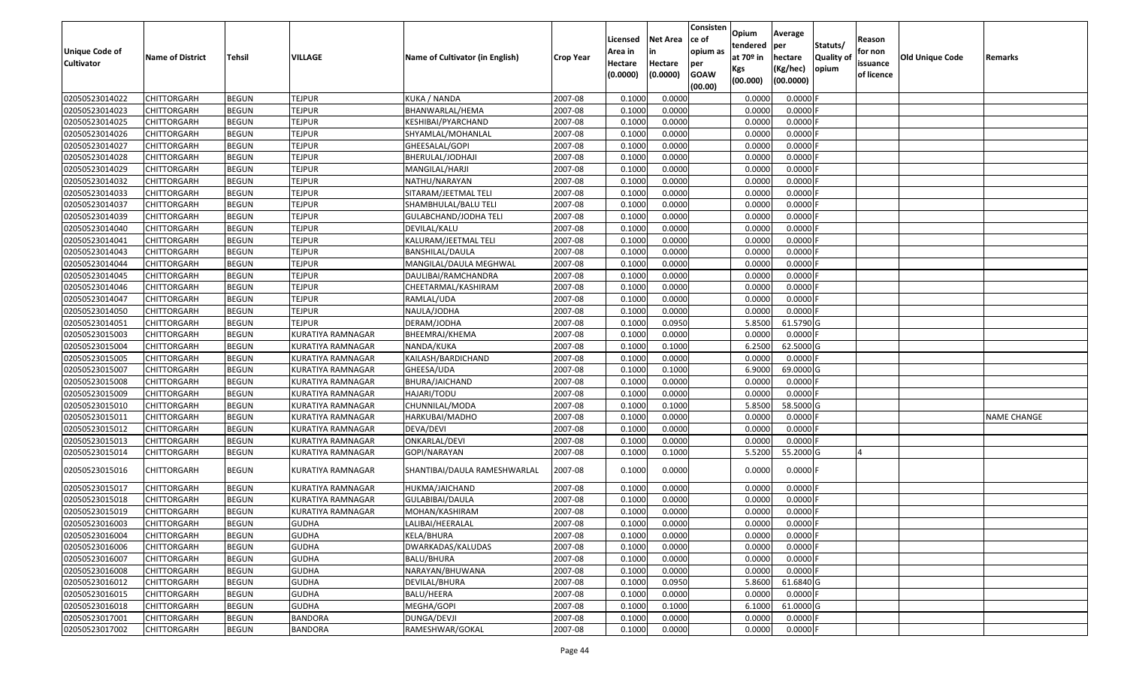| <b>Unique Code of</b><br><b>Cultivator</b> | <b>Name of District</b> | <b>Tehsil</b> | VILLAGE                  | Name of Cultivator (in English) | <b>Crop Year</b> | Licensed<br>Area in<br>Hectare<br>(0.0000) | <b>Net Area</b><br>in<br>Hectare<br>(0.0000) | Consisten<br>ce of<br>opium as<br>per<br><b>GOAW</b><br>(00.00) | Opium<br>tendered<br>at $70°$ in<br>Kgs<br>(00.000) | Average<br><b>per</b><br>hectare<br>(Kg/hec)<br>(00.0000) | Statuts/<br>Quality of<br>opium | Reason<br>for non<br>issuance<br>of licence | <b>Old Unique Code</b> | Remarks            |
|--------------------------------------------|-------------------------|---------------|--------------------------|---------------------------------|------------------|--------------------------------------------|----------------------------------------------|-----------------------------------------------------------------|-----------------------------------------------------|-----------------------------------------------------------|---------------------------------|---------------------------------------------|------------------------|--------------------|
| 02050523014022                             | CHITTORGARH             | <b>BEGUN</b>  | <b>TEJPUR</b>            | KUKA / NANDA                    | 2007-08          | 0.1000                                     | 0.0000                                       |                                                                 | 0.0000                                              | 0.0000                                                    |                                 |                                             |                        |                    |
| 02050523014023                             | CHITTORGARH             | <b>BEGUN</b>  | <b>TEJPUR</b>            | BHANWARLAL/HEMA                 | 2007-08          | 0.1000                                     | 0.0000                                       |                                                                 | 0.0000                                              | 0.0000                                                    |                                 |                                             |                        |                    |
| 02050523014025                             | CHITTORGARH             | <b>BEGUN</b>  | <b>TEJPUR</b>            | KESHIBAI/PYARCHAND              | 2007-08          | 0.1000                                     | 0.0000                                       |                                                                 | 0.0000                                              | 0.0000                                                    |                                 |                                             |                        |                    |
| 02050523014026                             | CHITTORGARH             | <b>BEGUN</b>  | <b>TEJPUR</b>            | SHYAMLAL/MOHANLAL               | 2007-08          | 0.1000                                     | 0.0000                                       |                                                                 | 0.0000                                              | 0.0000                                                    |                                 |                                             |                        |                    |
| 02050523014027                             | CHITTORGARH             | <b>BEGUN</b>  | <b>TEJPUR</b>            | GHEESALAL/GOPI                  | 2007-08          | 0.1000                                     | 0.0000                                       |                                                                 | 0.0000                                              | 0.0000                                                    |                                 |                                             |                        |                    |
| 02050523014028                             | CHITTORGARH             | <b>BEGUN</b>  | <b>TEJPUR</b>            | BHERULAL/JODHAJI                | 2007-08          | 0.1000                                     | 0.0000                                       |                                                                 | 0.0000                                              | 0.0000                                                    |                                 |                                             |                        |                    |
| 02050523014029                             | CHITTORGARH             | <b>BEGUN</b>  | <b>TEJPUR</b>            | MANGILAL/HARJI                  | 2007-08          | 0.1000                                     | 0.0000                                       |                                                                 | 0.0000                                              | 0.0000                                                    |                                 |                                             |                        |                    |
| 02050523014032                             | CHITTORGARH             | <b>BEGUN</b>  | <b>TEJPUR</b>            | NATHU/NARAYAN                   | 2007-08          | 0.1000                                     | 0.0000                                       |                                                                 | 0.0000                                              | 0.0000F                                                   |                                 |                                             |                        |                    |
| 02050523014033                             | CHITTORGARH             | <b>BEGUN</b>  | <b>TEJPUR</b>            | SITARAM/JEETMAL TELI            | 2007-08          | 0.1000                                     | 0.0000                                       |                                                                 | 0.0000                                              | 0.0000                                                    |                                 |                                             |                        |                    |
| 02050523014037                             | CHITTORGARH             | <b>BEGUN</b>  | <b>TEJPUR</b>            | SHAMBHULAL/BALU TELI            | 2007-08          | 0.1000                                     | 0.0000                                       |                                                                 | 0.0000                                              | 0.0000F                                                   |                                 |                                             |                        |                    |
| 02050523014039                             | CHITTORGARH             | <b>BEGUN</b>  | <b>TEJPUR</b>            | <b>GULABCHAND/JODHA TELI</b>    | 2007-08          | 0.1000                                     | 0.0000                                       |                                                                 | 0.0000                                              | 0.0000                                                    |                                 |                                             |                        |                    |
| 02050523014040                             | <b>CHITTORGARH</b>      | <b>BEGUN</b>  | <b>TEJPUR</b>            | DEVILAL/KALU                    | 2007-08          | 0.1000                                     | 0.0000                                       |                                                                 | 0.0000                                              | 0.0000                                                    |                                 |                                             |                        |                    |
| 02050523014041                             | CHITTORGARH             | <b>BEGUN</b>  | <b>TEJPUR</b>            | KALURAM/JEETMAL TELI            | 2007-08          | 0.1000                                     | 0.0000                                       |                                                                 | 0.0000                                              | 0.0000                                                    |                                 |                                             |                        |                    |
| 02050523014043                             | CHITTORGARH             | <b>BEGUN</b>  | <b>TEJPUR</b>            | BANSHILAL/DAULA                 | 2007-08          | 0.1000                                     | 0.0000                                       |                                                                 | 0.0000                                              | 0.0000                                                    |                                 |                                             |                        |                    |
| 02050523014044                             | CHITTORGARH             | <b>BEGUN</b>  | <b>TEJPUR</b>            | MANGILAL/DAULA MEGHWAL          | 2007-08          | 0.1000                                     | 0.0000                                       |                                                                 | 0.0000                                              | 0.0000                                                    |                                 |                                             |                        |                    |
| 02050523014045                             | <b>CHITTORGARH</b>      | <b>BEGUN</b>  | <b>TEJPUR</b>            | DAULIBAI/RAMCHANDRA             | 2007-08          | 0.1000                                     | 0.0000                                       |                                                                 | 0.0000                                              | 0.0000                                                    |                                 |                                             |                        |                    |
| 02050523014046                             | <b>CHITTORGARH</b>      | <b>BEGUN</b>  | <b>TEJPUR</b>            | CHEETARMAL/KASHIRAM             | 2007-08          | 0.1000                                     | 0.0000                                       |                                                                 | 0.0000                                              | 0.0000                                                    |                                 |                                             |                        |                    |
| 02050523014047                             | CHITTORGARH             | <b>BEGUN</b>  | <b>TEJPUR</b>            | RAMLAL/UDA                      | 2007-08          | 0.1000                                     | 0.0000                                       |                                                                 | 0.0000                                              | 0.0000F                                                   |                                 |                                             |                        |                    |
| 02050523014050                             | <b>CHITTORGARH</b>      | <b>BEGUN</b>  | <b>TEJPUR</b>            | NAULA/JODHA                     | 2007-08          | 0.1000                                     | 0.0000                                       |                                                                 | 0.0000                                              | $0.0000$ F                                                |                                 |                                             |                        |                    |
| 02050523014051                             | <b>CHITTORGARH</b>      | <b>BEGUN</b>  | <b>TEJPUR</b>            | DERAM/JODHA                     | 2007-08          | 0.1000                                     | 0.0950                                       |                                                                 | 5.8500                                              | 61.5790 G                                                 |                                 |                                             |                        |                    |
| 02050523015003                             | <b>CHITTORGARH</b>      | <b>BEGUN</b>  | <b>KURATIYA RAMNAGAR</b> | BHEEMRAJ/KHEMA                  | 2007-08          | 0.1000                                     | 0.0000                                       |                                                                 | 0.0000                                              | $0.0000$ F                                                |                                 |                                             |                        |                    |
| 02050523015004                             | CHITTORGARH             | <b>BEGUN</b>  | KURATIYA RAMNAGAR        | NANDA/KUKA                      | 2007-08          | 0.1000                                     | 0.1000                                       |                                                                 | 6.2500                                              | 62.5000 G                                                 |                                 |                                             |                        |                    |
| 02050523015005                             | <b>CHITTORGARH</b>      | <b>BEGUN</b>  | KURATIYA RAMNAGAR        | KAILASH/BARDICHAND              | 2007-08          | 0.1000                                     | 0.0000                                       |                                                                 | 0.0000                                              | $0.0000$ F                                                |                                 |                                             |                        |                    |
| 02050523015007                             | CHITTORGARH             | <b>BEGUN</b>  | KURATIYA RAMNAGAR        | GHEESA/UDA                      | 2007-08          | 0.1000                                     | 0.1000                                       |                                                                 | 6.9000                                              | 69.0000 G                                                 |                                 |                                             |                        |                    |
| 02050523015008                             | CHITTORGARH             | <b>BEGUN</b>  | KURATIYA RAMNAGAR        | BHURA/JAICHAND                  | 2007-08          | 0.1000                                     | 0.0000                                       |                                                                 | 0.0000                                              | 0.0000                                                    |                                 |                                             |                        |                    |
| 02050523015009                             | CHITTORGARH             | <b>BEGUN</b>  | KURATIYA RAMNAGAR        | HAJARI/TODU                     | 2007-08          | 0.1000                                     | 0.0000                                       |                                                                 | 0.0000                                              | 0.0000                                                    |                                 |                                             |                        |                    |
| 02050523015010                             | CHITTORGARH             | <b>BEGUN</b>  | KURATIYA RAMNAGAR        | CHUNNILAL/MODA                  | 2007-08          | 0.1000                                     | 0.1000                                       |                                                                 | 5.8500                                              | 58.5000G                                                  |                                 |                                             |                        |                    |
| 02050523015011                             | CHITTORGARH             | <b>BEGUN</b>  | KURATIYA RAMNAGAR        | HARKUBAI/MADHO                  | 2007-08          | 0.1000                                     | 0.0000                                       |                                                                 | 0.0000                                              | 0.0000                                                    |                                 |                                             |                        | <b>NAME CHANGE</b> |
| 02050523015012                             | CHITTORGARH             | <b>BEGUN</b>  | KURATIYA RAMNAGAR        | DEVA/DEVI                       | 2007-08          | 0.1000                                     | 0.0000                                       |                                                                 | 0.0000                                              | 0.0000                                                    |                                 |                                             |                        |                    |
| 02050523015013                             | CHITTORGARH             | <b>BEGUN</b>  | KURATIYA RAMNAGAR        | ONKARLAL/DEVI                   | 2007-08          | 0.1000                                     | 0.0000                                       |                                                                 | 0.0000                                              | 0.0000                                                    |                                 |                                             |                        |                    |
| 02050523015014                             | CHITTORGARH             | <b>BEGUN</b>  | KURATIYA RAMNAGAR        | GOPI/NARAYAN                    | 2007-08          | 0.1000                                     | 0.1000                                       |                                                                 | 5.5200                                              | 55.2000 G                                                 |                                 |                                             |                        |                    |
| 02050523015016                             | CHITTORGARH             | <b>BEGUN</b>  | KURATIYA RAMNAGAR        | SHANTIBAI/DAULA RAMESHWARLAL    | 2007-08          | 0.1000                                     | 0.0000                                       |                                                                 | 0.0000                                              | $0.0000$ F                                                |                                 |                                             |                        |                    |
| 02050523015017                             | CHITTORGARH             | <b>BEGUN</b>  | KURATIYA RAMNAGAR        | HUKMA/JAICHAND                  | 2007-08          | 0.1000                                     | 0.0000                                       |                                                                 | 0.0000                                              | 0.0000                                                    |                                 |                                             |                        |                    |
| 02050523015018                             | CHITTORGARH             | <b>BEGUN</b>  | KURATIYA RAMNAGAR        | GULABIBAI/DAULA                 | 2007-08          | 0.1000                                     | 0.0000                                       |                                                                 | 0.0000                                              | 0.0000                                                    |                                 |                                             |                        |                    |
| 02050523015019                             | CHITTORGARH             | <b>BEGUN</b>  | KURATIYA RAMNAGAR        | MOHAN/KASHIRAM                  | 2007-08          | 0.1000                                     | 0.0000                                       |                                                                 | 0.0000                                              | 0.0000                                                    |                                 |                                             |                        |                    |
| 02050523016003                             | <b>CHITTORGARH</b>      | <b>BEGUN</b>  | <b>GUDHA</b>             | LALIBAI/HEERALAL                | 2007-08          | 0.1000                                     | 0.0000                                       |                                                                 | 0.0000                                              | $0.0000$ F                                                |                                 |                                             |                        |                    |
| 02050523016004                             | <b>CHITTORGARH</b>      | <b>BEGUN</b>  | <b>GUDHA</b>             | KELA/BHURA                      | 2007-08          | 0.1000                                     | 0.0000                                       |                                                                 | 0.0000                                              | 0.0000F                                                   |                                 |                                             |                        |                    |
| 02050523016006                             | <b>CHITTORGARH</b>      | <b>BEGUN</b>  | <b>GUDHA</b>             | DWARKADAS/KALUDAS               | 2007-08          | 0.1000                                     | 0.0000                                       |                                                                 | 0.0000                                              | $0.0000$ F                                                |                                 |                                             |                        |                    |
| 02050523016007                             | <b>CHITTORGARH</b>      | <b>BEGUN</b>  | <b>GUDHA</b>             | BALU/BHURA                      | 2007-08          | 0.1000                                     | 0.0000                                       |                                                                 | 0.0000                                              | $0.0000$ F                                                |                                 |                                             |                        |                    |
| 02050523016008                             | CHITTORGARH             | <b>BEGUN</b>  | <b>GUDHA</b>             | NARAYAN/BHUWANA                 | 2007-08          | 0.1000                                     | 0.0000                                       |                                                                 | 0.0000                                              | $0.0000$ F                                                |                                 |                                             |                        |                    |
| 02050523016012                             | <b>CHITTORGARH</b>      | <b>BEGUN</b>  | <b>GUDHA</b>             | DEVILAL/BHURA                   | 2007-08          | 0.1000                                     | 0.0950                                       |                                                                 | 5.8600                                              | 61.6840 G                                                 |                                 |                                             |                        |                    |
| 02050523016015                             | <b>CHITTORGARH</b>      | <b>BEGUN</b>  | <b>GUDHA</b>             | BALU/HEERA                      | 2007-08          | 0.1000                                     | 0.0000                                       |                                                                 | 0.0000                                              | $0.0000$ F                                                |                                 |                                             |                        |                    |
| 02050523016018                             | <b>CHITTORGARH</b>      | <b>BEGUN</b>  | <b>GUDHA</b>             | MEGHA/GOPI                      | 2007-08          | 0.1000                                     | 0.1000                                       |                                                                 | 6.1000                                              | 61.0000G                                                  |                                 |                                             |                        |                    |
| 02050523017001                             | <b>CHITTORGARH</b>      | <b>BEGUN</b>  | <b>BANDORA</b>           | DUNGA/DEVJI                     | 2007-08          | 0.1000                                     | 0.0000                                       |                                                                 | 0.0000                                              | $0.0000$ F                                                |                                 |                                             |                        |                    |
| 02050523017002                             | <b>CHITTORGARH</b>      | <b>BEGUN</b>  | <b>BANDORA</b>           | RAMESHWAR/GOKAL                 | 2007-08          | 0.1000                                     | 0.0000                                       |                                                                 | 0.0000                                              | $0.0000$ F                                                |                                 |                                             |                        |                    |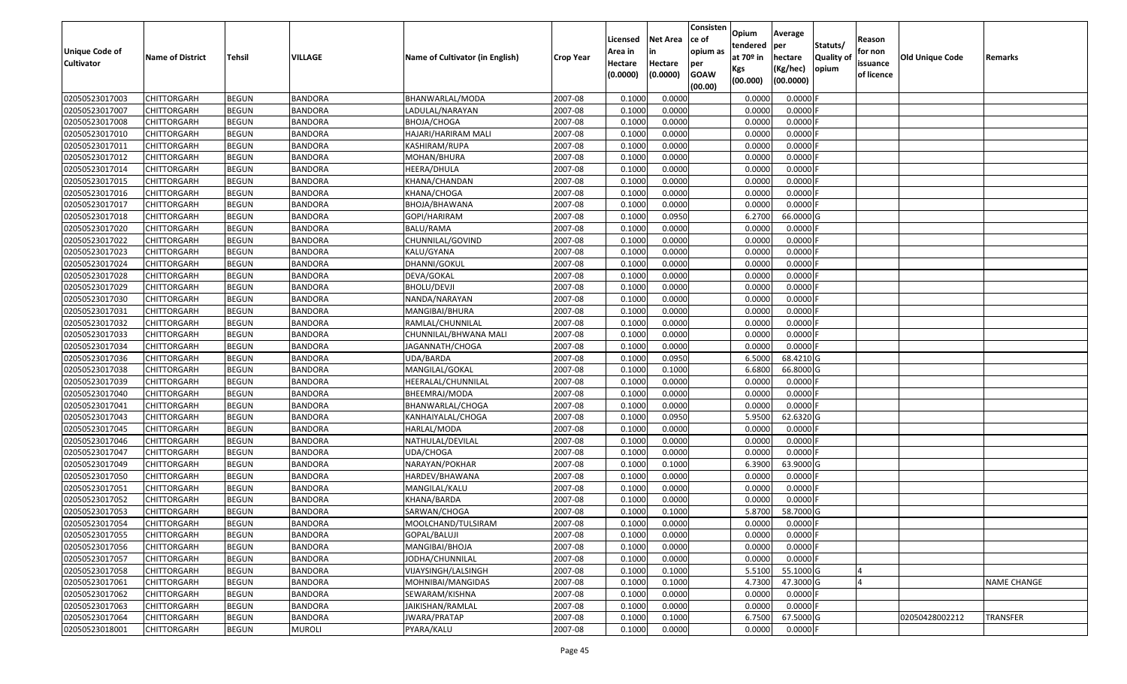| Unique Code of<br><b>Cultivator</b> | <b>Name of District</b> | <b>Tehsil</b> | <b>VILLAGE</b> | Name of Cultivator (in English) | <b>Crop Year</b> | Licensed<br>Area in<br>Hectare<br>(0.0000) | <b>Net Area</b><br>in<br>Hectare<br>(0.0000) | Consisten<br>ce of<br>opium as<br>per<br><b>GOAW</b> | Opium<br>tendered<br>at $70°$ in<br>Kgs | Average<br>per<br>hectare<br>(Kg/hec) | Statuts/<br><b>Quality o</b><br>opium | Reason<br>for non<br>issuance<br>of licence | <b>Old Unique Code</b> | Remarks            |
|-------------------------------------|-------------------------|---------------|----------------|---------------------------------|------------------|--------------------------------------------|----------------------------------------------|------------------------------------------------------|-----------------------------------------|---------------------------------------|---------------------------------------|---------------------------------------------|------------------------|--------------------|
|                                     |                         |               |                |                                 |                  |                                            |                                              | (00.00)                                              | (00.000)                                | (00.0000)                             |                                       |                                             |                        |                    |
| 02050523017003                      | CHITTORGARH             | <b>BEGUN</b>  | <b>BANDORA</b> | BHANWARLAL/MODA                 | 2007-08          | 0.1000                                     | 0.0000                                       |                                                      | 0.000                                   | 0.0000F                               |                                       |                                             |                        |                    |
| 02050523017007                      | CHITTORGARH             | <b>BEGUN</b>  | <b>BANDORA</b> | LADULAL/NARAYAN                 | 2007-08          | 0.1000                                     | 0.0000                                       |                                                      | 0.0000                                  | 0.0000F                               |                                       |                                             |                        |                    |
| 02050523017008                      | CHITTORGARH             | <b>BEGUN</b>  | <b>BANDORA</b> | BHOJA/CHOGA                     | 2007-08          | 0.1000                                     | 0.0000                                       |                                                      | 0.0000                                  | 0.0000                                |                                       |                                             |                        |                    |
| 02050523017010                      | <b>CHITTORGARH</b>      | <b>BEGUN</b>  | <b>BANDORA</b> | HAJARI/HARIRAM MALI             | 2007-08          | 0.1000                                     | 0.0000                                       |                                                      | 0.0000                                  | 0.0000                                |                                       |                                             |                        |                    |
| 02050523017011                      | CHITTORGARH             | <b>BEGUN</b>  | <b>BANDORA</b> | KASHIRAM/RUPA                   | 2007-08          | 0.1000                                     | 0.0000                                       |                                                      | 0.0000                                  | 0.0000                                |                                       |                                             |                        |                    |
| 02050523017012                      | CHITTORGARH             | <b>BEGUN</b>  | <b>BANDORA</b> | MOHAN/BHURA                     | 2007-08          | 0.1000                                     | 0.0000                                       |                                                      | 0.0000                                  | 0.0000                                |                                       |                                             |                        |                    |
| 02050523017014                      | CHITTORGARH             | <b>BEGUN</b>  | <b>BANDORA</b> | HEERA/DHULA                     | 2007-08          | 0.1000                                     | 0.0000                                       |                                                      | 0.0000                                  | 0.0000                                |                                       |                                             |                        |                    |
| 02050523017015                      | <b>CHITTORGARH</b>      | <b>BEGUN</b>  | <b>BANDORA</b> | KHANA/CHANDAN                   | 2007-08          | 0.1000                                     | 0.0000                                       |                                                      | 0.0000                                  | 0.0000                                |                                       |                                             |                        |                    |
| 02050523017016                      | CHITTORGARH             | <b>BEGUN</b>  | <b>BANDORA</b> | KHANA/CHOGA                     | 2007-08          | 0.1000                                     | 0.0000                                       |                                                      | 0.0000                                  | 0.0000                                |                                       |                                             |                        |                    |
| 02050523017017                      | CHITTORGARH             | <b>BEGUN</b>  | <b>BANDORA</b> | BHOJA/BHAWANA                   | 2007-08          | 0.1000                                     | 0.0000                                       |                                                      | 0.0000                                  | 0.0000F                               |                                       |                                             |                        |                    |
| 02050523017018                      | CHITTORGARH             | <b>BEGUN</b>  | <b>BANDORA</b> | GOPI/HARIRAM                    | 2007-08          | 0.1000                                     | 0.0950                                       |                                                      | 6.2700                                  | 66.0000 G                             |                                       |                                             |                        |                    |
| 02050523017020                      | <b>CHITTORGARH</b>      | <b>BEGUN</b>  | <b>BANDORA</b> | <b>BALU/RAMA</b>                | 2007-08          | 0.1000                                     | 0.0000                                       |                                                      | 0.0000                                  | 0.0000F                               |                                       |                                             |                        |                    |
| 02050523017022                      | <b>CHITTORGARH</b>      | <b>BEGUN</b>  | <b>BANDORA</b> | CHUNNILAL/GOVIND                | 2007-08          | 0.1000                                     | 0.0000                                       |                                                      | 0.0000                                  | 0.0000F                               |                                       |                                             |                        |                    |
| 02050523017023                      | <b>CHITTORGARH</b>      | <b>BEGUN</b>  | <b>BANDORA</b> | KALU/GYANA                      | 2007-08          | 0.1000                                     | 0.0000                                       |                                                      | 0.0000                                  | $0.0000$ F                            |                                       |                                             |                        |                    |
| 02050523017024                      | <b>CHITTORGARH</b>      | <b>BEGUN</b>  | <b>BANDORA</b> | DHANNI/GOKUL                    | 2007-08          | 0.1000                                     | 0.0000                                       |                                                      | 0.0000                                  | $0.0000$ F                            |                                       |                                             |                        |                    |
| 02050523017028                      | CHITTORGARH             | <b>BEGUN</b>  | <b>BANDORA</b> | DEVA/GOKAL                      | 2007-08          | 0.1000                                     | 0.0000                                       |                                                      | 0.0000                                  | 0.0000                                |                                       |                                             |                        |                    |
| 02050523017029                      | CHITTORGARH             | <b>BEGUN</b>  | <b>BANDORA</b> | BHOLU/DEVJI                     | 2007-08          | 0.1000                                     | 0.0000                                       |                                                      | 0.0000                                  | $0.0000$ F                            |                                       |                                             |                        |                    |
| 02050523017030                      | CHITTORGARH             | <b>BEGUN</b>  | <b>BANDORA</b> | NANDA/NARAYAN                   | 2007-08          | 0.1000                                     | 0.0000                                       |                                                      | 0.0000                                  | 0.0000                                |                                       |                                             |                        |                    |
| 02050523017031                      | CHITTORGARH             | <b>BEGUN</b>  | <b>BANDORA</b> | MANGIBAI/BHURA                  | 2007-08          | 0.1000                                     | 0.0000                                       |                                                      | 0.0000                                  | 0.0000                                |                                       |                                             |                        |                    |
| 02050523017032                      | CHITTORGARH             | <b>BEGUN</b>  | <b>BANDORA</b> | RAMLAL/CHUNNILAL                | 2007-08          | 0.1000                                     | 0.0000                                       |                                                      | 0.0000                                  | 0.0000                                |                                       |                                             |                        |                    |
| 02050523017033                      | CHITTORGARH             | <b>BEGUN</b>  | <b>BANDORA</b> | CHUNNILAL/BHWANA MALI           | 2007-08          | 0.1000                                     | 0.0000                                       |                                                      | 0.0000                                  | 0.0000                                |                                       |                                             |                        |                    |
| 02050523017034                      | CHITTORGARH             | <b>BEGUN</b>  | <b>BANDORA</b> | JAGANNATH/CHOGA                 | 2007-08          | 0.1000                                     | 0.0000                                       |                                                      | 0.0000                                  | 0.0000                                |                                       |                                             |                        |                    |
| 02050523017036                      | CHITTORGARH             | <b>BEGUN</b>  | <b>BANDORA</b> | UDA/BARDA                       | 2007-08          | 0.1000                                     | 0.0950                                       |                                                      | 6.5000                                  | 68.4210 G                             |                                       |                                             |                        |                    |
| 02050523017038                      | CHITTORGARH             | <b>BEGUN</b>  | <b>BANDORA</b> | MANGILAL/GOKAL                  | 2007-08          | 0.1000                                     | 0.1000                                       |                                                      | 6.6800                                  | 66.8000 G                             |                                       |                                             |                        |                    |
| 02050523017039                      | <b>CHITTORGARH</b>      | <b>BEGUN</b>  | <b>BANDORA</b> | HEERALAL/CHUNNILAL              | 2007-08          | 0.1000                                     | 0.0000                                       |                                                      | 0.0000                                  | 0.0000F                               |                                       |                                             |                        |                    |
| 02050523017040                      | CHITTORGARH             | <b>BEGUN</b>  | <b>BANDORA</b> | BHEEMRAJ/MODA                   | 2007-08          | 0.1000                                     | 0.0000                                       |                                                      | 0.0000                                  | 0.0000                                |                                       |                                             |                        |                    |
| 02050523017041                      | CHITTORGARH             | <b>BEGUN</b>  | <b>BANDORA</b> | BHANWARLAL/CHOGA                | 2007-08          | 0.1000                                     | 0.0000                                       |                                                      | 0.0000                                  | 0.0000F                               |                                       |                                             |                        |                    |
| 02050523017043                      | CHITTORGARH             | <b>BEGUN</b>  | <b>BANDORA</b> | KANHAIYALAL/CHOGA               | 2007-08          | 0.1000                                     | 0.0950                                       |                                                      | 5.9500                                  | 62.6320 G                             |                                       |                                             |                        |                    |
| 02050523017045                      | CHITTORGARH             | <b>BEGUN</b>  | <b>BANDORA</b> | HARLAL/MODA                     | 2007-08          | 0.1000                                     | 0.0000                                       |                                                      | 0.0000                                  | 0.0000F                               |                                       |                                             |                        |                    |
| 02050523017046                      | CHITTORGARH             | <b>BEGUN</b>  | <b>BANDORA</b> | NATHULAL/DEVILAL                | 2007-08          | 0.1000                                     | 0.0000                                       |                                                      | 0.0000                                  | 0.0000                                |                                       |                                             |                        |                    |
| 02050523017047                      | CHITTORGARH             | <b>BEGUN</b>  | <b>BANDORA</b> | UDA/CHOGA                       | 2007-08          | 0.1000                                     | 0.0000                                       |                                                      | 0.0000                                  | 0.0000                                |                                       |                                             |                        |                    |
| 02050523017049                      | CHITTORGARH             | <b>BEGUN</b>  | <b>BANDORA</b> | NARAYAN/POKHAR                  | 2007-08          | 0.1000                                     | 0.1000                                       |                                                      | 6.3900                                  | 63.9000 G                             |                                       |                                             |                        |                    |
| 02050523017050                      | CHITTORGARH             | <b>BEGUN</b>  | <b>BANDORA</b> | HARDEV/BHAWANA                  | 2007-08          | 0.1000                                     | 0.0000                                       |                                                      | 0.0000                                  | 0.0000F                               |                                       |                                             |                        |                    |
| 02050523017051                      | CHITTORGARH             | <b>BEGUN</b>  | <b>BANDORA</b> | MANGILAL/KALU                   | 2007-08          | 0.1000                                     | 0.0000                                       |                                                      | 0.0000                                  | 0.0000                                |                                       |                                             |                        |                    |
| 02050523017052                      | CHITTORGARH             | <b>BEGUN</b>  | <b>BANDORA</b> | KHANA/BARDA                     | 2007-08          | 0.1000                                     | 0.0000                                       |                                                      | 0.0000                                  | 0.0000                                |                                       |                                             |                        |                    |
| 02050523017053                      | CHITTORGARH             | <b>BEGUN</b>  | <b>BANDORA</b> | SARWAN/CHOGA                    | 2007-08          | 0.1000                                     | 0.1000                                       |                                                      | 5.8700                                  | 58.7000 G                             |                                       |                                             |                        |                    |
| 02050523017054                      | <b>CHITTORGARH</b>      | <b>BEGUN</b>  | <b>BANDORA</b> | MOOLCHAND/TULSIRAM              | 2007-08          | 0.1000                                     | 0.0000                                       |                                                      | 0.0000                                  | $0.0000$ F                            |                                       |                                             |                        |                    |
| 02050523017055                      | <b>CHITTORGARH</b>      | <b>BEGUN</b>  | <b>BANDORA</b> | GOPAL/BALUJI                    | 2007-08          | 0.1000                                     | 0.0000                                       |                                                      | 0.0000                                  | $0.0000$ F                            |                                       |                                             |                        |                    |
| 02050523017056                      | <b>CHITTORGARH</b>      | <b>BEGUN</b>  | <b>BANDORA</b> | MANGIBAI/BHOJA                  | 2007-08          | 0.1000                                     | 0.0000                                       |                                                      | 0.0000                                  | 0.0000F                               |                                       |                                             |                        |                    |
| 02050523017057                      | <b>CHITTORGARH</b>      | <b>BEGUN</b>  | <b>BANDORA</b> | JODHA/CHUNNILAL                 | 2007-08          | 0.1000                                     | 0.0000                                       |                                                      | 0.0000                                  | $0.0000$ F                            |                                       |                                             |                        |                    |
| 02050523017058                      | <b>CHITTORGARH</b>      | <b>BEGUN</b>  | <b>BANDORA</b> | VIJAYSINGH/LALSINGH             | 2007-08          | 0.1000                                     | 0.1000                                       |                                                      | 5.5100                                  | 55.1000 G                             |                                       |                                             |                        |                    |
| 02050523017061                      | <b>CHITTORGARH</b>      | <b>BEGUN</b>  | <b>BANDORA</b> | MOHNIBAI/MANGIDAS               | 2007-08          | 0.1000                                     | 0.1000                                       |                                                      | 4.7300                                  | 47.3000G                              |                                       |                                             |                        | <b>NAME CHANGE</b> |
| 02050523017062                      | <b>CHITTORGARH</b>      | <b>BEGUN</b>  | <b>BANDORA</b> | SEWARAM/KISHNA                  | 2007-08          | 0.1000                                     | 0.0000                                       |                                                      | 0.0000                                  | 0.0000                                |                                       |                                             |                        |                    |
| 02050523017063                      | CHITTORGARH             | <b>BEGUN</b>  | <b>BANDORA</b> | JAIKISHAN/RAMLAL                | 2007-08          | 0.1000                                     | 0.0000                                       |                                                      | 0.0000                                  | $0.0000$ F                            |                                       |                                             |                        |                    |
| 02050523017064                      | <b>CHITTORGARH</b>      | <b>BEGUN</b>  | <b>BANDORA</b> | JWARA/PRATAP                    | 2007-08          | 0.1000                                     | 0.1000                                       |                                                      | 6.7500                                  | 67.5000G                              |                                       |                                             | 02050428002212         | <b>TRANSFER</b>    |
| 02050523018001                      | <b>CHITTORGARH</b>      | <b>BEGUN</b>  | <b>MUROLI</b>  | PYARA/KALU                      | 2007-08          | 0.1000                                     | 0.0000                                       |                                                      | 0.0000                                  | $0.0000$ F                            |                                       |                                             |                        |                    |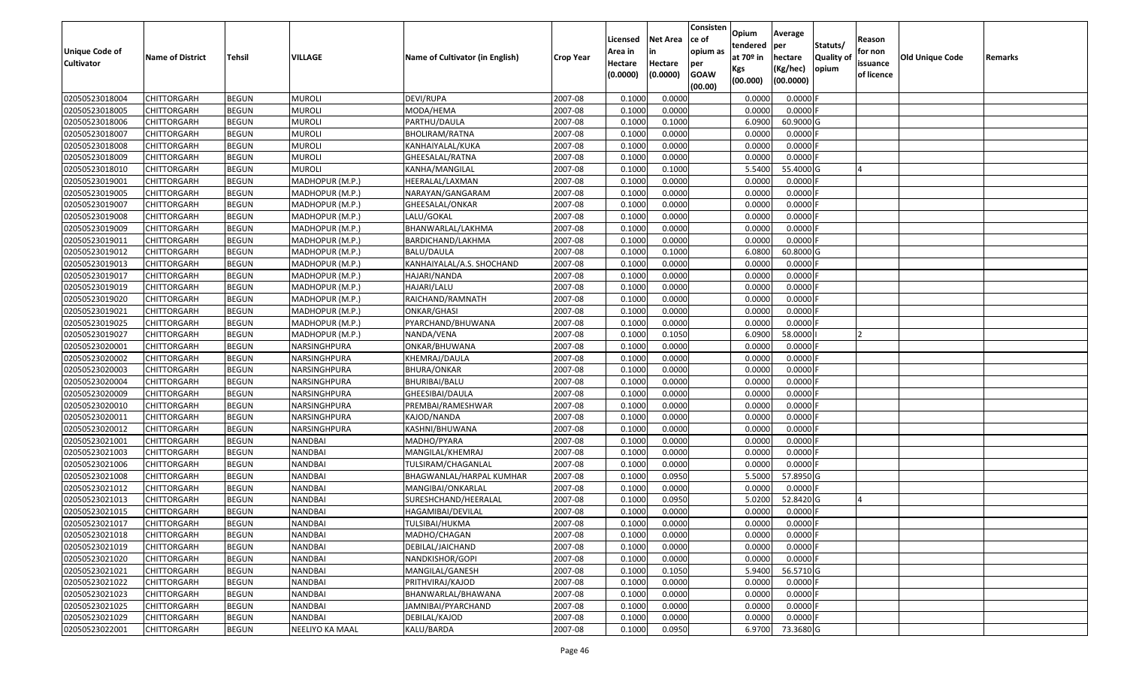| <b>Unique Code of</b><br><b>Cultivator</b> | <b>Name of District</b> | Tehsil       | VILLAGE         | Name of Cultivator (in English) | <b>Crop Year</b> | Licensed<br>Area in<br>Hectare<br>(0.0000) | <b>Net Area</b><br>in<br>Hectare<br>(0.0000) | Consisten<br>ce of<br>opium as<br>per<br><b>GOAW</b><br>(00.00) | Opium<br>tendered<br>at $70°$ in<br>Kgs<br>(00.000) | Average<br>per<br>hectare<br>(Kg/hec)<br>(00.0000) | Statuts/<br><b>Quality o</b><br>opium | Reason<br>for non<br>issuance<br>of licence | Old Unique Code | Remarks |
|--------------------------------------------|-------------------------|--------------|-----------------|---------------------------------|------------------|--------------------------------------------|----------------------------------------------|-----------------------------------------------------------------|-----------------------------------------------------|----------------------------------------------------|---------------------------------------|---------------------------------------------|-----------------|---------|
| 02050523018004                             | CHITTORGARH             | <b>BEGUN</b> | <b>MUROLI</b>   | DEVI/RUPA                       | 2007-08          | 0.1000                                     | 0.0000                                       |                                                                 | 0.0000                                              | 0.0000F                                            |                                       |                                             |                 |         |
| 02050523018005                             | CHITTORGARH             | <b>BEGUN</b> | <b>MUROLI</b>   | MODA/HEMA                       | 2007-08          | 0.1000                                     | 0.0000                                       |                                                                 | 0.0000                                              | $0.0000$ F                                         |                                       |                                             |                 |         |
| 02050523018006                             | CHITTORGARH             | <b>BEGUN</b> | <b>MUROLI</b>   | PARTHU/DAULA                    | 2007-08          | 0.1000                                     | 0.1000                                       |                                                                 | 6.0900                                              | 60.9000 G                                          |                                       |                                             |                 |         |
| 02050523018007                             | <b>CHITTORGARH</b>      | <b>BEGUN</b> | <b>MUROLI</b>   | BHOLIRAM/RATNA                  | 2007-08          | 0.1000                                     | 0.0000                                       |                                                                 | 0.0000                                              | 0.0000F                                            |                                       |                                             |                 |         |
| 02050523018008                             | CHITTORGARH             | <b>BEGUN</b> | <b>MUROLI</b>   | KANHAIYALAL/KUKA                | 2007-08          | 0.1000                                     | 0.0000                                       |                                                                 | 0.0000                                              | 0.0000                                             |                                       |                                             |                 |         |
| 02050523018009                             | CHITTORGARH             | <b>BEGUN</b> | <b>MUROLI</b>   | GHEESALAL/RATNA                 | 2007-08          | 0.1000                                     | 0.0000                                       |                                                                 | 0.0000                                              | 0.0000                                             |                                       |                                             |                 |         |
| 02050523018010                             | CHITTORGARH             | <b>BEGUN</b> | <b>MUROLI</b>   | KANHA/MANGILAL                  | 2007-08          | 0.1000                                     | 0.1000                                       |                                                                 | 5.5400                                              | 55.4000 G                                          |                                       |                                             |                 |         |
| 02050523019001                             | <b>CHITTORGARH</b>      | <b>BEGUN</b> | MADHOPUR (M.P.) | HEERALAL/LAXMAN                 | 2007-08          | 0.1000                                     | 0.0000                                       |                                                                 | 0.0000                                              | 0.0000F                                            |                                       |                                             |                 |         |
| 02050523019005                             | CHITTORGARH             | <b>BEGUN</b> | MADHOPUR (M.P.) | NARAYAN/GANGARAM                | 2007-08          | 0.1000                                     | 0.0000                                       |                                                                 | 0.0000                                              | 0.0000                                             |                                       |                                             |                 |         |
| 02050523019007                             | CHITTORGARH             | <b>BEGUN</b> | MADHOPUR (M.P.) | GHEESALAL/ONKAR                 | 2007-08          | 0.1000                                     | 0.0000                                       |                                                                 | 0.0000                                              | 0.0000                                             |                                       |                                             |                 |         |
| 02050523019008                             | CHITTORGARH             | <b>BEGUN</b> | MADHOPUR (M.P.) | LALU/GOKAL                      | 2007-08          | 0.1000                                     | 0.0000                                       |                                                                 | 0.0000                                              | 0.0000F                                            |                                       |                                             |                 |         |
| 02050523019009                             | <b>CHITTORGARH</b>      | <b>BEGUN</b> | MADHOPUR (M.P.) | BHANWARLAL/LAKHMA               | 2007-08          | 0.1000                                     | 0.0000                                       |                                                                 | 0.0000                                              | 0.0000F                                            |                                       |                                             |                 |         |
| 02050523019011                             | <b>CHITTORGARH</b>      | <b>BEGUN</b> | MADHOPUR (M.P.) | BARDICHAND/LAKHMA               | 2007-08          | 0.1000                                     | 0.0000                                       |                                                                 | 0.0000                                              | $0.0000$ F                                         |                                       |                                             |                 |         |
| 02050523019012                             | <b>CHITTORGARH</b>      | <b>BEGUN</b> | MADHOPUR (M.P.) | BALU/DAULA                      | 2007-08          | 0.1000                                     | 0.1000                                       |                                                                 | 6.0800                                              | 60.8000 G                                          |                                       |                                             |                 |         |
| 02050523019013                             | CHITTORGARH             | <b>BEGUN</b> | MADHOPUR (M.P.) | KANHAIYALAL/A.S. SHOCHAND       | 2007-08          | 0.1000                                     | 0.0000                                       |                                                                 | 0.0000                                              | $0.0000$ F                                         |                                       |                                             |                 |         |
| 02050523019017                             | CHITTORGARH             | <b>BEGUN</b> | MADHOPUR (M.P.) | HAJARI/NANDA                    | 2007-08          | 0.1000                                     | 0.0000                                       |                                                                 | 0.0000                                              | 0.0000                                             |                                       |                                             |                 |         |
| 02050523019019                             | CHITTORGARH             | <b>BEGUN</b> | MADHOPUR (M.P.) | HAJARI/LALU                     | 2007-08          | 0.1000                                     | 0.0000                                       |                                                                 | 0.0000                                              | 0.0000F                                            |                                       |                                             |                 |         |
| 02050523019020                             | CHITTORGARH             | <b>BEGUN</b> | MADHOPUR (M.P.) | RAICHAND/RAMNATH                | 2007-08          | 0.1000                                     | 0.0000                                       |                                                                 | 0.0000                                              | 0.0000                                             |                                       |                                             |                 |         |
| 02050523019021                             | CHITTORGARH             | <b>BEGUN</b> | MADHOPUR (M.P.) | ONKAR/GHASI                     | 2007-08          | 0.1000                                     | 0.0000                                       |                                                                 | 0.0000                                              | 0.0000                                             |                                       |                                             |                 |         |
| 02050523019025                             | CHITTORGARH             | <b>BEGUN</b> | MADHOPUR (M.P.) | PYARCHAND/BHUWANA               | 2007-08          | 0.1000                                     | 0.0000                                       |                                                                 | 0.0000                                              | 0.0000                                             |                                       |                                             |                 |         |
| 02050523019027                             | CHITTORGARH             | <b>BEGUN</b> | MADHOPUR (M.P.) | NANDA/VENA                      | 2007-08          | 0.1000                                     | 0.1050                                       |                                                                 | 6.0900                                              | 58.0000                                            |                                       |                                             |                 |         |
| 02050523020001                             | CHITTORGARH             | <b>BEGUN</b> | NARSINGHPURA    | ONKAR/BHUWANA                   | 2007-08          | 0.1000                                     | 0.0000                                       |                                                                 | 0.0000                                              | 0.0000                                             |                                       |                                             |                 |         |
| 02050523020002                             | CHITTORGARH             | <b>BEGUN</b> | NARSINGHPURA    | KHEMRAJ/DAULA                   | 2007-08          | 0.1000                                     | 0.0000                                       |                                                                 | 0.0000                                              | 0.0000                                             |                                       |                                             |                 |         |
| 02050523020003                             | <b>CHITTORGARH</b>      | <b>BEGUN</b> | NARSINGHPURA    | BHURA/ONKAR                     | 2007-08          | 0.1000                                     | 0.0000                                       |                                                                 | 0.0000                                              | 0.0000                                             |                                       |                                             |                 |         |
| 02050523020004                             | CHITTORGARH             | <b>BEGUN</b> | NARSINGHPURA    | BHURIBAI/BALU                   | 2007-08          | 0.1000                                     | 0.0000                                       |                                                                 | 0.0000                                              | 0.0000F                                            |                                       |                                             |                 |         |
| 02050523020009                             | CHITTORGARH             | <b>BEGUN</b> | NARSINGHPURA    | GHEESIBAI/DAULA                 | 2007-08          | 0.1000                                     | 0.0000                                       |                                                                 | 0.0000                                              | 0.0000F                                            |                                       |                                             |                 |         |
| 02050523020010                             | CHITTORGARH             | <b>BEGUN</b> | NARSINGHPURA    | PREMBAI/RAMESHWAR               | 2007-08          | 0.1000                                     | 0.0000                                       |                                                                 | 0.0000                                              | 0.0000                                             |                                       |                                             |                 |         |
| 02050523020011                             | CHITTORGARH             | <b>BEGUN</b> | NARSINGHPURA    | KAJOD/NANDA                     | 2007-08          | 0.1000                                     | 0.0000                                       |                                                                 | 0.0000                                              | 0.0000                                             |                                       |                                             |                 |         |
| 02050523020012                             | CHITTORGARH             | <b>BEGUN</b> | NARSINGHPURA    | KASHNI/BHUWANA                  | 2007-08          | 0.1000                                     | 0.0000                                       |                                                                 | 0.0000                                              | 0.0000F                                            |                                       |                                             |                 |         |
| 02050523021001                             | CHITTORGARH             | <b>BEGUN</b> | <b>NANDBAI</b>  | MADHO/PYARA                     | 2007-08          | 0.1000                                     | 0.0000                                       |                                                                 | 0.0000                                              | 0.0000                                             |                                       |                                             |                 |         |
| 02050523021003                             | CHITTORGARH             | <b>BEGUN</b> | <b>NANDBAI</b>  | MANGILAL/KHEMRAJ                | 2007-08          | 0.1000                                     | 0.0000                                       |                                                                 | 0.0000                                              | 0.0000                                             |                                       |                                             |                 |         |
| 02050523021006                             | CHITTORGARH             | <b>BEGUN</b> | <b>NANDBAI</b>  | TULSIRAM/CHAGANLAL              | 2007-08          | 0.1000                                     | 0.0000                                       |                                                                 | 0.0000                                              | 0.0000                                             |                                       |                                             |                 |         |
| 02050523021008                             | CHITTORGARH             | <b>BEGUN</b> | <b>NANDBAI</b>  | BHAGWANLAL/HARPAL KUMHAR        | 2007-08          | 0.1000                                     | 0.0950                                       |                                                                 | 5.5000                                              | 57.8950 G                                          |                                       |                                             |                 |         |
| 02050523021012                             | CHITTORGARH             | <b>BEGUN</b> | <b>NANDBAI</b>  | MANGIBAI/ONKARLAL               | 2007-08          | 0.1000                                     | 0.0000                                       |                                                                 | 0.0000                                              | 0.0000                                             |                                       |                                             |                 |         |
| 02050523021013                             | CHITTORGARH             | <b>BEGUN</b> | <b>NANDBAI</b>  | SURESHCHAND/HEERALAL            | 2007-08          | 0.1000                                     | 0.0950                                       |                                                                 | 5.0200                                              | 52.8420 G                                          |                                       |                                             |                 |         |
| 02050523021015                             | CHITTORGARH             | <b>BEGUN</b> | NANDBAI         | HAGAMIBAI/DEVILAL               | 2007-08          | 0.1000                                     | 0.0000                                       |                                                                 | 0.0000                                              | $0.0000$ F                                         |                                       |                                             |                 |         |
| 02050523021017                             | <b>CHITTORGARH</b>      | <b>BEGUN</b> | <b>NANDBAI</b>  | TULSIBAI/HUKMA                  | 2007-08          | 0.1000                                     | 0.0000                                       |                                                                 | 0.0000                                              | $0.0000$ F                                         |                                       |                                             |                 |         |
| 02050523021018                             | <b>CHITTORGARH</b>      | <b>BEGUN</b> | <b>NANDBAI</b>  | MADHO/CHAGAN                    | 2007-08          | 0.1000                                     | 0.0000                                       |                                                                 | 0.0000                                              | $0.0000$ F                                         |                                       |                                             |                 |         |
| 02050523021019                             | <b>CHITTORGARH</b>      | <b>BEGUN</b> | <b>NANDBAI</b>  | DEBILAL/JAICHAND                | 2007-08          | 0.1000                                     | 0.0000                                       |                                                                 | 0.0000                                              | 0.0000F                                            |                                       |                                             |                 |         |
| 02050523021020                             | <b>CHITTORGARH</b>      | <b>BEGUN</b> | <b>NANDBAI</b>  | NANDKISHOR/GOPI                 | 2007-08          | 0.1000                                     | 0.0000                                       |                                                                 | 0.0000                                              | $0.0000$ F                                         |                                       |                                             |                 |         |
| 02050523021021                             | <b>CHITTORGARH</b>      | <b>BEGUN</b> | NANDBAI         | MANGILAL/GANESH                 | 2007-08          | 0.1000                                     | 0.1050                                       |                                                                 | 5.9400                                              | 56.5710 G                                          |                                       |                                             |                 |         |
| 02050523021022                             | <b>CHITTORGARH</b>      | <b>BEGUN</b> | <b>NANDBAI</b>  | PRITHVIRAJ/KAJOD                | 2007-08          | 0.1000                                     | 0.0000                                       |                                                                 | 0.0000                                              | $0.0000$ F                                         |                                       |                                             |                 |         |
| 02050523021023                             | <b>CHITTORGARH</b>      | <b>BEGUN</b> | <b>NANDBAI</b>  | BHANWARLAL/BHAWANA              | 2007-08          | 0.1000                                     | 0.0000                                       |                                                                 | 0.0000                                              | 0.0000                                             |                                       |                                             |                 |         |
| 02050523021025                             | <b>CHITTORGARH</b>      | <b>BEGUN</b> | NANDBAI         | JAMNIBAI/PYARCHAND              | 2007-08          | 0.1000                                     | 0.0000                                       |                                                                 | 0.0000                                              | $0.0000$ F                                         |                                       |                                             |                 |         |
| 02050523021029                             | CHITTORGARH             | <b>BEGUN</b> | NANDBAI         | DEBILAL/KAJOD                   | 2007-08          | 0.1000                                     | 0.0000                                       |                                                                 | 0.0000                                              | 0.0000F                                            |                                       |                                             |                 |         |
| 02050523022001                             | <b>CHITTORGARH</b>      | <b>BEGUN</b> | NEELIYO KA MAAL | KALU/BARDA                      | 2007-08          | 0.1000                                     | 0.0950                                       |                                                                 | 6.9700                                              | 73.3680 G                                          |                                       |                                             |                 |         |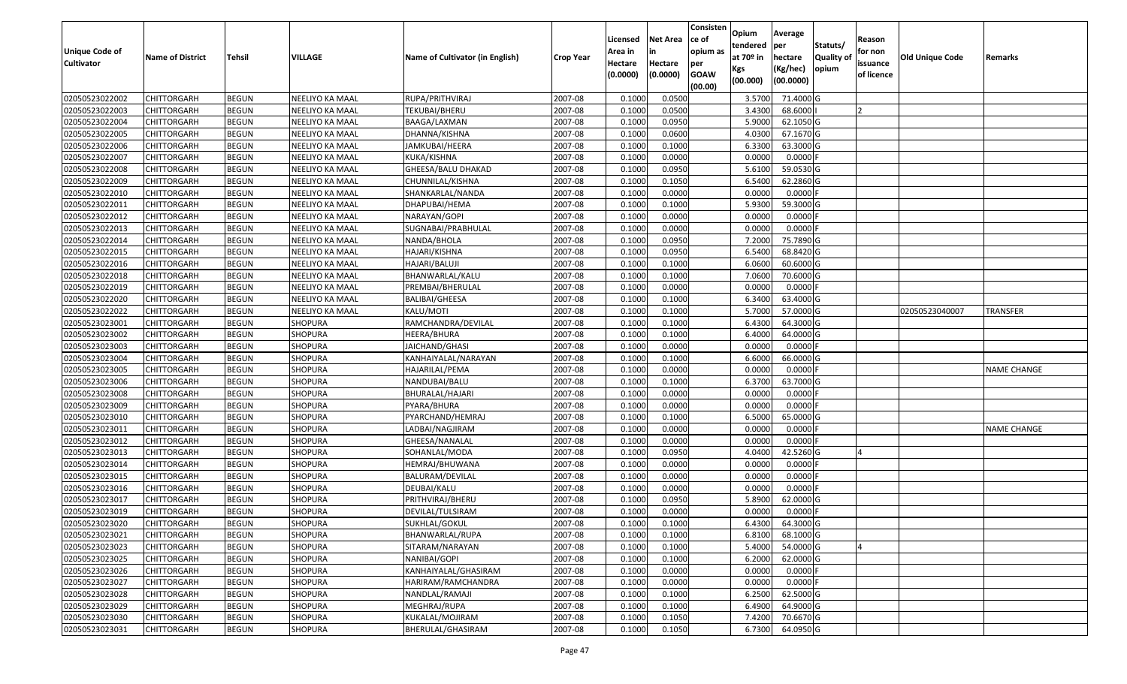| <b>Unique Code of</b> |                         |               |                 |                                 |                  | Licensed<br>Area in | <b>Net Area</b><br>in | Consisten<br>ce of<br>opium as | Opium<br>tendered              | Average<br>per                   | Statuts/                  | Reason<br>for non      |                 |                    |
|-----------------------|-------------------------|---------------|-----------------|---------------------------------|------------------|---------------------|-----------------------|--------------------------------|--------------------------------|----------------------------------|---------------------------|------------------------|-----------------|--------------------|
| <b>Cultivator</b>     | <b>Name of District</b> | <b>Tehsil</b> | VILLAGE         | Name of Cultivator (in English) | <b>Crop Year</b> | Hectare<br>(0.0000) | Hectare<br>(0.0000)   | per<br><b>GOAW</b><br>(00.00)  | at $70°$ in<br>Kgs<br>(00.000) | hectare<br>(Kg/hec)<br>(00.0000) | <b>Quality o</b><br>opium | issuance<br>of licence | Old Unique Code | Remarks            |
| 02050523022002        | CHITTORGARH             | <b>BEGUN</b>  | NEELIYO KA MAAL | RUPA/PRITHVIRAJ                 | 2007-08          | 0.1000              | 0.0500                |                                | 3.5700                         | 71.4000 G                        |                           |                        |                 |                    |
| 02050523022003        | CHITTORGARH             | <b>BEGUN</b>  | NEELIYO KA MAAL | TEKUBAI/BHERU                   | 2007-08          | 0.1000              | 0.0500                |                                | 3.4300                         | 68.6000                          |                           |                        |                 |                    |
| 02050523022004        | CHITTORGARH             | <b>BEGUN</b>  | NEELIYO KA MAAL | BAAGA/LAXMAN                    | 2007-08          | 0.1000              | 0.0950                |                                | 5.9000                         | 62.1050 G                        |                           |                        |                 |                    |
| 02050523022005        | <b>CHITTORGARH</b>      | <b>BEGUN</b>  | NEELIYO KA MAAL | DHANNA/KISHNA                   | 2007-08          | 0.1000              | 0.0600                |                                | 4.0300                         | 67.1670 G                        |                           |                        |                 |                    |
| 02050523022006        | CHITTORGARH             | <b>BEGUN</b>  | NEELIYO KA MAAL | JAMKUBAI/HEERA                  | 2007-08          | 0.1000              | 0.1000                |                                | 6.3300                         | 63.3000 G                        |                           |                        |                 |                    |
| 02050523022007        | CHITTORGARH             | <b>BEGUN</b>  | NEELIYO KA MAAL | KUKA/KISHNA                     | 2007-08          | 0.1000              | 0.0000                |                                | 0.0000                         | $0.0000$ F                       |                           |                        |                 |                    |
| 02050523022008        | CHITTORGARH             | <b>BEGUN</b>  | NEELIYO KA MAAL | GHEESA/BALU DHAKAD              | 2007-08          | 0.1000              | 0.0950                |                                | 5.6100                         | 59.0530 G                        |                           |                        |                 |                    |
| 02050523022009        | CHITTORGARH             | <b>BEGUN</b>  | NEELIYO KA MAAL | CHUNNILAL/KISHNA                | 2007-08          | 0.1000              | 0.1050                |                                | 6.5400                         | 62.2860 G                        |                           |                        |                 |                    |
| 02050523022010        | CHITTORGARH             | <b>BEGUN</b>  | NEELIYO KA MAAL | SHANKARLAL/NANDA                | 2007-08          | 0.1000              | 0.0000                |                                | 0.0000                         | 0.0000F                          |                           |                        |                 |                    |
| 02050523022011        | CHITTORGARH             | <b>BEGUN</b>  | NEELIYO KA MAAL | DHAPUBAI/HEMA                   | 2007-08          | 0.1000              | 0.1000                |                                | 5.9300                         | 59.3000 G                        |                           |                        |                 |                    |
| 02050523022012        | CHITTORGARH             | <b>BEGUN</b>  | NEELIYO KA MAAL | NARAYAN/GOPI                    | 2007-08          | 0.1000              | 0.0000                |                                | 0.0000                         | $0.0000$ F                       |                           |                        |                 |                    |
| 02050523022013        | <b>CHITTORGARH</b>      | <b>BEGUN</b>  | NEELIYO KA MAAL | SUGNABAI/PRABHULAL              | 2007-08          | 0.1000              | 0.0000                |                                | 0.0000                         | 0.0000F                          |                           |                        |                 |                    |
| 02050523022014        | <b>CHITTORGARH</b>      | <b>BEGUN</b>  | NEELIYO KA MAAL | NANDA/BHOLA                     | 2007-08          | 0.1000              | 0.0950                |                                | 7.2000                         | 75.7890 G                        |                           |                        |                 |                    |
| 02050523022015        | CHITTORGARH             | <b>BEGUN</b>  | NEELIYO KA MAAL | HAJARI/KISHNA                   | 2007-08          | 0.1000              | 0.0950                |                                | 6.5400                         | 68.8420G                         |                           |                        |                 |                    |
| 02050523022016        | <b>CHITTORGARH</b>      | <b>BEGUN</b>  | NEELIYO KA MAAL | HAJARI/BALUJI                   | 2007-08          | 0.1000              | 0.1000                |                                | 6.0600                         | 60.6000 G                        |                           |                        |                 |                    |
| 02050523022018        | <b>CHITTORGARH</b>      | <b>BEGUN</b>  | NEELIYO KA MAAL | BHANWARLAL/KALU                 | 2007-08          | 0.1000              | 0.1000                |                                | 7.0600                         | 70.6000 G                        |                           |                        |                 |                    |
| 02050523022019        | <b>CHITTORGARH</b>      | <b>BEGUN</b>  | NEELIYO KA MAAL | PREMBAI/BHERULAL                | 2007-08          | 0.1000              | 0.0000                |                                | 0.0000                         | $0.0000$ F                       |                           |                        |                 |                    |
| 02050523022020        | CHITTORGARH             | <b>BEGUN</b>  | NEELIYO KA MAAL | <b>BALIBAI/GHEESA</b>           | 2007-08          | 0.1000              | 0.1000                |                                | 6.3400                         | 63.4000 G                        |                           |                        |                 |                    |
| 02050523022022        | CHITTORGARH             | <b>BEGUN</b>  | NEELIYO KA MAAL | KALU/MOTI                       | 2007-08          | 0.100               | 0.1000                |                                | 5.7000                         | 57.0000 G                        |                           |                        | 02050523040007  | TRANSFER           |
| 02050523023001        | CHITTORGARH             | <b>BEGUN</b>  | SHOPURA         | RAMCHANDRA/DEVILAL              | 2007-08          | 0.1000              | 0.1000                |                                | 6.4300                         | 64.3000 G                        |                           |                        |                 |                    |
| 02050523023002        | CHITTORGARH             | <b>BEGUN</b>  | <b>SHOPURA</b>  | HEERA/BHURA                     | 2007-08          | 0.1000              | 0.1000                |                                | 6.4000                         | 64.0000G                         |                           |                        |                 |                    |
| 02050523023003        | CHITTORGARH             | <b>BEGUN</b>  | <b>SHOPURA</b>  | JAICHAND/GHASI                  | 2007-08          | 0.100               | 0.0000                |                                | 0.0000                         | 0.0000                           |                           |                        |                 |                    |
| 02050523023004        | CHITTORGARH             | <b>BEGUN</b>  | <b>SHOPURA</b>  | KANHAIYALAL/NARAYAN             | 2007-08          | 0.1000              | 0.1000                |                                | 6.6000                         | 66.0000 G                        |                           |                        |                 |                    |
| 02050523023005        | <b>CHITTORGARH</b>      | <b>BEGUN</b>  | <b>SHOPURA</b>  | HAJARILAL/PEMA                  | 2007-08          | 0.100               | 0.0000                |                                | 0.0000                         | 0.0000                           |                           |                        |                 | <b>NAME CHANGE</b> |
| 02050523023006        | <b>CHITTORGARH</b>      | <b>BEGUN</b>  | SHOPURA         | NANDUBAI/BALU                   | 2007-08          | 0.1000              | 0.1000                |                                | 6.3700                         | 63.7000 G                        |                           |                        |                 |                    |
| 02050523023008        | CHITTORGARH             | <b>BEGUN</b>  | <b>SHOPURA</b>  | BHURALAL/HAJARI                 | 2007-08          | 0.1000              | 0.0000                |                                | 0.0000                         | 0.0000F                          |                           |                        |                 |                    |
| 02050523023009        | CHITTORGARH             | <b>BEGUN</b>  | SHOPURA         | PYARA/BHURA                     | 2007-08          | 0.100               | 0.0000                |                                | 0.0000                         | 0.0000F                          |                           |                        |                 |                    |
| 02050523023010        | CHITTORGARH             | <b>BEGUN</b>  | <b>SHOPURA</b>  | PYARCHAND/HEMRAJ                | 2007-08          | 0.1000              | 0.1000                |                                | 6.5000                         | 65.0000 G                        |                           |                        |                 |                    |
| 02050523023011        | CHITTORGARH             | <b>BEGUN</b>  | <b>SHOPURA</b>  | LADBAI/NAGJIRAM                 | 2007-08          | 0.1000              | 0.0000                |                                | 0.0000                         | 0.0000F                          |                           |                        |                 | <b>NAME CHANGE</b> |
| 02050523023012        | CHITTORGARH             | <b>BEGUN</b>  | <b>SHOPURA</b>  | GHEESA/NANALAL                  | 2007-08          | 0.1000              | 0.0000                |                                | 0.0000                         | 0.0000                           |                           |                        |                 |                    |
| 02050523023013        | CHITTORGARH             | <b>BEGUN</b>  | SHOPURA         | SOHANLAL/MODA                   | 2007-08          | 0.1000              | 0.0950                |                                | 4.0400                         | 42.5260 G                        |                           |                        |                 |                    |
| 02050523023014        | CHITTORGARH             | <b>BEGUN</b>  | SHOPURA         | HEMRAJ/BHUWANA                  | 2007-08          | 0.1000              | 0.0000                |                                | 0.0000                         | 0.0000                           |                           |                        |                 |                    |
| 02050523023015        | CHITTORGARH             | <b>BEGUN</b>  | <b>SHOPURA</b>  | BALURAM/DEVILAL                 | 2007-08          | 0.1000              | 0.0000                |                                | 0.0000                         | 0.0000F                          |                           |                        |                 |                    |
| 02050523023016        | <b>CHITTORGARH</b>      | <b>BEGUN</b>  | <b>SHOPURA</b>  | DEUBAI/KALU                     | 2007-08          | 0.1000              | 0.0000                |                                | 0.0000                         | 0.0000                           |                           |                        |                 |                    |
| 02050523023017        | CHITTORGARH             | <b>BEGUN</b>  | SHOPURA         | PRITHVIRAJ/BHERU                | 2007-08          | 0.1000              | 0.0950                |                                | 5.8900                         | 62.0000 G                        |                           |                        |                 |                    |
| 02050523023019        | CHITTORGARH             | <b>BEGUN</b>  | SHOPURA         | DEVILAL/TULSIRAM                | 2007-08          | 0.1000              | 0.0000                |                                | 0.0000                         | 0.0000F                          |                           |                        |                 |                    |
| 02050523023020        | <b>CHITTORGARH</b>      | <b>BEGUN</b>  | <b>SHOPURA</b>  | SUKHLAL/GOKUL                   | 2007-08          | 0.1000              | 0.1000                |                                | 6.4300                         | 64.3000 G                        |                           |                        |                 |                    |
| 02050523023021        | <b>CHITTORGARH</b>      | <b>BEGUN</b>  | <b>SHOPURA</b>  | BHANWARLAL/RUPA                 | 2007-08          | 0.1000              | 0.1000                |                                | 6.8100                         | 68.1000 G                        |                           |                        |                 |                    |
| 02050523023023        | <b>CHITTORGARH</b>      | <b>BEGUN</b>  | <b>SHOPURA</b>  | SITARAM/NARAYAN                 | 2007-08          | 0.1000              | 0.1000                |                                | 5.4000                         | 54.0000 G                        |                           |                        |                 |                    |
| 02050523023025        | <b>CHITTORGARH</b>      | <b>BEGUN</b>  | <b>SHOPURA</b>  | NANIBAI/GOPI                    | 2007-08          | 0.1000              | 0.1000                |                                | 6.2000                         | 62.0000 G                        |                           |                        |                 |                    |
| 02050523023026        | <b>CHITTORGARH</b>      | <b>BEGUN</b>  | <b>SHOPURA</b>  | KANHAIYALAL/GHASIRAM            | 2007-08          | 0.1000              | 0.0000                |                                | 0.0000                         | $0.0000$ F                       |                           |                        |                 |                    |
| 02050523023027        | <b>CHITTORGARH</b>      | <b>BEGUN</b>  | <b>SHOPURA</b>  | HARIRAM/RAMCHANDRA              | 2007-08          | 0.1000              | 0.0000                |                                | 0.0000                         | 0.0000                           |                           |                        |                 |                    |
| 02050523023028        | <b>CHITTORGARH</b>      | <b>BEGUN</b>  | <b>SHOPURA</b>  | NANDLAL/RAMAJI                  | 2007-08          | 0.1000              | 0.1000                |                                | 6.2500                         | 62.5000G                         |                           |                        |                 |                    |
| 02050523023029        | CHITTORGARH             | <b>BEGUN</b>  | <b>SHOPURA</b>  | MEGHRAJ/RUPA                    | 2007-08          | 0.1000              | 0.1000                |                                | 6.4900                         | 64.9000 G                        |                           |                        |                 |                    |
| 02050523023030        | CHITTORGARH             | <b>BEGUN</b>  | <b>SHOPURA</b>  | KUKALAL/MOJIRAM                 | 2007-08          | 0.1000              | 0.1050                |                                | 7.4200                         | 70.6670 G                        |                           |                        |                 |                    |
| 02050523023031        | <b>CHITTORGARH</b>      | <b>BEGUN</b>  | SHOPURA         | BHERULAL/GHASIRAM               | 2007-08          | 0.1000              | 0.1050                |                                | 6.7300                         | 64.0950 G                        |                           |                        |                 |                    |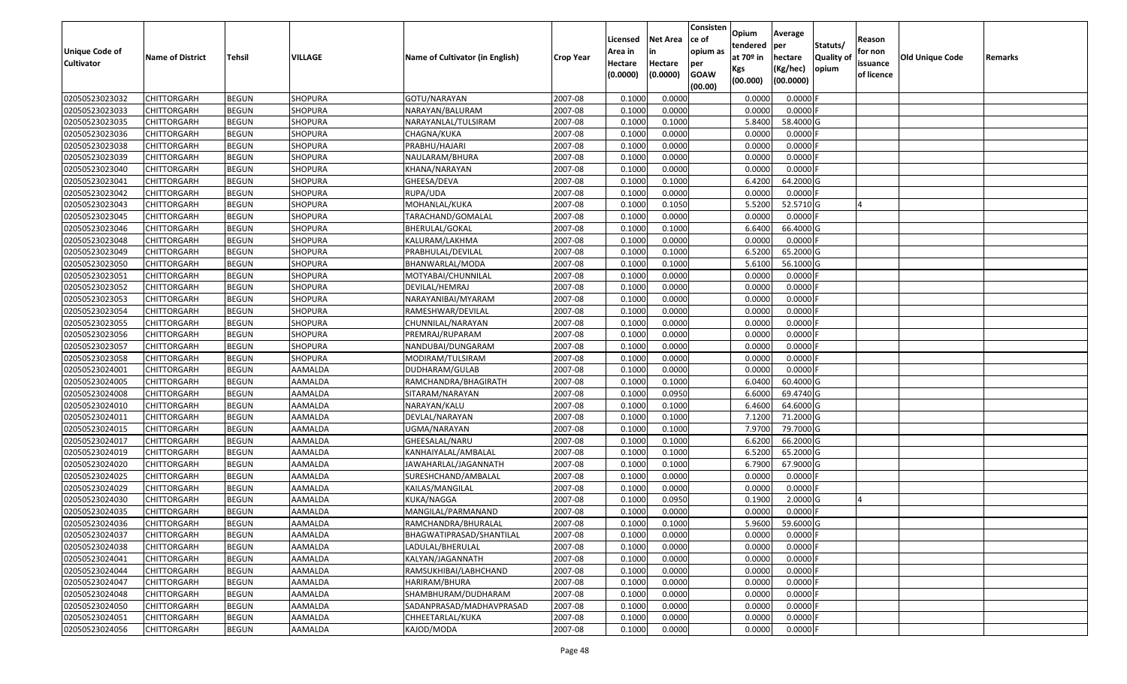| <b>Unique Code of</b><br><b>Cultivator</b> | <b>Name of District</b> | <b>Tehsil</b> | VILLAGE        | Name of Cultivator (in English) | <b>Crop Year</b> | Licensed<br>Area in<br>Hectare<br>(0.0000) | <b>Net Area</b><br>in<br>Hectare<br>(0.0000) | Consisten<br>ce of<br>opium as<br>per<br><b>GOAW</b><br>(00.00) | Opium<br>tendered<br>at $70°$ in<br>Kgs<br>(00.000) | Average<br>per<br>hectare<br>(Kg/hec)<br>(00.0000) | Statuts/<br><b>Quality o</b><br>opium | Reason<br>for non<br>issuance<br>of licence | Old Unique Code | Remarks |
|--------------------------------------------|-------------------------|---------------|----------------|---------------------------------|------------------|--------------------------------------------|----------------------------------------------|-----------------------------------------------------------------|-----------------------------------------------------|----------------------------------------------------|---------------------------------------|---------------------------------------------|-----------------|---------|
| 02050523023032                             | CHITTORGARH             | <b>BEGUN</b>  | <b>SHOPURA</b> | GOTU/NARAYAN                    | 2007-08          | 0.1000                                     | 0.0000                                       |                                                                 | 0.0000                                              | 0.0000F                                            |                                       |                                             |                 |         |
| 02050523023033                             | CHITTORGARH             | <b>BEGUN</b>  | SHOPURA        | NARAYAN/BALURAM                 | 2007-08          | 0.1000                                     | 0.0000                                       |                                                                 | 0.0000                                              | $0.0000$ F                                         |                                       |                                             |                 |         |
| 02050523023035                             | CHITTORGARH             | <b>BEGUN</b>  | <b>SHOPURA</b> | NARAYANLAL/TULSIRAM             | 2007-08          | 0.1000                                     | 0.1000                                       |                                                                 | 5.8400                                              | 58.4000 G                                          |                                       |                                             |                 |         |
| 02050523023036                             | <b>CHITTORGARH</b>      | <b>BEGUN</b>  | SHOPURA        | CHAGNA/KUKA                     | 2007-08          | 0.1000                                     | 0.0000                                       |                                                                 | 0.0000                                              | 0.0000F                                            |                                       |                                             |                 |         |
| 02050523023038                             | CHITTORGARH             | <b>BEGUN</b>  | <b>SHOPURA</b> | PRABHU/HAJARI                   | 2007-08          | 0.1000                                     | 0.0000                                       |                                                                 | 0.0000                                              | 0.0000                                             |                                       |                                             |                 |         |
| 02050523023039                             | CHITTORGARH             | <b>BEGUN</b>  | SHOPURA        | NAULARAM/BHURA                  | 2007-08          | 0.1000                                     | 0.0000                                       |                                                                 | 0.0000                                              | 0.0000                                             |                                       |                                             |                 |         |
| 02050523023040                             | CHITTORGARH             | <b>BEGUN</b>  | SHOPURA        | KHANA/NARAYAN                   | 2007-08          | 0.1000                                     | 0.0000                                       |                                                                 | 0.0000                                              | 0.0000                                             |                                       |                                             |                 |         |
| 02050523023041                             | CHITTORGARH             | <b>BEGUN</b>  | SHOPURA        | GHEESA/DEVA                     | 2007-08          | 0.1000                                     | 0.1000                                       |                                                                 | 6.4200                                              | 64.2000 G                                          |                                       |                                             |                 |         |
| 02050523023042                             | CHITTORGARH             | <b>BEGUN</b>  | <b>SHOPURA</b> | RUPA/UDA                        | 2007-08          | 0.1000                                     | 0.0000                                       |                                                                 | 0.0000                                              | 0.0000                                             |                                       |                                             |                 |         |
| 02050523023043                             | CHITTORGARH             | <b>BEGUN</b>  | SHOPURA        | MOHANLAL/KUKA                   | 2007-08          | 0.1000                                     | 0.1050                                       |                                                                 | 5.5200                                              | 52.5710 G                                          |                                       |                                             |                 |         |
| 02050523023045                             | CHITTORGARH             | <b>BEGUN</b>  | <b>SHOPURA</b> | TARACHAND/GOMALAL               | 2007-08          | 0.1000                                     | 0.0000                                       |                                                                 | 0.0000                                              | $0.0000$ F                                         |                                       |                                             |                 |         |
| 02050523023046                             | <b>CHITTORGARH</b>      | <b>BEGUN</b>  | <b>SHOPURA</b> | BHERULAL/GOKAL                  | 2007-08          | 0.1000                                     | 0.1000                                       |                                                                 | 6.6400                                              | 66.4000 G                                          |                                       |                                             |                 |         |
| 02050523023048                             | <b>CHITTORGARH</b>      | <b>BEGUN</b>  | <b>SHOPURA</b> | KALURAM/LAKHMA                  | 2007-08          | 0.1000                                     | 0.0000                                       |                                                                 | 0.0000                                              | $0.0000$ F                                         |                                       |                                             |                 |         |
| 02050523023049                             | CHITTORGARH             | <b>BEGUN</b>  | <b>SHOPURA</b> | PRABHULAL/DEVILAL               | 2007-08          | 0.100                                      | 0.1000                                       |                                                                 | 6.5200                                              | 65.2000 G                                          |                                       |                                             |                 |         |
| 02050523023050                             | CHITTORGARH             | <b>BEGUN</b>  | <b>SHOPURA</b> | BHANWARLAL/MODA                 | 2007-08          | 0.1000                                     | 0.1000                                       |                                                                 | 5.6100                                              | 56.1000G                                           |                                       |                                             |                 |         |
| 02050523023051                             | CHITTORGARH             | <b>BEGUN</b>  | <b>SHOPURA</b> | MOTYABAI/CHUNNILAL              | 2007-08          | 0.1000                                     | 0.0000                                       |                                                                 | 0.0000                                              | 0.0000F                                            |                                       |                                             |                 |         |
| 02050523023052                             | CHITTORGARH             | <b>BEGUN</b>  | <b>SHOPURA</b> | DEVILAL/HEMRAJ                  | 2007-08          | 0.1000                                     | 0.0000                                       |                                                                 | 0.0000                                              | 0.0000F                                            |                                       |                                             |                 |         |
| 02050523023053                             | CHITTORGARH             | <b>BEGUN</b>  | <b>SHOPURA</b> | NARAYANIBAI/MYARAM              | 2007-08          | 0.100                                      | 0.0000                                       |                                                                 | 0.0000                                              | 0.0000                                             |                                       |                                             |                 |         |
| 02050523023054                             | CHITTORGARH             | <b>BEGUN</b>  | <b>SHOPURA</b> | RAMESHWAR/DEVILAL               | 2007-08          | 0.100                                      | 0.0000                                       |                                                                 | 0.0000                                              | 0.0000                                             |                                       |                                             |                 |         |
| 02050523023055                             | CHITTORGARH             | <b>BEGUN</b>  | <b>SHOPURA</b> | CHUNNILAL/NARAYAN               | 2007-08          | 0.1000                                     | 0.0000                                       |                                                                 | 0.0000                                              | 0.0000                                             |                                       |                                             |                 |         |
| 02050523023056                             | CHITTORGARH             | <b>BEGUN</b>  | <b>SHOPURA</b> | PREMRAJ/RUPARAM                 | 2007-08          | 0.100                                      | 0.0000                                       |                                                                 | 0.0000                                              | 0.0000                                             |                                       |                                             |                 |         |
| 02050523023057                             | CHITTORGARH             | <b>BEGUN</b>  | <b>SHOPURA</b> | NANDUBAI/DUNGARAM               | 2007-08          | 0.100                                      | 0.0000                                       |                                                                 | 0.0000                                              | 0.0000                                             |                                       |                                             |                 |         |
| 02050523023058                             | CHITTORGARH             | <b>BEGUN</b>  | <b>SHOPURA</b> | MODIRAM/TULSIRAM                | 2007-08          | 0.1000                                     | 0.0000                                       |                                                                 | 0.0000                                              | 0.0000                                             |                                       |                                             |                 |         |
| 02050523024001                             | CHITTORGARH             | <b>BEGUN</b>  | AAMALDA        | DUDHARAM/GULAB                  | 2007-08          | 0.100                                      | 0.0000                                       |                                                                 | 0.0000                                              | 0.0000                                             |                                       |                                             |                 |         |
| 02050523024005                             | <b>CHITTORGARH</b>      | <b>BEGUN</b>  | AAMALDA        | RAMCHANDRA/BHAGIRATH            | 2007-08          | 0.1000                                     | 0.1000                                       |                                                                 | 6.0400                                              | 60.4000 G                                          |                                       |                                             |                 |         |
| 02050523024008                             | CHITTORGARH             | <b>BEGUN</b>  | AAMALDA        | SITARAM/NARAYAN                 | 2007-08          | 0.1000                                     | 0.0950                                       |                                                                 | 6.6000                                              | 69.4740 G                                          |                                       |                                             |                 |         |
| 02050523024010                             | CHITTORGARH             | <b>BEGUN</b>  | AAMALDA        | NARAYAN/KALU                    | 2007-08          | 0.1000                                     | 0.1000                                       |                                                                 | 6.4600                                              | 64.6000 G                                          |                                       |                                             |                 |         |
| 02050523024011                             | CHITTORGARH             | <b>BEGUN</b>  | AAMALDA        | DEVLAL/NARAYAN                  | 2007-08          | 0.1000                                     | 0.1000                                       |                                                                 | 7.1200                                              | 71.2000 G                                          |                                       |                                             |                 |         |
| 02050523024015                             | CHITTORGARH             | <b>BEGUN</b>  | AAMALDA        | UGMA/NARAYAN                    | 2007-08          | 0.1000                                     | 0.1000                                       |                                                                 | 7.9700                                              | 79.7000G                                           |                                       |                                             |                 |         |
| 02050523024017                             | CHITTORGARH             | <b>BEGUN</b>  | AAMALDA        | GHEESALAL/NARU                  | 2007-08          | 0.1000                                     | 0.1000                                       |                                                                 | 6.6200                                              | 66.2000 G                                          |                                       |                                             |                 |         |
| 02050523024019                             | CHITTORGARH             | <b>BEGUN</b>  | AAMALDA        | KANHAIYALAL/AMBALAL             | 2007-08          | 0.100                                      | 0.1000                                       |                                                                 | 6.5200                                              | 65.2000 G                                          |                                       |                                             |                 |         |
| 02050523024020                             | CHITTORGARH             | <b>BEGUN</b>  | AAMALDA        | JAWAHARLAL/JAGANNATH            | 2007-08          | 0.1000                                     | 0.1000                                       |                                                                 | 6.7900                                              | 67.9000 G                                          |                                       |                                             |                 |         |
| 02050523024025                             | CHITTORGARH             | <b>BEGUN</b>  | AAMALDA        | SURESHCHAND/AMBALAL             | 2007-08          | 0.100                                      | 0.0000                                       |                                                                 | 0.0000                                              | 0.0000F                                            |                                       |                                             |                 |         |
| 02050523024029                             | CHITTORGARH             | <b>BEGUN</b>  | AAMALDA        | KAILAS/MANGILAL                 | 2007-08          | 0.1000                                     | 0.0000                                       |                                                                 | 0.0000                                              | 0.0000                                             |                                       |                                             |                 |         |
| 02050523024030                             | CHITTORGARH             | <b>BEGUN</b>  | AAMALDA        | KUKA/NAGGA                      | 2007-08          | 0.1000                                     | 0.0950                                       |                                                                 | 0.1900                                              | $2.0000$ G                                         |                                       |                                             |                 |         |
| 02050523024035                             | CHITTORGARH             | <b>BEGUN</b>  | AAMALDA        | MANGILAL/PARMANAND              | 2007-08          | 0.1000                                     | 0.0000                                       |                                                                 | 0.0000                                              | $0.0000$ F                                         |                                       |                                             |                 |         |
| 02050523024036                             | <b>CHITTORGARH</b>      | <b>BEGUN</b>  | AAMALDA        | RAMCHANDRA/BHURALAL             | 2007-08          | 0.1000                                     | 0.1000                                       |                                                                 | 5.9600                                              | 59.6000 G                                          |                                       |                                             |                 |         |
| 02050523024037                             | <b>CHITTORGARH</b>      | <b>BEGUN</b>  | AAMALDA        | BHAGWATIPRASAD/SHANTILAL        | 2007-08          | 0.1000                                     | 0.0000                                       |                                                                 | 0.0000                                              | $0.0000$ F                                         |                                       |                                             |                 |         |
| 02050523024038                             | <b>CHITTORGARH</b>      | <b>BEGUN</b>  | AAMALDA        | LADULAL/BHERULAL                | 2007-08          | 0.1000                                     | 0.0000                                       |                                                                 | 0.0000                                              | 0.0000F                                            |                                       |                                             |                 |         |
| 02050523024041                             | <b>CHITTORGARH</b>      | <b>BEGUN</b>  | AAMALDA        | KALYAN/JAGANNATH                | 2007-08          | 0.1000                                     | 0.0000                                       |                                                                 | 0.0000                                              | $0.0000$ F                                         |                                       |                                             |                 |         |
| 02050523024044                             | <b>CHITTORGARH</b>      | <b>BEGUN</b>  | AAMALDA        | RAMSUKHIBAI/LABHCHAND           | 2007-08          | 0.1000                                     | 0.0000                                       |                                                                 | 0.0000                                              | 0.0000                                             |                                       |                                             |                 |         |
| 02050523024047                             | <b>CHITTORGARH</b>      | <b>BEGUN</b>  | AAMALDA        | HARIRAM/BHURA                   | 2007-08          | 0.1000                                     | 0.0000                                       |                                                                 | 0.0000                                              | 0.0000                                             |                                       |                                             |                 |         |
| 02050523024048                             | <b>CHITTORGARH</b>      | <b>BEGUN</b>  | AAMALDA        | SHAMBHURAM/DUDHARAM             | 2007-08          | 0.1000                                     | 0.0000                                       |                                                                 | 0.0000                                              | 0.0000                                             |                                       |                                             |                 |         |
| 02050523024050                             | CHITTORGARH             | <b>BEGUN</b>  | AAMALDA        | SADANPRASAD/MADHAVPRASAD        | 2007-08          | 0.1000                                     | 0.0000                                       |                                                                 | 0.0000                                              | $0.0000$ F                                         |                                       |                                             |                 |         |
| 02050523024051                             | CHITTORGARH             | <b>BEGUN</b>  | AAMALDA        | CHHEETARLAL/KUKA                | 2007-08          | 0.1000                                     | 0.0000                                       |                                                                 | 0.0000                                              | 0.0000                                             |                                       |                                             |                 |         |
| 02050523024056                             | <b>CHITTORGARH</b>      | <b>BEGUN</b>  | AAMALDA        | KAJOD/MODA                      | 2007-08          | 0.1000                                     | 0.0000                                       |                                                                 | 0.0000                                              | $0.0000$ F                                         |                                       |                                             |                 |         |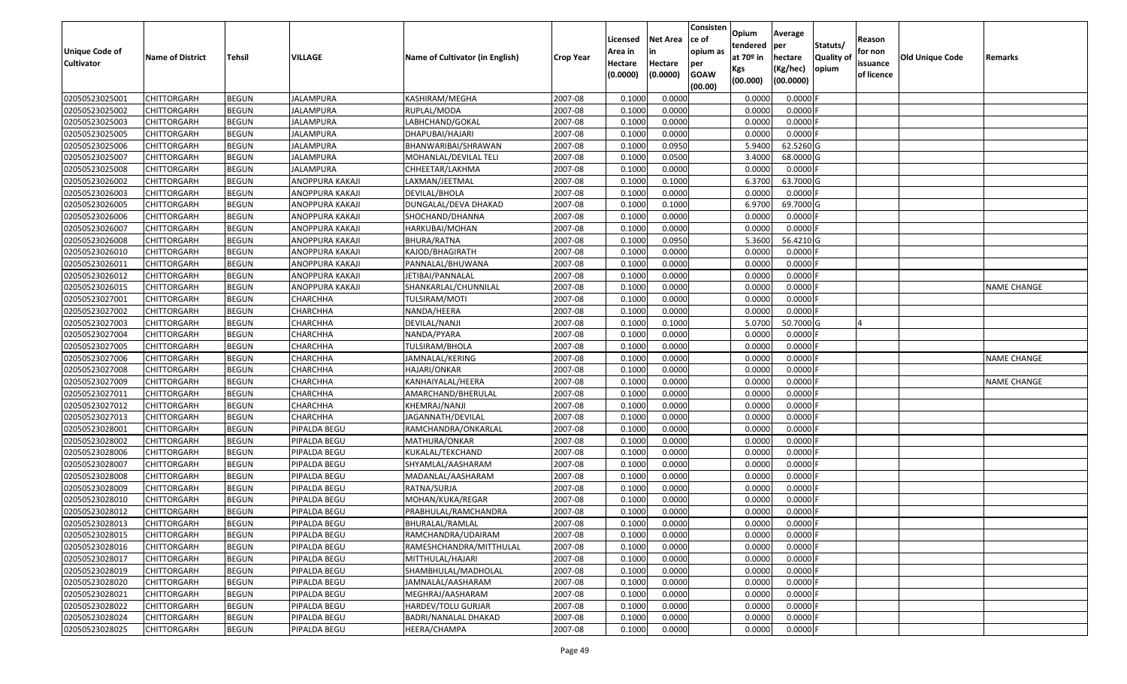| Unique Code of<br><b>Cultivator</b> | <b>Name of District</b> | <b>Tehsil</b> | VILLAGE          | Name of Cultivator (in English) | <b>Crop Year</b> | Licensed<br>Area in<br>Hectare | <b>Net Area</b><br>in<br>Hectare | Consisten<br>ce of<br>opium as<br>per | Opium<br>tendered<br>at $70°$ in | Average<br>per<br>hectare | Statuts/<br><b>Quality o</b> | Reason<br>for non<br>issuance | <b>Old Unique Code</b> | Remarks            |
|-------------------------------------|-------------------------|---------------|------------------|---------------------------------|------------------|--------------------------------|----------------------------------|---------------------------------------|----------------------------------|---------------------------|------------------------------|-------------------------------|------------------------|--------------------|
|                                     |                         |               |                  |                                 |                  | (0.0000)                       | (0.0000)                         | <b>GOAW</b><br>(00.00)                | Kgs<br>(00.000)                  | (Kg/hec)<br>(00.0000)     | opium                        | of licence                    |                        |                    |
| 02050523025001                      | CHITTORGARH             | <b>BEGUN</b>  | <b>JALAMPURA</b> | KASHIRAM/MEGHA                  | 2007-08          | 0.1000                         | 0.0000                           |                                       | 0.0000                           | 0.0000F                   |                              |                               |                        |                    |
| 02050523025002                      | CHITTORGARH             | <b>BEGUN</b>  | JALAMPURA        | RUPLAL/MODA                     | 2007-08          | 0.1000                         | 0.0000                           |                                       | 0.0000                           | 0.0000F                   |                              |                               |                        |                    |
| 02050523025003                      | CHITTORGARH             | <b>BEGUN</b>  | JALAMPURA        | LABHCHAND/GOKAL                 | 2007-08          | 0.1000                         | 0.0000                           |                                       | 0.0000                           | 0.0000                    |                              |                               |                        |                    |
| 02050523025005                      | <b>CHITTORGARH</b>      | <b>BEGUN</b>  | <b>JALAMPURA</b> | DHAPUBAI/HAJARI                 | 2007-08          | 0.1000                         | 0.0000                           |                                       | 0.0000                           | 0.0000F                   |                              |                               |                        |                    |
| 02050523025006                      | CHITTORGARH             | <b>BEGUN</b>  | <b>JALAMPURA</b> | BHANWARIBAI/SHRAWAN             | 2007-08          | 0.1000                         | 0.0950                           |                                       | 5.9400                           | 62.5260 G                 |                              |                               |                        |                    |
| 02050523025007                      | CHITTORGARH             | <b>BEGUN</b>  | <b>JALAMPURA</b> | MOHANLAL/DEVILAL TELI           | 2007-08          | 0.1000                         | 0.0500                           |                                       | 3.4000                           | 68.0000 G                 |                              |                               |                        |                    |
| 02050523025008                      | CHITTORGARH             | <b>BEGUN</b>  | JALAMPURA        | CHHEETAR/LAKHMA                 | 2007-08          | 0.1000                         | 0.0000                           |                                       | 0.0000                           | 0.0000                    |                              |                               |                        |                    |
| 02050523026002                      | CHITTORGARH             | <b>BEGUN</b>  | ANOPPURA KAKAJI  | LAXMAN/JEETMAL                  | 2007-08          | 0.1000                         | 0.1000                           |                                       | 6.3700                           | 63.7000 G                 |                              |                               |                        |                    |
| 02050523026003                      | CHITTORGARH             | <b>BEGUN</b>  | ANOPPURA KAKAJI  | DEVILAL/BHOLA                   | 2007-08          | 0.1000                         | 0.0000                           |                                       | 0.0000                           | 0.0000F                   |                              |                               |                        |                    |
| 02050523026005                      | CHITTORGARH             | <b>BEGUN</b>  | ANOPPURA KAKAJI  | DUNGALAL/DEVA DHAKAD            | 2007-08          | 0.1000                         | 0.1000                           |                                       | 6.9700                           | 69.7000 G                 |                              |                               |                        |                    |
| 02050523026006                      | CHITTORGARH             | <b>BEGUN</b>  | ANOPPURA KAKAJI  | SHOCHAND/DHANNA                 | 2007-08          | 0.1000                         | 0.0000                           |                                       | 0.0000                           | $0.0000$ F                |                              |                               |                        |                    |
| 02050523026007                      | CHITTORGARH             | <b>BEGUN</b>  | ANOPPURA KAKAJI  | HARKUBAI/MOHAN                  | 2007-08          | 0.1000                         | 0.0000                           |                                       | 0.0000                           | 0.0000F                   |                              |                               |                        |                    |
| 02050523026008                      | <b>CHITTORGARH</b>      | <b>BEGUN</b>  | ANOPPURA KAKAJI  | BHURA/RATNA                     | 2007-08          | 0.1000                         | 0.0950                           |                                       | 5.3600                           | 56.4210 G                 |                              |                               |                        |                    |
| 02050523026010                      | <b>CHITTORGARH</b>      | <b>BEGUN</b>  | ANOPPURA KAKAJI  | KAJOD/BHAGIRATH                 | 2007-08          | 0.1000                         | 0.0000                           |                                       | 0.0000                           | 0.0000F                   |                              |                               |                        |                    |
| 02050523026011                      | CHITTORGARH             | <b>BEGUN</b>  | ANOPPURA KAKAJI  | PANNALAL/BHUWANA                | 2007-08          | 0.1000                         | 0.0000                           |                                       | 0.0000                           | $0.0000$ F                |                              |                               |                        |                    |
| 02050523026012                      | CHITTORGARH             | <b>BEGUN</b>  | ANOPPURA KAKAJI  | JETIBAI/PANNALAL                | 2007-08          | 0.1000                         | 0.0000                           |                                       | 0.0000                           | 0.0000                    |                              |                               |                        |                    |
| 02050523026015                      | CHITTORGARH             | <b>BEGUN</b>  | ANOPPURA KAKAJI  | SHANKARLAL/CHUNNILAL            | 2007-08          | 0.1000                         | 0.0000                           |                                       | 0.0000                           | 0.0000F                   |                              |                               |                        | <b>NAME CHANGE</b> |
| 02050523027001                      | CHITTORGARH             | <b>BEGUN</b>  | CHARCHHA         | TULSIRAM/MOTI                   | 2007-08          | 0.1000                         | 0.0000                           |                                       | 0.0000                           | 0.0000                    |                              |                               |                        |                    |
| 02050523027002                      | CHITTORGARH             | <b>BEGUN</b>  | CHARCHHA         | NANDA/HEERA                     | 2007-08          | 0.1000                         | 0.0000                           |                                       | 0.0000                           | 0.0000                    |                              |                               |                        |                    |
| 02050523027003                      | CHITTORGARH             | <b>BEGUN</b>  | CHARCHHA         | DEVILAL/NANJI                   | 2007-08          | 0.1000                         | 0.1000                           |                                       | 5.0700                           | 50.7000 G                 |                              |                               |                        |                    |
| 02050523027004                      | CHITTORGARH             | <b>BEGUN</b>  | CHARCHHA         | NANDA/PYARA                     | 2007-08          | 0.1000                         | 0.0000                           |                                       | 0.0000                           | 0.0000                    |                              |                               |                        |                    |
| 02050523027005                      | CHITTORGARH             | <b>BEGUN</b>  | CHARCHHA         | TULSIRAM/BHOLA                  | 2007-08          | 0.1000                         | 0.0000                           |                                       | 0.0000                           | 0.0000                    |                              |                               |                        |                    |
| 02050523027006                      | CHITTORGARH             | <b>BEGUN</b>  | CHARCHHA         | JAMNALAL/KERING                 | 2007-08          | 0.1000                         | 0.0000                           |                                       | 0.0000                           | 0.0000                    |                              |                               |                        | <b>NAME CHANGE</b> |
| 02050523027008                      | CHITTORGARH             | <b>BEGUN</b>  | CHARCHHA         | HAJARI/ONKAR                    | 2007-08          | 0.1000                         | 0.0000                           |                                       | 0.0000                           | 0.0000                    |                              |                               |                        |                    |
| 02050523027009                      | <b>CHITTORGARH</b>      | <b>BEGUN</b>  | CHARCHHA         | KANHAIYALAL/HEERA               | 2007-08          | 0.1000                         | 0.0000                           |                                       | 0.0000                           | 0.0000                    |                              |                               |                        | <b>NAME CHANGE</b> |
| 02050523027011                      | CHITTORGARH             | <b>BEGUN</b>  | CHARCHHA         | AMARCHAND/BHERULAL              | 2007-08          | 0.1000                         | 0.0000                           |                                       | 0.0000                           | 0.0000                    |                              |                               |                        |                    |
| 02050523027012                      | CHITTORGARH             | <b>BEGUN</b>  | CHARCHHA         | KHEMRAJ/NANJI                   | 2007-08          | 0.1000                         | 0.0000                           |                                       | 0.0000                           | 0.0000                    |                              |                               |                        |                    |
| 02050523027013                      | CHITTORGARH             | <b>BEGUN</b>  | CHARCHHA         | JAGANNATH/DEVILAL               | 2007-08          | 0.1000                         | 0.0000                           |                                       | 0.0000                           | 0.0000                    |                              |                               |                        |                    |
| 02050523028001                      | CHITTORGARH             | <b>BEGUN</b>  | PIPALDA BEGU     | RAMCHANDRA/ONKARLAL             | 2007-08          | 0.1000                         | 0.0000                           |                                       | 0.0000                           | 0.0000F                   |                              |                               |                        |                    |
| 02050523028002                      | CHITTORGARH             | <b>BEGUN</b>  | PIPALDA BEGU     | MATHURA/ONKAR                   | 2007-08          | 0.1000                         | 0.0000                           |                                       | 0.0000                           | 0.0000                    |                              |                               |                        |                    |
| 02050523028006                      | CHITTORGARH             | <b>BEGUN</b>  | PIPALDA BEGU     | KUKALAL/TEKCHAND                | 2007-08          | 0.1000                         | 0.0000                           |                                       | 0.0000                           | 0.0000                    |                              |                               |                        |                    |
| 02050523028007                      | CHITTORGARH             | <b>BEGUN</b>  | PIPALDA BEGU     | SHYAMLAL/AASHARAM               | 2007-08          | 0.1000                         | 0.0000                           |                                       | 0.0000                           | 0.0000                    |                              |                               |                        |                    |
| 02050523028008                      | CHITTORGARH             | <b>BEGUN</b>  | PIPALDA BEGU     | MADANLAL/AASHARAM               | 2007-08          | 0.1000                         | 0.0000                           |                                       | 0.0000                           | 0.0000                    |                              |                               |                        |                    |
| 02050523028009                      | CHITTORGARH             | <b>BEGUN</b>  | PIPALDA BEGU     | RATNA/SURJA                     | 2007-08          | 0.1000                         | 0.0000                           |                                       | 0.0000                           | 0.0000                    |                              |                               |                        |                    |
| 02050523028010                      | CHITTORGARH             | <b>BEGUN</b>  | PIPALDA BEGU     | MOHAN/KUKA/REGAR                | 2007-08          | 0.1000                         | 0.0000                           |                                       | 0.0000                           | 0.0000                    |                              |                               |                        |                    |
| 02050523028012                      | CHITTORGARH             | <b>BEGUN</b>  | PIPALDA BEGU     | PRABHULAL/RAMCHANDRA            | 2007-08          | 0.1000                         | 0.0000                           |                                       | 0.0000                           | 0.0000                    |                              |                               |                        |                    |
| 02050523028013                      | <b>CHITTORGARH</b>      | <b>BEGUN</b>  | PIPALDA BEGU     | BHURALAL/RAMLAL                 | 2007-08          | 0.1000                         | 0.0000                           |                                       | 0.0000                           | 0.0000 F                  |                              |                               |                        |                    |
| 02050523028015                      | <b>CHITTORGARH</b>      | <b>BEGUN</b>  | PIPALDA BEGU     | RAMCHANDRA/UDAIRAM              | 2007-08          | 0.1000                         | 0.0000                           |                                       | 0.0000                           | $0.0000$ F                |                              |                               |                        |                    |
| 02050523028016                      | <b>CHITTORGARH</b>      | <b>BEGUN</b>  | PIPALDA BEGU     | RAMESHCHANDRA/MITTHULAL         | 2007-08          | 0.1000                         | 0.0000                           |                                       | 0.0000                           | 0.0000F                   |                              |                               |                        |                    |
| 02050523028017                      | <b>CHITTORGARH</b>      | <b>BEGUN</b>  | PIPALDA BEGU     | MITTHULAL/HAJARI                | 2007-08          | 0.1000                         | 0.0000                           |                                       | 0.0000                           | $0.0000$ F                |                              |                               |                        |                    |
| 02050523028019                      | <b>CHITTORGARH</b>      | <b>BEGUN</b>  | PIPALDA BEGU     | SHAMBHULAL/MADHOLAL             | 2007-08          | 0.1000                         | 0.0000                           |                                       | 0.0000                           | 0.0000                    |                              |                               |                        |                    |
| 02050523028020                      | <b>CHITTORGARH</b>      | <b>BEGUN</b>  | PIPALDA BEGU     | JAMNALAL/AASHARAM               | 2007-08          | 0.1000                         | 0.0000                           |                                       | 0.0000                           | 0.0000                    |                              |                               |                        |                    |
| 02050523028021                      | <b>CHITTORGARH</b>      | <b>BEGUN</b>  | PIPALDA BEGU     | MEGHRAJ/AASHARAM                | 2007-08          | 0.1000                         | 0.0000                           |                                       | 0.0000                           | 0.0000                    |                              |                               |                        |                    |
| 02050523028022                      | CHITTORGARH             | <b>BEGUN</b>  | PIPALDA BEGU     | HARDEV/TOLU GURJAR              | 2007-08          | 0.1000                         | 0.0000                           |                                       | 0.0000                           | $0.0000$ F                |                              |                               |                        |                    |
| 02050523028024                      | CHITTORGARH             | <b>BEGUN</b>  | PIPALDA BEGU     | BADRI/NANALAL DHAKAD            | 2007-08          | 0.1000                         | 0.0000                           |                                       | 0.0000                           | 0.0000                    |                              |                               |                        |                    |
| 02050523028025                      | <b>CHITTORGARH</b>      | <b>BEGUN</b>  | PIPALDA BEGU     | HEERA/CHAMPA                    | 2007-08          | 0.1000                         | 0.0000                           |                                       | 0.0000                           | $0.0000$ F                |                              |                               |                        |                    |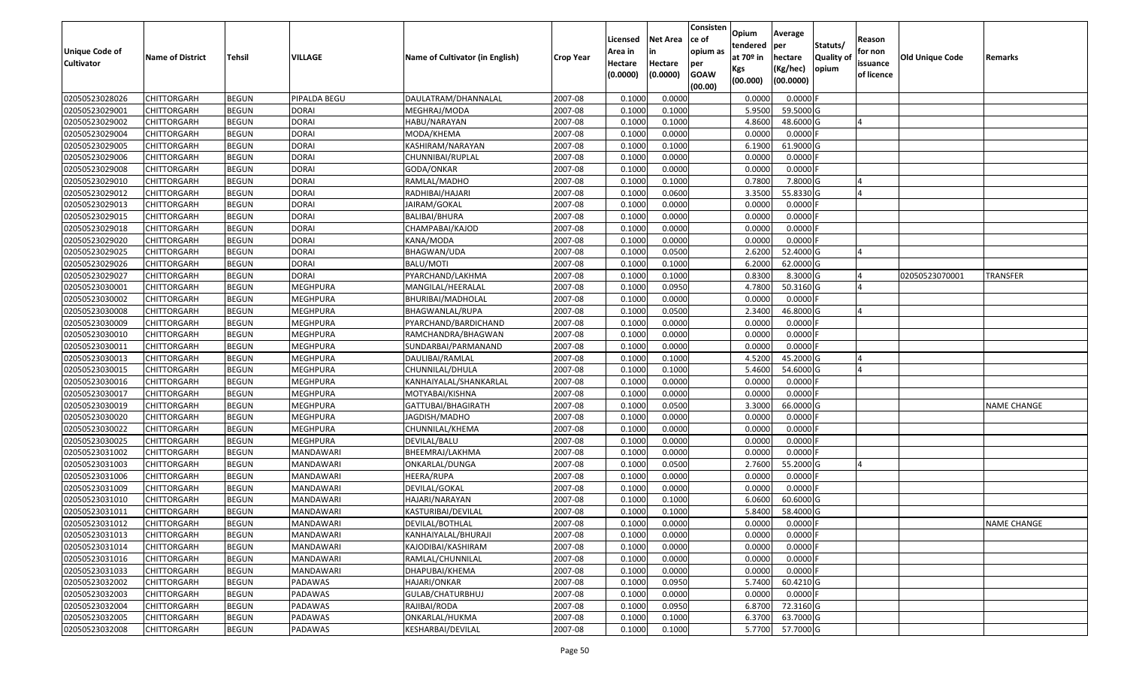| <b>Unique Code of</b><br><b>Cultivator</b> | <b>Name of District</b> | <b>Tehsil</b> | VILLAGE          | Name of Cultivator (in English) | <b>Crop Year</b> | Licensed<br>Area in<br>Hectare<br>(0.0000) | <b>Net Area</b><br>in<br>Hectare<br>(0.0000) | Consisten<br>ce of<br>opium as<br>per<br><b>GOAW</b> | Opium<br>tendered<br>at $70°$ in<br>Kgs | Average<br>per<br>hectare<br>(Kg/hec) | Statuts/<br><b>Quality o</b><br>opium | Reason<br>for non<br>issuance<br>of licence | <b>Old Unique Code</b> | Remarks            |
|--------------------------------------------|-------------------------|---------------|------------------|---------------------------------|------------------|--------------------------------------------|----------------------------------------------|------------------------------------------------------|-----------------------------------------|---------------------------------------|---------------------------------------|---------------------------------------------|------------------------|--------------------|
|                                            |                         |               |                  |                                 |                  |                                            |                                              | (00.00)                                              | (00.000)                                | (00.0000)                             |                                       |                                             |                        |                    |
| 02050523028026                             | CHITTORGARH             | <b>BEGUN</b>  | PIPALDA BEGU     | DAULATRAM/DHANNALAL             | 2007-08          | 0.1000                                     | 0.0000                                       |                                                      | 0.0000                                  | 0.0000F                               |                                       |                                             |                        |                    |
| 02050523029001                             | CHITTORGARH             | <b>BEGUN</b>  | <b>DORAI</b>     | MEGHRAJ/MODA                    | 2007-08          | 0.1000                                     | 0.1000                                       |                                                      | 5.9500                                  | 59.5000G                              |                                       |                                             |                        |                    |
| 02050523029002                             | CHITTORGARH             | <b>BEGUN</b>  | <b>DORAI</b>     | HABU/NARAYAN                    | 2007-08          | 0.1000                                     | 0.1000                                       |                                                      | 4.8600                                  | 48.6000 G                             |                                       |                                             |                        |                    |
| 02050523029004                             | <b>CHITTORGARH</b>      | <b>BEGUN</b>  | <b>DORAI</b>     | MODA/KHEMA                      | 2007-08          | 0.1000                                     | 0.0000                                       |                                                      | 0.0000                                  | $0.0000$ F                            |                                       |                                             |                        |                    |
| 02050523029005                             | CHITTORGARH             | <b>BEGUN</b>  | <b>DORAI</b>     | KASHIRAM/NARAYAN                | 2007-08          | 0.1000                                     | 0.1000                                       |                                                      | 6.1900                                  | 61.9000 G                             |                                       |                                             |                        |                    |
| 02050523029006                             | CHITTORGARH             | <b>BEGUN</b>  | <b>DORAI</b>     | CHUNNIBAI/RUPLAL                | 2007-08          | 0.1000                                     | 0.0000                                       |                                                      | 0.0000                                  | 0.0000F                               |                                       |                                             |                        |                    |
| 02050523029008                             | CHITTORGARH             | <b>BEGUN</b>  | <b>DORAI</b>     | GODA/ONKAR                      | 2007-08          | 0.1000                                     | 0.0000                                       |                                                      | 0.0000                                  | 0.0000                                |                                       |                                             |                        |                    |
| 02050523029010                             | <b>CHITTORGARH</b>      | <b>BEGUN</b>  | <b>DORAI</b>     | RAMLAL/MADHO                    | 2007-08          | 0.1000                                     | 0.1000                                       |                                                      | 0.7800                                  | 7.8000 G                              |                                       |                                             |                        |                    |
| 02050523029012                             | CHITTORGARH             | <b>BEGUN</b>  | <b>DORAI</b>     | RADHIBAI/HAJARI                 | 2007-08          | 0.1000                                     | 0.0600                                       |                                                      | 3.3500                                  | 55.8330 G                             |                                       |                                             |                        |                    |
| 02050523029013                             | CHITTORGARH             | <b>BEGUN</b>  | <b>DORAI</b>     | JAIRAM/GOKAL                    | 2007-08          | 0.1000                                     | 0.0000                                       |                                                      | 0.0000                                  | 0.0000F                               |                                       |                                             |                        |                    |
| 02050523029015                             | CHITTORGARH             | <b>BEGUN</b>  | <b>DORAI</b>     | BALIBAI/BHURA                   | 2007-08          | 0.1000                                     | 0.0000                                       |                                                      | 0.0000                                  | 0.0000F                               |                                       |                                             |                        |                    |
| 02050523029018                             | <b>CHITTORGARH</b>      | <b>BEGUN</b>  | <b>DORAI</b>     | CHAMPABAI/KAJOD                 | 2007-08          | 0.1000                                     | 0.0000                                       |                                                      | 0.0000                                  | 0.0000F                               |                                       |                                             |                        |                    |
| 02050523029020                             | <b>CHITTORGARH</b>      | <b>BEGUN</b>  | <b>DORAI</b>     | KANA/MODA                       | 2007-08          | 0.1000                                     | 0.0000                                       |                                                      | 0.0000                                  | $0.0000$ F                            |                                       |                                             |                        |                    |
| 02050523029025                             | CHITTORGARH             | <b>BEGUN</b>  | <b>DORAI</b>     | BHAGWAN/UDA                     | 2007-08          | 0.1000                                     | 0.0500                                       |                                                      | 2.6200                                  | 52.4000 G                             |                                       |                                             |                        |                    |
| 02050523029026                             | CHITTORGARH             | <b>BEGUN</b>  | <b>DORAI</b>     | BALU/MOTI                       | 2007-08          | 0.1000                                     | 0.1000                                       |                                                      | 6.2000                                  | 62.0000 G                             |                                       |                                             |                        |                    |
| 02050523029027                             | CHITTORGARH             | <b>BEGUN</b>  | <b>DORAI</b>     | PYARCHAND/LAKHMA                | 2007-08          | 0.1000                                     | 0.1000                                       |                                                      | 0.8300                                  | 8.3000 G                              |                                       |                                             | 02050523070001         | <b>TRANSFER</b>    |
| 02050523030001                             | CHITTORGARH             | <b>BEGUN</b>  | MEGHPURA         | MANGILAL/HEERALAL               | 2007-08          | 0.1000                                     | 0.0950                                       |                                                      | 4.7800                                  | 50.3160 G                             |                                       |                                             |                        |                    |
| 02050523030002                             | CHITTORGARH             | <b>BEGUN</b>  | <b>MEGHPURA</b>  | BHURIBAI/MADHOLAL               | 2007-08          | 0.1000                                     | 0.0000                                       |                                                      | 0.0000                                  | 0.0000F                               |                                       |                                             |                        |                    |
| 02050523030008                             | CHITTORGARH             | <b>BEGUN</b>  | MEGHPURA         | BHAGWANLAL/RUPA                 | 2007-08          | 0.1000                                     | 0.0500                                       |                                                      | 2.3400                                  | 46.8000 G                             |                                       |                                             |                        |                    |
| 02050523030009                             | CHITTORGARH             | <b>BEGUN</b>  | MEGHPURA         | PYARCHAND/BARDICHAND            | 2007-08          | 0.1000                                     | 0.0000                                       |                                                      | 0.0000                                  | 0.0000                                |                                       |                                             |                        |                    |
| 02050523030010                             | CHITTORGARH             | <b>BEGUN</b>  | <b>MEGHPURA</b>  | RAMCHANDRA/BHAGWAN              | 2007-08          | 0.1000                                     | 0.0000                                       |                                                      | 0.0000                                  | 0.0000                                |                                       |                                             |                        |                    |
| 02050523030011                             | CHITTORGARH             | <b>BEGUN</b>  | MEGHPURA         | SUNDARBAI/PARMANAND             | 2007-08          | 0.100                                      | 0.0000                                       |                                                      | 0.0000                                  | 0.0000                                |                                       |                                             |                        |                    |
| 02050523030013                             | CHITTORGARH             | <b>BEGUN</b>  | MEGHPURA         | DAULIBAI/RAMLAL                 | 2007-08          | 0.1000                                     | 0.1000                                       |                                                      | 4.5200                                  | 45.2000 G                             |                                       |                                             |                        |                    |
| 02050523030015                             | CHITTORGARH             | <b>BEGUN</b>  | MEGHPURA         | CHUNNILAL/DHULA                 | 2007-08          | 0.1000                                     | 0.1000                                       |                                                      | 5.4600                                  | 54.6000 G                             |                                       |                                             |                        |                    |
| 02050523030016                             | <b>CHITTORGARH</b>      | <b>BEGUN</b>  | <b>MEGHPURA</b>  | KANHAIYALAL/SHANKARLAL          | 2007-08          | 0.1000                                     | 0.0000                                       |                                                      | 0.0000                                  | $0.0000$ F                            |                                       |                                             |                        |                    |
| 02050523030017                             | CHITTORGARH             | <b>BEGUN</b>  | MEGHPURA         | MOTYABAI/KISHNA                 | 2007-08          | 0.1000                                     | 0.0000                                       |                                                      | 0.0000                                  | $0.0000$ F                            |                                       |                                             |                        |                    |
| 02050523030019                             | CHITTORGARH             | <b>BEGUN</b>  | <b>MEGHPURA</b>  | GATTUBAI/BHAGIRATH              | 2007-08          | 0.1000                                     | 0.0500                                       |                                                      | 3.3000                                  | 66.0000 G                             |                                       |                                             |                        | <b>NAME CHANGE</b> |
| 02050523030020                             | CHITTORGARH             | <b>BEGUN</b>  | MEGHPURA         | JAGDISH/MADHO                   | 2007-08          | 0.1000                                     | 0.0000                                       |                                                      | 0.0000                                  | 0.0000                                |                                       |                                             |                        |                    |
| 02050523030022                             | CHITTORGARH             | <b>BEGUN</b>  | <b>MEGHPURA</b>  | CHUNNILAL/KHEMA                 | 2007-08          | 0.1000                                     | 0.0000                                       |                                                      | 0.0000                                  | 0.0000F                               |                                       |                                             |                        |                    |
| 02050523030025                             | CHITTORGARH             | <b>BEGUN</b>  | <b>MEGHPURA</b>  | DEVILAL/BALU                    | 2007-08          | 0.1000                                     | 0.0000                                       |                                                      | 0.0000                                  | 0.0000                                |                                       |                                             |                        |                    |
| 02050523031002                             | CHITTORGARH             | <b>BEGUN</b>  | MANDAWARI        | BHEEMRAJ/LAKHMA                 | 2007-08          | 0.1000                                     | 0.0000                                       |                                                      | 0.0000                                  | 0.0000                                |                                       |                                             |                        |                    |
| 02050523031003                             | CHITTORGARH             | <b>BEGUN</b>  | MANDAWARI        | ONKARLAL/DUNGA                  | 2007-08          | 0.1000                                     | 0.0500                                       |                                                      | 2.7600                                  | 55.2000 G                             |                                       |                                             |                        |                    |
| 02050523031006                             | CHITTORGARH             | <b>BEGUN</b>  | MANDAWARI        | HEERA/RUPA                      | 2007-08          | 0.1000                                     | 0.0000                                       |                                                      | 0.0000                                  | 0.0000F                               |                                       |                                             |                        |                    |
| 02050523031009                             | CHITTORGARH             | <b>BEGUN</b>  | MANDAWARI        | DEVILAL/GOKAL                   | 2007-08          | 0.1000                                     | 0.0000                                       |                                                      | 0.0000                                  | 0.0000                                |                                       |                                             |                        |                    |
| 02050523031010                             | CHITTORGARH             | <b>BEGUN</b>  | MANDAWARI        | HAJARI/NARAYAN                  | 2007-08          | 0.1000                                     | 0.1000                                       |                                                      | 6.0600                                  | 60.6000 G                             |                                       |                                             |                        |                    |
| 02050523031011                             | CHITTORGARH             | <b>BEGUN</b>  | MANDAWARI        | KASTURIBAI/DEVILAL              | 2007-08          | 0.1000                                     | 0.1000                                       |                                                      | 5.8400                                  | 58.4000 G                             |                                       |                                             |                        |                    |
| 02050523031012                             | <b>CHITTORGARH</b>      | <b>BEGUN</b>  | MANDAWARI        | DEVILAL/BOTHLAL                 | 2007-08          | 0.1000                                     | 0.0000                                       |                                                      | 0.0000                                  | 0.0000 F                              |                                       |                                             |                        | NAME CHANGE        |
| 02050523031013                             | <b>CHITTORGARH</b>      | <b>BEGUN</b>  | MANDAWARI        | KANHAIYALAL/BHURAJI             | 2007-08          | 0.1000                                     | 0.0000                                       |                                                      | 0.0000                                  | $0.0000$ F                            |                                       |                                             |                        |                    |
| 02050523031014                             | <b>CHITTORGARH</b>      | <b>BEGUN</b>  | MANDAWARI        | KAJODIBAI/KASHIRAM              | 2007-08          | 0.1000                                     | 0.0000                                       |                                                      | 0.0000                                  | 0.0000F                               |                                       |                                             |                        |                    |
| 02050523031016                             | <b>CHITTORGARH</b>      | <b>BEGUN</b>  | <b>MANDAWARI</b> | RAMLAL/CHUNNILAL                | 2007-08          | 0.1000                                     | 0.0000                                       |                                                      | 0.0000                                  | $0.0000$ F                            |                                       |                                             |                        |                    |
| 02050523031033                             | <b>CHITTORGARH</b>      | <b>BEGUN</b>  | MANDAWARI        | DHAPUBAI/KHEMA                  | 2007-08          | 0.1000                                     | 0.0000                                       |                                                      | 0.0000                                  | 0.0000F                               |                                       |                                             |                        |                    |
| 02050523032002                             | <b>CHITTORGARH</b>      | <b>BEGUN</b>  | PADAWAS          | HAJARI/ONKAR                    | 2007-08          | 0.1000                                     | 0.0950                                       |                                                      | 5.7400                                  | 60.4210 G                             |                                       |                                             |                        |                    |
| 02050523032003                             | <b>CHITTORGARH</b>      | <b>BEGUN</b>  | PADAWAS          | GULAB/CHATURBHUJ                | 2007-08          | 0.1000                                     | 0.0000                                       |                                                      | 0.0000                                  | $0.0000$ F                            |                                       |                                             |                        |                    |
| 02050523032004                             | CHITTORGARH             | <b>BEGUN</b>  | PADAWAS          | RAJIBAI/RODA                    | 2007-08          | 0.1000                                     | 0.0950                                       |                                                      | 6.8700                                  | 72.3160 G                             |                                       |                                             |                        |                    |
| 02050523032005                             | CHITTORGARH             | <b>BEGUN</b>  | PADAWAS          | ONKARLAL/HUKMA                  | 2007-08          | 0.1000                                     | 0.1000                                       |                                                      | 6.3700                                  | 63.7000 G                             |                                       |                                             |                        |                    |
| 02050523032008                             | <b>CHITTORGARH</b>      | <b>BEGUN</b>  | PADAWAS          | KESHARBAI/DEVILAL               | 2007-08          | 0.1000                                     | 0.1000                                       |                                                      | 5.7700                                  | 57.7000G                              |                                       |                                             |                        |                    |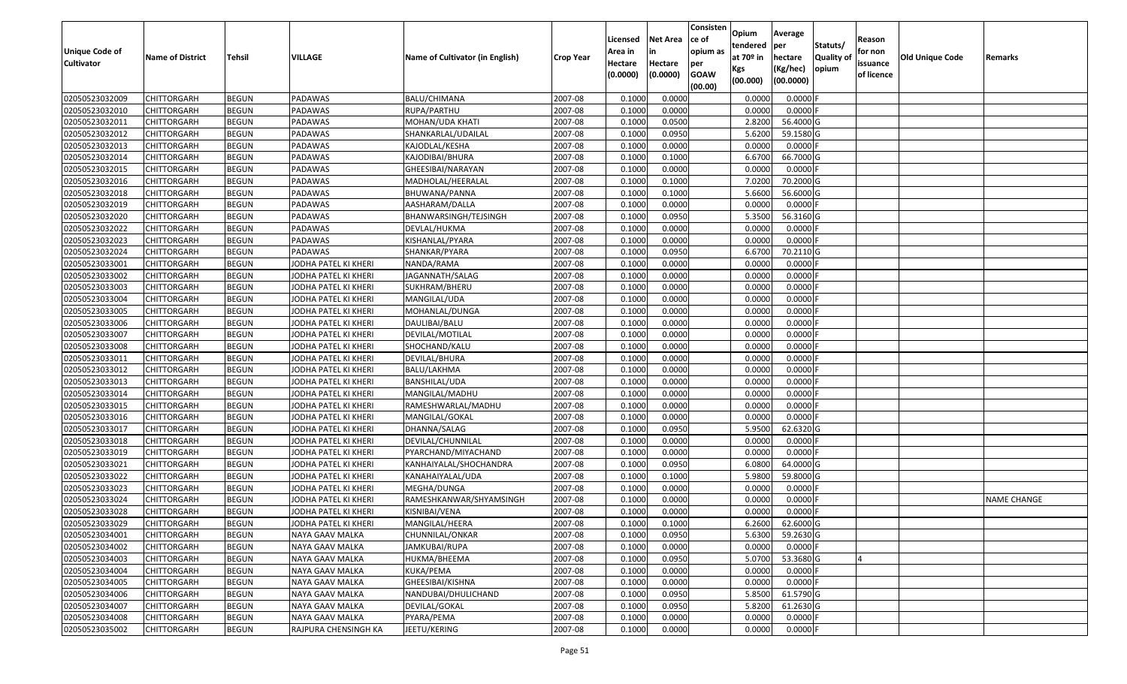| <b>Unique Code of</b> |                         |              |                      |                                 |                  | Licensed<br>Area in | <b>Net Area</b><br>in | Consisten<br>ce of<br>opium as | Opium<br>tendered              | Average<br>per                   | Statuts/                  | Reason<br>for non      |                 |                    |
|-----------------------|-------------------------|--------------|----------------------|---------------------------------|------------------|---------------------|-----------------------|--------------------------------|--------------------------------|----------------------------------|---------------------------|------------------------|-----------------|--------------------|
| <b>Cultivator</b>     | <b>Name of District</b> | Tehsil       | VILLAGE              | Name of Cultivator (in English) | <b>Crop Year</b> | Hectare<br>(0.0000) | Hectare<br>(0.0000)   | per<br><b>GOAW</b><br>(00.00)  | at $70°$ in<br>Kgs<br>(00.000) | hectare<br>(Kg/hec)<br>(00.0000) | <b>Quality o</b><br>opium | issuance<br>of licence | Old Unique Code | Remarks            |
| 02050523032009        | CHITTORGARH             | <b>BEGUN</b> | PADAWAS              | BALU/CHIMANA                    | 2007-08          | 0.1000              | 0.0000                |                                | 0.0000                         | 0.0000F                          |                           |                        |                 |                    |
| 02050523032010        | CHITTORGARH             | <b>BEGUN</b> | PADAWAS              | RUPA/PARTHU                     | 2007-08          | 0.1000              | 0.0000                |                                | 0.0000                         | $0.0000$ F                       |                           |                        |                 |                    |
| 02050523032011        | CHITTORGARH             | <b>BEGUN</b> | PADAWAS              | MOHAN/UDA KHATI                 | 2007-08          | 0.1000              | 0.0500                |                                | 2.8200                         | 56.4000 G                        |                           |                        |                 |                    |
| 02050523032012        | <b>CHITTORGARH</b>      | <b>BEGUN</b> | PADAWAS              | SHANKARLAL/UDAILAL              | 2007-08          | 0.1000              | 0.0950                |                                | 5.6200                         | 59.1580 G                        |                           |                        |                 |                    |
| 02050523032013        | CHITTORGARH             | <b>BEGUN</b> | PADAWAS              | KAJODLAL/KESHA                  | 2007-08          | 0.1000              | 0.0000                |                                | 0.0000                         | 0.0000F                          |                           |                        |                 |                    |
| 02050523032014        | CHITTORGARH             | <b>BEGUN</b> | PADAWAS              | KAJODIBAI/BHURA                 | 2007-08          | 0.1000              | 0.1000                |                                | 6.6700                         | 66.7000 G                        |                           |                        |                 |                    |
| 02050523032015        | CHITTORGARH             | <b>BEGUN</b> | PADAWAS              | GHEESIBAI/NARAYAN               | 2007-08          | 0.1000              | 0.0000                |                                | 0.0000                         | 0.0000                           |                           |                        |                 |                    |
| 02050523032016        | <b>CHITTORGARH</b>      | <b>BEGUN</b> | PADAWAS              | MADHOLAL/HEERALAL               | 2007-08          | 0.1000              | 0.1000                |                                | 7.0200                         | 70.2000 G                        |                           |                        |                 |                    |
| 02050523032018        | CHITTORGARH             | <b>BEGUN</b> | PADAWAS              | BHUWANA/PANNA                   | 2007-08          | 0.1000              | 0.1000                |                                | 5.6600                         | 56.6000 G                        |                           |                        |                 |                    |
| 02050523032019        | CHITTORGARH             | <b>BEGUN</b> | PADAWAS              | AASHARAM/DALLA                  | 2007-08          | 0.1000              | 0.0000                |                                | 0.0000                         | $0.0000$ F                       |                           |                        |                 |                    |
| 02050523032020        | CHITTORGARH             | <b>BEGUN</b> | PADAWAS              | BHANWARSINGH/TEJSINGH           | 2007-08          | 0.1000              | 0.0950                |                                | 5.3500                         | 56.3160 G                        |                           |                        |                 |                    |
| 02050523032022        | <b>CHITTORGARH</b>      | <b>BEGUN</b> | PADAWAS              | DEVLAL/HUKMA                    | 2007-08          | 0.1000              | 0.0000                |                                | 0.0000                         | 0.0000F                          |                           |                        |                 |                    |
| 02050523032023        | <b>CHITTORGARH</b>      | <b>BEGUN</b> | PADAWAS              | KISHANLAL/PYARA                 | 2007-08          | 0.1000              | 0.0000                |                                | 0.0000                         | $0.0000$ F                       |                           |                        |                 |                    |
| 02050523032024        | <b>CHITTORGARH</b>      | <b>BEGUN</b> | PADAWAS              | SHANKAR/PYARA                   | 2007-08          | 0.1000              | 0.0950                |                                | 6.6700                         | 70.2110 G                        |                           |                        |                 |                    |
| 02050523033001        | CHITTORGARH             | <b>BEGUN</b> | JODHA PATEL KI KHERI | NANDA/RAMA                      | 2007-08          | 0.1000              | 0.0000                |                                | 0.0000                         | $0.0000$ F                       |                           |                        |                 |                    |
| 02050523033002        | CHITTORGARH             | <b>BEGUN</b> | JODHA PATEL KI KHERI | JAGANNATH/SALAG                 | 2007-08          | 0.1000              | 0.0000                |                                | 0.0000                         | 0.0000                           |                           |                        |                 |                    |
| 02050523033003        | CHITTORGARH             | <b>BEGUN</b> | JODHA PATEL KI KHERI | SUKHRAM/BHERU                   | 2007-08          | 0.1000              | 0.0000                |                                | 0.0000                         | 0.0000F                          |                           |                        |                 |                    |
| 02050523033004        | CHITTORGARH             | <b>BEGUN</b> | JODHA PATEL KI KHERI | MANGILAL/UDA                    | 2007-08          | 0.1000              | 0.0000                |                                | 0.0000                         | 0.0000                           |                           |                        |                 |                    |
| 02050523033005        | CHITTORGARH             | <b>BEGUN</b> | JODHA PATEL KI KHERI | MOHANLAL/DUNGA                  | 2007-08          | 0.1000              | 0.0000                |                                | 0.0000                         | 0.0000                           |                           |                        |                 |                    |
| 02050523033006        | CHITTORGARH             | <b>BEGUN</b> | JODHA PATEL KI KHERI | DAULIBAI/BALU                   | 2007-08          | 0.1000              | 0.0000                |                                | 0.0000                         | 0.0000                           |                           |                        |                 |                    |
| 02050523033007        | CHITTORGARH             | <b>BEGUN</b> | JODHA PATEL KI KHERI | DEVILAL/MOTILAL                 | 2007-08          | 0.1000              | 0.0000                |                                | 0.0000                         | 0.0000                           |                           |                        |                 |                    |
| 02050523033008        | CHITTORGARH             | <b>BEGUN</b> | JODHA PATEL KI KHERI | SHOCHAND/KALU                   | 2007-08          | 0.1000              | 0.0000                |                                | 0.0000                         | 0.0000                           |                           |                        |                 |                    |
| 02050523033011        | CHITTORGARH             | <b>BEGUN</b> | JODHA PATEL KI KHERI | DEVILAL/BHURA                   | 2007-08          | 0.1000              | 0.0000                |                                | 0.0000                         | 0.0000                           |                           |                        |                 |                    |
| 02050523033012        | CHITTORGARH             | <b>BEGUN</b> | JODHA PATEL KI KHERI | BALU/LAKHMA                     | 2007-08          | 0.1000              | 0.0000                |                                | 0.0000                         | 0.0000                           |                           |                        |                 |                    |
| 02050523033013        | <b>CHITTORGARH</b>      | <b>BEGUN</b> | JODHA PATEL KI KHERI | <b>BANSHILAL/UDA</b>            | 2007-08          | 0.1000              | 0.0000                |                                | 0.0000                         | 0.0000F                          |                           |                        |                 |                    |
| 02050523033014        | CHITTORGARH             | <b>BEGUN</b> | JODHA PATEL KI KHERI | MANGILAL/MADHU                  | 2007-08          | 0.1000              | 0.0000                |                                | 0.0000                         | 0.0000F                          |                           |                        |                 |                    |
| 02050523033015        | CHITTORGARH             | <b>BEGUN</b> | JODHA PATEL KI KHERI | RAMESHWARLAL/MADHU              | 2007-08          | 0.1000              | 0.0000                |                                | 0.0000                         | 0.0000F                          |                           |                        |                 |                    |
| 02050523033016        | CHITTORGARH             | <b>BEGUN</b> | JODHA PATEL KI KHERI | MANGILAL/GOKAL                  | 2007-08          | 0.1000              | 0.0000                |                                | 0.0000                         | $0.0000$ F                       |                           |                        |                 |                    |
| 02050523033017        | CHITTORGARH             | <b>BEGUN</b> | JODHA PATEL KI KHERI | DHANNA/SALAG                    | 2007-08          | 0.1000              | 0.0950                |                                | 5.9500                         | 62.6320 G                        |                           |                        |                 |                    |
| 02050523033018        | CHITTORGARH             | <b>BEGUN</b> | JODHA PATEL KI KHERI | DEVILAL/CHUNNILAL               | 2007-08          | 0.1000              | 0.0000                |                                | 0.0000                         | 0.0000                           |                           |                        |                 |                    |
| 02050523033019        | CHITTORGARH             | <b>BEGUN</b> | JODHA PATEL KI KHERI | PYARCHAND/MIYACHAND             | 2007-08          | 0.1000              | 0.0000                |                                | 0.0000                         | 0.0000F                          |                           |                        |                 |                    |
| 02050523033021        | CHITTORGARH             | <b>BEGUN</b> | JODHA PATEL KI KHERI | KANHAIYALAL/SHOCHANDRA          | 2007-08          | 0.1000              | 0.0950                |                                | 6.0800                         | 64.0000G                         |                           |                        |                 |                    |
| 02050523033022        | CHITTORGARH             | <b>BEGUN</b> | JODHA PATEL KI KHERI | KANAHAIYALAL/UDA                | 2007-08          | 0.1000              | 0.1000                |                                | 5.9800                         | 59.8000G                         |                           |                        |                 |                    |
| 02050523033023        | CHITTORGARH             | <b>BEGUN</b> | JODHA PATEL KI KHERI | MEGHA/DUNGA                     | 2007-08          | 0.1000              | 0.0000                |                                | 0.0000                         | 0.0000                           |                           |                        |                 |                    |
| 02050523033024        | CHITTORGARH             | <b>BEGUN</b> | JODHA PATEL KI KHERI | RAMESHKANWAR/SHYAMSINGH         | 2007-08          | 0.1000              | 0.0000                |                                | 0.0000                         | 0.0000                           |                           |                        |                 | <b>NAME CHANGE</b> |
| 02050523033028        | CHITTORGARH             | <b>BEGUN</b> | JODHA PATEL KI KHERI | KISNIBAI/VENA                   | 2007-08          | 0.1000              | 0.0000                |                                | 0.0000                         | $0.0000$ F                       |                           |                        |                 |                    |
| 02050523033029        | <b>CHITTORGARH</b>      | <b>BEGUN</b> | JODHA PATEL KI KHERI | MANGILAL/HEERA                  | 2007-08          | 0.1000              | 0.1000                |                                | 6.2600                         | 62.6000 G                        |                           |                        |                 |                    |
| 02050523034001        | <b>CHITTORGARH</b>      | <b>BEGUN</b> | NAYA GAAV MALKA      | CHUNNILAL/ONKAR                 | 2007-08          | 0.1000              | 0.0950                |                                | 5.6300                         | 59.2630 G                        |                           |                        |                 |                    |
| 02050523034002        | <b>CHITTORGARH</b>      | <b>BEGUN</b> | NAYA GAAV MALKA      | JAMKUBAI/RUPA                   | 2007-08          | 0.1000              | 0.0000                |                                | 0.0000                         | $0.0000$ F                       |                           |                        |                 |                    |
| 02050523034003        | <b>CHITTORGARH</b>      | <b>BEGUN</b> | NAYA GAAV MALKA      | HUKMA/BHEEMA                    | 2007-08          | 0.1000              | 0.0950                |                                | 5.0700                         | 53.3680 G                        |                           | $\overline{A}$         |                 |                    |
| 02050523034004        | <b>CHITTORGARH</b>      | <b>BEGUN</b> | NAYA GAAV MALKA      | KUKA/PEMA                       | 2007-08          | 0.1000              | 0.0000                |                                | 0.0000                         | $0.0000$ F                       |                           |                        |                 |                    |
| 02050523034005        | <b>CHITTORGARH</b>      | <b>BEGUN</b> | NAYA GAAV MALKA      | GHEESIBAI/KISHNA                | 2007-08          | 0.1000              | 0.0000                |                                | 0.0000                         | 0.0000                           |                           |                        |                 |                    |
| 02050523034006        | <b>CHITTORGARH</b>      | <b>BEGUN</b> | NAYA GAAV MALKA      | NANDUBAI/DHULICHAND             | 2007-08          | 0.1000              | 0.0950                |                                | 5.8500                         | 61.5790 G                        |                           |                        |                 |                    |
| 02050523034007        | CHITTORGARH             | <b>BEGUN</b> | NAYA GAAV MALKA      | DEVILAL/GOKAL                   | 2007-08          | 0.1000              | 0.0950                |                                | 5.8200                         | 61.2630 G                        |                           |                        |                 |                    |
| 02050523034008        | CHITTORGARH             | <b>BEGUN</b> | NAYA GAAV MALKA      | PYARA/PEMA                      | 2007-08          | 0.1000              | 0.0000                |                                | 0.0000                         | $0.0000$ F                       |                           |                        |                 |                    |
| 02050523035002        | <b>CHITTORGARH</b>      | <b>BEGUN</b> | RAJPURA CHENSINGH KA | JEETU/KERING                    | 2007-08          | 0.1000              | 0.0000                |                                | 0.0000                         | $0.0000$ F                       |                           |                        |                 |                    |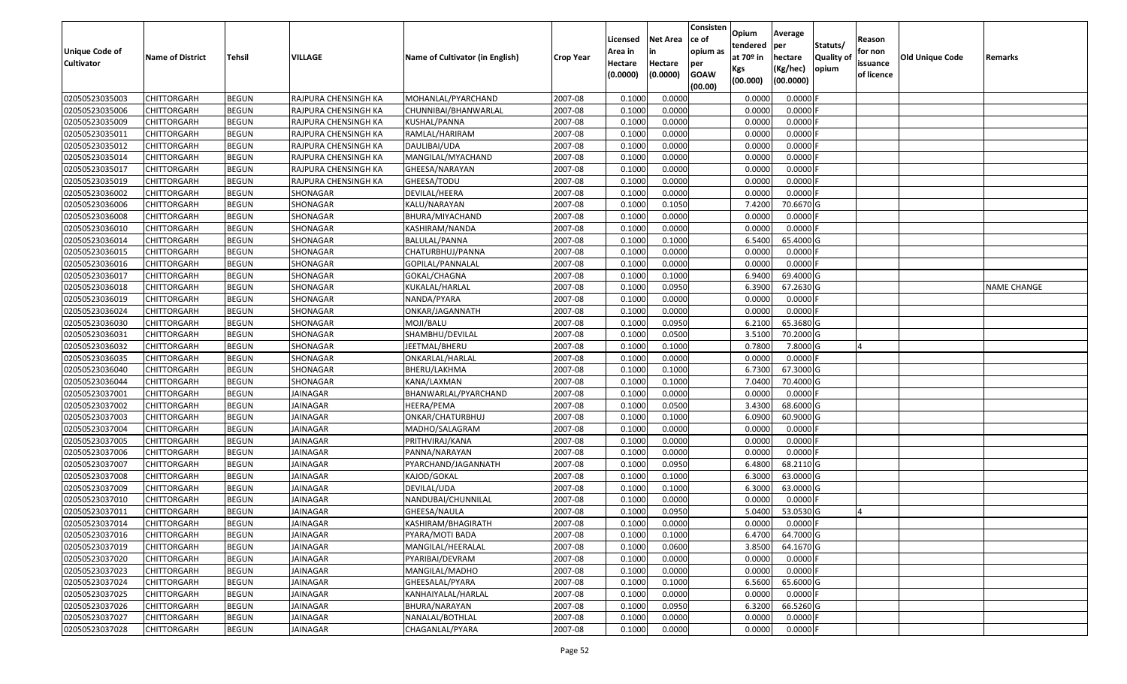| <b>Unique Code of</b><br><b>Cultivator</b> | <b>Name of District</b> | <b>Tehsil</b> | VILLAGE              | Name of Cultivator (in English) | <b>Crop Year</b> | Licensed<br>Area in<br>Hectare<br>(0.0000) | <b>Net Area</b><br>in<br>Hectare<br>(0.0000) | Consisten<br>ce of<br>opium as<br>per<br><b>GOAW</b><br>(00.00) | Opium<br>tendered<br>at $70°$ in<br>Kgs<br>(00.000) | Average<br>per<br>hectare<br>(Kg/hec)<br>(00.0000) | Statuts/<br>Quality of<br>opium | Reason<br>for non<br>issuance<br>of licence | <b>Old Unique Code</b> | Remarks            |
|--------------------------------------------|-------------------------|---------------|----------------------|---------------------------------|------------------|--------------------------------------------|----------------------------------------------|-----------------------------------------------------------------|-----------------------------------------------------|----------------------------------------------------|---------------------------------|---------------------------------------------|------------------------|--------------------|
| 02050523035003                             | <b>CHITTORGARH</b>      | <b>BEGUN</b>  | RAJPURA CHENSINGH KA | MOHANLAL/PYARCHAND              | 2007-08          | 0.1000                                     | 0.0000                                       |                                                                 | 0.0000                                              | 0.0000                                             |                                 |                                             |                        |                    |
| 02050523035006                             | CHITTORGARH             | <b>BEGUN</b>  | RAJPURA CHENSINGH KA | CHUNNIBAI/BHANWARLAL            | 2007-08          | 0.1000                                     | 0.0000                                       |                                                                 | 0.0000                                              | 0.0000F                                            |                                 |                                             |                        |                    |
| 02050523035009                             | CHITTORGARH             | <b>BEGUN</b>  | RAJPURA CHENSINGH KA | KUSHAL/PANNA                    | 2007-08          | 0.1000                                     | 0.0000                                       |                                                                 | 0.0000                                              | 0.0000                                             |                                 |                                             |                        |                    |
| 02050523035011                             | <b>CHITTORGARH</b>      | <b>BEGUN</b>  | RAJPURA CHENSINGH KA | RAMLAL/HARIRAM                  | 2007-08          | 0.1000                                     | 0.0000                                       |                                                                 | 0.0000                                              | 0.0000                                             |                                 |                                             |                        |                    |
| 02050523035012                             | <b>CHITTORGARH</b>      | <b>BEGUN</b>  | RAJPURA CHENSINGH KA | DAULIBAI/UDA                    | 2007-08          | 0.1000                                     | 0.0000                                       |                                                                 | 0.0000                                              | 0.0000F                                            |                                 |                                             |                        |                    |
| 02050523035014                             | CHITTORGARH             | <b>BEGUN</b>  | RAJPURA CHENSINGH KA | MANGILAL/MYACHAND               | 2007-08          | 0.1000                                     | 0.0000                                       |                                                                 | 0.0000                                              | 0.0000                                             |                                 |                                             |                        |                    |
| 02050523035017                             | CHITTORGARH             | <b>BEGUN</b>  | RAJPURA CHENSINGH KA | GHEESA/NARAYAN                  | 2007-08          | 0.1000                                     | 0.0000                                       |                                                                 | 0.0000                                              | 0.0000F                                            |                                 |                                             |                        |                    |
| 02050523035019                             | CHITTORGARH             | <b>BEGUN</b>  | RAJPURA CHENSINGH KA | GHEESA/TODU                     | 2007-08          | 0.1000                                     | 0.0000                                       |                                                                 | 0.0000                                              | 0.0000                                             |                                 |                                             |                        |                    |
| 02050523036002                             | CHITTORGARH             | <b>BEGUN</b>  | SHONAGAR             | DEVILAL/HEERA                   | 2007-08          | 0.1000                                     | 0.0000                                       |                                                                 | 0.0000                                              | $0.0000$ F                                         |                                 |                                             |                        |                    |
| 02050523036006                             | CHITTORGARH             | <b>BEGUN</b>  | SHONAGAR             | KALU/NARAYAN                    | 2007-08          | 0.1000                                     | 0.1050                                       |                                                                 | 7.4200                                              | 70.6670 G                                          |                                 |                                             |                        |                    |
| 02050523036008                             | CHITTORGARH             | <b>BEGUN</b>  | SHONAGAR             | BHURA/MIYACHAND                 | 2007-08          | 0.1000                                     | 0.0000                                       |                                                                 | 0.0000                                              | 0.0000F                                            |                                 |                                             |                        |                    |
| 02050523036010                             | CHITTORGARH             | <b>BEGUN</b>  | SHONAGAR             | KASHIRAM/NANDA                  | 2007-08          | 0.1000                                     | 0.0000                                       |                                                                 | 0.0000                                              | 0.0000                                             |                                 |                                             |                        |                    |
| 02050523036014                             | CHITTORGARH             | <b>BEGUN</b>  | SHONAGAR             | BALULAL/PANNA                   | 2007-08          | 0.1000                                     | 0.1000                                       |                                                                 | 6.5400                                              | 65.4000 G                                          |                                 |                                             |                        |                    |
| 02050523036015                             | CHITTORGARH             | <b>BEGUN</b>  | SHONAGAR             | CHATURBHUJ/PANNA                | 2007-08          | 0.1000                                     | 0.0000                                       |                                                                 | 0.0000                                              | 0.0000                                             |                                 |                                             |                        |                    |
| 02050523036016                             | CHITTORGARH             | <b>BEGUN</b>  | SHONAGAR             | GOPILAL/PANNALAL                | 2007-08          | 0.1000                                     | 0.0000                                       |                                                                 | 0.0000                                              | 0.0000F                                            |                                 |                                             |                        |                    |
| 02050523036017                             | CHITTORGARH             | <b>BEGUN</b>  | SHONAGAR             | GOKAL/CHAGNA                    | 2007-08          | 0.1000                                     | 0.1000                                       |                                                                 | 6.9400                                              | 69.4000 G                                          |                                 |                                             |                        |                    |
| 02050523036018                             | CHITTORGARH             | <b>BEGUN</b>  | SHONAGAR             | KUKALAL/HARLAL                  | 2007-08          | 0.1000                                     | 0.0950                                       |                                                                 | 6.3900                                              | 67.2630 G                                          |                                 |                                             |                        | <b>NAME CHANGE</b> |
| 02050523036019                             | CHITTORGARH             | <b>BEGUN</b>  | SHONAGAR             | NANDA/PYARA                     | 2007-08          | 0.1000                                     | 0.0000                                       |                                                                 | 0.0000                                              | 0.0000                                             |                                 |                                             |                        |                    |
| 02050523036024                             | <b>CHITTORGARH</b>      | <b>BEGUN</b>  | SHONAGAR             | ONKAR/JAGANNATH                 | 2007-08          | 0.1000                                     | 0.0000                                       |                                                                 | 0.0000                                              | 0.0000F                                            |                                 |                                             |                        |                    |
| 02050523036030                             | CHITTORGARH             | <b>BEGUN</b>  | SHONAGAR             | MOJI/BALU                       | 2007-08          | 0.1000                                     | 0.0950                                       |                                                                 | 6.2100                                              | 65.3680 G                                          |                                 |                                             |                        |                    |
| 02050523036031                             | <b>CHITTORGARH</b>      | <b>BEGUN</b>  | SHONAGAR             | SHAMBHU/DEVILAL                 | 2007-08          | 0.1000                                     | 0.0500                                       |                                                                 | 3.5100                                              | 70.2000 G                                          |                                 |                                             |                        |                    |
| 02050523036032                             | CHITTORGARH             | <b>BEGUN</b>  | SHONAGAR             | JEETMAL/BHERU                   | 2007-08          | 0.1000                                     | 0.1000                                       |                                                                 | 0.7800                                              | 7.8000 G                                           |                                 |                                             |                        |                    |
| 02050523036035                             | CHITTORGARH             | <b>BEGUN</b>  | SHONAGAR             | ONKARLAL/HARLAL                 | 2007-08          | 0.1000                                     | 0.0000                                       |                                                                 | 0.0000                                              | $0.0000$ F                                         |                                 |                                             |                        |                    |
| 02050523036040                             | CHITTORGARH             | <b>BEGUN</b>  | SHONAGAR             | BHERU/LAKHMA                    | 2007-08          | 0.1000                                     | 0.1000                                       |                                                                 | 6.7300                                              | 67.3000 G                                          |                                 |                                             |                        |                    |
| 02050523036044                             | CHITTORGARH             | <b>BEGUN</b>  | SHONAGAR             | KANA/LAXMAN                     | 2007-08          | 0.1000                                     | 0.1000                                       |                                                                 | 7.0400                                              | 70.4000 G                                          |                                 |                                             |                        |                    |
| 02050523037001                             | CHITTORGARH             | <b>BEGUN</b>  | JAINAGAR             | BHANWARLAL/PYARCHAND            | 2007-08          | 0.1000                                     | 0.0000                                       |                                                                 | 0.0000                                              | 0.0000                                             |                                 |                                             |                        |                    |
| 02050523037002                             | CHITTORGARH             | <b>BEGUN</b>  | JAINAGAR             | HEERA/PEMA                      | 2007-08          | 0.1000                                     | 0.0500                                       |                                                                 | 3.4300                                              | 68.6000 G                                          |                                 |                                             |                        |                    |
| 02050523037003                             | CHITTORGARH             | <b>BEGUN</b>  | JAINAGAR             | ONKAR/CHATURBHUJ                | 2007-08          | 0.1000                                     | 0.1000                                       |                                                                 | 6.0900                                              | 60.9000 G                                          |                                 |                                             |                        |                    |
| 02050523037004                             | <b>CHITTORGARH</b>      | <b>BEGUN</b>  | JAINAGAR             | MADHO/SALAGRAM                  | 2007-08          | 0.1000                                     | 0.0000                                       |                                                                 | 0.0000                                              | 0.0000F                                            |                                 |                                             |                        |                    |
| 02050523037005                             | <b>CHITTORGARH</b>      | <b>BEGUN</b>  | JAINAGAR             | PRITHVIRAJ/KANA                 | 2007-08          | 0.1000                                     | 0.0000                                       |                                                                 | 0.0000                                              | 0.0000                                             |                                 |                                             |                        |                    |
| 02050523037006                             | <b>CHITTORGARH</b>      | <b>BEGUN</b>  | JAINAGAR             | PANNA/NARAYAN                   | 2007-08          | 0.1000                                     | 0.0000                                       |                                                                 | 0.0000                                              | $0.0000$ F                                         |                                 |                                             |                        |                    |
| 02050523037007                             | CHITTORGARH             | <b>BEGUN</b>  | JAINAGAR             | PYARCHAND/JAGANNATH             | 2007-08          | 0.1000                                     | 0.0950                                       |                                                                 | 6.4800                                              | 68.2110 G                                          |                                 |                                             |                        |                    |
| 02050523037008                             | <b>CHITTORGARH</b>      | <b>BEGUN</b>  | JAINAGAR             | KAJOD/GOKAL                     | 2007-08          | 0.1000                                     | 0.1000                                       |                                                                 | 6.3000                                              | 63.0000G                                           |                                 |                                             |                        |                    |
| 02050523037009                             | CHITTORGARH             | <b>BEGUN</b>  | JAINAGAR             | DEVILAL/UDA                     | 2007-08          | 0.1000                                     | 0.1000                                       |                                                                 | 6.3000                                              | 63.0000G                                           |                                 |                                             |                        |                    |
| 02050523037010                             | CHITTORGARH             | <b>BEGUN</b>  | JAINAGAR             | NANDUBAI/CHUNNILAL              | 2007-08          | 0.1000                                     | 0.0000                                       |                                                                 | 0.0000                                              | 0.0000                                             |                                 |                                             |                        |                    |
| 02050523037011                             | <b>CHITTORGARH</b>      | <b>BEGUN</b>  | JAINAGAR             | GHEESA/NAULA                    | 2007-08          | 0.1000                                     | 0.0950                                       |                                                                 | 5.0400                                              | 53.0530G                                           |                                 |                                             |                        |                    |
| 02050523037014                             | <b>CHITTORGARH</b>      | <b>BEGUN</b>  | <b>JAINAGAR</b>      | KASHIRAM/BHAGIRATH              | 2007-08          | 0.1000                                     | 0.0000                                       |                                                                 | 0.0000                                              | $0.0000$ F                                         |                                 |                                             |                        |                    |
| 02050523037016                             | <b>CHITTORGARH</b>      | <b>BEGUN</b>  | JAINAGAR             | PYARA/MOTI BADA                 | 2007-08          | 0.1000                                     | 0.1000                                       |                                                                 | 6.4700                                              | 64.7000 G                                          |                                 |                                             |                        |                    |
| 02050523037019                             | <b>CHITTORGARH</b>      | <b>BEGUN</b>  | JAINAGAR             | MANGILAL/HEERALAL               | 2007-08          | 0.1000                                     | 0.0600                                       |                                                                 | 3.8500                                              | 64.1670 G                                          |                                 |                                             |                        |                    |
| 02050523037020                             | <b>CHITTORGARH</b>      | <b>BEGUN</b>  | JAINAGAR             | PYARIBAI/DEVRAM                 | 2007-08          | 0.1000                                     | 0.0000                                       |                                                                 | 0.0000                                              | $0.0000$ F                                         |                                 |                                             |                        |                    |
| 02050523037023                             | <b>CHITTORGARH</b>      | <b>BEGUN</b>  | JAINAGAR             | MANGILAL/MADHO                  | 2007-08          | 0.1000                                     | 0.0000                                       |                                                                 | 0.0000                                              | $0.0000$ F                                         |                                 |                                             |                        |                    |
| 02050523037024                             | <b>CHITTORGARH</b>      | <b>BEGUN</b>  | JAINAGAR             | GHEESALAL/PYARA                 | 2007-08          | 0.1000                                     | 0.1000                                       |                                                                 | 6.5600                                              | 65.6000 G                                          |                                 |                                             |                        |                    |
| 02050523037025                             | <b>CHITTORGARH</b>      | <b>BEGUN</b>  | JAINAGAR             | KANHAIYALAL/HARLAL              | 2007-08          | 0.1000                                     | 0.0000                                       |                                                                 | 0.0000                                              | $0.0000$ F                                         |                                 |                                             |                        |                    |
| 02050523037026                             | <b>CHITTORGARH</b>      | <b>BEGUN</b>  | JAINAGAR             | BHURA/NARAYAN                   | 2007-08          | 0.1000                                     | 0.0950                                       |                                                                 | 6.3200                                              | 66.5260 G                                          |                                 |                                             |                        |                    |
| 02050523037027                             | CHITTORGARH             | <b>BEGUN</b>  | JAINAGAR             | NANALAL/BOTHLAL                 | 2007-08          | 0.1000                                     | 0.0000                                       |                                                                 | 0.0000                                              | 0.0000F                                            |                                 |                                             |                        |                    |
| 02050523037028                             | <b>CHITTORGARH</b>      | <b>BEGUN</b>  | JAINAGAR             | CHAGANLAL/PYARA                 | 2007-08          | 0.1000                                     | 0.0000                                       |                                                                 | 0.0000                                              | $0.0000$ F                                         |                                 |                                             |                        |                    |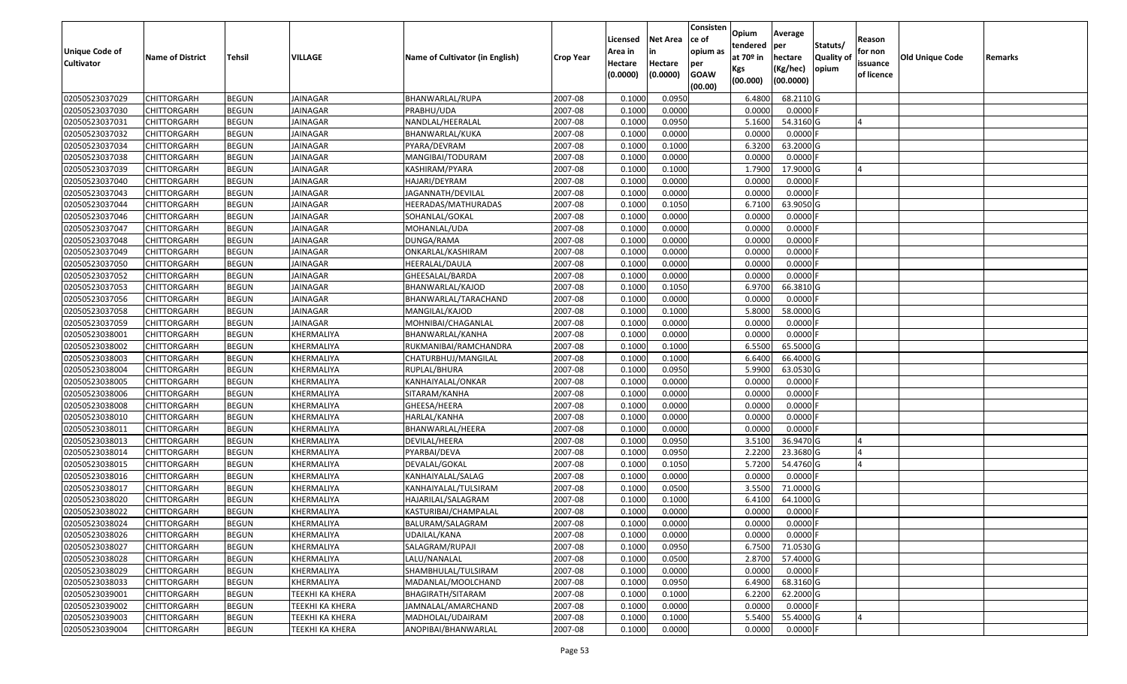| <b>Unique Code of</b> |                         |              |                        |                                 |                  | Licensed<br>Area in | <b>Net Area</b><br>in | Consisten<br>ce of<br>opium as | Opium<br>tendered<br>at $70°$ in | Average<br>per                   | Statuts/                  | Reason<br>for non      |                 |         |
|-----------------------|-------------------------|--------------|------------------------|---------------------------------|------------------|---------------------|-----------------------|--------------------------------|----------------------------------|----------------------------------|---------------------------|------------------------|-----------------|---------|
| <b>Cultivator</b>     | <b>Name of District</b> | Tehsil       | VILLAGE                | Name of Cultivator (in English) | <b>Crop Year</b> | Hectare<br>(0.0000) | Hectare<br>(0.0000)   | per<br><b>GOAW</b><br>(00.00)  | Kgs<br>(00.000)                  | hectare<br>(Kg/hec)<br>(00.0000) | <b>Quality o</b><br>opium | issuance<br>of licence | Old Unique Code | Remarks |
| 02050523037029        | CHITTORGARH             | <b>BEGUN</b> | <b>JAINAGAR</b>        | BHANWARLAL/RUPA                 | 2007-08          | 0.1000              | 0.0950                |                                | 6.4800                           | 68.2110 G                        |                           |                        |                 |         |
| 02050523037030        | CHITTORGARH             | <b>BEGUN</b> | JAINAGAR               | PRABHU/UDA                      | 2007-08          | 0.1000              | 0.0000                |                                | 0.0000                           | $0.0000$ F                       |                           |                        |                 |         |
| 02050523037031        | CHITTORGARH             | <b>BEGUN</b> | JAINAGAR               | NANDLAL/HEERALAL                | 2007-08          | 0.1000              | 0.0950                |                                | 5.1600                           | 54.3160 G                        |                           |                        |                 |         |
| 02050523037032        | <b>CHITTORGARH</b>      | <b>BEGUN</b> | <b>JAINAGAR</b>        | BHANWARLAL/KUKA                 | 2007-08          | 0.1000              | 0.0000                |                                | 0.0000                           | $0.0000$ F                       |                           |                        |                 |         |
| 02050523037034        | CHITTORGARH             | <b>BEGUN</b> | <b>JAINAGAR</b>        | PYARA/DEVRAM                    | 2007-08          | 0.1000              | 0.1000                |                                | 6.3200                           | 63.2000 G                        |                           |                        |                 |         |
| 02050523037038        | CHITTORGARH             | <b>BEGUN</b> | <b>JAINAGAR</b>        | MANGIBAI/TODURAM                | 2007-08          | 0.1000              | 0.0000                |                                | 0.0000                           | $0.0000$ F                       |                           |                        |                 |         |
| 02050523037039        | CHITTORGARH             | <b>BEGUN</b> | JAINAGAR               | KASHIRAM/PYARA                  | 2007-08          | 0.1000              | 0.1000                |                                | 1.7900                           | 17.9000G                         |                           |                        |                 |         |
| 02050523037040        | <b>CHITTORGARH</b>      | <b>BEGUN</b> | JAINAGAR               | HAJARI/DEYRAM                   | 2007-08          | 0.1000              | 0.0000                |                                | 0.0000                           | 0.0000F                          |                           |                        |                 |         |
| 02050523037043        | CHITTORGARH             | <b>BEGUN</b> | <b>JAINAGAR</b>        | JAGANNATH/DEVILAL               | 2007-08          | 0.1000              | 0.0000                |                                | 0.0000                           | 0.0000F                          |                           |                        |                 |         |
| 02050523037044        | CHITTORGARH             | <b>BEGUN</b> | <b>JAINAGAR</b>        | HEERADAS/MATHURADAS             | 2007-08          | 0.1000              | 0.1050                |                                | 6.7100                           | 63.9050 G                        |                           |                        |                 |         |
| 02050523037046        | CHITTORGARH             | <b>BEGUN</b> | <b>JAINAGAR</b>        | SOHANLAL/GOKAL                  | 2007-08          | 0.1000              | 0.0000                |                                | 0.0000                           | $0.0000$ F                       |                           |                        |                 |         |
| 02050523037047        | CHITTORGARH             | <b>BEGUN</b> | <b>JAINAGAR</b>        | MOHANLAL/UDA                    | 2007-08          | 0.1000              | 0.0000                |                                | 0.0000                           | 0.0000                           |                           |                        |                 |         |
| 02050523037048        | <b>CHITTORGARH</b>      | <b>BEGUN</b> | <b>JAINAGAR</b>        | DUNGA/RAMA                      | 2007-08          | 0.1000              | 0.0000                |                                | 0.0000                           | 0.0000F                          |                           |                        |                 |         |
| 02050523037049        | CHITTORGARH             | <b>BEGUN</b> | JAINAGAR               | ONKARLAL/KASHIRAM               | 2007-08          | 0.1000              | 0.0000                |                                | 0.0000                           | $0.0000$ F                       |                           |                        |                 |         |
| 02050523037050        | <b>CHITTORGARH</b>      | <b>BEGUN</b> | JAINAGAR               | HEERALAL/DAULA                  | 2007-08          | 0.1000              | 0.0000                |                                | 0.0000                           | $0.0000$ F                       |                           |                        |                 |         |
| 02050523037052        | CHITTORGARH             | <b>BEGUN</b> | <b>JAINAGAR</b>        | GHEESALAL/BARDA                 | 2007-08          | 0.1000              | 0.0000                |                                | 0.0000                           | 0.0000                           |                           |                        |                 |         |
| 02050523037053        | CHITTORGARH             | <b>BEGUN</b> | <b>JAINAGAR</b>        | BHANWARLAL/KAJOD                | 2007-08          | 0.1000              | 0.1050                |                                | 6.9700                           | 66.3810 G                        |                           |                        |                 |         |
| 02050523037056        | CHITTORGARH             | <b>BEGUN</b> | <b>JAINAGAR</b>        | BHANWARLAL/TARACHAND            | 2007-08          | 0.1000              | 0.0000                |                                | 0.0000                           | 0.0000F                          |                           |                        |                 |         |
| 02050523037058        | CHITTORGARH             | <b>BEGUN</b> | JAINAGAR               | MANGILAL/KAJOD                  | 2007-08          | 0.100               | 0.1000                |                                | 5.8000                           | 58.0000G                         |                           |                        |                 |         |
| 02050523037059        | CHITTORGARH             | <b>BEGUN</b> | <b>JAINAGAR</b>        | MOHNIBAI/CHAGANLAL              | 2007-08          | 0.1000              | 0.0000                |                                | 0.0000                           | 0.0000                           |                           |                        |                 |         |
| 02050523038001        | CHITTORGARH             | <b>BEGUN</b> | KHERMALIYA             | BHANWARLAL/KANHA                | 2007-08          | 0.100               | 0.0000                |                                | 0.0000                           | 0.0000                           |                           |                        |                 |         |
| 02050523038002        | CHITTORGARH             | <b>BEGUN</b> | KHERMALIYA             | RUKMANIBAI/RAMCHANDRA           | 2007-08          | 0.100               | 0.1000                |                                | 6.5500                           | 65.5000 G                        |                           |                        |                 |         |
| 02050523038003        | CHITTORGARH             | <b>BEGUN</b> | KHERMALIYA             | CHATURBHUJ/MANGILAL             | 2007-08          | 0.1000              | 0.1000                |                                | 6.6400                           | 66.4000 G                        |                           |                        |                 |         |
| 02050523038004        | CHITTORGARH             | <b>BEGUN</b> | KHERMALIYA             | RUPLAL/BHURA                    | 2007-08          | 0.100               | 0.0950                |                                | 5.9900                           | 63.0530 G                        |                           |                        |                 |         |
| 02050523038005        | <b>CHITTORGARH</b>      | <b>BEGUN</b> | KHERMALIYA             | KANHAIYALAL/ONKAR               | 2007-08          | 0.1000              | 0.0000                |                                | 0.0000                           | 0.0000F                          |                           |                        |                 |         |
| 02050523038006        | CHITTORGARH             | <b>BEGUN</b> | KHERMALIYA             | SITARAM/KANHA                   | 2007-08          | 0.1000              | 0.0000                |                                | 0.0000                           | 0.0000                           |                           |                        |                 |         |
| 02050523038008        | CHITTORGARH             | <b>BEGUN</b> | KHERMALIYA             | GHEESA/HEERA                    | 2007-08          | 0.100               | 0.0000                |                                | 0.0000                           | 0.0000                           |                           |                        |                 |         |
| 02050523038010        | CHITTORGARH             | <b>BEGUN</b> | KHERMALIYA             | HARLAL/KANHA                    | 2007-08          | 0.1000              | 0.0000                |                                | 0.0000                           | 0.0000                           |                           |                        |                 |         |
| 02050523038011        | CHITTORGARH             | <b>BEGUN</b> | KHERMALIYA             | BHANWARLAL/HEERA                | 2007-08          | 0.1000              | 0.0000                |                                | 0.0000                           | 0.0000F                          |                           |                        |                 |         |
| 02050523038013        | CHITTORGARH             | <b>BEGUN</b> | KHERMALIYA             | DEVILAL/HEERA                   | 2007-08          | 0.1000              | 0.0950                |                                | 3.5100                           | 36.9470 G                        |                           |                        |                 |         |
| 02050523038014        | CHITTORGARH             | <b>BEGUN</b> | KHERMALIYA             | PYARBAI/DEVA                    | 2007-08          | 0.1000              | 0.0950                |                                | 2.2200                           | 23.3680G                         |                           |                        |                 |         |
| 02050523038015        | CHITTORGARH             | <b>BEGUN</b> | KHERMALIYA             | DEVALAL/GOKAL                   | 2007-08          | 0.1000              | 0.1050                |                                | 5.7200                           | 54.4760 G                        |                           |                        |                 |         |
| 02050523038016        | CHITTORGARH             | <b>BEGUN</b> | KHERMALIYA             | KANHAIYALAL/SALAG               | 2007-08          | 0.1000              | 0.0000                |                                | 0.0000                           | $0.0000$ F                       |                           |                        |                 |         |
| 02050523038017        | CHITTORGARH             | <b>BEGUN</b> | KHERMALIYA             | KANHAIYALAL/TULSIRAM            | 2007-08          | 0.1000              | 0.0500                |                                | 3.5500                           | 71.0000 G                        |                           |                        |                 |         |
| 02050523038020        | CHITTORGARH             | <b>BEGUN</b> | KHERMALIYA             | HAJARILAL/SALAGRAM              | 2007-08          | 0.1000              | 0.1000                |                                | 6.4100                           | 64.1000 G                        |                           |                        |                 |         |
| 02050523038022        | CHITTORGARH             | <b>BEGUN</b> | KHERMALIYA             | KASTURIBAI/CHAMPALAL            | 2007-08          | 0.1000              | 0.0000                |                                | 0.0000                           | 0.0000                           |                           |                        |                 |         |
| 02050523038024        | <b>CHITTORGARH</b>      | <b>BEGUN</b> | KHERMALIYA             | BALURAM/SALAGRAM                | 2007-08          | 0.1000              | 0.0000                |                                | 0.0000                           | $0.0000$ F                       |                           |                        |                 |         |
| 02050523038026        | <b>CHITTORGARH</b>      | <b>BEGUN</b> | KHERMALIYA             | UDAILAL/KANA                    | 2007-08          | 0.1000              | 0.0000                |                                | 0.0000                           | $0.0000$ F                       |                           |                        |                 |         |
| 02050523038027        | <b>CHITTORGARH</b>      | <b>BEGUN</b> | KHERMALIYA             | SALAGRAM/RUPAJI                 | 2007-08          | 0.1000              | 0.0950                |                                | 6.7500                           | 71.0530 G                        |                           |                        |                 |         |
| 02050523038028        | <b>CHITTORGARH</b>      | <b>BEGUN</b> | KHERMALIYA             | LALU/NANALAL                    | 2007-08          | 0.1000              | 0.0500                |                                | 2.8700                           | 57.4000 G                        |                           |                        |                 |         |
| 02050523038029        | <b>CHITTORGARH</b>      | <b>BEGUN</b> | KHERMALIYA             | SHAMBHULAL/TULSIRAM             | 2007-08          | 0.1000              | 0.0000                |                                | 0.0000                           | $0.0000$ F                       |                           |                        |                 |         |
| 02050523038033        | <b>CHITTORGARH</b>      | <b>BEGUN</b> | KHERMALIYA             | MADANLAL/MOOLCHAND              | 2007-08          | 0.1000              | 0.0950                |                                | 6.4900                           | 68.3160 G                        |                           |                        |                 |         |
| 02050523039001        | <b>CHITTORGARH</b>      | <b>BEGUN</b> | <b>TEEKHI KA KHERA</b> | BHAGIRATH/SITARAM               | 2007-08          | 0.1000              | 0.1000                |                                | 6.2200                           | 62.2000 G                        |                           |                        |                 |         |
| 02050523039002        | <b>CHITTORGARH</b>      | <b>BEGUN</b> | <b>TEEKHI KA KHERA</b> | JAMNALAL/AMARCHAND              | 2007-08          | 0.1000              | 0.0000                |                                | 0.0000                           | $0.0000$ F                       |                           |                        |                 |         |
| 02050523039003        | <b>CHITTORGARH</b>      | <b>BEGUN</b> | <b>TEEKHI KA KHERA</b> | MADHOLAL/UDAIRAM                | 2007-08          | 0.1000              | 0.1000                |                                | 5.5400                           | 55.4000 G                        |                           |                        |                 |         |
| 02050523039004        | <b>CHITTORGARH</b>      | <b>BEGUN</b> | <b>TEEKHI KA KHERA</b> | ANOPIBAI/BHANWARLAL             | 2007-08          | 0.1000              | 0.0000                |                                | 0.0000                           | $0.0000$ F                       |                           |                        |                 |         |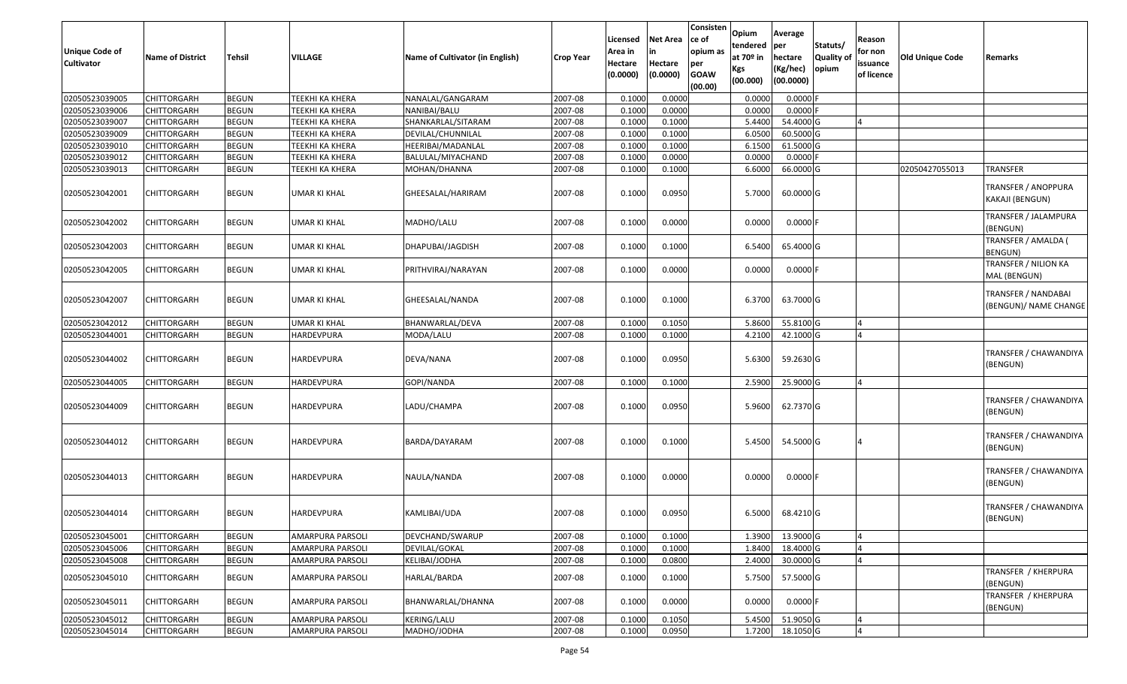| <b>Unique Code of</b><br>Cultivator | <b>Name of District</b> | <b>Tehsil</b> | VILLAGE                | Name of Cultivator (in English) | <b>Crop Year</b> | Licensed<br>Area in<br>Hectare<br>(0.0000) | Net Area<br>in<br>Hectare<br>(0.0000) | Consisten<br>ce of<br>opium as<br>per<br><b>GOAW</b><br>(00.00) | Opium<br>tendered<br>at 70º in<br>Kgs<br>(00.000) | Average<br>per<br>hectare<br>(Kg/hec)<br>(00.0000) | Statuts/<br>Quality of<br>opium | Reason<br>for non<br>issuance<br>of licence | <b>Old Unique Code</b> | Remarks                                             |
|-------------------------------------|-------------------------|---------------|------------------------|---------------------------------|------------------|--------------------------------------------|---------------------------------------|-----------------------------------------------------------------|---------------------------------------------------|----------------------------------------------------|---------------------------------|---------------------------------------------|------------------------|-----------------------------------------------------|
| 02050523039005                      | <b>CHITTORGARH</b>      | <b>BEGUN</b>  | <b>TEEKHI KA KHERA</b> | NANALAL/GANGARAM                | 2007-08          | 0.1000                                     | 0.0000                                |                                                                 | 0.000                                             | $0.0000$ F                                         |                                 |                                             |                        |                                                     |
| 02050523039006                      | <b>CHITTORGARH</b>      | <b>BEGUN</b>  | TEEKHI KA KHERA        | NANIBAI/BALU                    | 2007-08          | 0.1000                                     | 0.0000                                |                                                                 | 0.0000                                            | $0.0000$ F                                         |                                 |                                             |                        |                                                     |
| 02050523039007                      | CHITTORGARH             | <b>BEGUN</b>  | TEEKHI KA KHERA        | SHANKARLAL/SITARAM              | 2007-08          | 0.1000                                     | 0.1000                                |                                                                 | 5.4400                                            | 54.4000 G                                          |                                 | $\overline{4}$                              |                        |                                                     |
| 02050523039009                      | CHITTORGARH             | <b>BEGUN</b>  | TEEKHI KA KHERA        | DEVILAL/CHUNNILAL               | 2007-08          | 0.1000                                     | 0.1000                                |                                                                 | 6.0500                                            | 60.5000 G                                          |                                 |                                             |                        |                                                     |
| 02050523039010                      | <b>CHITTORGARH</b>      | <b>BEGUN</b>  | TEEKHI KA KHERA        | HEERIBAI/MADANLAL               | 2007-08          | 0.1000                                     | 0.1000                                |                                                                 | 6.1500                                            | 61.5000 G                                          |                                 |                                             |                        |                                                     |
| 02050523039012                      | <b>CHITTORGARH</b>      | <b>BEGUN</b>  | TEEKHI KA KHERA        | BALULAL/MIYACHAND               | 2007-08          | 0.1000                                     | 0.0000                                |                                                                 | 0.000                                             | 0.0000                                             |                                 |                                             |                        |                                                     |
| 02050523039013                      | CHITTORGARH             | <b>BEGUN</b>  | TEEKHI KA KHERA        | MOHAN/DHANNA                    | 2007-08          | 0.1000                                     | 0.1000                                |                                                                 | 6.6000                                            | 66.0000 G                                          |                                 |                                             | 02050427055013         | <b>TRANSFER</b>                                     |
| 02050523042001                      | CHITTORGARH             | <b>BEGUN</b>  | UMAR KI KHAL           | GHEESALAL/HARIRAM               | 2007-08          | 0.1000                                     | 0.0950                                |                                                                 | 5.7000                                            | 60.0000 G                                          |                                 |                                             |                        | TRANSFER / ANOPPURA<br>KAKAJI (BENGUN)              |
| 02050523042002                      | CHITTORGARH             | <b>BEGUN</b>  | UMAR KI KHAL           | MADHO/LALU                      | 2007-08          | 0.1000                                     | 0.0000                                |                                                                 | 0.0000                                            | $0.0000$ F                                         |                                 |                                             |                        | TRANSFER / JALAMPURA<br>(BENGUN)                    |
| 02050523042003                      | CHITTORGARH             | <b>BEGUN</b>  | UMAR KI KHAL           | DHAPUBAI/JAGDISH                | 2007-08          | 0.1000                                     | 0.1000                                |                                                                 | 6.5400                                            | 65.4000 G                                          |                                 |                                             |                        | TRANSFER / AMALDA (<br>BENGUN)                      |
| 02050523042005                      | CHITTORGARH             | <b>BEGUN</b>  | UMAR KI KHAL           | PRITHVIRAJ/NARAYAN              | 2007-08          | 0.1000                                     | 0.0000                                |                                                                 | 0.0000                                            | $0.0000$ F                                         |                                 |                                             |                        | TRANSFER / NILION KA<br>MAL (BENGUN)                |
| 02050523042007                      | CHITTORGARH             | <b>BEGUN</b>  | UMAR KI KHAL           | GHEESALAL/NANDA                 | 2007-08          | 0.1000                                     | 0.1000                                |                                                                 | 6.3700                                            | 63.7000 G                                          |                                 |                                             |                        | <b>TRANSFER / NANDABAI</b><br>(BENGUN)/ NAME CHANGE |
| 02050523042012                      | <b>CHITTORGARH</b>      | <b>BEGUN</b>  | UMAR KI KHAL           | BHANWARLAL/DEVA                 | 2007-08          | 0.1000                                     | 0.1050                                |                                                                 | 5.8600                                            | 55.8100 G                                          |                                 |                                             |                        |                                                     |
| 02050523044001                      | CHITTORGARH             | <b>BEGUN</b>  | HARDEVPURA             | MODA/LALU                       | 2007-08          | 0.1000                                     | 0.1000                                |                                                                 | 4.2100                                            | 42.1000 G                                          |                                 |                                             |                        |                                                     |
| 02050523044002                      | CHITTORGARH             | <b>BEGUN</b>  | HARDEVPURA             | DEVA/NANA                       | 2007-08          | 0.1000                                     | 0.0950                                |                                                                 | 5.6300                                            | 59.2630 G                                          |                                 |                                             |                        | TRANSFER / CHAWANDIYA<br>(BENGUN)                   |
| 02050523044005                      | CHITTORGARH             | <b>BEGUN</b>  | HARDEVPURA             | GOPI/NANDA                      | 2007-08          | 0.1000                                     | 0.1000                                |                                                                 | 2.5900                                            | 25.9000 G                                          |                                 | Δ                                           |                        |                                                     |
| 02050523044009                      | CHITTORGARH             | <b>BEGUN</b>  | <b>HARDEVPURA</b>      | LADU/CHAMPA                     | 2007-08          | 0.1000                                     | 0.0950                                |                                                                 | 5.9600                                            | 62.7370 G                                          |                                 |                                             |                        | TRANSFER / CHAWANDIYA<br>(BENGUN)                   |
| 02050523044012                      | CHITTORGARH             | <b>BEGUN</b>  | HARDEVPURA             | BARDA/DAYARAM                   | 2007-08          | 0.1000                                     | 0.1000                                |                                                                 | 5.4500                                            | 54.5000 G                                          |                                 | 4                                           |                        | TRANSFER / CHAWANDIYA<br>(BENGUN)                   |
| 02050523044013                      | CHITTORGARH             | <b>BEGUN</b>  | HARDEVPURA             | NAULA/NANDA                     | 2007-08          | 0.1000                                     | 0.0000                                |                                                                 | 0.0000                                            | $0.0000$ F                                         |                                 |                                             |                        | TRANSFER / CHAWANDIYA<br>(BENGUN)                   |
| 02050523044014                      | CHITTORGARH             | <b>BEGUN</b>  | HARDEVPURA             | KAMLIBAI/UDA                    | 2007-08          | 0.1000                                     | 0.0950                                |                                                                 | 6.5000                                            | 68.4210 G                                          |                                 |                                             |                        | TRANSFER / CHAWANDIYA<br>(BENGUN)                   |
| 02050523045001                      | <b>CHITTORGARH</b>      | <b>BEGUN</b>  | AMARPURA PARSOLI       | DEVCHAND/SWARUP                 | 2007-08          | 0.1000                                     | 0.1000                                |                                                                 | 1.3900                                            | 13.9000 G                                          |                                 |                                             |                        |                                                     |
| 02050523045006                      | <b>CHITTORGARH</b>      | <b>BEGUN</b>  | AMARPURA PARSOLI       | DEVILAL/GOKAL                   | 2007-08          | 0.1000                                     | 0.1000                                |                                                                 | 1.8400                                            | 18.4000 G                                          |                                 |                                             |                        |                                                     |
| 02050523045008                      | CHITTORGARH             | <b>BEGUN</b>  | AMARPURA PARSOLI       | KELIBAI/JODHA                   | 2007-08          | 0.1000                                     | 0.0800                                |                                                                 | 2.4000                                            | 30.0000 G                                          |                                 |                                             |                        |                                                     |
| 02050523045010                      | CHITTORGARH             | <b>BEGUN</b>  | AMARPURA PARSOLI       | HARLAL/BARDA                    | 2007-08          | 0.1000                                     | 0.1000                                |                                                                 | 5.7500                                            | 57.5000 G                                          |                                 |                                             |                        | TRANSFER / KHERPURA<br>(BENGUN)                     |
| 02050523045011                      | CHITTORGARH             | <b>BEGUN</b>  | AMARPURA PARSOLI       | BHANWARLAL/DHANNA               | 2007-08          | 0.1000                                     | 0.0000                                |                                                                 | 0.0000                                            | $0.0000$ F                                         |                                 |                                             |                        | TRANSFER / KHERPURA<br>(BENGUN)                     |
| 02050523045012                      | <b>CHITTORGARH</b>      | <b>BEGUN</b>  | AMARPURA PARSOLI       | KERING/LALU                     | 2007-08          | 0.1000                                     | 0.1050                                |                                                                 | 5.4500                                            | 51.9050 G                                          |                                 | $\overline{4}$                              |                        |                                                     |
| 02050523045014                      | CHITTORGARH             | <b>BEGUN</b>  | AMARPURA PARSOLI       | MADHO/JODHA                     | 2007-08          | 0.1000                                     | 0.0950                                |                                                                 | 1.7200                                            | 18.1050 G                                          |                                 | 4                                           |                        |                                                     |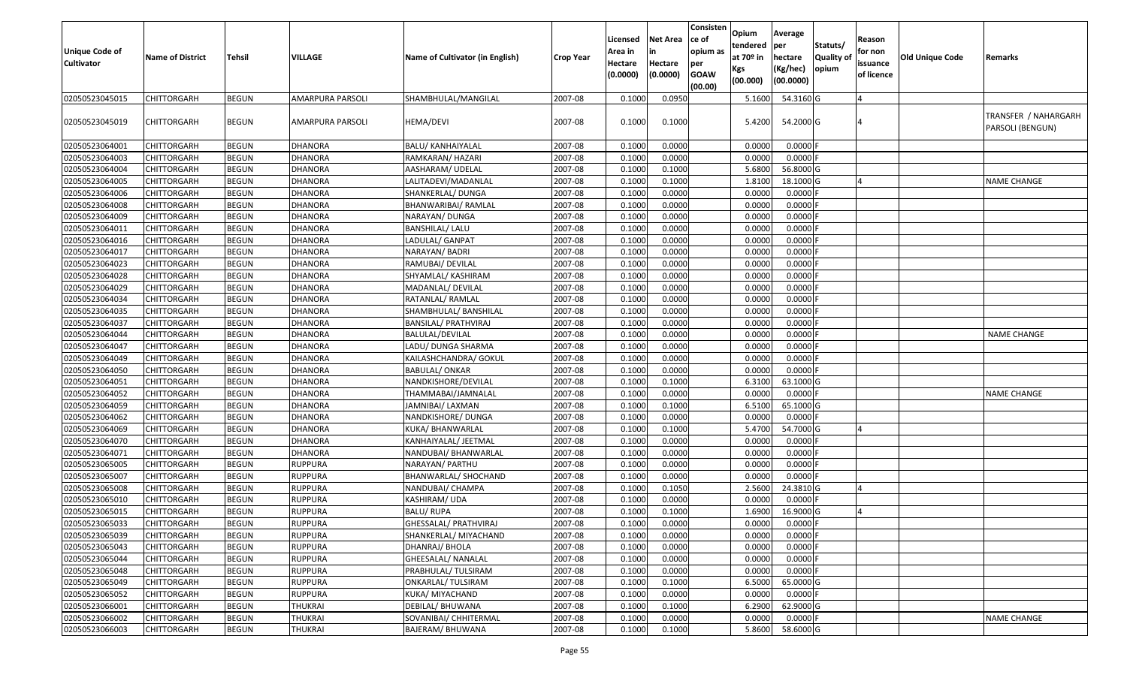| <b>Unique Code of</b><br><b>Cultivator</b> | <b>Name of District</b> | Tehsil       | VILLAGE          | <b>Name of Cultivator (in English)</b> | <b>Crop Year</b> | Licensed<br>Area in<br>Hectare<br>(0.0000) | <b>Net Area</b><br>in<br>Hectare<br>(0.0000) | Consisten<br>ce of<br>opium as<br>per<br><b>GOAW</b><br>(00.00) | Opium<br>tendered<br>at $70°$ in<br>Kgs<br>(00.000) | Average<br> per<br>hectare<br>(Kg/hec)<br>(00.0000) | Statuts/<br>Quality of<br>opium | Reason<br>for non<br>issuance<br>of licence | Old Unique Code | Remarks                                  |
|--------------------------------------------|-------------------------|--------------|------------------|----------------------------------------|------------------|--------------------------------------------|----------------------------------------------|-----------------------------------------------------------------|-----------------------------------------------------|-----------------------------------------------------|---------------------------------|---------------------------------------------|-----------------|------------------------------------------|
| 02050523045015                             | <b>CHITTORGARH</b>      | <b>BEGUN</b> | AMARPURA PARSOLI | SHAMBHULAL/MANGILAL                    | 2007-08          | 0.1000                                     | 0.0950                                       |                                                                 | 5.1600                                              | 54.3160 G                                           |                                 |                                             |                 |                                          |
| 02050523045019                             | <b>CHITTORGARH</b>      | <b>BEGUN</b> | AMARPURA PARSOLI | <b>HEMA/DEVI</b>                       | 2007-08          | 0.1000                                     | 0.1000                                       |                                                                 | 5.4200                                              | 54.2000 G                                           |                                 |                                             |                 | TRANSFER / NAHARGARH<br>PARSOLI (BENGUN) |
| 02050523064001                             | <b>CHITTORGARH</b>      | <b>BEGUN</b> | DHANORA          | BALU/ KANHAIYALAL                      | 2007-08          | 0.1000                                     | 0.0000                                       |                                                                 | 0.0000                                              | 0.0000                                              |                                 |                                             |                 |                                          |
| 02050523064003                             | CHITTORGARH             | <b>BEGUN</b> | <b>DHANORA</b>   | RAMKARAN/ HAZARI                       | 2007-08          | 0.1000                                     | 0.0000                                       |                                                                 | 0.0000                                              | 0.0000                                              |                                 |                                             |                 |                                          |
| 02050523064004                             | <b>CHITTORGARH</b>      | <b>BEGUN</b> | <b>DHANORA</b>   | AASHARAM/ UDELAL                       | 2007-08          | 0.1000                                     | 0.1000                                       |                                                                 | 5.6800                                              | 56.8000 G                                           |                                 |                                             |                 |                                          |
| 02050523064005                             | <b>CHITTORGARH</b>      | <b>BEGUN</b> | <b>DHANORA</b>   | LALITADEVI/MADANLAL                    | 2007-08          | 0.1000                                     | 0.1000                                       |                                                                 | 1.8100                                              | 18.1000 G                                           |                                 |                                             |                 | <b>NAME CHANGE</b>                       |
| 02050523064006                             | <b>CHITTORGARH</b>      | <b>BEGUN</b> | <b>DHANORA</b>   | SHANKERLAL/ DUNGA                      | 2007-08          | 0.1000                                     | 0.0000                                       |                                                                 | 0.0000                                              | 0.0000                                              |                                 |                                             |                 |                                          |
| 02050523064008                             | <b>CHITTORGARH</b>      | <b>BEGUN</b> | <b>DHANORA</b>   | BHANWARIBAI/ RAMLAL                    | 2007-08          | 0.1000                                     | 0.0000                                       |                                                                 | 0.0000                                              | 0.0000                                              |                                 |                                             |                 |                                          |
| 02050523064009                             | <b>CHITTORGARH</b>      | <b>BEGUN</b> | <b>DHANORA</b>   | NARAYAN/ DUNGA                         | 2007-08          | 0.1000                                     | 0.0000                                       |                                                                 | 0.0000                                              | 0.0000                                              |                                 |                                             |                 |                                          |
| 02050523064011                             | <b>CHITTORGARH</b>      | <b>BEGUN</b> | <b>DHANORA</b>   | <b>BANSHILAL/ LALU</b>                 | 2007-08          | 0.1000                                     | 0.0000                                       |                                                                 | 0.0000                                              | 0.0000                                              |                                 |                                             |                 |                                          |
| 02050523064016                             | <b>CHITTORGARH</b>      | <b>BEGUN</b> | <b>DHANORA</b>   | LADULAL/ GANPAT                        | 2007-08          | 0.1000                                     | 0.0000                                       |                                                                 | 0.0000                                              | 0.0000                                              |                                 |                                             |                 |                                          |
| 02050523064017                             | <b>CHITTORGARH</b>      | <b>BEGUN</b> | <b>DHANORA</b>   | NARAYAN/ BADRI                         | 2007-08          | 0.1000                                     | 0.0000                                       |                                                                 | 0.0000                                              | 0.0000                                              |                                 |                                             |                 |                                          |
| 02050523064023                             | <b>CHITTORGARH</b>      | <b>BEGUN</b> | <b>DHANORA</b>   | RAMUBAI/ DEVILAL                       | 2007-08          | 0.1000                                     | 0.0000                                       |                                                                 | 0.0000                                              | 0.0000                                              |                                 |                                             |                 |                                          |
| 02050523064028                             | <b>CHITTORGARH</b>      | <b>BEGUN</b> | <b>DHANORA</b>   | SHYAMLAL/ KASHIRAM                     | 2007-08          | 0.1000                                     | 0.0000                                       |                                                                 | 0.0000                                              | 0.0000                                              |                                 |                                             |                 |                                          |
| 02050523064029                             | <b>CHITTORGARH</b>      | <b>BEGUN</b> | <b>DHANORA</b>   | MADANLAL/ DEVILAL                      | 2007-08          | 0.1000                                     | 0.0000                                       |                                                                 | 0.0000                                              | 0.0000                                              |                                 |                                             |                 |                                          |
| 02050523064034                             | <b>CHITTORGARH</b>      | <b>BEGUN</b> | <b>DHANORA</b>   | RATANLAL/RAMLAL                        | 2007-08          | 0.1000                                     | 0.0000                                       |                                                                 | 0.0000                                              | 0.0000                                              |                                 |                                             |                 |                                          |
| 02050523064035                             | <b>CHITTORGARH</b>      | <b>BEGUN</b> | <b>DHANORA</b>   | SHAMBHULAL/ BANSHILAL                  | 2007-08          | 0.1000                                     | 0.0000                                       |                                                                 | 0.0000                                              | 0.0000                                              |                                 |                                             |                 |                                          |
| 02050523064037                             | <b>CHITTORGARH</b>      | <b>BEGUN</b> | <b>DHANORA</b>   | BANSILAL/ PRATHVIRAJ                   | 2007-08          | 0.1000                                     | 0.0000                                       |                                                                 | 0.0000                                              | 0.0000                                              |                                 |                                             |                 |                                          |
| 02050523064044                             | <b>CHITTORGARH</b>      | <b>BEGUN</b> | <b>DHANORA</b>   | BALULAL/DEVILAL                        | 2007-08          | 0.1000                                     | 0.0000                                       |                                                                 | 0.0000                                              | 0.0000                                              |                                 |                                             |                 | <b>NAME CHANGE</b>                       |
| 02050523064047                             | <b>CHITTORGARH</b>      | <b>BEGUN</b> | <b>DHANORA</b>   | LADU/ DUNGA SHARMA                     | 2007-08          | 0.1000                                     | 0.0000                                       |                                                                 | 0.0000                                              | 0.0000                                              |                                 |                                             |                 |                                          |
| 02050523064049                             | CHITTORGARH             | <b>BEGUN</b> | <b>DHANORA</b>   | KAILASHCHANDRA/ GOKUL                  | 2007-08          | 0.1000                                     | 0.0000                                       |                                                                 | 0.0000                                              | 0.0000                                              |                                 |                                             |                 |                                          |
| 02050523064050                             | <b>CHITTORGARH</b>      | <b>BEGUN</b> | <b>DHANORA</b>   | <b>BABULAL/ ONKAR</b>                  | 2007-08          | 0.1000                                     | 0.0000                                       |                                                                 | 0.0000                                              | 0.0000                                              |                                 |                                             |                 |                                          |
| 02050523064051                             | <b>CHITTORGARH</b>      | <b>BEGUN</b> | <b>DHANORA</b>   | NANDKISHORE/DEVILAL                    | 2007-08          | 0.1000                                     | 0.1000                                       |                                                                 | 6.3100                                              | 63.1000 G                                           |                                 |                                             |                 |                                          |
| 02050523064052                             | <b>CHITTORGARH</b>      | <b>BEGUN</b> | <b>DHANORA</b>   | THAMMABAI/JAMNALAL                     | 2007-08          | 0.1000                                     | 0.0000                                       |                                                                 | 0.0000                                              | 0.0000                                              |                                 |                                             |                 | <b>NAME CHANGE</b>                       |
| 02050523064059                             | <b>CHITTORGARH</b>      | <b>BEGUN</b> | <b>DHANORA</b>   | JAMNIBAI/ LAXMAN                       | 2007-08          | 0.1000                                     | 0.1000                                       |                                                                 | 6.5100                                              | 65.1000 G                                           |                                 |                                             |                 |                                          |
| 02050523064062                             | <b>CHITTORGARH</b>      | <b>BEGUN</b> | <b>DHANORA</b>   | NANDKISHORE/ DUNGA                     | 2007-08          | 0.1000                                     | 0.0000                                       |                                                                 | 0.0000                                              | 0.0000                                              |                                 |                                             |                 |                                          |
| 02050523064069                             | <b>CHITTORGARH</b>      | <b>BEGUN</b> | <b>DHANORA</b>   | KUKA/ BHANWARLAL                       | 2007-08          | 0.1000                                     | 0.1000                                       |                                                                 | 5.4700                                              | 54.7000 G                                           |                                 |                                             |                 |                                          |
| 02050523064070                             | <b>CHITTORGARH</b>      | <b>BEGUN</b> | <b>DHANORA</b>   | KANHAIYALAL/ JEETMAL                   | 2007-08          | 0.1000                                     | 0.0000                                       |                                                                 | 0.0000                                              | 0.0000                                              |                                 |                                             |                 |                                          |
| 02050523064071                             | <b>CHITTORGARH</b>      | <b>BEGUN</b> | <b>DHANORA</b>   | NANDUBAI/ BHANWARLAL                   | 2007-08          | 0.1000                                     | 0.0000                                       |                                                                 | 0.0000                                              | 0.0000                                              |                                 |                                             |                 |                                          |
| 02050523065005                             | <b>CHITTORGARH</b>      | <b>BEGUN</b> | <b>RUPPURA</b>   | NARAYAN/ PARTHU                        | 2007-08          | 0.1000                                     | 0.0000                                       |                                                                 | 0.0000                                              | 0.0000                                              |                                 |                                             |                 |                                          |
| 02050523065007                             | <b>CHITTORGARH</b>      | <b>BEGUN</b> | <b>RUPPURA</b>   | BHANWARLAL/ SHOCHAND                   | 2007-08          | 0.1000                                     | 0.0000                                       |                                                                 | 0.0000                                              | 0.0000                                              |                                 |                                             |                 |                                          |
| 02050523065008                             | <b>CHITTORGARH</b>      | <b>BEGUN</b> | <b>RUPPURA</b>   | NANDUBAI/ CHAMPA                       | 2007-08          | 0.1000                                     | 0.1050                                       |                                                                 | 2.5600                                              | 24.3810 G                                           |                                 |                                             |                 |                                          |
| 02050523065010                             | CHITTORGARH             | <b>BEGUN</b> | <b>RUPPURA</b>   | KASHIRAM/ UDA                          | 2007-08          | 0.1000                                     | 0.0000                                       |                                                                 | 0.0000                                              | 0.0000                                              |                                 |                                             |                 |                                          |
| 02050523065015                             | <b>CHITTORGARH</b>      | <b>BEGUN</b> | <b>RUPPURA</b>   | BALU/ RUPA                             | 2007-08          | 0.1000                                     | 0.1000                                       |                                                                 | 1.6900                                              | 16.9000 G                                           |                                 |                                             |                 |                                          |
| 02050523065033                             | <b>CHITTORGARH</b>      | <b>BEGUN</b> | <b>RUPPURA</b>   | GHESSALAL/ PRATHVIRAJ                  | 2007-08          | 0.1000                                     | 0.0000                                       |                                                                 | 0.0000                                              | $0.0000$ F                                          |                                 |                                             |                 |                                          |
| 02050523065039                             | <b>CHITTORGARH</b>      | <b>BEGUN</b> | <b>RUPPURA</b>   | SHANKERLAL/ MIYACHAND                  | 2007-08          | 0.1000                                     | 0.0000                                       |                                                                 | 0.0000                                              | 0.0000                                              |                                 |                                             |                 |                                          |
| 02050523065043                             | <b>CHITTORGARH</b>      | <b>BEGUN</b> | <b>RUPPURA</b>   | DHANRAJ/ BHOLA                         | 2007-08          | 0.1000                                     | 0.0000                                       |                                                                 | 0.0000                                              | 0.0000                                              |                                 |                                             |                 |                                          |
| 02050523065044                             | <b>CHITTORGARH</b>      | <b>BEGUN</b> | <b>RUPPURA</b>   | GHEESALAL/ NANALAL                     | 2007-08          | 0.1000                                     | 0.0000                                       |                                                                 | 0.0000                                              | 0.0000                                              |                                 |                                             |                 |                                          |
| 02050523065048                             | <b>CHITTORGARH</b>      | <b>BEGUN</b> | <b>RUPPURA</b>   | PRABHULAL/ TULSIRAM                    | 2007-08          | 0.1000                                     | 0.0000                                       |                                                                 | 0.0000                                              | 0.0000                                              |                                 |                                             |                 |                                          |
| 02050523065049                             | <b>CHITTORGARH</b>      | <b>BEGUN</b> | <b>RUPPURA</b>   | ONKARLAL/ TULSIRAM                     | 2007-08          | 0.1000                                     | 0.1000                                       |                                                                 | 6.5000                                              | 65.0000 G                                           |                                 |                                             |                 |                                          |
| 02050523065052                             | <b>CHITTORGARH</b>      | <b>BEGUN</b> | <b>RUPPURA</b>   | KUKA/ MIYACHAND                        | 2007-08          | 0.1000                                     | 0.0000                                       |                                                                 | 0.0000                                              | 0.0000                                              |                                 |                                             |                 |                                          |
| 02050523066001                             | <b>CHITTORGARH</b>      | <b>BEGUN</b> | THUKRAI          | DEBILAL/ BHUWANA                       | 2007-08          | 0.1000                                     | 0.1000                                       |                                                                 | 6.2900                                              | 62.9000 G                                           |                                 |                                             |                 |                                          |
| 02050523066002                             | <b>CHITTORGARH</b>      | <b>BEGUN</b> | <b>THUKRAI</b>   | SOVANIBAI/ CHHITERMAL                  | 2007-08          | 0.1000                                     | 0.0000                                       |                                                                 | 0.0000                                              | $0.0000$ F                                          |                                 |                                             |                 | <b>NAME CHANGE</b>                       |
| 02050523066003                             | <b>CHITTORGARH</b>      | <b>BEGUN</b> | <b>THUKRAI</b>   | BAJERAM/ BHUWANA                       | 2007-08          | 0.1000                                     | 0.1000                                       |                                                                 | 5.8600                                              | 58.6000 G                                           |                                 |                                             |                 |                                          |
|                                            |                         |              |                  |                                        |                  |                                            |                                              |                                                                 |                                                     |                                                     |                                 |                                             |                 |                                          |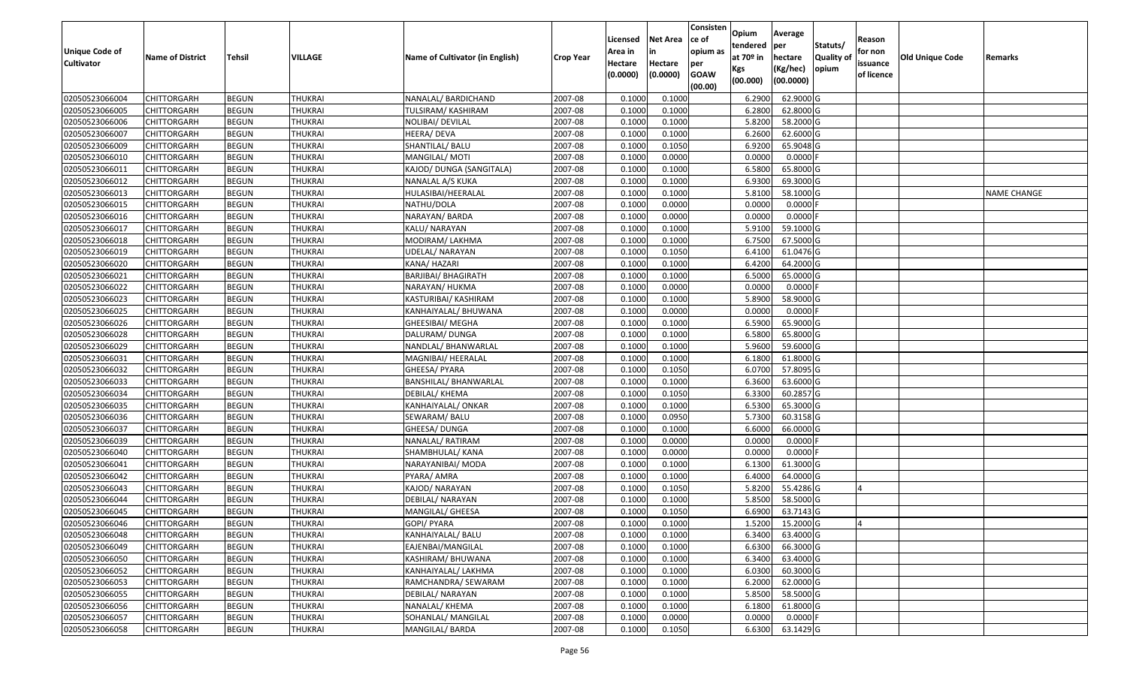| <b>Unique Code of</b><br><b>Cultivator</b> | <b>Name of District</b> | <b>Tehsil</b> | VILLAGE        | Name of Cultivator (in English) | <b>Crop Year</b> | Licensed<br>Area in<br>Hectare | <b>Net Area</b><br>in<br>Hectare | Consisten<br>ce of<br>opium as<br>per | Opium<br>tendered<br>at $70°$ in | Average<br>per<br>hectare<br>(Kg/hec) | Statuts/<br><b>Quality o</b><br>opium | Reason<br>for non<br>issuance | Old Unique Code | Remarks            |
|--------------------------------------------|-------------------------|---------------|----------------|---------------------------------|------------------|--------------------------------|----------------------------------|---------------------------------------|----------------------------------|---------------------------------------|---------------------------------------|-------------------------------|-----------------|--------------------|
|                                            |                         |               |                |                                 |                  | (0.0000)                       | (0.0000)                         | <b>GOAW</b><br>(00.00)                | Kgs<br>(00.000)                  | (00.0000)                             |                                       | of licence                    |                 |                    |
| 02050523066004                             | CHITTORGARH             | <b>BEGUN</b>  | <b>THUKRAI</b> | NANALAL/ BARDICHAND             | 2007-08          | 0.1000                         | 0.1000                           |                                       | 6.2900                           | 62.9000 G                             |                                       |                               |                 |                    |
| 02050523066005                             | CHITTORGARH             | <b>BEGUN</b>  | <b>THUKRAI</b> | TULSIRAM/ KASHIRAM              | 2007-08          | 0.1000                         | 0.1000                           |                                       | 6.2800                           | 62.8000 G                             |                                       |                               |                 |                    |
| 02050523066006                             | CHITTORGARH             | <b>BEGUN</b>  | <b>THUKRAI</b> | NOLIBAI/ DEVILAL                | 2007-08          | 0.1000                         | 0.1000                           |                                       | 5.8200                           | 58.2000 G                             |                                       |                               |                 |                    |
| 02050523066007                             | <b>CHITTORGARH</b>      | <b>BEGUN</b>  | <b>THUKRAI</b> | HEERA/ DEVA                     | 2007-08          | 0.1000                         | 0.1000                           |                                       | 6.2600                           | 62.6000G                              |                                       |                               |                 |                    |
| 02050523066009                             | CHITTORGARH             | <b>BEGUN</b>  | <b>THUKRAI</b> | SHANTILAL/ BALU                 | 2007-08          | 0.1000                         | 0.1050                           |                                       | 6.9200                           | 65.9048 G                             |                                       |                               |                 |                    |
| 02050523066010                             | CHITTORGARH             | <b>BEGUN</b>  | THUKRAI        | MANGILAL/MOTI                   | 2007-08          | 0.1000                         | 0.0000                           |                                       | 0.0000                           | $0.0000$ F                            |                                       |                               |                 |                    |
| 02050523066011                             | CHITTORGARH             | <b>BEGUN</b>  | <b>THUKRAI</b> | KAJOD/ DUNGA (SANGITALA)        | 2007-08          | 0.1000                         | 0.1000                           |                                       | 6.5800                           | 65.8000 G                             |                                       |                               |                 |                    |
| 02050523066012                             | CHITTORGARH             | <b>BEGUN</b>  | <b>THUKRAI</b> | NANALAL A/S KUKA                | 2007-08          | 0.1000                         | 0.1000                           |                                       | 6.9300                           | 69.3000G                              |                                       |                               |                 |                    |
| 02050523066013                             | CHITTORGARH             | <b>BEGUN</b>  | <b>THUKRAI</b> | HULASIBAI/HEERALAL              | 2007-08          | 0.1000                         | 0.1000                           |                                       | 5.8100                           | 58.1000 G                             |                                       |                               |                 | <b>NAME CHANGE</b> |
| 02050523066015                             | CHITTORGARH             | <b>BEGUN</b>  | <b>THUKRAI</b> | NATHU/DOLA                      | 2007-08          | 0.1000                         | 0.0000                           |                                       | 0.0000                           | 0.0000F                               |                                       |                               |                 |                    |
| 02050523066016                             | CHITTORGARH             | <b>BEGUN</b>  | <b>THUKRAI</b> | NARAYAN/ BARDA                  | 2007-08          | 0.1000                         | 0.0000                           |                                       | 0.0000                           | $0.0000$ F                            |                                       |                               |                 |                    |
| 02050523066017                             | CHITTORGARH             | <b>BEGUN</b>  | <b>THUKRAI</b> | KALU/ NARAYAN                   | 2007-08          | 0.1000                         | 0.1000                           |                                       | 5.9100                           | 59.1000 G                             |                                       |                               |                 |                    |
| 02050523066018                             | <b>CHITTORGARH</b>      | <b>BEGUN</b>  | <b>THUKRAI</b> | MODIRAM/ LAKHMA                 | 2007-08          | 0.1000                         | 0.1000                           |                                       | 6.7500                           | 67.5000G                              |                                       |                               |                 |                    |
| 02050523066019                             | CHITTORGARH             | <b>BEGUN</b>  | <b>THUKRAI</b> | UDELAL/NARAYAN                  | 2007-08          | 0.1000                         | 0.1050                           |                                       | 6.4100                           | 61.0476 G                             |                                       |                               |                 |                    |
| 02050523066020                             | <b>CHITTORGARH</b>      | <b>BEGUN</b>  | <b>THUKRAI</b> | KANA/ HAZARI                    | 2007-08          | 0.1000                         | 0.1000                           |                                       | 6.4200                           | 64.2000 G                             |                                       |                               |                 |                    |
| 02050523066021                             | CHITTORGARH             | <b>BEGUN</b>  | <b>THUKRAI</b> | BARJIBAI/ BHAGIRATH             | 2007-08          | 0.1000                         | 0.1000                           |                                       | 6.5000                           | 65.0000 G                             |                                       |                               |                 |                    |
| 02050523066022                             | CHITTORGARH             | <b>BEGUN</b>  | <b>THUKRAI</b> | NARAYAN/ HUKMA                  | 2007-08          | 0.1000                         | 0.0000                           |                                       | 0.0000                           | $0.0000$ F                            |                                       |                               |                 |                    |
| 02050523066023                             | CHITTORGARH             | <b>BEGUN</b>  | <b>THUKRAI</b> | KASTURIBAI/ KASHIRAM            | 2007-08          | 0.1000                         | 0.1000                           |                                       | 5.8900                           | 58.9000 G                             |                                       |                               |                 |                    |
| 02050523066025                             | CHITTORGARH             | <b>BEGUN</b>  | <b>THUKRAI</b> | KANHAIYALAL/ BHUWANA            | 2007-08          | 0.100                          | 0.0000                           |                                       | 0.0000                           | 0.0000F                               |                                       |                               |                 |                    |
| 02050523066026                             | CHITTORGARH             | <b>BEGUN</b>  | <b>THUKRAI</b> | GHEESIBAI/ MEGHA                | 2007-08          | 0.1000                         | 0.1000                           |                                       | 6.5900                           | 65.9000 G                             |                                       |                               |                 |                    |
| 02050523066028                             | CHITTORGARH             | <b>BEGUN</b>  | <b>THUKRAI</b> | DALURAM/ DUNGA                  | 2007-08          | 0.100                          | 0.1000                           |                                       | 6.5800                           | 65.8000G                              |                                       |                               |                 |                    |
| 02050523066029                             | CHITTORGARH             | <b>BEGUN</b>  | <b>THUKRAI</b> | NANDLAL/ BHANWARLAL             | 2007-08          | 0.100                          | 0.1000                           |                                       | 5.9600                           | 59.6000G                              |                                       |                               |                 |                    |
| 02050523066031                             | CHITTORGARH             | <b>BEGUN</b>  | <b>THUKRAI</b> | MAGNIBAI/ HEERALAL              | 2007-08          | 0.1000                         | 0.1000                           |                                       | 6.1800                           | 61.8000G                              |                                       |                               |                 |                    |
| 02050523066032                             | CHITTORGARH             | <b>BEGUN</b>  | <b>THUKRAI</b> | GHEESA/ PYARA                   | 2007-08          | 0.100                          | 0.1050                           |                                       | 6.0700                           | 57.8095 G                             |                                       |                               |                 |                    |
| 02050523066033                             | <b>CHITTORGARH</b>      | <b>BEGUN</b>  | <b>THUKRAI</b> | <b>BANSHILAL/ BHANWARLAL</b>    | 2007-08          | 0.100                          | 0.1000                           |                                       | 6.3600                           | 63.6000 G                             |                                       |                               |                 |                    |
| 02050523066034                             | CHITTORGARH             | <b>BEGUN</b>  | <b>THUKRAI</b> | DEBILAL/ KHEMA                  | 2007-08          | 0.1000                         | 0.1050                           |                                       | 6.3300                           | 60.2857 G                             |                                       |                               |                 |                    |
| 02050523066035                             | CHITTORGARH             | <b>BEGUN</b>  | <b>THUKRAI</b> | KANHAIYALAL/ ONKAR              | 2007-08          | 0.1000                         | 0.1000                           |                                       | 6.5300                           | 65.3000G                              |                                       |                               |                 |                    |
| 02050523066036                             | CHITTORGARH             | <b>BEGUN</b>  | <b>THUKRAI</b> | SEWARAM/ BALU                   | 2007-08          | 0.1000                         | 0.0950                           |                                       | 5.7300                           | 60.3158 G                             |                                       |                               |                 |                    |
| 02050523066037                             | CHITTORGARH             | <b>BEGUN</b>  | <b>THUKRAI</b> | GHEESA/ DUNGA                   | 2007-08          | 0.1000                         | 0.1000                           |                                       | 6.6000                           | 66.0000G                              |                                       |                               |                 |                    |
| 02050523066039                             | CHITTORGARH             | <b>BEGUN</b>  | <b>THUKRAI</b> | NANALAL/RATIRAM                 | 2007-08          | 0.1000                         | 0.0000                           |                                       | 0.0000                           | 0.0000                                |                                       |                               |                 |                    |
| 02050523066040                             | CHITTORGARH             | <b>BEGUN</b>  | <b>THUKRAI</b> | SHAMBHULAL/ KANA                | 2007-08          | 0.1000                         | 0.0000                           |                                       | 0.0000                           | 0.0000                                |                                       |                               |                 |                    |
| 02050523066041                             | CHITTORGARH             | <b>BEGUN</b>  | <b>THUKRAI</b> | NARAYANIBAI/ MODA               | 2007-08          | 0.1000                         | 0.1000                           |                                       | 6.1300                           | 61.3000G                              |                                       |                               |                 |                    |
| 02050523066042                             | CHITTORGARH             | <b>BEGUN</b>  | <b>THUKRAI</b> | PYARA/ AMRA                     | 2007-08          | 0.100                          | 0.1000                           |                                       | 6.4000                           | 64.0000G                              |                                       |                               |                 |                    |
| 02050523066043                             | CHITTORGARH             | <b>BEGUN</b>  | <b>THUKRAI</b> | KAJOD/ NARAYAN                  | 2007-08          | 0.1000                         | 0.1050                           |                                       | 5.8200                           | 55.4286 G                             |                                       |                               |                 |                    |
| 02050523066044                             | CHITTORGARH             | <b>BEGUN</b>  | <b>THUKRAI</b> | DEBILAL/ NARAYAN                | 2007-08          | 0.1000                         | 0.1000                           |                                       | 5.8500                           | 58.5000 G                             |                                       |                               |                 |                    |
| 02050523066045                             | CHITTORGARH             | <b>BEGUN</b>  | <b>THUKRAI</b> | MANGILAL/ GHEESA                | 2007-08          | 0.1000                         | 0.1050                           |                                       | 6.6900                           | 63.7143 G                             |                                       |                               |                 |                    |
| 02050523066046                             | <b>CHITTORGARH</b>      | <b>BEGUN</b>  | <b>THUKRAI</b> | GOPI/ PYARA                     | 2007-08          | 0.1000                         | 0.1000                           |                                       |                                  | 1.5200 15.2000 G                      |                                       |                               |                 |                    |
| 02050523066048                             | <b>CHITTORGARH</b>      | <b>BEGUN</b>  | <b>THUKRAI</b> | KANHAIYALAL/ BALU               | 2007-08          | 0.1000                         | 0.1000                           |                                       | 6.3400                           | 63.4000 G                             |                                       |                               |                 |                    |
| 02050523066049                             | <b>CHITTORGARH</b>      | <b>BEGUN</b>  | <b>THUKRAI</b> | EAJENBAI/MANGILAL               | 2007-08          | 0.1000                         | 0.1000                           |                                       | 6.6300                           | 66.3000 G                             |                                       |                               |                 |                    |
| 02050523066050                             | <b>CHITTORGARH</b>      | <b>BEGUN</b>  | <b>THUKRAI</b> | KASHIRAM/ BHUWANA               | 2007-08          | 0.1000                         | 0.1000                           |                                       | 6.3400                           | 63.4000 G                             |                                       |                               |                 |                    |
| 02050523066052                             | <b>CHITTORGARH</b>      | <b>BEGUN</b>  | <b>THUKRAI</b> | KANHAIYALAL/ LAKHMA             | 2007-08          | 0.1000                         | 0.1000                           |                                       | 6.0300                           | 60.3000 G                             |                                       |                               |                 |                    |
| 02050523066053                             | <b>CHITTORGARH</b>      | <b>BEGUN</b>  | <b>THUKRAI</b> | RAMCHANDRA/ SEWARAM             | 2007-08          | 0.1000                         | 0.1000                           |                                       | 6.2000                           | 62.0000 G                             |                                       |                               |                 |                    |
| 02050523066055                             | <b>CHITTORGARH</b>      | <b>BEGUN</b>  | <b>THUKRAI</b> | DEBILAL/ NARAYAN                | 2007-08          | 0.1000                         | 0.1000                           |                                       | 5.8500                           | 58.5000 G                             |                                       |                               |                 |                    |
| 02050523066056                             | CHITTORGARH             | <b>BEGUN</b>  | <b>THUKRAI</b> | NANALAL/ KHEMA                  | 2007-08          | 0.1000                         | 0.1000                           |                                       | 6.1800                           | 61.8000 G                             |                                       |                               |                 |                    |
| 02050523066057                             | <b>CHITTORGARH</b>      | <b>BEGUN</b>  | <b>THUKRAI</b> | SOHANLAL/ MANGILAL              | 2007-08          | 0.1000                         | 0.0000                           |                                       | 0.0000                           | $0.0000$ F                            |                                       |                               |                 |                    |
| 02050523066058                             | <b>CHITTORGARH</b>      | <b>BEGUN</b>  | <b>THUKRAI</b> | MANGILAL/ BARDA                 | 2007-08          | 0.1000                         | 0.1050                           |                                       | 6.6300                           | 63.1429 G                             |                                       |                               |                 |                    |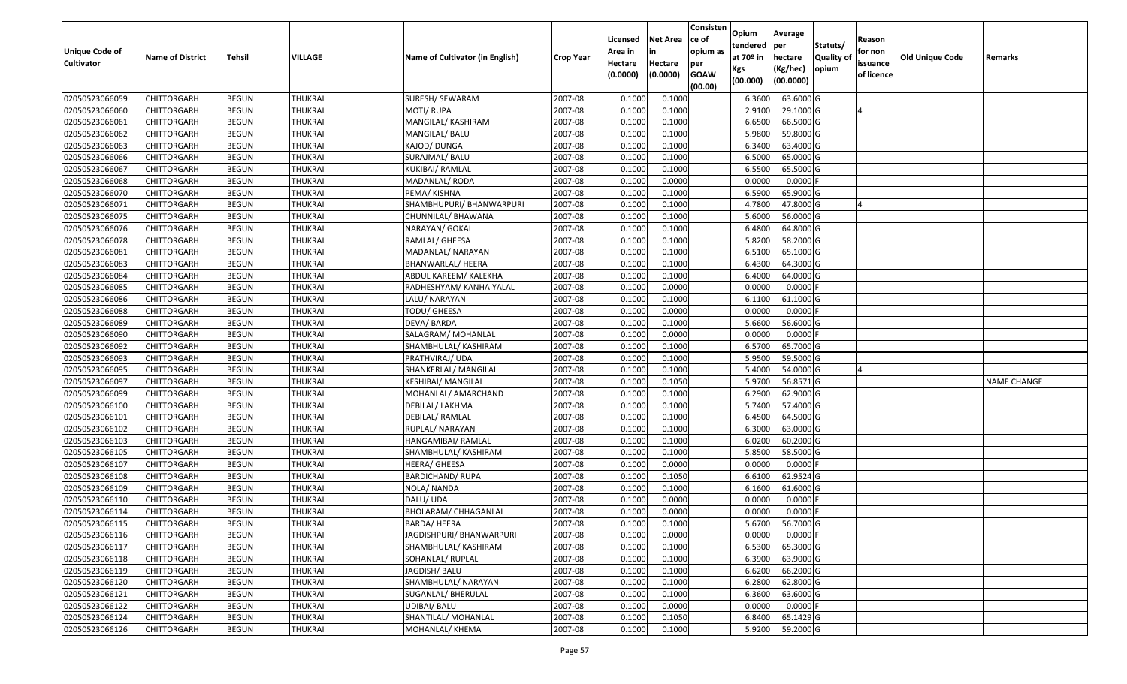| <b>Unique Code of</b> | <b>Name of District</b> | <b>Tehsil</b> | VILLAGE        | Name of Cultivator (in English) | <b>Crop Year</b> | Licensed<br>Area in | <b>Net Area</b><br>in | Consisten<br>ce of<br>opium as | Opium<br>tendered<br>at $70°$ in | Average<br>per<br>hectare | Statuts/<br><b>Quality o</b> | Reason<br>for non      | <b>Old Unique Code</b> | Remarks            |
|-----------------------|-------------------------|---------------|----------------|---------------------------------|------------------|---------------------|-----------------------|--------------------------------|----------------------------------|---------------------------|------------------------------|------------------------|------------------------|--------------------|
| <b>Cultivator</b>     |                         |               |                |                                 |                  | Hectare<br>(0.0000) | Hectare<br>(0.0000)   | per<br><b>GOAW</b><br>(00.00)  | Kgs<br>(00.000)                  | (Kg/hec)<br>(00.0000)     | opium                        | issuance<br>of licence |                        |                    |
| 02050523066059        | CHITTORGARH             | <b>BEGUN</b>  | <b>THUKRAI</b> | SURESH/ SEWARAM                 | 2007-08          | 0.1000              | 0.1000                |                                | 6.3600                           | 63.6000 G                 |                              |                        |                        |                    |
| 02050523066060        | CHITTORGARH             | <b>BEGUN</b>  | <b>THUKRAI</b> | MOTI/ RUPA                      | 2007-08          | 0.1000              | 0.1000                |                                | 2.9100                           | 29.1000 G                 |                              |                        |                        |                    |
| 02050523066061        | CHITTORGARH             | <b>BEGUN</b>  | <b>THUKRAI</b> | MANGILAL/ KASHIRAM              | 2007-08          | 0.1000              | 0.1000                |                                | 6.6500                           | 66.5000 G                 |                              |                        |                        |                    |
| 02050523066062        | <b>CHITTORGARH</b>      | <b>BEGUN</b>  | <b>THUKRAI</b> | MANGILAL/ BALU                  | 2007-08          | 0.1000              | 0.1000                |                                | 5.9800                           | 59.8000G                  |                              |                        |                        |                    |
| 02050523066063        | CHITTORGARH             | <b>BEGUN</b>  | <b>THUKRAI</b> | KAJOD/ DUNGA                    | 2007-08          | 0.1000              | 0.1000                |                                | 6.3400                           | 63.4000G                  |                              |                        |                        |                    |
| 02050523066066        | CHITTORGARH             | <b>BEGUN</b>  | THUKRAI        | SURAJMAL/ BALU                  | 2007-08          | 0.1000              | 0.1000                |                                | 6.5000                           | 65.0000G                  |                              |                        |                        |                    |
| 02050523066067        | CHITTORGARH             | <b>BEGUN</b>  | <b>THUKRAI</b> | KUKIBAI/ RAMLAL                 | 2007-08          | 0.1000              | 0.1000                |                                | 6.5500                           | 65.5000G                  |                              |                        |                        |                    |
| 02050523066068        | CHITTORGARH             | <b>BEGUN</b>  | <b>THUKRAI</b> | MADANLAL/RODA                   | 2007-08          | 0.1000              | 0.0000                |                                | 0.0000                           | $0.0000$ F                |                              |                        |                        |                    |
| 02050523066070        | CHITTORGARH             | <b>BEGUN</b>  | <b>THUKRAI</b> | PEMA/ KISHNA                    | 2007-08          | 0.1000              | 0.1000                |                                | 6.5900                           | 65.9000 G                 |                              |                        |                        |                    |
| 02050523066071        | CHITTORGARH             | <b>BEGUN</b>  | <b>THUKRAI</b> | SHAMBHUPURI/ BHANWARPURI        | 2007-08          | 0.1000              | 0.1000                |                                | 4.7800                           | 47.8000 G                 |                              |                        |                        |                    |
| 02050523066075        | CHITTORGARH             | <b>BEGUN</b>  | <b>THUKRAI</b> | CHUNNILAL/ BHAWANA              | 2007-08          | 0.1000              | 0.1000                |                                | 5.6000                           | 56.0000 G                 |                              |                        |                        |                    |
| 02050523066076        | <b>CHITTORGARH</b>      | <b>BEGUN</b>  | <b>THUKRAI</b> | NARAYAN/ GOKAL                  | 2007-08          | 0.1000              | 0.1000                |                                | 6.4800                           | 64.8000 G                 |                              |                        |                        |                    |
| 02050523066078        | <b>CHITTORGARH</b>      | <b>BEGUN</b>  | <b>THUKRAI</b> | RAMLAL/ GHEESA                  | 2007-08          | 0.1000              | 0.1000                |                                | 5.8200                           | 58.2000 G                 |                              |                        |                        |                    |
| 02050523066081        | <b>CHITTORGARH</b>      | <b>BEGUN</b>  | <b>THUKRAI</b> | MADANLAL/ NARAYAN               | 2007-08          | 0.100               | 0.1000                |                                | 6.5100                           | 65.1000G                  |                              |                        |                        |                    |
| 02050523066083        | CHITTORGARH             | <b>BEGUN</b>  | <b>THUKRAI</b> | BHANWARLAL/ HEERA               | 2007-08          | 0.1000              | 0.1000                |                                | 6.4300                           | 64.3000 G                 |                              |                        |                        |                    |
| 02050523066084        | CHITTORGARH             | <b>BEGUN</b>  | <b>THUKRAI</b> | ABDUL KAREEM/ KALEKHA           | 2007-08          | 0.1000              | 0.1000                |                                | 6.4000                           | 64.0000G                  |                              |                        |                        |                    |
| 02050523066085        | CHITTORGARH             | <b>BEGUN</b>  | <b>THUKRAI</b> | RADHESHYAM/ KANHAIYALAL         | 2007-08          | 0.1000              | 0.0000                |                                | 0.0000                           | $0.0000$ F                |                              |                        |                        |                    |
| 02050523066086        | CHITTORGARH             | <b>BEGUN</b>  | <b>THUKRAI</b> | LALU/ NARAYAN                   | 2007-08          | 0.100               | 0.1000                |                                | 6.1100                           | 61.1000 G                 |                              |                        |                        |                    |
| 02050523066088        | CHITTORGARH             | <b>BEGUN</b>  | <b>THUKRAI</b> | TODU/ GHEESA                    | 2007-08          | 0.100               | 0.0000                |                                | 0.0000                           | 0.0000F                   |                              |                        |                        |                    |
| 02050523066089        | CHITTORGARH             | <b>BEGUN</b>  | <b>THUKRAI</b> | DEVA/ BARDA                     | 2007-08          | 0.1000              | 0.1000                |                                | 5.6600                           | 56.6000 G                 |                              |                        |                        |                    |
| 02050523066090        | CHITTORGARH             | <b>BEGUN</b>  | <b>THUKRAI</b> | SALAGRAM/ MOHANLAL              | 2007-08          | 0.100               | 0.0000                |                                | 0.0000                           | $0.0000$ F                |                              |                        |                        |                    |
| 02050523066092        | CHITTORGARH             | <b>BEGUN</b>  | <b>THUKRAI</b> | SHAMBHULAL/ KASHIRAM            | 2007-08          | 0.100               | 0.1000                |                                | 6.5700                           | 65.7000 G                 |                              |                        |                        |                    |
| 02050523066093        | CHITTORGARH             | <b>BEGUN</b>  | <b>THUKRAI</b> | PRATHVIRAJ/ UDA                 | 2007-08          | 0.1000              | 0.1000                |                                | 5.9500                           | 59.5000G                  |                              |                        |                        |                    |
| 02050523066095        | CHITTORGARH             | <b>BEGUN</b>  | <b>THUKRAI</b> | SHANKERLAL/ MANGILAL            | 2007-08          | 0.100               | 0.1000                |                                | 5.4000                           | 54.0000G                  |                              |                        |                        |                    |
| 02050523066097        | <b>CHITTORGARH</b>      | <b>BEGUN</b>  | <b>THUKRAI</b> | <b>KESHIBAI/ MANGILAL</b>       | 2007-08          | 0.1000              | 0.1050                |                                | 5.9700                           | 56.8571 G                 |                              |                        |                        | <b>NAME CHANGE</b> |
| 02050523066099        | CHITTORGARH             | <b>BEGUN</b>  | <b>THUKRAI</b> | MOHANLAL/ AMARCHAND             | 2007-08          | 0.1000              | 0.1000                |                                | 6.2900                           | 62.9000G                  |                              |                        |                        |                    |
| 02050523066100        | CHITTORGARH             | <b>BEGUN</b>  | <b>THUKRAI</b> | DEBILAL/ LAKHMA                 | 2007-08          | 0.1000              | 0.1000                |                                | 5.7400                           | 57.4000 G                 |                              |                        |                        |                    |
| 02050523066101        | CHITTORGARH             | <b>BEGUN</b>  | <b>THUKRAI</b> | DEBILAL/ RAMLAL                 | 2007-08          | 0.1000              | 0.1000                |                                | 6.4500                           | 64.5000 G                 |                              |                        |                        |                    |
| 02050523066102        | CHITTORGARH             | <b>BEGUN</b>  | <b>THUKRAI</b> | RUPLAL/ NARAYAN                 | 2007-08          | 0.1000              | 0.1000                |                                | 6.3000                           | 63.0000G                  |                              |                        |                        |                    |
| 02050523066103        | CHITTORGARH             | <b>BEGUN</b>  | <b>THUKRAI</b> | HANGAMIBAI/ RAMLAL              | 2007-08          | 0.1000              | 0.1000                |                                | 6.0200                           | 60.2000 G                 |                              |                        |                        |                    |
| 02050523066105        | CHITTORGARH             | <b>BEGUN</b>  | <b>THUKRAI</b> | SHAMBHULAL/ KASHIRAM            | 2007-08          | 0.100               | 0.1000                |                                | 5.8500                           | 58.5000 G                 |                              |                        |                        |                    |
| 02050523066107        | CHITTORGARH             | <b>BEGUN</b>  | <b>THUKRAI</b> | HEERA/ GHEESA                   | 2007-08          | 0.1000              | 0.0000                |                                | 0.0000                           | 0.0000                    |                              |                        |                        |                    |
| 02050523066108        | CHITTORGARH             | <b>BEGUN</b>  | <b>THUKRAI</b> | <b>BARDICHAND/ RUPA</b>         | 2007-08          | 0.1000              | 0.1050                |                                | 6.6100                           | 62.9524 G                 |                              |                        |                        |                    |
| 02050523066109        | CHITTORGARH             | <b>BEGUN</b>  | <b>THUKRAI</b> | NOLA/ NANDA                     | 2007-08          | 0.1000              | 0.1000                |                                | 6.1600                           | 61.6000 G                 |                              |                        |                        |                    |
| 02050523066110        | CHITTORGARH             | <b>BEGUN</b>  | <b>THUKRAI</b> | DALU/ UDA                       | 2007-08          | 0.1000              | 0.0000                |                                | 0.0000                           | 0.0000F                   |                              |                        |                        |                    |
| 02050523066114        | CHITTORGARH             | <b>BEGUN</b>  | <b>THUKRAI</b> | BHOLARAM/ CHHAGANLAL            | 2007-08          | 0.1000              | 0.0000                |                                | 0.0000                           | 0.0000                    |                              |                        |                        |                    |
| 02050523066115        | <b>CHITTORGARH</b>      | <b>BEGUN</b>  | <b>THUKRAI</b> | BARDA/ HEERA                    | 2007-08          | 0.1000              | 0.1000                |                                | 5.6700                           | 56.7000 G                 |                              |                        |                        |                    |
| 02050523066116        | <b>CHITTORGARH</b>      | <b>BEGUN</b>  | <b>THUKRAI</b> | JAGDISHPURI/ BHANWARPURI        | 2007-08          | 0.1000              | 0.0000                |                                | 0.0000                           | $0.0000$ F                |                              |                        |                        |                    |
| 02050523066117        | <b>CHITTORGARH</b>      | <b>BEGUN</b>  | <b>THUKRAI</b> | SHAMBHULAL/ KASHIRAM            | 2007-08          | 0.1000              | 0.1000                |                                | 6.5300                           | 65.3000 G                 |                              |                        |                        |                    |
| 02050523066118        | <b>CHITTORGARH</b>      | <b>BEGUN</b>  | <b>THUKRAI</b> | SOHANLAL/ RUPLAL                | 2007-08          | 0.1000              | 0.1000                |                                | 6.3900                           | 63.9000 G                 |                              |                        |                        |                    |
| 02050523066119        | <b>CHITTORGARH</b>      | <b>BEGUN</b>  | <b>THUKRAI</b> | JAGDISH/ BALU                   | 2007-08          | 0.1000              | 0.1000                |                                | 6.6200                           | 66.2000 G                 |                              |                        |                        |                    |
| 02050523066120        | <b>CHITTORGARH</b>      | <b>BEGUN</b>  | <b>THUKRAI</b> | SHAMBHULAL/ NARAYAN             | 2007-08          | 0.1000              | 0.1000                |                                | 6.2800                           | 62.8000 G                 |                              |                        |                        |                    |
| 02050523066121        | <b>CHITTORGARH</b>      | <b>BEGUN</b>  | <b>THUKRAI</b> | SUGANLAL/ BHERULAL              | 2007-08          | 0.1000              | 0.1000                |                                | 6.3600                           | 63.6000 G                 |                              |                        |                        |                    |
| 02050523066122        | <b>CHITTORGARH</b>      | <b>BEGUN</b>  | <b>THUKRAI</b> | UDIBAI/ BALU                    | 2007-08          | 0.1000              | 0.0000                |                                | 0.0000                           | $0.0000$ F                |                              |                        |                        |                    |
| 02050523066124        | CHITTORGARH             | <b>BEGUN</b>  | <b>THUKRAI</b> | SHANTILAL/ MOHANLAL             | 2007-08          | 0.1000              | 0.1050                |                                | 6.8400                           | 65.1429 G                 |                              |                        |                        |                    |
| 02050523066126        | <b>CHITTORGARH</b>      | <b>BEGUN</b>  | <b>THUKRAI</b> | MOHANLAL/ KHEMA                 | 2007-08          | 0.1000              | 0.1000                |                                | 5.9200                           | 59.2000 G                 |                              |                        |                        |                    |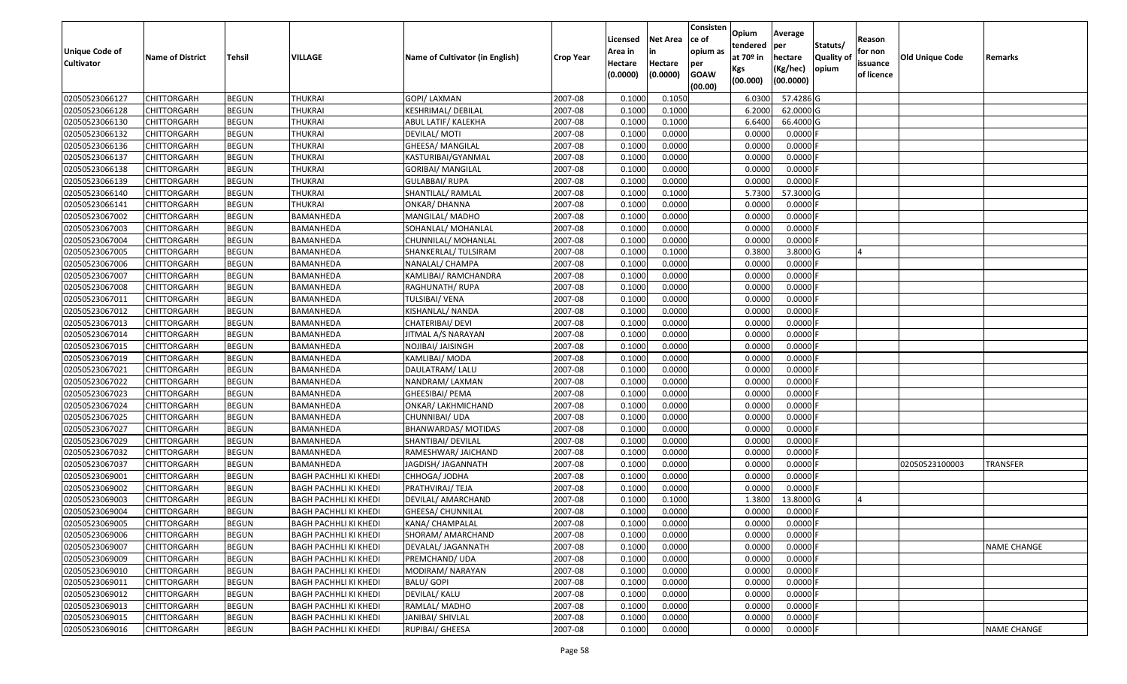| Unique Code of    | <b>Name of District</b> | Tehsil       | VILLAGE                      | Name of Cultivator (in English) | <b>Crop Year</b> | Licensed<br>Area in | <b>Net Area</b><br>in | Consisten<br>ce of<br>opium as | Opium<br>tendered<br>at $70°$ in | Average<br>per<br>hectare | Statuts/<br><b>Quality o</b> | Reason<br>for non      | Old Unique Code | Remarks            |
|-------------------|-------------------------|--------------|------------------------------|---------------------------------|------------------|---------------------|-----------------------|--------------------------------|----------------------------------|---------------------------|------------------------------|------------------------|-----------------|--------------------|
| <b>Cultivator</b> |                         |              |                              |                                 |                  | Hectare<br>(0.0000) | Hectare<br>(0.0000)   | per<br><b>GOAW</b><br>(00.00)  | Kgs<br>(00.000)                  | (Kg/hec)<br>(00.0000)     | opium                        | issuance<br>of licence |                 |                    |
| 02050523066127    | CHITTORGARH             | <b>BEGUN</b> | <b>THUKRAI</b>               | GOPI/ LAXMAN                    | 2007-08          | 0.1000              | 0.1050                |                                | 6.0300                           | 57.4286 G                 |                              |                        |                 |                    |
| 02050523066128    | CHITTORGARH             | <b>BEGUN</b> | <b>THUKRAI</b>               | KESHRIMAL/ DEBILAL              | 2007-08          | 0.1000              | 0.1000                |                                | 6.2000                           | 62.0000G                  |                              |                        |                 |                    |
| 02050523066130    | CHITTORGARH             | <b>BEGUN</b> | <b>THUKRAI</b>               | ABUL LATIF/ KALEKHA             | 2007-08          | 0.1000              | 0.1000                |                                | 6.6400                           | 66.4000 G                 |                              |                        |                 |                    |
| 02050523066132    | <b>CHITTORGARH</b>      | <b>BEGUN</b> | <b>THUKRAI</b>               | DEVILAL/ MOTI                   | 2007-08          | 0.1000              | 0.0000                |                                | 0.0000                           | 0.0000F                   |                              |                        |                 |                    |
| 02050523066136    | CHITTORGARH             | <b>BEGUN</b> | <b>THUKRAI</b>               | GHEESA/ MANGILAL                | 2007-08          | 0.1000              | 0.0000                |                                | 0.0000                           | 0.0000                    |                              |                        |                 |                    |
| 02050523066137    | CHITTORGARH             | <b>BEGUN</b> | THUKRAI                      | KASTURIBAI/GYANMAL              | 2007-08          | 0.1000              | 0.0000                |                                | 0.0000                           | 0.0000                    |                              |                        |                 |                    |
| 02050523066138    | CHITTORGARH             | <b>BEGUN</b> | <b>THUKRAI</b>               | GORIBAI/ MANGILAL               | 2007-08          | 0.1000              | 0.0000                |                                | 0.0000                           | 0.0000                    |                              |                        |                 |                    |
| 02050523066139    | <b>CHITTORGARH</b>      | <b>BEGUN</b> | <b>THUKRAI</b>               | GULABBAI/RUPA                   | 2007-08          | 0.1000              | 0.0000                |                                | 0.0000                           | 0.0000F                   |                              |                        |                 |                    |
| 02050523066140    | CHITTORGARH             | <b>BEGUN</b> | <b>THUKRAI</b>               | SHANTILAL/ RAMLAL               | 2007-08          | 0.1000              | 0.1000                |                                | 5.7300                           | 57.3000G                  |                              |                        |                 |                    |
| 02050523066141    | CHITTORGARH             | <b>BEGUN</b> | THUKRAI                      | <b>ONKAR/ DHANNA</b>            | 2007-08          | 0.1000              | 0.0000                |                                | 0.0000                           | 0.0000F                   |                              |                        |                 |                    |
| 02050523067002    | CHITTORGARH             | <b>BEGUN</b> | BAMANHEDA                    | MANGILAL/ MADHO                 | 2007-08          | 0.1000              | 0.0000                |                                | 0.0000                           | 0.0000F                   |                              |                        |                 |                    |
| 02050523067003    | <b>CHITTORGARH</b>      | <b>BEGUN</b> | BAMANHEDA                    | SOHANLAL/ MOHANLAL              | 2007-08          | 0.1000              | 0.0000                |                                | 0.0000                           | 0.0000F                   |                              |                        |                 |                    |
| 02050523067004    | <b>CHITTORGARH</b>      | <b>BEGUN</b> | BAMANHEDA                    | CHUNNILAL/ MOHANLAL             | 2007-08          | 0.1000              | 0.0000                |                                | 0.0000                           | $0.0000$ F                |                              |                        |                 |                    |
| 02050523067005    | <b>CHITTORGARH</b>      | <b>BEGUN</b> | BAMANHEDA                    | SHANKERLAL/ TULSIRAM            | 2007-08          | 0.1000              | 0.1000                |                                | 0.3800                           | 3.8000 G                  |                              |                        |                 |                    |
| 02050523067006    | CHITTORGARH             | <b>BEGUN</b> | BAMANHEDA                    | NANALAL/ CHAMPA                 | 2007-08          | 0.1000              | 0.0000                |                                | 0.0000                           | 0.0000 F                  |                              |                        |                 |                    |
| 02050523067007    | CHITTORGARH             | <b>BEGUN</b> | BAMANHEDA                    | KAMLIBAI/ RAMCHANDRA            | 2007-08          | 0.1000              | 0.0000                |                                | 0.0000                           | 0.0000                    |                              |                        |                 |                    |
| 02050523067008    | CHITTORGARH             | <b>BEGUN</b> | BAMANHEDA                    | RAGHUNATH/ RUPA                 | 2007-08          | 0.1000              | 0.0000                |                                | 0.0000                           | 0.0000F                   |                              |                        |                 |                    |
| 02050523067011    | CHITTORGARH             | <b>BEGUN</b> | BAMANHEDA                    | TULSIBAI/ VENA                  | 2007-08          | 0.1000              | 0.0000                |                                | 0.0000                           | 0.0000                    |                              |                        |                 |                    |
| 02050523067012    | CHITTORGARH             | <b>BEGUN</b> | BAMANHEDA                    | KISHANLAL/ NANDA                | 2007-08          | 0.100               | 0.0000                |                                | 0.0000                           | 0.0000                    |                              |                        |                 |                    |
| 02050523067013    | CHITTORGARH             | <b>BEGUN</b> | BAMANHEDA                    | CHATERIBAI/ DEVI                | 2007-08          | 0.1000              | 0.0000                |                                | 0.0000                           | 0.0000                    |                              |                        |                 |                    |
| 02050523067014    | CHITTORGARH             | <b>BEGUN</b> | BAMANHEDA                    | JITMAL A/S NARAYAN              | 2007-08          | 0.1000              | 0.0000                |                                | 0.0000                           | 0.0000                    |                              |                        |                 |                    |
| 02050523067015    | CHITTORGARH             | <b>BEGUN</b> | BAMANHEDA                    | NOJIBAI/ JAISINGH               | 2007-08          | 0.100               | 0.0000                |                                | 0.0000                           | 0.0000                    |                              |                        |                 |                    |
| 02050523067019    | CHITTORGARH             | <b>BEGUN</b> | BAMANHEDA                    | KAMLIBAI/ MODA                  | 2007-08          | 0.1000              | 0.0000                |                                | 0.0000                           | 0.0000                    |                              |                        |                 |                    |
| 02050523067021    | CHITTORGARH             | <b>BEGUN</b> | BAMANHEDA                    | DAULATRAM/ LALU                 | 2007-08          | 0.1000              | 0.0000                |                                | 0.0000                           | 0.0000                    |                              |                        |                 |                    |
| 02050523067022    | <b>CHITTORGARH</b>      | <b>BEGUN</b> | BAMANHEDA                    | NANDRAM/ LAXMAN                 | 2007-08          | 0.1000              | 0.0000                |                                | 0.0000                           | 0.0000F                   |                              |                        |                 |                    |
| 02050523067023    | CHITTORGARH             | <b>BEGUN</b> | BAMANHEDA                    | GHEESIBAI/ PEMA                 | 2007-08          | 0.1000              | 0.0000                |                                | 0.0000                           | 0.0000F                   |                              |                        |                 |                    |
| 02050523067024    | CHITTORGARH             | <b>BEGUN</b> | BAMANHEDA                    | ONKAR/ LAKHMICHAND              | 2007-08          | 0.100               | 0.0000                |                                | 0.0000                           | $0.0000$ F                |                              |                        |                 |                    |
| 02050523067025    | CHITTORGARH             | <b>BEGUN</b> | BAMANHEDA                    | CHUNNIBAI/ UDA                  | 2007-08          | 0.1000              | 0.0000                |                                | 0.0000                           | 0.0000                    |                              |                        |                 |                    |
| 02050523067027    | CHITTORGARH             | <b>BEGUN</b> | BAMANHEDA                    | BHANWARDAS/ MOTIDAS             | 2007-08          | 0.1000              | 0.0000                |                                | 0.0000                           | 0.0000F                   |                              |                        |                 |                    |
| 02050523067029    | CHITTORGARH             | <b>BEGUN</b> | BAMANHEDA                    | SHANTIBAI/ DEVILAL              | 2007-08          | 0.1000              | 0.0000                |                                | 0.0000                           | 0.0000                    |                              |                        |                 |                    |
| 02050523067032    | CHITTORGARH             | <b>BEGUN</b> | BAMANHEDA                    | RAMESHWAR/ JAICHAND             | 2007-08          | 0.1000              | 0.0000                |                                | 0.0000                           | 0.0000                    |                              |                        |                 |                    |
| 02050523067037    | CHITTORGARH             | <b>BEGUN</b> | BAMANHEDA                    | JAGDISH/ JAGANNATH              | 2007-08          | 0.1000              | 0.0000                |                                | 0.0000                           | 0.0000                    |                              |                        | 02050523100003  | <b>TRANSFER</b>    |
| 02050523069001    | CHITTORGARH             | <b>BEGUN</b> | BAGH PACHHLI KI KHEDI        | CHHOGA/ JODHA                   | 2007-08          | 0.1000              | 0.0000                |                                | 0.0000                           | 0.0000F                   |                              |                        |                 |                    |
| 02050523069002    | CHITTORGARH             | <b>BEGUN</b> | BAGH PACHHLI KI KHEDI        | PRATHVIRAJ/ TEJA                | 2007-08          | 0.1000              | 0.0000                |                                | 0.0000                           | 0.0000                    |                              |                        |                 |                    |
| 02050523069003    | CHITTORGARH             | <b>BEGUN</b> | <b>BAGH PACHHLI KI KHEDI</b> | DEVILAL/ AMARCHAND              | 2007-08          | 0.1000              | 0.1000                |                                | 1.3800                           | 13.8000G                  |                              |                        |                 |                    |
| 02050523069004    | CHITTORGARH             | <b>BEGUN</b> | <b>BAGH PACHHLI KI KHEDI</b> | GHEESA/ CHUNNILAL               | 2007-08          | 0.1000              | 0.0000                |                                | 0.0000                           | $0.0000$ F                |                              |                        |                 |                    |
| 02050523069005    | <b>CHITTORGARH</b>      | <b>BEGUN</b> | <b>BAGH PACHHLI KI KHEDI</b> | KANA/ CHAMPALAL                 | 2007-08          | 0.1000              | 0.0000                |                                | 0.0000                           | $0.0000$ F                |                              |                        |                 |                    |
| 02050523069006    | <b>CHITTORGARH</b>      | <b>BEGUN</b> | <b>BAGH PACHHLI KI KHEDI</b> | SHORAM/ AMARCHAND               | 2007-08          | 0.1000              | 0.0000                |                                | 0.0000                           | $0.0000$ F                |                              |                        |                 |                    |
| 02050523069007    | <b>CHITTORGARH</b>      | <b>BEGUN</b> | BAGH PACHHLI KI KHEDI        | DEVALAL/ JAGANNATH              | 2007-08          | 0.1000              | 0.0000                |                                | 0.0000                           | 0.0000F                   |                              |                        |                 | <b>NAME CHANGE</b> |
| 02050523069009    | <b>CHITTORGARH</b>      | <b>BEGUN</b> | <b>BAGH PACHHLI KI KHEDI</b> | PREMCHAND/ UDA                  | 2007-08          | 0.1000              | 0.0000                |                                | 0.0000                           | $0.0000$ F                |                              |                        |                 |                    |
| 02050523069010    | <b>CHITTORGARH</b>      | <b>BEGUN</b> | BAGH PACHHLI KI KHEDI        | MODIRAM/ NARAYAN                | 2007-08          | 0.1000              | 0.0000                |                                | 0.0000                           | $0.0000$ F                |                              |                        |                 |                    |
| 02050523069011    | <b>CHITTORGARH</b>      | <b>BEGUN</b> | <b>BAGH PACHHLI KI KHEDI</b> | <b>BALU/ GOPI</b>               | 2007-08          | 0.1000              | 0.0000                |                                | 0.0000                           | 0.0000                    |                              |                        |                 |                    |
| 02050523069012    | <b>CHITTORGARH</b>      | <b>BEGUN</b> | BAGH PACHHLI KI KHEDI        | DEVILAL/ KALU                   | 2007-08          | 0.1000              | 0.0000                |                                | 0.0000                           | 0.0000                    |                              |                        |                 |                    |
| 02050523069013    | <b>CHITTORGARH</b>      | <b>BEGUN</b> | BAGH PACHHLI KI KHEDI        | RAMLAL/ MADHO                   | 2007-08          | 0.1000              | 0.0000                |                                | 0.0000                           | $0.0000$ F                |                              |                        |                 |                    |
| 02050523069015    | <b>CHITTORGARH</b>      | <b>BEGUN</b> | BAGH PACHHLI KI KHEDI        | JANIBAI/ SHIVLAL                | 2007-08          | 0.1000              | 0.0000                |                                | 0.0000                           | 0.0000                    |                              |                        |                 |                    |
| 02050523069016    | <b>CHITTORGARH</b>      | <b>BEGUN</b> | <b>BAGH PACHHLI KI KHEDI</b> | RUPIBAI/ GHEESA                 | 2007-08          | 0.1000              | 0.0000                |                                | 0.0000                           | $0.0000$ F                |                              |                        |                 | <b>NAME CHANGE</b> |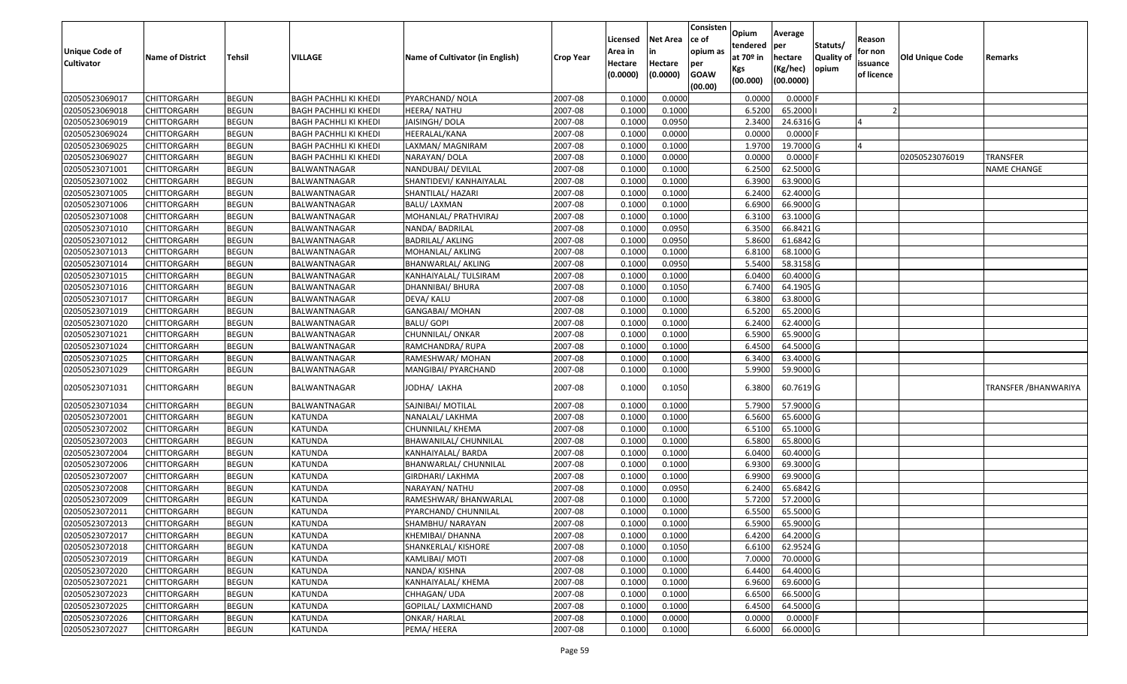| <b>Unique Code of</b><br><b>Cultivator</b> | <b>Name of District</b> | Tehsil       | VILLAGE                      | Name of Cultivator (in English) | <b>Crop Year</b> | Licensed<br>Area in<br>Hectare | <b>Net Area</b><br>in<br>Hectare | Consisten<br>ce of<br>opium as<br>per | Opium<br>tendered<br>at $70°$ in | Average<br>per<br>hectare | Statuts/<br><b>Quality o</b> | Reason<br>for non<br>issuance | Old Unique Code | Remarks               |
|--------------------------------------------|-------------------------|--------------|------------------------------|---------------------------------|------------------|--------------------------------|----------------------------------|---------------------------------------|----------------------------------|---------------------------|------------------------------|-------------------------------|-----------------|-----------------------|
|                                            |                         |              |                              |                                 |                  | (0.0000)                       | (0.0000)                         | <b>GOAW</b><br>(00.00)                | Kgs<br>(00.000)                  | (Kg/hec)<br>(00.0000)     | opium                        | of licence                    |                 |                       |
| 02050523069017                             | CHITTORGARH             | <b>BEGUN</b> | <b>BAGH PACHHLI KI KHEDI</b> | PYARCHAND/ NOLA                 | 2007-08          | 0.1000                         | 0.0000                           |                                       | 0.0000                           | 0.0000F                   |                              |                               |                 |                       |
| 02050523069018                             | CHITTORGARH             | <b>BEGUN</b> | <b>BAGH PACHHLI KI KHEDI</b> | HEERA/ NATHU                    | 2007-08          | 0.1000                         | 0.1000                           |                                       | 6.5200                           | 65.2000                   |                              |                               |                 |                       |
| 02050523069019                             | CHITTORGARH             | <b>BEGUN</b> | <b>BAGH PACHHLI KI KHEDI</b> | JAISINGH/ DOLA                  | 2007-08          | 0.1000                         | 0.0950                           |                                       | 2.3400                           | 24.6316 G                 |                              |                               |                 |                       |
| 02050523069024                             | <b>CHITTORGARH</b>      | <b>BEGUN</b> | <b>BAGH PACHHLI KI KHEDI</b> | HEERALAL/KANA                   | 2007-08          | 0.1000                         | 0.0000                           |                                       | 0.0000                           | $0.0000$ F                |                              |                               |                 |                       |
| 02050523069025                             | CHITTORGARH             | <b>BEGUN</b> | <b>BAGH PACHHLI KI KHEDI</b> | LAXMAN/ MAGNIRAM                | 2007-08          | 0.1000                         | 0.1000                           |                                       | 1.9700                           | 19.7000 G                 |                              |                               |                 |                       |
| 02050523069027                             | CHITTORGARH             | <b>BEGUN</b> | <b>BAGH PACHHLI KI KHEDI</b> | NARAYAN/ DOLA                   | 2007-08          | 0.1000                         | 0.0000                           |                                       | 0.0000                           | $0.0000$ F                |                              |                               | 02050523076019  | TRANSFER              |
| 02050523071001                             | CHITTORGARH             | <b>BEGUN</b> | BALWANTNAGAR                 | NANDUBAI/ DEVILAL               | 2007-08          | 0.1000                         | 0.1000                           |                                       | 6.2500                           | 62.5000G                  |                              |                               |                 | NAME CHANGE           |
| 02050523071002                             | CHITTORGARH             | <b>BEGUN</b> | BALWANTNAGAR                 | SHANTIDEVI/ KANHAIYALAL         | 2007-08          | 0.1000                         | 0.1000                           |                                       | 6.3900                           | 63.9000 G                 |                              |                               |                 |                       |
| 02050523071005                             | CHITTORGARH             | <b>BEGUN</b> | BALWANTNAGAR                 | SHANTILAL/ HAZARI               | 2007-08          | 0.1000                         | 0.1000                           |                                       | 6.2400                           | 62.4000 G                 |                              |                               |                 |                       |
| 02050523071006                             | CHITTORGARH             | <b>BEGUN</b> | BALWANTNAGAR                 | BALU/ LAXMAN                    | 2007-08          | 0.1000                         | 0.1000                           |                                       | 6.6900                           | 66.9000 G                 |                              |                               |                 |                       |
| 02050523071008                             | CHITTORGARH             | <b>BEGUN</b> | BALWANTNAGAR                 | MOHANLAL/ PRATHVIRAJ            | 2007-08          | 0.1000                         | 0.1000                           |                                       | 6.3100                           | 63.1000G                  |                              |                               |                 |                       |
| 02050523071010                             | <b>CHITTORGARH</b>      | <b>BEGUN</b> | BALWANTNAGAR                 | NANDA/ BADRILAL                 | 2007-08          | 0.1000                         | 0.0950                           |                                       | 6.3500                           | 66.8421 G                 |                              |                               |                 |                       |
| 02050523071012                             | <b>CHITTORGARH</b>      | <b>BEGUN</b> | BALWANTNAGAR                 | <b>BADRILAL/ AKLING</b>         | 2007-08          | 0.1000                         | 0.0950                           |                                       | 5.8600                           | 61.6842 G                 |                              |                               |                 |                       |
| 02050523071013                             | <b>CHITTORGARH</b>      | <b>BEGUN</b> | BALWANTNAGAR                 | MOHANLAL/ AKLING                | 2007-08          | 0.1000                         | 0.1000                           |                                       | 6.8100                           | 68.1000 G                 |                              |                               |                 |                       |
| 02050523071014                             | CHITTORGARH             | <b>BEGUN</b> | BALWANTNAGAR                 | BHANWARLAL/ AKLING              | 2007-08          | 0.1000                         | 0.0950                           |                                       | 5.5400                           | 58.3158 G                 |                              |                               |                 |                       |
| 02050523071015                             | CHITTORGARH             | <b>BEGUN</b> | BALWANTNAGAR                 | KANHAIYALAL/ TULSIRAM           | 2007-08          | 0.1000                         | 0.1000                           |                                       | 6.0400                           | 60.4000 G                 |                              |                               |                 |                       |
| 02050523071016                             | CHITTORGARH             | <b>BEGUN</b> | BALWANTNAGAR                 | DHANNIBAI/ BHURA                | 2007-08          | 0.1000                         | 0.1050                           |                                       | 6.7400                           | 64.1905 G                 |                              |                               |                 |                       |
| 02050523071017                             | CHITTORGARH             | <b>BEGUN</b> | BALWANTNAGAR                 | DEVA/ KALU                      | 2007-08          | 0.1000                         | 0.1000                           |                                       | 6.3800                           | 63.8000 G                 |                              |                               |                 |                       |
| 02050523071019                             | CHITTORGARH             | <b>BEGUN</b> | BALWANTNAGAR                 | GANGABAI/ MOHAN                 | 2007-08          | 0.1000                         | 0.1000                           |                                       | 6.5200                           | 65.2000 G                 |                              |                               |                 |                       |
| 02050523071020                             | CHITTORGARH             | <b>BEGUN</b> | BALWANTNAGAR                 | BALU/ GOPI                      | 2007-08          | 0.1000                         | 0.1000                           |                                       | 6.2400                           | 62.4000 G                 |                              |                               |                 |                       |
| 02050523071021                             | CHITTORGARH             | <b>BEGUN</b> | BALWANTNAGAR                 | CHUNNILAL/ ONKAR                | 2007-08          | 0.1000                         | 0.1000                           |                                       | 6.5900                           | 65.9000G                  |                              |                               |                 |                       |
| 02050523071024                             | CHITTORGARH             | <b>BEGUN</b> | BALWANTNAGAR                 | RAMCHANDRA/ RUPA                | 2007-08          | 0.1000                         | 0.1000                           |                                       | 6.4500                           | 64.5000 G                 |                              |                               |                 |                       |
| 02050523071025                             | CHITTORGARH             | <b>BEGUN</b> | BALWANTNAGAR                 | RAMESHWAR/ MOHAN                | 2007-08          | 0.1000                         | 0.1000                           |                                       | 6.3400                           | 63.4000 G                 |                              |                               |                 |                       |
| 02050523071029                             | CHITTORGARH             | <b>BEGUN</b> | BALWANTNAGAR                 | MANGIBAI/ PYARCHAND             | 2007-08          | 0.1000                         | 0.1000                           |                                       | 5.9900                           | 59.9000 G                 |                              |                               |                 |                       |
| 02050523071031                             | CHITTORGARH             | <b>BEGUN</b> | BALWANTNAGAR                 | JODHA/ LAKHA                    | 2007-08          | 0.1000                         | 0.1050                           |                                       | 6.3800                           | 60.7619 G                 |                              |                               |                 | TRANSFER / BHANWARIYA |
| 02050523071034                             | CHITTORGARH             | <b>BEGUN</b> | BALWANTNAGAR                 | SAJNIBAI/ MOTILAL               | 2007-08          | 0.1000                         | 0.1000                           |                                       | 5.7900                           | 57.9000 G                 |                              |                               |                 |                       |
| 02050523072001                             | CHITTORGARH             | <b>BEGUN</b> | KATUNDA                      | NANALAL/ LAKHMA                 | 2007-08          | 0.1000                         | 0.1000                           |                                       | 6.5600                           | 65.6000G                  |                              |                               |                 |                       |
| 02050523072002                             | CHITTORGARH             | <b>BEGUN</b> | <b>KATUNDA</b>               | CHUNNILAL/ KHEMA                | 2007-08          | 0.1000                         | 0.1000                           |                                       | 6.5100                           | 65.1000G                  |                              |                               |                 |                       |
| 02050523072003                             | CHITTORGARH             | <b>BEGUN</b> | <b>KATUNDA</b>               | BHAWANILAL/ CHUNNILAL           | 2007-08          | 0.1000                         | 0.1000                           |                                       | 6.5800                           | 65.8000 G                 |                              |                               |                 |                       |
| 02050523072004                             | CHITTORGARH             | <b>BEGUN</b> | KATUNDA                      | KANHAIYALAL/ BARDA              | 2007-08          | 0.1000                         | 0.1000                           |                                       | 6.0400                           | 60.4000 G                 |                              |                               |                 |                       |
| 02050523072006                             | CHITTORGARH             | <b>BEGUN</b> | KATUNDA                      | BHANWARLAL/ CHUNNILAL           | 2007-08          | 0.1000                         | 0.1000                           |                                       | 6.9300                           | 69.3000 G                 |                              |                               |                 |                       |
| 02050523072007                             | CHITTORGARH             | <b>BEGUN</b> | KATUNDA                      | GIRDHARI/ LAKHMA                | 2007-08          | 0.1000                         | 0.1000                           |                                       | 6.9900                           | 69.9000 G                 |                              |                               |                 |                       |
| 02050523072008                             | <b>CHITTORGARH</b>      | <b>BEGUN</b> | KATUNDA                      | NARAYAN/ NATHU                  | 2007-08          | 0.1000                         | 0.0950                           |                                       | 6.2400                           | 65.6842 G                 |                              |                               |                 |                       |
| 02050523072009                             | CHITTORGARH             | <b>BEGUN</b> | KATUNDA                      | RAMESHWAR/ BHANWARLAL           | 2007-08          | 0.1000                         | 0.1000                           |                                       | 5.7200                           | 57.2000G                  |                              |                               |                 |                       |
| 02050523072011                             | CHITTORGARH             | <b>BEGUN</b> | KATUNDA                      | PYARCHAND/ CHUNNILAL            | 2007-08          | 0.1000                         | 0.1000                           |                                       | 6.5500                           | 65.5000G                  |                              |                               |                 |                       |
| 02050523072013                             | <b>CHITTORGARH</b>      | <b>BEGUN</b> | KATUNDA                      | SHAMBHU/ NARAYAN                | 2007-08          | 0.1000                         | 0.1000                           |                                       | 6.5900                           | 65.9000 G                 |                              |                               |                 |                       |
| 02050523072017                             | <b>CHITTORGARH</b>      | <b>BEGUN</b> | KATUNDA                      | KHEMIBAI/ DHANNA                | 2007-08          | 0.1000                         | 0.1000                           |                                       | 6.4200                           | 64.2000 G                 |                              |                               |                 |                       |
| 02050523072018                             | <b>CHITTORGARH</b>      | <b>BEGUN</b> | <b>KATUNDA</b>               | SHANKERLAL/ KISHORE             | 2007-08          | 0.1000                         | 0.1050                           |                                       | 6.6100                           | 62.9524 G                 |                              |                               |                 |                       |
| 02050523072019                             | <b>CHITTORGARH</b>      | <b>BEGUN</b> | <b>KATUNDA</b>               | KAMLIBAI/MOTI                   | 2007-08          | 0.1000                         | 0.1000                           |                                       | 7.0000                           | 70.0000 G                 |                              |                               |                 |                       |
| 02050523072020                             | <b>CHITTORGARH</b>      | <b>BEGUN</b> | KATUNDA                      | NANDA/ KISHNA                   | 2007-08          | 0.1000                         | 0.1000                           |                                       | 6.4400                           | 64.4000 G                 |                              |                               |                 |                       |
| 02050523072021                             | <b>CHITTORGARH</b>      | <b>BEGUN</b> | <b>KATUNDA</b>               | KANHAIYALAL/ KHEMA              | 2007-08          | 0.1000                         | 0.1000                           |                                       | 6.9600                           | 69.6000 G                 |                              |                               |                 |                       |
| 02050523072023                             | <b>CHITTORGARH</b>      | <b>BEGUN</b> | KATUNDA                      | CHHAGAN/ UDA                    | 2007-08          | 0.1000                         | 0.1000                           |                                       | 6.6500                           | 66.5000 G                 |                              |                               |                 |                       |
| 02050523072025                             | <b>CHITTORGARH</b>      | <b>BEGUN</b> | KATUNDA                      | GOPILAL/ LAXMICHAND             | 2007-08          | 0.1000                         | 0.1000                           |                                       | 6.4500                           | 64.5000 G                 |                              |                               |                 |                       |
| 02050523072026                             | <b>CHITTORGARH</b>      | <b>BEGUN</b> | KATUNDA                      | ONKAR/ HARLAL                   | 2007-08          | 0.1000                         | 0.0000                           |                                       | 0.0000                           | $0.0000$ F                |                              |                               |                 |                       |
| 02050523072027                             | <b>CHITTORGARH</b>      | <b>BEGUN</b> | KATUNDA                      | PEMA/HEERA                      | 2007-08          | 0.1000                         | 0.1000                           |                                       | 6.6000                           | 66.0000 G                 |                              |                               |                 |                       |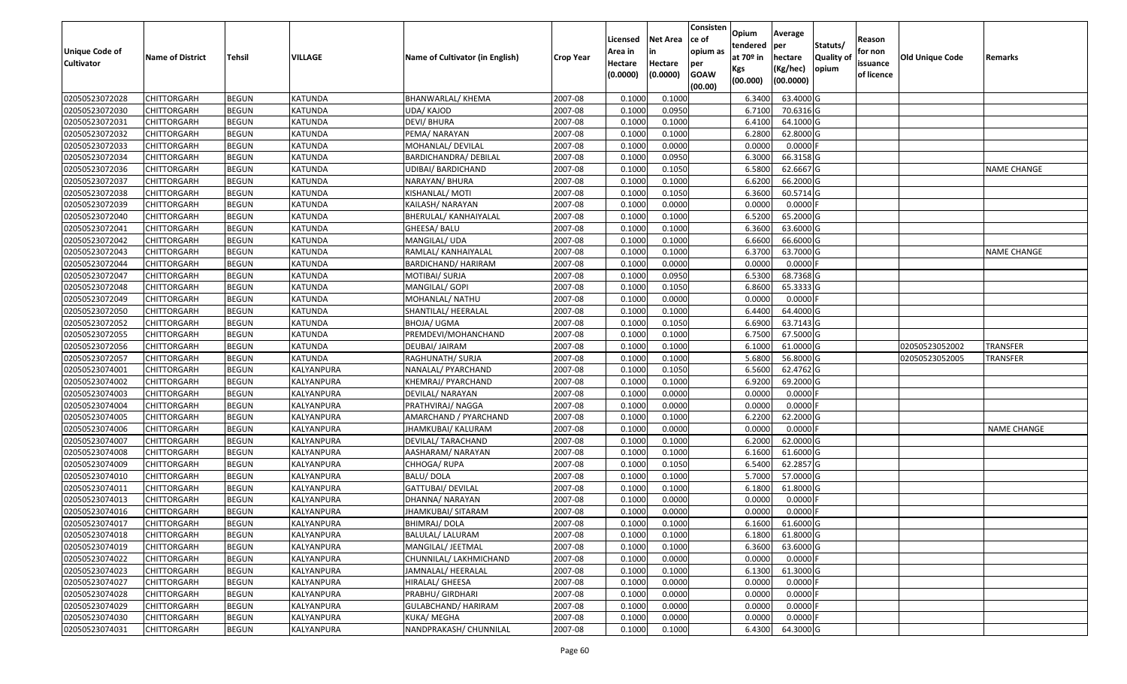| Unique Code of<br><b>Cultivator</b> | <b>Name of District</b> | <b>Tehsil</b> | VILLAGE        | Name of Cultivator (in English) | <b>Crop Year</b> | Licensed<br>Area in<br>Hectare | <b>Net Area</b><br>in<br>Hectare | Consisten<br>ce of<br>opium as<br>per | Opium<br>tendered<br>at $70°$ in | Average<br>per<br>hectare | Statuts/<br><b>Quality o</b> | Reason<br>for non<br>issuance | Old Unique Code | Remarks            |
|-------------------------------------|-------------------------|---------------|----------------|---------------------------------|------------------|--------------------------------|----------------------------------|---------------------------------------|----------------------------------|---------------------------|------------------------------|-------------------------------|-----------------|--------------------|
|                                     |                         |               |                |                                 |                  | (0.0000)                       | (0.0000)                         | <b>GOAW</b><br>(00.00)                | Kgs<br>(00.000)                  | (Kg/hec)<br>(00.0000)     | opium                        | of licence                    |                 |                    |
| 02050523072028                      | CHITTORGARH             | <b>BEGUN</b>  | <b>KATUNDA</b> | BHANWARLAL/ KHEMA               | 2007-08          | 0.1000                         | 0.1000                           |                                       | 6.3400                           | 63.4000 G                 |                              |                               |                 |                    |
| 02050523072030                      | CHITTORGARH             | <b>BEGUN</b>  | KATUNDA        | UDA/ KAJOD                      | 2007-08          | 0.1000                         | 0.0950                           |                                       | 6.7100                           | 70.6316 G                 |                              |                               |                 |                    |
| 02050523072031                      | CHITTORGARH             | <b>BEGUN</b>  | KATUNDA        | DEVI/ BHURA                     | 2007-08          | 0.1000                         | 0.1000                           |                                       | 6.4100                           | 64.1000 G                 |                              |                               |                 |                    |
| 02050523072032                      | <b>CHITTORGARH</b>      | <b>BEGUN</b>  | KATUNDA        | PEMA/ NARAYAN                   | 2007-08          | 0.1000                         | 0.1000                           |                                       | 6.2800                           | 62.8000 G                 |                              |                               |                 |                    |
| 02050523072033                      | CHITTORGARH             | <b>BEGUN</b>  | <b>KATUNDA</b> | MOHANLAL/ DEVILAL               | 2007-08          | 0.1000                         | 0.0000                           |                                       | 0.0000                           | 0.0000F                   |                              |                               |                 |                    |
| 02050523072034                      | <b>CHITTORGARH</b>      | <b>BEGUN</b>  | <b>KATUNDA</b> | <b>BARDICHANDRA/ DEBILAL</b>    | 2007-08          | 0.1000                         | 0.0950                           |                                       | 6.3000                           | 66.3158 G                 |                              |                               |                 |                    |
| 02050523072036                      | CHITTORGARH             | <b>BEGUN</b>  | KATUNDA        | JDIBAI/ BARDICHAND              | 2007-08          | 0.1000                         | 0.1050                           |                                       | 6.5800                           | 62.6667 G                 |                              |                               |                 | <b>NAME CHANGE</b> |
| 02050523072037                      | CHITTORGARH             | <b>BEGUN</b>  | <b>KATUNDA</b> | NARAYAN/ BHURA                  | 2007-08          | 0.1000                         | 0.1000                           |                                       | 6.6200                           | 66.2000 G                 |                              |                               |                 |                    |
| 02050523072038                      | CHITTORGARH             | <b>BEGUN</b>  | <b>KATUNDA</b> | KISHANLAL/ MOTI                 | 2007-08          | 0.1000                         | 0.1050                           |                                       | 6.3600                           | 60.5714 G                 |                              |                               |                 |                    |
| 02050523072039                      | CHITTORGARH             | <b>BEGUN</b>  | <b>KATUNDA</b> | KAILASH/ NARAYAN                | 2007-08          | 0.1000                         | 0.0000                           |                                       | 0.0000                           | $0.0000$ F                |                              |                               |                 |                    |
| 02050523072040                      | CHITTORGARH             | <b>BEGUN</b>  | <b>KATUNDA</b> | BHERULAL/ KANHAIYALAL           | 2007-08          | 0.1000                         | 0.1000                           |                                       | 6.5200                           | 65.2000 G                 |                              |                               |                 |                    |
| 02050523072041                      | <b>CHITTORGARH</b>      | <b>BEGUN</b>  | <b>KATUNDA</b> | GHEESA/ BALU                    | 2007-08          | 0.1000                         | 0.1000                           |                                       | 6.3600                           | 63.6000 G                 |                              |                               |                 |                    |
| 02050523072042                      | <b>CHITTORGARH</b>      | <b>BEGUN</b>  | <b>KATUNDA</b> | MANGILAL/ UDA                   | 2007-08          | 0.1000                         | 0.1000                           |                                       | 6.6600                           | 66.6000 G                 |                              |                               |                 |                    |
| 02050523072043                      | CHITTORGARH             | <b>BEGUN</b>  | KATUNDA        | RAMLAL/ KANHAIYALAL             | 2007-08          | 0.1000                         | 0.1000                           |                                       | 6.3700                           | 63.7000G                  |                              |                               |                 | <b>NAME CHANGE</b> |
| 02050523072044                      | CHITTORGARH             | <b>BEGUN</b>  | KATUNDA        | BARDICHAND/ HARIRAM             | 2007-08          | 0.1000                         | 0.0000                           |                                       | 0.0000                           | $0.0000$ F                |                              |                               |                 |                    |
| 02050523072047                      | CHITTORGARH             | <b>BEGUN</b>  | <b>KATUNDA</b> | MOTIBAI/ SURJA                  | 2007-08          | 0.1000                         | 0.0950                           |                                       | 6.5300                           | 68.7368 G                 |                              |                               |                 |                    |
| 02050523072048                      | CHITTORGARH             | <b>BEGUN</b>  | <b>KATUNDA</b> | MANGILAL/ GOPI                  | 2007-08          | 0.1000                         | 0.1050                           |                                       | 6.8600                           | 65.3333 G                 |                              |                               |                 |                    |
| 02050523072049                      | CHITTORGARH             | <b>BEGUN</b>  | KATUNDA        | MOHANLAL/ NATHU                 | 2007-08          | 0.1000                         | 0.0000                           |                                       | 0.0000                           | 0.0000F                   |                              |                               |                 |                    |
| 02050523072050                      | CHITTORGARH             | <b>BEGUN</b>  | KATUNDA        | SHANTILAL/ HEERALAL             | 2007-08          | 0.1000                         | 0.1000                           |                                       | 6.4400                           | 64.4000 G                 |                              |                               |                 |                    |
| 02050523072052                      | CHITTORGARH             | <b>BEGUN</b>  | <b>KATUNDA</b> | BHOJA/ UGMA                     | 2007-08          | 0.1000                         | 0.1050                           |                                       | 6.6900                           | 63.7143 G                 |                              |                               |                 |                    |
| 02050523072055                      | CHITTORGARH             | <b>BEGUN</b>  | <b>KATUNDA</b> | PREMDEVI/MOHANCHAND             | 2007-08          | 0.1000                         | 0.1000                           |                                       | 6.7500                           | 67.5000 G                 |                              |                               |                 |                    |
| 02050523072056                      | CHITTORGARH             | <b>BEGUN</b>  | <b>KATUNDA</b> | DEUBAI/ JAIRAM                  | 2007-08          | 0.1000                         | 0.1000                           |                                       | 6.100                            | 61.0000G                  |                              |                               | 02050523052002  | TRANSFER           |
| 02050523072057                      | CHITTORGARH             | <b>BEGUN</b>  | <b>KATUNDA</b> | RAGHUNATH/ SURJA                | 2007-08          | 0.1000                         | 0.1000                           |                                       | 5.6800                           | 56.8000 G                 |                              |                               | 02050523052005  | <b>TRANSFER</b>    |
| 02050523074001                      | CHITTORGARH             | <b>BEGUN</b>  | KALYANPURA     | NANALAL/ PYARCHAND              | 2007-08          | 0.1000                         | 0.1050                           |                                       | 6.5600                           | 62.4762 G                 |                              |                               |                 |                    |
| 02050523074002                      | <b>CHITTORGARH</b>      | <b>BEGUN</b>  | KALYANPURA     | KHEMRAJ/ PYARCHAND              | 2007-08          | 0.1000                         | 0.1000                           |                                       | 6.9200                           | 69.2000 G                 |                              |                               |                 |                    |
| 02050523074003                      | CHITTORGARH             | <b>BEGUN</b>  | KALYANPURA     | DEVILAL/ NARAYAN                | 2007-08          | 0.1000                         | 0.0000                           |                                       | 0.0000                           | 0.0000F                   |                              |                               |                 |                    |
| 02050523074004                      | CHITTORGARH             | <b>BEGUN</b>  | KALYANPURA     | PRATHVIRAJ/ NAGGA               | 2007-08          | 0.1000                         | 0.0000                           |                                       | 0.0000                           | 0.0000F                   |                              |                               |                 |                    |
| 02050523074005                      | CHITTORGARH             | <b>BEGUN</b>  | KALYANPURA     | AMARCHAND / PYARCHAND           | 2007-08          | 0.1000                         | 0.1000                           |                                       | 6.2200                           | 62.2000 G                 |                              |                               |                 |                    |
| 02050523074006                      | CHITTORGARH             | <b>BEGUN</b>  | KALYANPURA     | JHAMKUBAI/ KALURAM              | 2007-08          | 0.1000                         | 0.0000                           |                                       | 0.0000                           | $0.0000$ F                |                              |                               |                 | <b>NAME CHANGE</b> |
| 02050523074007                      | CHITTORGARH             | <b>BEGUN</b>  | KALYANPURA     | DEVILAL/ TARACHAND              | 2007-08          | 0.1000                         | 0.1000                           |                                       | 6.2000                           | 62.0000G                  |                              |                               |                 |                    |
| 02050523074008                      | CHITTORGARH             | <b>BEGUN</b>  | KALYANPURA     | AASHARAM/ NARAYAN               | 2007-08          | 0.1000                         | 0.1000                           |                                       | 6.1600                           | 61.6000G                  |                              |                               |                 |                    |
| 02050523074009                      | CHITTORGARH             | <b>BEGUN</b>  | KALYANPURA     | CHHOGA/RUPA                     | 2007-08          | 0.1000                         | 0.1050                           |                                       | 6.5400                           | 62.2857 G                 |                              |                               |                 |                    |
| 02050523074010                      | CHITTORGARH             | <b>BEGUN</b>  | KALYANPURA     | <b>BALU/DOLA</b>                | 2007-08          | 0.1000                         | 0.1000                           |                                       | 5.7000                           | 57.0000G                  |                              |                               |                 |                    |
| 02050523074011                      | CHITTORGARH             | <b>BEGUN</b>  | KALYANPURA     | GATTUBAI/ DEVILAL               | 2007-08          | 0.1000                         | 0.1000                           |                                       | 6.1800                           | 61.8000 G                 |                              |                               |                 |                    |
| 02050523074013                      | CHITTORGARH             | <b>BEGUN</b>  | KALYANPURA     | DHANNA/ NARAYAN                 | 2007-08          | 0.1000                         | 0.0000                           |                                       | 0.0000                           | 0.0000F                   |                              |                               |                 |                    |
| 02050523074016                      | CHITTORGARH             | <b>BEGUN</b>  | KALYANPURA     | JHAMKUBAI/ SITARAM              | 2007-08          | 0.1000                         | 0.0000                           |                                       | 0.0000                           | 0.0000                    |                              |                               |                 |                    |
| 02050523074017                      | <b>CHITTORGARH</b>      | <b>BEGUN</b>  | KALYANPURA     | <b>BHIMRAJ/DOLA</b>             | 2007-08          | 0.1000                         | 0.1000                           |                                       | 6.1600                           | 61.6000 G                 |                              |                               |                 |                    |
| 02050523074018                      | <b>CHITTORGARH</b>      | <b>BEGUN</b>  | KALYANPURA     | BALULAL/ LALURAM                | 2007-08          | 0.1000                         | 0.1000                           |                                       | 6.1800                           | 61.8000 G                 |                              |                               |                 |                    |
| 02050523074019                      | <b>CHITTORGARH</b>      | <b>BEGUN</b>  | KALYANPURA     | MANGILAL/ JEETMAL               | 2007-08          | 0.1000                         | 0.1000                           |                                       | 6.3600                           | 63.6000 G                 |                              |                               |                 |                    |
| 02050523074022                      | <b>CHITTORGARH</b>      | <b>BEGUN</b>  | KALYANPURA     | CHUNNILAL/ LAKHMICHAND          | 2007-08          | 0.1000                         | 0.0000                           |                                       | 0.0000                           | $0.0000$ F                |                              |                               |                 |                    |
| 02050523074023                      | CHITTORGARH             | <b>BEGUN</b>  | KALYANPURA     | JAMNALAL/ HEERALAL              | 2007-08          | 0.1000                         | 0.1000                           |                                       | 6.1300                           | 61.3000 G                 |                              |                               |                 |                    |
| 02050523074027                      | <b>CHITTORGARH</b>      | <b>BEGUN</b>  | KALYANPURA     | HIRALAL/ GHEESA                 | 2007-08          | 0.1000                         | 0.0000                           |                                       | 0.0000                           | 0.0000                    |                              |                               |                 |                    |
| 02050523074028                      | <b>CHITTORGARH</b>      | <b>BEGUN</b>  | KALYANPURA     | PRABHU/ GIRDHARI                | 2007-08          | 0.1000                         | 0.0000                           |                                       | 0.0000                           | 0.0000                    |                              |                               |                 |                    |
| 02050523074029                      | <b>CHITTORGARH</b>      | <b>BEGUN</b>  | KALYANPURA     | GULABCHAND/ HARIRAM             | 2007-08          | 0.1000                         | 0.0000                           |                                       | 0.0000                           | $0.0000$ F                |                              |                               |                 |                    |
| 02050523074030                      | <b>CHITTORGARH</b>      | <b>BEGUN</b>  | KALYANPURA     | KUKA/ MEGHA                     | 2007-08          | 0.1000                         | 0.0000                           |                                       | 0.0000                           | 0.0000F                   |                              |                               |                 |                    |
| 02050523074031                      | <b>CHITTORGARH</b>      | <b>BEGUN</b>  | KALYANPURA     | NANDPRAKASH/ CHUNNILAL          | 2007-08          | 0.1000                         | 0.1000                           |                                       | 6.4300                           | 64.3000 G                 |                              |                               |                 |                    |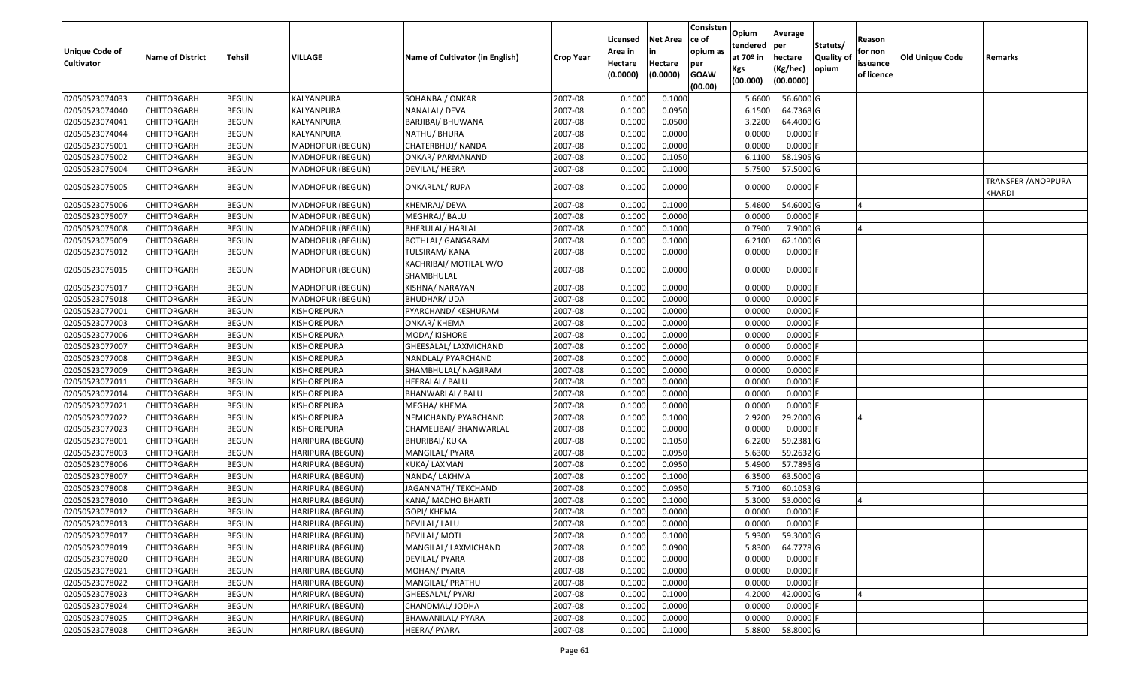| <b>Unique Code of</b> | <b>Name of District</b> | Tehsil       | VILLAGE                 | Name of Cultivator (in English)      | <b>Crop Year</b> | Licensed<br>Area in | <b>Net Area</b><br>in | Consisten<br>ce of<br>opium as | Opium<br>tendered<br>at $70°$ in | Average<br>per<br>hectare | Statuts/<br>Quality o | Reason<br>for non      | Old Unique Code | Remarks                                     |
|-----------------------|-------------------------|--------------|-------------------------|--------------------------------------|------------------|---------------------|-----------------------|--------------------------------|----------------------------------|---------------------------|-----------------------|------------------------|-----------------|---------------------------------------------|
| <b>Cultivator</b>     |                         |              |                         |                                      |                  | Hectare<br>(0.0000) | Hectare<br>(0.0000)   | per<br><b>GOAW</b><br>(00.00)  | Kgs<br>(00.000)                  | (Kg/hec)<br>(00.0000)     | opium                 | issuance<br>of licence |                 |                                             |
| 02050523074033        | CHITTORGARH             | <b>BEGUN</b> | KALYANPURA              | SOHANBAI/ ONKAR                      | 2007-08          | 0.1000              | 0.1000                |                                | 5.6600                           | 56.6000 G                 |                       |                        |                 |                                             |
| 02050523074040        | CHITTORGARH             | <b>BEGUN</b> | KALYANPURA              | NANALAL/ DEVA                        | 2007-08          | 0.1000              | 0.0950                |                                | 6.1500                           | 64.7368 G                 |                       |                        |                 |                                             |
| 02050523074041        | CHITTORGARH             | <b>BEGUN</b> | KALYANPURA              | BARJIBAI/ BHUWANA                    | 2007-08          | 0.1000              | 0.0500                |                                | 3.2200                           | 64.4000 G                 |                       |                        |                 |                                             |
| 02050523074044        | CHITTORGARH             | <b>BEGUN</b> | KALYANPURA              | NATHU/ BHURA                         | 2007-08          | 0.1000              | 0.0000                |                                | 0.0000                           | $0.0000$ F                |                       |                        |                 |                                             |
| 02050523075001        | CHITTORGARH             | <b>BEGUN</b> | MADHOPUR (BEGUN)        | CHATERBHUJ/ NANDA                    | 2007-08          | 0.1000              | 0.0000                |                                | 0.0000                           | 0.0000F                   |                       |                        |                 |                                             |
| 02050523075002        | <b>CHITTORGARH</b>      | <b>BEGUN</b> | MADHOPUR (BEGUN)        | ONKAR/ PARMANAND                     | 2007-08          | 0.1000              | 0.1050                |                                | 6.1100                           | $\overline{58.1905}$ G    |                       |                        |                 |                                             |
| 02050523075004        | CHITTORGARH             | <b>BEGUN</b> | MADHOPUR (BEGUN)        | DEVILAL/ HEERA                       | 2007-08          | 0.1000              | 0.1000                |                                | 5.7500                           | 57.5000G                  |                       |                        |                 |                                             |
| 02050523075005        | CHITTORGARH             | <b>BEGUN</b> | <b>MADHOPUR (BEGUN)</b> | <b>ONKARLAL/ RUPA</b>                | 2007-08          | 0.1000              | 0.0000                |                                | 0.0000                           | $0.0000$ F                |                       |                        |                 | <b>TRANSFER / ANOPPURA</b><br><b>KHARDI</b> |
| 02050523075006        | <b>CHITTORGARH</b>      | <b>BEGUN</b> | MADHOPUR (BEGUN)        | KHEMRAJ/ DEVA                        | 2007-08          | 0.1000              | 0.1000                |                                | 5.4600                           | 54.6000 G                 |                       |                        |                 |                                             |
| 02050523075007        | <b>CHITTORGARH</b>      | <b>BEGUN</b> | MADHOPUR (BEGUN)        | MEGHRAJ/ BALU                        | 2007-08          | 0.1000              | 0.0000                |                                | 0.0000                           | $0.0000$ F                |                       |                        |                 |                                             |
| 02050523075008        | CHITTORGARH             | <b>BEGUN</b> | MADHOPUR (BEGUN)        | BHERULAL/ HARLAL                     | 2007-08          | 0.1000              | 0.1000                |                                | 0.7900                           | 7.9000 G                  |                       |                        |                 |                                             |
| 02050523075009        | <b>CHITTORGARH</b>      | <b>BEGUN</b> | MADHOPUR (BEGUN)        | <b>BOTHLAL/ GANGARAM</b>             | 2007-08          | 0.1000              | 0.1000                |                                | 6.2100                           | 62.1000G                  |                       |                        |                 |                                             |
| 02050523075012        | <b>CHITTORGARH</b>      | <b>BEGUN</b> | MADHOPUR (BEGUN)        | TULSIRAM/KANA                        | 2007-08          | 0.1000              | 0.0000                |                                | 0.0000                           | $0.0000$ F                |                       |                        |                 |                                             |
| 02050523075015        | CHITTORGARH             | <b>BEGUN</b> | MADHOPUR (BEGUN)        | KACHRIBAI/ MOTILAL W/O<br>SHAMBHULAL | 2007-08          | 0.1000              | 0.0000                |                                | 0.0000                           | $0.0000$ F                |                       |                        |                 |                                             |
| 02050523075017        | <b>CHITTORGARH</b>      | <b>BEGUN</b> | <b>MADHOPUR (BEGUN)</b> | KISHNA/ NARAYAN                      | 2007-08          | 0.1000              | 0.0000                |                                | 0.0000                           | 0.0000                    |                       |                        |                 |                                             |
| 02050523075018        | CHITTORGARH             | <b>BEGUN</b> | MADHOPUR (BEGUN)        | <b>BHUDHAR/ UDA</b>                  | 2007-08          | 0.1000              | 0.0000                |                                | 0.0000                           | 0.0000                    |                       |                        |                 |                                             |
| 02050523077001        | CHITTORGARH             | <b>BEGUN</b> | KISHOREPURA             | PYARCHAND/KESHURAM                   | 2007-08          | 0.1000              | 0.0000                |                                | 0.0000                           | 0.0000                    |                       |                        |                 |                                             |
| 02050523077003        | CHITTORGARH             | <b>BEGUN</b> | KISHOREPURA             | <b>ONKAR/ KHEMA</b>                  | 2007-08          | 0.1000              | 0.0000                |                                | 0.0000                           | 0.0000                    |                       |                        |                 |                                             |
| 02050523077006        | <b>CHITTORGARH</b>      | <b>BEGUN</b> | KISHOREPURA             | MODA/ KISHORE                        | 2007-08          | 0.1000              | 0.0000                |                                | 0.0000                           | 0.0000                    |                       |                        |                 |                                             |
| 02050523077007        | CHITTORGARH             | <b>BEGUN</b> | KISHOREPURA             | GHEESALAL/ LAXMICHAND                | 2007-08          | 0.1000              | 0.0000                |                                | 0.0000                           | 0.0000                    |                       |                        |                 |                                             |
| 02050523077008        | CHITTORGARH             | <b>BEGUN</b> | KISHOREPURA             | NANDLAL/ PYARCHAND                   | 2007-08          | 0.1000              | 0.0000                |                                | 0.0000                           | $0.0000$ F                |                       |                        |                 |                                             |
| 02050523077009        | CHITTORGARH             | <b>BEGUN</b> | KISHOREPURA             | SHAMBHULAL/ NAGJIRAM                 | 2007-08          | 0.1000              | 0.0000                |                                | 0.0000                           | 0.0000                    |                       |                        |                 |                                             |
| 02050523077011        | CHITTORGARH             | <b>BEGUN</b> | KISHOREPURA             | HEERALAL/ BALU                       | 2007-08          | 0.1000              | 0.0000                |                                | 0.0000                           | 0.0000F                   |                       |                        |                 |                                             |
| 02050523077014        | CHITTORGARH             | <b>BEGUN</b> | KISHOREPURA             | BHANWARLAL/ BALU                     | 2007-08          | 0.1000              | 0.0000                |                                | 0.0000                           | 0.0000                    |                       |                        |                 |                                             |
| 02050523077021        | CHITTORGARH             | <b>BEGUN</b> | KISHOREPURA             | MEGHA/ КНЕМА                         | 2007-08          | 0.1000              | 0.0000                |                                | 0.0000                           | 0.0000F                   |                       |                        |                 |                                             |
| 02050523077022        | CHITTORGARH             | <b>BEGUN</b> | KISHOREPURA             | NEMICHAND/ PYARCHAND                 | 2007-08          | 0.1000              | 0.1000                |                                | 2.9200                           | 29.2000 G                 |                       |                        |                 |                                             |
| 02050523077023        | <b>CHITTORGARH</b>      | <b>BEGUN</b> | KISHOREPURA             | CHAMELIBAI/ BHANWARLAL               | 2007-08          | 0.1000              | 0.0000                |                                | 0.0000                           | $0.0000$ F                |                       |                        |                 |                                             |
| 02050523078001        | CHITTORGARH             | <b>BEGUN</b> | HARIPURA (BEGUN)        | <b>BHURIBAI/ KUKA</b>                | 2007-08          | 0.1000              | 0.1050                |                                | 6.2200                           | 59.2381 G                 |                       |                        |                 |                                             |
| 02050523078003        | CHITTORGARH             | <b>BEGUN</b> | HARIPURA (BEGUN)        | MANGILAL/ PYARA                      | 2007-08          | 0.1000              | 0.0950                |                                | 5.6300                           | 59.2632 G                 |                       |                        |                 |                                             |
| 02050523078006        | CHITTORGARH             | <b>BEGUN</b> | HARIPURA (BEGUN)        | KUKA/ LAXMAN                         | 2007-08          | 0.1000              | 0.0950                |                                | 5.4900                           | 57.7895 G                 |                       |                        |                 |                                             |
| 02050523078007        | CHITTORGARH             | <b>BEGUN</b> | HARIPURA (BEGUN)        | NANDA/ LAKHMA                        | 2007-08          | 0.1000              | 0.1000                |                                | 6.3500                           | 63.5000 G                 |                       |                        |                 |                                             |
| 02050523078008        | <b>CHITTORGARH</b>      | <b>BEGUN</b> | HARIPURA (BEGUN)        | JAGANNATH/TEKCHAND                   | 2007-08          | 0.1000              | 0.0950                |                                | 5.7100                           | 60.1053 G                 |                       |                        |                 |                                             |
| 02050523078010        | CHITTORGARH             | <b>BEGUN</b> | HARIPURA (BEGUN)        | KANA/ MADHO BHARTI                   | 2007-08          | 0.1000              | 0.1000                |                                | 5.3000                           | 53.0000G                  |                       |                        |                 |                                             |
| 02050523078012        | CHITTORGARH             | <b>BEGUN</b> | HARIPURA (BEGUN)        | GOPI/ KHEMA                          | 2007-08          | 0.1000              | 0.0000                |                                | 0.0000                           | 0.0000 F                  |                       |                        |                 |                                             |
| 02050523078013        | <b>CHITTORGARH</b>      | <b>BEGUN</b> | HARIPURA (BEGUN)        | <b>DEVILAL/ LALU</b>                 | 2007-08          | 0.1000              | 0.0000                |                                | 0.0000                           | $0.0000$ F                |                       |                        |                 |                                             |
| 02050523078017        | <b>CHITTORGARH</b>      | <b>BEGUN</b> | HARIPURA (BEGUN)        | DEVILAL/ MOTI                        | 2007-08          | 0.1000              | 0.1000                |                                | 5.9300                           | 59.3000 G                 |                       |                        |                 |                                             |
| 02050523078019        | <b>CHITTORGARH</b>      | <b>BEGUN</b> | <b>HARIPURA (BEGUN)</b> | MANGILAL/ LAXMICHAND                 | 2007-08          | 0.1000              | 0.0900                |                                | 5.8300                           | 64.7778 G                 |                       |                        |                 |                                             |
| 02050523078020        | <b>CHITTORGARH</b>      | <b>BEGUN</b> | <b>HARIPURA (BEGUN)</b> | DEVILAL/ PYARA                       | 2007-08          | 0.1000              | 0.0000                |                                | 0.0000                           | $0.0000$ F                |                       |                        |                 |                                             |
| 02050523078021        | CHITTORGARH             | <b>BEGUN</b> | <b>HARIPURA (BEGUN)</b> | MOHAN/ PYARA                         | 2007-08          | 0.1000              | 0.0000                |                                | 0.0000                           | 0.0000                    |                       |                        |                 |                                             |
| 02050523078022        | <b>CHITTORGARH</b>      | <b>BEGUN</b> | <b>HARIPURA (BEGUN)</b> | MANGILAL/ PRATHU                     | 2007-08          | 0.1000              | 0.0000                |                                | 0.0000                           | $0.0000$ F                |                       |                        |                 |                                             |
| 02050523078023        | <b>CHITTORGARH</b>      | <b>BEGUN</b> | <b>HARIPURA (BEGUN)</b> | GHEESALAL/ PYARJI                    | 2007-08          | 0.1000              | 0.1000                |                                | 4.2000                           | 42.0000G                  |                       |                        |                 |                                             |
| 02050523078024        | <b>CHITTORGARH</b>      | <b>BEGUN</b> | <b>HARIPURA (BEGUN)</b> | CHANDMAL/ JODHA                      | 2007-08          | 0.1000              | 0.0000                |                                | 0.0000                           | $0.0000$ F                |                       |                        |                 |                                             |
| 02050523078025        | <b>CHITTORGARH</b>      | <b>BEGUN</b> | <b>HARIPURA (BEGUN)</b> | BHAWANILAL/ PYARA                    | 2007-08          | 0.1000              | 0.0000                |                                | 0.0000                           | $0.0000$ F                |                       |                        |                 |                                             |
| 02050523078028        | <b>CHITTORGARH</b>      | <b>BEGUN</b> | <b>HARIPURA (BEGUN)</b> | HEERA/ PYARA                         | 2007-08          | 0.1000              | 0.1000                |                                | 5.8800                           | 58.8000 G                 |                       |                        |                 |                                             |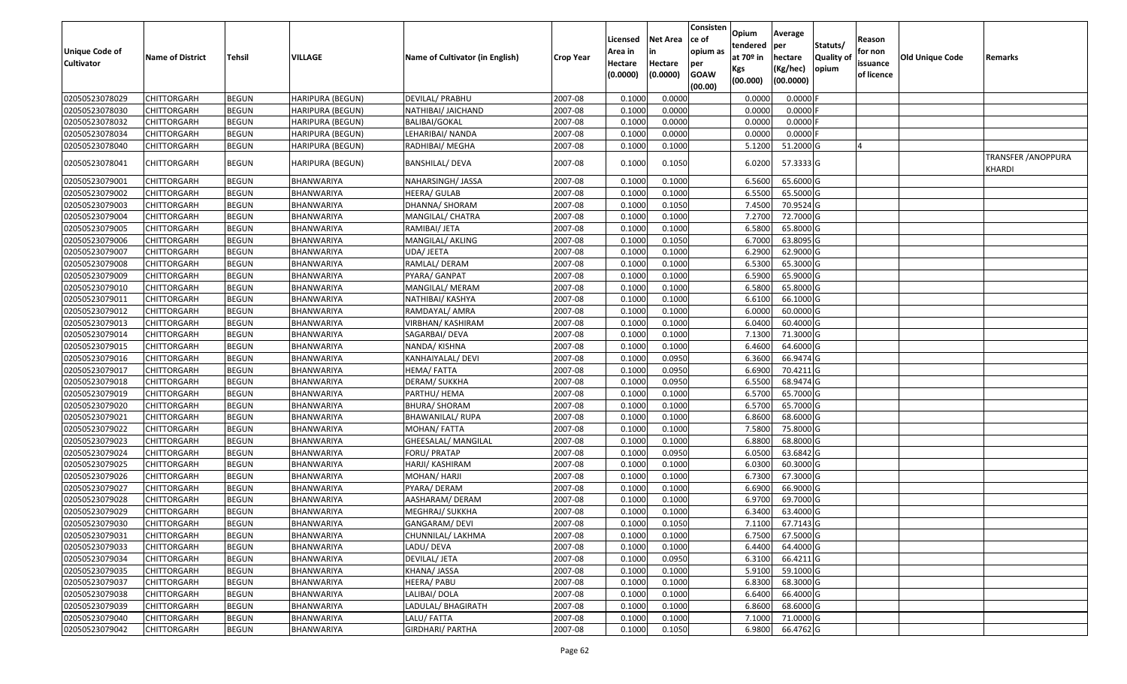| <b>Unique Code of</b><br><b>Cultivator</b> | <b>Name of District</b> | Tehsil       | VILLAGE                 | Name of Cultivator (in English) | <b>Crop Year</b> | Licensed<br>Area in<br>Hectare<br>(0.0000) | Net Area<br>in<br>Hectare<br>(0.0000) | Consisten<br>ce of<br>opium as<br>per<br><b>GOAW</b><br>(00.00) | <b>Opium</b><br>tendered<br>at 70 <sup>o</sup> in<br>Kgs<br>(00.000) | Average<br>per<br>hectare<br>(Kg/hec)<br>(00.0000) | Statuts/<br><b>Quality of</b><br>opium | Reason<br>for non<br>issuance<br>of licence | <b>Old Unique Code</b> | Remarks                      |
|--------------------------------------------|-------------------------|--------------|-------------------------|---------------------------------|------------------|--------------------------------------------|---------------------------------------|-----------------------------------------------------------------|----------------------------------------------------------------------|----------------------------------------------------|----------------------------------------|---------------------------------------------|------------------------|------------------------------|
| 02050523078029                             | <b>CHITTORGARH</b>      | <b>BEGUN</b> | HARIPURA (BEGUN)        | <b>DEVILAL/ PRABHU</b>          | 2007-08          | 0.1000                                     | 0.0000                                |                                                                 | 0.0000                                                               | $0.0000$ F                                         |                                        |                                             |                        |                              |
| 02050523078030                             | CHITTORGARH             | <b>BEGUN</b> | HARIPURA (BEGUN)        | NATHIBAI/ JAICHAND              | 2007-08          | 0.1000                                     | 0.0000                                |                                                                 | 0.0000                                                               | $0.0000$ F                                         |                                        |                                             |                        |                              |
| 02050523078032                             | CHITTORGARH             | <b>BEGUN</b> | HARIPURA (BEGUN)        | BALIBAI/GOKAL                   | 2007-08          | 0.1000                                     | 0.0000                                |                                                                 | 0.0000                                                               | $0.0000$ F                                         |                                        |                                             |                        |                              |
| 02050523078034                             | <b>CHITTORGARH</b>      | <b>BEGUN</b> | <b>HARIPURA (BEGUN)</b> | LEHARIBAI/ NANDA                | 2007-08          | 0.1000                                     | 0.0000                                |                                                                 | 0.0000                                                               | $0.0000$ F                                         |                                        |                                             |                        |                              |
| 02050523078040                             | CHITTORGARH             | <b>BEGUN</b> | HARIPURA (BEGUN)        | RADHIBAI/ MEGHA                 | 2007-08          | 0.1000                                     | 0.1000                                |                                                                 | 5.1200                                                               | 51.2000 G                                          |                                        | $\Delta$                                    |                        |                              |
| 02050523078041                             | CHITTORGARH             | <b>BEGUN</b> | HARIPURA (BEGUN)        | <b>BANSHILAL/ DEVA</b>          | 2007-08          | 0.1000                                     | 0.1050                                |                                                                 | 6.0200                                                               | 57.3333 G                                          |                                        |                                             |                        | TRANSFER /ANOPPURA<br>KHARDI |
| 02050523079001                             | <b>CHITTORGARH</b>      | <b>BEGUN</b> | BHANWARIYA              | NAHARSINGH/ JASSA               | 2007-08          | 0.1000                                     | 0.1000                                |                                                                 | 6.5600                                                               | 65.6000 G                                          |                                        |                                             |                        |                              |
| 02050523079002                             | CHITTORGARH             | <b>BEGUN</b> | BHANWARIYA              | HEERA/ GULAB                    | 2007-08          | 0.1000                                     | 0.1000                                |                                                                 | 6.5500                                                               | 65.5000 G                                          |                                        |                                             |                        |                              |
| 02050523079003                             | <b>CHITTORGARH</b>      | <b>BEGUN</b> | BHANWARIYA              | DHANNA/ SHORAM                  | 2007-08          | 0.1000                                     | 0.1050                                |                                                                 | 7.4500                                                               | 70.9524 G                                          |                                        |                                             |                        |                              |
| 02050523079004                             | CHITTORGARH             | <b>BEGUN</b> | BHANWARIYA              | MANGILAL/ CHATRA                | 2007-08          | 0.1000                                     | 0.1000                                |                                                                 | 7.2700                                                               | 72.7000 G                                          |                                        |                                             |                        |                              |
| 02050523079005                             | <b>CHITTORGARH</b>      | <b>BEGUN</b> | BHANWARIYA              | RAMIBAI/ JETA                   | 2007-08          | 0.1000                                     | 0.1000                                |                                                                 | 6.5800                                                               | 65.8000 G                                          |                                        |                                             |                        |                              |
| 02050523079006                             | <b>CHITTORGARH</b>      | <b>BEGUN</b> | BHANWARIYA              | MANGILAL/ AKLING                | 2007-08          | 0.1000                                     | 0.1050                                |                                                                 | 6.7000                                                               | 63.8095 G                                          |                                        |                                             |                        |                              |
| 02050523079007                             | CHITTORGARH             | <b>BEGUN</b> | BHANWARIYA              | UDA/ JEETA                      | 2007-08          | 0.1000                                     | 0.1000                                |                                                                 | 6.2900                                                               | 62.9000 G                                          |                                        |                                             |                        |                              |
| 02050523079008                             | CHITTORGARH             | <b>BEGUN</b> | BHANWARIYA              | RAMLAL/ DERAM                   | 2007-08          | 0.1000                                     | 0.1000                                |                                                                 | 6.5300                                                               | 65.3000 G                                          |                                        |                                             |                        |                              |
| 02050523079009                             | CHITTORGARH             | <b>BEGUN</b> | BHANWARIYA              | PYARA/ GANPAT                   | 2007-08          | 0.1000                                     | 0.1000                                |                                                                 | 6.5900                                                               | 65.9000 G                                          |                                        |                                             |                        |                              |
| 02050523079010                             | CHITTORGARH             | <b>BEGUN</b> | BHANWARIYA              | MANGILAL/ MERAM                 | 2007-08          | 0.1000                                     | 0.1000                                |                                                                 | 6.5800                                                               | 65.8000 G                                          |                                        |                                             |                        |                              |
| 02050523079011                             | CHITTORGARH             | <b>BEGUN</b> | BHANWARIYA              | NATHIBAI/ KASHYA                | 2007-08          | 0.1000                                     | 0.1000                                |                                                                 | 6.6100                                                               | 66.1000 G                                          |                                        |                                             |                        |                              |
| 02050523079012                             | CHITTORGARH             | <b>BEGUN</b> | BHANWARIYA              | RAMDAYAL/ AMRA                  | 2007-08          | 0.1000                                     | 0.1000                                |                                                                 | 6.0000                                                               | 60.0000 G                                          |                                        |                                             |                        |                              |
| 02050523079013                             | CHITTORGARH             | <b>BEGUN</b> | BHANWARIYA              | VIRBHAN/ KASHIRAM               | 2007-08          | 0.1000                                     | 0.1000                                |                                                                 | 6.0400                                                               | 60.4000 G                                          |                                        |                                             |                        |                              |
| 02050523079014                             | <b>CHITTORGARH</b>      | <b>BEGUN</b> | BHANWARIYA              | SAGARBAI/ DEVA                  | 2007-08          | 0.1000                                     | 0.1000                                |                                                                 | 7.1300                                                               | 71.3000 G                                          |                                        |                                             |                        |                              |
| 02050523079015                             | CHITTORGARH             | <b>BEGUN</b> | BHANWARIYA              | NANDA/ KISHNA                   | 2007-08          | 0.1000                                     | 0.1000                                |                                                                 | 6.4600                                                               | 64.6000 G                                          |                                        |                                             |                        |                              |
| 02050523079016                             | CHITTORGARH             | <b>BEGUN</b> | BHANWARIYA              | KANHAIYALAL/ DEVI               | 2007-08          | 0.1000                                     | 0.0950                                |                                                                 | 6.3600                                                               | 66.9474 G                                          |                                        |                                             |                        |                              |
| 02050523079017                             | CHITTORGARH             | <b>BEGUN</b> | BHANWARIYA              | HEMA/ FATTA                     | 2007-08          | 0.1000                                     | 0.0950                                |                                                                 | 6.6900                                                               | 70.4211 G                                          |                                        |                                             |                        |                              |
| 02050523079018                             | <b>CHITTORGARH</b>      | <b>BEGUN</b> | BHANWARIYA              | DERAM/ SUKKHA                   | 2007-08          | 0.1000                                     | 0.0950                                |                                                                 | 6.5500                                                               | 68.9474 G                                          |                                        |                                             |                        |                              |
| 02050523079019                             | CHITTORGARH             | <b>BEGUN</b> | BHANWARIYA              | PARTHU/ HEMA                    | 2007-08          | 0.1000                                     | 0.1000                                |                                                                 | 6.5700                                                               | 65.7000 G                                          |                                        |                                             |                        |                              |
| 02050523079020                             | CHITTORGARH             | <b>BEGUN</b> | BHANWARIYA              | <b>BHURA/ SHORAM</b>            | 2007-08          | 0.1000                                     | 0.1000                                |                                                                 | 6.5700                                                               | 65.7000 G                                          |                                        |                                             |                        |                              |
| 02050523079021                             | CHITTORGARH             | <b>BEGUN</b> | BHANWARIYA              | BHAWANILAL/ RUPA                | 2007-08          | 0.1000                                     | 0.1000                                |                                                                 | 6.8600                                                               | 68.6000 G                                          |                                        |                                             |                        |                              |
| 02050523079022                             | <b>CHITTORGARH</b>      | <b>BEGUN</b> | BHANWARIYA              | MOHAN/FATTA                     | 2007-08          | 0.1000                                     | 0.1000                                |                                                                 | 7.5800                                                               | 75.8000 G                                          |                                        |                                             |                        |                              |
| 02050523079023                             | CHITTORGARH             | <b>BEGUN</b> | BHANWARIYA              | GHEESALAL/ MANGILAL             | 2007-08          | 0.1000                                     | 0.1000                                |                                                                 | 6.8800                                                               | 68.8000 G                                          |                                        |                                             |                        |                              |
| 02050523079024                             | <b>CHITTORGARH</b>      | <b>BEGUN</b> | BHANWARIYA              | FORU/ PRATAP                    | 2007-08          | 0.1000                                     | 0.0950                                |                                                                 | 6.0500                                                               | 63.6842 G                                          |                                        |                                             |                        |                              |
| 02050523079025                             | CHITTORGARH             | <b>BEGUN</b> | BHANWARIYA              | HARJI/ KASHIRAM                 | 2007-08          | 0.1000                                     | 0.1000                                |                                                                 | 6.0300                                                               | 60.3000 G                                          |                                        |                                             |                        |                              |
| 02050523079026                             | <b>CHITTORGARH</b>      | <b>BEGUN</b> | <b>BHANWARIYA</b>       | MOHAN/ HARJI                    | 2007-08          | 0.1000                                     | 0.1000                                |                                                                 | 6.7300                                                               | 67.3000 G                                          |                                        |                                             |                        |                              |
| 02050523079027                             | <b>CHITTORGARH</b>      | <b>BEGUN</b> | BHANWARIYA              | PYARA/ DERAM                    | 2007-08          | 0.1000                                     | 0.1000                                |                                                                 | 6.6900                                                               | 66.9000 G                                          |                                        |                                             |                        |                              |
| 02050523079028                             | CHITTORGARH             | <b>BEGUN</b> | BHANWARIYA              | AASHARAM/ DERAM                 | 2007-08          | 0.1000                                     | 0.1000                                |                                                                 | 6.9700                                                               | 69.7000 G                                          |                                        |                                             |                        |                              |
| 02050523079029                             | CHITTORGARH             | <b>BEGUN</b> | BHANWARIYA              | MEGHRAJ/ SUKKHA                 | 2007-08          | 0.1000                                     | 0.1000                                |                                                                 | 6.3400                                                               | 63.4000 G                                          |                                        |                                             |                        |                              |
| 02050523079030                             | <b>CHITTORGARH</b>      | <b>BEGUN</b> | BHANWARIYA              | GANGARAM/ DEVI                  | 2007-08          | 0.1000                                     | 0.1050                                |                                                                 |                                                                      | 7.1100 67.7143 G                                   |                                        |                                             |                        |                              |
| 02050523079031                             | <b>CHITTORGARH</b>      | <b>BEGUN</b> | BHANWARIYA              | CHUNNILAL/ LAKHMA               | 2007-08          | 0.1000                                     | 0.1000                                |                                                                 | 6.7500                                                               | 67.5000 G                                          |                                        |                                             |                        |                              |
| 02050523079033                             | <b>CHITTORGARH</b>      | <b>BEGUN</b> | BHANWARIYA              | LADU/ DEVA                      | 2007-08          | 0.1000                                     | 0.1000                                |                                                                 | 6.4400                                                               | 64.4000 G                                          |                                        |                                             |                        |                              |
| 02050523079034                             | <b>CHITTORGARH</b>      | <b>BEGUN</b> | BHANWARIYA              | DEVILAL/ JETA                   | 2007-08          | 0.1000                                     | 0.0950                                |                                                                 | 6.3100                                                               | 66.4211 G                                          |                                        |                                             |                        |                              |
| 02050523079035                             | <b>CHITTORGARH</b>      | <b>BEGUN</b> | BHANWARIYA              | KHANA/ JASSA                    | 2007-08          | 0.1000                                     | 0.1000                                |                                                                 | 5.9100                                                               | 59.1000 G                                          |                                        |                                             |                        |                              |
| 02050523079037                             | <b>CHITTORGARH</b>      | <b>BEGUN</b> | BHANWARIYA              | HEERA/ PABU                     | 2007-08          | 0.1000                                     | 0.1000                                |                                                                 | 6.8300                                                               | 68.3000 G                                          |                                        |                                             |                        |                              |
| 02050523079038                             | <b>CHITTORGARH</b>      | <b>BEGUN</b> | BHANWARIYA              | LALIBAI/ DOLA                   | 2007-08          | 0.1000                                     | 0.1000                                |                                                                 | 6.6400                                                               | 66.4000 G                                          |                                        |                                             |                        |                              |
| 02050523079039                             | <b>CHITTORGARH</b>      | <b>BEGUN</b> | BHANWARIYA              | LADULAL/ BHAGIRATH              | 2007-08          | 0.1000                                     | 0.1000                                |                                                                 | 6.8600                                                               | 68.6000 G                                          |                                        |                                             |                        |                              |
| 02050523079040                             | <b>CHITTORGARH</b>      | <b>BEGUN</b> | <b>BHANWARIYA</b>       | LALU/FATTA                      | 2007-08          | 0.1000                                     | 0.1000                                |                                                                 | 7.1000                                                               | 71.0000 G                                          |                                        |                                             |                        |                              |
| 02050523079042                             | <b>CHITTORGARH</b>      | <b>BEGUN</b> | BHANWARIYA              | <b>GIRDHARI/ PARTHA</b>         | 2007-08          | 0.1000                                     | 0.1050                                |                                                                 |                                                                      | 6.9800 66.4762 G                                   |                                        |                                             |                        |                              |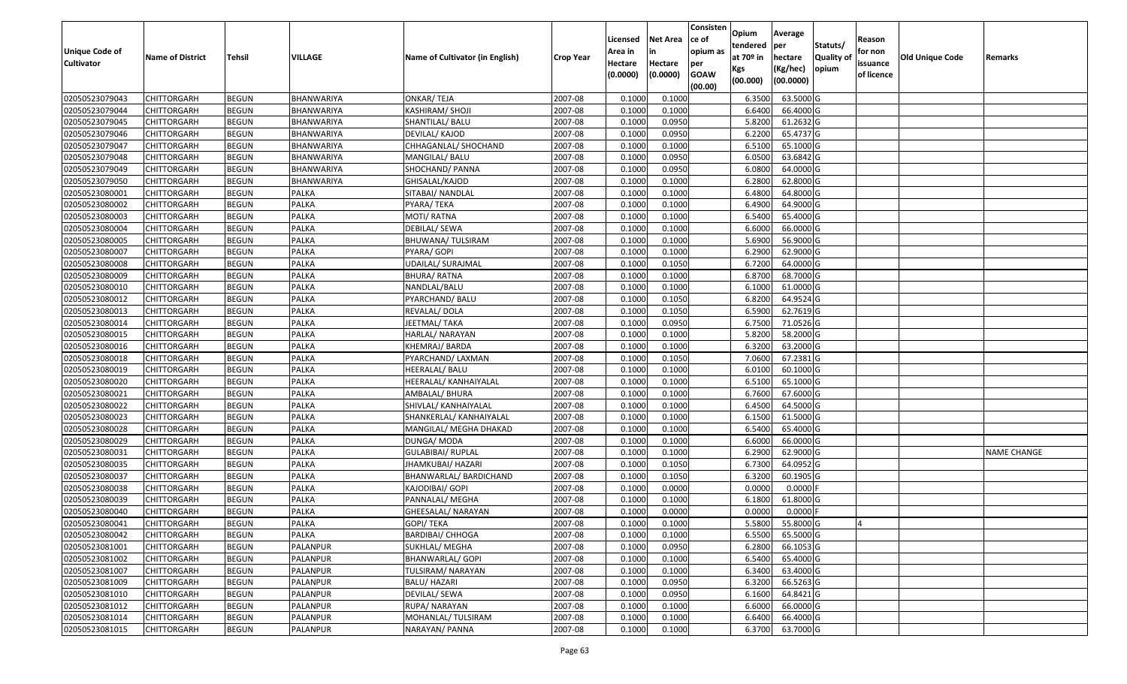| Unique Code of    | <b>Name of District</b> | <b>Tehsil</b> | VILLAGE      | Name of Cultivator (in English) | <b>Crop Year</b> | Licensed<br>Area in | <b>Net Area</b><br>in | Consisten<br>ce of<br>opium as | Opium<br>tendered<br>at $70°$ in | Average<br>per<br>hectare | Statuts/<br><b>Quality o</b> | Reason<br>for non      | Old Unique Code | Remarks            |
|-------------------|-------------------------|---------------|--------------|---------------------------------|------------------|---------------------|-----------------------|--------------------------------|----------------------------------|---------------------------|------------------------------|------------------------|-----------------|--------------------|
| <b>Cultivator</b> |                         |               |              |                                 |                  | Hectare<br>(0.0000) | Hectare<br>(0.0000)   | per<br><b>GOAW</b><br>(00.00)  | Kgs<br>(00.000)                  | (Kg/hec)<br>(00.0000)     | opium                        | issuance<br>of licence |                 |                    |
| 02050523079043    | CHITTORGARH             | <b>BEGUN</b>  | BHANWARIYA   | <b>ONKAR/TEJA</b>               | 2007-08          | 0.1000              | 0.1000                |                                | 6.3500                           | 63.5000G                  |                              |                        |                 |                    |
| 02050523079044    | CHITTORGARH             | <b>BEGUN</b>  | BHANWARIYA   | KASHIRAM/ SHOJI                 | 2007-08          | 0.1000              | 0.1000                |                                | 6.6400                           | 66.4000 G                 |                              |                        |                 |                    |
| 02050523079045    | CHITTORGARH             | <b>BEGUN</b>  | BHANWARIYA   | SHANTILAL/ BALU                 | 2007-08          | 0.1000              | 0.0950                |                                | 5.8200                           | 61.2632 G                 |                              |                        |                 |                    |
| 02050523079046    | <b>CHITTORGARH</b>      | <b>BEGUN</b>  | BHANWARIYA   | DEVILAL/ KAJOD                  | 2007-08          | 0.1000              | 0.0950                |                                | 6.2200                           | 65.4737 G                 |                              |                        |                 |                    |
| 02050523079047    | CHITTORGARH             | <b>BEGUN</b>  | BHANWARIYA   | CHHAGANLAL/ SHOCHAND            | 2007-08          | 0.1000              | 0.1000                |                                | 6.5100                           | 65.1000G                  |                              |                        |                 |                    |
| 02050523079048    | <b>CHITTORGARH</b>      | <b>BEGUN</b>  | BHANWARIYA   | MANGILAL/ BALU                  | 2007-08          | 0.1000              | 0.0950                |                                | 6.0500                           | 63.6842 G                 |                              |                        |                 |                    |
| 02050523079049    | CHITTORGARH             | <b>BEGUN</b>  | BHANWARIYA   | SHOCHAND/ PANNA                 | 2007-08          | 0.1000              | 0.0950                |                                | 6.0800                           | 64.0000G                  |                              |                        |                 |                    |
| 02050523079050    | <b>CHITTORGARH</b>      | <b>BEGUN</b>  | BHANWARIYA   | GHISALAL/KAJOD                  | 2007-08          | 0.1000              | 0.1000                |                                | 6.2800                           | 62.8000 G                 |                              |                        |                 |                    |
| 02050523080001    | CHITTORGARH             | <b>BEGUN</b>  | PALKA        | SITABAI/ NANDLAL                | 2007-08          | 0.1000              | 0.1000                |                                | 6.4800                           | 64.8000 G                 |                              |                        |                 |                    |
| 02050523080002    | <b>CHITTORGARH</b>      | <b>BEGUN</b>  | PALKA        | PYARA/TEKA                      | 2007-08          | 0.1000              | 0.1000                |                                | 6.4900                           | 64.9000 G                 |                              |                        |                 |                    |
| 02050523080003    | CHITTORGARH             | <b>BEGUN</b>  | <b>PALKA</b> | MOTI/ RATNA                     | 2007-08          | 0.1000              | 0.1000                |                                | 6.5400                           | 65.4000 G                 |                              |                        |                 |                    |
| 02050523080004    | CHITTORGARH             | <b>BEGUN</b>  | <b>PALKA</b> | DEBILAL/ SEWA                   | 2007-08          | 0.1000              | 0.1000                |                                | 6.6000                           | 66.0000 G                 |                              |                        |                 |                    |
| 02050523080005    | <b>CHITTORGARH</b>      | <b>BEGUN</b>  | <b>PALKA</b> | BHUWANA/ TULSIRAM               | 2007-08          | 0.1000              | 0.1000                |                                | 5.6900                           | 56.9000 G                 |                              |                        |                 |                    |
| 02050523080007    | CHITTORGARH             | <b>BEGUN</b>  | <b>PALKA</b> | PYARA/ GOPI                     | 2007-08          | 0.1000              | 0.1000                |                                | 6.2900                           | 62.9000G                  |                              |                        |                 |                    |
| 02050523080008    | <b>CHITTORGARH</b>      | <b>BEGUN</b>  | PALKA        | UDAILAL/ SURAJMAL               | 2007-08          | 0.1000              | 0.1050                |                                | 6.7200                           | 64.0000G                  |                              |                        |                 |                    |
| 02050523080009    | CHITTORGARH             | <b>BEGUN</b>  | <b>PALKA</b> | <b>BHURA/ RATNA</b>             | 2007-08          | 0.1000              | 0.1000                |                                | 6.8700                           | 68.7000 G                 |                              |                        |                 |                    |
| 02050523080010    | CHITTORGARH             | <b>BEGUN</b>  | <b>PALKA</b> | NANDLAL/BALU                    | 2007-08          | 0.1000              | 0.1000                |                                | 6.1000                           | 61.0000G                  |                              |                        |                 |                    |
| 02050523080012    | CHITTORGARH             | <b>BEGUN</b>  | <b>PALKA</b> | PYARCHAND/ BALU                 | 2007-08          | 0.100               | 0.1050                |                                | 6.8200                           | 64.9524 G                 |                              |                        |                 |                    |
| 02050523080013    | CHITTORGARH             | <b>BEGUN</b>  | <b>PALKA</b> | REVALAL/ DOLA                   | 2007-08          | 0.100               | 0.1050                |                                | 6.5900                           | 62.7619 G                 |                              |                        |                 |                    |
| 02050523080014    | CHITTORGARH             | <b>BEGUN</b>  | <b>PALKA</b> | JEETMAL/TAKA                    | 2007-08          | 0.1000              | 0.0950                |                                | 6.7500                           | 71.0526 G                 |                              |                        |                 |                    |
| 02050523080015    | CHITTORGARH             | <b>BEGUN</b>  | <b>PALKA</b> | HARLAL/ NARAYAN                 | 2007-08          | 0.1000              | 0.1000                |                                | 5.8200                           | 58.2000 G                 |                              |                        |                 |                    |
| 02050523080016    | CHITTORGARH             | <b>BEGUN</b>  | <b>PALKA</b> | KHEMRAJ/BARDA                   | 2007-08          | 0.100               | 0.1000                |                                | 6.3200                           | 63.2000 G                 |                              |                        |                 |                    |
| 02050523080018    | CHITTORGARH             | <b>BEGUN</b>  | PALKA        | PYARCHAND/ LAXMAN               | 2007-08          | 0.1000              | 0.1050                |                                | 7.0600                           | 67.2381 G                 |                              |                        |                 |                    |
| 02050523080019    | <b>CHITTORGARH</b>      | <b>BEGUN</b>  | <b>PALKA</b> | HEERALAL/ BALU                  | 2007-08          | 0.100               | 0.1000                |                                | 6.0100                           | 60.1000 G                 |                              |                        |                 |                    |
| 02050523080020    | <b>CHITTORGARH</b>      | <b>BEGUN</b>  | <b>PALKA</b> | HEERALAL/ KANHAIYALAL           | 2007-08          | 0.1000              | 0.1000                |                                | 6.5100                           | 65.1000G                  |                              |                        |                 |                    |
| 02050523080021    | CHITTORGARH             | <b>BEGUN</b>  | <b>PALKA</b> | AMBALAL/ BHURA                  | 2007-08          | 0.1000              | 0.1000                |                                | 6.7600                           | 67.6000 G                 |                              |                        |                 |                    |
| 02050523080022    | CHITTORGARH             | <b>BEGUN</b>  | PALKA        | SHIVLAL/ KANHAIYALAL            | 2007-08          | 0.1000              | 0.1000                |                                | 6.4500                           | 64.5000 G                 |                              |                        |                 |                    |
| 02050523080023    | CHITTORGARH             | <b>BEGUN</b>  | <b>PALKA</b> | SHANKERLAL/ KANHAIYALAL         | 2007-08          | 0.1000              | 0.1000                |                                | 6.1500                           | 61.5000G                  |                              |                        |                 |                    |
| 02050523080028    | CHITTORGARH             | <b>BEGUN</b>  | <b>PALKA</b> | MANGILAL/ MEGHA DHAKAD          | 2007-08          | 0.1000              | 0.1000                |                                | 6.5400                           | 65.4000 G                 |                              |                        |                 |                    |
| 02050523080029    | CHITTORGARH             | <b>BEGUN</b>  | PALKA        | DUNGA/ MODA                     | 2007-08          | 0.1000              | 0.1000                |                                | 6.6000                           | 66.0000G                  |                              |                        |                 |                    |
| 02050523080031    | CHITTORGARH             | <b>BEGUN</b>  | PALKA        | <b>GULABIBAI/ RUPLAL</b>        | 2007-08          | 0.1000              | 0.1000                |                                | 6.2900                           | 62.9000G                  |                              |                        |                 | <b>NAME CHANGE</b> |
| 02050523080035    | CHITTORGARH             | <b>BEGUN</b>  | PALKA        | JHAMKUBAI/ HAZARI               | 2007-08          | 0.1000              | 0.1050                |                                | 6.7300                           | 64.0952 G                 |                              |                        |                 |                    |
| 02050523080037    | CHITTORGARH             | <b>BEGUN</b>  | PALKA        | BHANWARLAL/ BARDICHAND          | 2007-08          | 0.1000              | 0.1050                |                                | 6.3200                           | 60.1905 G                 |                              |                        |                 |                    |
| 02050523080038    | CHITTORGARH             | <b>BEGUN</b>  | PALKA        | KAJODIBAI/ GOPI                 | 2007-08          | 0.1000              | 0.0000                |                                | 0.0000                           | 0.0000                    |                              |                        |                 |                    |
| 02050523080039    | CHITTORGARH             | <b>BEGUN</b>  | <b>PALKA</b> | PANNALAL/ MEGHA                 | 2007-08          | 0.1000              | 0.1000                |                                | 6.1800                           | 61.8000 G                 |                              |                        |                 |                    |
| 02050523080040    | CHITTORGARH             | <b>BEGUN</b>  | <b>PALKA</b> | GHEESALAL/ NARAYAN              | 2007-08          | 0.1000              | 0.0000                |                                | 0.0000                           | 0.0000F                   |                              |                        |                 |                    |
| 02050523080041    | <b>CHITTORGARH</b>      | <b>BEGUN</b>  | PALKA        | <b>GOPI/ TEKA</b>               | 2007-08          | 0.1000              | 0.1000                |                                |                                  | 5.5800 55.8000 G          |                              |                        |                 |                    |
| 02050523080042    | <b>CHITTORGARH</b>      | <b>BEGUN</b>  | PALKA        | <b>BARDIBAI/ CHHOGA</b>         | 2007-08          | 0.1000              | 0.1000                |                                | 6.5500                           | 65.5000 G                 |                              |                        |                 |                    |
| 02050523081001    | <b>CHITTORGARH</b>      | <b>BEGUN</b>  | PALANPUR     | SUKHLAL/ MEGHA                  | 2007-08          | 0.1000              | 0.0950                |                                | 6.2800                           | 66.1053 G                 |                              |                        |                 |                    |
| 02050523081002    | <b>CHITTORGARH</b>      | <b>BEGUN</b>  | PALANPUR     | <b>BHANWARLAL/ GOPI</b>         | 2007-08          | 0.1000              | 0.1000                |                                | 6.5400                           | 65.4000 G                 |                              |                        |                 |                    |
| 02050523081007    | CHITTORGARH             | <b>BEGUN</b>  | PALANPUR     | TULSIRAM/ NARAYAN               | 2007-08          | 0.1000              | 0.1000                |                                | 6.3400                           | 63.4000 G                 |                              |                        |                 |                    |
| 02050523081009    | <b>CHITTORGARH</b>      | <b>BEGUN</b>  | PALANPUR     | <b>BALU/ HAZARI</b>             | 2007-08          | 0.1000              | 0.0950                |                                | 6.3200                           | 66.5263 G                 |                              |                        |                 |                    |
| 02050523081010    | <b>CHITTORGARH</b>      | <b>BEGUN</b>  | PALANPUR     | DEVILAL/ SEWA                   | 2007-08          | 0.1000              | 0.0950                |                                | 6.1600                           | 64.8421 G                 |                              |                        |                 |                    |
| 02050523081012    | <b>CHITTORGARH</b>      | <b>BEGUN</b>  | PALANPUR     | RUPA/ NARAYAN                   | 2007-08          | 0.1000              | 0.1000                |                                | 6.6000                           | 66.0000 G                 |                              |                        |                 |                    |
| 02050523081014    | <b>CHITTORGARH</b>      | <b>BEGUN</b>  | PALANPUR     | MOHANLAL/ TULSIRAM              | 2007-08          | 0.1000              | 0.1000                |                                | 6.6400                           | 66.4000 G                 |                              |                        |                 |                    |
| 02050523081015    | <b>CHITTORGARH</b>      | <b>BEGUN</b>  | PALANPUR     | NARAYAN/ PANNA                  | 2007-08          | 0.1000              | 0.1000                |                                | 6.3700                           | 63.7000 G                 |                              |                        |                 |                    |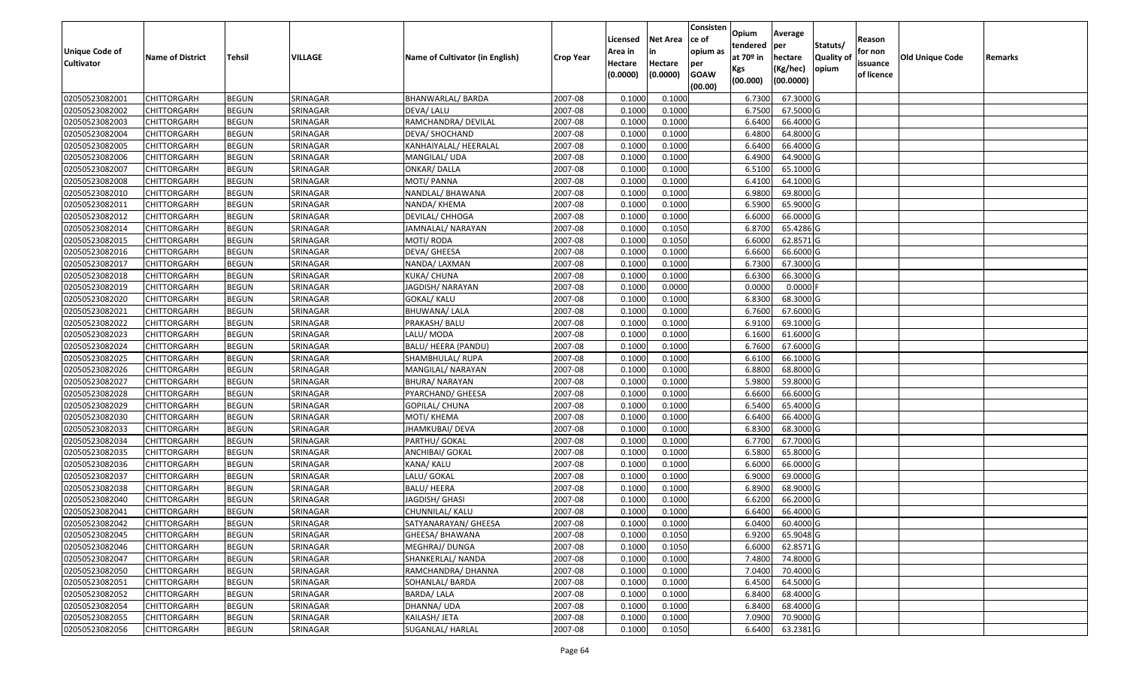| Unique Code of<br><b>Cultivator</b> | <b>Name of District</b> | <b>Tehsil</b> | VILLAGE  | Name of Cultivator (in English) | <b>Crop Year</b> | Licensed<br>Area in<br>Hectare | <b>Net Area</b><br>in<br>Hectare | Consisten<br>ce of<br>opium as<br>per | Opium<br>tendered<br>at $70°$ in | Average<br>per<br>hectare | Statuts/<br><b>Quality o</b> | Reason<br>for non<br>issuance | <b>Old Unique Code</b> | Remarks |
|-------------------------------------|-------------------------|---------------|----------|---------------------------------|------------------|--------------------------------|----------------------------------|---------------------------------------|----------------------------------|---------------------------|------------------------------|-------------------------------|------------------------|---------|
|                                     |                         |               |          |                                 |                  | (0.0000)                       | (0.0000)                         | <b>GOAW</b><br>(00.00)                | Kgs<br>(00.000)                  | (Kg/hec)<br>(00.0000)     | opium                        | of licence                    |                        |         |
| 02050523082001                      | CHITTORGARH             | <b>BEGUN</b>  | SRINAGAR | <b>BHANWARLAL/ BARDA</b>        | 2007-08          | 0.1000                         | 0.1000                           |                                       | 6.7300                           | 67.3000 G                 |                              |                               |                        |         |
| 02050523082002                      | CHITTORGARH             | <b>BEGUN</b>  | SRINAGAR | DEVA/ LALU                      | 2007-08          | 0.1000                         | 0.1000                           |                                       | 6.7500                           | 67.5000G                  |                              |                               |                        |         |
| 02050523082003                      | CHITTORGARH             | <b>BEGUN</b>  | SRINAGAR | RAMCHANDRA/ DEVILAL             | 2007-08          | 0.1000                         | 0.1000                           |                                       | 6.6400                           | 66.4000 G                 |                              |                               |                        |         |
| 02050523082004                      | <b>CHITTORGARH</b>      | <b>BEGUN</b>  | SRINAGAR | DEVA/ SHOCHAND                  | 2007-08          | 0.1000                         | 0.1000                           |                                       | 6.4800                           | 64.8000 G                 |                              |                               |                        |         |
| 02050523082005                      | CHITTORGARH             | <b>BEGUN</b>  | SRINAGAR | KANHAIYALAL/ HEERALAL           | 2007-08          | 0.1000                         | 0.1000                           |                                       | 6.6400                           | 66.4000 G                 |                              |                               |                        |         |
| 02050523082006                      | CHITTORGARH             | <b>BEGUN</b>  | SRINAGAR | MANGILAL/ UDA                   | 2007-08          | 0.1000                         | 0.1000                           |                                       | 6.4900                           | 64.9000 G                 |                              |                               |                        |         |
| 02050523082007                      | CHITTORGARH             | <b>BEGUN</b>  | SRINAGAR | ONKAR/ DALLA                    | 2007-08          | 0.1000                         | 0.1000                           |                                       | 6.5100                           | 65.1000G                  |                              |                               |                        |         |
| 02050523082008                      | CHITTORGARH             | <b>BEGUN</b>  | SRINAGAR | MOTI/ PANNA                     | 2007-08          | 0.1000                         | 0.1000                           |                                       | 6.4100                           | 64.1000G                  |                              |                               |                        |         |
| 02050523082010                      | CHITTORGARH             | <b>BEGUN</b>  | SRINAGAR | NANDLAL/ BHAWANA                | 2007-08          | 0.1000                         | 0.1000                           |                                       | 6.9800                           | 69.8000 G                 |                              |                               |                        |         |
| 02050523082011                      | CHITTORGARH             | <b>BEGUN</b>  | SRINAGAR | NANDA/ KHEMA                    | 2007-08          | 0.1000                         | 0.1000                           |                                       | 6.5900                           | 65.9000 G                 |                              |                               |                        |         |
| 02050523082012                      | CHITTORGARH             | <b>BEGUN</b>  | SRINAGAR | DEVILAL/ CHHOGA                 | 2007-08          | 0.1000                         | 0.1000                           |                                       | 6.6000                           | 66.0000G                  |                              |                               |                        |         |
| 02050523082014                      | CHITTORGARH             | <b>BEGUN</b>  | SRINAGAR | JAMNALAL/ NARAYAN               | 2007-08          | 0.1000                         | 0.1050                           |                                       | 6.8700                           | 65.4286 G                 |                              |                               |                        |         |
| 02050523082015                      | <b>CHITTORGARH</b>      | <b>BEGUN</b>  | SRINAGAR | MOTI/ RODA                      | 2007-08          | 0.1000                         | 0.1050                           |                                       | 6.6000                           | 62.8571 G                 |                              |                               |                        |         |
| 02050523082016                      | <b>CHITTORGARH</b>      | <b>BEGUN</b>  | SRINAGAR | DEVA/ GHEESA                    | 2007-08          | 0.1000                         | 0.1000                           |                                       | 6.6600                           | 66.6000G                  |                              |                               |                        |         |
| 02050523082017                      | <b>CHITTORGARH</b>      | <b>BEGUN</b>  | SRINAGAR | NANDA/ LAXMAN                   | 2007-08          | 0.1000                         | 0.1000                           |                                       | 6.7300                           | 67.3000G                  |                              |                               |                        |         |
| 02050523082018                      | CHITTORGARH             | <b>BEGUN</b>  | SRINAGAR | KUKA/ CHUNA                     | 2007-08          | 0.1000                         | 0.1000                           |                                       | 6.6300                           | 66.3000 G                 |                              |                               |                        |         |
| 02050523082019                      | CHITTORGARH             | <b>BEGUN</b>  | SRINAGAR | JAGDISH/NARAYAN                 | 2007-08          | 0.1000                         | 0.0000                           |                                       | 0.0000                           | $0.0000$ F                |                              |                               |                        |         |
| 02050523082020                      | CHITTORGARH             | <b>BEGUN</b>  | SRINAGAR | GOKAL/ KALU                     | 2007-08          | 0.1000                         | 0.1000                           |                                       | 6.8300                           | 68.3000 G                 |                              |                               |                        |         |
| 02050523082021                      | CHITTORGARH             | <b>BEGUN</b>  | SRINAGAR | BHUWANA/ LALA                   | 2007-08          | 0.100                          | 0.1000                           |                                       | 6.7600                           | 67.6000 G                 |                              |                               |                        |         |
| 02050523082022                      | CHITTORGARH             | <b>BEGUN</b>  | SRINAGAR | PRAKASH/BALU                    | 2007-08          | 0.1000                         | 0.1000                           |                                       | 6.9100                           | 69.1000G                  |                              |                               |                        |         |
| 02050523082023                      | CHITTORGARH             | <b>BEGUN</b>  | SRINAGAR | LALU/MODA                       | 2007-08          | 0.1000                         | 0.1000                           |                                       | 6.1600                           | 61.6000 G                 |                              |                               |                        |         |
| 02050523082024                      | CHITTORGARH             | <b>BEGUN</b>  | SRINAGAR | BALU/ HEERA (PANDU)             | 2007-08          | 0.100                          | 0.1000                           |                                       | 6.7600                           | 67.6000 G                 |                              |                               |                        |         |
| 02050523082025                      | CHITTORGARH             | <b>BEGUN</b>  | SRINAGAR | SHAMBHULAL/ RUPA                | 2007-08          | 0.1000                         | 0.1000                           |                                       | 6.6100                           | 66.1000G                  |                              |                               |                        |         |
| 02050523082026                      | <b>CHITTORGARH</b>      | <b>BEGUN</b>  | SRINAGAR | MANGILAL/ NARAYAN               | 2007-08          | 0.100                          | 0.1000                           |                                       | 6.8800                           | 68.8000 G                 |                              |                               |                        |         |
| 02050523082027                      | <b>CHITTORGARH</b>      | <b>BEGUN</b>  | SRINAGAR | <b>BHURA/ NARAYAN</b>           | 2007-08          | 0.1000                         | 0.1000                           |                                       | 5.9800                           | 59.8000G                  |                              |                               |                        |         |
| 02050523082028                      | CHITTORGARH             | <b>BEGUN</b>  | SRINAGAR | PYARCHAND/ GHEESA               | 2007-08          | 0.1000                         | 0.1000                           |                                       | 6.6600                           | 66.6000 G                 |                              |                               |                        |         |
| 02050523082029                      | CHITTORGARH             | <b>BEGUN</b>  | SRINAGAR | GOPILAL/ CHUNA                  | 2007-08          | 0.1000                         | 0.1000                           |                                       | 6.5400                           | 65.4000 G                 |                              |                               |                        |         |
| 02050523082030                      | CHITTORGARH             | <b>BEGUN</b>  | SRINAGAR | MOTI/ KHEMA                     | 2007-08          | 0.1000                         | 0.1000                           |                                       | 6.6400                           | 66.4000 G                 |                              |                               |                        |         |
| 02050523082033                      | CHITTORGARH             | <b>BEGUN</b>  | SRINAGAR | JHAMKUBAI/ DEVA                 | 2007-08          | 0.1000                         | 0.1000                           |                                       | 6.8300                           | 68.3000 G                 |                              |                               |                        |         |
| 02050523082034                      | CHITTORGARH             | <b>BEGUN</b>  | SRINAGAR | PARTHU/ GOKAL                   | 2007-08          | 0.1000                         | 0.1000                           |                                       | 6.7700                           | 67.7000 G                 |                              |                               |                        |         |
| 02050523082035                      | CHITTORGARH             | <b>BEGUN</b>  | SRINAGAR | ANCHIBAI/ GOKAL                 | 2007-08          | 0.1000                         | 0.1000                           |                                       | 6.5800                           | 65.8000 G                 |                              |                               |                        |         |
| 02050523082036                      | CHITTORGARH             | <b>BEGUN</b>  | SRINAGAR | KANA/ KALU                      | 2007-08          | 0.1000                         | 0.1000                           |                                       | 6.6000                           | 66.0000G                  |                              |                               |                        |         |
| 02050523082037                      | CHITTORGARH             | <b>BEGUN</b>  | SRINAGAR | LALU/ GOKAL                     | 2007-08          | 0.1000                         | 0.1000                           |                                       | 6.9000                           | 69.0000G                  |                              |                               |                        |         |
| 02050523082038                      | CHITTORGARH             | <b>BEGUN</b>  | SRINAGAR | <b>BALU/ HEERA</b>              | 2007-08          | 0.1000                         | 0.1000                           |                                       | 6.8900                           | 68.9000 G                 |                              |                               |                        |         |
| 02050523082040                      | CHITTORGARH             | <b>BEGUN</b>  | SRINAGAR | JAGDISH/ GHASI                  | 2007-08          | 0.1000                         | 0.1000                           |                                       | 6.6200                           | 66.2000 G                 |                              |                               |                        |         |
| 02050523082041                      | CHITTORGARH             | <b>BEGUN</b>  | SRINAGAR | CHUNNILAL/ KALU                 | 2007-08          | 0.1000                         | 0.1000                           |                                       | 6.6400                           | 66.4000 G                 |                              |                               |                        |         |
| 02050523082042                      | <b>CHITTORGARH</b>      | <b>BEGUN</b>  | SRINAGAR | SATYANARAYAN/ GHEESA            | 2007-08          | 0.1000                         | 0.1000                           |                                       | 6.0400                           | 60.4000 G                 |                              |                               |                        |         |
| 02050523082045                      | <b>CHITTORGARH</b>      | <b>BEGUN</b>  | SRINAGAR | GHEESA/ BHAWANA                 | 2007-08          | 0.1000                         | 0.1050                           |                                       | 6.9200                           | 65.9048 G                 |                              |                               |                        |         |
| 02050523082046                      | <b>CHITTORGARH</b>      | <b>BEGUN</b>  | SRINAGAR | MEGHRAJ/ DUNGA                  | 2007-08          | 0.1000                         | 0.1050                           |                                       | 6.6000                           | 62.8571 G                 |                              |                               |                        |         |
| 02050523082047                      | <b>CHITTORGARH</b>      | <b>BEGUN</b>  | SRINAGAR | SHANKERLAL/ NANDA               | 2007-08          | 0.1000                         | 0.1000                           |                                       | 7.4800                           | 74.8000 G                 |                              |                               |                        |         |
| 02050523082050                      | <b>CHITTORGARH</b>      | <b>BEGUN</b>  | SRINAGAR | RAMCHANDRA/ DHANNA              | 2007-08          | 0.1000                         | 0.1000                           |                                       | 7.0400                           | 70.4000 G                 |                              |                               |                        |         |
| 02050523082051                      | <b>CHITTORGARH</b>      | <b>BEGUN</b>  | SRINAGAR | SOHANLAL/ BARDA                 | 2007-08          | 0.1000                         | 0.1000                           |                                       | 6.4500                           | 64.5000 G                 |                              |                               |                        |         |
| 02050523082052                      | <b>CHITTORGARH</b>      | <b>BEGUN</b>  | SRINAGAR | BARDA/LALA                      | 2007-08          | 0.1000                         | 0.1000                           |                                       | 6.8400                           | 68.4000 G                 |                              |                               |                        |         |
| 02050523082054                      | CHITTORGARH             | <b>BEGUN</b>  | SRINAGAR | DHANNA/ UDA                     | 2007-08          | 0.1000                         | 0.1000                           |                                       | 6.8400                           | 68.4000 G                 |                              |                               |                        |         |
| 02050523082055                      | <b>CHITTORGARH</b>      | <b>BEGUN</b>  | SRINAGAR | KAILASH/ JETA                   | 2007-08          | 0.1000                         | 0.1000                           |                                       | 7.0900                           | 70.9000 G                 |                              |                               |                        |         |
| 02050523082056                      | <b>CHITTORGARH</b>      | <b>BEGUN</b>  | SRINAGAR | SUGANLAL/ HARLAL                | 2007-08          | 0.1000                         | 0.1050                           |                                       | 6.6400                           | 63.2381 G                 |                              |                               |                        |         |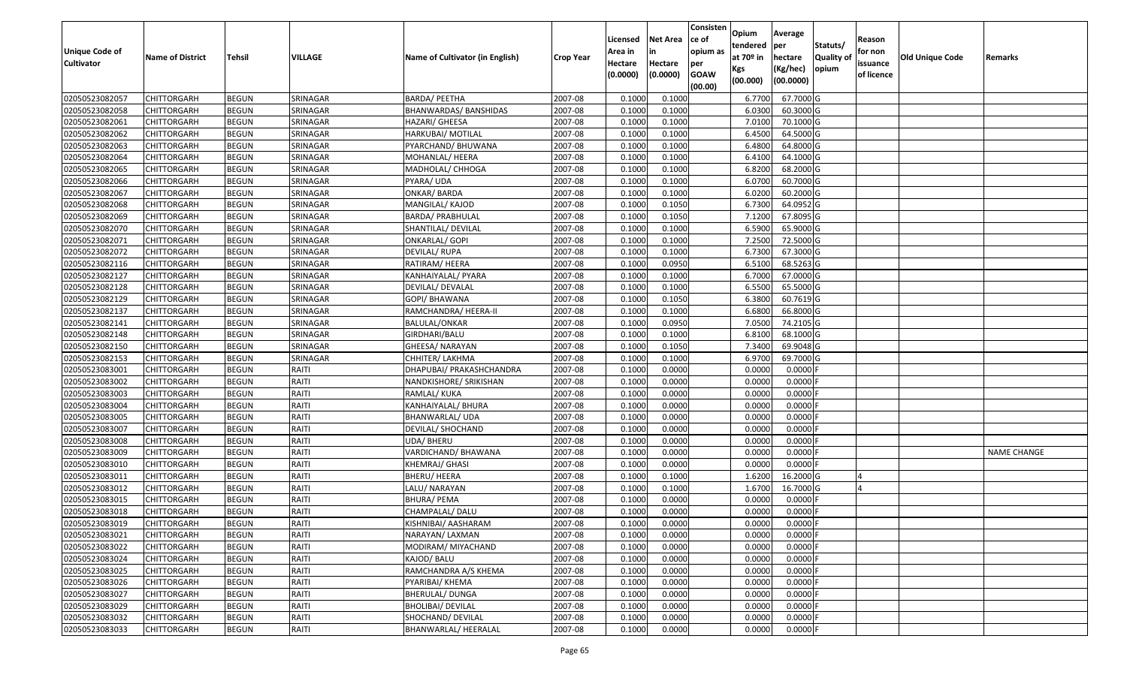| Unique Code of<br><b>Cultivator</b> | <b>Name of District</b> | <b>Tehsil</b> | VILLAGE  | Name of Cultivator (in English) | <b>Crop Year</b> | Licensed<br>Area in<br>Hectare | <b>Net Area</b><br>in<br>Hectare | Consisten<br>ce of<br>opium as<br>per | Opium<br>tendered<br>at $70°$ in<br>Kgs | Average<br>per<br>hectare<br>(Kg/hec) | Statuts/<br><b>Quality o</b><br>opium | Reason<br>for non<br>issuance | Old Unique Code | Remarks            |
|-------------------------------------|-------------------------|---------------|----------|---------------------------------|------------------|--------------------------------|----------------------------------|---------------------------------------|-----------------------------------------|---------------------------------------|---------------------------------------|-------------------------------|-----------------|--------------------|
|                                     |                         |               |          |                                 |                  | (0.0000)                       | (0.0000)                         | <b>GOAW</b><br>(00.00)                | (00.000)                                | (00.0000)                             |                                       | of licence                    |                 |                    |
| 02050523082057                      | CHITTORGARH             | <b>BEGUN</b>  | SRINAGAR | <b>BARDA/ PEETHA</b>            | 2007-08          | 0.1000                         | 0.1000                           |                                       | 6.7700                                  | 67.7000 G                             |                                       |                               |                 |                    |
| 02050523082058                      | CHITTORGARH             | <b>BEGUN</b>  | SRINAGAR | BHANWARDAS/BANSHIDAS            | 2007-08          | 0.1000                         | 0.1000                           |                                       | 6.0300                                  | 60.3000 G                             |                                       |                               |                 |                    |
| 02050523082061                      | CHITTORGARH             | <b>BEGUN</b>  | SRINAGAR | HAZARI/ GHEESA                  | 2007-08          | 0.1000                         | 0.1000                           |                                       | 7.0100                                  | 70.1000G                              |                                       |                               |                 |                    |
| 02050523082062                      | <b>CHITTORGARH</b>      | <b>BEGUN</b>  | SRINAGAR | HARKUBAI/ MOTILAL               | 2007-08          | 0.1000                         | 0.1000                           |                                       | 6.4500                                  | 64.5000 G                             |                                       |                               |                 |                    |
| 02050523082063                      | CHITTORGARH             | <b>BEGUN</b>  | SRINAGAR | PYARCHAND/ BHUWANA              | 2007-08          | 0.1000                         | 0.1000                           |                                       | 6.4800                                  | 64.8000 G                             |                                       |                               |                 |                    |
| 02050523082064                      | CHITTORGARH             | <b>BEGUN</b>  | SRINAGAR | MOHANLAL/ HEERA                 | 2007-08          | 0.1000                         | 0.1000                           |                                       | 6.4100                                  | 64.1000G                              |                                       |                               |                 |                    |
| 02050523082065                      | CHITTORGARH             | <b>BEGUN</b>  | SRINAGAR | MADHOLAL/ CHHOGA                | 2007-08          | 0.1000                         | 0.1000                           |                                       | 6.8200                                  | 68.2000 G                             |                                       |                               |                 |                    |
| 02050523082066                      | <b>CHITTORGARH</b>      | <b>BEGUN</b>  | SRINAGAR | PYARA/ UDA                      | 2007-08          | 0.1000                         | 0.1000                           |                                       | 6.0700                                  | 60.7000 G                             |                                       |                               |                 |                    |
| 02050523082067                      | CHITTORGARH             | <b>BEGUN</b>  | SRINAGAR | <b>ONKAR/ BARDA</b>             | 2007-08          | 0.1000                         | 0.1000                           |                                       | 6.0200                                  | 60.2000 G                             |                                       |                               |                 |                    |
| 02050523082068                      | CHITTORGARH             | <b>BEGUN</b>  | SRINAGAR | MANGILAL/ KAJOD                 | 2007-08          | 0.1000                         | 0.1050                           |                                       | 6.7300                                  | 64.0952 G                             |                                       |                               |                 |                    |
| 02050523082069                      | CHITTORGARH             | <b>BEGUN</b>  | SRINAGAR | BARDA/ PRABHULAL                | 2007-08          | 0.1000                         | 0.1050                           |                                       | 7.1200                                  | 67.8095 G                             |                                       |                               |                 |                    |
| 02050523082070                      | <b>CHITTORGARH</b>      | <b>BEGUN</b>  | SRINAGAR | SHANTILAL/ DEVILAL              | 2007-08          | 0.1000                         | 0.1000                           |                                       | 6.5900                                  | 65.9000 G                             |                                       |                               |                 |                    |
| 02050523082071                      | <b>CHITTORGARH</b>      | <b>BEGUN</b>  | SRINAGAR | <b>ONKARLAL/ GOPI</b>           | 2007-08          | 0.1000                         | 0.1000                           |                                       | 7.2500                                  | 72.5000 G                             |                                       |                               |                 |                    |
| 02050523082072                      | <b>CHITTORGARH</b>      | <b>BEGUN</b>  | SRINAGAR | DEVILAL/RUPA                    | 2007-08          | 0.100                          | 0.1000                           |                                       | 6.7300                                  | 67.3000G                              |                                       |                               |                 |                    |
| 02050523082116                      | <b>CHITTORGARH</b>      | <b>BEGUN</b>  | SRINAGAR | RATIRAM/ HEERA                  | 2007-08          | 0.1000                         | 0.0950                           |                                       | 6.5100                                  | 68.5263 G                             |                                       |                               |                 |                    |
| 02050523082127                      | CHITTORGARH             | <b>BEGUN</b>  | SRINAGAR | KANHAIYALAL/ PYARA              | 2007-08          | 0.1000                         | 0.1000                           |                                       | 6.7000                                  | 67.0000 G                             |                                       |                               |                 |                    |
| 02050523082128                      | CHITTORGARH             | <b>BEGUN</b>  | SRINAGAR | DEVILAL/ DEVALAL                | 2007-08          | 0.1000                         | 0.1000                           |                                       | 6.5500                                  | 65.5000G                              |                                       |                               |                 |                    |
| 02050523082129                      | CHITTORGARH             | <b>BEGUN</b>  | SRINAGAR | GOPI/ BHAWANA                   | 2007-08          | 0.100                          | 0.1050                           |                                       | 6.3800                                  | 60.7619 G                             |                                       |                               |                 |                    |
| 02050523082137                      | CHITTORGARH             | <b>BEGUN</b>  | SRINAGAR | RAMCHANDRA/ HEERA-II            | 2007-08          | 0.100                          | 0.1000                           |                                       | 6.6800                                  | 66.8000 G                             |                                       |                               |                 |                    |
| 02050523082141                      | CHITTORGARH             | <b>BEGUN</b>  | SRINAGAR | BALULAL/ONKAR                   | 2007-08          | 0.1000                         | 0.0950                           |                                       | 7.0500                                  | 74.2105 G                             |                                       |                               |                 |                    |
| 02050523082148                      | CHITTORGARH             | <b>BEGUN</b>  | SRINAGAR | GIRDHARI/BALU                   | 2007-08          | 0.100                          | 0.1000                           |                                       | 6.8100                                  | 68.1000 G                             |                                       |                               |                 |                    |
| 02050523082150                      | CHITTORGARH             | <b>BEGUN</b>  | SRINAGAR | GHEESA/ NARAYAN                 | 2007-08          | 0.100                          | 0.1050                           |                                       | 7.3400                                  | 69.9048 G                             |                                       |                               |                 |                    |
| 02050523082153                      | CHITTORGARH             | <b>BEGUN</b>  | SRINAGAR | CHHITER/ LAKHMA                 | 2007-08          | 0.1000                         | 0.1000                           |                                       | 6.9700                                  | 69.7000 G                             |                                       |                               |                 |                    |
| 02050523083001                      | CHITTORGARH             | <b>BEGUN</b>  | RAITI    | DHAPUBAI/ PRAKASHCHANDRA        | 2007-08          | 0.100                          | 0.0000                           |                                       | 0.0000                                  | 0.0000                                |                                       |                               |                 |                    |
| 02050523083002                      | <b>CHITTORGARH</b>      | <b>BEGUN</b>  | RAITI    | NANDKISHORE/ SRIKISHAN          | 2007-08          | 0.1000                         | 0.0000                           |                                       | 0.0000                                  | 0.0000                                |                                       |                               |                 |                    |
| 02050523083003                      | CHITTORGARH             | <b>BEGUN</b>  | RAITI    | RAMLAL/KUKA                     | 2007-08          | 0.1000                         | 0.0000                           |                                       | 0.0000                                  | 0.0000F                               |                                       |                               |                 |                    |
| 02050523083004                      | CHITTORGARH             | <b>BEGUN</b>  | RAITI    | KANHAIYALAL/ BHURA              | 2007-08          | 0.1000                         | 0.0000                           |                                       | 0.0000                                  | 0.0000                                |                                       |                               |                 |                    |
| 02050523083005                      | CHITTORGARH             | <b>BEGUN</b>  | RAITI    | BHANWARLAL/ UDA                 | 2007-08          | 0.1000                         | 0.0000                           |                                       | 0.0000                                  | 0.0000                                |                                       |                               |                 |                    |
| 02050523083007                      | CHITTORGARH             | <b>BEGUN</b>  | RAITI    | DEVILAL/ SHOCHAND               | 2007-08          | 0.1000                         | 0.0000                           |                                       | 0.0000                                  | 0.0000F                               |                                       |                               |                 |                    |
| 02050523083008                      | CHITTORGARH             | <b>BEGUN</b>  | RAITI    | <b>UDA/BHERU</b>                | 2007-08          | 0.1000                         | 0.0000                           |                                       | 0.0000                                  | 0.0000                                |                                       |                               |                 |                    |
| 02050523083009                      | CHITTORGARH             | <b>BEGUN</b>  | RAITI    | VARDICHAND/ BHAWANA             | 2007-08          | 0.1000                         | 0.0000                           |                                       | 0.0000                                  | 0.0000                                |                                       |                               |                 | <b>NAME CHANGE</b> |
| 02050523083010                      | CHITTORGARH             | <b>BEGUN</b>  | RAITI    | KHEMRAJ/ GHASI                  | 2007-08          | 0.1000                         | 0.0000                           |                                       | 0.0000                                  | 0.0000                                |                                       |                               |                 |                    |
| 02050523083011                      | CHITTORGARH             | <b>BEGUN</b>  | RAITI    | <b>BHERU/ HEERA</b>             | 2007-08          | 0.100                          | 0.1000                           |                                       | 1.6200                                  | 16.2000 G                             |                                       |                               |                 |                    |
| 02050523083012                      | CHITTORGARH             | <b>BEGUN</b>  | RAITI    | LALU/ NARAYAN                   | 2007-08          | 0.1000                         | 0.1000                           |                                       | 1.670                                   | 16.7000G                              |                                       |                               |                 |                    |
| 02050523083015                      | CHITTORGARH             | <b>BEGUN</b>  | RAITI    | BHURA/ PEMA                     | 2007-08          | 0.1000                         | 0.0000                           |                                       | 0.0000                                  | 0.0000F                               |                                       |                               |                 |                    |
| 02050523083018                      | CHITTORGARH             | <b>BEGUN</b>  | RAITI    | CHAMPALAL/ DALU                 | 2007-08          | 0.1000                         | 0.0000                           |                                       | 0.0000                                  | 0.0000                                |                                       |                               |                 |                    |
| 02050523083019                      | <b>CHITTORGARH</b>      | <b>BEGUN</b>  | RAITI    | KISHNIBAI/ AASHARAM             | 2007-08          | 0.1000                         | 0.0000                           |                                       | 0.0000                                  | $0.0000$ F                            |                                       |                               |                 |                    |
| 02050523083021                      | <b>CHITTORGARH</b>      | <b>BEGUN</b>  | RAITI    | NARAYAN/ LAXMAN                 | 2007-08          | 0.1000                         | 0.0000                           |                                       | 0.0000                                  | $0.0000$ F                            |                                       |                               |                 |                    |
| 02050523083022                      | <b>CHITTORGARH</b>      | <b>BEGUN</b>  | RAITI    | MODIRAM/ MIYACHAND              | 2007-08          | 0.1000                         | 0.0000                           |                                       | 0.0000                                  | 0.0000F                               |                                       |                               |                 |                    |
| 02050523083024                      | <b>CHITTORGARH</b>      | <b>BEGUN</b>  | RAITI    | KAJOD/ BALU                     | 2007-08          | 0.1000                         | 0.0000                           |                                       | 0.0000                                  | $0.0000$ F                            |                                       |                               |                 |                    |
| 02050523083025                      | <b>CHITTORGARH</b>      | <b>BEGUN</b>  | RAITI    | RAMCHANDRA A/S KHEMA            | 2007-08          | 0.1000                         | 0.0000                           |                                       | 0.0000                                  | $0.0000$ F                            |                                       |                               |                 |                    |
| 02050523083026                      | <b>CHITTORGARH</b>      | <b>BEGUN</b>  | RAITI    | PYARIBAI/ KHEMA                 | 2007-08          | 0.1000                         | 0.0000                           |                                       | 0.0000                                  | 0.0000                                |                                       |                               |                 |                    |
| 02050523083027                      | <b>CHITTORGARH</b>      | <b>BEGUN</b>  | RAITI    | <b>BHERULAL/ DUNGA</b>          | 2007-08          | 0.1000                         | 0.0000                           |                                       | 0.0000                                  | 0.0000                                |                                       |                               |                 |                    |
| 02050523083029                      | CHITTORGARH             | <b>BEGUN</b>  | RAITI    | BHOLIBAI/ DEVILAL               | 2007-08          | 0.1000                         | 0.0000                           |                                       | 0.0000                                  | $0.0000$ F                            |                                       |                               |                 |                    |
| 02050523083032                      | CHITTORGARH             | <b>BEGUN</b>  | RAITI    | SHOCHAND/ DEVILAL               | 2007-08          | 0.1000                         | 0.0000                           |                                       | 0.0000                                  | 0.0000                                |                                       |                               |                 |                    |
| 02050523083033                      | <b>CHITTORGARH</b>      | <b>BEGUN</b>  | RAITI    | BHANWARLAL/ HEERALAL            | 2007-08          | 0.1000                         | 0.0000                           |                                       | 0.0000                                  | $0.0000$ F                            |                                       |                               |                 |                    |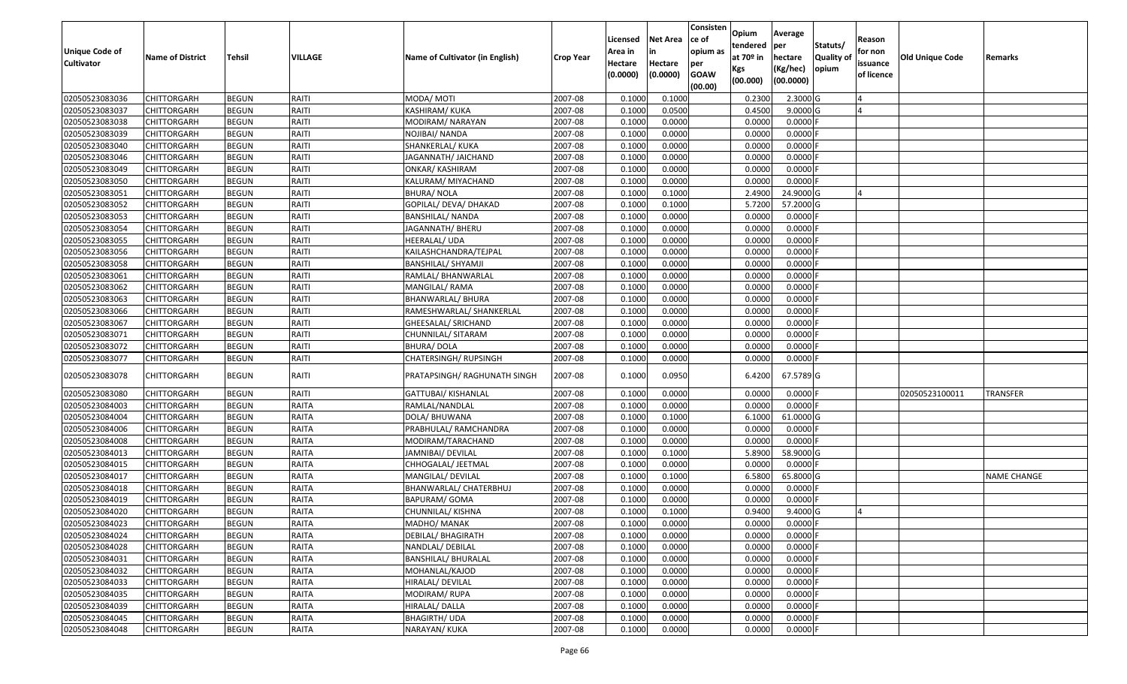| Unique Code of<br><b>Cultivator</b> | <b>Name of District</b> | <b>Tehsil</b> | VILLAGE      | Name of Cultivator (in English) | <b>Crop Year</b> | Licensed<br>Area in<br>Hectare<br>(0.0000) | <b>Net Area</b><br>in<br>Hectare<br>(0.0000) | Consisten<br>ce of<br>opium as<br>per<br><b>GOAW</b><br>(00.00) | Opium<br>tendered<br>at 70º in<br>Kgs<br>(00.000) | Average<br>per<br>hectare<br>(Kg/hec)<br>(00.0000) | Statuts/<br>Quality of<br>opium | Reason<br>for non<br>issuance<br>of licence | <b>Old Unique Code</b> | Remarks            |
|-------------------------------------|-------------------------|---------------|--------------|---------------------------------|------------------|--------------------------------------------|----------------------------------------------|-----------------------------------------------------------------|---------------------------------------------------|----------------------------------------------------|---------------------------------|---------------------------------------------|------------------------|--------------------|
| 02050523083036                      | CHITTORGARH             | <b>BEGUN</b>  | RAITI        | MODA/ MOTI                      | 2007-08          | 0.1000                                     | 0.1000                                       |                                                                 | 0.2300                                            | $2.3000$ G                                         |                                 |                                             |                        |                    |
| 02050523083037                      | CHITTORGARH             | <b>BEGUN</b>  | RAITI        | KASHIRAM/ KUKA                  | 2007-08          | 0.1000                                     | 0.0500                                       |                                                                 | 0.4500                                            | 9.0000G                                            |                                 |                                             |                        |                    |
| 02050523083038                      | CHITTORGARH             | <b>BEGUN</b>  | RAITI        | MODIRAM/NARAYAN                 | 2007-08          | 0.1000                                     | 0.0000                                       |                                                                 | 0.0000                                            | 0.0000                                             |                                 |                                             |                        |                    |
| 02050523083039                      | CHITTORGARH             | <b>BEGUN</b>  | RAITI        | NOJIBAI/ NANDA                  | 2007-08          | 0.1000                                     | 0.0000                                       |                                                                 | 0.0000                                            | 0.0000                                             |                                 |                                             |                        |                    |
| 02050523083040                      | CHITTORGARH             | <b>BEGUN</b>  | RAITI        | SHANKERLAL/ KUKA                | 2007-08          | 0.1000                                     | 0.0000                                       |                                                                 | 0.0000                                            | 0.0000                                             |                                 |                                             |                        |                    |
| 02050523083046                      | CHITTORGARH             | <b>BEGUN</b>  | RAITI        | JAGANNATH/ JAICHAND             | 2007-08          | 0.1000                                     | 0.0000                                       |                                                                 | 0.0000                                            | 0.0000                                             |                                 |                                             |                        |                    |
| 02050523083049                      | CHITTORGARH             | <b>BEGUN</b>  | RAITI        | ONKAR/KASHIRAM                  | 2007-08          | 0.1000                                     | 0.0000                                       |                                                                 | 0.0000                                            | 0.0000                                             |                                 |                                             |                        |                    |
| 02050523083050                      | CHITTORGARH             | <b>BEGUN</b>  | RAITI        | KALURAM/ MIYACHAND              | 2007-08          | 0.1000                                     | 0.0000                                       |                                                                 | 0.0000                                            | 0.0000F                                            |                                 |                                             |                        |                    |
| 02050523083051                      | CHITTORGARH             | <b>BEGUN</b>  | RAITI        | BHURA/ NOLA                     | 2007-08          | 0.1000                                     | 0.1000                                       |                                                                 | 2.4900                                            | 24.9000G                                           |                                 |                                             |                        |                    |
| 02050523083052                      | CHITTORGARH             | <b>BEGUN</b>  | RAITI        | GOPILAL/ DEVA/ DHAKAD           | 2007-08          | 0.1000                                     | 0.1000                                       |                                                                 | 5.7200                                            | 57.2000 G                                          |                                 |                                             |                        |                    |
| 02050523083053                      | CHITTORGARH             | <b>BEGUN</b>  | RAITI        | BANSHILAL/ NANDA                | 2007-08          | 0.1000                                     | 0.0000                                       |                                                                 | 0.0000                                            | 0.0000                                             |                                 |                                             |                        |                    |
| 02050523083054                      | CHITTORGARH             | <b>BEGUN</b>  | RAITI        | JAGANNATH/ BHERU                | 2007-08          | 0.1000                                     | 0.0000                                       |                                                                 | 0.0000                                            | 0.0000                                             |                                 |                                             |                        |                    |
| 02050523083055                      | <b>CHITTORGARH</b>      | <b>BEGUN</b>  | RAITI        | HEERALAL/ UDA                   | 2007-08          | 0.1000                                     | 0.0000                                       |                                                                 | 0.0000                                            | 0.0000                                             |                                 |                                             |                        |                    |
| 02050523083056                      | <b>CHITTORGARH</b>      | <b>BEGUN</b>  | RAITI        | KAILASHCHANDRA/TEJPAL           | 2007-08          | 0.1000                                     | 0.0000                                       |                                                                 | 0.0000                                            | 0.0000                                             |                                 |                                             |                        |                    |
| 02050523083058                      | CHITTORGARH             | <b>BEGUN</b>  | RAITI        | BANSHILAL/ SHYAMJI              | 2007-08          | 0.1000                                     | 0.0000                                       |                                                                 | 0.0000                                            | 0.0000                                             |                                 |                                             |                        |                    |
| 02050523083061                      | <b>CHITTORGARH</b>      | <b>BEGUN</b>  | RAITI        | RAMLAL/ BHANWARLAL              | 2007-08          | 0.1000                                     | 0.0000                                       |                                                                 | 0.0000                                            | 0.0000                                             |                                 |                                             |                        |                    |
| 02050523083062                      | <b>CHITTORGARH</b>      | <b>BEGUN</b>  | RAITI        | MANGILAL/RAMA                   | 2007-08          | 0.1000                                     | 0.0000                                       |                                                                 | 0.0000                                            | 0.0000                                             |                                 |                                             |                        |                    |
| 02050523083063                      | <b>CHITTORGARH</b>      | <b>BEGUN</b>  | RAITI        | BHANWARLAL/ BHURA               | 2007-08          | 0.1000                                     | 0.0000                                       |                                                                 | 0.0000                                            | 0.0000                                             |                                 |                                             |                        |                    |
| 02050523083066                      | CHITTORGARH             | <b>BEGUN</b>  | RAITI        | RAMESHWARLAL/ SHANKERLAL        | 2007-08          | 0.1000                                     | 0.0000                                       |                                                                 | 0.0000                                            | 0.0000F                                            |                                 |                                             |                        |                    |
| 02050523083067                      | <b>CHITTORGARH</b>      | <b>BEGUN</b>  | RAITI        | GHEESALAL/ SRICHAND             | 2007-08          | 0.1000                                     | 0.0000                                       |                                                                 | 0.0000                                            | 0.0000                                             |                                 |                                             |                        |                    |
| 02050523083071                      | <b>CHITTORGARH</b>      | <b>BEGUN</b>  | RAITI        | CHUNNILAL/ SITARAM              | 2007-08          | 0.1000                                     | 0.0000                                       |                                                                 | 0.0000                                            | 0.0000                                             |                                 |                                             |                        |                    |
| 02050523083072                      | <b>CHITTORGARH</b>      | <b>BEGUN</b>  | RAITI        | <b>BHURA/DOLA</b>               | 2007-08          | 0.1000                                     | 0.0000                                       |                                                                 | 0.0000                                            | 0.0000                                             |                                 |                                             |                        |                    |
| 02050523083077                      | CHITTORGARH             | <b>BEGUN</b>  | RAITI        | CHATERSINGH/ RUPSINGH           | 2007-08          | 0.1000                                     | 0.0000                                       |                                                                 | 0.0000                                            | 0.0000 F                                           |                                 |                                             |                        |                    |
| 02050523083078                      | CHITTORGARH             | <b>BEGUN</b>  | RAITI        | PRATAPSINGH/ RAGHUNATH SINGH    | 2007-08          | 0.1000                                     | 0.0950                                       |                                                                 | 6.4200                                            | 67.5789 G                                          |                                 |                                             |                        |                    |
| 02050523083080                      | CHITTORGARH             | <b>BEGUN</b>  | RAITI        | GATTUBAI/ KISHANLAL             | 2007-08          | 0.1000                                     | 0.0000                                       |                                                                 | 0.0000                                            | 0.0000                                             |                                 |                                             | 02050523100011         | <b>TRANSFER</b>    |
| 02050523084003                      | CHITTORGARH             | <b>BEGUN</b>  | RAITA        | RAMLAL/NANDLAL                  | 2007-08          | 0.1000                                     | 0.0000                                       |                                                                 | 0.0000                                            | 0.0000F                                            |                                 |                                             |                        |                    |
| 02050523084004                      | CHITTORGARH             | <b>BEGUN</b>  | RAITA        | DOLA/ BHUWANA                   | 2007-08          | 0.1000                                     | 0.1000                                       |                                                                 | 6.1000                                            | 61.0000 G                                          |                                 |                                             |                        |                    |
| 02050523084006                      | CHITTORGARH             | <b>BEGUN</b>  | RAITA        | PRABHULAL/ RAMCHANDRA           | 2007-08          | 0.1000                                     | 0.0000                                       |                                                                 | 0.0000                                            | $0.0000$ F                                         |                                 |                                             |                        |                    |
| 02050523084008                      | CHITTORGARH             | <b>BEGUN</b>  | RAITA        | MODIRAM/TARACHAND               | 2007-08          | 0.1000                                     | 0.0000                                       |                                                                 | 0.0000                                            | 0.0000                                             |                                 |                                             |                        |                    |
| 02050523084013                      | CHITTORGARH             | <b>BEGUN</b>  | RAITA        | JAMNIBAI/ DEVILAL               | 2007-08          | 0.1000                                     | 0.1000                                       |                                                                 | 5.8900                                            | 58.9000 G                                          |                                 |                                             |                        |                    |
| 02050523084015                      | CHITTORGARH             | <b>BEGUN</b>  | RAITA        | CHHOGALAL/ JEETMAL              | 2007-08          | 0.1000                                     | 0.0000                                       |                                                                 | 0.0000                                            | 0.0000F                                            |                                 |                                             |                        |                    |
| 02050523084017                      | CHITTORGARH             | <b>BEGUN</b>  | RAITA        | MANGILAL/ DEVILAL               | 2007-08          | 0.1000                                     | 0.1000                                       |                                                                 | 6.5800                                            | 65.8000 G                                          |                                 |                                             |                        | <b>NAME CHANGE</b> |
| 02050523084018                      | CHITTORGARH             | <b>BEGUN</b>  | RAITA        | BHANWARLAL/ CHATERBHUJ          | 2007-08          | 0.1000                                     | 0.0000                                       |                                                                 | 0.0000                                            | 0.0000                                             |                                 |                                             |                        |                    |
| 02050523084019                      | CHITTORGARH             | <b>BEGUN</b>  | RAITA        | <b>BAPURAM/ GOMA</b>            | 2007-08          | 0.1000                                     | 0.0000                                       |                                                                 | 0.0000                                            | 0.0000                                             |                                 |                                             |                        |                    |
| 02050523084020                      | CHITTORGARH             | <b>BEGUN</b>  | <b>RAITA</b> | CHUNNILAL/ KISHNA               | 2007-08          | 0.1000                                     | 0.1000                                       |                                                                 | 0.9400                                            | $9.4000$ G                                         |                                 |                                             |                        |                    |
| 02050523084023                      | <b>CHITTORGARH</b>      | <b>BEGUN</b>  | RAITA        | MADHO/ MANAK                    | 2007-08          | 0.1000                                     | 0.0000                                       |                                                                 | 0.0000                                            | $0.0000$ F                                         |                                 |                                             |                        |                    |
| 02050523084024                      | <b>CHITTORGARH</b>      | <b>BEGUN</b>  | RAITA        | <b>DEBILAL/ BHAGIRATH</b>       | 2007-08          | 0.1000                                     | 0.0000                                       |                                                                 | 0.0000                                            | 0.0000F                                            |                                 |                                             |                        |                    |
| 02050523084028                      | <b>CHITTORGARH</b>      | <b>BEGUN</b>  | <b>RAITA</b> | NANDLAL/ DEBILAL                | 2007-08          | 0.1000                                     | 0.0000                                       |                                                                 | 0.0000                                            | $0.0000$ F                                         |                                 |                                             |                        |                    |
| 02050523084031                      | <b>CHITTORGARH</b>      | <b>BEGUN</b>  | <b>RAITA</b> | <b>BANSHILAL/ BHURALAL</b>      | 2007-08          | 0.1000                                     | 0.0000                                       |                                                                 | 0.0000                                            | $0.0000$ F                                         |                                 |                                             |                        |                    |
| 02050523084032                      | <b>CHITTORGARH</b>      | <b>BEGUN</b>  | <b>RAITA</b> | MOHANLAL/KAJOD                  | 2007-08          | 0.1000                                     | 0.0000                                       |                                                                 | 0.0000                                            | $0.0000$ F                                         |                                 |                                             |                        |                    |
| 02050523084033                      | <b>CHITTORGARH</b>      | <b>BEGUN</b>  | <b>RAITA</b> | HIRALAL/ DEVILAL                | 2007-08          | 0.1000                                     | 0.0000                                       |                                                                 | 0.0000                                            | $0.0000$ F                                         |                                 |                                             |                        |                    |
| 02050523084035                      | <b>CHITTORGARH</b>      | <b>BEGUN</b>  | <b>RAITA</b> | MODIRAM/RUPA                    | 2007-08          | 0.1000                                     | 0.0000                                       |                                                                 | 0.0000                                            | $0.0000$ F                                         |                                 |                                             |                        |                    |
| 02050523084039                      | <b>CHITTORGARH</b>      | <b>BEGUN</b>  | RAITA        | HIRALAL/ DALLA                  | 2007-08          | 0.1000                                     | 0.0000                                       |                                                                 | 0.0000                                            | $0.0000$ F                                         |                                 |                                             |                        |                    |
| 02050523084045                      | <b>CHITTORGARH</b>      | <b>BEGUN</b>  | <b>RAITA</b> | <b>BHAGIRTH/ UDA</b>            | 2007-08          | 0.1000                                     | 0.0000                                       |                                                                 | 0.0000                                            | $0.0000$ F                                         |                                 |                                             |                        |                    |
| 02050523084048                      | <b>CHITTORGARH</b>      | <b>BEGUN</b>  | RAITA        | NARAYAN/ KUKA                   | 2007-08          | 0.1000                                     | 0.0000                                       |                                                                 | 0.0000                                            | $0.0000$ F                                         |                                 |                                             |                        |                    |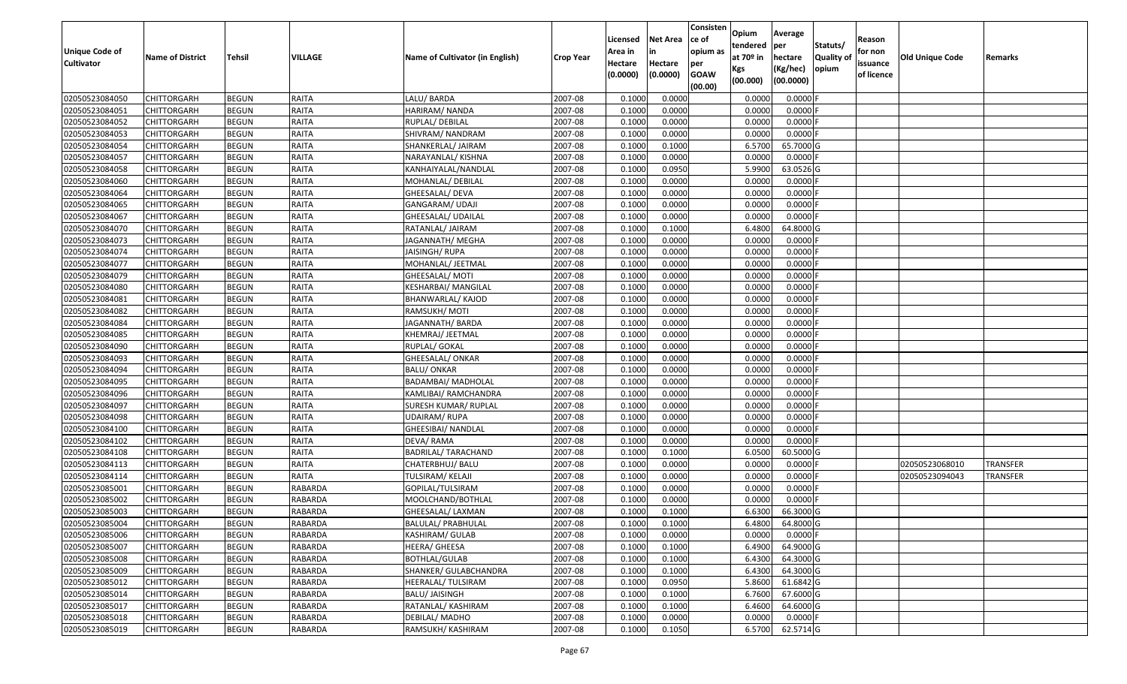| Unique Code of<br><b>Cultivator</b> | <b>Name of District</b> | Tehsil       | VILLAGE        | Name of Cultivator (in English) | <b>Crop Year</b> | Licensed<br>Area in<br>Hectare | <b>Net Area</b><br>in<br>Hectare | Consisten<br>ce of<br>opium as<br>per | Opium<br>tendered<br>at $70°$ in | Average<br>per<br>hectare | Statuts/<br><b>Quality o</b> | Reason<br>for non<br>issuance | Old Unique Code | Remarks         |
|-------------------------------------|-------------------------|--------------|----------------|---------------------------------|------------------|--------------------------------|----------------------------------|---------------------------------------|----------------------------------|---------------------------|------------------------------|-------------------------------|-----------------|-----------------|
|                                     |                         |              |                |                                 |                  | (0.0000)                       | (0.0000)                         | <b>GOAW</b><br>(00.00)                | Kgs<br>(00.000)                  | (Kg/hec)<br>(00.0000)     | opium                        | of licence                    |                 |                 |
| 02050523084050                      | CHITTORGARH             | <b>BEGUN</b> | RAITA          | LALU/BARDA                      | 2007-08          | 0.1000                         | 0.0000                           |                                       | 0.0000                           | 0.0000F                   |                              |                               |                 |                 |
| 02050523084051                      | CHITTORGARH             | <b>BEGUN</b> | RAITA          | HARIRAM/ NANDA                  | 2007-08          | 0.1000                         | 0.0000                           |                                       | 0.0000                           | 0.0000F                   |                              |                               |                 |                 |
| 02050523084052                      | CHITTORGARH             | <b>BEGUN</b> | <b>RAITA</b>   | RUPLAL/ DEBILAL                 | 2007-08          | 0.1000                         | 0.0000                           |                                       | 0.0000                           | 0.0000                    |                              |                               |                 |                 |
| 02050523084053                      | <b>CHITTORGARH</b>      | <b>BEGUN</b> | RAITA          | SHIVRAM/ NANDRAM                | 2007-08          | 0.1000                         | 0.0000                           |                                       | 0.0000                           | $0.0000$ F                |                              |                               |                 |                 |
| 02050523084054                      | CHITTORGARH             | <b>BEGUN</b> | RAITA          | SHANKERLAL/ JAIRAM              | 2007-08          | 0.1000                         | 0.1000                           |                                       | 6.5700                           | 65.7000 G                 |                              |                               |                 |                 |
| 02050523084057                      | CHITTORGARH             | <b>BEGUN</b> | RAITA          | NARAYANLAL/ KISHNA              | 2007-08          | 0.1000                         | 0.0000                           |                                       | 0.0000                           | $0.0000$ F                |                              |                               |                 |                 |
| 02050523084058                      | CHITTORGARH             | <b>BEGUN</b> | RAITA          | KANHAIYALAL/NANDLAL             | 2007-08          | 0.1000                         | 0.0950                           |                                       | 5.9900                           | 63.0526 G                 |                              |                               |                 |                 |
| 02050523084060                      | <b>CHITTORGARH</b>      | <b>BEGUN</b> | RAITA          | MOHANLAL/ DEBILAL               | 2007-08          | 0.1000                         | 0.0000                           |                                       | 0.0000                           | 0.0000F                   |                              |                               |                 |                 |
| 02050523084064                      | CHITTORGARH             | <b>BEGUN</b> | <b>RAITA</b>   | GHEESALAL/ DEVA                 | 2007-08          | 0.1000                         | 0.0000                           |                                       | 0.0000                           | 0.0000                    |                              |                               |                 |                 |
| 02050523084065                      | CHITTORGARH             | <b>BEGUN</b> | RAITA          | GANGARAM/ UDAJI                 | 2007-08          | 0.1000                         | 0.0000                           |                                       | 0.0000                           | 0.0000                    |                              |                               |                 |                 |
| 02050523084067                      | CHITTORGARH             | <b>BEGUN</b> | <b>RAITA</b>   | GHEESALAL/ UDAILAL              | 2007-08          | 0.1000                         | 0.0000                           |                                       | 0.0000                           | $0.0000$ F                |                              |                               |                 |                 |
| 02050523084070                      | <b>CHITTORGARH</b>      | <b>BEGUN</b> | <b>RAITA</b>   | RATANLAL/ JAIRAM                | 2007-08          | 0.1000                         | 0.1000                           |                                       | 6.4800                           | 64.8000 G                 |                              |                               |                 |                 |
| 02050523084073                      | <b>CHITTORGARH</b>      | <b>BEGUN</b> | RAITA          | JAGANNATH/MEGHA                 | 2007-08          | 0.1000                         | 0.0000                           |                                       | 0.0000                           | $0.0000$ F                |                              |                               |                 |                 |
| 02050523084074                      | CHITTORGARH             | <b>BEGUN</b> | <b>RAITA</b>   | JAISINGH/ RUPA                  | 2007-08          | 0.1000                         | 0.0000                           |                                       | 0.0000                           | $0.0000$ F                |                              |                               |                 |                 |
| 02050523084077                      | <b>CHITTORGARH</b>      | <b>BEGUN</b> | <b>RAITA</b>   | MOHANLAL/ JEETMAL               | 2007-08          | 0.1000                         | 0.0000                           |                                       | 0.0000                           | $0.0000$ F                |                              |                               |                 |                 |
| 02050523084079                      | CHITTORGARH             | <b>BEGUN</b> | <b>RAITA</b>   | GHEESALAL/ MOTI                 | 2007-08          | 0.1000                         | 0.0000                           |                                       | 0.0000                           | 0.0000                    |                              |                               |                 |                 |
| 02050523084080                      | CHITTORGARH             | <b>BEGUN</b> | RAITA          | KESHARBAI/ MANGILAL             | 2007-08          | 0.1000                         | 0.0000                           |                                       | 0.0000                           | 0.0000F                   |                              |                               |                 |                 |
| 02050523084081                      | CHITTORGARH             | <b>BEGUN</b> | <b>RAITA</b>   | BHANWARLAL/ KAJOD               | 2007-08          | 0.1000                         | 0.0000                           |                                       | 0.0000                           | 0.0000                    |                              |                               |                 |                 |
| 02050523084082                      | CHITTORGARH             | <b>BEGUN</b> | RAITA          | RAMSUKH/ MOTI                   | 2007-08          | 0.1000                         | 0.0000                           |                                       | 0.0000                           | 0.0000                    |                              |                               |                 |                 |
| 02050523084084                      | CHITTORGARH             | <b>BEGUN</b> | <b>RAITA</b>   | JAGANNATH/ BARDA                | 2007-08          | 0.1000                         | 0.0000                           |                                       | 0.0000                           | 0.0000                    |                              |                               |                 |                 |
| 02050523084085                      | CHITTORGARH             | <b>BEGUN</b> | RAITA          | KHEMRAJ/ JEETMAL                | 2007-08          | 0.1000                         | 0.0000                           |                                       | 0.0000                           | 0.0000                    |                              |                               |                 |                 |
| 02050523084090                      | CHITTORGARH             | <b>BEGUN</b> | RAITA          | RUPLAL/ GOKAL                   | 2007-08          | 0.1000                         | 0.0000                           |                                       | 0.0000                           | 0.0000                    |                              |                               |                 |                 |
| 02050523084093                      | CHITTORGARH             | <b>BEGUN</b> | RAITA          | GHEESALAL/ ONKAR                | 2007-08          | 0.1000                         | 0.0000                           |                                       | 0.0000                           | 0.0000                    |                              |                               |                 |                 |
| 02050523084094                      | CHITTORGARH             | <b>BEGUN</b> | <b>RAITA</b>   | BALU/ ONKAR                     | 2007-08          | 0.1000                         | 0.0000                           |                                       | 0.0000                           | 0.0000                    |                              |                               |                 |                 |
| 02050523084095                      | <b>CHITTORGARH</b>      | <b>BEGUN</b> | RAITA          | <b>BADAMBAI/ MADHOLAL</b>       | 2007-08          | 0.1000                         | 0.0000                           |                                       | 0.0000                           | 0.0000F                   |                              |                               |                 |                 |
| 02050523084096                      | CHITTORGARH             | <b>BEGUN</b> | RAITA          | KAMLIBAI/ RAMCHANDRA            | 2007-08          | 0.1000                         | 0.0000                           |                                       | 0.0000                           | 0.0000F                   |                              |                               |                 |                 |
| 02050523084097                      | CHITTORGARH             | <b>BEGUN</b> | RAITA          | SURESH KUMAR/ RUPLAL            | 2007-08          | 0.100                          | 0.0000                           |                                       | 0.0000                           | 0.0000F                   |                              |                               |                 |                 |
| 02050523084098                      | CHITTORGARH             | <b>BEGUN</b> | <b>RAITA</b>   | JDAIRAM/ RUPA                   | 2007-08          | 0.1000                         | 0.0000                           |                                       | 0.0000                           | 0.0000                    |                              |                               |                 |                 |
| 02050523084100                      | CHITTORGARH             | <b>BEGUN</b> | RAITA          | GHEESIBAI/ NANDLAL              | 2007-08          | 0.1000                         | 0.0000                           |                                       | 0.0000                           | 0.0000F                   |                              |                               |                 |                 |
| 02050523084102                      | CHITTORGARH             | <b>BEGUN</b> | RAITA          | DEVA/RAMA                       | 2007-08          | 0.1000                         | 0.0000                           |                                       | 0.0000                           | 0.0000                    |                              |                               |                 |                 |
| 02050523084108                      | CHITTORGARH             | <b>BEGUN</b> | RAITA          | BADRILAL/ TARACHAND             | 2007-08          | 0.1000                         | 0.1000                           |                                       | 6.0500                           | 60.5000 G                 |                              |                               |                 |                 |
| 02050523084113                      | CHITTORGARH             | <b>BEGUN</b> | RAITA          | CHATERBHUJ/ BALU                | 2007-08          | 0.1000                         | 0.0000                           |                                       | 0.0000                           | 0.0000                    |                              |                               | 02050523068010  | <b>TRANSFER</b> |
| 02050523084114                      | CHITTORGARH             | <b>BEGUN</b> | RAITA          | TULSIRAM/ KELAJI                | 2007-08          | 0.1000                         | 0.0000                           |                                       | 0.0000                           | 0.0000                    |                              |                               | 02050523094043  | <b>TRANSFER</b> |
| 02050523085001                      | CHITTORGARH             | <b>BEGUN</b> | RABARDA        | GOPILAL/TULSIRAM                | 2007-08          | 0.1000                         | 0.0000                           |                                       | 0.0000                           | 0.0000                    |                              |                               |                 |                 |
| 02050523085002                      | CHITTORGARH             | <b>BEGUN</b> | RABARDA        | MOOLCHAND/BOTHLAL               | 2007-08          | 0.1000                         | 0.0000                           |                                       | 0.0000                           | $0.0000$ F                |                              |                               |                 |                 |
| 02050523085003                      | CHITTORGARH             | <b>BEGUN</b> | RABARDA        | GHEESALAL/ LAXMAN               | 2007-08          | 0.1000                         | 0.1000                           |                                       | 6.6300                           | 66.3000 G                 |                              |                               |                 |                 |
| 02050523085004                      | <b>CHITTORGARH</b>      | <b>BEGUN</b> | <b>RABARDA</b> | <b>BALULAL/ PRABHULAL</b>       | 2007-08          | 0.1000                         | 0.1000                           |                                       | 6.4800                           | 64.8000 G                 |                              |                               |                 |                 |
| 02050523085006                      | <b>CHITTORGARH</b>      | <b>BEGUN</b> | RABARDA        | KASHIRAM/ GULAB                 | 2007-08          | 0.1000                         | 0.0000                           |                                       | 0.0000                           | $0.0000$ F                |                              |                               |                 |                 |
| 02050523085007                      | <b>CHITTORGARH</b>      | <b>BEGUN</b> | <b>RABARDA</b> | HEERA/ GHEESA                   | 2007-08          | 0.1000                         | 0.1000                           |                                       | 6.4900                           | 64.9000 G                 |                              |                               |                 |                 |
| 02050523085008                      | <b>CHITTORGARH</b>      | <b>BEGUN</b> | RABARDA        | BOTHLAL/GULAB                   | 2007-08          | 0.1000                         | 0.1000                           |                                       | 6.4300                           | 64.3000 G                 |                              |                               |                 |                 |
| 02050523085009                      | <b>CHITTORGARH</b>      | <b>BEGUN</b> | <b>RABARDA</b> | SHANKER/ GULABCHANDRA           | 2007-08          | 0.1000                         | 0.1000                           |                                       | 6.4300                           | 64.3000 G                 |                              |                               |                 |                 |
| 02050523085012                      | <b>CHITTORGARH</b>      | <b>BEGUN</b> | <b>RABARDA</b> | HEERALAL/ TULSIRAM              | 2007-08          | 0.1000                         | 0.0950                           |                                       | 5.8600                           | 61.6842 G                 |                              |                               |                 |                 |
| 02050523085014                      | <b>CHITTORGARH</b>      | <b>BEGUN</b> | <b>RABARDA</b> | <b>BALU/ JAISINGH</b>           | 2007-08          | 0.1000                         | 0.1000                           |                                       | 6.7600                           | 67.6000 G                 |                              |                               |                 |                 |
| 02050523085017                      | <b>CHITTORGARH</b>      | <b>BEGUN</b> | RABARDA        | RATANLAL/ KASHIRAM              | 2007-08          | 0.1000                         | 0.1000                           |                                       | 6.4600                           | 64.6000 G                 |                              |                               |                 |                 |
| 02050523085018                      | CHITTORGARH             | <b>BEGUN</b> | RABARDA        | DEBILAL/MADHO                   | 2007-08          | 0.1000                         | 0.0000                           |                                       | 0.0000                           | $0.0000$ F                |                              |                               |                 |                 |
| 02050523085019                      | <b>CHITTORGARH</b>      | <b>BEGUN</b> | RABARDA        | RAMSUKH/KASHIRAM                | 2007-08          | 0.1000                         | 0.1050                           |                                       | 6.5700                           | 62.5714 G                 |                              |                               |                 |                 |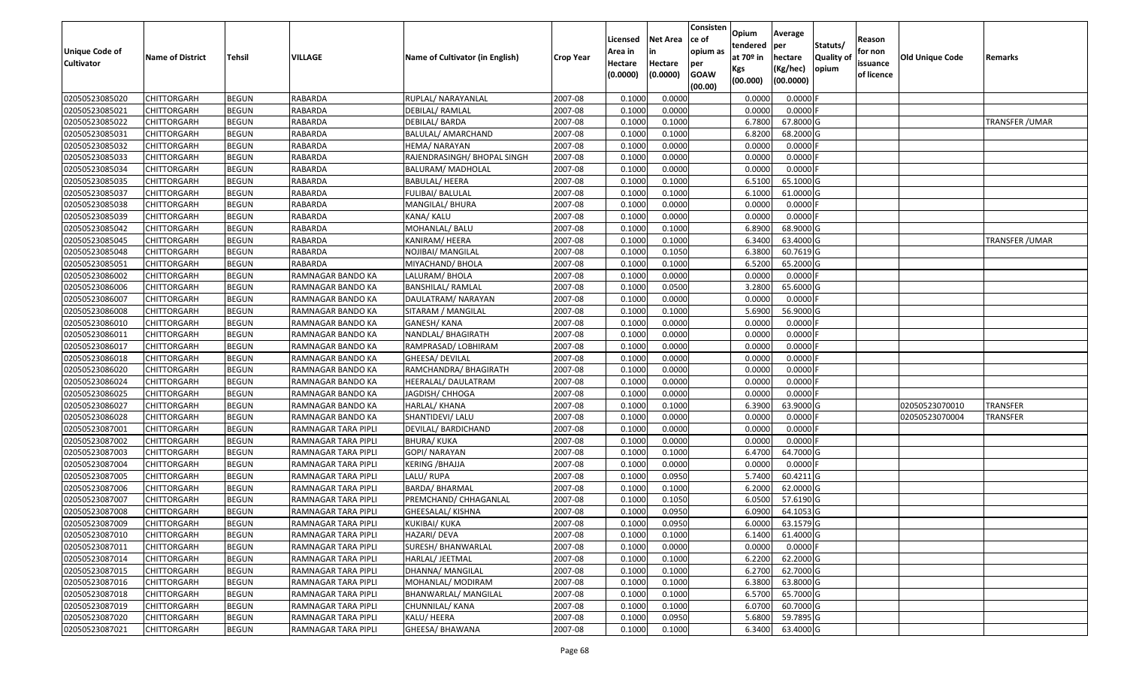| <b>Unique Code of</b><br><b>Cultivator</b> | <b>Name of District</b> | Tehsil       | VILLAGE             | Name of Cultivator (in English) | <b>Crop Year</b> | Licensed<br>Area in<br>Hectare | <b>Net Area</b><br>in<br>Hectare | Consisten<br>ce of<br>opium as<br>per<br><b>GOAW</b> | Opium<br>tendered<br>at $70°$ in<br>Kgs | Average<br>per<br>hectare<br>(Kg/hec) | Statuts/<br><b>Quality o</b><br>opium | Reason<br>for non<br>issuance | Old Unique Code | Remarks                |
|--------------------------------------------|-------------------------|--------------|---------------------|---------------------------------|------------------|--------------------------------|----------------------------------|------------------------------------------------------|-----------------------------------------|---------------------------------------|---------------------------------------|-------------------------------|-----------------|------------------------|
|                                            |                         |              |                     |                                 |                  | (0.0000)                       | (0.0000)                         | (00.00)                                              | (00.000)                                | (00.0000)                             |                                       | of licence                    |                 |                        |
| 02050523085020                             | CHITTORGARH             | <b>BEGUN</b> | RABARDA             | RUPLAL/ NARAYANLAL              | 2007-08          | 0.1000                         | 0.0000                           |                                                      | 0.0000                                  | 0.0000F                               |                                       |                               |                 |                        |
| 02050523085021                             | CHITTORGARH             | <b>BEGUN</b> | RABARDA             | DEBILAL/ RAMLAL                 | 2007-08          | 0.1000                         | 0.0000                           |                                                      | 0.0000                                  | $0.0000$ F                            |                                       |                               |                 |                        |
| 02050523085022                             | CHITTORGARH             | <b>BEGUN</b> | RABARDA             | DEBILAL/ BARDA                  | 2007-08          | 0.1000                         | 0.1000                           |                                                      | 6.7800                                  | 67.8000 G                             |                                       |                               |                 | <b>TRANSFER / UMAR</b> |
| 02050523085031                             | <b>CHITTORGARH</b>      | <b>BEGUN</b> | <b>RABARDA</b>      | BALULAL/ AMARCHAND              | 2007-08          | 0.1000                         | 0.1000                           |                                                      | 6.8200                                  | 68.2000 G                             |                                       |                               |                 |                        |
| 02050523085032                             | CHITTORGARH             | <b>BEGUN</b> | RABARDA             | HEMA/NARAYAN                    | 2007-08          | 0.1000                         | 0.0000                           |                                                      | 0.0000                                  | 0.0000                                |                                       |                               |                 |                        |
| 02050523085033                             | CHITTORGARH             | <b>BEGUN</b> | <b>RABARDA</b>      | RAJENDRASINGH/BHOPAL SINGH      | 2007-08          | 0.1000                         | 0.0000                           |                                                      | 0.0000                                  | 0.0000                                |                                       |                               |                 |                        |
| 02050523085034                             | CHITTORGARH             | <b>BEGUN</b> | RABARDA             | BALURAM/ MADHOLAL               | 2007-08          | 0.1000                         | 0.0000                           |                                                      | 0.0000                                  | 0.0000                                |                                       |                               |                 |                        |
| 02050523085035                             | CHITTORGARH             | <b>BEGUN</b> | RABARDA             | BABULAL/ HEERA                  | 2007-08          | 0.1000                         | 0.1000                           |                                                      | 6.5100                                  | 65.1000G                              |                                       |                               |                 |                        |
| 02050523085037                             | CHITTORGARH             | <b>BEGUN</b> | RABARDA             | FULIBAI/ BALULAL                | 2007-08          | 0.1000                         | 0.1000                           |                                                      | 6.1000                                  | 61.0000 G                             |                                       |                               |                 |                        |
| 02050523085038                             | CHITTORGARH             | <b>BEGUN</b> | RABARDA             | MANGILAL/ BHURA                 | 2007-08          | 0.1000                         | 0.0000                           |                                                      | 0.0000                                  | 0.0000F                               |                                       |                               |                 |                        |
| 02050523085039                             | CHITTORGARH             | <b>BEGUN</b> | RABARDA             | KANA/ KALU                      | 2007-08          | 0.1000                         | 0.0000                           |                                                      | 0.0000                                  | $0.0000$ F                            |                                       |                               |                 |                        |
| 02050523085042                             | <b>CHITTORGARH</b>      | <b>BEGUN</b> | RABARDA             | MOHANLAL/ BALU                  | 2007-08          | 0.1000                         | 0.1000                           |                                                      | 6.8900                                  | 68.9000 G                             |                                       |                               |                 |                        |
| 02050523085045                             | <b>CHITTORGARH</b>      | <b>BEGUN</b> | RABARDA             | KANIRAM/HEERA                   | 2007-08          | 0.1000                         | 0.1000                           |                                                      | 6.3400                                  | 63.4000 G                             |                                       |                               |                 | TRANSFER / UMAR        |
| 02050523085048                             | CHITTORGARH             | <b>BEGUN</b> | RABARDA             | NOJIBAI/ MANGILAL               | 2007-08          | 0.100                          | 0.1050                           |                                                      | 6.3800                                  | 60.7619 G                             |                                       |                               |                 |                        |
| 02050523085051                             | CHITTORGARH             | <b>BEGUN</b> | RABARDA             | MIYACHAND/ BHOLA                | 2007-08          | 0.1000                         | 0.1000                           |                                                      | 6.5200                                  | 65.2000 G                             |                                       |                               |                 |                        |
| 02050523086002                             | CHITTORGARH             | <b>BEGUN</b> | RAMNAGAR BANDO KA   | LALURAM/ BHOLA                  | 2007-08          | 0.1000                         | 0.0000                           |                                                      | 0.0000                                  | 0.0000F                               |                                       |                               |                 |                        |
| 02050523086006                             | CHITTORGARH             | <b>BEGUN</b> | RAMNAGAR BANDO KA   | <b>BANSHILAL/ RAMLAL</b>        | 2007-08          | 0.1000                         | 0.0500                           |                                                      | 3.2800                                  | 65.6000 G                             |                                       |                               |                 |                        |
| 02050523086007                             | CHITTORGARH             | <b>BEGUN</b> | RAMNAGAR BANDO KA   | DAULATRAM/ NARAYAN              | 2007-08          | 0.1000                         | 0.0000                           |                                                      | 0.0000                                  | 0.0000F                               |                                       |                               |                 |                        |
| 02050523086008                             | CHITTORGARH             | <b>BEGUN</b> | RAMNAGAR BANDO KA   | SITARAM / MANGILAL              | 2007-08          | 0.100                          | 0.1000                           |                                                      | 5.6900                                  | 56.9000 G                             |                                       |                               |                 |                        |
| 02050523086010                             | CHITTORGARH             | <b>BEGUN</b> | RAMNAGAR BANDO KA   | GANESH/ KANA                    | 2007-08          | 0.1000                         | 0.0000                           |                                                      | 0.0000                                  | 0.0000                                |                                       |                               |                 |                        |
| 02050523086011                             | CHITTORGARH             | <b>BEGUN</b> | RAMNAGAR BANDO KA   | NANDLAL/ BHAGIRATH              | 2007-08          | 0.1000                         | 0.0000                           |                                                      | 0.0000                                  | 0.0000                                |                                       |                               |                 |                        |
| 02050523086017                             | CHITTORGARH             | <b>BEGUN</b> | RAMNAGAR BANDO KA   | RAMPRASAD/ LOBHIRAM             | 2007-08          | 0.100                          | 0.0000                           |                                                      | 0.0000                                  | 0.0000                                |                                       |                               |                 |                        |
| 02050523086018                             | CHITTORGARH             | <b>BEGUN</b> | RAMNAGAR BANDO KA   | GHEESA/ DEVILAL                 | 2007-08          | 0.1000                         | 0.0000                           |                                                      | 0.0000                                  | 0.0000                                |                                       |                               |                 |                        |
| 02050523086020                             | CHITTORGARH             | <b>BEGUN</b> | RAMNAGAR BANDO KA   | RAMCHANDRA/ BHAGIRATH           | 2007-08          | 0.1000                         | 0.0000                           |                                                      | 0.0000                                  | 0.0000                                |                                       |                               |                 |                        |
| 02050523086024                             | <b>CHITTORGARH</b>      | <b>BEGUN</b> | RAMNAGAR BANDO KA   | HEERALAL/ DAULATRAM             | 2007-08          | 0.1000                         | 0.0000                           |                                                      | 0.0000                                  | 0.0000F                               |                                       |                               |                 |                        |
| 02050523086025                             | CHITTORGARH             | <b>BEGUN</b> | RAMNAGAR BANDO KA   | JAGDISH/ CHHOGA                 | 2007-08          | 0.1000                         | 0.0000                           |                                                      | 0.0000                                  | 0.0000F                               |                                       |                               |                 |                        |
| 02050523086027                             | CHITTORGARH             | <b>BEGUN</b> | RAMNAGAR BANDO KA   | HARLAL/ KHANA                   | 2007-08          | 0.1000                         | 0.1000                           |                                                      | 6.3900                                  | 63.9000 G                             |                                       |                               | 02050523070010  | <b>TRANSFER</b>        |
| 02050523086028                             | CHITTORGARH             | <b>BEGUN</b> | RAMNAGAR BANDO KA   | SHANTIDEVI/ LALU                | 2007-08          | 0.1000                         | 0.0000                           |                                                      | 0.0000                                  | 0.0000                                |                                       |                               | 02050523070004  | <b>TRANSFER</b>        |
| 02050523087001                             | CHITTORGARH             | <b>BEGUN</b> | RAMNAGAR TARA PIPLI | DEVILAL/ BARDICHAND             | 2007-08          | 0.1000                         | 0.0000                           |                                                      | 0.0000                                  | 0.0000F                               |                                       |                               |                 |                        |
| 02050523087002                             | CHITTORGARH             | <b>BEGUN</b> | RAMNAGAR TARA PIPLI | <b>BHURA/KUKA</b>               | 2007-08          | 0.1000                         | 0.0000                           |                                                      | 0.0000                                  | 0.0000                                |                                       |                               |                 |                        |
| 02050523087003                             | CHITTORGARH             | <b>BEGUN</b> | RAMNAGAR TARA PIPLI | GOPI/ NARAYAN                   | 2007-08          | 0.1000                         | 0.1000                           |                                                      | 6.4700                                  | 64.7000 G                             |                                       |                               |                 |                        |
| 02050523087004                             | CHITTORGARH             | <b>BEGUN</b> | RAMNAGAR TARA PIPLI | KERING /BHAJJA                  | 2007-08          | 0.1000                         | 0.0000                           |                                                      | 0.0000                                  | 0.0000                                |                                       |                               |                 |                        |
| 02050523087005                             | CHITTORGARH             | <b>BEGUN</b> | RAMNAGAR TARA PIPLI | LALU/RUPA                       | 2007-08          | 0.1000                         | 0.0950                           |                                                      | 5.7400                                  | 60.4211G                              |                                       |                               |                 |                        |
| 02050523087006                             | CHITTORGARH             | <b>BEGUN</b> | RAMNAGAR TARA PIPLI | BARDA/ BHARMAL                  | 2007-08          | 0.1000                         | 0.1000                           |                                                      | 6.2000                                  | 62.0000 G                             |                                       |                               |                 |                        |
| 02050523087007                             | CHITTORGARH             | <b>BEGUN</b> | RAMNAGAR TARA PIPLI | PREMCHAND/ CHHAGANLAL           | 2007-08          | 0.1000                         | 0.1050                           |                                                      | 6.0500                                  | 57.6190 G                             |                                       |                               |                 |                        |
| 02050523087008                             | CHITTORGARH             | <b>BEGUN</b> | RAMNAGAR TARA PIPLI | GHEESALAL/ KISHNA               | 2007-08          | 0.1000                         | 0.0950                           |                                                      | 6.0900                                  | 64.1053 G                             |                                       |                               |                 |                        |
| 02050523087009                             | <b>CHITTORGARH</b>      | <b>BEGUN</b> | RAMNAGAR TARA PIPLI | KUKIBAI/ KUKA                   | 2007-08          | 0.1000                         | 0.0950                           |                                                      | 6.0000                                  | 63.1579 G                             |                                       |                               |                 |                        |
| 02050523087010                             | <b>CHITTORGARH</b>      | <b>BEGUN</b> | RAMNAGAR TARA PIPLI | HAZARI/ DEVA                    | 2007-08          | 0.1000                         | 0.1000                           |                                                      | 6.1400                                  | 61.4000 G                             |                                       |                               |                 |                        |
| 02050523087011                             | <b>CHITTORGARH</b>      | <b>BEGUN</b> | RAMNAGAR TARA PIPLI | SURESH/ BHANWARLAL              | 2007-08          | 0.1000                         | 0.0000                           |                                                      | 0.0000                                  | $0.0000$ F                            |                                       |                               |                 |                        |
| 02050523087014                             | <b>CHITTORGARH</b>      | <b>BEGUN</b> | RAMNAGAR TARA PIPLI | HARLAL/ JEETMAL                 | 2007-08          | 0.1000                         | 0.1000                           |                                                      | 6.2200                                  | 62.2000 G                             |                                       |                               |                 |                        |
| 02050523087015                             | <b>CHITTORGARH</b>      | <b>BEGUN</b> | RAMNAGAR TARA PIPLI | DHANNA/ MANGILAL                | 2007-08          | 0.1000                         | 0.1000                           |                                                      | 6.2700                                  | 62.7000 G                             |                                       |                               |                 |                        |
| 02050523087016                             | <b>CHITTORGARH</b>      | <b>BEGUN</b> | RAMNAGAR TARA PIPLI | MOHANLAL/ MODIRAM               | 2007-08          | 0.1000                         | 0.1000                           |                                                      | 6.3800                                  | 63.8000 G                             |                                       |                               |                 |                        |
| 02050523087018                             | <b>CHITTORGARH</b>      | <b>BEGUN</b> | RAMNAGAR TARA PIPLI | BHANWARLAL/ MANGILAL            | 2007-08          | 0.1000                         | 0.1000                           |                                                      | 6.5700                                  | 65.7000 G                             |                                       |                               |                 |                        |
| 02050523087019                             | CHITTORGARH             | <b>BEGUN</b> | RAMNAGAR TARA PIPLI | CHUNNILAL/ KANA                 | 2007-08          | 0.1000                         | 0.1000                           |                                                      | 6.0700                                  | 60.7000 G                             |                                       |                               |                 |                        |
| 02050523087020                             | CHITTORGARH             | <b>BEGUN</b> | RAMNAGAR TARA PIPLI | KALU/ HEERA                     | 2007-08          | 0.1000                         | 0.0950                           |                                                      | 5.6800                                  | 59.7895 G                             |                                       |                               |                 |                        |
| 02050523087021                             | <b>CHITTORGARH</b>      | <b>BEGUN</b> | RAMNAGAR TARA PIPLI | GHEESA/ BHAWANA                 | 2007-08          | 0.1000                         | 0.1000                           |                                                      | 6.3400                                  | 63.4000 G                             |                                       |                               |                 |                        |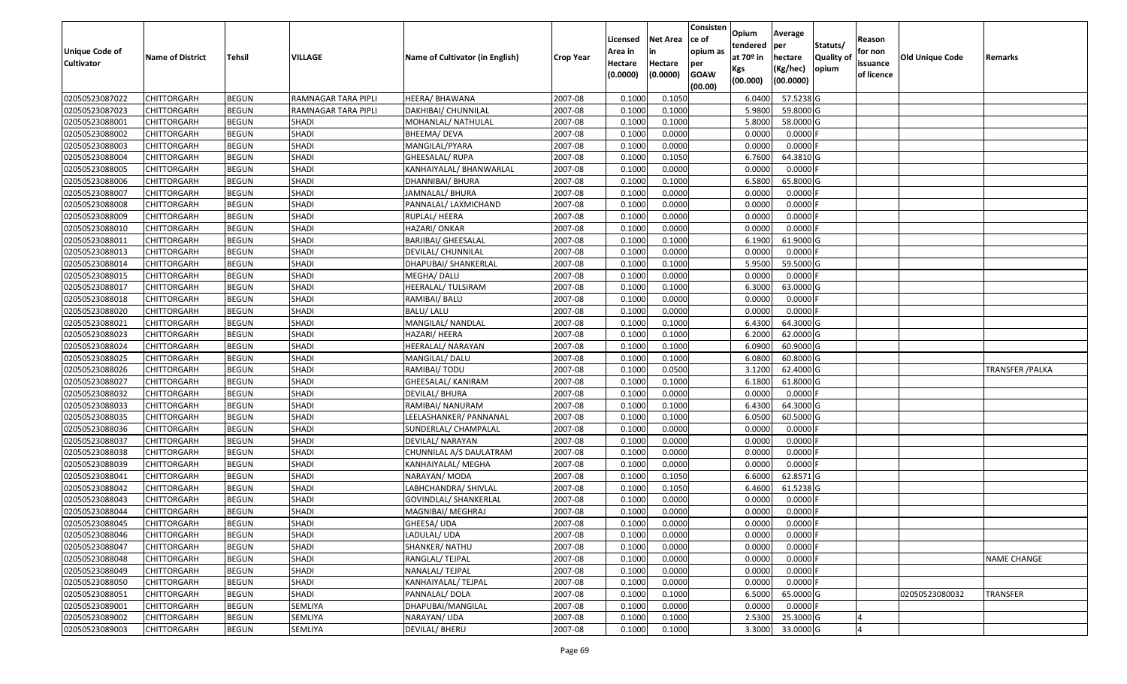| Unique Code of    | <b>Name of District</b> | Tehsil       | VILLAGE             | Name of Cultivator (in English) | <b>Crop Year</b> | Licensed<br>Area in | <b>Net Area</b><br>in | Consisten<br>ce of<br>opium as | Opium<br>tendered<br>at $70°$ in | Average<br>per<br>hectare | Statuts/<br><b>Quality o</b> | Reason<br>for non      | Old Unique Code | Remarks                 |
|-------------------|-------------------------|--------------|---------------------|---------------------------------|------------------|---------------------|-----------------------|--------------------------------|----------------------------------|---------------------------|------------------------------|------------------------|-----------------|-------------------------|
| <b>Cultivator</b> |                         |              |                     |                                 |                  | Hectare<br>(0.0000) | Hectare<br>(0.0000)   | per<br><b>GOAW</b><br>(00.00)  | Kgs<br>(00.000)                  | (Kg/hec)<br>(00.0000)     | opium                        | issuance<br>of licence |                 |                         |
| 02050523087022    | CHITTORGARH             | <b>BEGUN</b> | RAMNAGAR TARA PIPLI | HEERA/BHAWANA                   | 2007-08          | 0.1000              | 0.1050                |                                | 6.0400                           | 57.5238 G                 |                              |                        |                 |                         |
| 02050523087023    | CHITTORGARH             | <b>BEGUN</b> | RAMNAGAR TARA PIPLI | DAKHIBAI/ CHUNNILAL             | 2007-08          | 0.1000              | 0.1000                |                                | 5.9800                           | 59.8000 G                 |                              |                        |                 |                         |
| 02050523088001    | CHITTORGARH             | <b>BEGUN</b> | <b>SHADI</b>        | MOHANLAL/ NATHULAL              | 2007-08          | 0.1000              | 0.1000                |                                | 5.8000                           | 58.0000G                  |                              |                        |                 |                         |
| 02050523088002    | <b>CHITTORGARH</b>      | <b>BEGUN</b> | <b>SHADI</b>        | BHEEMA/ DEVA                    | 2007-08          | 0.1000              | 0.0000                |                                | 0.0000                           | $0.0000$ F                |                              |                        |                 |                         |
| 02050523088003    | CHITTORGARH             | <b>BEGUN</b> | SHADI               | MANGILAL/PYARA                  | 2007-08          | 0.1000              | 0.0000                |                                | 0.0000                           | 0.0000                    |                              |                        |                 |                         |
| 02050523088004    | CHITTORGARH             | <b>BEGUN</b> | SHADI               | GHEESALAL/ RUPA                 | 2007-08          | 0.1000              | 0.1050                |                                | 6.7600                           | 64.3810 G                 |                              |                        |                 |                         |
| 02050523088005    | CHITTORGARH             | <b>BEGUN</b> | SHADI               | KANHAIYALAL/ BHANWARLAL         | 2007-08          | 0.1000              | 0.0000                |                                | 0.0000                           | 0.0000                    |                              |                        |                 |                         |
| 02050523088006    | CHITTORGARH             | <b>BEGUN</b> | <b>SHADI</b>        | DHANNIBAI/ BHURA                | 2007-08          | 0.1000              | 0.1000                |                                | 6.5800                           | 65.8000 G                 |                              |                        |                 |                         |
| 02050523088007    | CHITTORGARH             | <b>BEGUN</b> | <b>SHADI</b>        | JAMNALAL/ BHURA                 | 2007-08          | 0.1000              | 0.0000                |                                | 0.0000                           | 0.0000                    |                              |                        |                 |                         |
| 02050523088008    | CHITTORGARH             | <b>BEGUN</b> | <b>SHADI</b>        | PANNALAL/ LAXMICHAND            | 2007-08          | 0.1000              | 0.0000                |                                | 0.0000                           | 0.0000                    |                              |                        |                 |                         |
| 02050523088009    | CHITTORGARH             | <b>BEGUN</b> | SHADI               | RUPLAL/ HEERA                   | 2007-08          | 0.1000              | 0.0000                |                                | 0.0000                           | 0.0000F                   |                              |                        |                 |                         |
| 02050523088010    | <b>CHITTORGARH</b>      | <b>BEGUN</b> | <b>SHADI</b>        | HAZARI/ ONKAR                   | 2007-08          | 0.1000              | 0.0000                |                                | 0.0000                           | 0.0000F                   |                              |                        |                 |                         |
| 02050523088011    | <b>CHITTORGARH</b>      | <b>BEGUN</b> | SHADI               | <b>BARJIBAI/ GHEESALAL</b>      | 2007-08          | 0.1000              | 0.1000                |                                | 6.1900                           | 61.9000G                  |                              |                        |                 |                         |
| 02050523088013    | <b>CHITTORGARH</b>      | <b>BEGUN</b> | <b>SHADI</b>        | DEVILAL/ CHUNNILAL              | 2007-08          | 0.1000              | 0.0000                |                                | 0.0000                           | $0.0000$ F                |                              |                        |                 |                         |
| 02050523088014    | CHITTORGARH             | <b>BEGUN</b> | SHADI               | DHAPUBAI/ SHANKERLAL            | 2007-08          | 0.1000              | 0.1000                |                                | 5.9500                           | 59.5000G                  |                              |                        |                 |                         |
| 02050523088015    | CHITTORGARH             | <b>BEGUN</b> | <b>SHADI</b>        | MEGHA/ DALU                     | 2007-08          | 0.1000              | 0.0000                |                                | 0.0000                           | 0.0000F                   |                              |                        |                 |                         |
| 02050523088017    | CHITTORGARH             | <b>BEGUN</b> | SHADI               | HEERALAL/ TULSIRAM              | 2007-08          | 0.1000              | 0.1000                |                                | 6.3000                           | 63.0000 G                 |                              |                        |                 |                         |
| 02050523088018    | CHITTORGARH             | <b>BEGUN</b> | SHADI               | RAMIBAI/ BALU                   | 2007-08          | 0.1000              | 0.0000                |                                | 0.0000                           | 0.0000                    |                              |                        |                 |                         |
| 02050523088020    | CHITTORGARH             | <b>BEGUN</b> | SHADI               | BALU/ LALU                      | 2007-08          | 0.1000              | 0.0000                |                                | 0.0000                           | 0.0000                    |                              |                        |                 |                         |
| 02050523088021    | CHITTORGARH             | <b>BEGUN</b> | <b>SHADI</b>        | MANGILAL/ NANDLAL               | 2007-08          | 0.1000              | 0.1000                |                                | 6.4300                           | 64.3000 G                 |                              |                        |                 |                         |
| 02050523088023    | CHITTORGARH             | <b>BEGUN</b> | SHADI               | HAZARI/ HEERA                   | 2007-08          | 0.1000              | 0.1000                |                                | 6.2000                           | 62.0000G                  |                              |                        |                 |                         |
| 02050523088024    | CHITTORGARH             | <b>BEGUN</b> | <b>SHADI</b>        | HEERALAL/ NARAYAN               | 2007-08          | 0.1000              | 0.1000                |                                | 6.090                            | 60.9000 G                 |                              |                        |                 |                         |
| 02050523088025    | CHITTORGARH             | <b>BEGUN</b> | SHADI               | MANGILAL/DALU                   | 2007-08          | 0.1000              | 0.1000                |                                | 6.0800                           | 60.8000 G                 |                              |                        |                 |                         |
| 02050523088026    | CHITTORGARH             | <b>BEGUN</b> | <b>SHADI</b>        | RAMIBAI/ TODU                   | 2007-08          | 0.1000              | 0.0500                |                                | 3.1200                           | 62.4000 G                 |                              |                        |                 | <b>TRANSFER / PALKA</b> |
| 02050523088027    | <b>CHITTORGARH</b>      | <b>BEGUN</b> | <b>SHADI</b>        | <b>GHEESALAL/ KANIRAM</b>       | 2007-08          | 0.1000              | 0.1000                |                                | 6.1800                           | 61.8000G                  |                              |                        |                 |                         |
| 02050523088032    | CHITTORGARH             | <b>BEGUN</b> | SHADI               | DEVILAL/ BHURA                  | 2007-08          | 0.1000              | 0.0000                |                                | 0.0000                           | $0.0000$ F                |                              |                        |                 |                         |
| 02050523088033    | CHITTORGARH             | <b>BEGUN</b> | SHADI               | RAMIBAI/ NANURAM                | 2007-08          | 0.1000              | 0.1000                |                                | 6.4300                           | 64.3000 G                 |                              |                        |                 |                         |
| 02050523088035    | CHITTORGARH             | <b>BEGUN</b> | <b>SHADI</b>        | LEELASHANKER/ PANNANAL          | 2007-08          | 0.1000              | 0.1000                |                                | 6.0500                           | 60.5000 G                 |                              |                        |                 |                         |
| 02050523088036    | CHITTORGARH             | <b>BEGUN</b> | <b>SHADI</b>        | SUNDERLAL/ CHAMPALAL            | 2007-08          | 0.1000              | 0.0000                |                                | 0.0000                           | 0.0000F                   |                              |                        |                 |                         |
| 02050523088037    | CHITTORGARH             | <b>BEGUN</b> | SHADI               | DEVILAL/ NARAYAN                | 2007-08          | 0.1000              | 0.0000                |                                | 0.0000                           | 0.0000                    |                              |                        |                 |                         |
| 02050523088038    | CHITTORGARH             | <b>BEGUN</b> | SHADI               | CHUNNILAL A/S DAULATRAM         | 2007-08          | 0.1000              | 0.0000                |                                | 0.0000                           | 0.0000                    |                              |                        |                 |                         |
| 02050523088039    | CHITTORGARH             | <b>BEGUN</b> | <b>SHADI</b>        | KANHAIYALAL/ MEGHA              | 2007-08          | 0.1000              | 0.0000                |                                | 0.0000                           | 0.0000                    |                              |                        |                 |                         |
| 02050523088041    | CHITTORGARH             | <b>BEGUN</b> | <b>SHADI</b>        | NARAYAN/ MODA                   | 2007-08          | 0.1000              | 0.1050                |                                | 6.6000                           | 62.8571 G                 |                              |                        |                 |                         |
| 02050523088042    | CHITTORGARH             | <b>BEGUN</b> | SHADI               | LABHCHANDRA/ SHIVLAL            | 2007-08          | 0.1000              | 0.1050                |                                | 6.4600                           | 61.5238 G                 |                              |                        |                 |                         |
| 02050523088043    | CHITTORGARH             | <b>BEGUN</b> | SHADI               | GOVINDLAL/ SHANKERLAL           | 2007-08          | 0.1000              | 0.0000                |                                | 0.0000                           | 0.0000F                   |                              |                        |                 |                         |
| 02050523088044    | CHITTORGARH             | <b>BEGUN</b> | <b>SHADI</b>        | MAGNIBAI/ MEGHRAJ               | 2007-08          | 0.1000              | 0.0000                |                                | 0.0000                           | 0.0000                    |                              |                        |                 |                         |
| 02050523088045    | <b>CHITTORGARH</b>      | <b>BEGUN</b> | SHADI               | GHEESA/ UDA                     | 2007-08          | 0.1000              | 0.0000                |                                | 0.0000                           | $0.0000$ F                |                              |                        |                 |                         |
| 02050523088046    | <b>CHITTORGARH</b>      | <b>BEGUN</b> | <b>SHADI</b>        | LADULAL/ UDA                    | 2007-08          | 0.1000              | 0.0000                |                                | 0.0000                           | $0.0000$ F                |                              |                        |                 |                         |
| 02050523088047    | <b>CHITTORGARH</b>      | <b>BEGUN</b> | SHADI               | SHANKER/ NATHU                  | 2007-08          | 0.1000              | 0.0000                |                                | 0.0000                           | 0.0000F                   |                              |                        |                 |                         |
| 02050523088048    | <b>CHITTORGARH</b>      | <b>BEGUN</b> | SHADI               | RANGLAL/ TEJPAL                 | 2007-08          | 0.1000              | 0.0000                |                                | 0.0000                           | $0.0000$ F                |                              |                        |                 | <b>NAME CHANGE</b>      |
| 02050523088049    | <b>CHITTORGARH</b>      | <b>BEGUN</b> | <b>SHADI</b>        | NANALAL/ TEJPAL                 | 2007-08          | 0.1000              | 0.0000                |                                | 0.0000                           | $0.0000$ F                |                              |                        |                 |                         |
| 02050523088050    | <b>CHITTORGARH</b>      | <b>BEGUN</b> | SHADI               | KANHAIYALAL/ TEJPAL             | 2007-08          | 0.1000              | 0.0000                |                                | 0.0000                           | 0.0000                    |                              |                        |                 |                         |
| 02050523088051    | <b>CHITTORGARH</b>      | <b>BEGUN</b> | SHADI               | PANNALAL/DOLA                   | 2007-08          | 0.1000              | 0.1000                |                                | 6.5000                           | 65.0000G                  |                              |                        | 02050523080032  | <b>TRANSFER</b>         |
| 02050523089001    | CHITTORGARH             | <b>BEGUN</b> | SEMLIYA             | DHAPUBAI/MANGILAL               | 2007-08          | 0.1000              | 0.0000                |                                | 0.0000                           | $0.0000$ F                |                              |                        |                 |                         |
| 02050523089002    | CHITTORGARH             | <b>BEGUN</b> | SEMLIYA             | NARAYAN/ UDA                    | 2007-08          | 0.1000              | 0.1000                |                                | 2.5300                           | 25.3000 G                 |                              |                        |                 |                         |
| 02050523089003    | <b>CHITTORGARH</b>      | <b>BEGUN</b> | SEMLIYA             | DEVILAL/ BHERU                  | 2007-08          | 0.1000              | 0.1000                |                                | 3.3000                           | 33.0000 G                 |                              |                        |                 |                         |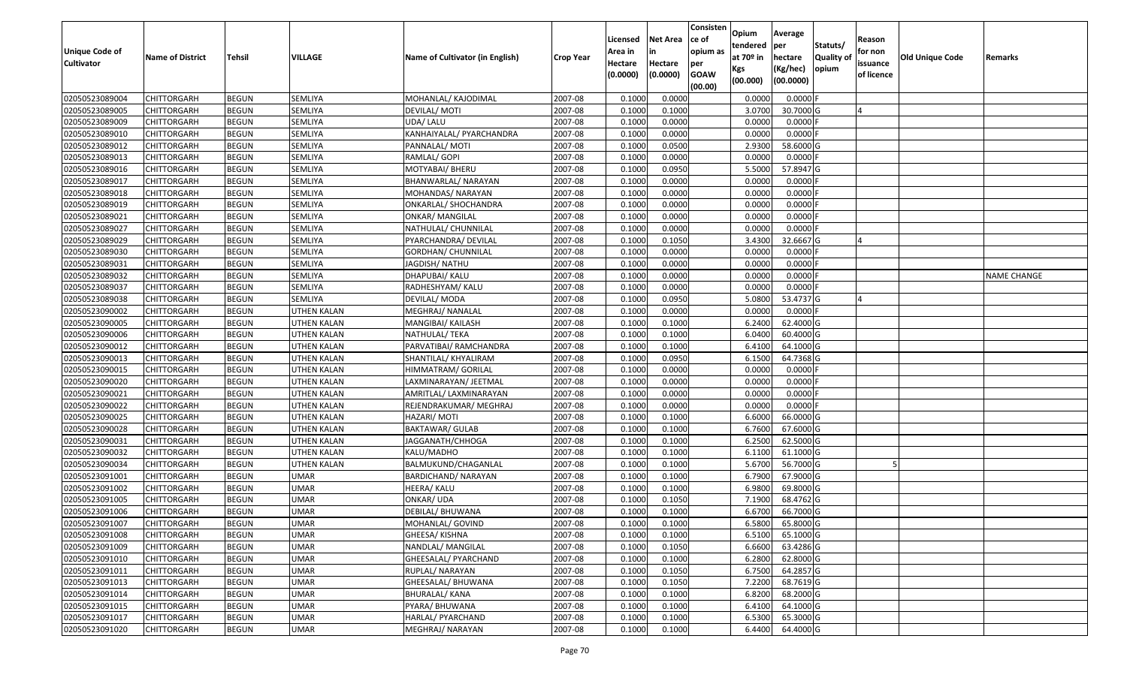| Unique Code of<br><b>Cultivator</b> | <b>Name of District</b> | Tehsil                       | VILLAGE            | Name of Cultivator (in English) | <b>Crop Year</b>   | Licensed<br>Area in<br>Hectare<br>(0.0000) | <b>Net Area</b><br>in<br>Hectare<br>(0.0000) | Consisten<br>ce of<br>opium as<br>per<br><b>GOAW</b> | Opium<br>tendered<br>at $70°$ in<br>Kgs<br>(00.000) | Average<br>per<br>hectare<br>(Kg/hec)<br>(00.0000) | Statuts/<br><b>Quality o</b><br>opium | Reason<br>for non<br>issuance<br>of licence | Old Unique Code | Remarks            |
|-------------------------------------|-------------------------|------------------------------|--------------------|---------------------------------|--------------------|--------------------------------------------|----------------------------------------------|------------------------------------------------------|-----------------------------------------------------|----------------------------------------------------|---------------------------------------|---------------------------------------------|-----------------|--------------------|
| 02050523089004                      | CHITTORGARH             |                              |                    | MOHANLAL/ KAJODIMAL             |                    | 0.1000                                     | 0.0000                                       | (00.00)                                              | 0.000                                               | 0.0000F                                            |                                       |                                             |                 |                    |
| 02050523089005                      | CHITTORGARH             | <b>BEGUN</b>                 | SEMLIYA<br>SEMLIYA |                                 | 2007-08            | 0.1000                                     | 0.1000                                       |                                                      | 3.0700                                              | 30.7000 G                                          |                                       |                                             |                 |                    |
| 02050523089009                      | CHITTORGARH             | <b>BEGUN</b><br><b>BEGUN</b> | SEMLIYA            | DEVILAL/ MOTI<br>JDA/ LALU      | 2007-08<br>2007-08 | 0.1000                                     | 0.0000                                       |                                                      | 0.0000                                              | 0.0000                                             |                                       |                                             |                 |                    |
| 02050523089010                      | <b>CHITTORGARH</b>      | <b>BEGUN</b>                 | SEMLIYA            | KANHAIYALAL/ PYARCHANDRA        | 2007-08            | 0.1000                                     | 0.0000                                       |                                                      | 0.0000                                              | $0.0000$ F                                         |                                       |                                             |                 |                    |
| 02050523089012                      | CHITTORGARH             | <b>BEGUN</b>                 | <b>SEMLIYA</b>     | PANNALAL/ MOTI                  | 2007-08            | 0.1000                                     | 0.0500                                       |                                                      | 2.9300                                              | 58.6000 G                                          |                                       |                                             |                 |                    |
| 02050523089013                      | CHITTORGARH             | <b>BEGUN</b>                 | SEMLIYA            | RAMLAL/ GOPI                    | 2007-08            | 0.1000                                     | 0.0000                                       |                                                      | 0.0000                                              | $0.0000$ F                                         |                                       |                                             |                 |                    |
| 02050523089016                      | CHITTORGARH             | <b>BEGUN</b>                 | SEMLIYA            | MOTYABAI/ BHERU                 | 2007-08            | 0.1000                                     | 0.0950                                       |                                                      | 5.5000                                              | 57.8947 G                                          |                                       |                                             |                 |                    |
| 02050523089017                      | CHITTORGARH             | <b>BEGUN</b>                 | SEMLIYA            | BHANWARLAL/ NARAYAN             | 2007-08            | 0.1000                                     | 0.0000                                       |                                                      | 0.0000                                              | 0.0000F                                            |                                       |                                             |                 |                    |
| 02050523089018                      | CHITTORGARH             | <b>BEGUN</b>                 | <b>SEMLIYA</b>     | MOHANDAS/ NARAYAN               | 2007-08            | 0.1000                                     | 0.0000                                       |                                                      | 0.0000                                              | 0.0000                                             |                                       |                                             |                 |                    |
| 02050523089019                      | CHITTORGARH             | <b>BEGUN</b>                 | SEMLIYA            | ONKARLAL/ SHOCHANDRA            | 2007-08            | 0.1000                                     | 0.0000                                       |                                                      | 0.0000                                              | 0.0000                                             |                                       |                                             |                 |                    |
| 02050523089021                      | CHITTORGARH             | <b>BEGUN</b>                 | SEMLIYA            | ONKAR/ MANGILAL                 | 2007-08            | 0.1000                                     | 0.0000                                       |                                                      | 0.0000                                              | 0.0000F                                            |                                       |                                             |                 |                    |
| 02050523089027                      | CHITTORGARH             | <b>BEGUN</b>                 | <b>SEMLIYA</b>     | NATHULAL/ CHUNNILAL             | 2007-08            | 0.1000                                     | 0.0000                                       |                                                      | 0.0000                                              | 0.0000F                                            |                                       |                                             |                 |                    |
| 02050523089029                      | <b>CHITTORGARH</b>      | <b>BEGUN</b>                 | <b>SEMLIYA</b>     | PYARCHANDRA/ DEVILAL            | 2007-08            | 0.1000                                     | 0.1050                                       |                                                      | 3.4300                                              | 32.6667 G                                          |                                       |                                             |                 |                    |
| 02050523089030                      | <b>CHITTORGARH</b>      | <b>BEGUN</b>                 | <b>SEMLIYA</b>     | GORDHAN/ CHUNNILAL              | 2007-08            | 0.1000                                     | 0.0000                                       |                                                      | 0.0000                                              | 0.0000F                                            |                                       |                                             |                 |                    |
| 02050523089031                      | CHITTORGARH             | <b>BEGUN</b>                 | <b>SEMLIYA</b>     | JAGDISH/ NATHU                  | 2007-08            | 0.1000                                     | 0.0000                                       |                                                      | 0.0000                                              | $0.0000$ F                                         |                                       |                                             |                 |                    |
| 02050523089032                      | CHITTORGARH             | <b>BEGUN</b>                 | <b>SEMLIYA</b>     | DHAPUBAI/ KALU                  | 2007-08            | 0.1000                                     | 0.0000                                       |                                                      | 0.0000                                              | 0.0000                                             |                                       |                                             |                 | <b>NAME CHANGE</b> |
| 02050523089037                      | CHITTORGARH             | <b>BEGUN</b>                 | SEMLIYA            | RADHESHYAM/ KALU                | 2007-08            | 0.1000                                     | 0.0000                                       |                                                      | 0.0000                                              | $0.0000$ F                                         |                                       |                                             |                 |                    |
| 02050523089038                      | CHITTORGARH             | <b>BEGUN</b>                 | SEMLIYA            | DEVILAL/ MODA                   | 2007-08            | 0.1000                                     | 0.0950                                       |                                                      | 5.0800                                              | 53.4737 G                                          |                                       |                                             |                 |                    |
| 02050523090002                      | CHITTORGARH             | <b>BEGUN</b>                 | <b>UTHEN KALAN</b> | MEGHRAJ/ NANALAL                | 2007-08            | 0.1000                                     | 0.0000                                       |                                                      | 0.0000                                              | 0.0000F                                            |                                       |                                             |                 |                    |
| 02050523090005                      | CHITTORGARH             | <b>BEGUN</b>                 | <b>UTHEN KALAN</b> | MANGIBAI/ KAILASH               | 2007-08            | 0.1000                                     | 0.1000                                       |                                                      | 6.2400                                              | 62.4000 G                                          |                                       |                                             |                 |                    |
| 02050523090006                      | CHITTORGARH             | <b>BEGUN</b>                 | <b>UTHEN KALAN</b> | NATHULAL/ TEKA                  | 2007-08            | 0.1000                                     | 0.1000                                       |                                                      | 6.0400                                              | 60.4000 G                                          |                                       |                                             |                 |                    |
| 02050523090012                      | CHITTORGARH             | <b>BEGUN</b>                 | <b>UTHEN KALAN</b> | PARVATIBAI/ RAMCHANDRA          | 2007-08            | 0.1000                                     | 0.1000                                       |                                                      | 6.4100                                              | 64.1000 G                                          |                                       |                                             |                 |                    |
| 02050523090013                      | CHITTORGARH             | <b>BEGUN</b>                 | UTHEN KALAN        | SHANTILAL/ KHYALIRAM            | 2007-08            | 0.1000                                     | 0.0950                                       |                                                      | 6.1500                                              | 64.7368 G                                          |                                       |                                             |                 |                    |
| 02050523090015                      | CHITTORGARH             | <b>BEGUN</b>                 | <b>UTHEN KALAN</b> | HIMMATRAM/ GORILAL              | 2007-08            | 0.1000                                     | 0.0000                                       |                                                      | 0.0000                                              | 0.0000                                             |                                       |                                             |                 |                    |
| 02050523090020                      | <b>CHITTORGARH</b>      | <b>BEGUN</b>                 | <b>UTHEN KALAN</b> | LAXMINARAYAN/ JEETMAL           | 2007-08            | 0.1000                                     | 0.0000                                       |                                                      | 0.0000                                              | 0.0000F                                            |                                       |                                             |                 |                    |
| 02050523090021                      | CHITTORGARH             | <b>BEGUN</b>                 | UTHEN KALAN        | AMRITLAL/ LAXMINARAYAN          | 2007-08            | 0.1000                                     | 0.0000                                       |                                                      | 0.0000                                              | 0.0000F                                            |                                       |                                             |                 |                    |
| 02050523090022                      | CHITTORGARH             | <b>BEGUN</b>                 | UTHEN KALAN        | REJENDRAKUMAR/ MEGHRAJ          | 2007-08            | 0.1000                                     | 0.0000                                       |                                                      | 0.0000                                              | 0.0000F                                            |                                       |                                             |                 |                    |
| 02050523090025                      | CHITTORGARH             | <b>BEGUN</b>                 | <b>UTHEN KALAN</b> | HAZARI/ MOTI                    | 2007-08            | 0.1000                                     | 0.1000                                       |                                                      | 6.6000                                              | 66.0000 G                                          |                                       |                                             |                 |                    |
| 02050523090028                      | CHITTORGARH             | <b>BEGUN</b>                 | <b>UTHEN KALAN</b> | <b>BAKTAWAR/ GULAB</b>          | 2007-08            | 0.1000                                     | 0.1000                                       |                                                      | 6.7600                                              | 67.6000 G                                          |                                       |                                             |                 |                    |
| 02050523090031                      | CHITTORGARH             | <b>BEGUN</b>                 | <b>UTHEN KALAN</b> | JAGGANATH/CHHOGA                | 2007-08            | 0.1000                                     | 0.1000                                       |                                                      | 6.2500                                              | 62.5000 G                                          |                                       |                                             |                 |                    |
| 02050523090032                      | CHITTORGARH             | <b>BEGUN</b>                 | <b>UTHEN KALAN</b> | KALU/MADHO                      | 2007-08            | 0.1000                                     | 0.1000                                       |                                                      | 6.1100                                              | 61.1000G                                           |                                       |                                             |                 |                    |
| 02050523090034                      | CHITTORGARH             | <b>BEGUN</b>                 | <b>UTHEN KALAN</b> | BALMUKUND/CHAGANLAL             | 2007-08            | 0.1000                                     | 0.1000                                       |                                                      | 5.6700                                              | 56.7000 G                                          |                                       |                                             |                 |                    |
| 02050523091001                      | CHITTORGARH             | <b>BEGUN</b>                 | <b>UMAR</b>        | BARDICHAND/ NARAYAN             | 2007-08            | 0.1000                                     | 0.1000                                       |                                                      | 6.7900                                              | 67.9000G                                           |                                       |                                             |                 |                    |
| 02050523091002                      | CHITTORGARH             | <b>BEGUN</b>                 | <b>UMAR</b>        | HEERA/ KALU                     | 2007-08            | 0.1000                                     | 0.1000                                       |                                                      | 6.9800                                              | 69.8000 G                                          |                                       |                                             |                 |                    |
| 02050523091005                      | CHITTORGARH             | <b>BEGUN</b>                 | <b>UMAR</b>        | ONKAR/ UDA                      | 2007-08            | 0.1000                                     | 0.1050                                       |                                                      | 7.1900                                              | 68.4762 G                                          |                                       |                                             |                 |                    |
| 02050523091006                      | CHITTORGARH             | <b>BEGUN</b>                 | <b>UMAR</b>        | DEBILAL/ BHUWANA                | 2007-08            | 0.1000                                     | 0.1000                                       |                                                      | 6.6700                                              | 66.7000 G                                          |                                       |                                             |                 |                    |
| 02050523091007                      | <b>CHITTORGARH</b>      | <b>BEGUN</b>                 | <b>UMAR</b>        | MOHANLAL/ GOVIND                | 2007-08            | 0.1000                                     | 0.1000                                       |                                                      | 6.5800                                              | 65.8000 G                                          |                                       |                                             |                 |                    |
| 02050523091008                      | <b>CHITTORGARH</b>      | <b>BEGUN</b>                 | <b>UMAR</b>        | GHEESA/ KISHNA                  | 2007-08            | 0.1000                                     | 0.1000                                       |                                                      | 6.5100                                              | 65.1000 G                                          |                                       |                                             |                 |                    |
| 02050523091009                      | <b>CHITTORGARH</b>      | <b>BEGUN</b>                 | <b>UMAR</b>        | NANDLAL/ MANGILAL               | 2007-08            | 0.1000                                     | 0.1050                                       |                                                      | 6.6600                                              | 63.4286 G                                          |                                       |                                             |                 |                    |
| 02050523091010                      | <b>CHITTORGARH</b>      | <b>BEGUN</b>                 | <b>UMAR</b>        | GHEESALAL/ PYARCHAND            | 2007-08            | 0.1000                                     | 0.1000                                       |                                                      | 6.2800                                              | 62.8000 G                                          |                                       |                                             |                 |                    |
| 02050523091011                      | <b>CHITTORGARH</b>      | <b>BEGUN</b>                 | <b>UMAR</b>        | RUPLAL/ NARAYAN                 | 2007-08            | 0.1000                                     | 0.1050                                       |                                                      | 6.7500                                              | 64.2857 G                                          |                                       |                                             |                 |                    |
| 02050523091013                      | <b>CHITTORGARH</b>      | <b>BEGUN</b>                 | <b>UMAR</b>        | GHEESALAL/ BHUWANA              | 2007-08            | 0.1000                                     | 0.1050                                       |                                                      | 7.2200                                              | 68.7619 G                                          |                                       |                                             |                 |                    |
| 02050523091014                      | <b>CHITTORGARH</b>      | <b>BEGUN</b>                 | UMAR               | <b>BHURALAL/ KANA</b>           | 2007-08            | 0.1000                                     | 0.1000                                       |                                                      | 6.8200                                              | 68.2000 G                                          |                                       |                                             |                 |                    |
| 02050523091015                      | <b>CHITTORGARH</b>      | <b>BEGUN</b>                 | <b>UMAR</b>        | PYARA/ BHUWANA                  | 2007-08            | 0.1000                                     | 0.1000                                       |                                                      | 6.4100                                              | 64.1000 G                                          |                                       |                                             |                 |                    |
| 02050523091017                      | CHITTORGARH             | <b>BEGUN</b>                 | UMAR               | HARLAL/ PYARCHAND               | 2007-08            | 0.1000                                     | 0.1000                                       |                                                      | 6.5300                                              | 65.3000 G                                          |                                       |                                             |                 |                    |
| 02050523091020                      | <b>CHITTORGARH</b>      | <b>BEGUN</b>                 | <b>UMAR</b>        | MEGHRAJ/ NARAYAN                | 2007-08            | 0.1000                                     | 0.1000                                       |                                                      | 6.4400                                              | 64.4000 G                                          |                                       |                                             |                 |                    |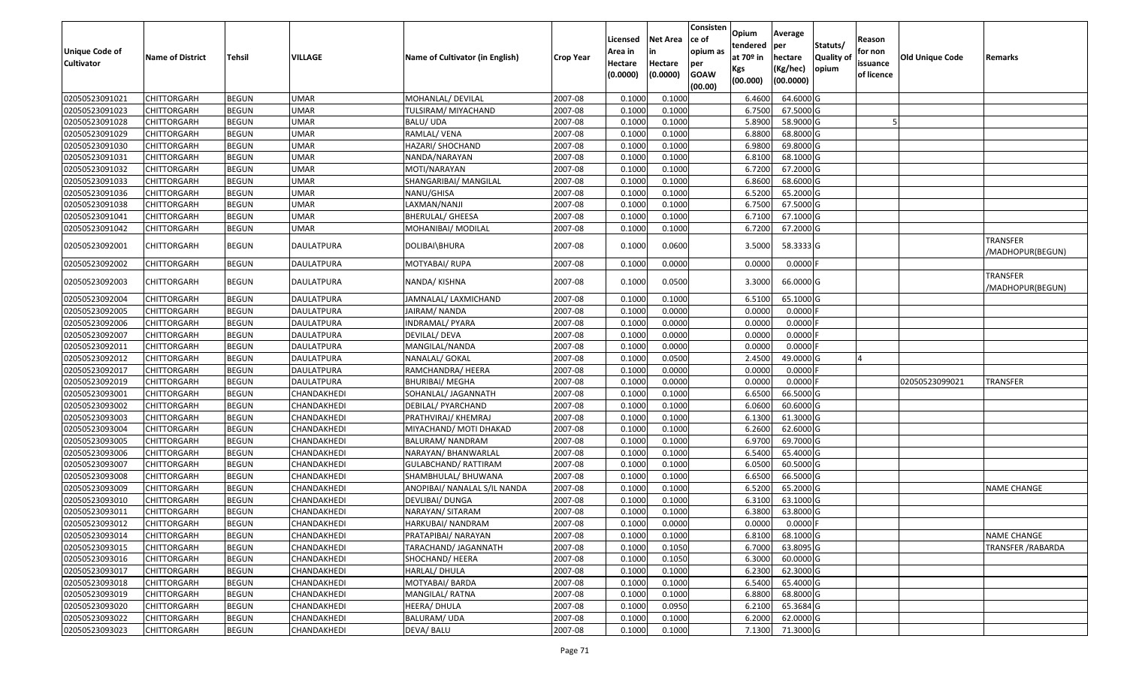| <b>Unique Code of</b> | <b>Name of District</b> | Tehsil       | VILLAGE           | Name of Cultivator (in English) | <b>Crop Year</b> | Licensed<br>Area in | <b>Net Area</b><br>in | Consisten<br>ce of<br>opium as | Opium<br>tendered<br>at $70°$ in | Average<br>per<br>hectare | Statuts/<br><b>Quality o</b> | Reason<br>for non      | Old Unique Code | Remarks                             |
|-----------------------|-------------------------|--------------|-------------------|---------------------------------|------------------|---------------------|-----------------------|--------------------------------|----------------------------------|---------------------------|------------------------------|------------------------|-----------------|-------------------------------------|
| <b>Cultivator</b>     |                         |              |                   |                                 |                  | Hectare<br>(0.0000) | Hectare<br>(0.0000)   | per<br><b>GOAW</b><br>(00.00)  | Kgs<br>(00.000)                  | (Kg/hec)<br>(00.0000)     | opium                        | issuance<br>of licence |                 |                                     |
| 02050523091021        | CHITTORGARH             | <b>BEGUN</b> | <b>UMAR</b>       | MOHANLAL/ DEVILAL               | 2007-08          | 0.1000              | 0.1000                |                                | 6.4600                           | 64.6000 G                 |                              |                        |                 |                                     |
| 02050523091023        | CHITTORGARH             | <b>BEGUN</b> | <b>UMAR</b>       | TULSIRAM/ MIYACHAND             | 2007-08          | 0.1000              | 0.1000                |                                | 6.7500                           | 67.5000 G                 |                              |                        |                 |                                     |
| 02050523091028        | CHITTORGARH             | <b>BEGUN</b> | <b>UMAR</b>       | BALU/ UDA                       | 2007-08          | 0.1000              | 0.1000                |                                | 5.8900                           | 58.9000 G                 |                              |                        |                 |                                     |
| 02050523091029        | <b>CHITTORGARH</b>      | <b>BEGUN</b> | <b>UMAR</b>       | RAMLAL/ VENA                    | 2007-08          | 0.1000              | 0.1000                |                                | 6.8800                           | 68.8000 G                 |                              |                        |                 |                                     |
| 02050523091030        | CHITTORGARH             | <b>BEGUN</b> | <b>UMAR</b>       | HAZARI/ SHOCHAND                | 2007-08          | 0.1000              | 0.1000                |                                | 6.9800                           | 69.8000 G                 |                              |                        |                 |                                     |
| 02050523091031        | CHITTORGARH             | <b>BEGUN</b> | <b>UMAR</b>       | NANDA/NARAYAN                   | 2007-08          | 0.1000              | 0.1000                |                                | 6.8100                           | 68.1000 G                 |                              |                        |                 |                                     |
| 02050523091032        | CHITTORGARH             | <b>BEGUN</b> | <b>UMAR</b>       | MOTI/NARAYAN                    | 2007-08          | 0.1000              | 0.1000                |                                | 6.7200                           | 67.2000 G                 |                              |                        |                 |                                     |
| 02050523091033        | <b>CHITTORGARH</b>      | <b>BEGUN</b> | <b>UMAR</b>       | SHANGARIBAI/ MANGILAL           | 2007-08          | 0.1000              | 0.1000                |                                | 6.8600                           | 68.6000 G                 |                              |                        |                 |                                     |
| 02050523091036        | CHITTORGARH             | <b>BEGUN</b> | <b>UMAR</b>       | NANU/GHISA                      | 2007-08          | 0.1000              | 0.1000                |                                | 6.5200                           | 65.2000 G                 |                              |                        |                 |                                     |
| 02050523091038        | CHITTORGARH             | <b>BEGUN</b> | <b>UMAR</b>       | LAXMAN/NANJI                    | 2007-08          | 0.1000              | 0.1000                |                                | 6.7500                           | 67.5000 G                 |                              |                        |                 |                                     |
| 02050523091041        | CHITTORGARH             | <b>BEGUN</b> | <b>UMAR</b>       | <b>BHERULAL/ GHEESA</b>         | 2007-08          | 0.1000              | 0.1000                |                                | 6.7100                           | 67.1000G                  |                              |                        |                 |                                     |
| 02050523091042        | CHITTORGARH             | <b>BEGUN</b> | <b>UMAR</b>       | MOHANIBAI/ MODILAL              | 2007-08          | 0.1000              | 0.1000                |                                | 6.7200                           | 67.2000 G                 |                              |                        |                 |                                     |
| 02050523092001        | CHITTORGARH             | <b>BEGUN</b> | <b>DAULATPURA</b> | DOLIBAI\BHURA                   | 2007-08          | 0.1000              | 0.0600                |                                | 3.5000                           | 58.3333 G                 |                              |                        |                 | <b>TRANSFER</b><br>/MADHOPUR(BEGUN) |
| 02050523092002        | CHITTORGARH             | <b>BEGUN</b> | DAULATPURA        | MOTYABAI/ RUPA                  | 2007-08          | 0.1000              | 0.0000                |                                | 0.0000                           | $0.0000$ F                |                              |                        |                 |                                     |
| 02050523092003        | CHITTORGARH             | <b>BEGUN</b> | DAULATPURA        | NANDA/ KISHNA                   | 2007-08          | 0.1000              | 0.0500                |                                | 3.3000                           | 66.0000 G                 |                              |                        |                 | <b>TRANSFER</b><br>/MADHOPUR(BEGUN) |
| 02050523092004        | CHITTORGARH             | <b>BEGUN</b> | <b>DAULATPURA</b> | JAMNALAL/ LAXMICHAND            | 2007-08          | 0.100               | 0.1000                |                                | 6.510                            | 65.1000 G                 |                              |                        |                 |                                     |
| 02050523092005        | CHITTORGARH             | <b>BEGUN</b> | DAULATPURA        | JAIRAM/ NANDA                   | 2007-08          | 0.1000              | 0.0000                |                                | 0.0000                           | 0.0000F                   |                              |                        |                 |                                     |
| 02050523092006        | CHITTORGARH             | <b>BEGUN</b> | <b>DAULATPURA</b> | INDRAMAL/ PYARA                 | 2007-08          | 0.1000              | 0.0000                |                                | 0.0000                           | 0.0000                    |                              |                        |                 |                                     |
| 02050523092007        | CHITTORGARH             | <b>BEGUN</b> | DAULATPURA        | <b>DEVILAL/ DEVA</b>            | 2007-08          | 0.1000              | 0.0000                |                                | 0.0000                           | 0.0000F                   |                              |                        |                 |                                     |
| 02050523092011        | CHITTORGARH             | <b>BEGUN</b> | <b>DAULATPURA</b> | MANGILAL/NANDA                  | 2007-08          | 0.1000              | 0.0000                |                                | 0.0000                           | 0.0000F                   |                              |                        |                 |                                     |
| 02050523092012        | CHITTORGARH             | <b>BEGUN</b> | <b>DAULATPURA</b> | NANALAL/ GOKAL                  | 2007-08          | 0.1000              | 0.0500                |                                | 2.4500                           | 49.0000 G                 |                              |                        |                 |                                     |
| 02050523092017        | CHITTORGARH             | <b>BEGUN</b> | DAULATPURA        | RAMCHANDRA/ HEERA               | 2007-08          | 0.1000              | 0.0000                |                                | 0.0000                           | 0.0000                    |                              |                        |                 |                                     |
| 02050523092019        | CHITTORGARH             | <b>BEGUN</b> | <b>DAULATPURA</b> | BHURIBAI/ MEGHA                 | 2007-08          | 0.1000              | 0.0000                |                                | 0.0000                           | 0.0000F                   |                              |                        | 02050523099021  | <b>TRANSFER</b>                     |
| 02050523093001        | CHITTORGARH             | <b>BEGUN</b> | CHANDAKHEDI       | SOHANLAL/ JAGANNATH             | 2007-08          | 0.1000              | 0.1000                |                                | 6.6500                           | 66.5000 G                 |                              |                        |                 |                                     |
| 02050523093002        | CHITTORGARH             | <b>BEGUN</b> | CHANDAKHEDI       | DEBILAL/ PYARCHAND              | 2007-08          | 0.100               | 0.1000                |                                | 6.0600                           | 60.6000 G                 |                              |                        |                 |                                     |
| 02050523093003        | CHITTORGARH             | <b>BEGUN</b> | CHANDAKHEDI       | PRATHVIRAJ/ KHEMRAJ             | 2007-08          | 0.1000              | 0.1000                |                                | 6.1300                           | 61.3000 G                 |                              |                        |                 |                                     |
| 02050523093004        | CHITTORGARH             | <b>BEGUN</b> | CHANDAKHEDI       | MIYACHAND/ MOTI DHAKAD          | 2007-08          | 0.1000              | 0.1000                |                                | 6.2600                           | 62.6000 G                 |                              |                        |                 |                                     |
| 02050523093005        | CHITTORGARH             | <b>BEGUN</b> | CHANDAKHEDI       | BALURAM/ NANDRAM                | 2007-08          | 0.1000              | 0.1000                |                                | 6.9700                           | 69.7000 G                 |                              |                        |                 |                                     |
| 02050523093006        | CHITTORGARH             | <b>BEGUN</b> | CHANDAKHEDI       | NARAYAN/ BHANWARLAL             | 2007-08          | 0.1000              | 0.1000                |                                | 6.5400                           | 65.4000 G                 |                              |                        |                 |                                     |
| 02050523093007        | CHITTORGARH             | <b>BEGUN</b> | CHANDAKHEDI       | <b>GULABCHAND/ RATTIRAM</b>     | 2007-08          | 0.1000              | 0.1000                |                                | 6.0500                           | 60.5000 G                 |                              |                        |                 |                                     |
| 02050523093008        | CHITTORGARH             | <b>BEGUN</b> | CHANDAKHEDI       | SHAMBHULAL/ BHUWANA             | 2007-08          | 0.100               | 0.1000                |                                | 6.6500                           | 66.5000 G                 |                              |                        |                 |                                     |
| 02050523093009        | CHITTORGARH             | <b>BEGUN</b> | CHANDAKHEDI       | ANOPIBAI/ NANALAL S/IL NANDA    | 2007-08          | 0.1000              | 0.1000                |                                | 6.5200                           | 65.2000 G                 |                              |                        |                 | <b>NAME CHANGE</b>                  |
| 02050523093010        | CHITTORGARH             | <b>BEGUN</b> | CHANDAKHEDI       | DEVLIBAI/ DUNGA                 | 2007-08          | 0.1000              | 0.1000                |                                | 6.3100                           | 63.1000 G                 |                              |                        |                 |                                     |
| 02050523093011        | CHITTORGARH             | <b>BEGUN</b> | CHANDAKHEDI       | NARAYAN/ SITARAM                | 2007-08          | 0.1000              | 0.1000                |                                | 6.3800                           | 63.8000 G                 |                              |                        |                 |                                     |
| 02050523093012        | <b>CHITTORGARH</b>      | <b>BEGUN</b> | CHANDAKHEDI       | HARKUBAI/ NANDRAM               | 2007-08          | 0.1000              | 0.0000                |                                | 0.0000                           | $0.0000$ F                |                              |                        |                 |                                     |
| 02050523093014        | <b>CHITTORGARH</b>      | <b>BEGUN</b> | CHANDAKHEDI       | PRATAPIBAI/ NARAYAN             | 2007-08          | 0.1000              | 0.1000                |                                | 6.8100                           | 68.1000 G                 |                              |                        |                 | <b>NAME CHANGE</b>                  |
| 02050523093015        | <b>CHITTORGARH</b>      | <b>BEGUN</b> | CHANDAKHEDI       | TARACHAND/ JAGANNATH            | 2007-08          | 0.1000              | 0.1050                |                                | 6.7000                           | 63.8095 G                 |                              |                        |                 | <b>TRANSFER / RABARDA</b>           |
| 02050523093016        | <b>CHITTORGARH</b>      | <b>BEGUN</b> | CHANDAKHEDI       | SHOCHAND/ HEERA                 | 2007-08          | 0.1000              | 0.1050                |                                | 6.3000                           | 60.0000 G                 |                              |                        |                 |                                     |
| 02050523093017        | CHITTORGARH             | <b>BEGUN</b> | CHANDAKHEDI       | HARLAL/DHULA                    | 2007-08          | 0.1000              | 0.1000                |                                | 6.2300                           | 62.3000 G                 |                              |                        |                 |                                     |
| 02050523093018        | <b>CHITTORGARH</b>      | <b>BEGUN</b> | CHANDAKHEDI       | MOTYABAI/ BARDA                 | 2007-08          | 0.1000              | 0.1000                |                                | 6.5400                           | 65.4000 G                 |                              |                        |                 |                                     |
| 02050523093019        | <b>CHITTORGARH</b>      | <b>BEGUN</b> | CHANDAKHEDI       | MANGILAL/RATNA                  | 2007-08          | 0.1000              | 0.1000                |                                | 6.8800                           | 68.8000 G                 |                              |                        |                 |                                     |
| 02050523093020        | <b>CHITTORGARH</b>      | <b>BEGUN</b> | CHANDAKHEDI       | HEERA/ DHULA                    | 2007-08          | 0.1000              | 0.0950                |                                | 6.2100                           | 65.3684 G                 |                              |                        |                 |                                     |
| 02050523093022        | <b>CHITTORGARH</b>      | <b>BEGUN</b> | CHANDAKHEDI       | BALURAM/ UDA                    | 2007-08          | 0.1000              | 0.1000                |                                | 6.2000                           | 62.0000 G                 |                              |                        |                 |                                     |
| 02050523093023        | <b>CHITTORGARH</b>      | <b>BEGUN</b> | CHANDAKHEDI       | DEVA/ BALU                      | 2007-08          | 0.1000              | 0.1000                |                                | 7.1300                           | 71.3000 G                 |                              |                        |                 |                                     |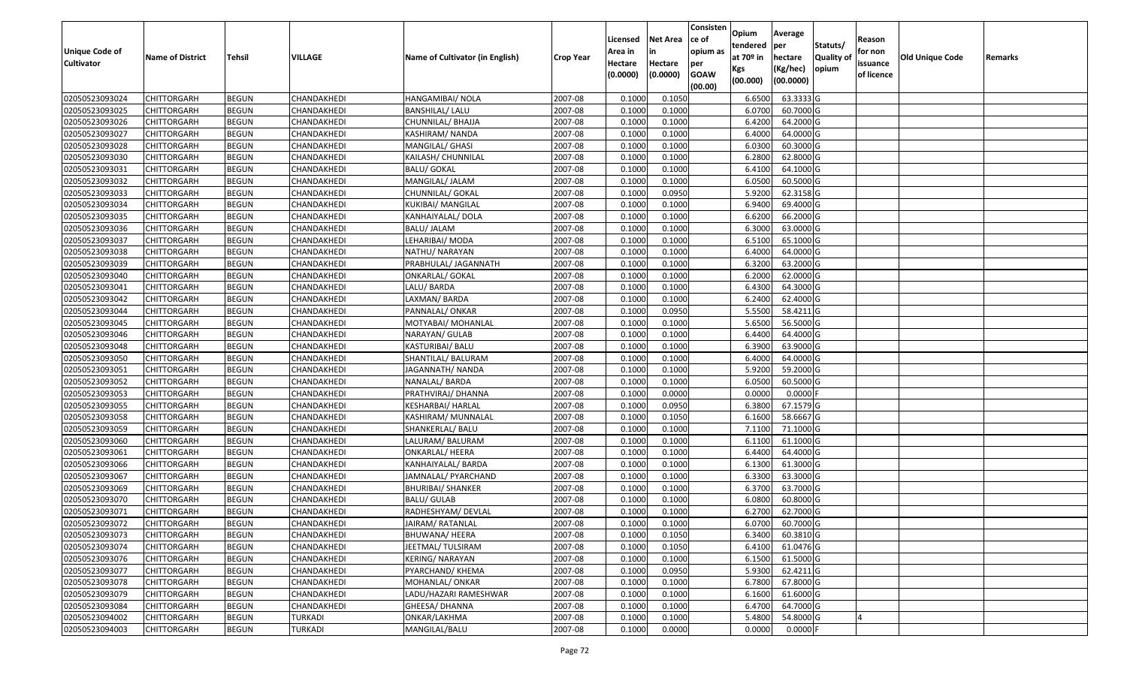| <b>Unique Code of</b> |                         |              |                |                                 |                  | Licensed<br>Area in | <b>Net Area</b><br>in | Consisten<br>ce of<br>opium as | Opium<br>tendered  | Average<br>per      | Statuts/                  | Reason<br>for non |                        |         |
|-----------------------|-------------------------|--------------|----------------|---------------------------------|------------------|---------------------|-----------------------|--------------------------------|--------------------|---------------------|---------------------------|-------------------|------------------------|---------|
| <b>Cultivator</b>     | <b>Name of District</b> | Tehsil       | VILLAGE        | Name of Cultivator (in English) | <b>Crop Year</b> | Hectare             | Hectare               | per                            | at $70°$ in<br>Kgs | hectare<br>(Kg/hec) | <b>Quality o</b><br>opium | issuance          | <b>Old Unique Code</b> | Remarks |
|                       |                         |              |                |                                 |                  | (0.0000)            | (0.0000)              | <b>GOAW</b><br>(00.00)         | (00.000)           | (00.0000)           |                           | of licence        |                        |         |
| 02050523093024        | CHITTORGARH             | <b>BEGUN</b> | CHANDAKHEDI    | HANGAMIBAI/ NOLA                | 2007-08          | 0.1000              | 0.1050                |                                | 6.6500             | 63.3333 G           |                           |                   |                        |         |
| 02050523093025        | CHITTORGARH             | <b>BEGUN</b> | CHANDAKHEDI    | <b>BANSHILAL/ LALU</b>          | 2007-08          | 0.1000              | 0.1000                |                                | 6.0700             | 60.7000 G           |                           |                   |                        |         |
| 02050523093026        | CHITTORGARH             | <b>BEGUN</b> | CHANDAKHEDI    | CHUNNILAL/ BHAJJA               | 2007-08          | 0.1000              | 0.1000                |                                | 6.4200             | 64.2000 G           |                           |                   |                        |         |
| 02050523093027        | <b>CHITTORGARH</b>      | <b>BEGUN</b> | CHANDAKHEDI    | KASHIRAM/ NANDA                 | 2007-08          | 0.1000              | 0.1000                |                                | 6.4000             | 64.0000G            |                           |                   |                        |         |
| 02050523093028        | CHITTORGARH             | <b>BEGUN</b> | CHANDAKHEDI    | MANGILAL/ GHASI                 | 2007-08          | 0.1000              | 0.1000                |                                | 6.0300             | 60.3000 G           |                           |                   |                        |         |
| 02050523093030        | CHITTORGARH             | <b>BEGUN</b> | CHANDAKHEDI    | KAILASH/ CHUNNILAL              | 2007-08          | 0.1000              | 0.1000                |                                | 6.2800             | 62.8000 G           |                           |                   |                        |         |
| 02050523093031        | CHITTORGARH             | <b>BEGUN</b> | CHANDAKHEDI    | <b>BALU/ GOKAL</b>              | 2007-08          | 0.1000              | 0.1000                |                                | 6.4100             | 64.1000 G           |                           |                   |                        |         |
| 02050523093032        | CHITTORGARH             | <b>BEGUN</b> | CHANDAKHEDI    | MANGILAL/ JALAM                 | 2007-08          | 0.1000              | 0.1000                |                                | 6.0500             | 60.5000 G           |                           |                   |                        |         |
| 02050523093033        | CHITTORGARH             | <b>BEGUN</b> | CHANDAKHEDI    | CHUNNILAL/ GOKAL                | 2007-08          | 0.1000              | 0.0950                |                                | 5.9200             | 62.3158 G           |                           |                   |                        |         |
| 02050523093034        | CHITTORGARH             | <b>BEGUN</b> | CHANDAKHEDI    | KUKIBAI/ MANGILAL               | 2007-08          | 0.1000              | 0.1000                |                                | 6.9400             | 69.4000 G           |                           |                   |                        |         |
| 02050523093035        | CHITTORGARH             | <b>BEGUN</b> | CHANDAKHEDI    | KANHAIYALAL/ DOLA               | 2007-08          | 0.1000              | 0.1000                |                                | 6.6200             | 66.2000 G           |                           |                   |                        |         |
| 02050523093036        | CHITTORGARH             | <b>BEGUN</b> | CHANDAKHEDI    | BALU/ JALAM                     | 2007-08          | 0.1000              | 0.1000                |                                | 6.3000             | 63.0000 G           |                           |                   |                        |         |
| 02050523093037        | <b>CHITTORGARH</b>      | <b>BEGUN</b> | CHANDAKHEDI    | LEHARIBAI/ MODA                 | 2007-08          | 0.1000              | 0.1000                |                                | 6.5100             | 65.1000G            |                           |                   |                        |         |
| 02050523093038        | CHITTORGARH             | <b>BEGUN</b> | CHANDAKHEDI    | NATHU/ NARAYAN                  | 2007-08          | 0.1000              | 0.1000                |                                | 6.4000             | 64.0000 G           |                           |                   |                        |         |
| 02050523093039        | CHITTORGARH             | <b>BEGUN</b> | CHANDAKHEDI    | PRABHULAL/ JAGANNATH            | 2007-08          | 0.1000              | 0.1000                |                                | 6.3200             | 63.2000 G           |                           |                   |                        |         |
| 02050523093040        | <b>CHITTORGARH</b>      | <b>BEGUN</b> | CHANDAKHEDI    | ONKARLAL/ GOKAL                 | 2007-08          | 0.1000              | 0.1000                |                                | 6.2000             | 62.0000G            |                           |                   |                        |         |
| 02050523093041        | <b>CHITTORGARH</b>      | <b>BEGUN</b> | CHANDAKHEDI    | LALU/BARDA                      | 2007-08          | 0.1000              | 0.1000                |                                | 6.4300             | 64.3000 G           |                           |                   |                        |         |
| 02050523093042        | CHITTORGARH             | <b>BEGUN</b> | CHANDAKHEDI    | LAXMAN/BARDA                    | 2007-08          | 0.1000              | 0.1000                |                                | 6.2400             | 62.4000 G           |                           |                   |                        |         |
| 02050523093044        | CHITTORGARH             | <b>BEGUN</b> | CHANDAKHEDI    | PANNALAL/ ONKAR                 | 2007-08          | 0.100               | 0.0950                |                                | 5.5500             | 58.4211G            |                           |                   |                        |         |
| 02050523093045        | CHITTORGARH             | <b>BEGUN</b> | CHANDAKHEDI    | MOTYABAI/ MOHANLAL              | 2007-08          | 0.1000              | 0.1000                |                                | 5.6500             | 56.5000G            |                           |                   |                        |         |
| 02050523093046        | CHITTORGARH             | <b>BEGUN</b> | CHANDAKHEDI    | NARAYAN/ GULAB                  | 2007-08          | 0.1000              | 0.1000                |                                | 6.4400             | 64.4000 G           |                           |                   |                        |         |
| 02050523093048        | CHITTORGARH             | <b>BEGUN</b> | CHANDAKHEDI    | KASTURIBAI/ BALU                | 2007-08          | 0.100               | 0.1000                |                                | 6.3900             | 63.9000 G           |                           |                   |                        |         |
| 02050523093050        | CHITTORGARH             | <b>BEGUN</b> | CHANDAKHEDI    | SHANTILAL/ BALURAM              | 2007-08          | 0.1000              | 0.1000                |                                | 6.4000             | 64.0000G            |                           |                   |                        |         |
| 02050523093051        | <b>CHITTORGARH</b>      | <b>BEGUN</b> | CHANDAKHEDI    | JAGANNATH/ NANDA                | 2007-08          | 0.1000              | 0.1000                |                                | 5.9200             | 59.2000 G           |                           |                   |                        |         |
| 02050523093052        | <b>CHITTORGARH</b>      | <b>BEGUN</b> | CHANDAKHEDI    | NANALAL/ BARDA                  | 2007-08          | 0.1000              | 0.1000                |                                | 6.0500             | 60.5000G            |                           |                   |                        |         |
| 02050523093053        | CHITTORGARH             | <b>BEGUN</b> | CHANDAKHEDI    | PRATHVIRAJ/ DHANNA              | 2007-08          | 0.1000              | 0.0000                |                                | 0.0000             | $0.0000$ F          |                           |                   |                        |         |
| 02050523093055        | CHITTORGARH             | <b>BEGUN</b> | CHANDAKHEDI    | KESHARBAI/ HARLAL               | 2007-08          | 0.1000              | 0.0950                |                                | 6.3800             | 67.1579 G           |                           |                   |                        |         |
| 02050523093058        | CHITTORGARH             | <b>BEGUN</b> | CHANDAKHEDI    | KASHIRAM/ MUNNALAL              | 2007-08          | 0.1000              | 0.1050                |                                | 6.1600             | 58.6667 G           |                           |                   |                        |         |
| 02050523093059        | CHITTORGARH             | <b>BEGUN</b> | CHANDAKHEDI    | SHANKERLAL/ BALU                | 2007-08          | 0.1000              | 0.1000                |                                | 7.1100             | 71.1000 G           |                           |                   |                        |         |
| 02050523093060        | CHITTORGARH             | <b>BEGUN</b> | CHANDAKHEDI    | LALURAM/ BALURAM                | 2007-08          | 0.1000              | 0.1000                |                                | 6.1100             | 61.1000G            |                           |                   |                        |         |
| 02050523093061        | CHITTORGARH             | <b>BEGUN</b> | CHANDAKHEDI    | <b>ONKARLAL/ HEERA</b>          | 2007-08          | 0.1000              | 0.1000                |                                | 6.4400             | 64.4000 G           |                           |                   |                        |         |
| 02050523093066        | CHITTORGARH             | <b>BEGUN</b> | CHANDAKHEDI    | KANHAIYALAL/ BARDA              | 2007-08          | 0.1000              | 0.1000                |                                | 6.1300             | 61.3000G            |                           |                   |                        |         |
| 02050523093067        | CHITTORGARH             | <b>BEGUN</b> | CHANDAKHEDI    | JAMNALAL/ PYARCHAND             | 2007-08          | 0.1000              | 0.1000                |                                | 6.3300             | 63.3000 G           |                           |                   |                        |         |
| 02050523093069        | <b>CHITTORGARH</b>      | <b>BEGUN</b> | CHANDAKHEDI    | <b>BHURIBAI/ SHANKER</b>        | 2007-08          | 0.1000              | 0.1000                |                                | 6.3700             | 63.7000 G           |                           |                   |                        |         |
| 02050523093070        | CHITTORGARH             | <b>BEGUN</b> | CHANDAKHEDI    | <b>BALU/ GULAB</b>              | 2007-08          | 0.1000              | 0.1000                |                                | 6.0800             | 60.8000 G           |                           |                   |                        |         |
| 02050523093071        | CHITTORGARH             | <b>BEGUN</b> | CHANDAKHEDI    | RADHESHYAM/ DEVLAL              | 2007-08          | 0.1000              | 0.1000                |                                | 6.2700             | 62.7000G            |                           |                   |                        |         |
| 02050523093072        | <b>CHITTORGARH</b>      | <b>BEGUN</b> | CHANDAKHEDI    | JAIRAM/ RATANLAL                | 2007-08          | 0.1000              | 0.1000                |                                | 6.0700             | 60.7000 G           |                           |                   |                        |         |
| 02050523093073        | <b>CHITTORGARH</b>      | <b>BEGUN</b> | CHANDAKHEDI    | BHUWANA/ HEERA                  | 2007-08          | 0.1000              | 0.1050                |                                | 6.3400             | 60.3810 G           |                           |                   |                        |         |
| 02050523093074        | <b>CHITTORGARH</b>      | <b>BEGUN</b> | CHANDAKHEDI    | JEETMAL/ TULSIRAM               | 2007-08          | 0.1000              | 0.1050                |                                | 6.4100             | 61.0476 G           |                           |                   |                        |         |
| 02050523093076        | <b>CHITTORGARH</b>      | <b>BEGUN</b> | CHANDAKHEDI    | KERING/ NARAYAN                 | 2007-08          | 0.1000              | 0.1000                |                                | 6.1500             | 61.5000 G           |                           |                   |                        |         |
| 02050523093077        | CHITTORGARH             | <b>BEGUN</b> | CHANDAKHEDI    | PYARCHAND/ KHEMA                | 2007-08          | 0.1000              | 0.0950                |                                | 5.9300             | 62.4211 G           |                           |                   |                        |         |
| 02050523093078        | <b>CHITTORGARH</b>      | <b>BEGUN</b> | CHANDAKHEDI    | MOHANLAL/ ONKAR                 | 2007-08          | 0.1000              | 0.1000                |                                | 6.7800             | 67.8000 G           |                           |                   |                        |         |
| 02050523093079        | <b>CHITTORGARH</b>      | <b>BEGUN</b> | CHANDAKHEDI    | LADU/HAZARI RAMESHWAR           | 2007-08          | 0.1000              | 0.1000                |                                | 6.1600             | 61.6000 G           |                           |                   |                        |         |
| 02050523093084        | CHITTORGARH             | <b>BEGUN</b> | CHANDAKHEDI    | GHEESA/ DHANNA                  | 2007-08          | 0.1000              | 0.1000                |                                | 6.4700             | 64.7000 G           |                           |                   |                        |         |
| 02050523094002        | <b>CHITTORGARH</b>      | <b>BEGUN</b> | <b>TURKADI</b> | ONKAR/LAKHMA                    | 2007-08          | 0.1000              | 0.1000                |                                | 5.4800             | 54.8000G            |                           |                   |                        |         |
| 02050523094003        | <b>CHITTORGARH</b>      | <b>BEGUN</b> | <b>TURKADI</b> | MANGILAL/BALU                   | 2007-08          | 0.1000              | 0.0000                |                                | 0.0000             | $0.0000$ F          |                           |                   |                        |         |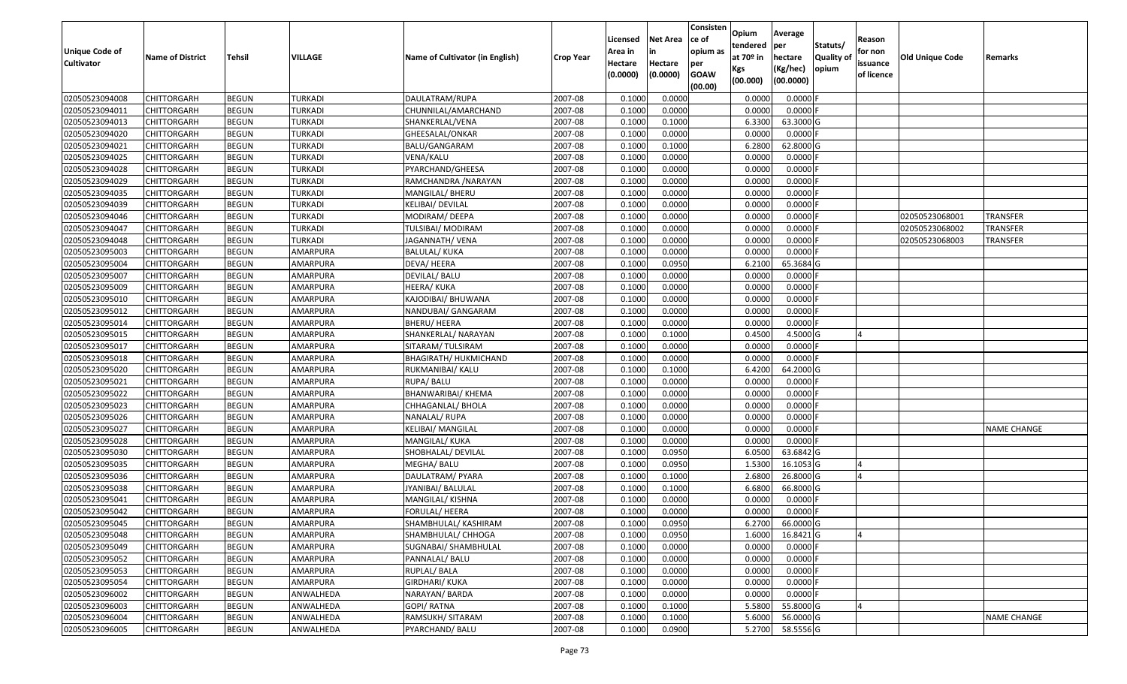| Unique Code of<br><b>Cultivator</b> | <b>Name of District</b> | Tehsil       | VILLAGE        | Name of Cultivator (in English) | <b>Crop Year</b> | Licensed<br>Area in<br>Hectare<br>(0.0000) | Net Area<br>in<br>Hectare<br>(0.0000) | Consisten<br>ce of<br>opium as<br>per<br><b>GOAW</b><br>(00.00) | <b>Opium</b><br>tendered<br>at 70º in<br>Kgs<br>(00.000) | Average<br>per<br>hectare<br>(Kg/hec)<br>(00.0000) | Statuts/<br><b>Quality of</b><br>opium | Reason<br>for non<br>issuance<br>of licence | Old Unique Code | Remarks            |
|-------------------------------------|-------------------------|--------------|----------------|---------------------------------|------------------|--------------------------------------------|---------------------------------------|-----------------------------------------------------------------|----------------------------------------------------------|----------------------------------------------------|----------------------------------------|---------------------------------------------|-----------------|--------------------|
| 02050523094008                      | <b>CHITTORGARH</b>      | <b>BEGUN</b> | TURKADI        | DAULATRAM/RUPA                  | 2007-08          | 0.1000                                     | 0.0000                                |                                                                 | 0.0000                                                   | $0.0000$ F                                         |                                        |                                             |                 |                    |
| 02050523094011                      | CHITTORGARH             | <b>BEGUN</b> | TURKADI        | CHUNNILAL/AMARCHAND             | 2007-08          | 0.1000                                     | 0.0000                                |                                                                 | 0.0000                                                   | $0.0000$ F                                         |                                        |                                             |                 |                    |
| 02050523094013                      | CHITTORGARH             | <b>BEGUN</b> | TURKADI        | SHANKERLAL/VENA                 | 2007-08          | 0.1000                                     | 0.1000                                |                                                                 | 6.3300                                                   | 63.3000 G                                          |                                        |                                             |                 |                    |
| 02050523094020                      | <b>CHITTORGARH</b>      | <b>BEGUN</b> | <b>TURKADI</b> | GHEESALAL/ONKAR                 | 2007-08          | 0.1000                                     | 0.0000                                |                                                                 | 0.0000                                                   | $0.0000$ F                                         |                                        |                                             |                 |                    |
| 02050523094021                      | CHITTORGARH             | <b>BEGUN</b> | <b>TURKADI</b> | BALU/GANGARAM                   | 2007-08          | 0.1000                                     | 0.1000                                |                                                                 | 6.2800                                                   | 62.8000 G                                          |                                        |                                             |                 |                    |
| 02050523094025                      | CHITTORGARH             | <b>BEGUN</b> | TURKADI        | VENA/KALU                       | 2007-08          | 0.1000                                     | 0.0000                                |                                                                 | 0.0000                                                   | $0.0000$ F                                         |                                        |                                             |                 |                    |
| 02050523094028                      | CHITTORGARH             | <b>BEGUN</b> | TURKADI        | PYARCHAND/GHEESA                | 2007-08          | 0.1000                                     | 0.0000                                |                                                                 | 0.0000                                                   | 0.0000                                             |                                        |                                             |                 |                    |
| 02050523094029                      | <b>CHITTORGARH</b>      | <b>BEGUN</b> | <b>TURKADI</b> | RAMCHANDRA / NARAYAN            | 2007-08          | 0.1000                                     | 0.0000                                |                                                                 | 0.0000                                                   | 0.0000                                             |                                        |                                             |                 |                    |
| 02050523094035                      | CHITTORGARH             | <b>BEGUN</b> | <b>TURKADI</b> | MANGILAL/ BHERU                 | 2007-08          | 0.1000                                     | 0.0000                                |                                                                 | 0.0000                                                   | $0.0000$ F                                         |                                        |                                             |                 |                    |
| 02050523094039                      | CHITTORGARH             | <b>BEGUN</b> | <b>TURKADI</b> | KELIBAI/ DEVILAL                | 2007-08          | 0.1000                                     | 0.0000                                |                                                                 | 0.0000                                                   | 0.0000F                                            |                                        |                                             |                 |                    |
| 02050523094046                      | CHITTORGARH             | <b>BEGUN</b> | TURKADI        | MODIRAM/ DEEPA                  | 2007-08          | 0.1000                                     | 0.0000                                |                                                                 | 0.0000                                                   | $0.0000$ F                                         |                                        |                                             | 02050523068001  | TRANSFER           |
| 02050523094047                      | <b>CHITTORGARH</b>      | <b>BEGUN</b> | <b>TURKADI</b> | TULSIBAI/ MODIRAM               | 2007-08          | 0.1000                                     | 0.0000                                |                                                                 | 0.0000                                                   | 0.0000                                             |                                        |                                             | 02050523068002  | <b>TRANSFER</b>    |
| 02050523094048                      | <b>CHITTORGARH</b>      | <b>BEGUN</b> | <b>TURKADI</b> | JAGANNATH/VENA                  | 2007-08          | 0.1000                                     | 0.0000                                |                                                                 | 0.0000                                                   | $0.0000$ F                                         |                                        |                                             | 02050523068003  | <b>TRANSFER</b>    |
| 02050523095003                      | <b>CHITTORGARH</b>      | <b>BEGUN</b> | AMARPURA       | <b>BALULAL/ KUKA</b>            | 2007-08          | 0.1000                                     | 0.0000                                |                                                                 | 0.0000                                                   | $0.0000$ F                                         |                                        |                                             |                 |                    |
| 02050523095004                      | CHITTORGARH             | <b>BEGUN</b> | AMARPURA       | DEVA/HEERA                      | 2007-08          | 0.1000                                     | 0.0950                                |                                                                 | 6.2100                                                   | 65.3684 G                                          |                                        |                                             |                 |                    |
| 02050523095007                      | <b>CHITTORGARH</b>      | <b>BEGUN</b> | AMARPURA       | DEVILAL/ BALU                   | 2007-08          | 0.1000                                     | 0.0000                                |                                                                 | 0.0000                                                   | $0.0000$ F                                         |                                        |                                             |                 |                    |
| 02050523095009                      | <b>CHITTORGARH</b>      | <b>BEGUN</b> | AMARPURA       | HEERA/ KUKA                     | 2007-08          | 0.1000                                     | 0.0000                                |                                                                 | 0.0000                                                   | $0.0000$ F                                         |                                        |                                             |                 |                    |
| 02050523095010                      | CHITTORGARH             | <b>BEGUN</b> | AMARPURA       | KAJODIBAI/ BHUWANA              | 2007-08          | 0.1000                                     | 0.0000                                |                                                                 | 0.0000                                                   | $0.0000$ F                                         |                                        |                                             |                 |                    |
| 02050523095012                      | CHITTORGARH             | <b>BEGUN</b> | AMARPURA       | NANDUBAI/ GANGARAM              | 2007-08          | 0.1000                                     | 0.0000                                |                                                                 | 0.0000                                                   | $0.0000$ F                                         |                                        |                                             |                 |                    |
| 02050523095014                      | CHITTORGARH             | <b>BEGUN</b> | AMARPURA       | BHERU/ HEERA                    | 2007-08          | 0.1000                                     | 0.0000                                |                                                                 | 0.0000                                                   | $0.0000$ F                                         |                                        |                                             |                 |                    |
| 02050523095015                      | CHITTORGARH             | <b>BEGUN</b> | AMARPURA       | SHANKERLAL/ NARAYAN             | 2007-08          | 0.1000                                     | 0.1000                                |                                                                 | 0.4500                                                   | 4.5000 G                                           |                                        |                                             |                 |                    |
| 02050523095017                      | CHITTORGARH             | <b>BEGUN</b> | AMARPURA       | SITARAM/TULSIRAM                | 2007-08          | 0.1000                                     | 0.0000                                |                                                                 | 0.0000                                                   | $0.0000$ F                                         |                                        |                                             |                 |                    |
| 02050523095018                      | CHITTORGARH             | <b>BEGUN</b> | AMARPURA       | <b>BHAGIRATH/ HUKMICHAND</b>    | 2007-08          | 0.1000                                     | 0.0000                                |                                                                 | 0.0000                                                   | $0.0000$ F                                         |                                        |                                             |                 |                    |
| 02050523095020                      | CHITTORGARH             | <b>BEGUN</b> | AMARPURA       | RUKMANIBAI/ KALU                | 2007-08          | 0.1000                                     | 0.1000                                |                                                                 | 6.4200                                                   | 64.2000 G                                          |                                        |                                             |                 |                    |
| 02050523095021                      | <b>CHITTORGARH</b>      | <b>BEGUN</b> | AMARPURA       | RUPA/ BALU                      | 2007-08          | 0.1000                                     | 0.0000                                |                                                                 | 0.0000                                                   | $0.0000$ F                                         |                                        |                                             |                 |                    |
| 02050523095022                      | CHITTORGARH             | <b>BEGUN</b> | AMARPURA       | <b>BHANWARIBAI/ KHEMA</b>       | 2007-08          | 0.1000                                     | 0.0000                                |                                                                 | 0.0000                                                   | $0.0000$ F                                         |                                        |                                             |                 |                    |
| 02050523095023                      | CHITTORGARH             | <b>BEGUN</b> | AMARPURA       | CHHAGANLAL/ BHOLA               | 2007-08          | 0.1000                                     | 0.0000                                |                                                                 | 0.0000                                                   | $0.0000$ F                                         |                                        |                                             |                 |                    |
| 02050523095026                      | CHITTORGARH             | <b>BEGUN</b> | AMARPURA       | NANALAL/ RUPA                   | 2007-08          | 0.1000                                     | 0.0000                                |                                                                 | 0.0000                                                   | $0.0000$ F                                         |                                        |                                             |                 |                    |
| 02050523095027                      | CHITTORGARH             | <b>BEGUN</b> | AMARPURA       | KELIBAI/ MANGILAL               | 2007-08          | 0.1000                                     | 0.0000                                |                                                                 | 0.0000                                                   | $0.0000$ F                                         |                                        |                                             |                 | <b>NAME CHANGE</b> |
| 02050523095028                      | CHITTORGARH             | <b>BEGUN</b> | AMARPURA       | MANGILAL/ KUKA                  | 2007-08          | 0.1000                                     | 0.0000                                |                                                                 | 0.0000                                                   | $0.0000$ F                                         |                                        |                                             |                 |                    |
| 02050523095030                      | CHITTORGARH             | <b>BEGUN</b> | AMARPURA       | SHOBHALAL/ DEVILAL              | 2007-08          | 0.1000                                     | 0.0950                                |                                                                 | 6.0500                                                   | 63.6842 G                                          |                                        |                                             |                 |                    |
| 02050523095035                      | CHITTORGARH             | <b>BEGUN</b> | AMARPURA       | MEGHA/ BALU                     | 2007-08          | 0.1000                                     | 0.0950                                |                                                                 | 1.5300                                                   | 16.1053 G                                          |                                        |                                             |                 |                    |
| 02050523095036                      | CHITTORGARH             | <b>BEGUN</b> | AMARPURA       | DAULATRAM/ PYARA                | 2007-08          | 0.1000                                     | 0.1000                                |                                                                 | 2.6800                                                   | 26.8000 G                                          |                                        |                                             |                 |                    |
| 02050523095038                      | CHITTORGARH             | <b>BEGUN</b> | AMARPURA       | JYANIBAI/ BALULAL               | 2007-08          | 0.1000                                     | 0.1000                                |                                                                 | 6.6800                                                   | 66.8000 G                                          |                                        |                                             |                 |                    |
| 02050523095041                      | CHITTORGARH             | <b>BEGUN</b> | AMARPURA       | MANGILAL/ KISHNA                | 2007-08          | 0.1000                                     | 0.0000                                |                                                                 | 0.0000                                                   | $0.0000$ F                                         |                                        |                                             |                 |                    |
| 02050523095042                      | CHITTORGARH             | <b>BEGUN</b> | AMARPURA       | FORULAL/ HEERA                  | 2007-08          | 0.1000                                     | 0.0000                                |                                                                 | 0.0000                                                   | 0.0000                                             |                                        |                                             |                 |                    |
| 02050523095045                      | <b>CHITTORGARH</b>      | <b>BEGUN</b> | AMARPURA       | SHAMBHULAL/ KASHIRAM            | 2007-08          | 0.1000                                     | 0.0950                                |                                                                 | 6.2700                                                   | 66.0000 G                                          |                                        |                                             |                 |                    |
| 02050523095048                      | <b>CHITTORGARH</b>      | <b>BEGUN</b> | AMARPURA       | SHAMBHULAL/ CHHOGA              | 2007-08          | 0.1000                                     | 0.0950                                |                                                                 | 1.6000                                                   | 16.8421 G                                          |                                        | ıΔ                                          |                 |                    |
| 02050523095049                      | <b>CHITTORGARH</b>      | <b>BEGUN</b> | AMARPURA       | SUGNABAI/ SHAMBHULAL            | 2007-08          | 0.1000                                     | 0.0000                                |                                                                 | 0.0000                                                   | $0.0000$ F                                         |                                        |                                             |                 |                    |
| 02050523095052                      | <b>CHITTORGARH</b>      | <b>BEGUN</b> | AMARPURA       | PANNALAL/ BALU                  | 2007-08          | 0.1000                                     | 0.0000                                |                                                                 | 0.0000                                                   | $0.0000$ F                                         |                                        |                                             |                 |                    |
| 02050523095053                      | <b>CHITTORGARH</b>      | <b>BEGUN</b> | AMARPURA       | RUPLAL/ BALA                    | 2007-08          | 0.1000                                     | 0.0000                                |                                                                 | 0.0000                                                   | $0.0000$ F                                         |                                        |                                             |                 |                    |
| 02050523095054                      | <b>CHITTORGARH</b>      | <b>BEGUN</b> | AMARPURA       | <b>GIRDHARI/ KUKA</b>           | 2007-08          | 0.1000                                     | 0.0000                                |                                                                 | 0.0000                                                   | $0.0000$ F                                         |                                        |                                             |                 |                    |
| 02050523096002                      | <b>CHITTORGARH</b>      | <b>BEGUN</b> | ANWALHEDA      | NARAYAN/ BARDA                  | 2007-08          | 0.1000                                     | 0.0000                                |                                                                 | 0.0000                                                   | $0.0000$ F                                         |                                        |                                             |                 |                    |
| 02050523096003                      | <b>CHITTORGARH</b>      | <b>BEGUN</b> | ANWALHEDA      | GOPI/ RATNA                     | 2007-08          | 0.1000                                     | 0.1000                                |                                                                 | 5.5800                                                   | 55.8000 G                                          |                                        |                                             |                 |                    |
| 02050523096004                      | <b>CHITTORGARH</b>      | <b>BEGUN</b> | ANWALHEDA      | RAMSUKH/SITARAM                 | 2007-08          | 0.1000                                     | 0.1000                                |                                                                 | 5.6000                                                   | 56.0000G                                           |                                        |                                             |                 | <b>NAME CHANGE</b> |
| 02050523096005                      | <b>CHITTORGARH</b>      | <b>BEGUN</b> | ANWALHEDA      | PYARCHAND/ BALU                 | 2007-08          | 0.1000                                     | 0.0900                                |                                                                 | 5.2700                                                   | 58.5556 G                                          |                                        |                                             |                 |                    |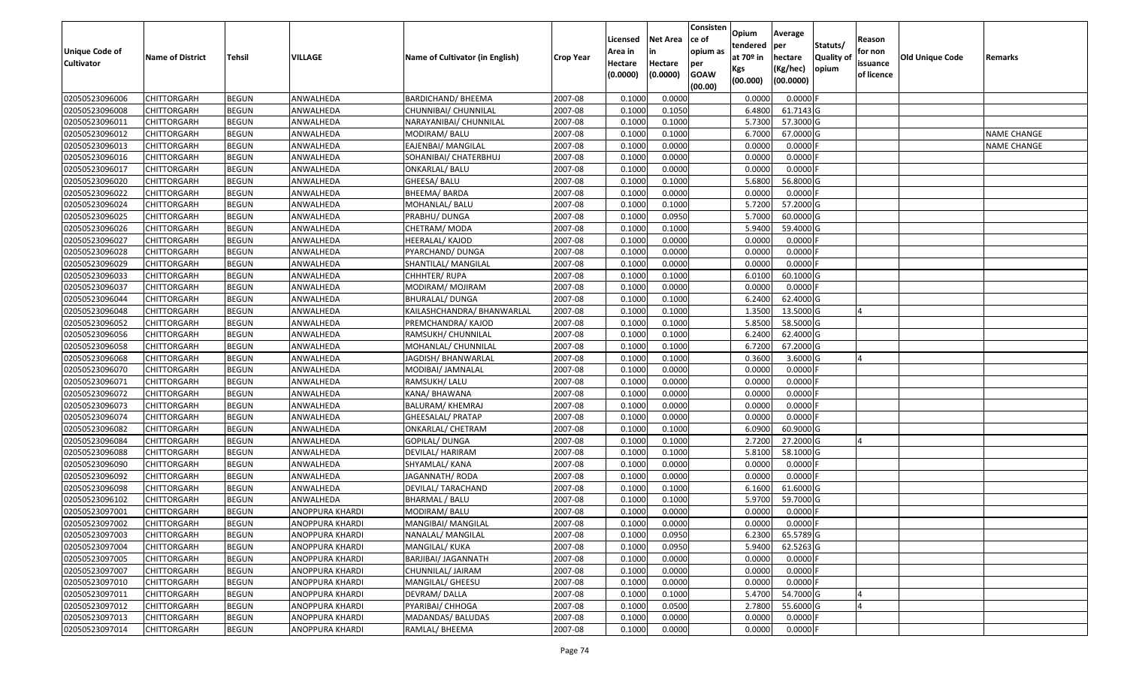| <b>Unique Code of</b><br><b>Cultivator</b> | <b>Name of District</b> | <b>Tehsil</b> | VILLAGE                | Name of Cultivator (in English) | Crop Year | Licensed<br>Area in<br>Hectare<br>(0.0000) | <b>Net Area</b><br>in<br>Hectare<br>(0.0000) | Consisten<br>ce of<br>opium as<br>per<br><b>GOAW</b><br>(00.00) | Opium<br>tendered<br>at 70º in<br>Kgs<br>(00.000) | Average<br>per<br>hectare<br>(Kg/hec)<br>(00.0000) | Statuts/<br><b>Quality of</b><br>opium | Reason<br>for non<br>issuance<br>of licence | Old Unique Code | Remarks            |
|--------------------------------------------|-------------------------|---------------|------------------------|---------------------------------|-----------|--------------------------------------------|----------------------------------------------|-----------------------------------------------------------------|---------------------------------------------------|----------------------------------------------------|----------------------------------------|---------------------------------------------|-----------------|--------------------|
| 02050523096006                             | <b>CHITTORGARH</b>      | <b>BEGUN</b>  | ANWALHEDA              | <b>BARDICHAND/ BHEEMA</b>       | 2007-08   | 0.1000                                     | 0.0000                                       |                                                                 | 0.0000                                            | $0.0000$ F                                         |                                        |                                             |                 |                    |
| 02050523096008                             | <b>CHITTORGARH</b>      | <b>BEGUN</b>  | ANWALHEDA              | CHUNNIBAI/ CHUNNILAL            | 2007-08   | 0.1000                                     | 0.1050                                       |                                                                 | 6.4800                                            | 61.7143 G                                          |                                        |                                             |                 |                    |
| 02050523096011                             | <b>CHITTORGARH</b>      | <b>BEGUN</b>  | ANWALHEDA              | NARAYANIBAI/ CHUNNILAL          | 2007-08   | 0.1000                                     | 0.1000                                       |                                                                 | 5.7300                                            | 57.3000 G                                          |                                        |                                             |                 |                    |
| 02050523096012                             | <b>CHITTORGARH</b>      | <b>BEGUN</b>  | ANWALHEDA              | MODIRAM/BALU                    | 2007-08   | 0.1000                                     | 0.1000                                       |                                                                 | 6.7000                                            | 67.0000 G                                          |                                        |                                             |                 | <b>NAME CHANGE</b> |
| 02050523096013                             | <b>CHITTORGARH</b>      | <b>BEGUN</b>  | ANWALHEDA              | EAJENBAI/ MANGILAL              | 2007-08   | 0.1000                                     | 0.0000                                       |                                                                 | 0.0000                                            | $0.0000$ F                                         |                                        |                                             |                 | <b>NAME CHANGE</b> |
| 02050523096016                             | <b>CHITTORGARH</b>      | <b>BEGUN</b>  | ANWALHEDA              | SOHANIBAI/ CHATERBHUJ           | 2007-08   | 0.1000                                     | 0.0000                                       |                                                                 | 0.0000                                            | $0.0000$ F                                         |                                        |                                             |                 |                    |
| 02050523096017                             | <b>CHITTORGARH</b>      | <b>BEGUN</b>  | ANWALHEDA              | ONKARLAL/ BALU                  | 2007-08   | 0.1000                                     | 0.0000                                       |                                                                 | 0.0000                                            | $0.0000$ F                                         |                                        |                                             |                 |                    |
| 02050523096020                             | <b>CHITTORGARH</b>      | <b>BEGUN</b>  | ANWALHEDA              | GHEESA/ BALU                    | 2007-08   | 0.1000                                     | 0.1000                                       |                                                                 | 5.6800                                            | 56.8000 G                                          |                                        |                                             |                 |                    |
| 02050523096022                             | <b>CHITTORGARH</b>      | <b>BEGUN</b>  | ANWALHEDA              | BHEEMA/ BARDA                   | 2007-08   | 0.1000                                     | 0.0000                                       |                                                                 | 0.0000                                            | $0.0000$ F                                         |                                        |                                             |                 |                    |
| 02050523096024                             | <b>CHITTORGARH</b>      | <b>BEGUN</b>  | ANWALHEDA              | MOHANLAL/ BALU                  | 2007-08   | 0.1000                                     | 0.1000                                       |                                                                 | 5.7200                                            | 57.2000 G                                          |                                        |                                             |                 |                    |
| 02050523096025                             | <b>CHITTORGARH</b>      | <b>BEGUN</b>  | ANWALHEDA              | PRABHU/ DUNGA                   | 2007-08   | 0.1000                                     | 0.0950                                       |                                                                 | 5.7000                                            | 60.0000 G                                          |                                        |                                             |                 |                    |
| 02050523096026                             | <b>CHITTORGARH</b>      | <b>BEGUN</b>  | ANWALHEDA              | CHETRAM/MODA                    | 2007-08   | 0.1000                                     | 0.1000                                       |                                                                 | 5.9400                                            | 59.4000 G                                          |                                        |                                             |                 |                    |
| 02050523096027                             | <b>CHITTORGARH</b>      | <b>BEGUN</b>  | ANWALHEDA              | HEERALAL/ KAJOD                 | 2007-08   | 0.1000                                     | 0.0000                                       |                                                                 | 0.0000                                            | $0.0000$ F                                         |                                        |                                             |                 |                    |
| 02050523096028                             | <b>CHITTORGARH</b>      | <b>BEGUN</b>  | ANWALHEDA              | PYARCHAND/ DUNGA                | 2007-08   | 0.1000                                     | 0.0000                                       |                                                                 | 0.0000                                            | $0.0000$ F                                         |                                        |                                             |                 |                    |
| 02050523096029                             | <b>CHITTORGARH</b>      | <b>BEGUN</b>  | ANWALHEDA              | SHANTILAL/ MANGILAL             | 2007-08   | 0.1000                                     | 0.0000                                       |                                                                 | 0.0000                                            | $0.0000$ F                                         |                                        |                                             |                 |                    |
| 02050523096033                             | <b>CHITTORGARH</b>      | <b>BEGUN</b>  | ANWALHEDA              | CHHHTER/RUPA                    | 2007-08   | 0.1000                                     | 0.1000                                       |                                                                 | 6.0100                                            | 60.1000 G                                          |                                        |                                             |                 |                    |
| 02050523096037                             | <b>CHITTORGARH</b>      | <b>BEGUN</b>  | ANWALHEDA              | MODIRAM/ MOJIRAM                | 2007-08   | 0.1000                                     | 0.0000                                       |                                                                 | 0.0000                                            | $0.0000$ F                                         |                                        |                                             |                 |                    |
| 02050523096044                             | <b>CHITTORGARH</b>      | <b>BEGUN</b>  | ANWALHEDA              | <b>BHURALAL/ DUNGA</b>          | 2007-08   | 0.1000                                     | 0.1000                                       |                                                                 | 6.2400                                            | 62.4000 G                                          |                                        |                                             |                 |                    |
| 02050523096048                             | <b>CHITTORGARH</b>      | <b>BEGUN</b>  | ANWALHEDA              | KAILASHCHANDRA/ BHANWARLAL      | 2007-08   | 0.1000                                     | 0.1000                                       |                                                                 | 1.3500                                            | 13.5000 G                                          |                                        |                                             |                 |                    |
| 02050523096052                             | <b>CHITTORGARH</b>      | <b>BEGUN</b>  | ANWALHEDA              | PREMCHANDRA/ KAJOD              | 2007-08   | 0.1000                                     | 0.1000                                       |                                                                 | 5.8500                                            | 58.5000 G                                          |                                        |                                             |                 |                    |
| 02050523096056                             | <b>CHITTORGARH</b>      | <b>BEGUN</b>  | ANWALHEDA              | RAMSUKH/ CHUNNILAL              | 2007-08   | 0.1000                                     | 0.1000                                       |                                                                 | 6.2400                                            | 62.4000 G                                          |                                        |                                             |                 |                    |
| 02050523096058                             | <b>CHITTORGARH</b>      | <b>BEGUN</b>  | ANWALHEDA              | MOHANLAL/ CHUNNILAL             | 2007-08   | 0.1000                                     | 0.1000                                       |                                                                 | 6.7200                                            | 67.2000 G                                          |                                        |                                             |                 |                    |
| 02050523096068                             | <b>CHITTORGARH</b>      | <b>BEGUN</b>  | ANWALHEDA              | JAGDISH/ BHANWARLAL             | 2007-08   | 0.1000                                     | 0.1000                                       |                                                                 | 0.3600                                            | 3.6000 G                                           |                                        |                                             |                 |                    |
| 02050523096070                             | <b>CHITTORGARH</b>      | <b>BEGUN</b>  | ANWALHEDA              | MODIBAI/ JAMNALAL               | 2007-08   | 0.1000                                     | 0.0000                                       |                                                                 | 0.0000                                            | $0.0000$ F                                         |                                        |                                             |                 |                    |
| 02050523096071                             | <b>CHITTORGARH</b>      | <b>BEGUN</b>  | ANWALHEDA              | RAMSUKH/ LALU                   | 2007-08   | 0.1000                                     | 0.0000                                       |                                                                 | 0.0000                                            | $0.0000$ F                                         |                                        |                                             |                 |                    |
| 02050523096072                             | <b>CHITTORGARH</b>      | <b>BEGUN</b>  | ANWALHEDA              | KANA/BHAWANA                    | 2007-08   | 0.1000                                     | 0.0000                                       |                                                                 | 0.0000                                            | $0.0000$ F                                         |                                        |                                             |                 |                    |
| 02050523096073                             | <b>CHITTORGARH</b>      | <b>BEGUN</b>  | ANWALHEDA              | <b>BALURAM/ KHEMRAJ</b>         | 2007-08   | 0.1000                                     | 0.0000                                       |                                                                 | 0.0000                                            | $0.0000$ F                                         |                                        |                                             |                 |                    |
| 02050523096074                             | <b>CHITTORGARH</b>      | <b>BEGUN</b>  | ANWALHEDA              | GHEESALAL/ PRATAP               | 2007-08   | 0.1000                                     | 0.0000                                       |                                                                 | 0.0000                                            | $0.0000$ F                                         |                                        |                                             |                 |                    |
| 02050523096082                             | <b>CHITTORGARH</b>      | <b>BEGUN</b>  | ANWALHEDA              | <b>ONKARLAL/ CHETRAM</b>        | 2007-08   | 0.1000                                     | 0.1000                                       |                                                                 | 6.0900                                            | 60.9000 G                                          |                                        |                                             |                 |                    |
| 02050523096084                             | <b>CHITTORGARH</b>      | <b>BEGUN</b>  | ANWALHEDA              | GOPILAL/ DUNGA                  | 2007-08   | 0.1000                                     | 0.1000                                       |                                                                 | 2.7200                                            | 27.2000 G                                          |                                        | $\boldsymbol{\Lambda}$                      |                 |                    |
| 02050523096088                             | <b>CHITTORGARH</b>      | <b>BEGUN</b>  | ANWALHEDA              | DEVILAL/ HARIRAM                | 2007-08   | 0.1000                                     | 0.1000                                       |                                                                 | 5.8100                                            | 58.1000 G                                          |                                        |                                             |                 |                    |
| 02050523096090                             | <b>CHITTORGARH</b>      | <b>BEGUN</b>  | ANWALHEDA              | SHYAMLAL/ KANA                  | 2007-08   | 0.1000                                     | 0.0000                                       |                                                                 | 0.0000                                            | $0.0000$ F                                         |                                        |                                             |                 |                    |
| 02050523096092                             | <b>CHITTORGARH</b>      | <b>BEGUN</b>  | ANWALHEDA              | JAGANNATH/ RODA                 | 2007-08   | 0.1000                                     | 0.0000                                       |                                                                 | 0.0000                                            | $0.0000$ F                                         |                                        |                                             |                 |                    |
| 02050523096098                             | <b>CHITTORGARH</b>      | <b>BEGUN</b>  | ANWALHEDA              | DEVILAL/ TARACHAND              | 2007-08   | 0.1000                                     | 0.1000                                       |                                                                 | 6.1600                                            | 61.6000 G                                          |                                        |                                             |                 |                    |
| 02050523096102                             | <b>CHITTORGARH</b>      | <b>BEGUN</b>  | ANWALHEDA              | BHARMAL / BALU                  | 2007-08   | 0.1000                                     | 0.1000                                       |                                                                 | 5.9700                                            | 59.7000 G                                          |                                        |                                             |                 |                    |
| 02050523097001                             | <b>CHITTORGARH</b>      | <b>BEGUN</b>  | ANOPPURA KHARDI        | MODIRAM/BALU                    | 2007-08   | 0.1000                                     | 0.0000                                       |                                                                 | 0.0000                                            | $0.0000$ F                                         |                                        |                                             |                 |                    |
| 02050523097002                             | <b>CHITTORGARH</b>      | <b>BEGUN</b>  | <b>ANOPPURA KHARDI</b> | MANGIBAI/ MANGILAL              | 2007-08   | 0.1000                                     | 0.0000                                       |                                                                 | 0.0000                                            | $0.0000$ F                                         |                                        |                                             |                 |                    |
| 02050523097003                             | CHITTORGARH             | <b>BEGUN</b>  | ANOPPURA KHARDI        | NANALAL/ MANGILAL               | 2007-08   | 0.1000                                     | 0.0950                                       |                                                                 | 6.2300                                            | 65.5789 G                                          |                                        |                                             |                 |                    |
| 02050523097004                             | CHITTORGARH             | <b>BEGUN</b>  | ANOPPURA KHARDI        | MANGILAL/ KUKA                  | 2007-08   | 0.1000                                     | 0.0950                                       |                                                                 | 5.9400                                            | 62.5263 G                                          |                                        |                                             |                 |                    |
| 02050523097005                             | <b>CHITTORGARH</b>      | <b>BEGUN</b>  | ANOPPURA KHARDI        | BARJIBAI/ JAGANNATH             | 2007-08   | 0.1000                                     | 0.0000                                       |                                                                 | 0.0000                                            | $0.0000$ F                                         |                                        |                                             |                 |                    |
| 02050523097007                             | <b>CHITTORGARH</b>      | <b>BEGUN</b>  | ANOPPURA KHARDI        | CHUNNILAL/ JAIRAM               | 2007-08   | 0.1000                                     | 0.0000                                       |                                                                 | 0.0000                                            | $0.0000$ F                                         |                                        |                                             |                 |                    |
| 02050523097010                             | <b>CHITTORGARH</b>      | <b>BEGUN</b>  | <b>ANOPPURA KHARDI</b> | MANGILAL/ GHEESU                | 2007-08   | 0.1000                                     | 0.0000                                       |                                                                 | 0.0000                                            | $0.0000$ F                                         |                                        |                                             |                 |                    |
| 02050523097011                             | <b>CHITTORGARH</b>      | <b>BEGUN</b>  | ANOPPURA KHARDI        | DEVRAM/DALLA                    | 2007-08   | 0.1000                                     | 0.1000                                       |                                                                 | 5.4700                                            | 54.7000 G                                          |                                        |                                             |                 |                    |
| 02050523097012                             | <b>CHITTORGARH</b>      | <b>BEGUN</b>  | ANOPPURA KHARDI        | PYARIBAI/ CHHOGA                | 2007-08   | 0.1000                                     | 0.0500                                       |                                                                 | 2.7800                                            | 55.6000 G                                          |                                        |                                             |                 |                    |
| 02050523097013                             | <b>CHITTORGARH</b>      | <b>BEGUN</b>  | ANOPPURA KHARDI        | MADANDAS/ BALUDAS               | 2007-08   | 0.1000                                     | 0.0000                                       |                                                                 | 0.0000                                            | $0.0000$ F                                         |                                        |                                             |                 |                    |
| 02050523097014                             | <b>CHITTORGARH</b>      | <b>BEGUN</b>  | ANOPPURA KHARDI        | RAMLAL/ BHEEMA                  | 2007-08   | 0.1000                                     | 0.0000                                       |                                                                 | 0.0000                                            | 0.0000 F                                           |                                        |                                             |                 |                    |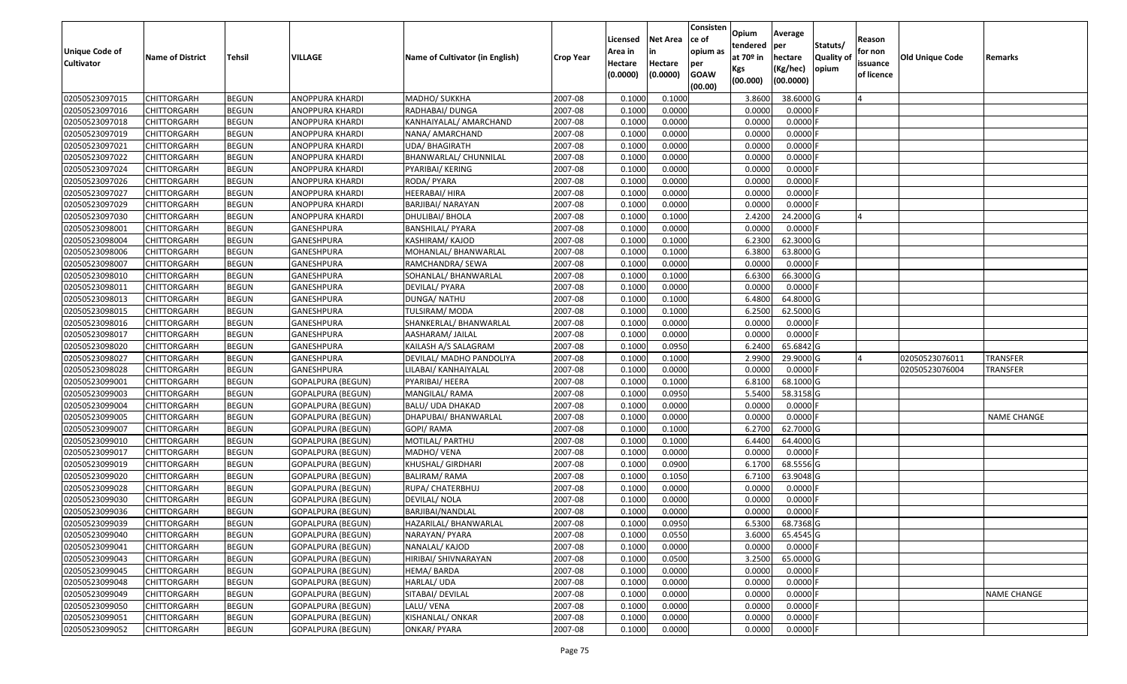| <b>Unique Code of</b>            |                            |                              | VILLAGE                                       | Name of Cultivator (in English)  |                    | Licensed<br>Area in | <b>Net Area</b><br>in | Consisten<br>ce of<br>opium as | Opium<br>tendered<br>at $70°$ in | Average<br>per                   | Statuts/                  | Reason<br>for non      |                 |                    |
|----------------------------------|----------------------------|------------------------------|-----------------------------------------------|----------------------------------|--------------------|---------------------|-----------------------|--------------------------------|----------------------------------|----------------------------------|---------------------------|------------------------|-----------------|--------------------|
| <b>Cultivator</b>                | <b>Name of District</b>    | Tehsil                       |                                               |                                  | <b>Crop Year</b>   | Hectare<br>(0.0000) | Hectare<br>(0.0000)   | per<br><b>GOAW</b><br>(00.00)  | Kgs<br>(00.000)                  | hectare<br>(Kg/hec)<br>(00.0000) | <b>Quality o</b><br>opium | issuance<br>of licence | Old Unique Code | Remarks            |
| 02050523097015                   | CHITTORGARH                | <b>BEGUN</b>                 | ANOPPURA KHARDI                               | MADHO/ SUKKHA                    | 2007-08            | 0.1000              | 0.1000                |                                | 3.8600                           | 38.6000 G                        |                           |                        |                 |                    |
| 02050523097016                   | CHITTORGARH                | <b>BEGUN</b>                 | ANOPPURA KHARDI                               | RADHABAI/ DUNGA                  | 2007-08            | 0.1000              | 0.0000                |                                | 0.0000                           | $0.0000$ F                       |                           |                        |                 |                    |
| 02050523097018                   | CHITTORGARH                | <b>BEGUN</b>                 | ANOPPURA KHARDI                               | KANHAIYALAL/ AMARCHAND           | 2007-08            | 0.1000              | 0.0000                |                                | 0.0000                           | 0.0000                           |                           |                        |                 |                    |
| 02050523097019                   | CHITTORGARH                | <b>BEGUN</b>                 | ANOPPURA KHARDI                               | NANA/ AMARCHAND                  | 2007-08            | 0.1000              | 0.0000                |                                | 0.0000                           | 0.0000F                          |                           |                        |                 |                    |
| 02050523097021                   | CHITTORGARH                | <b>BEGUN</b>                 | ANOPPURA KHARDI                               | <b>UDA/ BHAGIRATH</b>            | 2007-08            | 0.1000              | 0.0000                |                                | 0.0000                           | 0.0000                           |                           |                        |                 |                    |
| 02050523097022                   | CHITTORGARH                | <b>BEGUN</b>                 | ANOPPURA KHARDI                               | BHANWARLAL/ CHUNNILAL            | 2007-08            | 0.1000              | 0.0000                |                                | 0.0000                           | 0.0000                           |                           |                        |                 |                    |
| 02050523097024                   | CHITTORGARH                | <b>BEGUN</b>                 | ANOPPURA KHARDI                               | PYARIBAI/ KERING                 | 2007-08            | 0.1000              | 0.0000                |                                | 0.0000                           | 0.0000                           |                           |                        |                 |                    |
| 02050523097026                   | <b>CHITTORGARH</b>         | <b>BEGUN</b>                 | ANOPPURA KHARDI                               | RODA/ PYARA                      | 2007-08            | 0.1000              | 0.0000                |                                | 0.0000                           | $0.0000$ F                       |                           |                        |                 |                    |
| 02050523097027                   | CHITTORGARH                | <b>BEGUN</b>                 | ANOPPURA KHARDI                               | HEERABAI/ HIRA                   | 2007-08            | 0.1000              | 0.0000                |                                | 0.0000                           | 0.0000                           |                           |                        |                 |                    |
| 02050523097029                   | CHITTORGARH                | <b>BEGUN</b>                 | ANOPPURA KHARDI                               | BARJIBAI/ NARAYAN                | 2007-08            | 0.1000              | 0.0000                |                                | 0.0000                           | $0.0000$ F                       |                           |                        |                 |                    |
| 02050523097030                   | CHITTORGARH                | <b>BEGUN</b>                 | ANOPPURA KHARDI                               | DHULIBAI/ BHOLA                  | 2007-08            | 0.1000              | 0.1000                |                                | 2.4200                           | 24.2000 G                        |                           |                        |                 |                    |
| 02050523098001                   | <b>CHITTORGARH</b>         | <b>BEGUN</b>                 | GANESHPURA                                    | <b>BANSHILAL/ PYARA</b>          | 2007-08            | 0.1000              | 0.0000                |                                | 0.0000                           | $0.0000$ F                       |                           |                        |                 |                    |
| 02050523098004                   | <b>CHITTORGARH</b>         | <b>BEGUN</b>                 | <b>GANESHPURA</b>                             | KASHIRAM/ KAJOD                  | 2007-08            | 0.1000              | 0.1000                |                                | 6.2300                           | 62.3000G                         |                           |                        |                 |                    |
| 02050523098006                   | <b>CHITTORGARH</b>         | <b>BEGUN</b>                 | GANESHPURA                                    | MOHANLAL/ BHANWARLAL             | 2007-08            | 0.1000              | 0.1000                |                                | 6.3800                           | 63.8000 G                        |                           |                        |                 |                    |
| 02050523098007                   | CHITTORGARH                | <b>BEGUN</b>                 | GANESHPURA                                    | RAMCHANDRA/ SEWA                 | 2007-08            | 0.1000              | 0.0000                |                                | 0.0000                           | $0.0000$ F                       |                           |                        |                 |                    |
| 02050523098010                   | <b>CHITTORGARH</b>         | <b>BEGUN</b>                 | GANESHPURA                                    | SOHANLAL/ BHANWARLAL             | 2007-08            | 0.1000              | 0.1000                |                                | 6.6300                           | 66.3000 G                        |                           |                        |                 |                    |
| 02050523098011                   | <b>CHITTORGARH</b>         | <b>BEGUN</b>                 | GANESHPURA                                    | DEVILAL/ PYARA                   | 2007-08            | 0.1000              | 0.0000                |                                | 0.0000                           | $0.0000$ F                       |                           |                        |                 |                    |
| 02050523098013                   | CHITTORGARH                | <b>BEGUN</b>                 | GANESHPURA                                    | DUNGA/ NATHU                     | 2007-08            | 0.1000              | 0.1000                |                                | 6.4800                           | 64.8000 G                        |                           |                        |                 |                    |
| 02050523098015                   | CHITTORGARH                | <b>BEGUN</b>                 | GANESHPURA                                    | TULSIRAM/ MODA                   | 2007-08            | 0.1000              | 0.1000                |                                | 6.2500                           | 62.5000 G                        |                           |                        |                 |                    |
| 02050523098016                   | CHITTORGARH                | <b>BEGUN</b>                 | GANESHPURA                                    | SHANKERLAL/ BHANWARLAL           | 2007-08            | 0.1000              | 0.0000                |                                | 0.0000                           | 0.0000                           |                           |                        |                 |                    |
| 02050523098017                   | CHITTORGARH                | <b>BEGUN</b>                 | <b>GANESHPURA</b>                             | AASHARAM/ JAILAL                 | 2007-08            | 0.1000              | 0.0000                |                                | 0.0000                           | $0.0000$ F                       |                           |                        |                 |                    |
| 02050523098020                   | CHITTORGARH                | <b>BEGUN</b>                 | GANESHPURA                                    | KAILASH A/S SALAGRAM             | 2007-08            | 0.1000              | 0.0950                |                                | 6.2400                           | 65.6842 G                        |                           |                        |                 |                    |
| 02050523098027                   | CHITTORGARH                | <b>BEGUN</b>                 | GANESHPURA                                    | DEVILAL/ MADHO PANDOLIYA         | 2007-08            | 0.1000              | 0.1000                |                                | 2.9900                           | 29.9000G                         |                           |                        | 02050523076011  | <b>TRANSFER</b>    |
| 02050523098028                   | <b>CHITTORGARH</b>         | <b>BEGUN</b>                 | GANESHPURA                                    | LILABAI/ KANHAIYALAL             | 2007-08            | 0.1000              | 0.0000                |                                | 0.0000                           | 0.0000F                          |                           |                        | 02050523076004  | TRANSFER           |
| 02050523099001                   | CHITTORGARH                | <b>BEGUN</b>                 | <b>GOPALPURA (BEGUN)</b>                      | PYARIBAI/ HEERA                  | 2007-08            | 0.1000              | 0.1000                |                                | 6.8100                           | 68.1000 G                        |                           |                        |                 |                    |
| 02050523099003                   | CHITTORGARH                | <b>BEGUN</b>                 | <b>GOPALPURA (BEGUN)</b>                      | MANGILAL/ RAMA                   | 2007-08            | 0.1000              | 0.0950                |                                | 5.5400                           | 58.3158 G                        |                           |                        |                 |                    |
| 02050523099004                   | CHITTORGARH                | <b>BEGUN</b>                 | <b>GOPALPURA (BEGUN)</b>                      | BALU/ UDA DHAKAD                 | 2007-08            | 0.1000              | 0.0000                |                                | 0.0000                           | $0.0000$ F                       |                           |                        |                 |                    |
| 02050523099005                   | CHITTORGARH                | <b>BEGUN</b>                 | GOPALPURA (BEGUN)                             | DHAPUBAI/ BHANWARLAL             | 2007-08            | 0.1000              | 0.0000                |                                | 0.0000                           | 0.0000F                          |                           |                        |                 | <b>NAME CHANGE</b> |
| 02050523099007                   | CHITTORGARH                | <b>BEGUN</b>                 | <b>GOPALPURA (BEGUN)</b>                      | GOPI/RAMA                        | 2007-08<br>2007-08 | 0.1000<br>0.1000    | 0.1000<br>0.1000      |                                | 6.2700<br>6.4400                 | 62.7000 G<br>64.4000 G           |                           |                        |                 |                    |
| 02050523099010<br>02050523099017 | CHITTORGARH                | <b>BEGUN</b><br><b>BEGUN</b> | <b>GOPALPURA (BEGUN)</b>                      | MOTILAL/ PARTHU                  | 2007-08            | 0.1000              |                       |                                | 0.0000                           | $0.0000$ F                       |                           |                        |                 |                    |
| 02050523099019                   | CHITTORGARH                | <b>BEGUN</b>                 | <b>GOPALPURA (BEGUN)</b>                      | MADHO/ VENA<br>KHUSHAL/ GIRDHARI | 2007-08            | 0.1000              | 0.0000<br>0.0900      |                                | 6.1700                           | 68.5556 G                        |                           |                        |                 |                    |
| 02050523099020                   | CHITTORGARH<br>CHITTORGARH | <b>BEGUN</b>                 | GOPALPURA (BEGUN)<br><b>GOPALPURA (BEGUN)</b> | <b>BALIRAM/ RAMA</b>             | 2007-08            | 0.1000              | 0.1050                |                                | 6.7100                           | 63.9048 G                        |                           |                        |                 |                    |
| 02050523099028                   | <b>CHITTORGARH</b>         | <b>BEGUN</b>                 | GOPALPURA (BEGUN)                             | RUPA/ CHATERBHUJ                 | 2007-08            | 0.1000              | 0.0000                |                                | 0.0000                           | 0.0000                           |                           |                        |                 |                    |
| 02050523099030                   | CHITTORGARH                | <b>BEGUN</b>                 | <b>GOPALPURA (BEGUN)</b>                      | DEVILAL/ NOLA                    | 2007-08            | 0.1000              | 0.0000                |                                | 0.0000                           | $0.0000$ F                       |                           |                        |                 |                    |
| 02050523099036                   | CHITTORGARH                | <b>BEGUN</b>                 | GOPALPURA (BEGUN)                             | BARJIBAI/NANDLAL                 | 2007-08            | 0.1000              | 0.0000                |                                | 0.0000                           | 0.0000                           |                           |                        |                 |                    |
| 02050523099039                   | <b>CHITTORGARH</b>         | <b>BEGUN</b>                 | GOPALPURA (BEGUN)                             | HAZARILAL/ BHANWARLAL            | 2007-08            | 0.1000              | 0.0950                |                                | 6.5300                           | 68.7368 G                        |                           |                        |                 |                    |
| 02050523099040                   | <b>CHITTORGARH</b>         | <b>BEGUN</b>                 | GOPALPURA (BEGUN)                             | NARAYAN/ PYARA                   | 2007-08            | 0.1000              | 0.0550                |                                | 3.6000                           | 65.4545 G                        |                           |                        |                 |                    |
| 02050523099041                   | <b>CHITTORGARH</b>         | <b>BEGUN</b>                 | <b>GOPALPURA (BEGUN)</b>                      | NANALAL/ KAJOD                   | 2007-08            | 0.1000              | 0.0000                |                                | 0.0000                           | $0.0000$ F                       |                           |                        |                 |                    |
| 02050523099043                   | <b>CHITTORGARH</b>         | <b>BEGUN</b>                 | <b>GOPALPURA (BEGUN)</b>                      | HIRIBAI/ SHIVNARAYAN             | 2007-08            | 0.1000              | 0.0500                |                                | 3.2500                           | 65.0000G                         |                           |                        |                 |                    |
| 02050523099045                   | CHITTORGARH                | <b>BEGUN</b>                 | GOPALPURA (BEGUN)                             | HEMA/BARDA                       | 2007-08            | 0.1000              | 0.0000                |                                | 0.0000                           | $0.0000$ F                       |                           |                        |                 |                    |
| 02050523099048                   | <b>CHITTORGARH</b>         | <b>BEGUN</b>                 | <b>GOPALPURA (BEGUN)</b>                      | HARLAL/ UDA                      | 2007-08            | 0.1000              | 0.0000                |                                | 0.0000                           | 0.0000                           |                           |                        |                 |                    |
| 02050523099049                   | <b>CHITTORGARH</b>         | <b>BEGUN</b>                 | <b>GOPALPURA (BEGUN)</b>                      | SITABAI/ DEVILAL                 | 2007-08            | 0.1000              | 0.0000                |                                | 0.0000                           | 0.0000                           |                           |                        |                 | <b>NAME CHANGE</b> |
| 02050523099050                   | <b>CHITTORGARH</b>         | <b>BEGUN</b>                 | <b>GOPALPURA (BEGUN)</b>                      | LALU/ VENA                       | 2007-08            | 0.1000              | 0.0000                |                                | 0.0000                           | $0.0000$ F                       |                           |                        |                 |                    |
| 02050523099051                   | <b>CHITTORGARH</b>         | <b>BEGUN</b>                 | <b>GOPALPURA (BEGUN)</b>                      | KISHANLAL/ ONKAR                 | 2007-08            | 0.1000              | 0.0000                |                                | 0.0000                           | 0.0000                           |                           |                        |                 |                    |
| 02050523099052                   | <b>CHITTORGARH</b>         | <b>BEGUN</b>                 | <b>GOPALPURA (BEGUN)</b>                      | <b>ONKAR/ PYARA</b>              | 2007-08            | 0.1000              | 0.0000                |                                | 0.0000                           | $0.0000$ F                       |                           |                        |                 |                    |
|                                  |                            |                              |                                               |                                  |                    |                     |                       |                                |                                  |                                  |                           |                        |                 |                    |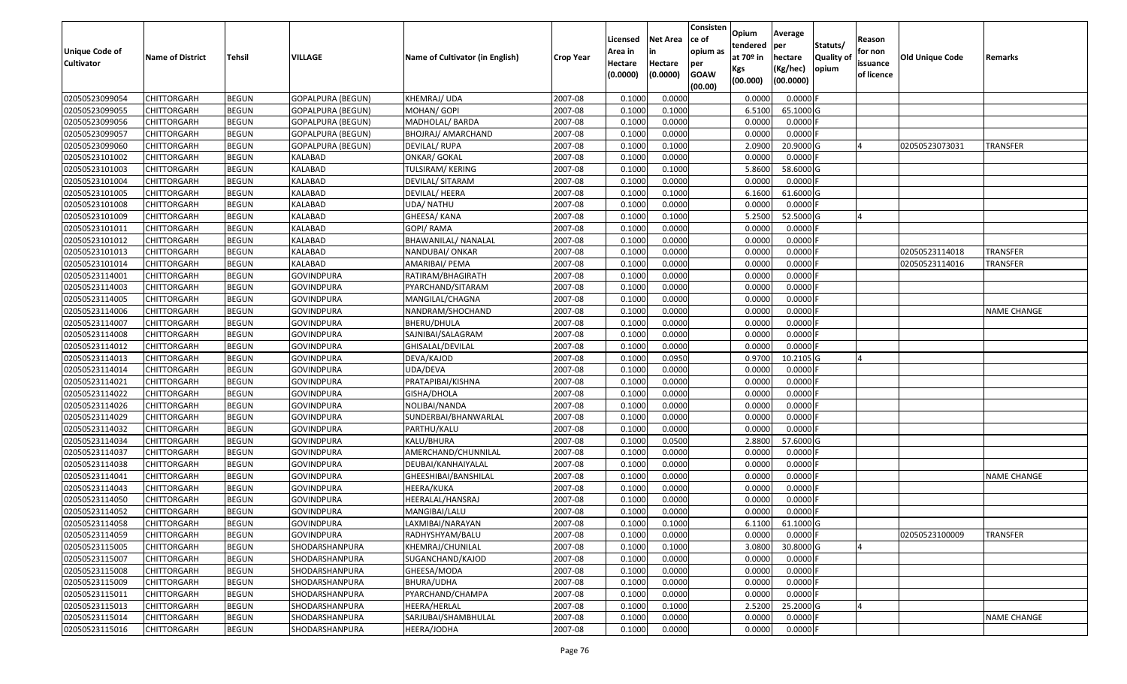| <b>Unique Code of</b><br><b>Cultivator</b> | <b>Name of District</b> | Tehsil       | VILLAGE                  | Name of Cultivator (in English) | <b>Crop Year</b> | Licensed<br>Area in<br>Hectare<br>(0.0000) | <b>Net Area</b><br>in<br>Hectare<br>(0.0000) | Consisten<br>ce of<br>opium as<br>per<br><b>GOAW</b><br>(00.00) | Opium<br>tendered<br>at $70°$ in<br>Kgs<br>(00.000) | Average<br>per<br>hectare<br>(Kg/hec)<br>(00.0000) | Statuts/<br>Quality of<br>opium | Reason<br>for non<br>issuance<br>of licence | <b>Old Unique Code</b> | Remarks            |
|--------------------------------------------|-------------------------|--------------|--------------------------|---------------------------------|------------------|--------------------------------------------|----------------------------------------------|-----------------------------------------------------------------|-----------------------------------------------------|----------------------------------------------------|---------------------------------|---------------------------------------------|------------------------|--------------------|
| 02050523099054                             | CHITTORGARH             | <b>BEGUN</b> | GOPALPURA (BEGUN)        | KHEMRAJ/ UDA                    | 2007-08          | 0.1000                                     | 0.0000                                       |                                                                 | 0.0000                                              | 0.0000                                             |                                 |                                             |                        |                    |
| 02050523099055                             | <b>CHITTORGARH</b>      | <b>BEGUN</b> | <b>GOPALPURA (BEGUN)</b> | MOHAN/ GOPI                     | 2007-08          | 0.1000                                     | 0.1000                                       |                                                                 | 6.5100                                              | 65.1000 G                                          |                                 |                                             |                        |                    |
| 02050523099056                             | CHITTORGARH             | <b>BEGUN</b> | GOPALPURA (BEGUN)        | MADHOLAL/ BARDA                 | 2007-08          | 0.1000                                     | 0.0000                                       |                                                                 | 0.0000                                              | $0.0000$ F                                         |                                 |                                             |                        |                    |
| 02050523099057                             | <b>CHITTORGARH</b>      | <b>BEGUN</b> | <b>GOPALPURA (BEGUN)</b> | BHOJRAJ/ AMARCHAND              | 2007-08          | 0.1000                                     | 0.0000                                       |                                                                 | 0.0000                                              | 0.0000                                             |                                 |                                             |                        |                    |
| 02050523099060                             | <b>CHITTORGARH</b>      | <b>BEGUN</b> | GOPALPURA (BEGUN)        | DEVILAL/RUPA                    | 2007-08          | 0.1000                                     | 0.1000                                       |                                                                 | 2.0900                                              | 20.9000G                                           |                                 |                                             | 02050523073031         | <b>TRANSFER</b>    |
| 02050523101002                             | CHITTORGARH             | <b>BEGUN</b> | <b>KALABAD</b>           | <b>ONKAR/ GOKAL</b>             | 2007-08          | 0.1000                                     | 0.0000                                       |                                                                 | 0.0000                                              | $0.0000$ F                                         |                                 |                                             |                        |                    |
| 02050523101003                             | <b>CHITTORGARH</b>      | <b>BEGUN</b> | KALABAD                  | TULSIRAM/ KERING                | 2007-08          | 0.1000                                     | 0.1000                                       |                                                                 | 5.8600                                              | 58.6000 G                                          |                                 |                                             |                        |                    |
| 02050523101004                             | <b>CHITTORGARH</b>      | <b>BEGUN</b> | KALABAD                  | DEVILAL/ SITARAM                | 2007-08          | 0.1000                                     | 0.0000                                       |                                                                 | 0.0000                                              | $0.0000$ F                                         |                                 |                                             |                        |                    |
| 02050523101005                             | <b>CHITTORGARH</b>      | <b>BEGUN</b> | KALABAD                  | DEVILAL/ HEERA                  | 2007-08          | 0.1000                                     | 0.1000                                       |                                                                 | 6.1600                                              | 61.6000 G                                          |                                 |                                             |                        |                    |
| 02050523101008                             | <b>CHITTORGARH</b>      | <b>BEGUN</b> | KALABAD                  | UDA/ NATHU                      | 2007-08          | 0.1000                                     | 0.0000                                       |                                                                 | 0.0000                                              | 0.0000                                             |                                 |                                             |                        |                    |
| 02050523101009                             | <b>CHITTORGARH</b>      | <b>BEGUN</b> | KALABAD                  | GHEESA/ KANA                    | 2007-08          | 0.1000                                     | 0.1000                                       |                                                                 | 5.2500                                              | 52.5000 G                                          |                                 | $\overline{a}$                              |                        |                    |
| 02050523101011                             | <b>CHITTORGARH</b>      | <b>BEGUN</b> | <b>KALABAD</b>           | GOPI/ RAMA                      | 2007-08          | 0.1000                                     | 0.0000                                       |                                                                 | 0.0000                                              | 0.0000                                             |                                 |                                             |                        |                    |
| 02050523101012                             | <b>CHITTORGARH</b>      | <b>BEGUN</b> | KALABAD                  | BHAWANILAL/ NANALAL             | 2007-08          | 0.1000                                     | 0.0000                                       |                                                                 | 0.0000                                              | 0.0000                                             |                                 |                                             |                        |                    |
| 02050523101013                             | <b>CHITTORGARH</b>      | <b>BEGUN</b> | KALABAD                  | NANDUBAI/ ONKAR                 | 2007-08          | 0.1000                                     | 0.0000                                       |                                                                 | 0.0000                                              | 0.0000                                             |                                 |                                             | 02050523114018         | TRANSFER           |
| 02050523101014                             | <b>CHITTORGARH</b>      | <b>BEGUN</b> | KALABAD                  | AMARIBAI/ PEMA                  | 2007-08          | 0.1000                                     | 0.0000                                       |                                                                 | 0.0000                                              | $0.0000$ F                                         |                                 |                                             | 02050523114016         | <b>TRANSFER</b>    |
| 02050523114001                             | <b>CHITTORGARH</b>      | <b>BEGUN</b> | <b>GOVINDPURA</b>        | RATIRAM/BHAGIRATH               | 2007-08          | 0.1000                                     | 0.0000                                       |                                                                 | 0.0000                                              | 0.0000                                             |                                 |                                             |                        |                    |
| 02050523114003                             | <b>CHITTORGARH</b>      | <b>BEGUN</b> | <b>GOVINDPURA</b>        | PYARCHAND/SITARAM               | 2007-08          | 0.1000                                     | 0.0000                                       |                                                                 | 0.0000                                              | $0.0000$ F                                         |                                 |                                             |                        |                    |
| 02050523114005                             | <b>CHITTORGARH</b>      | <b>BEGUN</b> | <b>GOVINDPURA</b>        | MANGILAL/CHAGNA                 | 2007-08          | 0.1000                                     | 0.0000                                       |                                                                 | 0.0000                                              | 0.0000                                             |                                 |                                             |                        |                    |
| 02050523114006                             | <b>CHITTORGARH</b>      | <b>BEGUN</b> | <b>GOVINDPURA</b>        | NANDRAM/SHOCHAND                | 2007-08          | 0.1000                                     | 0.0000                                       |                                                                 | 0.0000                                              | $0.0000$ F                                         |                                 |                                             |                        | <b>NAME CHANGE</b> |
| 02050523114007                             | <b>CHITTORGARH</b>      | <b>BEGUN</b> | <b>GOVINDPURA</b>        | BHERU/DHULA                     | 2007-08          | 0.1000                                     | 0.0000                                       |                                                                 | 0.0000                                              | $0.0000$ F                                         |                                 |                                             |                        |                    |
| 02050523114008                             | <b>CHITTORGARH</b>      | <b>BEGUN</b> | <b>GOVINDPURA</b>        | SAJNIBAI/SALAGRAM               | 2007-08          | 0.1000                                     | 0.0000                                       |                                                                 | 0.0000                                              | 0.0000F                                            |                                 |                                             |                        |                    |
| 02050523114012                             | <b>CHITTORGARH</b>      | <b>BEGUN</b> | <b>GOVINDPURA</b>        | GHISALAL/DEVILAL                | 2007-08          | 0.1000                                     | 0.0000                                       |                                                                 | 0.0000                                              | $0.0000$ F                                         |                                 |                                             |                        |                    |
| 02050523114013                             | <b>CHITTORGARH</b>      | <b>BEGUN</b> | <b>GOVINDPURA</b>        | DEVA/KAJOD                      | 2007-08          | 0.1000                                     | 0.0950                                       |                                                                 | 0.9700                                              | 10.2105 G                                          |                                 |                                             |                        |                    |
| 02050523114014                             | <b>CHITTORGARH</b>      | <b>BEGUN</b> | <b>GOVINDPURA</b>        | UDA/DEVA                        | 2007-08          | 0.1000                                     | 0.0000                                       |                                                                 | 0.0000                                              | $0.0000$ F                                         |                                 |                                             |                        |                    |
| 02050523114021                             | <b>CHITTORGARH</b>      | <b>BEGUN</b> | <b>GOVINDPURA</b>        | PRATAPIBAI/KISHNA               | 2007-08          | 0.1000                                     | 0.0000                                       |                                                                 | 0.0000                                              | 0.0000                                             |                                 |                                             |                        |                    |
| 02050523114022                             | <b>CHITTORGARH</b>      | <b>BEGUN</b> | <b>GOVINDPURA</b>        | GISHA/DHOLA                     | 2007-08          | 0.1000                                     | 0.0000                                       |                                                                 | 0.0000                                              | 0.0000                                             |                                 |                                             |                        |                    |
| 02050523114026                             | <b>CHITTORGARH</b>      | <b>BEGUN</b> | <b>GOVINDPURA</b>        | NOLIBAI/NANDA                   | 2007-08          | 0.1000                                     | 0.0000                                       |                                                                 | 0.0000                                              | 0.0000                                             |                                 |                                             |                        |                    |
| 02050523114029                             | CHITTORGARH             | <b>BEGUN</b> | <b>GOVINDPURA</b>        | SUNDERBAI/BHANWARLAL            | 2007-08          | 0.1000                                     | 0.0000                                       |                                                                 | 0.0000                                              | 0.0000                                             |                                 |                                             |                        |                    |
| 02050523114032                             | <b>CHITTORGARH</b>      | <b>BEGUN</b> | <b>GOVINDPURA</b>        | PARTHU/KALU                     | 2007-08          | 0.1000                                     | 0.0000                                       |                                                                 | 0.0000                                              | $0.0000$ F                                         |                                 |                                             |                        |                    |
| 02050523114034                             | CHITTORGARH             | <b>BEGUN</b> | <b>GOVINDPURA</b>        | KALU/BHURA                      | 2007-08          | 0.1000                                     | 0.0500                                       |                                                                 | 2.8800                                              | 57.6000 G                                          |                                 |                                             |                        |                    |
| 02050523114037                             | CHITTORGARH             | <b>BEGUN</b> | <b>GOVINDPURA</b>        | AMERCHAND/CHUNNILAL             | 2007-08          | 0.1000                                     | 0.0000                                       |                                                                 | 0.0000                                              | 0.0000                                             |                                 |                                             |                        |                    |
| 02050523114038                             | <b>CHITTORGARH</b>      | <b>BEGUN</b> | <b>GOVINDPURA</b>        | DEUBAI/KANHAIYALAL              | 2007-08          | 0.1000                                     | 0.0000                                       |                                                                 | 0.0000                                              | $0.0000$ F                                         |                                 |                                             |                        |                    |
| 02050523114041                             | <b>CHITTORGARH</b>      | <b>BEGUN</b> | <b>GOVINDPURA</b>        | GHEESHIBAI/BANSHILAL            | 2007-08          | 0.1000                                     | 0.0000                                       |                                                                 | 0.0000                                              | 0.0000                                             |                                 |                                             |                        | NAME CHANGE        |
| 02050523114043                             | <b>CHITTORGARH</b>      | <b>BEGUN</b> | <b>GOVINDPURA</b>        | HEERA/KUKA                      | 2007-08          | 0.1000                                     | 0.0000                                       |                                                                 | 0.0000                                              | $0.0000$ F                                         |                                 |                                             |                        |                    |
| 02050523114050                             | CHITTORGARH             | <b>BEGUN</b> | <b>GOVINDPURA</b>        | HEERALAL/HANSRAJ                | 2007-08          | 0.100                                      | 0.0000                                       |                                                                 | 0.0000                                              | 0.0000                                             |                                 |                                             |                        |                    |
| 02050523114052                             | <b>CHITTORGARH</b>      | <b>BEGUN</b> | <b>GOVINDPURA</b>        | MANGIBAI/LALU                   | 2007-08          | 0.1000                                     | 0.0000                                       |                                                                 | 0.0000                                              | $0.0000$ F                                         |                                 |                                             |                        |                    |
| 02050523114058                             | <b>CHITTORGARH</b>      | <b>BEGUN</b> | <b>GOVINDPURA</b>        | LAXMIBAI/NARAYAN                | 2007-08          | 0.1000                                     | 0.1000                                       |                                                                 | 6.1100                                              | 61.1000G                                           |                                 |                                             |                        |                    |
| 02050523114059                             | <b>CHITTORGARH</b>      | <b>BEGUN</b> | <b>GOVINDPURA</b>        | RADHYSHYAM/BALU                 | 2007-08          | 0.1000                                     | 0.0000                                       |                                                                 | 0.0000                                              | $0.0000$ F                                         |                                 |                                             | 02050523100009         | <b>TRANSFER</b>    |
| 02050523115005                             | <b>CHITTORGARH</b>      | <b>BEGUN</b> | SHODARSHANPURA           | KHEMRAJ/CHUNILAL                | 2007-08          | 0.1000                                     | 0.1000                                       |                                                                 | 3.0800                                              | 30.8000 G                                          |                                 | $\overline{a}$                              |                        |                    |
| 02050523115007                             | <b>CHITTORGARH</b>      | <b>BEGUN</b> | SHODARSHANPURA           | SUGANCHAND/KAJOD                | 2007-08          | 0.1000                                     | 0.0000                                       |                                                                 | 0.0000                                              | $0.0000$ F                                         |                                 |                                             |                        |                    |
| 02050523115008                             | <b>CHITTORGARH</b>      | <b>BEGUN</b> | SHODARSHANPURA           | GHEESA/MODA                     | 2007-08          | 0.1000                                     | 0.0000                                       |                                                                 | 0.0000                                              | $0.0000$ F                                         |                                 |                                             |                        |                    |
| 02050523115009                             | <b>CHITTORGARH</b>      | <b>BEGUN</b> | SHODARSHANPURA           | BHURA/UDHA                      | 2007-08          | 0.1000                                     | 0.0000                                       |                                                                 | 0.0000                                              | $0.0000$ F                                         |                                 |                                             |                        |                    |
| 02050523115011                             | <b>CHITTORGARH</b>      | <b>BEGUN</b> | SHODARSHANPURA           | PYARCHAND/CHAMPA                | 2007-08          | 0.1000                                     | 0.0000                                       |                                                                 | 0.0000                                              | $0.0000$ F                                         |                                 |                                             |                        |                    |
| 02050523115013                             | <b>CHITTORGARH</b>      | <b>BEGUN</b> | SHODARSHANPURA           | HEERA/HERLAL                    | 2007-08          | 0.1000                                     | 0.1000                                       |                                                                 | 2.5200                                              | 25.2000 G                                          |                                 | $\overline{A}$                              |                        |                    |
| 02050523115014                             | <b>CHITTORGARH</b>      | <b>BEGUN</b> | SHODARSHANPURA           | SARJUBAI/SHAMBHULAL             | 2007-08          | 0.1000                                     | 0.0000                                       |                                                                 | 0.0000                                              | $0.0000$ F                                         |                                 |                                             |                        | NAME CHANGE        |
| 02050523115016                             | <b>CHITTORGARH</b>      | <b>BEGUN</b> | SHODARSHANPURA           | HEERA/JODHA                     | 2007-08          | 0.1000                                     | 0.0000                                       |                                                                 | 0.0000                                              | $0.0000$ F                                         |                                 |                                             |                        |                    |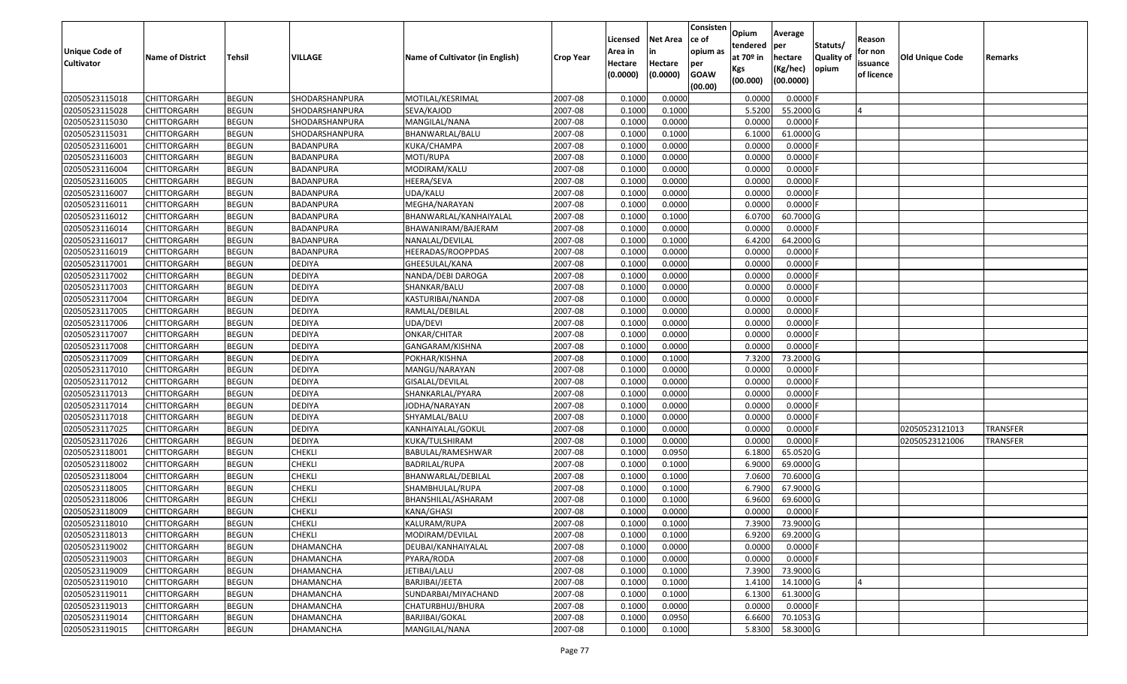| <b>Unique Code of</b><br><b>Cultivator</b> | <b>Name of District</b> | Tehsil       | <b>VILLAGE</b>   | Name of Cultivator (in English) | <b>Crop Year</b> | Licensed<br>Area in<br>Hectare<br>(0.0000) | <b>Net Area</b><br>in<br>Hectare<br>(0.0000) | Consisten<br>ce of<br>opium as<br>per<br><b>GOAW</b> | Opium<br>tendered<br>at $70°$ in<br>Kgs | Average<br>per<br>hectare<br>(Kg/hec) | Statuts/<br><b>Quality o</b><br>opium | Reason<br>for non<br>issuance<br>of licence | Old Unique Code | Remarks         |
|--------------------------------------------|-------------------------|--------------|------------------|---------------------------------|------------------|--------------------------------------------|----------------------------------------------|------------------------------------------------------|-----------------------------------------|---------------------------------------|---------------------------------------|---------------------------------------------|-----------------|-----------------|
|                                            |                         |              |                  |                                 |                  |                                            |                                              | (00.00)                                              | (00.000)                                | (00.0000)                             |                                       |                                             |                 |                 |
| 02050523115018                             | CHITTORGARH             | <b>BEGUN</b> | SHODARSHANPURA   | MOTILAL/KESRIMAL                | 2007-08          | 0.1000                                     | 0.0000                                       |                                                      | 0.0000                                  | 0.0000F                               |                                       |                                             |                 |                 |
| 02050523115028                             | CHITTORGARH             | <b>BEGUN</b> | SHODARSHANPURA   | SEVA/KAJOD                      | 2007-08          | 0.1000                                     | 0.1000                                       |                                                      | 5.5200                                  | 55.2000 G                             |                                       |                                             |                 |                 |
| 02050523115030                             | CHITTORGARH             | <b>BEGUN</b> | SHODARSHANPURA   | MANGILAL/NANA                   | 2007-08          | 0.1000                                     | 0.0000                                       |                                                      | 0.0000                                  | 0.0000                                |                                       |                                             |                 |                 |
| 02050523115031                             | <b>CHITTORGARH</b>      | <b>BEGUN</b> | SHODARSHANPURA   | BHANWARLAL/BALU                 | 2007-08          | 0.1000                                     | 0.1000                                       |                                                      | 6.1000                                  | 61.0000G                              |                                       |                                             |                 |                 |
| 02050523116001                             | CHITTORGARH             | <b>BEGUN</b> | BADANPURA        | KUKA/CHAMPA                     | 2007-08          | 0.1000                                     | 0.0000                                       |                                                      | 0.0000                                  | 0.0000                                |                                       |                                             |                 |                 |
| 02050523116003                             | CHITTORGARH             | <b>BEGUN</b> | BADANPURA        | MOTI/RUPA                       | 2007-08          | 0.1000                                     | 0.0000                                       |                                                      | 0.0000                                  | 0.0000                                |                                       |                                             |                 |                 |
| 02050523116004                             | CHITTORGARH             | <b>BEGUN</b> | BADANPURA        | MODIRAM/KALU                    | 2007-08          | 0.1000                                     | 0.0000                                       |                                                      | 0.0000                                  | 0.0000                                |                                       |                                             |                 |                 |
| 02050523116005                             | <b>CHITTORGARH</b>      | <b>BEGUN</b> | <b>BADANPURA</b> | HEERA/SEVA                      | 2007-08          | 0.1000                                     | 0.0000                                       |                                                      | 0.0000                                  | $0.0000$ F                            |                                       |                                             |                 |                 |
| 02050523116007                             | CHITTORGARH             | <b>BEGUN</b> | BADANPURA        | UDA/KALU                        | 2007-08          | 0.1000                                     | 0.0000                                       |                                                      | 0.0000                                  | 0.0000                                |                                       |                                             |                 |                 |
| 02050523116011                             | CHITTORGARH             | <b>BEGUN</b> | BADANPURA        | MEGHA/NARAYAN                   | 2007-08          | 0.1000                                     | 0.0000                                       |                                                      | 0.0000                                  | $0.0000$ F                            |                                       |                                             |                 |                 |
| 02050523116012                             | CHITTORGARH             | <b>BEGUN</b> | BADANPURA        | BHANWARLAL/KANHAIYALAL          | 2007-08          | 0.1000                                     | 0.1000                                       |                                                      | 6.0700                                  | 60.7000 G                             |                                       |                                             |                 |                 |
| 02050523116014                             | CHITTORGARH             | <b>BEGUN</b> | BADANPURA        | BHAWANIRAM/BAJERAM              | 2007-08          | 0.1000                                     | 0.0000                                       |                                                      | 0.0000                                  | $0.0000$ F                            |                                       |                                             |                 |                 |
| 02050523116017                             | <b>CHITTORGARH</b>      | <b>BEGUN</b> | BADANPURA        | NANALAL/DEVILAL                 | 2007-08          | 0.1000                                     | 0.1000                                       |                                                      | 6.4200                                  | 64.2000 G                             |                                       |                                             |                 |                 |
| 02050523116019                             | <b>CHITTORGARH</b>      | <b>BEGUN</b> | BADANPURA        | HEERADAS/ROOPPDAS               | 2007-08          | 0.1000                                     | 0.0000                                       |                                                      | 0.0000                                  | $0.0000$ F                            |                                       |                                             |                 |                 |
| 02050523117001                             | CHITTORGARH             | <b>BEGUN</b> | <b>DEDIYA</b>    | GHEESULAL/KANA                  | 2007-08          | 0.1000                                     | 0.0000                                       |                                                      | 0.0000                                  | $0.0000$ F                            |                                       |                                             |                 |                 |
| 02050523117002                             | CHITTORGARH             | <b>BEGUN</b> | <b>DEDIYA</b>    | NANDA/DEBI DAROGA               | 2007-08          | 0.1000                                     | 0.0000                                       |                                                      | 0.0000                                  | 0.0000                                |                                       |                                             |                 |                 |
| 02050523117003                             | CHITTORGARH             | <b>BEGUN</b> | <b>DEDIYA</b>    | SHANKAR/BALU                    | 2007-08          | 0.1000                                     | 0.0000                                       |                                                      | 0.0000                                  | $0.0000$ F                            |                                       |                                             |                 |                 |
| 02050523117004                             | CHITTORGARH             | <b>BEGUN</b> | <b>DEDIYA</b>    | KASTURIBAI/NANDA                | 2007-08          | 0.1000                                     | 0.0000                                       |                                                      | 0.0000                                  | 0.0000                                |                                       |                                             |                 |                 |
| 02050523117005                             | CHITTORGARH             | <b>BEGUN</b> | <b>DEDIYA</b>    | RAMLAL/DEBILAL                  | 2007-08          | 0.1000                                     | 0.0000                                       |                                                      | 0.0000                                  | 0.0000                                |                                       |                                             |                 |                 |
| 02050523117006                             | CHITTORGARH             | <b>BEGUN</b> | <b>DEDIYA</b>    | UDA/DEVI                        | 2007-08          | 0.1000                                     | 0.0000                                       |                                                      | 0.0000                                  | 0.0000                                |                                       |                                             |                 |                 |
| 02050523117007                             | CHITTORGARH             | <b>BEGUN</b> | <b>DEDIYA</b>    | ONKAR/CHITAR                    | 2007-08          | 0.1000                                     | 0.0000                                       |                                                      | 0.0000                                  | 0.0000                                |                                       |                                             |                 |                 |
| 02050523117008                             | CHITTORGARH             | <b>BEGUN</b> | <b>DEDIYA</b>    | GANGARAM/KISHNA                 | 2007-08          | 0.1000                                     | 0.0000                                       |                                                      | 0.0000                                  | 0.0000                                |                                       |                                             |                 |                 |
| 02050523117009                             | CHITTORGARH             | <b>BEGUN</b> | <b>DEDIYA</b>    | POKHAR/KISHNA                   | 2007-08          | 0.1000                                     | 0.1000                                       |                                                      | 7.3200                                  | 73.2000 G                             |                                       |                                             |                 |                 |
| 02050523117010                             | CHITTORGARH             | <b>BEGUN</b> | <b>DEDIYA</b>    | MANGU/NARAYAN                   | 2007-08          | 0.1000                                     | 0.0000                                       |                                                      | 0.0000                                  | 0.0000                                |                                       |                                             |                 |                 |
| 02050523117012                             | <b>CHITTORGARH</b>      | <b>BEGUN</b> | <b>DEDIYA</b>    | GISALAL/DEVILAL                 | 2007-08          | 0.1000                                     | 0.0000                                       |                                                      | 0.0000                                  | 0.0000F                               |                                       |                                             |                 |                 |
| 02050523117013                             | CHITTORGARH             | <b>BEGUN</b> | <b>DEDIYA</b>    | SHANKARLAL/PYARA                | 2007-08          | 0.1000                                     | 0.0000                                       |                                                      | 0.0000                                  | 0.0000F                               |                                       |                                             |                 |                 |
| 02050523117014                             | CHITTORGARH             | <b>BEGUN</b> | <b>DEDIYA</b>    | IODHA/NARAYAN                   | 2007-08          | 0.1000                                     | 0.0000                                       |                                                      | 0.0000                                  | 0.0000                                |                                       |                                             |                 |                 |
| 02050523117018                             | CHITTORGARH             | <b>BEGUN</b> | <b>DEDIYA</b>    | SHYAMLAL/BALU                   | 2007-08          | 0.1000                                     | 0.0000                                       |                                                      | 0.0000                                  | 0.0000                                |                                       |                                             |                 |                 |
| 02050523117025                             | CHITTORGARH             | <b>BEGUN</b> | <b>DEDIYA</b>    | KANHAIYALAL/GOKUL               | 2007-08          | 0.1000                                     | 0.0000                                       |                                                      | 0.0000                                  | 0.0000                                |                                       |                                             | 02050523121013  | <b>TRANSFER</b> |
| 02050523117026                             | CHITTORGARH             | <b>BEGUN</b> | <b>DEDIYA</b>    | KUKA/TULSHIRAM                  | 2007-08          | 0.1000                                     | 0.0000                                       |                                                      | 0.0000                                  | 0.0000                                |                                       |                                             | 02050523121006  | <b>TRANSFER</b> |
| 02050523118001                             | CHITTORGARH             | <b>BEGUN</b> | <b>CHEKLI</b>    | BABULAL/RAMESHWAR               | 2007-08          | 0.1000                                     | 0.0950                                       |                                                      | 6.1800                                  | 65.0520 G                             |                                       |                                             |                 |                 |
| 02050523118002                             | CHITTORGARH             | <b>BEGUN</b> | <b>CHEKLI</b>    | BADRILAL/RUPA                   | 2007-08          | 0.1000                                     | 0.1000                                       |                                                      | 6.9000                                  | 69.0000G                              |                                       |                                             |                 |                 |
| 02050523118004                             | CHITTORGARH             | <b>BEGUN</b> | <b>CHEKLI</b>    | BHANWARLAL/DEBILAL              | 2007-08          | 0.1000                                     | 0.1000                                       |                                                      | 7.0600                                  | 70.6000 G                             |                                       |                                             |                 |                 |
| 02050523118005                             | CHITTORGARH             | <b>BEGUN</b> | <b>CHEKLI</b>    | SHAMBHULAL/RUPA                 | 2007-08          | 0.1000                                     | 0.1000                                       |                                                      | 6.7900                                  | 67.9000 G                             |                                       |                                             |                 |                 |
| 02050523118006                             | CHITTORGARH             | <b>BEGUN</b> | <b>CHEKLI</b>    | BHANSHILAL/ASHARAM              | 2007-08          | 0.1000                                     | 0.1000                                       |                                                      | 6.9600                                  | 69.6000 G                             |                                       |                                             |                 |                 |
| 02050523118009                             | CHITTORGARH             | <b>BEGUN</b> | <b>CHEKLI</b>    | KANA/GHASI                      | 2007-08          | 0.1000                                     | 0.0000                                       |                                                      | 0.0000                                  | $0.0000$ F                            |                                       |                                             |                 |                 |
| 02050523118010                             | <b>CHITTORGARH</b>      | <b>BEGUN</b> | <b>CHEKLI</b>    | KALURAM/RUPA                    | 2007-08          | 0.1000                                     | 0.1000                                       |                                                      | 7.3900                                  | 73.9000 G                             |                                       |                                             |                 |                 |
| 02050523118013                             | <b>CHITTORGARH</b>      | <b>BEGUN</b> | <b>CHEKLI</b>    | MODIRAM/DEVILAL                 | 2007-08          | 0.1000                                     | 0.1000                                       |                                                      | 6.9200                                  | 69.2000 G                             |                                       |                                             |                 |                 |
| 02050523119002                             | <b>CHITTORGARH</b>      | <b>BEGUN</b> | <b>DHAMANCHA</b> | DEUBAI/KANHAIYALAL              | 2007-08          | 0.1000                                     | 0.0000                                       |                                                      | 0.0000                                  | $0.0000$ F                            |                                       |                                             |                 |                 |
| 02050523119003                             | <b>CHITTORGARH</b>      | <b>BEGUN</b> | <b>DHAMANCHA</b> | PYARA/RODA                      | 2007-08          | 0.1000                                     | 0.0000                                       |                                                      | 0.0000                                  | $0.0000$ F                            |                                       |                                             |                 |                 |
| 02050523119009                             | <b>CHITTORGARH</b>      | <b>BEGUN</b> | <b>DHAMANCHA</b> | JETIBAI/LALU                    | 2007-08          | 0.1000                                     | 0.1000                                       |                                                      | 7.3900                                  | 73.9000 G                             |                                       |                                             |                 |                 |
| 02050523119010                             | <b>CHITTORGARH</b>      | <b>BEGUN</b> | <b>DHAMANCHA</b> | BARJIBAI/JEETA                  | 2007-08          | 0.1000                                     | 0.1000                                       |                                                      | 1.4100                                  | 14.1000 G                             |                                       |                                             |                 |                 |
| 02050523119011                             | <b>CHITTORGARH</b>      | <b>BEGUN</b> | DHAMANCHA        | SUNDARBAI/MIYACHAND             | 2007-08          | 0.1000                                     | 0.1000                                       |                                                      | 6.1300                                  | 61.3000 G                             |                                       |                                             |                 |                 |
| 02050523119013                             | <b>CHITTORGARH</b>      | <b>BEGUN</b> | DHAMANCHA        | CHATURBHUJ/BHURA                | 2007-08          | 0.1000                                     | 0.0000                                       |                                                      | 0.0000                                  | $0.0000$ F                            |                                       |                                             |                 |                 |
| 02050523119014                             | CHITTORGARH             | <b>BEGUN</b> | DHAMANCHA        | BARJIBAI/GOKAL                  | 2007-08          | 0.1000                                     | 0.0950                                       |                                                      | 6.6600                                  | 70.1053 G                             |                                       |                                             |                 |                 |
| 02050523119015                             | <b>CHITTORGARH</b>      | <b>BEGUN</b> | DHAMANCHA        | MANGILAL/NANA                   | 2007-08          | 0.1000                                     | 0.1000                                       |                                                      | 5.8300                                  | 58.3000 G                             |                                       |                                             |                 |                 |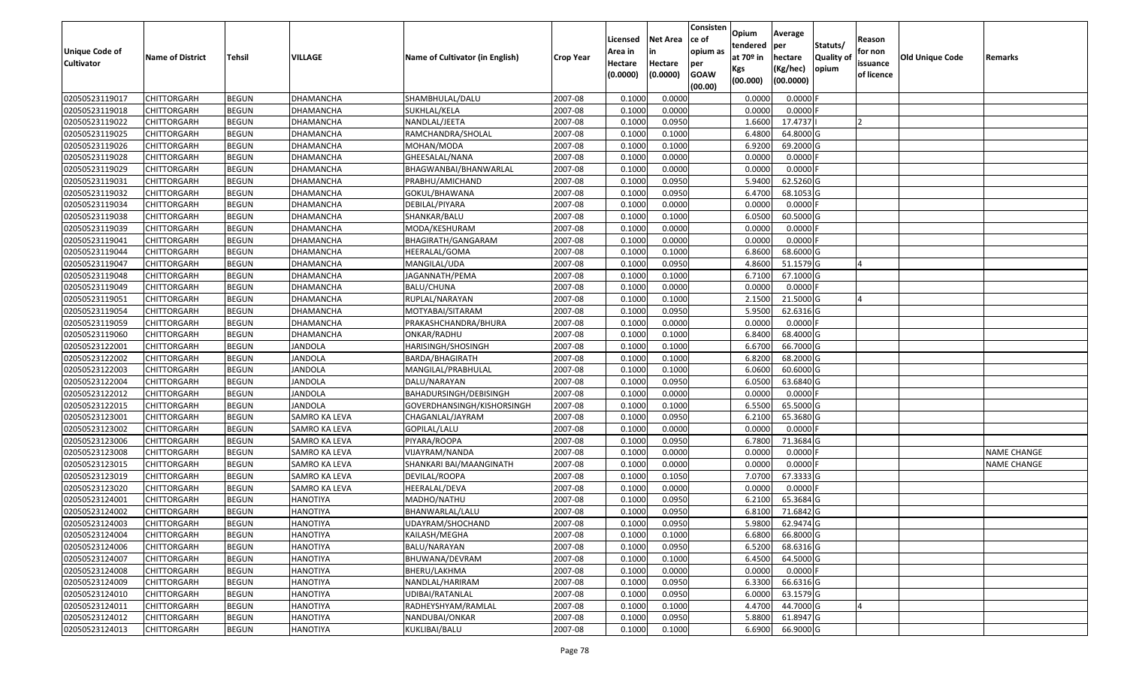| <b>Unique Code of</b><br><b>Cultivator</b> | <b>Name of District</b> | <b>Tehsil</b> | <b>VILLAGE</b>       | Name of Cultivator (in English) | <b>Crop Year</b> | Licensed<br>Area in<br>Hectare | <b>Net Area</b><br>in<br>Hectare | Consisten<br>ce of<br>opium as<br>per | Opium<br>tendered<br>at $70°$ in | Average<br>per<br>hectare | Statuts/<br><b>Quality o</b> | Reason<br>for non<br>issuance | <b>Old Unique Code</b> | Remarks            |
|--------------------------------------------|-------------------------|---------------|----------------------|---------------------------------|------------------|--------------------------------|----------------------------------|---------------------------------------|----------------------------------|---------------------------|------------------------------|-------------------------------|------------------------|--------------------|
|                                            |                         |               |                      |                                 |                  | (0.0000)                       | (0.0000)                         | <b>GOAW</b><br>(00.00)                | Kgs<br>(00.000)                  | (Kg/hec)<br>(00.0000)     | opium                        | of licence                    |                        |                    |
| 02050523119017                             | CHITTORGARH             | <b>BEGUN</b>  | <b>DHAMANCHA</b>     | SHAMBHULAL/DALU                 | 2007-08          | 0.1000                         | 0.0000                           |                                       | 0.0000                           | 0.0000F                   |                              |                               |                        |                    |
| 02050523119018                             | CHITTORGARH             | <b>BEGUN</b>  | DHAMANCHA            | SUKHLAL/KELA                    | 2007-08          | 0.1000                         | 0.0000                           |                                       | 0.0000                           | $0.0000$ F                |                              |                               |                        |                    |
| 02050523119022                             | CHITTORGARH             | <b>BEGUN</b>  | DHAMANCHA            | NANDLAL/JEETA                   | 2007-08          | 0.1000                         | 0.0950                           |                                       | 1.6600                           | 17.4737                   |                              |                               |                        |                    |
| 02050523119025                             | <b>CHITTORGARH</b>      | <b>BEGUN</b>  | <b>DHAMANCHA</b>     | RAMCHANDRA/SHOLAL               | 2007-08          | 0.1000                         | 0.1000                           |                                       | 6.4800                           | 64.8000 G                 |                              |                               |                        |                    |
| 02050523119026                             | CHITTORGARH             | <b>BEGUN</b>  | DHAMANCHA            | MOHAN/MODA                      | 2007-08          | 0.1000                         | 0.1000                           |                                       | 6.9200                           | 69.2000 G                 |                              |                               |                        |                    |
| 02050523119028                             | <b>CHITTORGARH</b>      | <b>BEGUN</b>  | <b>DHAMANCHA</b>     | GHEESALAL/NANA                  | 2007-08          | 0.1000                         | 0.0000                           |                                       | 0.0000                           | $0.0000$ F                |                              |                               |                        |                    |
| 02050523119029                             | CHITTORGARH             | <b>BEGUN</b>  | DHAMANCHA            | BHAGWANBAI/BHANWARLAL           | 2007-08          | 0.1000                         | 0.0000                           |                                       | 0.0000                           | 0.0000                    |                              |                               |                        |                    |
| 02050523119031                             | <b>CHITTORGARH</b>      | <b>BEGUN</b>  | DHAMANCHA            | PRABHU/AMICHAND                 | 2007-08          | 0.1000                         | 0.0950                           |                                       | 5.9400                           | 62.5260 G                 |                              |                               |                        |                    |
| 02050523119032                             | CHITTORGARH             | <b>BEGUN</b>  | DHAMANCHA            | GOKUL/BHAWANA                   | 2007-08          | 0.1000                         | 0.0950                           |                                       | 6.4700                           | 68.1053 G                 |                              |                               |                        |                    |
| 02050523119034                             | <b>CHITTORGARH</b>      | <b>BEGUN</b>  | DHAMANCHA            | DEBILAL/PIYARA                  | 2007-08          | 0.1000                         | 0.0000                           |                                       | 0.0000                           | $0.0000$ F                |                              |                               |                        |                    |
| 02050523119038                             | CHITTORGARH             | <b>BEGUN</b>  | DHAMANCHA            | SHANKAR/BALU                    | 2007-08          | 0.1000                         | 0.1000                           |                                       | 6.0500                           | 60.5000 G                 |                              |                               |                        |                    |
| 02050523119039                             | <b>CHITTORGARH</b>      | <b>BEGUN</b>  | DHAMANCHA            | MODA/KESHURAM                   | 2007-08          | 0.1000                         | 0.0000                           |                                       | 0.0000                           | $0.0000$ F                |                              |                               |                        |                    |
| 02050523119041                             | <b>CHITTORGARH</b>      | <b>BEGUN</b>  | <b>DHAMANCHA</b>     | BHAGIRATH/GANGARAM              | 2007-08          | 0.1000                         | 0.0000                           |                                       | 0.0000                           | $0.0000$ F                |                              |                               |                        |                    |
| 02050523119044                             | CHITTORGARH             | <b>BEGUN</b>  | DHAMANCHA            | HEERALAL/GOMA                   | 2007-08          | 0.1000                         | 0.1000                           |                                       | 6.8600                           | 68.6000 G                 |                              |                               |                        |                    |
| 02050523119047                             | CHITTORGARH             | <b>BEGUN</b>  | DHAMANCHA            | MANGILAL/UDA                    | 2007-08          | 0.1000                         | 0.0950                           |                                       | 4.8600                           | 51.1579 G                 |                              |                               |                        |                    |
| 02050523119048                             | CHITTORGARH             | <b>BEGUN</b>  | <b>DHAMANCHA</b>     | JAGANNATH/PEMA                  | 2007-08          | 0.1000                         | 0.1000                           |                                       | 6.7100                           | 67.1000G                  |                              |                               |                        |                    |
| 02050523119049                             | CHITTORGARH             | <b>BEGUN</b>  | DHAMANCHA            | BALU/CHUNA                      | 2007-08          | 0.1000                         | 0.0000                           |                                       | 0.0000                           | $0.0000$ F                |                              |                               |                        |                    |
| 02050523119051                             | CHITTORGARH             | <b>BEGUN</b>  | DHAMANCHA            | RUPLAL/NARAYAN                  | 2007-08          | 0.1000                         | 0.1000                           |                                       | 2.1500                           | 21.5000G                  |                              |                               |                        |                    |
| 02050523119054                             | CHITTORGARH             | <b>BEGUN</b>  | DHAMANCHA            | MOTYABAI/SITARAM                | 2007-08          | 0.1000                         | 0.0950                           |                                       | 5.9500                           | 62.6316 G                 |                              |                               |                        |                    |
| 02050523119059                             | CHITTORGARH             | <b>BEGUN</b>  | DHAMANCHA            | PRAKASHCHANDRA/BHURA            | 2007-08          | 0.1000                         | 0.0000                           |                                       | 0.0000                           | 0.0000                    |                              |                               |                        |                    |
| 02050523119060                             | CHITTORGARH             | <b>BEGUN</b>  | DHAMANCHA            | ONKAR/RADHU                     | 2007-08          | 0.1000                         | 0.1000                           |                                       | 6.8400                           | 68.4000 G                 |                              |                               |                        |                    |
| 02050523122001                             | CHITTORGARH             | <b>BEGUN</b>  | <b>JANDOLA</b>       | HARISINGH/SHOSINGH              | 2007-08          | 0.1000                         | 0.1000                           |                                       | 6.6700                           | 66.7000 G                 |                              |                               |                        |                    |
| 02050523122002                             | CHITTORGARH             | <b>BEGUN</b>  | <b>JANDOLA</b>       | BARDA/BHAGIRATH                 | 2007-08          | 0.1000                         | 0.1000                           |                                       | 6.8200                           | 68.2000 G                 |                              |                               |                        |                    |
| 02050523122003                             | CHITTORGARH             | <b>BEGUN</b>  | <b>JANDOLA</b>       | MANGILAL/PRABHULAL              | 2007-08          | 0.1000                         | 0.1000                           |                                       | 6.0600                           | 60.6000 G                 |                              |                               |                        |                    |
| 02050523122004                             | CHITTORGARH             | <b>BEGUN</b>  | <b>JANDOLA</b>       | DALU/NARAYAN                    | 2007-08          | 0.1000                         | 0.0950                           |                                       | 6.0500                           | 63.6840 G                 |                              |                               |                        |                    |
| 02050523122012                             | CHITTORGARH             | <b>BEGUN</b>  | <b>JANDOLA</b>       | BAHADURSINGH/DEBISINGH          | 2007-08          | 0.1000                         | 0.0000                           |                                       | 0.0000                           | $0.0000$ F                |                              |                               |                        |                    |
| 02050523122015                             | CHITTORGARH             | <b>BEGUN</b>  | <b>JANDOLA</b>       | GOVERDHANSINGH/KISHORSINGH      | 2007-08          | 0.1000                         | 0.1000                           |                                       | 6.5500                           | 65.5000G                  |                              |                               |                        |                    |
| 02050523123001                             | CHITTORGARH             | <b>BEGUN</b>  | SAMRO KA LEVA        | CHAGANLAL/JAYRAM                | 2007-08          | 0.1000                         | 0.0950                           |                                       | 6.2100                           | 65.3680 G                 |                              |                               |                        |                    |
| 02050523123002                             | CHITTORGARH             | <b>BEGUN</b>  | <b>SAMRO KA LEVA</b> | GOPILAL/LALU                    | 2007-08          | 0.1000                         | 0.0000                           |                                       | 0.0000                           | $0.0000$ F                |                              |                               |                        |                    |
| 02050523123006                             | <b>CHITTORGARH</b>      | <b>BEGUN</b>  | SAMRO KA LEVA        | PIYARA/ROOPA                    | 2007-08          | 0.1000                         | 0.0950                           |                                       | 6.7800                           | 71.3684 G                 |                              |                               |                        |                    |
| 02050523123008                             | CHITTORGARH             | <b>BEGUN</b>  | SAMRO KA LEVA        | VIJAYRAM/NANDA                  | 2007-08          | 0.1000                         | 0.0000                           |                                       | 0.0000                           | 0.0000                    |                              |                               |                        | <b>NAME CHANGE</b> |
| 02050523123015                             | CHITTORGARH             | <b>BEGUN</b>  | SAMRO KA LEVA        | SHANKARI BAI/MAANGINATH         | 2007-08          | 0.1000                         | 0.0000                           |                                       | 0.0000                           | 0.0000                    |                              |                               |                        | <b>NAME CHANGE</b> |
| 02050523123019                             | CHITTORGARH             | <b>BEGUN</b>  | SAMRO KA LEVA        | DEVILAL/ROOPA                   | 2007-08          | 0.1000                         | 0.1050                           |                                       | 7.0700                           | 67.3333 G                 |                              |                               |                        |                    |
| 02050523123020                             | CHITTORGARH             | <b>BEGUN</b>  | SAMRO KA LEVA        | HEERALAL/DEVA                   | 2007-08          | 0.1000                         | 0.0000                           |                                       | 0.0000                           | 0.0000                    |                              |                               |                        |                    |
| 02050523124001                             | CHITTORGARH             | <b>BEGUN</b>  | <b>HANOTIYA</b>      | MADHO/NATHU                     | 2007-08          | 0.1000                         | 0.0950                           |                                       | 6.2100                           | 65.3684 G                 |                              |                               |                        |                    |
| 02050523124002                             | CHITTORGARH             | <b>BEGUN</b>  | <b>HANOTIYA</b>      | BHANWARLAL/LALU                 | 2007-08          | 0.1000                         | 0.0950                           |                                       | 6.8100                           | 71.6842G                  |                              |                               |                        |                    |
| 02050523124003                             | <b>CHITTORGARH</b>      | <b>BEGUN</b>  | <b>HANOTIYA</b>      | UDAYRAM/SHOCHAND                | 2007-08          | 0.1000                         | 0.0950                           |                                       | 5.9800                           | 62.9474 G                 |                              |                               |                        |                    |
| 02050523124004                             | <b>CHITTORGARH</b>      | <b>BEGUN</b>  | <b>HANOTIYA</b>      | KAILASH/MEGHA                   | 2007-08          | 0.1000                         | 0.1000                           |                                       | 6.6800                           | 66.8000 G                 |                              |                               |                        |                    |
| 02050523124006                             | <b>CHITTORGARH</b>      | <b>BEGUN</b>  | <b>HANOTIYA</b>      | BALU/NARAYAN                    | 2007-08          | 0.1000                         | 0.0950                           |                                       | 6.5200                           | 68.6316 G                 |                              |                               |                        |                    |
| 02050523124007                             | <b>CHITTORGARH</b>      | <b>BEGUN</b>  | <b>HANOTIYA</b>      | BHUWANA/DEVRAM                  | 2007-08          | 0.1000                         | 0.1000                           |                                       | 6.4500                           | 64.5000 G                 |                              |                               |                        |                    |
| 02050523124008                             | CHITTORGARH             | <b>BEGUN</b>  | <b>HANOTIYA</b>      | BHERU/LAKHMA                    | 2007-08          | 0.1000                         | 0.0000                           |                                       | 0.0000                           | $0.0000$ F                |                              |                               |                        |                    |
| 02050523124009                             | <b>CHITTORGARH</b>      | <b>BEGUN</b>  | <b>HANOTIYA</b>      | NANDLAL/HARIRAM                 | 2007-08          | 0.1000                         | 0.0950                           |                                       | 6.3300                           | 66.6316 G                 |                              |                               |                        |                    |
| 02050523124010                             | <b>CHITTORGARH</b>      | <b>BEGUN</b>  | <b>HANOTIYA</b>      | UDIBAI/RATANLAL                 | 2007-08          | 0.1000                         | 0.0950                           |                                       | 6.0000                           | 63.1579 G                 |                              |                               |                        |                    |
| 02050523124011                             | CHITTORGARH             | <b>BEGUN</b>  | <b>HANOTIYA</b>      | RADHEYSHYAM/RAMLAL              | 2007-08          | 0.1000                         | 0.1000                           |                                       | 4.4700                           | 44.7000 G                 |                              |                               |                        |                    |
| 02050523124012                             | <b>CHITTORGARH</b>      | <b>BEGUN</b>  | <b>HANOTIYA</b>      | NANDUBAI/ONKAR                  | 2007-08          | 0.1000                         | 0.0950                           |                                       | 5.8800                           | 61.8947 G                 |                              |                               |                        |                    |
| 02050523124013                             | <b>CHITTORGARH</b>      | <b>BEGUN</b>  | <b>HANOTIYA</b>      | KUKLIBAI/BALU                   | 2007-08          | 0.1000                         | 0.1000                           |                                       | 6.6900                           | 66.9000 G                 |                              |                               |                        |                    |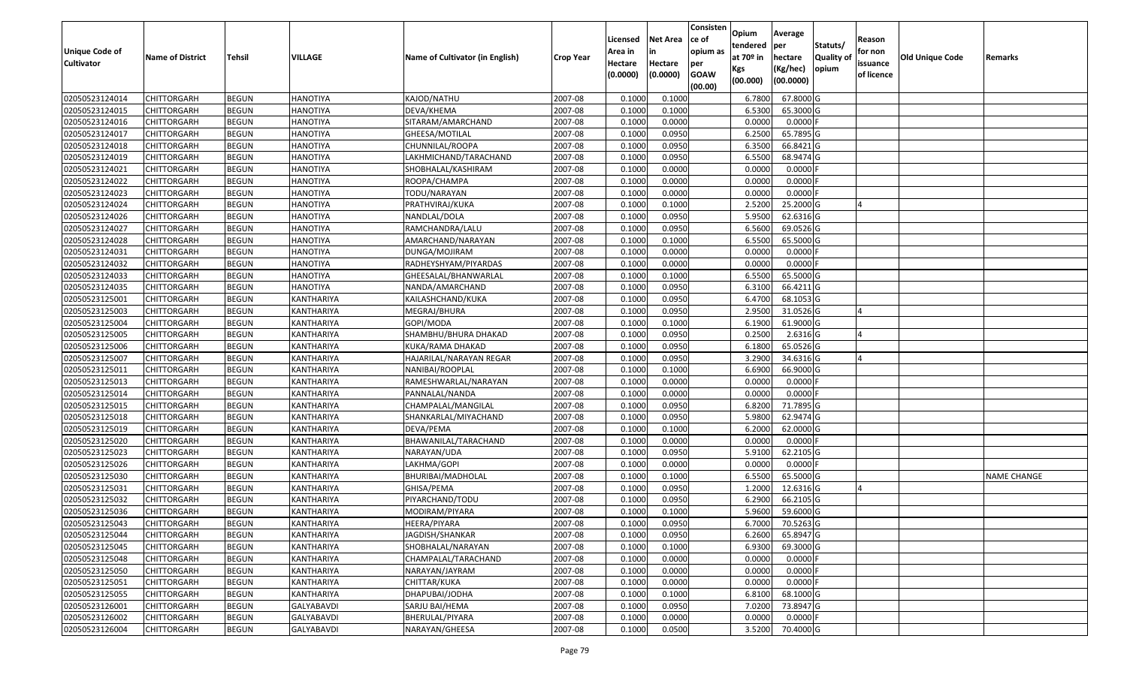| Unique Code of    |                         |               |                 |                                 |                  | Licensed<br>Area in | <b>Net Area</b><br>in | Consisten<br>ce of<br>opium as | Opium<br>tendered              | Average<br>per                   | Statuts/                  | Reason<br>for non      |                        |                    |
|-------------------|-------------------------|---------------|-----------------|---------------------------------|------------------|---------------------|-----------------------|--------------------------------|--------------------------------|----------------------------------|---------------------------|------------------------|------------------------|--------------------|
| <b>Cultivator</b> | <b>Name of District</b> | <b>Tehsil</b> | VILLAGE         | Name of Cultivator (in English) | <b>Crop Year</b> | Hectare<br>(0.0000) | Hectare<br>(0.0000)   | per<br><b>GOAW</b><br>(00.00)  | at $70°$ in<br>Kgs<br>(00.000) | hectare<br>(Kg/hec)<br>(00.0000) | <b>Quality o</b><br>opium | issuance<br>of licence | <b>Old Unique Code</b> | Remarks            |
| 02050523124014    | CHITTORGARH             | <b>BEGUN</b>  | <b>HANOTIYA</b> | KAJOD/NATHU                     | 2007-08          | 0.1000              | 0.1000                |                                | 6.7800                         | 67.8000 G                        |                           |                        |                        |                    |
| 02050523124015    | CHITTORGARH             | <b>BEGUN</b>  | <b>HANOTIYA</b> | DEVA/KHEMA                      | 2007-08          | 0.1000              | 0.1000                |                                | 6.5300                         | 65.3000G                         |                           |                        |                        |                    |
| 02050523124016    | CHITTORGARH             | <b>BEGUN</b>  | <b>HANOTIYA</b> | SITARAM/AMARCHAND               | 2007-08          | 0.1000              | 0.0000                |                                | 0.0000                         | 0.0000                           |                           |                        |                        |                    |
| 02050523124017    | CHITTORGARH             | <b>BEGUN</b>  | <b>HANOTIYA</b> | GHEESA/MOTILAL                  | 2007-08          | 0.1000              | 0.0950                |                                | 6.2500                         | 65.7895 G                        |                           |                        |                        |                    |
| 02050523124018    | CHITTORGARH             | <b>BEGUN</b>  | <b>HANOTIYA</b> | CHUNNILAL/ROOPA                 | 2007-08          | 0.1000              | 0.0950                |                                | 6.3500                         | 66.8421 G                        |                           |                        |                        |                    |
| 02050523124019    | CHITTORGARH             | <b>BEGUN</b>  | <b>HANOTIYA</b> | LAKHMICHAND/TARACHAND           | 2007-08          | 0.1000              | 0.0950                |                                | 6.5500                         | 68.9474 G                        |                           |                        |                        |                    |
| 02050523124021    | CHITTORGARH             | <b>BEGUN</b>  | <b>HANOTIYA</b> | SHOBHALAL/KASHIRAM              | 2007-08          | 0.1000              | 0.0000                |                                | 0.0000                         | 0.0000                           |                           |                        |                        |                    |
| 02050523124022    | <b>CHITTORGARH</b>      | <b>BEGUN</b>  | <b>HANOTIYA</b> | ROOPA/CHAMPA                    | 2007-08          | 0.1000              | 0.0000                |                                | 0.0000                         | $0.0000$ F                       |                           |                        |                        |                    |
| 02050523124023    | CHITTORGARH             | <b>BEGUN</b>  | <b>HANOTIYA</b> | TODU/NARAYAN                    | 2007-08          | 0.1000              | 0.0000                |                                | 0.0000                         | 0.0000                           |                           |                        |                        |                    |
| 02050523124024    | CHITTORGARH             | <b>BEGUN</b>  | <b>HANOTIYA</b> | PRATHVIRAJ/KUKA                 | 2007-08          | 0.1000              | 0.1000                |                                | 2.5200                         | 25.2000 G                        |                           |                        |                        |                    |
| 02050523124026    | CHITTORGARH             | <b>BEGUN</b>  | <b>HANOTIYA</b> | NANDLAL/DOLA                    | 2007-08          | 0.1000              | 0.0950                |                                | 5.9500                         | 62.6316 G                        |                           |                        |                        |                    |
| 02050523124027    | <b>CHITTORGARH</b>      | <b>BEGUN</b>  | <b>HANOTIYA</b> | RAMCHANDRA/LALU                 | 2007-08          | 0.1000              | 0.0950                |                                | 6.5600                         | 69.0526 G                        |                           |                        |                        |                    |
| 02050523124028    | <b>CHITTORGARH</b>      | <b>BEGUN</b>  | <b>HANOTIYA</b> | AMARCHAND/NARAYAN               | 2007-08          | 0.1000              | 0.1000                |                                | 6.5500                         | 65.5000G                         |                           |                        |                        |                    |
| 02050523124031    | <b>CHITTORGARH</b>      | <b>BEGUN</b>  | <b>HANOTIYA</b> | DUNGA/MOJIRAM                   | 2007-08          | 0.1000              | 0.0000                |                                | 0.0000                         | $0.0000$ F                       |                           |                        |                        |                    |
| 02050523124032    | CHITTORGARH             | <b>BEGUN</b>  | <b>HANOTIYA</b> | RADHEYSHYAM/PIYARDAS            | 2007-08          | 0.1000              | 0.0000                |                                | 0.0000                         | $0.0000$ F                       |                           |                        |                        |                    |
| 02050523124033    | CHITTORGARH             | <b>BEGUN</b>  | <b>HANOTIYA</b> | GHEESALAL/BHANWARLAL            | 2007-08          | 0.1000              | 0.1000                |                                | 6.5500                         | 65.5000G                         |                           |                        |                        |                    |
| 02050523124035    | CHITTORGARH             | <b>BEGUN</b>  | <b>HANOTIYA</b> | NANDA/AMARCHAND                 | 2007-08          | 0.1000              | 0.0950                |                                | 6.3100                         | 66.4211G                         |                           |                        |                        |                    |
| 02050523125001    | CHITTORGARH             | <b>BEGUN</b>  | KANTHARIYA      | KAILASHCHAND/KUKA               | 2007-08          | 0.1000              | 0.0950                |                                | 6.4700                         | 68.1053 G                        |                           |                        |                        |                    |
| 02050523125003    | CHITTORGARH             | <b>BEGUN</b>  | KANTHARIYA      | MEGRAJ/BHURA                    | 2007-08          | 0.1000              | 0.0950                |                                | 2.9500                         | 31.0526 G                        |                           |                        |                        |                    |
| 02050523125004    | CHITTORGARH             | <b>BEGUN</b>  | KANTHARIYA      | GOPI/MODA                       | 2007-08          | 0.1000              | 0.1000                |                                | 6.1900                         | 61.9000G                         |                           |                        |                        |                    |
| 02050523125005    | CHITTORGARH             | <b>BEGUN</b>  | KANTHARIYA      | SHAMBHU/BHURA DHAKAD            | 2007-08          | 0.100               | 0.0950                |                                | 0.2500                         | 2.6316 G                         |                           |                        |                        |                    |
| 02050523125006    | CHITTORGARH             | <b>BEGUN</b>  | KANTHARIYA      | KUKA/RAMA DHAKAD                | 2007-08          | 0.100               | 0.0950                |                                | 6.1800                         | 65.0526 G                        |                           |                        |                        |                    |
| 02050523125007    | CHITTORGARH             | <b>BEGUN</b>  | KANTHARIYA      | HAJARILAL/NARAYAN REGAR         | 2007-08          | 0.1000              | 0.0950                |                                | 3.2900                         | 34.6316 G                        |                           |                        |                        |                    |
| 02050523125011    | CHITTORGARH             | <b>BEGUN</b>  | KANTHARIYA      | NANIBAI/ROOPLAL                 | 2007-08          | 0.100               | 0.1000                |                                | 6.6900                         | 66.9000 G                        |                           |                        |                        |                    |
| 02050523125013    | CHITTORGARH             | <b>BEGUN</b>  | KANTHARIYA      | RAMESHWARLAL/NARAYAN            | 2007-08          | 0.1000              | 0.0000                |                                | 0.0000                         | $0.0000$ F                       |                           |                        |                        |                    |
| 02050523125014    | CHITTORGARH             | <b>BEGUN</b>  | KANTHARIYA      | PANNALAL/NANDA                  | 2007-08          | 0.1000              | 0.0000                |                                | 0.0000                         | 0.0000F                          |                           |                        |                        |                    |
| 02050523125015    | CHITTORGARH             | <b>BEGUN</b>  | KANTHARIYA      | CHAMPALAL/MANGILAL              | 2007-08          | 0.1000              | 0.0950                |                                | 6.8200                         | 71.7895 G                        |                           |                        |                        |                    |
| 02050523125018    | CHITTORGARH             | <b>BEGUN</b>  | KANTHARIYA      | SHANKARLAL/MIYACHAND            | 2007-08          | 0.1000              | 0.0950                |                                | 5.9800                         | 62.9474 G                        |                           |                        |                        |                    |
| 02050523125019    | CHITTORGARH             | <b>BEGUN</b>  | KANTHARIYA      | DEVA/PEMA                       | 2007-08          | 0.1000              | 0.1000                |                                | 6.2000                         | 62.0000G                         |                           |                        |                        |                    |
| 02050523125020    | CHITTORGARH             | <b>BEGUN</b>  | KANTHARIYA      | BHAWANILAL/TARACHAND            | 2007-08          | 0.1000              | 0.0000                |                                | 0.0000                         | $0.0000$ F                       |                           |                        |                        |                    |
| 02050523125023    | CHITTORGARH             | <b>BEGUN</b>  | KANTHARIYA      | NARAYAN/UDA                     | 2007-08          | 0.1000              | 0.0950                |                                | 5.9100                         | 62.2105 G                        |                           |                        |                        |                    |
| 02050523125026    | CHITTORGARH             | <b>BEGUN</b>  | KANTHARIYA      | LAKHMA/GOPI                     | 2007-08          | 0.1000              | 0.0000                |                                | 0.0000                         | 0.0000                           |                           |                        |                        |                    |
| 02050523125030    | CHITTORGARH             | <b>BEGUN</b>  | KANTHARIYA      | BHURIBAI/MADHOLAL               | 2007-08          | 0.100               | 0.1000                |                                | 6.5500                         | 65.5000G                         |                           |                        |                        | <b>NAME CHANGE</b> |
| 02050523125031    | CHITTORGARH             | <b>BEGUN</b>  | KANTHARIYA      | GHISA/PEMA                      | 2007-08          | 0.1000              | 0.0950                |                                | 1.2000                         | 12.6316 G                        |                           |                        |                        |                    |
| 02050523125032    | CHITTORGARH             | <b>BEGUN</b>  | KANTHARIYA      | PIYARCHAND/TODU                 | 2007-08          | 0.1000              | 0.0950                |                                | 6.2900                         | 66.2105 G                        |                           |                        |                        |                    |
| 02050523125036    | CHITTORGARH             | <b>BEGUN</b>  | KANTHARIYA      | MODIRAM/PIYARA                  | 2007-08          | 0.1000              | 0.1000                |                                | 5.9600                         | 59.6000 G                        |                           |                        |                        |                    |
| 02050523125043    | <b>CHITTORGARH</b>      | <b>BEGUN</b>  | KANTHARIYA      | HEERA/PIYARA                    | 2007-08          | 0.1000              | 0.0950                |                                | 6.7000                         | 70.5263 G                        |                           |                        |                        |                    |
| 02050523125044    | <b>CHITTORGARH</b>      | <b>BEGUN</b>  | KANTHARIYA      | JAGDISH/SHANKAR                 | 2007-08          | 0.1000              | 0.0950                |                                | 6.2600                         | 65.8947 G                        |                           |                        |                        |                    |
| 02050523125045    | <b>CHITTORGARH</b>      | <b>BEGUN</b>  | KANTHARIYA      | SHOBHALAL/NARAYAN               | 2007-08          | 0.1000              | 0.1000                |                                | 6.9300                         | 69.3000 G                        |                           |                        |                        |                    |
| 02050523125048    | <b>CHITTORGARH</b>      | <b>BEGUN</b>  | KANTHARIYA      | CHAMPALAL/TARACHAND             | 2007-08          | 0.1000              | 0.0000                |                                | 0.0000                         | $0.0000$ F                       |                           |                        |                        |                    |
| 02050523125050    | CHITTORGARH             | <b>BEGUN</b>  | KANTHARIYA      | NARAYAN/JAYRAM                  | 2007-08          | 0.1000              | 0.0000                |                                | 0.0000                         | $0.0000$ F                       |                           |                        |                        |                    |
| 02050523125051    | <b>CHITTORGARH</b>      | <b>BEGUN</b>  | KANTHARIYA      | CHITTAR/KUKA                    | 2007-08          | 0.1000              | 0.0000                |                                | 0.0000                         | 0.0000                           |                           |                        |                        |                    |
| 02050523125055    | <b>CHITTORGARH</b>      | <b>BEGUN</b>  | KANTHARIYA      | DHAPUBAI/JODHA                  | 2007-08          | 0.1000              | 0.1000                |                                | 6.8100                         | 68.1000 G                        |                           |                        |                        |                    |
| 02050523126001    | CHITTORGARH             | <b>BEGUN</b>  | GALYABAVDI      | SARJU BAI/HEMA                  | 2007-08          | 0.1000              | 0.0950                |                                | 7.0200                         | 73.8947 G                        |                           |                        |                        |                    |
| 02050523126002    | CHITTORGARH             | <b>BEGUN</b>  | GALYABAVDI      | BHERULAL/PIYARA                 | 2007-08          | 0.1000              | 0.0000                |                                | 0.0000                         | $0.0000$ F                       |                           |                        |                        |                    |
| 02050523126004    | <b>CHITTORGARH</b>      | <b>BEGUN</b>  | GALYABAVDI      | NARAYAN/GHEESA                  | 2007-08          | 0.1000              | 0.0500                |                                | 3.5200                         | 70.4000 G                        |                           |                        |                        |                    |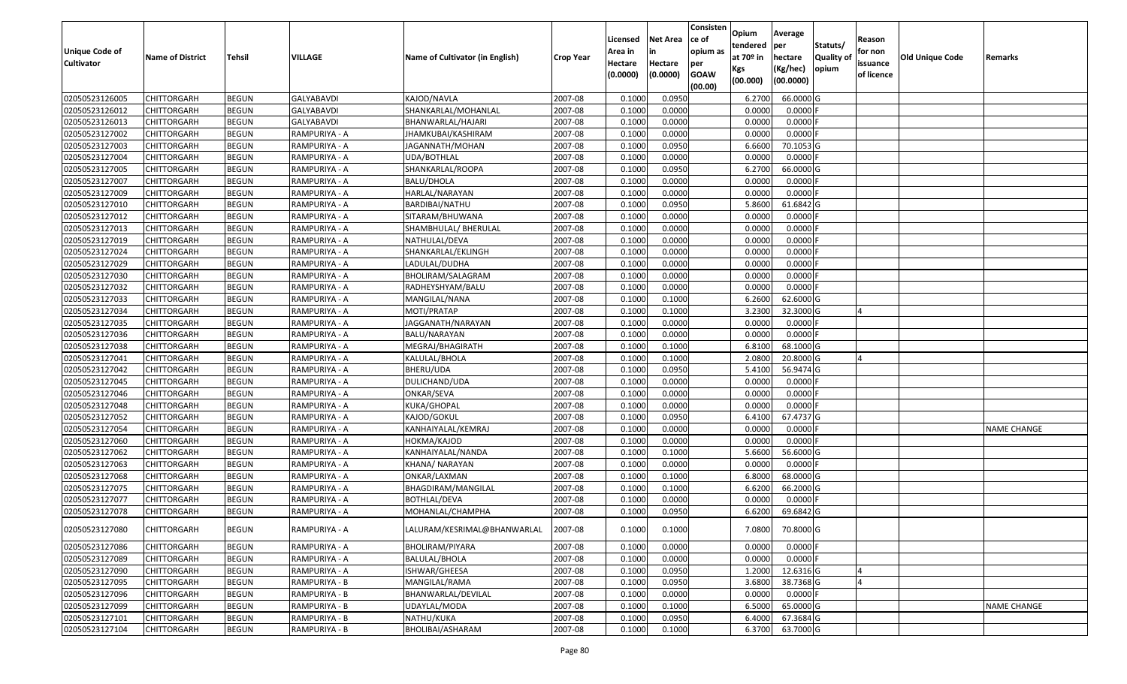| Unique Code of<br><b>Cultivator</b> | <b>Name of District</b> | <b>Tehsil</b> | VILLAGE           | Name of Cultivator (in English) | <b>Crop Year</b> | Licensed<br>Area in<br>Hectare<br>(0.0000) | <b>Net Area</b><br>in<br>Hectare<br>(0.0000) | Consisten<br>ce of<br>opium as<br>per<br><b>GOAW</b> | Opium<br>tendered<br>at $70°$ in<br>Kgs<br>(00.000) | Average<br>per<br>hectare<br>(Kg/hec)<br>(00.0000) | Statuts/<br><b>Quality o</b><br>opium | Reason<br>for non<br>issuance<br>of licence | <b>Old Unique Code</b> | Remarks            |
|-------------------------------------|-------------------------|---------------|-------------------|---------------------------------|------------------|--------------------------------------------|----------------------------------------------|------------------------------------------------------|-----------------------------------------------------|----------------------------------------------------|---------------------------------------|---------------------------------------------|------------------------|--------------------|
|                                     |                         |               |                   |                                 |                  |                                            |                                              | (00.00)                                              |                                                     |                                                    |                                       |                                             |                        |                    |
| 02050523126005                      | CHITTORGARH             | <b>BEGUN</b>  | <b>GALYABAVDI</b> | KAJOD/NAVLA                     | 2007-08          | 0.1000                                     | 0.0950                                       |                                                      | 6.2700                                              | 66.0000 G                                          |                                       |                                             |                        |                    |
| 02050523126012                      | CHITTORGARH             | <b>BEGUN</b>  | GALYABAVDI        | SHANKARLAL/MOHANLAL             | 2007-08          | 0.1000                                     | 0.0000                                       |                                                      | 0.0000                                              | $0.0000$ F                                         |                                       |                                             |                        |                    |
| 02050523126013                      | CHITTORGARH             | <b>BEGUN</b>  | GALYABAVDI        | BHANWARLAL/HAJARI               | 2007-08          | 0.1000                                     | 0.0000                                       |                                                      | 0.0000                                              | 0.0000                                             |                                       |                                             |                        |                    |
| 02050523127002                      | <b>CHITTORGARH</b>      | <b>BEGUN</b>  | RAMPURIYA - A     | JHAMKUBAI/KASHIRAM              | 2007-08          | 0.1000                                     | 0.0000                                       |                                                      | 0.0000                                              | 0.0000F                                            |                                       |                                             |                        |                    |
| 02050523127003                      | CHITTORGARH             | <b>BEGUN</b>  | RAMPURIYA - A     | JAGANNATH/MOHAN                 | 2007-08          | 0.1000                                     | 0.0950                                       |                                                      | 6.6600                                              | 70.1053 G                                          |                                       |                                             |                        |                    |
| 02050523127004                      | CHITTORGARH             | <b>BEGUN</b>  | RAMPURIYA - A     | UDA/BOTHLAL                     | 2007-08          | 0.1000                                     | 0.0000                                       |                                                      | 0.0000                                              | $0.0000$ F                                         |                                       |                                             |                        |                    |
| 02050523127005                      | CHITTORGARH             | <b>BEGUN</b>  | RAMPURIYA - A     | SHANKARLAL/ROOPA                | 2007-08          | 0.1000                                     | 0.0950                                       |                                                      | 6.2700                                              | 66.0000 G                                          |                                       |                                             |                        |                    |
| 02050523127007                      | CHITTORGARH             | <b>BEGUN</b>  | RAMPURIYA - A     | <b>BALU/DHOLA</b>               | 2007-08          | 0.1000                                     | 0.0000                                       |                                                      | 0.0000                                              | $0.0000$ F                                         |                                       |                                             |                        |                    |
| 02050523127009                      | CHITTORGARH             | <b>BEGUN</b>  | RAMPURIYA - A     | HARLAL/NARAYAN                  | 2007-08          | 0.1000                                     | 0.0000                                       |                                                      | 0.0000                                              | 0.0000F                                            |                                       |                                             |                        |                    |
| 02050523127010                      | CHITTORGARH             | <b>BEGUN</b>  | RAMPURIYA - A     | BARDIBAI/NATHU                  | 2007-08          | 0.1000                                     | 0.0950                                       |                                                      | 5.8600                                              | 61.6842 G                                          |                                       |                                             |                        |                    |
| 02050523127012                      | CHITTORGARH             | <b>BEGUN</b>  | RAMPURIYA - A     | SITARAM/BHUWANA                 | 2007-08          | 0.1000                                     | 0.0000                                       |                                                      | 0.0000                                              | $0.0000$ F                                         |                                       |                                             |                        |                    |
| 02050523127013                      | <b>CHITTORGARH</b>      | <b>BEGUN</b>  | RAMPURIYA - A     | SHAMBHULAL/ BHERULAL            | 2007-08          | 0.1000                                     | 0.0000                                       |                                                      | 0.0000                                              | $0.0000$ F                                         |                                       |                                             |                        |                    |
| 02050523127019                      | <b>CHITTORGARH</b>      | <b>BEGUN</b>  | RAMPURIYA - A     | NATHULAL/DEVA                   | 2007-08          | 0.1000                                     | 0.0000                                       |                                                      | 0.0000                                              | $0.0000$ F                                         |                                       |                                             |                        |                    |
| 02050523127024                      | <b>CHITTORGARH</b>      | <b>BEGUN</b>  | RAMPURIYA - A     | SHANKARLAL/EKLINGH              | 2007-08          | 0.1000                                     | 0.0000                                       |                                                      | 0.0000                                              | $0.0000$ F                                         |                                       |                                             |                        |                    |
| 02050523127029                      | CHITTORGARH             | <b>BEGUN</b>  | RAMPURIYA - A     | LADULAL/DUDHA                   | 2007-08          | 0.1000                                     | 0.0000                                       |                                                      | 0.0000                                              | $0.0000$ F                                         |                                       |                                             |                        |                    |
| 02050523127030                      | CHITTORGARH             | <b>BEGUN</b>  | RAMPURIYA - A     | BHOLIRAM/SALAGRAM               | 2007-08          | 0.1000                                     | 0.0000                                       |                                                      | 0.0000                                              | 0.0000                                             |                                       |                                             |                        |                    |
| 02050523127032                      | CHITTORGARH             | <b>BEGUN</b>  | RAMPURIYA - A     | RADHEYSHYAM/BALU                | 2007-08          | 0.1000                                     | 0.0000                                       |                                                      | 0.0000                                              | $0.0000$ F                                         |                                       |                                             |                        |                    |
| 02050523127033                      | CHITTORGARH             | <b>BEGUN</b>  | RAMPURIYA - A     | MANGILAL/NANA                   | 2007-08          | 0.1000                                     | 0.1000                                       |                                                      | 6.2600                                              | 62.6000 G                                          |                                       |                                             |                        |                    |
| 02050523127034                      | CHITTORGARH             | <b>BEGUN</b>  | RAMPURIYA - A     | MOTI/PRATAP                     | 2007-08          | 0.100                                      | 0.1000                                       |                                                      | 3.2300                                              | 32.3000G                                           |                                       |                                             |                        |                    |
| 02050523127035                      | CHITTORGARH             | <b>BEGUN</b>  | RAMPURIYA - A     | JAGGANATH/NARAYAN               | 2007-08          | 0.1000                                     | 0.0000                                       |                                                      | 0.0000                                              | 0.0000                                             |                                       |                                             |                        |                    |
| 02050523127036                      | CHITTORGARH             | <b>BEGUN</b>  | RAMPURIYA - A     | BALU/NARAYAN                    | 2007-08          | 0.100                                      | 0.0000                                       |                                                      | 0.0000                                              | $0.0000$ F                                         |                                       |                                             |                        |                    |
| 02050523127038                      | CHITTORGARH             | <b>BEGUN</b>  | RAMPURIYA - A     | MEGRAJ/BHAGIRATH                | 2007-08          | 0.100                                      | 0.1000                                       |                                                      | 6.8100                                              | 68.1000 G                                          |                                       |                                             |                        |                    |
| 02050523127041                      | CHITTORGARH             | <b>BEGUN</b>  | RAMPURIYA - A     | KALULAL/BHOLA                   | 2007-08          | 0.1000                                     | 0.1000                                       |                                                      | 2.0800                                              | 20.8000 G                                          |                                       |                                             |                        |                    |
| 02050523127042                      | CHITTORGARH             | <b>BEGUN</b>  | RAMPURIYA - A     | BHERU/UDA                       | 2007-08          | 0.100                                      | 0.0950                                       |                                                      | 5.4100                                              | 56.9474 G                                          |                                       |                                             |                        |                    |
| 02050523127045                      | <b>CHITTORGARH</b>      | <b>BEGUN</b>  | RAMPURIYA - A     | DULICHAND/UDA                   | 2007-08          | 0.1000                                     | 0.0000                                       |                                                      | 0.0000                                              | 0.0000F                                            |                                       |                                             |                        |                    |
| 02050523127046                      | CHITTORGARH             | <b>BEGUN</b>  | RAMPURIYA - A     | ONKAR/SEVA                      | 2007-08          | 0.1000                                     | 0.0000                                       |                                                      | 0.0000                                              | 0.0000F                                            |                                       |                                             |                        |                    |
| 02050523127048                      | CHITTORGARH             | <b>BEGUN</b>  | RAMPURIYA - A     | KUKA/GHOPAL                     | 2007-08          | 0.1000                                     | 0.0000                                       |                                                      | 0.0000                                              | $0.0000$ F                                         |                                       |                                             |                        |                    |
| 02050523127052                      | CHITTORGARH             | <b>BEGUN</b>  | RAMPURIYA - A     | KAJOD/GOKUL                     | 2007-08          | 0.1000                                     | 0.0950                                       |                                                      | 6.4100                                              | 67.4737 G                                          |                                       |                                             |                        |                    |
| 02050523127054                      | CHITTORGARH             | <b>BEGUN</b>  | RAMPURIYA - A     | KANHAIYALAL/KEMRAJ              | 2007-08          | 0.1000                                     | 0.0000                                       |                                                      | 0.0000                                              | $0.0000$ F                                         |                                       |                                             |                        | <b>NAME CHANGE</b> |
| 02050523127060                      | CHITTORGARH             | <b>BEGUN</b>  | RAMPURIYA - A     | HOKMA/KAJOD                     | 2007-08          | 0.1000                                     | 0.0000                                       |                                                      | 0.0000                                              | 0.0000                                             |                                       |                                             |                        |                    |
| 02050523127062                      | CHITTORGARH             | <b>BEGUN</b>  | RAMPURIYA - A     | KANHAIYALAL/NANDA               | 2007-08          | 0.1000                                     | 0.1000                                       |                                                      | 5.6600                                              | 56.6000 G                                          |                                       |                                             |                        |                    |
| 02050523127063                      | CHITTORGARH             | <b>BEGUN</b>  | RAMPURIYA - A     | KHANA/ NARAYAN                  | 2007-08          | 0.1000                                     | 0.0000                                       |                                                      | 0.0000                                              | 0.0000                                             |                                       |                                             |                        |                    |
| 02050523127068                      | CHITTORGARH             | <b>BEGUN</b>  | RAMPURIYA - A     | ONKAR/LAXMAN                    | 2007-08          | 0.100                                      | 0.1000                                       |                                                      | 6.8000                                              | 68.0000 G                                          |                                       |                                             |                        |                    |
| 02050523127075                      | CHITTORGARH             | <b>BEGUN</b>  | RAMPURIYA - A     | BHAGDIRAM/MANGILAL              | 2007-08          | 0.1000                                     | 0.1000                                       |                                                      | 6.6200                                              | 66.2000 G                                          |                                       |                                             |                        |                    |
| 02050523127077                      | CHITTORGARH             | <b>BEGUN</b>  | RAMPURIYA - A     | BOTHLAL/DEVA                    | 2007-08          | 0.1000                                     | 0.0000                                       |                                                      | 0.0000                                              | $0.0000$ F                                         |                                       |                                             |                        |                    |
| 02050523127078                      | CHITTORGARH             | <b>BEGUN</b>  | RAMPURIYA - A     | MOHANLAL/CHAMPHA                | 2007-08          | 0.1000                                     | 0.0950                                       |                                                      | 6.6200                                              | 69.6842 G                                          |                                       |                                             |                        |                    |
| 02050523127080                      | <b>CHITTORGARH</b>      | <b>BEGUN</b>  | RAMPURIYA - A     | LALURAM/KESRIMAL@BHANWARLAL     | 2007-08          | 0.1000                                     | 0.1000                                       |                                                      | 7.0800                                              | 70.8000 G                                          |                                       |                                             |                        |                    |
| 02050523127086                      | <b>CHITTORGARH</b>      | <b>BEGUN</b>  | RAMPURIYA - A     | BHOLIRAM/PIYARA                 | 2007-08          | 0.1000                                     | 0.0000                                       |                                                      | 0.0000                                              | $0.0000$ F                                         |                                       |                                             |                        |                    |
| 02050523127089                      | <b>CHITTORGARH</b>      | <b>BEGUN</b>  | RAMPURIYA - A     | BALULAL/BHOLA                   | 2007-08          | 0.1000                                     | 0.0000                                       |                                                      | 0.0000                                              | $0.0000$ F                                         |                                       |                                             |                        |                    |
| 02050523127090                      | CHITTORGARH             | <b>BEGUN</b>  | RAMPURIYA - A     | ISHWAR/GHEESA                   | 2007-08          | 0.1000                                     | 0.0950                                       |                                                      | 1.2000                                              | 12.6316 G                                          |                                       |                                             |                        |                    |
| 02050523127095                      | <b>CHITTORGARH</b>      | <b>BEGUN</b>  | RAMPURIYA - B     | MANGILAL/RAMA                   | 2007-08          | 0.1000                                     | 0.0950                                       |                                                      | 3.6800                                              | 38.7368 G                                          |                                       |                                             |                        |                    |
| 02050523127096                      | <b>CHITTORGARH</b>      | <b>BEGUN</b>  | RAMPURIYA - B     | BHANWARLAL/DEVILAL              | 2007-08          | 0.1000                                     | 0.0000                                       |                                                      | 0.0000                                              | $0.0000$ F                                         |                                       |                                             |                        |                    |
| 02050523127099                      | CHITTORGARH             | <b>BEGUN</b>  | RAMPURIYA - B     | UDAYLAL/MODA                    | 2007-08          | 0.1000                                     | 0.1000                                       |                                                      | 6.5000                                              | 65.0000G                                           |                                       |                                             |                        | NAME CHANGE        |
| 02050523127101                      | CHITTORGARH             | <b>BEGUN</b>  | RAMPURIYA - B     | NATHU/KUKA                      | 2007-08          | 0.1000                                     | 0.0950                                       |                                                      | 6.4000                                              | 67.3684 G                                          |                                       |                                             |                        |                    |
| 02050523127104                      | <b>CHITTORGARH</b>      | <b>BEGUN</b>  | RAMPURIYA - B     | BHOLIBAI/ASHARAM                | 2007-08          | 0.1000                                     | 0.1000                                       |                                                      | 6.3700                                              | 63.7000 G                                          |                                       |                                             |                        |                    |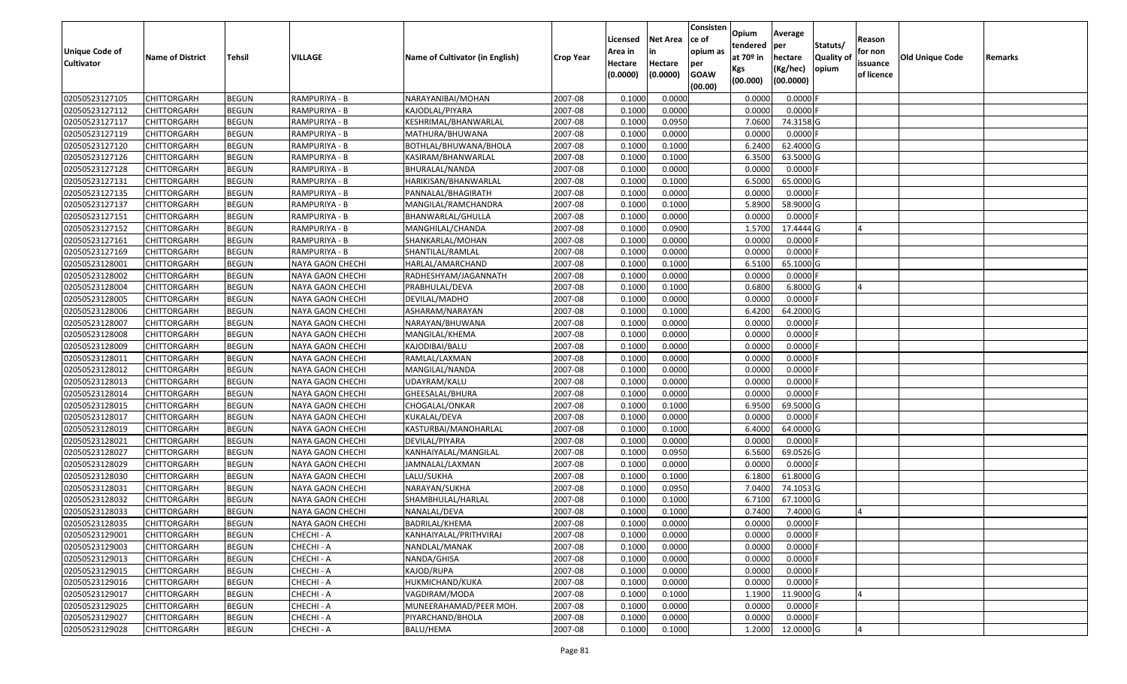| <b>Unique Code of</b><br><b>Cultivator</b> | <b>Name of District</b>                  | Tehsil                       | <b>VILLAGE</b>                       | Name of Cultivator (in English) | <b>Crop Year</b>   | Licensed<br>Area in<br>Hectare | <b>Net Area</b><br>in<br>Hectare | Consisten<br>ce of<br>opium as | Opium<br>tendered<br>at $70°$ in | Average<br>per<br>hectare | Statuts/<br><b>Quality o</b> | Reason<br>for non<br>issuance | Old Unique Code | Remarks |
|--------------------------------------------|------------------------------------------|------------------------------|--------------------------------------|---------------------------------|--------------------|--------------------------------|----------------------------------|--------------------------------|----------------------------------|---------------------------|------------------------------|-------------------------------|-----------------|---------|
|                                            |                                          |                              |                                      |                                 |                    | (0.0000)                       | (0.0000)                         | per<br><b>GOAW</b><br>(00.00)  | Kgs<br>(00.000)                  | (Kg/hec)<br>(00.0000)     | opium                        | of licence                    |                 |         |
| 02050523127105                             | CHITTORGARH                              | <b>BEGUN</b>                 | RAMPURIYA - B                        | NARAYANIBAI/MOHAN               | 2007-08            | 0.1000                         | 0.0000                           |                                | 0.0000                           | 0.0000F                   |                              |                               |                 |         |
| 02050523127112                             | CHITTORGARH                              | <b>BEGUN</b>                 | RAMPURIYA - B                        | KAJODLAL/PIYARA                 | 2007-08            | 0.1000                         | 0.0000                           |                                | 0.0000                           | $0.0000$ F                |                              |                               |                 |         |
| 02050523127117                             | CHITTORGARH                              | <b>BEGUN</b>                 | RAMPURIYA - B                        | KESHRIMAL/BHANWARLAL            | 2007-08            | 0.1000                         | 0.0950                           |                                | 7.0600                           | 74.3158 G                 |                              |                               |                 |         |
| 02050523127119                             | <b>CHITTORGARH</b>                       | <b>BEGUN</b>                 | RAMPURIYA - B                        | MATHURA/BHUWANA                 | 2007-08            | 0.1000                         | 0.0000                           |                                | 0.0000                           | $0.0000$ F                |                              |                               |                 |         |
| 02050523127120                             | CHITTORGARH                              | <b>BEGUN</b>                 | RAMPURIYA - B                        | BOTHLAL/BHUWANA/BHOLA           | 2007-08            | 0.1000                         | 0.1000                           |                                | 6.2400                           | 62.4000 G                 |                              |                               |                 |         |
| 02050523127126                             | CHITTORGARH                              | <b>BEGUN</b>                 | RAMPURIYA - B                        | KASIRAM/BHANWARLAL              | 2007-08            | 0.1000                         | 0.1000                           |                                | 6.3500                           | 63.5000 G                 |                              |                               |                 |         |
| 02050523127128                             | CHITTORGARH                              | <b>BEGUN</b>                 | RAMPURIYA - B                        | BHURALAL/NANDA                  | 2007-08            | 0.1000                         | 0.0000                           |                                | 0.0000                           | 0.0000                    |                              |                               |                 |         |
| 02050523127131                             | <b>CHITTORGARH</b>                       | <b>BEGUN</b>                 | RAMPURIYA - B                        | HARIKISAN/BHANWARLAL            | 2007-08            | 0.1000                         | 0.1000                           |                                | 6.5000                           | 65.0000G                  |                              |                               |                 |         |
| 02050523127135                             | CHITTORGARH                              | <b>BEGUN</b>                 | RAMPURIYA - B                        | PANNALAL/BHAGIRATH              | 2007-08            | 0.1000                         | 0.0000                           |                                | 0.0000                           | $0.0000$ F                |                              |                               |                 |         |
| 02050523127137                             | CHITTORGARH                              | <b>BEGUN</b>                 | RAMPURIYA - B                        | MANGILAL/RAMCHANDRA             | 2007-08            | 0.1000                         | 0.1000                           |                                | 5.8900                           | 58.9000 G                 |                              |                               |                 |         |
| 02050523127151                             | CHITTORGARH                              | <b>BEGUN</b>                 | RAMPURIYA - B                        | BHANWARLAL/GHULLA               | 2007-08            | 0.1000                         | 0.0000                           |                                | 0.0000                           | $0.0000$ F                |                              |                               |                 |         |
| 02050523127152                             | <b>CHITTORGARH</b>                       | <b>BEGUN</b>                 | RAMPURIYA - B                        | MANGHILAL/CHANDA                | 2007-08            | 0.1000                         | 0.0900                           |                                | 1.5700                           | 17.4444 G                 |                              |                               |                 |         |
| 02050523127161                             | <b>CHITTORGARH</b>                       | <b>BEGUN</b>                 | RAMPURIYA - B                        | SHANKARLAL/MOHAN                | 2007-08            | 0.1000                         | 0.0000                           |                                | 0.0000                           | $0.0000$ F                |                              |                               |                 |         |
| 02050523127169                             | <b>CHITTORGARH</b>                       | <b>BEGUN</b>                 | RAMPURIYA - B                        | SHANTILAL/RAMLAL                | 2007-08            | 0.1000                         | 0.0000                           |                                | 0.0000                           | $0.0000$ F                |                              |                               |                 |         |
| 02050523128001                             | CHITTORGARH                              | <b>BEGUN</b>                 | NAYA GAON CHECHI                     | HARLAL/AMARCHAND                | 2007-08            | 0.1000                         | 0.1000                           |                                | 6.5100                           | 65.1000 G                 |                              |                               |                 |         |
| 02050523128002                             | CHITTORGARH                              | <b>BEGUN</b>                 | NAYA GAON CHECHI                     | RADHESHYAM/JAGANNATH            | 2007-08            | 0.1000                         | 0.0000                           |                                | 0.0000                           | $0.0000$ F                |                              |                               |                 |         |
| 02050523128004                             | CHITTORGARH                              | <b>BEGUN</b>                 | NAYA GAON CHECHI                     | PRABHULAL/DEVA                  | 2007-08            | 0.1000                         | 0.1000                           |                                | 0.6800                           | $6.8000$ G                |                              |                               |                 |         |
| 02050523128005                             | CHITTORGARH                              | <b>BEGUN</b>                 | <b>NAYA GAON CHECHI</b>              | DEVILAL/MADHO                   | 2007-08            | 0.1000                         | 0.0000                           |                                | 0.0000                           | $0.0000$ F                |                              |                               |                 |         |
| 02050523128006                             | CHITTORGARH                              | <b>BEGUN</b>                 | <b>NAYA GAON CHECHI</b>              | ASHARAM/NARAYAN                 | 2007-08            | 0.100                          | 0.1000                           |                                | 6.4200                           | 64.2000 G                 |                              |                               |                 |         |
| 02050523128007                             | CHITTORGARH                              | <b>BEGUN</b>                 | NAYA GAON CHECHI                     | NARAYAN/BHUWANA                 | 2007-08            | 0.1000                         | 0.0000                           |                                | 0.0000                           | 0.0000                    |                              |                               |                 |         |
| 02050523128008                             | CHITTORGARH                              | <b>BEGUN</b>                 | NAYA GAON CHECHI                     | MANGILAL/KHEMA                  | 2007-08            | 0.1000                         | 0.0000                           |                                | 0.0000                           | 0.0000                    |                              |                               |                 |         |
| 02050523128009                             | CHITTORGARH                              | <b>BEGUN</b>                 | NAYA GAON CHECHI                     | KAJODIBAI/BALU                  | 2007-08            | 0.100                          | 0.0000                           |                                | 0.0000                           | 0.0000                    |                              |                               |                 |         |
| 02050523128011                             | CHITTORGARH                              | <b>BEGUN</b>                 | NAYA GAON CHECHI                     | RAMLAL/LAXMAN                   | 2007-08            | 0.1000                         | 0.0000                           |                                | 0.0000                           | 0.0000                    |                              |                               |                 |         |
| 02050523128012                             | CHITTORGARH                              | <b>BEGUN</b>                 | NAYA GAON CHECHI                     | MANGILAL/NANDA                  | 2007-08            | 0.1000                         | 0.0000                           |                                | 0.0000                           | 0.0000                    |                              |                               |                 |         |
| 02050523128013                             | CHITTORGARH                              | <b>BEGUN</b>                 | <b>NAYA GAON CHECHI</b>              | UDAYRAM/KALU                    | 2007-08            | 0.1000                         | 0.0000                           |                                | 0.0000                           | 0.0000F                   |                              |                               |                 |         |
| 02050523128014                             | CHITTORGARH                              | <b>BEGUN</b>                 | NAYA GAON CHECHI                     | GHEESALAL/BHURA                 | 2007-08            | 0.1000                         | 0.0000                           |                                | 0.0000                           | 0.0000F                   |                              |                               |                 |         |
| 02050523128015                             | CHITTORGARH                              | <b>BEGUN</b>                 | NAYA GAON CHECHI                     | CHOGALAL/ONKAR                  | 2007-08            | 0.100                          | 0.1000                           |                                | 6.9500                           | 69.5000 G                 |                              |                               |                 |         |
| 02050523128017                             | CHITTORGARH                              | <b>BEGUN</b>                 | NAYA GAON CHECHI                     | KUKALAL/DEVA                    | 2007-08            | 0.1000                         | 0.0000                           |                                | 0.0000                           | $0.0000$ F                |                              |                               |                 |         |
| 02050523128019                             | CHITTORGARH                              | <b>BEGUN</b>                 | NAYA GAON CHECHI                     | KASTURBAI/MANOHARLAL            | 2007-08            | 0.1000                         | 0.1000                           |                                | 6.4000                           | 64.0000 G                 |                              |                               |                 |         |
| 02050523128021                             | CHITTORGARH                              | <b>BEGUN</b>                 | NAYA GAON CHECHI                     | DEVILAL/PIYARA                  | 2007-08            | 0.1000                         | 0.0000                           |                                | 0.0000                           | $0.0000$ F                |                              |                               |                 |         |
| 02050523128027                             | CHITTORGARH                              | <b>BEGUN</b>                 | NAYA GAON CHECHI                     | KANHAIYALAL/MANGILAL            | 2007-08            | 0.1000                         | 0.0950                           |                                | 6.5600                           | 69.0526 G                 |                              |                               |                 |         |
| 02050523128029                             | CHITTORGARH                              | <b>BEGUN</b>                 | NAYA GAON CHECHI                     | JAMNALAL/LAXMAN                 | 2007-08            | 0.1000                         | 0.0000                           |                                | 0.0000                           | 0.0000                    |                              |                               |                 |         |
| 02050523128030                             | CHITTORGARH                              | <b>BEGUN</b>                 | NAYA GAON CHECHI                     | LALU/SUKHA                      | 2007-08            | 0.1000                         | 0.1000                           |                                | 6.1800                           | 61.8000 G                 |                              |                               |                 |         |
| 02050523128031<br>02050523128032           | CHITTORGARH<br>CHITTORGARH               | <b>BEGUN</b><br><b>BEGUN</b> | NAYA GAON CHECHI<br>NAYA GAON CHECHI | NARAYAN/SUKHA                   | 2007-08            | 0.1000<br>0.1000               | 0.0950                           |                                | 7.0400<br>6.7100                 | 74.1053 G<br>67.1000 G    |                              |                               |                 |         |
|                                            |                                          |                              |                                      | SHAMBHULAL/HARLAL               | 2007-08            | 0.1000                         | 0.1000<br>0.1000                 |                                | 0.7400                           |                           |                              |                               |                 |         |
| 02050523128033<br>02050523128035           | CHITTORGARH<br><b>CHITTORGARH</b>        | <b>BEGUN</b><br><b>BEGUN</b> | NAYA GAON CHECHI<br>NAYA GAON CHECHI | NANALAL/DEVA<br>BADRILAL/KHEMA  | 2007-08<br>2007-08 | 0.1000                         | 0.0000                           |                                | 0.0000                           | 7.4000 G<br>0.0000 F      |                              |                               |                 |         |
|                                            |                                          |                              |                                      | KANHAIYALAL/PRITHVIRAJ          |                    |                                |                                  |                                | 0.0000                           |                           |                              |                               |                 |         |
| 02050523129001<br>02050523129003           | <b>CHITTORGARH</b><br><b>CHITTORGARH</b> | <b>BEGUN</b><br><b>BEGUN</b> | CHECHI - A<br>CHECHI - A             | NANDLAL/MANAK                   | 2007-08            | 0.1000<br>0.1000               | 0.0000<br>0.0000                 |                                | 0.0000                           | $0.0000$ F<br>$0.0000$ F  |                              |                               |                 |         |
| 02050523129013                             | <b>CHITTORGARH</b>                       | <b>BEGUN</b>                 | CHECHI - A                           | NANDA/GHISA                     | 2007-08<br>2007-08 | 0.1000                         | 0.0000                           |                                | 0.0000                           | $0.0000$ F                |                              |                               |                 |         |
| 02050523129015                             | <b>CHITTORGARH</b>                       | <b>BEGUN</b>                 | CHECHI - A                           | KAJOD/RUPA                      | 2007-08            | 0.1000                         | 0.0000                           |                                | 0.0000                           | $0.0000$ F                |                              |                               |                 |         |
| 02050523129016                             | <b>CHITTORGARH</b>                       | <b>BEGUN</b>                 | CHECHI - A                           | HUKMICHAND/KUKA                 | 2007-08            | 0.1000                         | 0.0000                           |                                | 0.0000                           | 0.0000                    |                              |                               |                 |         |
| 02050523129017                             | <b>CHITTORGARH</b>                       | <b>BEGUN</b>                 | CHECHI - A                           | VAGDIRAM/MODA                   | 2007-08            | 0.1000                         | 0.1000                           |                                | 1.1900                           | 11.9000G                  |                              |                               |                 |         |
| 02050523129025                             | <b>CHITTORGARH</b>                       | <b>BEGUN</b>                 | CHECHI - A                           | MUNEERAHAMAD/PEER MOH.          | 2007-08            | 0.1000                         | 0.0000                           |                                | 0.0000                           | $0.0000$ F                |                              |                               |                 |         |
| 02050523129027                             | CHITTORGARH                              | <b>BEGUN</b>                 | CHECHI - A                           | PIYARCHAND/BHOLA                | 2007-08            | 0.1000                         | 0.0000                           |                                | 0.0000                           | 0.0000F                   |                              |                               |                 |         |
| 02050523129028                             | <b>CHITTORGARH</b>                       | <b>BEGUN</b>                 | CHECHI - A                           | BALU/HEMA                       | 2007-08            | 0.1000                         | 0.1000                           |                                | 1.2000                           | 12.0000 G                 |                              |                               |                 |         |
|                                            |                                          |                              |                                      |                                 |                    |                                |                                  |                                |                                  |                           |                              |                               |                 |         |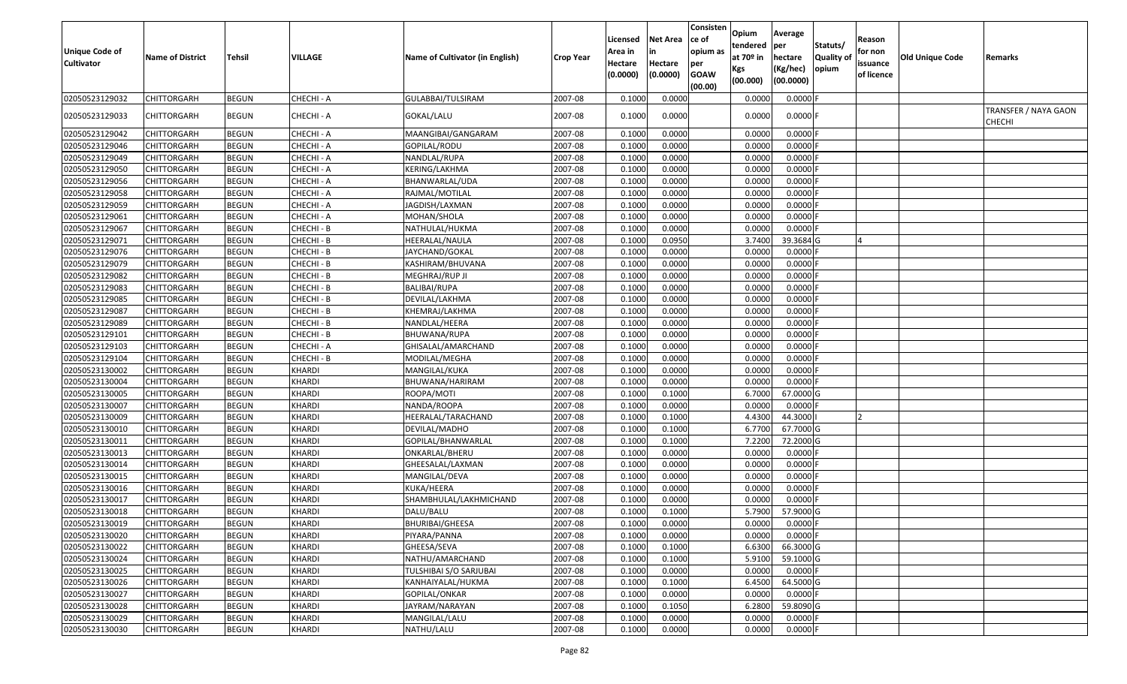| <b>Unique Code of</b><br><b>Cultivator</b> | <b>Name of District</b> | Tehsil       | VILLAGE       | Name of Cultivator (in English) | <b>Crop Year</b> | Licensed<br>Area in<br>Hectare<br>(0.0000) | <b>Net Area</b><br>Hectare<br>(0.0000) | Consisten<br>ce of<br>opium as<br>per<br><b>GOAW</b><br>(00.00) | <b>Opium</b><br>tendered<br>at $70°$ in<br>Kgs<br>(00.000) | Average<br>per<br>hectare<br>(Kg/hec)<br>(00.0000) | Statuts/<br>Quality of<br>opium | Reason<br>for non<br>issuance<br>of licence | <b>Old Unique Code</b> | Remarks                               |
|--------------------------------------------|-------------------------|--------------|---------------|---------------------------------|------------------|--------------------------------------------|----------------------------------------|-----------------------------------------------------------------|------------------------------------------------------------|----------------------------------------------------|---------------------------------|---------------------------------------------|------------------------|---------------------------------------|
| 02050523129032                             | CHITTORGARH             | <b>BEGUN</b> | CHECHI - A    | GULABBAI/TULSIRAM               | 2007-08          | 0.1000                                     | 0.0000                                 |                                                                 | 0.0000                                                     | 0.0000                                             |                                 |                                             |                        |                                       |
| 02050523129033                             | CHITTORGARH             | <b>BEGUN</b> | CHECHI - A    | GOKAL/LALU                      | 2007-08          | 0.1000                                     | 0.0000                                 |                                                                 | 0.0000                                                     | $0.0000$ F                                         |                                 |                                             |                        | TRANSFER / NAYA GAON<br><b>CHECHI</b> |
| 02050523129042                             | CHITTORGARH             | <b>BEGUN</b> | CHECHI - A    | MAANGIBAI/GANGARAM              | 2007-08          | 0.1000                                     | 0.0000                                 |                                                                 | 0.0000                                                     | 0.0000                                             |                                 |                                             |                        |                                       |
| 02050523129046                             | CHITTORGARH             | <b>BEGUN</b> | CHECHI - A    | GOPILAL/RODU                    | 2007-08          | 0.1000                                     | 0.0000                                 |                                                                 | 0.0000                                                     | $0.0000$ F                                         |                                 |                                             |                        |                                       |
| 02050523129049                             | CHITTORGARH             | <b>BEGUN</b> | CHECHI - A    | NANDLAL/RUPA                    | 2007-08          | 0.1000                                     | 0.0000                                 |                                                                 | 0.0000                                                     | $0.0000$ F                                         |                                 |                                             |                        |                                       |
| 02050523129050                             | CHITTORGARH             | <b>BEGUN</b> | CHECHI - A    | KERING/LAKHMA                   | 2007-08          | 0.1000                                     | 0.0000                                 |                                                                 | 0.0000                                                     | 0.0000                                             |                                 |                                             |                        |                                       |
| 02050523129056                             | CHITTORGARH             | <b>BEGUN</b> | CHECHI - A    | BHANWARLAL/UDA                  | 2007-08          | 0.1000                                     | 0.0000                                 |                                                                 | 0.0000                                                     | 0.0000F                                            |                                 |                                             |                        |                                       |
| 02050523129058                             | CHITTORGARH             | <b>BEGUN</b> | CHECHI - A    | RAJMAL/MOTILAL                  | 2007-08          | 0.1000                                     | 0.0000                                 |                                                                 | 0.0000                                                     | $0.0000$ F                                         |                                 |                                             |                        |                                       |
| 02050523129059                             | CHITTORGARH             | <b>BEGUN</b> | CHECHI - A    | JAGDISH/LAXMAN                  | 2007-08          | 0.1000                                     | 0.0000                                 |                                                                 | 0.0000                                                     | $0.0000$ F                                         |                                 |                                             |                        |                                       |
| 02050523129061                             | CHITTORGARH             | <b>BEGUN</b> | CHECHI - A    | MOHAN/SHOLA                     | 2007-08          | 0.1000                                     | 0.0000                                 |                                                                 | 0.0000                                                     | 0.0000                                             |                                 |                                             |                        |                                       |
| 02050523129067                             | CHITTORGARH             | <b>BEGUN</b> | CHECHI - B    | NATHULAL/HUKMA                  | 2007-08          | 0.1000                                     | 0.0000                                 |                                                                 | 0.0000                                                     | $0.0000$ F                                         |                                 |                                             |                        |                                       |
| 02050523129071                             | CHITTORGARH             | <b>BEGUN</b> | CHECHI - B    | <b>HEERALAL/NAULA</b>           | 2007-08          | 0.1000                                     | 0.0950                                 |                                                                 | 3.7400                                                     | 39.3684 G                                          |                                 |                                             |                        |                                       |
| 02050523129076                             | CHITTORGARH             | <b>BEGUN</b> | CHECHI - B    | JAYCHAND/GOKAL                  | 2007-08          | 0.1000                                     | 0.0000                                 |                                                                 | 0.0000                                                     | $0.0000$ F                                         |                                 |                                             |                        |                                       |
| 02050523129079                             | CHITTORGARH             | <b>BEGUN</b> | CHECHI - B    | KASHIRAM/BHUVANA                | 2007-08          | 0.1000                                     | 0.0000                                 |                                                                 | 0.0000                                                     | 0.0000                                             |                                 |                                             |                        |                                       |
| 02050523129082                             | <b>CHITTORGARH</b>      | <b>BEGUN</b> | CHECHI - B    | MEGHRAJ/RUP JI                  | 2007-08          | 0.1000                                     | 0.0000                                 |                                                                 | 0.0000                                                     | $0.0000$ F                                         |                                 |                                             |                        |                                       |
| 02050523129083                             | CHITTORGARH             | <b>BEGUN</b> | CHECHI - B    | <b>BALIBAI/RUPA</b>             | 2007-08          | 0.1000                                     | 0.0000                                 |                                                                 | 0.0000                                                     | 0.0000                                             |                                 |                                             |                        |                                       |
| 02050523129085                             | CHITTORGARH             | <b>BEGUN</b> | CHECHI - B    | DEVILAL/LAKHMA                  | 2007-08          | 0.1000                                     | 0.0000                                 |                                                                 | 0.0000                                                     | $0.0000$ F                                         |                                 |                                             |                        |                                       |
| 02050523129087                             | <b>CHITTORGARH</b>      | <b>BEGUN</b> | CHECHI - B    | KHEMRAJ/LAKHMA                  | 2007-08          | 0.1000                                     | 0.0000                                 |                                                                 | 0.0000                                                     | 0.0000                                             |                                 |                                             |                        |                                       |
| 02050523129089                             | CHITTORGARH             | <b>BEGUN</b> | CHECHI - B    | NANDLAL/HEERA                   | 2007-08          | 0.1000                                     | 0.0000                                 |                                                                 | 0.0000                                                     | 0.0000                                             |                                 |                                             |                        |                                       |
| 02050523129101                             | CHITTORGARH             | <b>BEGUN</b> | CHECHI - B    | BHUWANA/RUPA                    | 2007-08          | 0.1000                                     | 0.0000                                 |                                                                 | 0.0000                                                     | 0.0000                                             |                                 |                                             |                        |                                       |
| 02050523129103                             | CHITTORGARH             | <b>BEGUN</b> | CHECHI - A    | GHISALAL/AMARCHAND              | 2007-08          | 0.1000                                     | 0.0000                                 |                                                                 | 0.0000                                                     | 0.0000                                             |                                 |                                             |                        |                                       |
| 02050523129104                             | CHITTORGARH             | <b>BEGUN</b> | CHECHI - B    | MODILAL/MEGHA                   | 2007-08          | 0.1000                                     | 0.0000                                 |                                                                 | 0.0000                                                     | 0.0000                                             |                                 |                                             |                        |                                       |
| 02050523130002                             | CHITTORGARH             | <b>BEGUN</b> | <b>KHARDI</b> | MANGILAL/KUKA                   | 2007-08          | 0.1000                                     | 0.0000                                 |                                                                 | 0.0000                                                     | 0.0000                                             |                                 |                                             |                        |                                       |
| 02050523130004                             | CHITTORGARH             | <b>BEGUN</b> | <b>KHARDI</b> | BHUWANA/HARIRAM                 | 2007-08          | 0.1000                                     | 0.0000                                 |                                                                 | 0.0000                                                     | 0.0000                                             |                                 |                                             |                        |                                       |
| 02050523130005                             | CHITTORGARH             | <b>BEGUN</b> | <b>KHARDI</b> | ROOPA/MOTI                      | 2007-08          | 0.1000                                     | 0.1000                                 |                                                                 | 6.7000                                                     | 67.0000 G                                          |                                 |                                             |                        |                                       |
| 02050523130007                             | CHITTORGARH             | <b>BEGUN</b> | <b>KHARDI</b> | NANDA/ROOPA                     | 2007-08          | 0.1000                                     | 0.0000                                 |                                                                 | 0.0000                                                     | $0.0000$ F                                         |                                 |                                             |                        |                                       |
| 02050523130009                             | CHITTORGARH             | <b>BEGUN</b> | <b>KHARDI</b> | HEERALAL/TARACHAND              | 2007-08          | 0.1000                                     | 0.1000                                 |                                                                 | 4.4300                                                     | 44.3000                                            |                                 |                                             |                        |                                       |
| 02050523130010                             | CHITTORGARH             | <b>BEGUN</b> | <b>KHARDI</b> | DEVILAL/MADHO                   | 2007-08          | 0.1000                                     | 0.1000                                 |                                                                 | 6.7700                                                     | 67.7000 G                                          |                                 |                                             |                        |                                       |
| 02050523130011                             | CHITTORGARH             | <b>BEGUN</b> | <b>KHARDI</b> | GOPILAL/BHANWARLAL              | 2007-08          | 0.1000                                     | 0.1000                                 |                                                                 | 7.2200                                                     | 72.2000 G                                          |                                 |                                             |                        |                                       |
| 02050523130013                             | CHITTORGARH             | <b>BEGUN</b> | <b>KHARDI</b> | ONKARLAL/BHERU                  | 2007-08          | 0.1000                                     | 0.0000                                 |                                                                 | 0.0000                                                     | $0.0000$ F                                         |                                 |                                             |                        |                                       |
| 02050523130014                             | CHITTORGARH             | <b>BEGUN</b> | <b>KHARDI</b> | GHEESALAL/LAXMAN                | 2007-08          | 0.1000                                     | 0.0000                                 |                                                                 | 0.0000                                                     | $0.0000$ F                                         |                                 |                                             |                        |                                       |
| 02050523130015                             | CHITTORGARH             | <b>BEGUN</b> | <b>KHARDI</b> | MANGILAL/DEVA                   | 2007-08          | 0.1000                                     | 0.0000                                 |                                                                 | 0.0000                                                     | $0.0000$ F                                         |                                 |                                             |                        |                                       |
| 02050523130016                             | CHITTORGARH             | <b>BEGUN</b> | <b>KHARDI</b> | KUKA/HEERA                      | 2007-08          | 0.1000                                     | 0.0000                                 |                                                                 | 0.0000                                                     | $0.0000$ F                                         |                                 |                                             |                        |                                       |
| 02050523130017                             | CHITTORGARH             | <b>BEGUN</b> | KHARDI        | SHAMBHULAL/LAKHMICHAND          | 2007-08          | 0.1000                                     | 0.0000                                 |                                                                 | 0.0000                                                     | 0.0000                                             |                                 |                                             |                        |                                       |
| 02050523130018                             | CHITTORGARH             | <b>BEGUN</b> | <b>KHARDI</b> | DALU/BALU                       | 2007-08          | 0.1000                                     | 0.1000                                 |                                                                 | 5.7900                                                     | 57.9000 G                                          |                                 |                                             |                        |                                       |
| 02050523130019                             | <b>CHITTORGARH</b>      | <b>BEGUN</b> | <b>KHARDI</b> | <b>BHURIBAI/GHEESA</b>          | 2007-08          | 0.1000                                     | 0.0000                                 |                                                                 | 0.0000                                                     | $0.0000$ F                                         |                                 |                                             |                        |                                       |
| 02050523130020                             | <b>CHITTORGARH</b>      | <b>BEGUN</b> | <b>KHARDI</b> | PIYARA/PANNA                    | 2007-08          | 0.1000                                     | 0.0000                                 |                                                                 | 0.0000                                                     | $0.0000$ F                                         |                                 |                                             |                        |                                       |
| 02050523130022                             | <b>CHITTORGARH</b>      | <b>BEGUN</b> | <b>KHARDI</b> | GHEESA/SEVA                     | 2007-08          | 0.1000                                     | 0.1000                                 |                                                                 | 6.6300                                                     | 66.3000 G                                          |                                 |                                             |                        |                                       |
| 02050523130024                             | <b>CHITTORGARH</b>      | <b>BEGUN</b> | <b>KHARDI</b> | NATHU/AMARCHAND                 | 2007-08          | 0.1000                                     | 0.1000                                 |                                                                 | 5.9100                                                     | 59.1000 G                                          |                                 |                                             |                        |                                       |
| 02050523130025                             | CHITTORGARH             | <b>BEGUN</b> | <b>KHARDI</b> | TULSHIBAI S/O SARJUBAI          | 2007-08          | 0.1000                                     | 0.0000                                 |                                                                 | 0.0000                                                     | $0.0000$ F                                         |                                 |                                             |                        |                                       |
| 02050523130026                             | <b>CHITTORGARH</b>      | <b>BEGUN</b> | <b>KHARDI</b> | KANHAIYALAL/HUKMA               | 2007-08          | 0.1000                                     | 0.1000                                 |                                                                 | 6.4500                                                     | 64.5000 G                                          |                                 |                                             |                        |                                       |
| 02050523130027                             | <b>CHITTORGARH</b>      | <b>BEGUN</b> | <b>KHARDI</b> | GOPILAL/ONKAR                   | 2007-08          | 0.1000                                     | 0.0000                                 |                                                                 | 0.0000                                                     | $0.0000$ F                                         |                                 |                                             |                        |                                       |
| 02050523130028                             | <b>CHITTORGARH</b>      | <b>BEGUN</b> | <b>KHARDI</b> | JAYRAM/NARAYAN                  | 2007-08          | 0.1000                                     | 0.1050                                 |                                                                 | 6.2800                                                     | 59.8090 G                                          |                                 |                                             |                        |                                       |
| 02050523130029                             | CHITTORGARH             | <b>BEGUN</b> | <b>KHARDI</b> | MANGILAL/LALU                   | 2007-08          | 0.1000                                     | 0.0000                                 |                                                                 | 0.0000                                                     | $0.0000$ F                                         |                                 |                                             |                        |                                       |
| 02050523130030                             | <b>CHITTORGARH</b>      | <b>BEGUN</b> | <b>KHARDI</b> | NATHU/LALU                      | 2007-08          | 0.1000                                     | 0.0000                                 |                                                                 | 0.0000                                                     | $0.0000$ F                                         |                                 |                                             |                        |                                       |
|                                            |                         |              |               |                                 |                  |                                            |                                        |                                                                 |                                                            |                                                    |                                 |                                             |                        |                                       |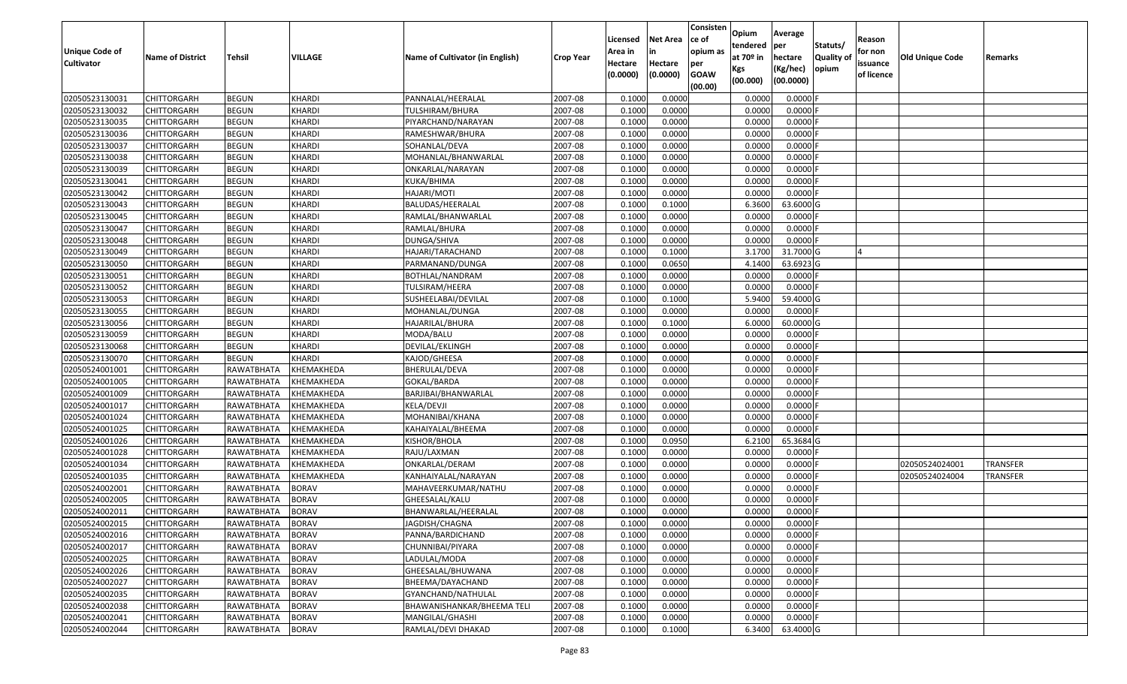| Unique Code of<br><b>Cultivator</b> | <b>Name of District</b> | Tehsil       | <b>VILLAGE</b> | Name of Cultivator (in English) | <b>Crop Year</b> | Licensed<br>Area in<br>Hectare<br>(0.0000) | <b>Net Area</b><br>in<br>Hectare<br>(0.0000) | Consisten<br>ce of<br>opium as<br>per<br><b>GOAW</b> | Opium<br>tendered<br>at $70°$ in<br>Kgs | Average<br>per<br>hectare<br>(Kg/hec) | Statuts/<br><b>Quality o</b><br>opium | Reason<br>for non<br>issuance<br>of licence | Old Unique Code | Remarks         |
|-------------------------------------|-------------------------|--------------|----------------|---------------------------------|------------------|--------------------------------------------|----------------------------------------------|------------------------------------------------------|-----------------------------------------|---------------------------------------|---------------------------------------|---------------------------------------------|-----------------|-----------------|
|                                     |                         |              |                |                                 |                  |                                            |                                              | (00.00)                                              | (00.000)                                | (00.0000)                             |                                       |                                             |                 |                 |
| 02050523130031                      | CHITTORGARH             | <b>BEGUN</b> | <b>KHARDI</b>  | PANNALAL/HEERALAL               | 2007-08          | 0.1000                                     | 0.0000                                       |                                                      | 0.0000                                  | 0.0000F                               |                                       |                                             |                 |                 |
| 02050523130032                      | CHITTORGARH             | <b>BEGUN</b> | <b>KHARDI</b>  | TULSHIRAM/BHURA                 | 2007-08          | 0.1000                                     | 0.0000                                       |                                                      | 0.0000                                  | $0.0000$ F                            |                                       |                                             |                 |                 |
| 02050523130035                      | CHITTORGARH             | <b>BEGUN</b> | <b>KHARDI</b>  | PIYARCHAND/NARAYAN              | 2007-08          | 0.1000                                     | 0.0000                                       |                                                      | 0.0000                                  | 0.0000                                |                                       |                                             |                 |                 |
| 02050523130036                      | <b>CHITTORGARH</b>      | <b>BEGUN</b> | KHARDI         | RAMESHWAR/BHURA                 | 2007-08          | 0.1000                                     | 0.0000                                       |                                                      | 0.0000                                  | 0.0000F                               |                                       |                                             |                 |                 |
| 02050523130037                      | CHITTORGARH             | <b>BEGUN</b> | KHARDI         | SOHANLAL/DEVA                   | 2007-08          | 0.1000                                     | 0.0000                                       |                                                      | 0.0000                                  | 0.0000                                |                                       |                                             |                 |                 |
| 02050523130038                      | <b>CHITTORGARH</b>      | <b>BEGUN</b> | KHARDI         | MOHANLAL/BHANWARLAL             | 2007-08          | 0.1000                                     | 0.0000                                       |                                                      | 0.0000                                  | 0.0000                                |                                       |                                             |                 |                 |
| 02050523130039                      | CHITTORGARH             | <b>BEGUN</b> | <b>KHARDI</b>  | ONKARLAL/NARAYAN                | 2007-08          | 0.1000                                     | 0.0000                                       |                                                      | 0.0000                                  | 0.0000                                |                                       |                                             |                 |                 |
| 02050523130041                      | <b>CHITTORGARH</b>      | <b>BEGUN</b> | <b>KHARDI</b>  | KUKA/BHIMA                      | 2007-08          | 0.1000                                     | 0.0000                                       |                                                      | 0.0000                                  | $0.0000$ F                            |                                       |                                             |                 |                 |
| 02050523130042                      | CHITTORGARH             | <b>BEGUN</b> | <b>KHARDI</b>  | HAJARI/MOTI                     | 2007-08          | 0.1000                                     | 0.0000                                       |                                                      | 0.0000                                  | $0.0000$ F                            |                                       |                                             |                 |                 |
| 02050523130043                      | CHITTORGARH             | <b>BEGUN</b> | <b>KHARDI</b>  | BALUDAS/HEERALAL                | 2007-08          | 0.1000                                     | 0.1000                                       |                                                      | 6.3600                                  | 63.6000 G                             |                                       |                                             |                 |                 |
| 02050523130045                      | CHITTORGARH             | <b>BEGUN</b> | KHARDI         | RAMLAL/BHANWARLAL               | 2007-08          | 0.1000                                     | 0.0000                                       |                                                      | 0.0000                                  | $0.0000$ F                            |                                       |                                             |                 |                 |
| 02050523130047                      | CHITTORGARH             | <b>BEGUN</b> | KHARDI         | RAMLAL/BHURA                    | 2007-08          | 0.1000                                     | 0.0000                                       |                                                      | 0.0000                                  | $0.0000$ F                            |                                       |                                             |                 |                 |
| 02050523130048                      | <b>CHITTORGARH</b>      | <b>BEGUN</b> | <b>KHARDI</b>  | <b>DUNGA/SHIVA</b>              | 2007-08          | 0.1000                                     | 0.0000                                       |                                                      | 0.0000                                  | $0.0000$ F                            |                                       |                                             |                 |                 |
| 02050523130049                      | CHITTORGARH             | <b>BEGUN</b> | KHARDI         | HAJARI/TARACHAND                | 2007-08          | 0.1000                                     | 0.1000                                       |                                                      | 3.1700                                  | 31.7000G                              |                                       |                                             |                 |                 |
| 02050523130050                      | <b>CHITTORGARH</b>      | <b>BEGUN</b> | KHARDI         | PARMANAND/DUNGA                 | 2007-08          | 0.1000                                     | 0.0650                                       |                                                      | 4.1400                                  | 63.6923 G                             |                                       |                                             |                 |                 |
| 02050523130051                      | CHITTORGARH             | <b>BEGUN</b> | KHARDI         | BOTHLAL/NANDRAM                 | 2007-08          | 0.1000                                     | 0.0000                                       |                                                      | 0.0000                                  | $0.0000$ F                            |                                       |                                             |                 |                 |
| 02050523130052                      | CHITTORGARH             | <b>BEGUN</b> | <b>KHARDI</b>  | TULSIRAM/HEERA                  | 2007-08          | 0.1000                                     | 0.0000                                       |                                                      | 0.0000                                  | $0.0000$ F                            |                                       |                                             |                 |                 |
| 02050523130053                      | CHITTORGARH             | <b>BEGUN</b> | KHARDI         | SUSHEELABAI/DEVILAL             | 2007-08          | 0.1000                                     | 0.1000                                       |                                                      | 5.9400                                  | 59.4000 G                             |                                       |                                             |                 |                 |
| 02050523130055                      | CHITTORGARH             | <b>BEGUN</b> | KHARDI         | MOHANLAL/DUNGA                  | 2007-08          | 0.1000                                     | 0.0000                                       |                                                      | 0.0000                                  | 0.0000F                               |                                       |                                             |                 |                 |
| 02050523130056                      | CHITTORGARH             | <b>BEGUN</b> | KHARDI         | HAJARILAL/BHURA                 | 2007-08          | 0.1000                                     | 0.1000                                       |                                                      | 6.0000                                  | 60.0000 G                             |                                       |                                             |                 |                 |
| 02050523130059                      | CHITTORGARH             | <b>BEGUN</b> | KHARDI         | MODA/BALU                       | 2007-08          | 0.1000                                     | 0.0000                                       |                                                      | 0.0000                                  | 0.0000                                |                                       |                                             |                 |                 |
| 02050523130068                      | CHITTORGARH             | <b>BEGUN</b> | KHARDI         | DEVILAL/EKLINGH                 | 2007-08          | 0.1000                                     | 0.0000                                       |                                                      | 0.0000                                  | 0.0000                                |                                       |                                             |                 |                 |
| 02050523130070                      | CHITTORGARH             | <b>BEGUN</b> | KHARDI         | KAJOD/GHEESA                    | 2007-08          | 0.1000                                     | 0.0000                                       |                                                      | 0.0000                                  | 0.0000                                |                                       |                                             |                 |                 |
| 02050524001001                      | CHITTORGARH             | RAWATBHATA   | KHEMAKHEDA     | BHERULAL/DEVA                   | 2007-08          | 0.1000                                     | 0.0000                                       |                                                      | 0.0000                                  | 0.0000                                |                                       |                                             |                 |                 |
| 02050524001005                      | <b>CHITTORGARH</b>      | RAWATBHATA   | KHEMAKHEDA     | GOKAL/BARDA                     | 2007-08          | 0.1000                                     | 0.0000                                       |                                                      | 0.0000                                  | 0.0000                                |                                       |                                             |                 |                 |
| 02050524001009                      | CHITTORGARH             | RAWATBHATA   | KHEMAKHEDA     | BARJIBAI/BHANWARLAL             | 2007-08          | 0.1000                                     | 0.0000                                       |                                                      | 0.0000                                  | 0.0000F                               |                                       |                                             |                 |                 |
| 02050524001017                      | CHITTORGARH             | RAWATBHATA   | KHEMAKHEDA     | KELA/DEVJI                      | 2007-08          | 0.1000                                     | 0.0000                                       |                                                      | 0.0000                                  | 0.0000                                |                                       |                                             |                 |                 |
| 02050524001024                      | CHITTORGARH             | RAWATBHATA   | KHEMAKHEDA     | MOHANIBAI/KHANA                 | 2007-08          | 0.1000                                     | 0.0000                                       |                                                      | 0.0000                                  | 0.0000                                |                                       |                                             |                 |                 |
| 02050524001025                      | CHITTORGARH             | RAWATBHATA   | KHEMAKHEDA     | KAHAIYALAL/BHEEMA               | 2007-08          | 0.1000                                     | 0.0000                                       |                                                      | 0.0000                                  | 0.0000F                               |                                       |                                             |                 |                 |
| 02050524001026                      | CHITTORGARH             | RAWATBHATA   | KHEMAKHEDA     | KISHOR/BHOLA                    | 2007-08          | 0.1000                                     | 0.0950                                       |                                                      | 6.2100                                  | 65.3684 G                             |                                       |                                             |                 |                 |
| 02050524001028                      | CHITTORGARH             | RAWATBHATA   | KHEMAKHEDA     | RAJU/LAXMAN                     | 2007-08          | 0.1000                                     | 0.0000                                       |                                                      | 0.0000                                  | 0.0000                                |                                       |                                             |                 |                 |
| 02050524001034                      | CHITTORGARH             | RAWATBHATA   | KHEMAKHEDA     | ONKARLAL/DERAM                  | 2007-08          | 0.1000                                     | 0.0000                                       |                                                      | 0.0000                                  | 0.0000                                |                                       |                                             | 02050524024001  | <b>TRANSFER</b> |
| 02050524001035                      | CHITTORGARH             | RAWATBHATA   | KHEMAKHEDA     | KANHAIYALAL/NARAYAN             | 2007-08          | 0.1000                                     | 0.0000                                       |                                                      | 0.0000                                  | 0.0000                                |                                       |                                             | 02050524024004  | <b>TRANSFER</b> |
| 02050524002001                      | <b>CHITTORGARH</b>      | RAWATBHATA   | <b>BORAV</b>   | MAHAVEERKUMAR/NATHU             | 2007-08          | 0.1000                                     | 0.0000                                       |                                                      | 0.0000                                  | 0.0000                                |                                       |                                             |                 |                 |
| 02050524002005                      | CHITTORGARH             | RAWATBHATA   | <b>BORAV</b>   | GHEESALAL/KALU                  | 2007-08          | 0.1000                                     | 0.0000                                       |                                                      | 0.0000                                  | 0.0000                                |                                       |                                             |                 |                 |
| 02050524002011                      | CHITTORGARH             | RAWATBHATA   | <b>BORAV</b>   | BHANWARLAL/HEERALAL             | 2007-08          | 0.1000                                     | 0.0000                                       |                                                      | 0.0000                                  | 0.0000                                |                                       |                                             |                 |                 |
| 02050524002015                      | <b>CHITTORGARH</b>      | RAWATBHATA   | <b>BORAV</b>   | JAGDISH/CHAGNA                  | 2007-08          | 0.1000                                     | 0.0000                                       |                                                      | 0.0000                                  | $0.0000$ F                            |                                       |                                             |                 |                 |
| 02050524002016                      | <b>CHITTORGARH</b>      | RAWATBHATA   | <b>BORAV</b>   | PANNA/BARDICHAND                | 2007-08          | 0.1000                                     | 0.0000                                       |                                                      | 0.0000                                  | $0.0000$ F                            |                                       |                                             |                 |                 |
| 02050524002017                      | <b>CHITTORGARH</b>      | RAWATBHATA   | <b>BORAV</b>   | CHUNNIBAI/PIYARA                | 2007-08          | 0.1000                                     | 0.0000                                       |                                                      | 0.0000                                  | 0.0000F                               |                                       |                                             |                 |                 |
| 02050524002025                      | <b>CHITTORGARH</b>      | RAWATBHATA   | <b>BORAV</b>   | LADULAL/MODA                    | 2007-08          | 0.1000                                     | 0.0000                                       |                                                      | 0.0000                                  | $0.0000$ F                            |                                       |                                             |                 |                 |
| 02050524002026                      | CHITTORGARH             | RAWATBHATA   | <b>BORAV</b>   | GHEESALAL/BHUWANA               | 2007-08          | 0.1000                                     | 0.0000                                       |                                                      | 0.0000                                  | 0.0000                                |                                       |                                             |                 |                 |
| 02050524002027                      | <b>CHITTORGARH</b>      | RAWATBHATA   | <b>BORAV</b>   | BHEEMA/DAYACHAND                | 2007-08          | 0.1000                                     | 0.0000                                       |                                                      | 0.0000                                  | 0.0000                                |                                       |                                             |                 |                 |
| 02050524002035                      | <b>CHITTORGARH</b>      | RAWATBHATA   | <b>BORAV</b>   | GYANCHAND/NATHULAL              | 2007-08          | 0.1000                                     | 0.0000                                       |                                                      | 0.0000                                  | 0.0000                                |                                       |                                             |                 |                 |
| 02050524002038                      | CHITTORGARH             | RAWATBHATA   | <b>BORAV</b>   | BHAWANISHANKAR/BHEEMA TELI      | 2007-08          | 0.1000                                     | 0.0000                                       |                                                      | 0.0000                                  | $0.0000$ F                            |                                       |                                             |                 |                 |
| 02050524002041                      | <b>CHITTORGARH</b>      | RAWATBHATA   | <b>BORAV</b>   | MANGILAL/GHASHI                 | 2007-08          | 0.1000                                     | 0.0000                                       |                                                      | 0.0000                                  | 0.0000                                |                                       |                                             |                 |                 |
| 02050524002044                      | <b>CHITTORGARH</b>      | RAWATBHATA   | <b>BORAV</b>   | RAMLAL/DEVI DHAKAD              | 2007-08          | 0.1000                                     | 0.1000                                       |                                                      | 6.3400                                  | 63.4000 G                             |                                       |                                             |                 |                 |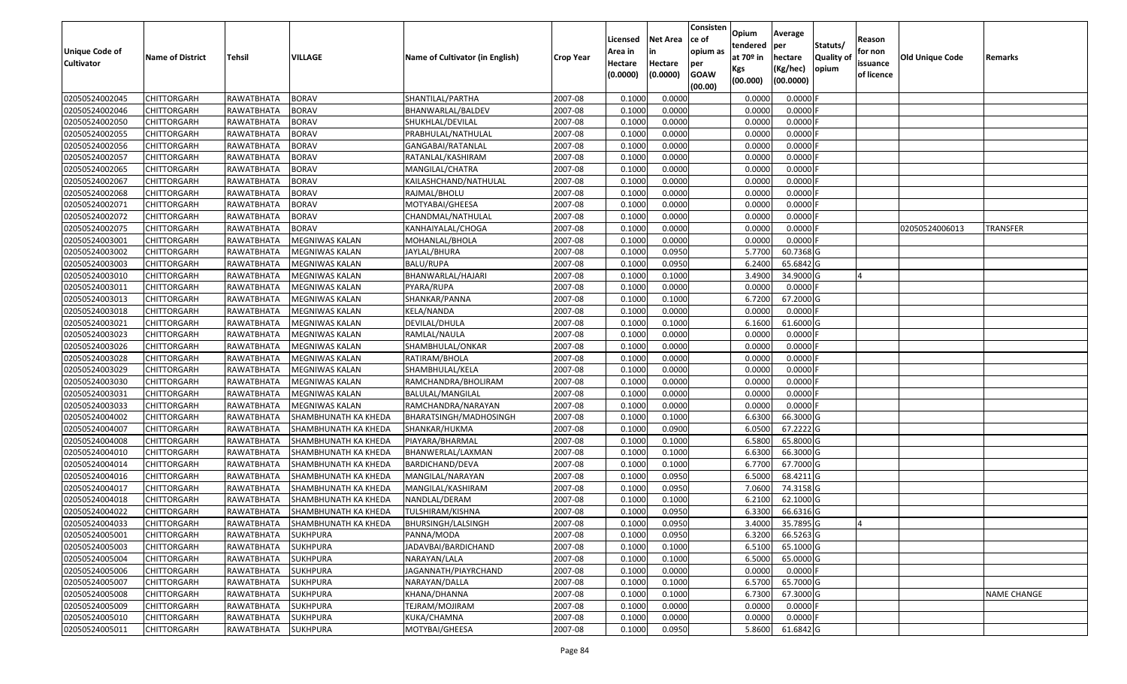| Unique Code of<br><b>Cultivator</b> | <b>Name of District</b> | <b>Tehsil</b>     | VILLAGE                         | Name of Cultivator (in English) | <b>Crop Year</b> | Licensed<br>Area in<br>Hectare<br>(0.0000) | <b>Net Area</b><br>in<br>Hectare<br>(0.0000) | Consisten<br>ce of<br>opium as<br>per<br><b>GOAW</b> | Opium<br>tendered<br>at $70°$ in<br>Kgs | Average<br>per<br>hectare<br>(Kg/hec) | Statuts/<br><b>Quality o</b><br>opium | Reason<br>for non<br>issuance<br>of licence | Old Unique Code | Remarks            |
|-------------------------------------|-------------------------|-------------------|---------------------------------|---------------------------------|------------------|--------------------------------------------|----------------------------------------------|------------------------------------------------------|-----------------------------------------|---------------------------------------|---------------------------------------|---------------------------------------------|-----------------|--------------------|
|                                     |                         |                   |                                 |                                 |                  |                                            |                                              | (00.00)                                              | (00.000)                                | (00.0000)                             |                                       |                                             |                 |                    |
| 02050524002045                      | CHITTORGARH             | RAWATBHATA        | <b>BORAV</b>                    | SHANTILAL/PARTHA                | 2007-08          | 0.1000                                     | 0.0000                                       |                                                      | 0.0000                                  | 0.0000F                               |                                       |                                             |                 |                    |
| 02050524002046                      | CHITTORGARH             | RAWATBHATA        | <b>BORAV</b>                    | BHANWARLAL/BALDEV               | 2007-08          | 0.1000                                     | 0.0000                                       |                                                      | 0.0000                                  | 0.0000F                               |                                       |                                             |                 |                    |
| 02050524002050                      | CHITTORGARH             | RAWATBHATA        | <b>BORAV</b>                    | SHUKHLAL/DEVILAL                | 2007-08          | 0.1000                                     | 0.0000                                       |                                                      | 0.0000                                  | 0.0000                                |                                       |                                             |                 |                    |
| 02050524002055                      | <b>CHITTORGARH</b>      | <b>RAWATBHATA</b> | <b>BORAV</b>                    | PRABHULAL/NATHULAL              | 2007-08          | 0.1000                                     | 0.0000                                       |                                                      | 0.0000                                  | 0.0000                                |                                       |                                             |                 |                    |
| 02050524002056                      | CHITTORGARH             | RAWATBHATA        | <b>BORAV</b>                    | GANGABAI/RATANLAL               | 2007-08          | 0.1000                                     | 0.0000                                       |                                                      | 0.0000                                  | 0.0000                                |                                       |                                             |                 |                    |
| 02050524002057                      | CHITTORGARH             | RAWATBHATA        | <b>BORAV</b>                    | RATANLAL/KASHIRAM               | 2007-08          | 0.1000                                     | 0.0000                                       |                                                      | 0.0000                                  | 0.0000                                |                                       |                                             |                 |                    |
| 02050524002065                      | CHITTORGARH             | RAWATBHATA        | <b>BORAV</b>                    | MANGILAL/CHATRA                 | 2007-08          | 0.1000                                     | 0.0000                                       |                                                      | 0.0000                                  | 0.0000                                |                                       |                                             |                 |                    |
| 02050524002067                      | CHITTORGARH             | RAWATBHATA        | <b>BORAV</b>                    | KAILASHCHAND/NATHULAL           | 2007-08          | 0.1000                                     | 0.0000                                       |                                                      | 0.0000                                  | 0.0000                                |                                       |                                             |                 |                    |
| 02050524002068                      | <b>CHITTORGARH</b>      | RAWATBHATA        | <b>BORAV</b>                    | RAJMAL/BHOLU                    | 2007-08          | 0.1000                                     | 0.0000                                       |                                                      | 0.0000                                  | 0.0000                                |                                       |                                             |                 |                    |
| 02050524002071                      | CHITTORGARH             | RAWATBHATA        | <b>BORAV</b>                    | MOTYABAI/GHEESA                 | 2007-08          | 0.1000                                     | 0.0000                                       |                                                      | 0.0000                                  | 0.0000                                |                                       |                                             |                 |                    |
| 02050524002072                      | CHITTORGARH             | RAWATBHATA        | <b>BORAV</b>                    | CHANDMAL/NATHULAL               | 2007-08          | 0.1000                                     | 0.0000                                       |                                                      | 0.0000                                  | 0.0000F                               |                                       |                                             |                 |                    |
| 02050524002075                      | CHITTORGARH             | RAWATBHATA        | <b>BORAV</b>                    | KANHAIYALAL/CHOGA               | 2007-08          | 0.1000                                     | 0.0000                                       |                                                      | 0.0000                                  | 0.0000                                |                                       |                                             | 02050524006013  | <b>TRANSFER</b>    |
| 02050524003001                      | <b>CHITTORGARH</b>      | RAWATBHATA        | MEGNIWAS KALAN                  | MOHANLAL/BHOLA                  | 2007-08          | 0.1000                                     | 0.0000                                       |                                                      | 0.0000                                  | $0.0000$ F                            |                                       |                                             |                 |                    |
| 02050524003002                      | <b>CHITTORGARH</b>      | RAWATBHATA        | MEGNIWAS KALAN                  | JAYLAL/BHURA                    | 2007-08          | 0.1000                                     | 0.0950                                       |                                                      | 5.7700                                  | 60.7368 G                             |                                       |                                             |                 |                    |
| 02050524003003                      | CHITTORGARH             | RAWATBHATA        | MEGNIWAS KALAN                  | BALU/RUPA                       | 2007-08          | 0.1000                                     | 0.0950                                       |                                                      | 6.2400                                  | 65.6842 G                             |                                       |                                             |                 |                    |
| 02050524003010                      | CHITTORGARH             | RAWATBHATA        | MEGNIWAS KALAN                  | BHANWARLAL/HAJARI               | 2007-08          | 0.1000                                     | 0.1000                                       |                                                      | 3.4900                                  | 34.9000 G                             |                                       |                                             |                 |                    |
| 02050524003011                      | CHITTORGARH             | RAWATBHATA        | MEGNIWAS KALAN                  | PYARA/RUPA                      | 2007-08          | 0.1000                                     | 0.0000                                       |                                                      | 0.0000                                  | $0.0000$ F                            |                                       |                                             |                 |                    |
| 02050524003013                      | CHITTORGARH             | RAWATBHATA        | <b>MEGNIWAS KALAN</b>           | SHANKAR/PANNA                   | 2007-08          | 0.1000                                     | 0.1000                                       |                                                      | 6.7200                                  | 67.2000 G                             |                                       |                                             |                 |                    |
| 02050524003018                      | CHITTORGARH             | RAWATBHATA        | MEGNIWAS KALAN                  | KELA/NANDA                      | 2007-08          | 0.100                                      | 0.0000                                       |                                                      | 0.0000                                  | 0.0000F                               |                                       |                                             |                 |                    |
| 02050524003021                      | CHITTORGARH             | RAWATBHATA        | <b>MEGNIWAS KALAN</b>           | DEVILAL/DHULA                   | 2007-08          | 0.1000                                     | 0.1000                                       |                                                      | 6.1600                                  | 61.6000 G                             |                                       |                                             |                 |                    |
| 02050524003023                      | CHITTORGARH             | RAWATBHATA        | MEGNIWAS KALAN                  | RAMLAL/NAULA                    | 2007-08          | 0.100                                      | 0.0000                                       |                                                      | 0.0000                                  | 0.0000                                |                                       |                                             |                 |                    |
| 02050524003026                      | CHITTORGARH             | RAWATBHATA        | MEGNIWAS KALAN                  | SHAMBHULAL/ONKAR                | 2007-08          | 0.100                                      | 0.0000                                       |                                                      | 0.0000                                  | 0.0000                                |                                       |                                             |                 |                    |
| 02050524003028                      | CHITTORGARH             | RAWATBHATA        | MEGNIWAS KALAN                  | RATIRAM/BHOLA                   | 2007-08          | 0.1000                                     | 0.0000                                       |                                                      | 0.0000                                  | 0.0000                                |                                       |                                             |                 |                    |
| 02050524003029                      | CHITTORGARH             | RAWATBHATA        | MEGNIWAS KALAN                  | SHAMBHULAL/KELA                 | 2007-08          | 0.100                                      | 0.0000                                       |                                                      | 0.0000                                  | 0.0000                                |                                       |                                             |                 |                    |
| 02050524003030                      | <b>CHITTORGARH</b>      | RAWATBHATA        | MEGNIWAS KALAN                  | RAMCHANDRA/BHOLIRAM             | 2007-08          | 0.1000                                     | 0.0000                                       |                                                      | 0.0000                                  | 0.0000                                |                                       |                                             |                 |                    |
| 02050524003031                      | CHITTORGARH             | RAWATBHATA        | MEGNIWAS KALAN                  | BALULAL/MANGILAL                | 2007-08          | 0.1000                                     | 0.0000                                       |                                                      | 0.0000                                  | 0.0000F                               |                                       |                                             |                 |                    |
| 02050524003033                      | CHITTORGARH             | RAWATBHATA        | MEGNIWAS KALAN                  | RAMCHANDRA/NARAYAN              | 2007-08          | 0.100                                      | 0.0000                                       |                                                      | 0.0000                                  | 0.0000F                               |                                       |                                             |                 |                    |
| 02050524004002                      | CHITTORGARH             | RAWATBHATA        | SHAMBHUNATH KA KHEDA            | BHARATSINGH/MADHOSINGH          | 2007-08          | 0.1000                                     | 0.1000                                       |                                                      | 6.6300                                  | 66.3000 G                             |                                       |                                             |                 |                    |
| 02050524004007                      | CHITTORGARH             | RAWATBHATA        | <b>SHAMBHUNATH KA KHEDA</b>     | SHANKAR/HUKMA                   | 2007-08          | 0.1000                                     | 0.0900                                       |                                                      | 6.0500                                  | 67.2222 G                             |                                       |                                             |                 |                    |
| 02050524004008                      | CHITTORGARH             | RAWATBHATA        | SHAMBHUNATH KA KHEDA            | PIAYARA/BHARMAL                 | 2007-08          | 0.1000                                     | 0.1000                                       |                                                      | 6.5800                                  | 65.8000 G                             |                                       |                                             |                 |                    |
| 02050524004010                      | CHITTORGARH             | RAWATBHATA        | SHAMBHUNATH KA KHEDA            | BHANWERLAL/LAXMAN               | 2007-08          | 0.1000                                     | 0.1000                                       |                                                      | 6.6300                                  | 66.3000 G                             |                                       |                                             |                 |                    |
| 02050524004014                      | CHITTORGARH             | RAWATBHATA        | SHAMBHUNATH KA KHEDA            | BARDICHAND/DEVA                 | 2007-08          | 0.1000                                     | 0.1000                                       |                                                      | 6.7700                                  | 67.7000 G                             |                                       |                                             |                 |                    |
| 02050524004016                      | CHITTORGARH             | RAWATBHATA        | SHAMBHUNATH KA KHEDA            | MANGILAL/NARAYAN                | 2007-08          | 0.1000                                     | 0.0950                                       |                                                      | 6.5000                                  | 68.4211G                              |                                       |                                             |                 |                    |
| 02050524004017                      | CHITTORGARH             | RAWATBHATA        | SHAMBHUNATH KA KHEDA            | MANGILAL/KASHIRAM               | 2007-08          | 0.1000                                     | 0.0950                                       |                                                      | 7.0600                                  | 74.3158 G                             |                                       |                                             |                 |                    |
| 02050524004018                      | CHITTORGARH             | RAWATBHATA        | SHAMBHUNATH KA KHEDA            | NANDLAL/DERAM                   | 2007-08          | 0.1000                                     | 0.1000                                       |                                                      | 6.2100                                  | 62.1000 G                             |                                       |                                             |                 |                    |
| 02050524004022                      | CHITTORGARH             | RAWATBHATA        | SHAMBHUNATH KA KHEDA            | TULSHIRAM/KISHNA                | 2007-08          | 0.1000                                     | 0.0950                                       |                                                      | 6.3300                                  | 66.6316 G                             |                                       |                                             |                 |                    |
| 02050524004033                      | <b>CHITTORGARH</b>      |                   | RAWATBHATA SHAMBHUNATH KA KHEDA | BHURSINGH/LALSINGH              | 2007-08          | 0.1000                                     | 0.0950                                       |                                                      |                                         | 3.4000 35.7895 G                      |                                       |                                             |                 |                    |
| 02050524005001                      | <b>CHITTORGARH</b>      | RAWATBHATA        | <b>SUKHPURA</b>                 | PANNA/MODA                      | 2007-08          | 0.1000                                     | 0.0950                                       |                                                      | 6.3200                                  | 66.5263 G                             |                                       |                                             |                 |                    |
| 02050524005003                      | <b>CHITTORGARH</b>      | RAWATBHATA        | <b>SUKHPURA</b>                 | JADAVBAI/BARDICHAND             | 2007-08          | 0.1000                                     | 0.1000                                       |                                                      | 6.5100                                  | 65.1000 G                             |                                       |                                             |                 |                    |
| 02050524005004                      | <b>CHITTORGARH</b>      | RAWATBHATA        | <b>SUKHPURA</b>                 | NARAYAN/LALA                    | 2007-08          | 0.1000                                     | 0.1000                                       |                                                      | 6.5000                                  | 65.0000 G                             |                                       |                                             |                 |                    |
| 02050524005006                      | CHITTORGARH             | RAWATBHATA        | <b>SUKHPURA</b>                 | JAGANNATH/PIAYRCHAND            | 2007-08          | 0.1000                                     | 0.0000                                       |                                                      | 0.0000                                  | $0.0000$ F                            |                                       |                                             |                 |                    |
| 02050524005007                      | <b>CHITTORGARH</b>      | RAWATBHATA        | <b>SUKHPURA</b>                 | NARAYAN/DALLA                   | 2007-08          | 0.1000                                     | 0.1000                                       |                                                      | 6.5700                                  | 65.7000 G                             |                                       |                                             |                 |                    |
| 02050524005008                      | <b>CHITTORGARH</b>      | RAWATBHATA        | <b>SUKHPURA</b>                 | KHANA/DHANNA                    | 2007-08          | 0.1000                                     | 0.1000                                       |                                                      | 6.7300                                  | 67.3000 G                             |                                       |                                             |                 | <b>NAME CHANGE</b> |
| 02050524005009                      | CHITTORGARH             | RAWATBHATA        | <b>SUKHPURA</b>                 | TEJRAM/MOJIRAM                  | 2007-08          | 0.1000                                     | 0.0000                                       |                                                      | 0.0000                                  | $0.0000$ F                            |                                       |                                             |                 |                    |
| 02050524005010                      | CHITTORGARH             | RAWATBHATA        | <b>SUKHPURA</b>                 | KUKA/CHAMNA                     | 2007-08          | 0.1000                                     | 0.0000                                       |                                                      | 0.0000                                  | 0.0000F                               |                                       |                                             |                 |                    |
| 02050524005011                      | <b>CHITTORGARH</b>      | RAWATBHATA        | <b>SUKHPURA</b>                 | MOTYBAI/GHEESA                  | 2007-08          | 0.1000                                     | 0.0950                                       |                                                      | 5.8600                                  | 61.6842 G                             |                                       |                                             |                 |                    |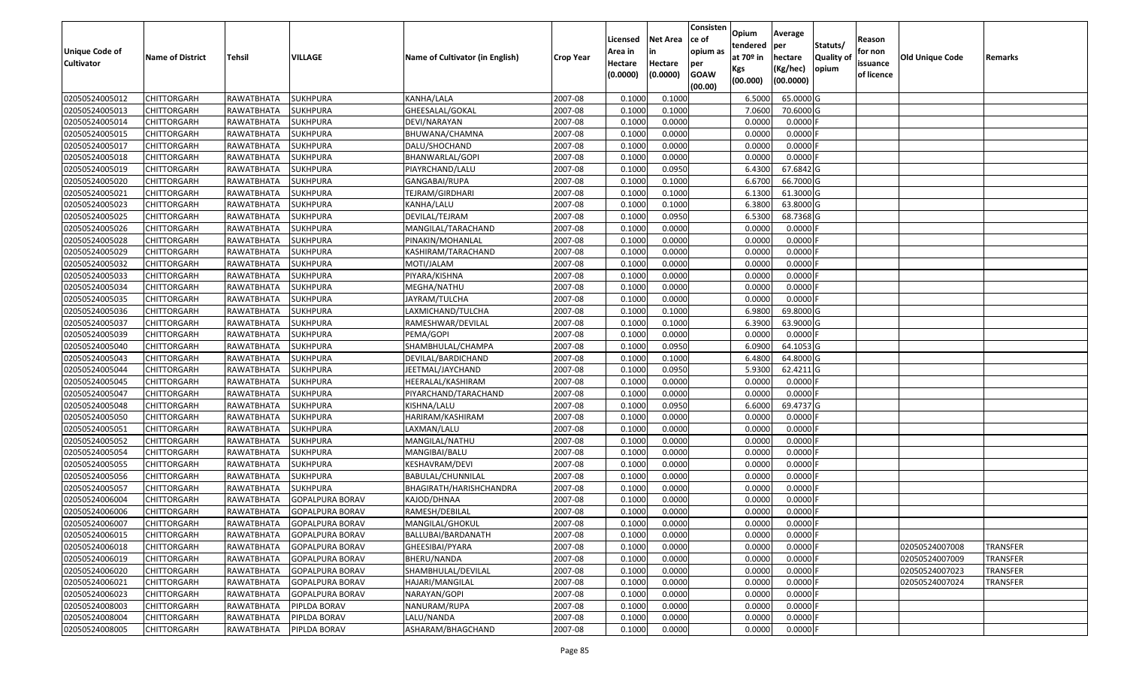| Unique Code of<br><b>Cultivator</b> | <b>Name of District</b> | Tehsil            | VILLAGE                | Name of Cultivator (in English) | <b>Crop Year</b> | Licensed<br>Area in<br>Hectare | <b>Net Area</b><br>in<br>Hectare | Consisten<br>ce of<br>opium as<br>per | Opium<br>tendered<br>at $70°$ in | Average<br>per<br>hectare | Statuts/<br><b>Quality o</b> | Reason<br>for non<br>issuance | Old Unique Code | Remarks         |
|-------------------------------------|-------------------------|-------------------|------------------------|---------------------------------|------------------|--------------------------------|----------------------------------|---------------------------------------|----------------------------------|---------------------------|------------------------------|-------------------------------|-----------------|-----------------|
|                                     |                         |                   |                        |                                 |                  | (0.0000)                       | (0.0000)                         | <b>GOAW</b><br>(00.00)                | Kgs<br>(00.000)                  | (Kg/hec)<br>(00.0000)     | opium                        | of licence                    |                 |                 |
| 02050524005012                      | CHITTORGARH             | RAWATBHATA        | <b>SUKHPURA</b>        | KANHA/LALA                      | 2007-08          | 0.1000                         | 0.1000                           |                                       | 6.5000                           | 65.0000G                  |                              |                               |                 |                 |
| 02050524005013                      | CHITTORGARH             | RAWATBHATA        | <b>SUKHPURA</b>        | GHEESALAL/GOKAL                 | 2007-08          | 0.1000                         | 0.1000                           |                                       | 7.0600                           | 70.6000 G                 |                              |                               |                 |                 |
| 02050524005014                      | CHITTORGARH             | RAWATBHATA        | <b>SUKHPURA</b>        | DEVI/NARAYAN                    | 2007-08          | 0.1000                         | 0.0000                           |                                       | 0.0000                           | 0.0000                    |                              |                               |                 |                 |
| 02050524005015                      | <b>CHITTORGARH</b>      | <b>RAWATBHATA</b> | <b>SUKHPURA</b>        | BHUWANA/CHAMNA                  | 2007-08          | 0.1000                         | 0.0000                           |                                       | 0.0000                           | 0.0000F                   |                              |                               |                 |                 |
| 02050524005017                      | CHITTORGARH             | RAWATBHATA        | <b>SUKHPURA</b>        | DALU/SHOCHAND                   | 2007-08          | 0.1000                         | 0.0000                           |                                       | 0.0000                           | 0.0000                    |                              |                               |                 |                 |
| 02050524005018                      | CHITTORGARH             | RAWATBHATA        | <b>SUKHPURA</b>        | BHANWARLAL/GOPI                 | 2007-08          | 0.1000                         | 0.0000                           |                                       | 0.0000                           | 0.0000                    |                              |                               |                 |                 |
| 02050524005019                      | CHITTORGARH             | RAWATBHATA        | <b>SUKHPURA</b>        | PIAYRCHAND/LALU                 | 2007-08          | 0.1000                         | 0.0950                           |                                       | 6.4300                           | 67.6842 G                 |                              |                               |                 |                 |
| 02050524005020                      | CHITTORGARH             | RAWATBHATA        | <b>SUKHPURA</b>        | GANGABAI/RUPA                   | 2007-08          | 0.1000                         | 0.1000                           |                                       | 6.6700                           | 66.7000 G                 |                              |                               |                 |                 |
| 02050524005021                      | <b>CHITTORGARH</b>      | RAWATBHATA        | <b>SUKHPURA</b>        | TEJRAM/GIRDHARI                 | 2007-08          | 0.1000                         | 0.1000                           |                                       | 6.1300                           | 61.3000G                  |                              |                               |                 |                 |
| 02050524005023                      | <b>CHITTORGARH</b>      | RAWATBHATA        | <b>SUKHPURA</b>        | KANHA/LALU                      | 2007-08          | 0.1000                         | 0.1000                           |                                       | 6.3800                           | 63.8000 G                 |                              |                               |                 |                 |
| 02050524005025                      | CHITTORGARH             | RAWATBHATA        | <b>SUKHPURA</b>        | DEVILAL/TEJRAM                  | 2007-08          | 0.1000                         | 0.0950                           |                                       | 6.5300                           | 68.7368 G                 |                              |                               |                 |                 |
| 02050524005026                      | CHITTORGARH             | RAWATBHATA        | <b>SUKHPURA</b>        | MANGILAL/TARACHAND              | 2007-08          | 0.1000                         | 0.0000                           |                                       | 0.0000                           | 0.0000F                   |                              |                               |                 |                 |
| 02050524005028                      | <b>CHITTORGARH</b>      | RAWATBHATA        | <b>SUKHPURA</b>        | PINAKIN/MOHANLAL                | 2007-08          | 0.1000                         | 0.0000                           |                                       | 0.0000                           | 0.0000F                   |                              |                               |                 |                 |
| 02050524005029                      | <b>CHITTORGARH</b>      | RAWATBHATA        | <b>SUKHPURA</b>        | KASHIRAM/TARACHAND              | 2007-08          | 0.1000                         | 0.0000                           |                                       | 0.0000                           | $0.0000$ F                |                              |                               |                 |                 |
| 02050524005032                      | <b>CHITTORGARH</b>      | RAWATBHATA        | <b>SUKHPURA</b>        | MOTI/JALAM                      | 2007-08          | 0.1000                         | 0.0000                           |                                       | 0.0000                           | $0.0000$ F                |                              |                               |                 |                 |
| 02050524005033                      | <b>CHITTORGARH</b>      | RAWATBHATA        | <b>SUKHPURA</b>        | PIYARA/KISHNA                   | 2007-08          | 0.1000                         | 0.0000                           |                                       | 0.0000                           | 0.0000                    |                              |                               |                 |                 |
| 02050524005034                      | <b>CHITTORGARH</b>      | RAWATBHATA        | <b>SUKHPURA</b>        | MEGHA/NATHU                     | 2007-08          | 0.1000                         | 0.0000                           |                                       | 0.0000                           | 0.0000F                   |                              |                               |                 |                 |
| 02050524005035                      | CHITTORGARH             | RAWATBHATA        | <b>SUKHPURA</b>        | JAYRAM/TULCHA                   | 2007-08          | 0.1000                         | 0.0000                           |                                       | 0.0000                           | 0.0000                    |                              |                               |                 |                 |
| 02050524005036                      | CHITTORGARH             | RAWATBHATA        | <b>SUKHPURA</b>        | LAXMICHAND/TULCHA               | 2007-08          | 0.1000                         | 0.1000                           |                                       | 6.9800                           | 69.8000 G                 |                              |                               |                 |                 |
| 02050524005037                      | CHITTORGARH             | RAWATBHATA        | <b>SUKHPURA</b>        | RAMESHWAR/DEVILAL               | 2007-08          | 0.1000                         | 0.1000                           |                                       | 6.3900                           | 63.9000 G                 |                              |                               |                 |                 |
| 02050524005039                      | CHITTORGARH             | RAWATBHATA        | <b>SUKHPURA</b>        | PEMA/GOPI                       | 2007-08          | 0.1000                         | 0.0000                           |                                       | 0.0000                           | 0.0000                    |                              |                               |                 |                 |
| 02050524005040                      | CHITTORGARH             | RAWATBHATA        | <b>SUKHPURA</b>        | SHAMBHULAL/CHAMPA               | 2007-08          | 0.1000                         | 0.0950                           |                                       | 6.0900                           | 64.1053 G                 |                              |                               |                 |                 |
| 02050524005043                      | CHITTORGARH             | RAWATBHATA        | <b>SUKHPURA</b>        | DEVILAL/BARDICHAND              | 2007-08          | 0.1000                         | 0.1000                           |                                       | 6.4800                           | 64.8000 G                 |                              |                               |                 |                 |
| 02050524005044                      | CHITTORGARH             | RAWATBHATA        | <b>SUKHPURA</b>        | JEETMAL/JAYCHAND                | 2007-08          | 0.1000                         | 0.0950                           |                                       | 5.9300                           | 62.4211 G                 |                              |                               |                 |                 |
| 02050524005045                      | <b>CHITTORGARH</b>      | <b>RAWATBHATA</b> | <b>SUKHPURA</b>        | HEERALAL/KASHIRAM               | 2007-08          | 0.1000                         | 0.0000                           |                                       | 0.0000                           | 0.0000F                   |                              |                               |                 |                 |
| 02050524005047                      | CHITTORGARH             | RAWATBHATA        | <b>SUKHPURA</b>        | PIYARCHAND/TARACHAND            | 2007-08          | 0.1000                         | 0.0000                           |                                       | 0.0000                           | 0.0000F                   |                              |                               |                 |                 |
| 02050524005048                      | CHITTORGARH             | RAWATBHATA        | <b>SUKHPURA</b>        | KISHNA/LALU                     | 2007-08          | 0.1000                         | 0.0950                           |                                       | 6.6000                           | 69.4737 G                 |                              |                               |                 |                 |
| 02050524005050                      | CHITTORGARH             | RAWATBHATA        | <b>SUKHPURA</b>        | HARIRAM/KASHIRAM                | 2007-08          | 0.1000                         | 0.0000                           |                                       | 0.0000                           | 0.0000                    |                              |                               |                 |                 |
| 02050524005051                      | CHITTORGARH             | RAWATBHATA        | <b>SUKHPURA</b>        | LAXMAN/LALU                     | 2007-08          | 0.1000                         | 0.0000                           |                                       | 0.0000                           | 0.0000F                   |                              |                               |                 |                 |
| 02050524005052                      | CHITTORGARH             | RAWATBHATA        | <b>SUKHPURA</b>        | MANGILAL/NATHU                  | 2007-08          | 0.1000                         | 0.0000                           |                                       | 0.0000                           | 0.0000                    |                              |                               |                 |                 |
| 02050524005054                      | CHITTORGARH             | RAWATBHATA        | <b>SUKHPURA</b>        | MANGIBAI/BALU                   | 2007-08          | 0.1000                         | 0.0000                           |                                       | 0.0000                           | 0.0000                    |                              |                               |                 |                 |
| 02050524005055                      | CHITTORGARH             | RAWATBHATA        | <b>SUKHPURA</b>        | KESHAVRAM/DEVI                  | 2007-08          | 0.1000                         | 0.0000                           |                                       | 0.0000                           | 0.0000                    |                              |                               |                 |                 |
| 02050524005056                      | CHITTORGARH             | RAWATBHATA        | <b>SUKHPURA</b>        | BABULAL/CHUNNILAL               | 2007-08          | 0.1000                         | 0.0000                           |                                       | 0.0000                           | 0.0000F                   |                              |                               |                 |                 |
| 02050524005057                      | <b>CHITTORGARH</b>      | RAWATBHATA        | <b>SUKHPURA</b>        | BHAGIRATH/HARISHCHANDRA         | 2007-08          | 0.1000                         | 0.0000                           |                                       | 0.0000                           | 0.0000                    |                              |                               |                 |                 |
| 02050524006004                      | CHITTORGARH             | RAWATBHATA        | <b>GOPALPURA BORAV</b> | KAJOD/DHNAA                     | 2007-08          | 0.1000                         | 0.0000                           |                                       | 0.0000                           | 0.0000                    |                              |                               |                 |                 |
| 02050524006006                      | CHITTORGARH             | RAWATBHATA        | <b>GOPALPURA BORAV</b> | RAMESH/DEBILAL                  | 2007-08          | 0.1000                         | 0.0000                           |                                       | 0.0000                           | 0.0000                    |                              |                               |                 |                 |
| 02050524006007                      | <b>CHITTORGARH</b>      | RAWATBHATA        | <b>GOPALPURA BORAV</b> | MANGILAL/GHOKUL                 | 2007-08          | 0.1000                         | 0.0000                           |                                       | 0.0000                           | $0.0000$ F                |                              |                               |                 |                 |
| 02050524006015                      | <b>CHITTORGARH</b>      | RAWATBHATA        | <b>GOPALPURA BORAV</b> | BALLUBAI/BARDANATH              | 2007-08          | 0.1000                         | 0.0000                           |                                       | 0.0000                           | $0.0000$ F                |                              |                               |                 |                 |
| 02050524006018                      | <b>CHITTORGARH</b>      | RAWATBHATA        | <b>GOPALPURA BORAV</b> | GHEESIBAI/PYARA                 | 2007-08          | 0.1000                         | 0.0000                           |                                       | 0.0000                           | 0.0000F                   |                              |                               | 02050524007008  | <b>TRANSFER</b> |
| 02050524006019                      | <b>CHITTORGARH</b>      | RAWATBHATA        | <b>GOPALPURA BORAV</b> | BHERU/NANDA                     | 2007-08          | 0.1000                         | 0.0000                           |                                       | 0.0000                           | $0.0000$ F                |                              |                               | 02050524007009  | <b>TRANSFER</b> |
| 02050524006020                      | CHITTORGARH             | RAWATBHATA        | <b>GOPALPURA BORAV</b> | SHAMBHULAL/DEVILAL              | 2007-08          | 0.1000                         | 0.0000                           |                                       | 0.0000                           | 0.0000                    |                              |                               | 02050524007023  | <b>TRANSFER</b> |
| 02050524006021                      | <b>CHITTORGARH</b>      | RAWATBHATA        | <b>GOPALPURA BORAV</b> | HAJARI/MANGILAL                 | 2007-08          | 0.1000                         | 0.0000                           |                                       | 0.0000                           | 0.0000                    |                              |                               | 02050524007024  | <b>TRANSFER</b> |
| 02050524006023                      | <b>CHITTORGARH</b>      | RAWATBHATA        | <b>GOPALPURA BORAV</b> | NARAYAN/GOPI                    | 2007-08          | 0.1000                         | 0.0000                           |                                       | 0.0000                           | 0.0000                    |                              |                               |                 |                 |
| 02050524008003                      | CHITTORGARH             | RAWATBHATA        | PIPLDA BORAV           | NANURAM/RUPA                    | 2007-08          | 0.1000                         | 0.0000                           |                                       | 0.0000                           | $0.0000$ F                |                              |                               |                 |                 |
| 02050524008004                      | <b>CHITTORGARH</b>      | <b>RAWATBHATA</b> | PIPLDA BORAV           | LALU/NANDA                      | 2007-08          | 0.1000                         | 0.0000                           |                                       | 0.0000                           | 0.0000                    |                              |                               |                 |                 |
| 02050524008005                      | <b>CHITTORGARH</b>      | RAWATBHATA        | PIPLDA BORAV           | ASHARAM/BHAGCHAND               | 2007-08          | 0.1000                         | 0.0000                           |                                       | 0.0000                           | $0.0000$ F                |                              |                               |                 |                 |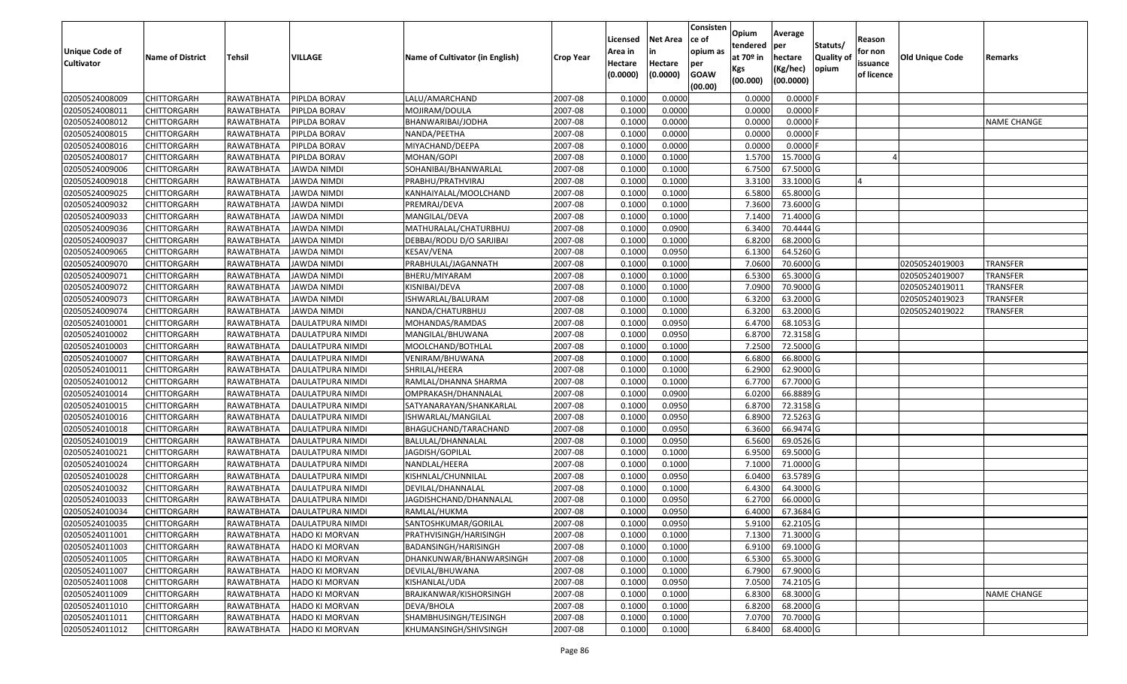| <b>Unique Code of</b><br><b>Cultivator</b> | <b>Name of District</b> | Tehsil     | VILLAGE               | Name of Cultivator (in English) | <b>Crop Year</b> | Licensed<br>Area in<br>Hectare<br>(0.0000) | <b>Net Area</b><br>in<br>Hectare<br>(0.0000) | Consisten<br>ce of<br>opium as<br>per<br><b>GOAW</b><br>(00.00) | Opium<br>tendered<br>at 70º in<br>Kgs<br>(00.000) | Average<br>per<br>hectare<br>(Kg/hec)<br>(00.0000) | Statuts/<br>Quality of<br>opium | Reason<br>for non<br>issuance<br>of licence | Old Unique Code | Remarks            |
|--------------------------------------------|-------------------------|------------|-----------------------|---------------------------------|------------------|--------------------------------------------|----------------------------------------------|-----------------------------------------------------------------|---------------------------------------------------|----------------------------------------------------|---------------------------------|---------------------------------------------|-----------------|--------------------|
| 02050524008009                             | <b>CHITTORGARH</b>      | RAWATBHATA | PIPLDA BORAV          | LALU/AMARCHAND                  | 2007-08          | 0.1000                                     | 0.0000                                       |                                                                 | 0.0000                                            | 0.0000                                             |                                 |                                             |                 |                    |
| 02050524008011                             | <b>CHITTORGARH</b>      | RAWATBHATA | PIPLDA BORAV          | MOJIRAM/DOULA                   | 2007-08          | 0.1000                                     | 0.0000                                       |                                                                 | 0.0000                                            | 0.0000                                             |                                 |                                             |                 |                    |
| 02050524008012                             | <b>CHITTORGARH</b>      | RAWATBHATA | PIPLDA BORAV          | BHANWARIBAI/JODHA               | 2007-08          | 0.1000                                     | 0.0000                                       |                                                                 | 0.0000                                            | 0.0000                                             |                                 |                                             |                 | <b>NAME CHANGE</b> |
| 02050524008015                             | <b>CHITTORGARH</b>      | RAWATBHATA | PIPLDA BORAV          | NANDA/PEETHA                    | 2007-08          | 0.1000                                     | 0.0000                                       |                                                                 | 0.0000                                            | 0.0000                                             |                                 |                                             |                 |                    |
| 02050524008016                             | <b>CHITTORGARH</b>      | RAWATBHATA | PIPLDA BORAV          | MIYACHAND/DEEPA                 | 2007-08          | 0.1000                                     | 0.0000                                       |                                                                 | 0.0000                                            | 0.0000                                             |                                 |                                             |                 |                    |
| 02050524008017                             | <b>CHITTORGARH</b>      | RAWATBHATA | PIPLDA BORAV          | MOHAN/GOPI                      | 2007-08          | 0.1000                                     | 0.1000                                       |                                                                 | 1.5700                                            | 15.7000 G                                          |                                 |                                             |                 |                    |
| 02050524009006                             | CHITTORGARH             | RAWATBHATA | JAWDA NIMDI           | SOHANIBAI/BHANWARLAL            | 2007-08          | 0.1000                                     | 0.1000                                       |                                                                 | 6.7500                                            | 67.5000 G                                          |                                 |                                             |                 |                    |
| 02050524009018                             | <b>CHITTORGARH</b>      | RAWATBHATA | JAWDA NIMDI           | PRABHU/PRATHVIRAJ               | 2007-08          | 0.1000                                     | 0.1000                                       |                                                                 | 3.3100                                            | 33.1000 G                                          |                                 |                                             |                 |                    |
| 02050524009025                             | <b>CHITTORGARH</b>      | RAWATBHATA | JAWDA NIMDI           | KANHAIYALAL/MOOLCHAND           | 2007-08          | 0.1000                                     | 0.1000                                       |                                                                 | 6.5800                                            | 65.8000 G                                          |                                 |                                             |                 |                    |
| 02050524009032                             | <b>CHITTORGARH</b>      | RAWATBHATA | <b>JAWDA NIMDI</b>    | PREMRAJ/DEVA                    | 2007-08          | 0.1000                                     | 0.1000                                       |                                                                 | 7.3600                                            | 73.6000 G                                          |                                 |                                             |                 |                    |
| 02050524009033                             | <b>CHITTORGARH</b>      | RAWATBHATA | JAWDA NIMDI           | MANGILAL/DEVA                   | 2007-08          | 0.1000                                     | 0.1000                                       |                                                                 | 7.1400                                            | 71.4000 G                                          |                                 |                                             |                 |                    |
| 02050524009036                             | <b>CHITTORGARH</b>      | RAWATBHATA | <b>JAWDA NIMDI</b>    | MATHURALAL/CHATURBHUJ           | 2007-08          | 0.1000                                     | 0.0900                                       |                                                                 | 6.3400                                            | 70.4444 G                                          |                                 |                                             |                 |                    |
| 02050524009037                             | <b>CHITTORGARH</b>      | RAWATBHATA | <b>JAWDA NIMDI</b>    | DEBBAI/RODU D/O SARJIBAI        | 2007-08          | 0.1000                                     | 0.1000                                       |                                                                 | 6.8200                                            | 68.2000 G                                          |                                 |                                             |                 |                    |
| 02050524009065                             | <b>CHITTORGARH</b>      | RAWATBHATA | <b>JAWDA NIMDI</b>    | KESAV/VENA                      | 2007-08          | 0.1000                                     | 0.0950                                       |                                                                 | 6.1300                                            | 64.5260 G                                          |                                 |                                             |                 |                    |
| 02050524009070                             | <b>CHITTORGARH</b>      | RAWATBHATA | JAWDA NIMDI           | PRABHULAL/JAGANNATH             | 2007-08          | 0.1000                                     | 0.1000                                       |                                                                 | 7.0600                                            | 70.6000 G                                          |                                 |                                             | 02050524019003  | <b>TRANSFER</b>    |
| 02050524009071                             | <b>CHITTORGARH</b>      | RAWATBHATA | JAWDA NIMDI           | BHERU/MIYARAM                   | 2007-08          | 0.1000                                     | 0.1000                                       |                                                                 | 6.5300                                            | 65.3000 G                                          |                                 |                                             | 02050524019007  | <b>TRANSFER</b>    |
| 02050524009072                             | <b>CHITTORGARH</b>      | RAWATBHATA | <b>JAWDA NIMDI</b>    | KISNIBAI/DEVA                   | 2007-08          | 0.1000                                     | 0.1000                                       |                                                                 | 7.0900                                            | 70.9000 G                                          |                                 |                                             | 02050524019011  | <b>TRANSFER</b>    |
| 02050524009073                             | <b>CHITTORGARH</b>      | RAWATBHATA | JAWDA NIMDI           | ISHWARLAL/BALURAM               | 2007-08          | 0.1000                                     | 0.1000                                       |                                                                 | 6.3200                                            | 63.2000 G                                          |                                 |                                             | 02050524019023  | TRANSFER           |
| 02050524009074                             | <b>CHITTORGARH</b>      | RAWATBHATA | <b>JAWDA NIMDI</b>    | NANDA/CHATURBHUJ                | 2007-08          | 0.1000                                     | 0.1000                                       |                                                                 | 6.3200                                            | 63.2000 G                                          |                                 |                                             | 02050524019022  | TRANSFER           |
| 02050524010001                             | <b>CHITTORGARH</b>      | RAWATBHATA | DAULATPURA NIMDI      | MOHANDAS/RAMDAS                 | 2007-08          | 0.1000                                     | 0.0950                                       |                                                                 | 6.4700                                            | 68.1053 G                                          |                                 |                                             |                 |                    |
| 02050524010002                             | <b>CHITTORGARH</b>      | RAWATBHATA | DAULATPURA NIMDI      | MANGILAL/BHUWANA                | 2007-08          | 0.1000                                     | 0.0950                                       |                                                                 | 6.8700                                            | 72.3158 G                                          |                                 |                                             |                 |                    |
| 02050524010003                             | <b>CHITTORGARH</b>      | RAWATBHATA | DAULATPURA NIMDI      | MOOLCHAND/BOTHLAL               | 2007-08          | 0.1000                                     | 0.1000                                       |                                                                 | 7.2500                                            | 72.5000 G                                          |                                 |                                             |                 |                    |
| 02050524010007                             | CHITTORGARH             | RAWATBHATA | DAULATPURA NIMDI      | VENIRAM/BHUWANA                 | 2007-08          | 0.1000                                     | 0.1000                                       |                                                                 | 6.6800                                            | 66.8000 G                                          |                                 |                                             |                 |                    |
| 02050524010011                             | <b>CHITTORGARH</b>      | RAWATBHATA | DAULATPURA NIMDI      | SHRILAL/HEERA                   | 2007-08          | 0.1000                                     | 0.1000                                       |                                                                 | 6.2900                                            | 62.9000 G                                          |                                 |                                             |                 |                    |
| 02050524010012                             | <b>CHITTORGARH</b>      | RAWATBHATA | DAULATPURA NIMDI      | RAMLAL/DHANNA SHARMA            | 2007-08          | 0.1000                                     | 0.1000                                       |                                                                 | 6.7700                                            | 67.7000 G                                          |                                 |                                             |                 |                    |
| 02050524010014                             | <b>CHITTORGARH</b>      | RAWATBHATA | DAULATPURA NIMDI      | OMPRAKASH/DHANNALAL             | 2007-08          | 0.1000                                     | 0.0900                                       |                                                                 | 6.0200                                            | 66.8889 G                                          |                                 |                                             |                 |                    |
| 02050524010015                             | <b>CHITTORGARH</b>      | RAWATBHATA | DAULATPURA NIMDI      | SATYANARAYAN/SHANKARLAL         | 2007-08          | 0.1000                                     | 0.0950                                       |                                                                 | 6.8700                                            | 72.3158 G                                          |                                 |                                             |                 |                    |
| 02050524010016                             | <b>CHITTORGARH</b>      | RAWATBHATA | DAULATPURA NIMDI      | ISHWARLAL/MANGILAL              | 2007-08          | 0.1000                                     | 0.0950                                       |                                                                 | 6.8900                                            | 72.5263 G                                          |                                 |                                             |                 |                    |
| 02050524010018                             | <b>CHITTORGARH</b>      | RAWATBHATA | DAULATPURA NIMDI      | BHAGUCHAND/TARACHAND            | 2007-08          | 0.1000                                     | 0.0950                                       |                                                                 | 6.3600                                            | 66.9474 G                                          |                                 |                                             |                 |                    |
| 02050524010019                             | <b>CHITTORGARH</b>      | RAWATBHATA | DAULATPURA NIMDI      | BALULAL/DHANNALAL               | 2007-08          | 0.1000                                     | 0.0950                                       |                                                                 | 6.5600                                            | 69.0526 G                                          |                                 |                                             |                 |                    |
| 02050524010021                             | <b>CHITTORGARH</b>      | RAWATBHATA | DAULATPURA NIMDI      | JAGDISH/GOPILAL                 | 2007-08          | 0.1000                                     | 0.1000                                       |                                                                 | 6.9500                                            | 69.5000 G                                          |                                 |                                             |                 |                    |
| 02050524010024                             | CHITTORGARH             | RAWATBHATA | DAULATPURA NIMDI      | NANDLAL/HEERA                   | 2007-08          | 0.1000                                     | 0.1000                                       |                                                                 | 7.1000                                            | 71.0000 G                                          |                                 |                                             |                 |                    |
| 02050524010028                             | <b>CHITTORGARH</b>      | RAWATBHATA | DAULATPURA NIMDI      | KISHNLAL/CHUNNILAL              | 2007-08          | 0.1000                                     | 0.0950                                       |                                                                 | 6.0400                                            | 63.5789 G                                          |                                 |                                             |                 |                    |
| 02050524010032                             | <b>CHITTORGARH</b>      | RAWATBHATA | DAULATPURA NIMDI      | DEVILAL/DHANNALAL               | 2007-08          | 0.1000                                     | 0.1000                                       |                                                                 | 6.4300                                            | 64.3000 G                                          |                                 |                                             |                 |                    |
| 02050524010033                             | <b>CHITTORGARH</b>      | RAWATBHATA | DAULATPURA NIMDI      | JAGDISHCHAND/DHANNALAL          | 2007-08          | 0.1000                                     | 0.0950                                       |                                                                 | 6.2700                                            | 66.0000 G                                          |                                 |                                             |                 |                    |
| 02050524010034                             | <b>CHITTORGARH</b>      | RAWATBHATA | DAULATPURA NIMDI      | RAMLAL/HUKMA                    | 2007-08          | 0.1000                                     | 0.0950                                       |                                                                 | 6.4000                                            | 67.3684 G                                          |                                 |                                             |                 |                    |
| 02050524010035                             | <b>CHITTORGARH</b>      | RAWATBHATA | DAULATPURA NIMDI      | SANTOSHKUMAR/GORILAL            | 2007-08          | 0.1000                                     | 0.0950                                       |                                                                 | 5.9100                                            | 62.2105 G                                          |                                 |                                             |                 |                    |
| 02050524011001                             | <b>CHITTORGARH</b>      | RAWATBHATA | <b>HADO KI MORVAN</b> | PRATHVISINGH/HARISINGH          | 2007-08          | 0.1000                                     | 0.1000                                       |                                                                 | 7.1300                                            | 71.3000 G                                          |                                 |                                             |                 |                    |
| 02050524011003                             | CHITTORGARH             | RAWATBHATA | HADO KI MORVAN        | BADANSINGH/HARISINGH            | 2007-08          | 0.1000                                     | 0.1000                                       |                                                                 | 6.9100                                            | 69.1000 G                                          |                                 |                                             |                 |                    |
| 02050524011005                             | <b>CHITTORGARH</b>      | RAWATBHATA | HADO KI MORVAN        | DHANKUNWAR/BHANWARSINGH         | 2007-08          | 0.1000                                     | 0.1000                                       |                                                                 | 6.5300                                            | 65.3000 G                                          |                                 |                                             |                 |                    |
| 02050524011007                             | <b>CHITTORGARH</b>      | RAWATBHATA | <b>HADO KI MORVAN</b> | DEVILAL/BHUWANA                 | 2007-08          | 0.1000                                     | 0.1000                                       |                                                                 | 6.7900                                            | 67.9000 G                                          |                                 |                                             |                 |                    |
| 02050524011008                             | <b>CHITTORGARH</b>      | RAWATBHATA | <b>HADO KI MORVAN</b> | KISHANLAL/UDA                   | 2007-08          | 0.1000                                     | 0.0950                                       |                                                                 | 7.0500                                            | 74.2105 G                                          |                                 |                                             |                 |                    |
| 02050524011009                             | <b>CHITTORGARH</b>      | RAWATBHATA | <b>HADO KI MORVAN</b> | BRAJKANWAR/KISHORSINGH          | 2007-08          | 0.1000                                     | 0.1000                                       |                                                                 | 6.8300                                            | 68.3000 G                                          |                                 |                                             |                 | <b>NAME CHANGE</b> |
|                                            |                         |            | <b>HADO KI MORVAN</b> | DEVA/BHOLA                      |                  | 0.1000                                     | 0.1000                                       |                                                                 |                                                   | 68.2000 G                                          |                                 |                                             |                 |                    |
| 02050524011010<br>02050524011011           | <b>CHITTORGARH</b>      | RAWATBHATA |                       | SHAMBHUSINGH/TEJSINGH           | 2007-08          | 0.1000                                     | 0.1000                                       |                                                                 | 6.8200                                            | 70.7000 G                                          |                                 |                                             |                 |                    |
|                                            | <b>CHITTORGARH</b>      | RAWATBHATA | HADO KI MORVAN        |                                 | 2007-08          |                                            |                                              |                                                                 | 7.0700                                            |                                                    |                                 |                                             |                 |                    |
| 02050524011012                             | <b>CHITTORGARH</b>      | RAWATBHATA | <b>HADO KI MORVAN</b> | KHUMANSINGH/SHIVSINGH           | 2007-08          | 0.1000                                     | 0.1000                                       |                                                                 | 6.8400                                            | 68.4000 G                                          |                                 |                                             |                 |                    |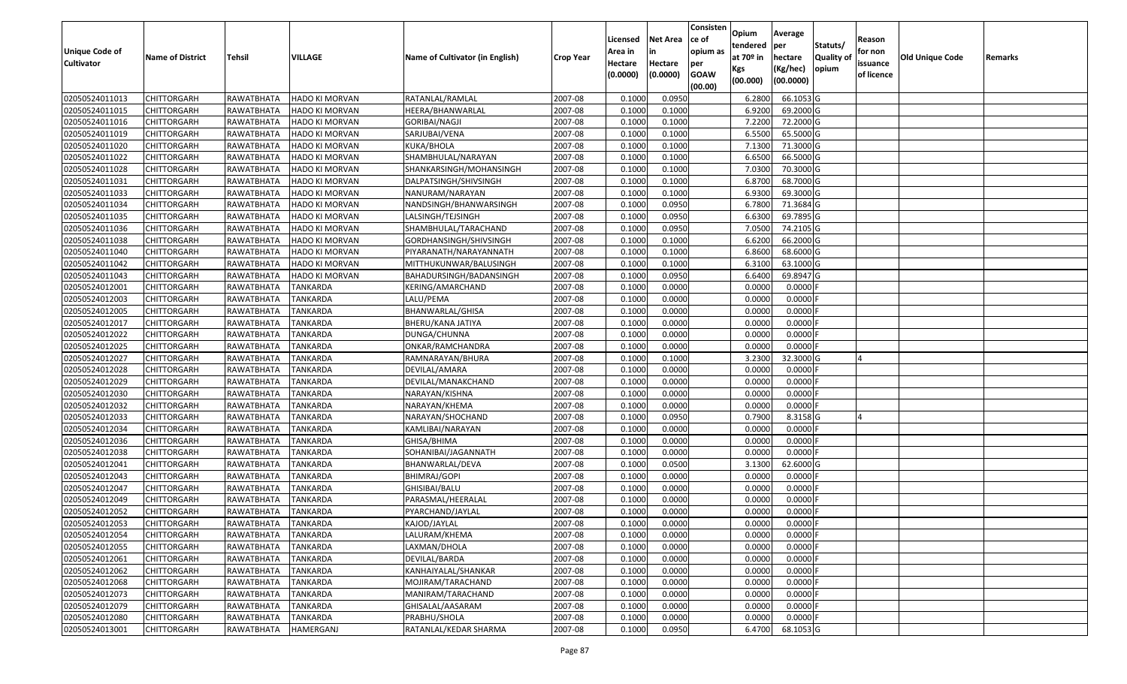| <b>Unique Code of</b> |                         |                   |                       |                                 |                  | Licensed<br>Area in | <b>Net Area</b><br>in | Consisten<br>ce of<br>opium as | Opium<br>tendered              | Average<br>per                   | Statuts/                  | Reason<br>for non      |                 |         |
|-----------------------|-------------------------|-------------------|-----------------------|---------------------------------|------------------|---------------------|-----------------------|--------------------------------|--------------------------------|----------------------------------|---------------------------|------------------------|-----------------|---------|
| <b>Cultivator</b>     | <b>Name of District</b> | <b>Tehsil</b>     | VILLAGE               | Name of Cultivator (in English) | <b>Crop Year</b> | Hectare<br>(0.0000) | Hectare<br>(0.0000)   | per<br><b>GOAW</b><br>(00.00)  | at $70°$ in<br>Kgs<br>(00.000) | hectare<br>(Kg/hec)<br>(00.0000) | <b>Quality o</b><br>opium | issuance<br>of licence | Old Unique Code | Remarks |
| 02050524011013        | CHITTORGARH             | RAWATBHATA        | <b>HADO KI MORVAN</b> | RATANLAL/RAMLAL                 | 2007-08          | 0.1000              | 0.0950                |                                | 6.2800                         | 66.1053 G                        |                           |                        |                 |         |
| 02050524011015        | CHITTORGARH             | RAWATBHATA        | HADO KI MORVAN        | HEERA/BHANWARLAL                | 2007-08          | 0.1000              | 0.1000                |                                | 6.9200                         | 69.2000 G                        |                           |                        |                 |         |
| 02050524011016        | CHITTORGARH             | RAWATBHATA        | HADO KI MORVAN        | GORIBAI/NAGJI                   | 2007-08          | 0.1000              | 0.1000                |                                | 7.2200                         | 72.2000 G                        |                           |                        |                 |         |
| 02050524011019        | <b>CHITTORGARH</b>      | <b>RAWATBHATA</b> | <b>HADO KI MORVAN</b> | SARJUBAI/VENA                   | 2007-08          | 0.1000              | 0.1000                |                                | 6.5500                         | 65.5000G                         |                           |                        |                 |         |
| 02050524011020        | CHITTORGARH             | RAWATBHATA        | HADO KI MORVAN        | KUKA/BHOLA                      | 2007-08          | 0.1000              | 0.1000                |                                | 7.1300                         | 71.3000 G                        |                           |                        |                 |         |
| 02050524011022        | <b>CHITTORGARH</b>      | RAWATBHATA        | HADO KI MORVAN        | SHAMBHULAL/NARAYAN              | 2007-08          | 0.1000              | 0.1000                |                                | 6.6500                         | 66.5000 G                        |                           |                        |                 |         |
| 02050524011028        | CHITTORGARH             | RAWATBHATA        | <b>HADO KI MORVAN</b> | SHANKARSINGH/MOHANSINGH         | 2007-08          | 0.1000              | 0.1000                |                                | 7.0300                         | 70.3000G                         |                           |                        |                 |         |
| 02050524011031        | <b>CHITTORGARH</b>      | RAWATBHATA        | <b>HADO KI MORVAN</b> | DALPATSINGH/SHIVSINGH           | 2007-08          | 0.1000              | 0.1000                |                                | 6.8700                         | 68.7000G                         |                           |                        |                 |         |
| 02050524011033        | CHITTORGARH             | RAWATBHATA        | HADO KI MORVAN        | NANURAM/NARAYAN                 | 2007-08          | 0.1000              | 0.1000                |                                | 6.9300                         | 69.3000G                         |                           |                        |                 |         |
| 02050524011034        | CHITTORGARH             | RAWATBHATA        | HADO KI MORVAN        | NANDSINGH/BHANWARSINGH          | 2007-08          | 0.1000              | 0.0950                |                                | 6.7800                         | 71.3684 G                        |                           |                        |                 |         |
| 02050524011035        | CHITTORGARH             | RAWATBHATA        | HADO KI MORVAN        | LALSINGH/TEJSINGH               | 2007-08          | 0.1000              | 0.0950                |                                | 6.6300                         | 69.7895 G                        |                           |                        |                 |         |
| 02050524011036        | <b>CHITTORGARH</b>      | RAWATBHATA        | <b>HADO KI MORVAN</b> | SHAMBHULAL/TARACHAND            | 2007-08          | 0.1000              | 0.0950                |                                | 7.0500                         | 74.2105 G                        |                           |                        |                 |         |
| 02050524011038        | <b>CHITTORGARH</b>      | RAWATBHATA        | <b>HADO KI MORVAN</b> | GORDHANSINGH/SHIVSINGH          | 2007-08          | 0.1000              | 0.1000                |                                | 6.6200                         | 66.2000 G                        |                           |                        |                 |         |
| 02050524011040        | <b>CHITTORGARH</b>      | RAWATBHATA        | HADO KI MORVAN        | PIYARANATH/NARAYANNATH          | 2007-08          | 0.1000              | 0.1000                |                                | 6.8600                         | 68.6000 G                        |                           |                        |                 |         |
| 02050524011042        | CHITTORGARH             | RAWATBHATA        | HADO KI MORVAN        | MITTHUKUNWAR/BALUSINGH          | 2007-08          | 0.1000              | 0.1000                |                                | 6.3100                         | 63.1000G                         |                           |                        |                 |         |
| 02050524011043        | CHITTORGARH             | RAWATBHATA        | HADO KI MORVAN        | BAHADURSINGH/BADANSINGH         | 2007-08          | 0.1000              | 0.0950                |                                | 6.6400                         | 69.8947 G                        |                           |                        |                 |         |
| 02050524012001        | CHITTORGARH             | RAWATBHATA        | <b>TANKARDA</b>       | KERING/AMARCHAND                | 2007-08          | 0.1000              | 0.0000                |                                | 0.0000                         | 0.0000F                          |                           |                        |                 |         |
| 02050524012003        | CHITTORGARH             | RAWATBHATA        | <b>TANKARDA</b>       | LALU/PEMA                       | 2007-08          | 0.1000              | 0.0000                |                                | 0.0000                         | 0.0000                           |                           |                        |                 |         |
| 02050524012005        | CHITTORGARH             | <b>RAWATBHATA</b> | <b>TANKARDA</b>       | BHANWARLAL/GHISA                | 2007-08          | 0.1000              | 0.0000                |                                | 0.0000                         | 0.0000                           |                           |                        |                 |         |
| 02050524012017        | CHITTORGARH             | RAWATBHATA        | <b>TANKARDA</b>       | BHERU/KANA JATIYA               | 2007-08          | 0.1000              | 0.0000                |                                | 0.0000                         | 0.0000                           |                           |                        |                 |         |
| 02050524012022        | CHITTORGARH             | RAWATBHATA        | <b>TANKARDA</b>       | DUNGA/CHUNNA                    | 2007-08          | 0.1000              | 0.0000                |                                | 0.0000                         | 0.0000                           |                           |                        |                 |         |
| 02050524012025        | CHITTORGARH             | RAWATBHATA        | <b>TANKARDA</b>       | ONKAR/RAMCHANDRA                | 2007-08          | 0.1000              | 0.0000                |                                | 0.0000                         | 0.0000                           |                           |                        |                 |         |
| 02050524012027        | CHITTORGARH             | RAWATBHATA        | <b>TANKARDA</b>       | RAMNARAYAN/BHURA                | 2007-08          | 0.1000              | 0.1000                |                                | 3.2300                         | 32.3000G                         |                           |                        |                 |         |
| 02050524012028        | CHITTORGARH             | RAWATBHATA        | <b>TANKARDA</b>       | DEVILAL/AMARA                   | 2007-08          | 0.1000              | 0.0000                |                                | 0.0000                         | 0.0000                           |                           |                        |                 |         |
| 02050524012029        | <b>CHITTORGARH</b>      | RAWATBHATA        | <b>TANKARDA</b>       | DEVILAL/MANAKCHAND              | 2007-08          | 0.1000              | 0.0000                |                                | 0.0000                         | 0.0000                           |                           |                        |                 |         |
| 02050524012030        | CHITTORGARH             | RAWATBHATA        | <b>TANKARDA</b>       | NARAYAN/KISHNA                  | 2007-08          | 0.1000              | 0.0000                |                                | 0.0000                         | 0.0000F                          |                           |                        |                 |         |
| 02050524012032        | CHITTORGARH             | RAWATBHATA        | <b>TANKARDA</b>       | NARAYAN/KHEMA                   | 2007-08          | 0.1000              | 0.0000                |                                | 0.0000                         | $0.0000$ F                       |                           |                        |                 |         |
| 02050524012033        | CHITTORGARH             | RAWATBHATA        | <b>TANKARDA</b>       | NARAYAN/SHOCHAND                | 2007-08          | 0.1000              | 0.0950                |                                | 0.7900                         | 8.3158 G                         |                           |                        |                 |         |
| 02050524012034        | CHITTORGARH             | RAWATBHATA        | <b>TANKARDA</b>       | KAMLIBAI/NARAYAN                | 2007-08          | 0.1000              | 0.0000                |                                | 0.0000                         | 0.0000F                          |                           |                        |                 |         |
| 02050524012036        | CHITTORGARH             | RAWATBHATA        | <b>TANKARDA</b>       | GHISA/BHIMA                     | 2007-08          | 0.1000              | 0.0000                |                                | 0.0000                         | 0.0000                           |                           |                        |                 |         |
| 02050524012038        | CHITTORGARH             | RAWATBHATA        | <b>TANKARDA</b>       | SOHANIBAI/JAGANNATH             | 2007-08          | 0.1000              | 0.0000                |                                | 0.0000                         | 0.0000                           |                           |                        |                 |         |
| 02050524012041        | CHITTORGARH             | RAWATBHATA        | <b>TANKARDA</b>       | BHANWARLAL/DEVA                 | 2007-08          | 0.1000              | 0.0500                |                                | 3.1300                         | 62.6000 G                        |                           |                        |                 |         |
| 02050524012043        | CHITTORGARH             | RAWATBHATA        | <b>TANKARDA</b>       | <b>BHIMRAJ/GOPI</b>             | 2007-08          | 0.1000              | 0.0000                |                                | 0.0000                         | 0.0000F                          |                           |                        |                 |         |
| 02050524012047        | CHITTORGARH             | RAWATBHATA        | TANKARDA              | GHISIBAI/BALU                   | 2007-08          | 0.1000              | 0.0000                |                                | 0.0000                         | 0.0000                           |                           |                        |                 |         |
| 02050524012049        | CHITTORGARH             | RAWATBHATA        | <b>TANKARDA</b>       | PARASMAL/HEERALAL               | 2007-08          | 0.1000              | 0.0000                |                                | 0.0000                         | 0.0000                           |                           |                        |                 |         |
| 02050524012052        | CHITTORGARH             | RAWATBHATA        | <b>TANKARDA</b>       | PYARCHAND/JAYLAL                | 2007-08          | 0.1000              | 0.0000                |                                | 0.0000                         | 0.0000                           |                           |                        |                 |         |
| 02050524012053        | <b>CHITTORGARH</b>      | RAWATBHATA        | TANKARDA              | KAJOD/JAYLAL                    | 2007-08          | 0.1000              | 0.0000                |                                | 0.0000                         | $0.0000$ F                       |                           |                        |                 |         |
| 02050524012054        | <b>CHITTORGARH</b>      | RAWATBHATA        | TANKARDA              | LALURAM/KHEMA                   | 2007-08          | 0.1000              | 0.0000                |                                | 0.0000                         | $0.0000$ F                       |                           |                        |                 |         |
| 02050524012055        | <b>CHITTORGARH</b>      | RAWATBHATA        | <b>TANKARDA</b>       | LAXMAN/DHOLA                    | 2007-08          | 0.1000              | 0.0000                |                                | 0.0000                         | 0.0000F                          |                           |                        |                 |         |
| 02050524012061        | <b>CHITTORGARH</b>      | RAWATBHATA        | <b>TANKARDA</b>       | DEVILAL/BARDA                   | 2007-08          | 0.1000              | 0.0000                |                                | 0.0000                         | $0.0000$ F                       |                           |                        |                 |         |
| 02050524012062        | CHITTORGARH             | RAWATBHATA        | <b>TANKARDA</b>       | KANHAIYALAL/SHANKAR             | 2007-08          | 0.1000              | 0.0000                |                                | 0.0000                         | 0.0000                           |                           |                        |                 |         |
| 02050524012068        | <b>CHITTORGARH</b>      | RAWATBHATA        | <b>TANKARDA</b>       | MOJIRAM/TARACHAND               | 2007-08          | 0.1000              | 0.0000                |                                | 0.0000                         | 0.0000                           |                           |                        |                 |         |
| 02050524012073        | <b>CHITTORGARH</b>      | RAWATBHATA        | <b>TANKARDA</b>       | MANIRAM/TARACHAND               | 2007-08          | 0.1000              | 0.0000                |                                | 0.0000                         | 0.0000                           |                           |                        |                 |         |
| 02050524012079        | <b>CHITTORGARH</b>      | RAWATBHATA        | TANKARDA              | GHISALAL/AASARAM                | 2007-08          | 0.1000              | 0.0000                |                                | 0.0000                         | $0.0000$ F                       |                           |                        |                 |         |
| 02050524012080        | <b>CHITTORGARH</b>      | <b>RAWATBHATA</b> | <b>TANKARDA</b>       | PRABHU/SHOLA                    | 2007-08          | 0.1000              | 0.0000                |                                | 0.0000                         | 0.0000                           |                           |                        |                 |         |
| 02050524013001        | <b>CHITTORGARH</b>      | RAWATBHATA        | HAMERGANJ             | RATANLAL/KEDAR SHARMA           | 2007-08          | 0.1000              | 0.0950                |                                | 6.4700                         | 68.1053 G                        |                           |                        |                 |         |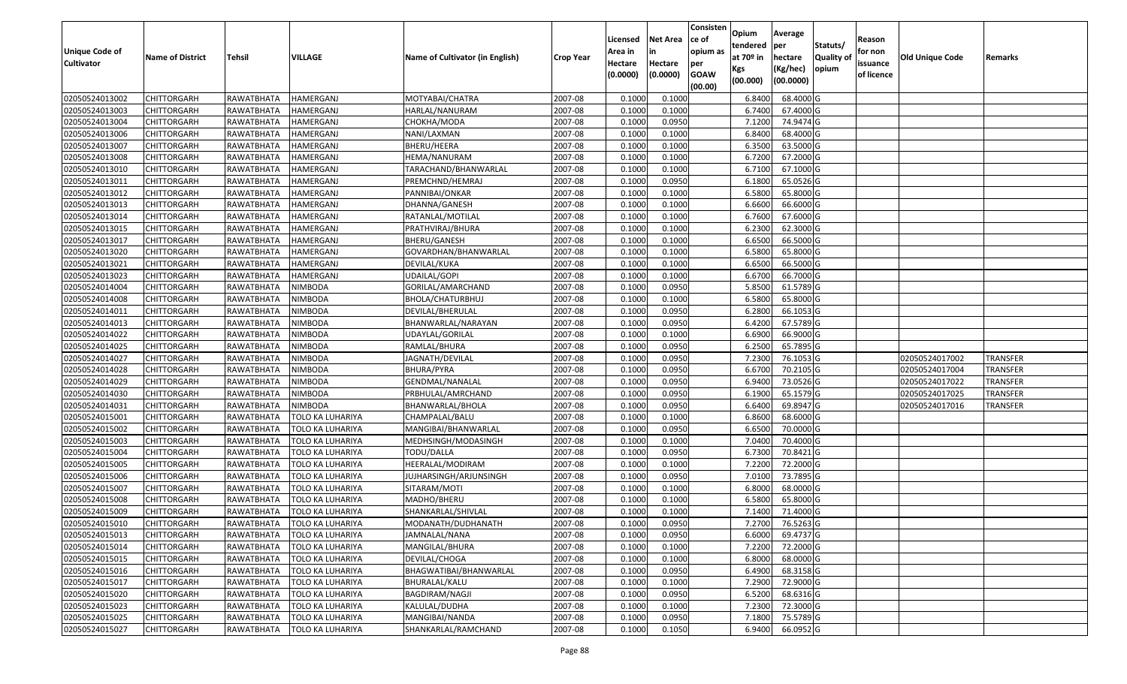| <b>Unique Code of</b><br><b>Cultivator</b> | <b>Name of District</b>                  | Tehsil                   | VILLAGE                 | Name of Cultivator (in English) | <b>Crop Year</b>   | Licensed<br>Area in<br>Hectare<br>(0.0000) | <b>Net Area</b><br>in<br>Hectare<br>(0.0000) | Consisten<br>ce of<br>opium as<br>per<br><b>GOAW</b> | Opium<br>tendered<br>at 70º in<br>Kgs<br>(00.000) | Average<br>per<br>hectare<br>(Kg/hec)<br>(00.0000) | Statuts/<br>Quality of<br>opium | Reason<br>for non<br>issuance<br>of licence | Old Unique Code | Remarks         |
|--------------------------------------------|------------------------------------------|--------------------------|-------------------------|---------------------------------|--------------------|--------------------------------------------|----------------------------------------------|------------------------------------------------------|---------------------------------------------------|----------------------------------------------------|---------------------------------|---------------------------------------------|-----------------|-----------------|
| 02050524013002                             | <b>CHITTORGARH</b>                       | RAWATBHATA               | <b>HAMERGANJ</b>        |                                 |                    | 0.1000                                     | 0.1000                                       | (00.00)                                              |                                                   | 68.4000 G                                          |                                 |                                             |                 |                 |
| 02050524013003                             |                                          |                          |                         | MOTYABAI/CHATRA                 | 2007-08            | 0.1000                                     |                                              |                                                      | 6.8400<br>6.7400                                  | 67.4000 G                                          |                                 |                                             |                 |                 |
| 02050524013004                             | <b>CHITTORGARH</b><br><b>CHITTORGARH</b> | RAWATBHATA               | HAMERGANJ<br>HAMERGANJ  | HARLAL/NANURAM                  | 2007-08<br>2007-08 | 0.1000                                     | 0.1000<br>0.0950                             |                                                      | 7.1200                                            | 74.9474 G                                          |                                 |                                             |                 |                 |
| 02050524013006                             | <b>CHITTORGARH</b>                       | RAWATBHATA<br>RAWATBHATA | <b>HAMERGANJ</b>        | CHOKHA/MODA<br>NANI/LAXMAN      | 2007-08            | 0.1000                                     | 0.1000                                       |                                                      | 6.8400                                            | 68.4000 G                                          |                                 |                                             |                 |                 |
| 02050524013007                             | <b>CHITTORGARH</b>                       | RAWATBHATA               | HAMERGANJ               | BHERU/HEERA                     | 2007-08            | 0.1000                                     | 0.1000                                       |                                                      | 6.3500                                            | 63.5000 G                                          |                                 |                                             |                 |                 |
| 02050524013008                             | <b>CHITTORGARH</b>                       | RAWATBHATA               | HAMERGANJ               | HEMA/NANURAM                    | 2007-08            | 0.1000                                     | 0.1000                                       |                                                      | 6.7200                                            | 67.2000 G                                          |                                 |                                             |                 |                 |
| 02050524013010                             | CHITTORGARH                              | RAWATBHATA               | HAMERGANJ               | TARACHAND/BHANWARLAL            | 2007-08            | 0.1000                                     | 0.1000                                       |                                                      | 6.7100                                            | 67.1000 G                                          |                                 |                                             |                 |                 |
| 02050524013011                             | <b>CHITTORGARH</b>                       | RAWATBHATA               | HAMERGANJ               | PREMCHND/HEMRAJ                 | 2007-08            | 0.1000                                     | 0.0950                                       |                                                      | 6.1800                                            | 65.0526 G                                          |                                 |                                             |                 |                 |
| 02050524013012                             | <b>CHITTORGARH</b>                       | RAWATBHATA               | HAMERGANJ               | PANNIBAI/ONKAR                  | 2007-08            | 0.1000                                     | 0.1000                                       |                                                      | 6.5800                                            | 65.8000 G                                          |                                 |                                             |                 |                 |
| 02050524013013                             | <b>CHITTORGARH</b>                       | RAWATBHATA               | HAMERGANJ               | DHANNA/GANESH                   | 2007-08            | 0.1000                                     | 0.1000                                       |                                                      | 6.6600                                            | 66.6000 G                                          |                                 |                                             |                 |                 |
| 02050524013014                             | <b>CHITTORGARH</b>                       | RAWATBHATA               | HAMERGANJ               | RATANLAL/MOTILAL                | 2007-08            | 0.1000                                     | 0.1000                                       |                                                      | 6.7600                                            | 67.6000 G                                          |                                 |                                             |                 |                 |
| 02050524013015                             | <b>CHITTORGARH</b>                       | RAWATBHATA               | HAMERGANJ               | PRATHVIRAJ/BHURA                | 2007-08            | 0.1000                                     | 0.1000                                       |                                                      | 6.2300                                            | 62.3000 G                                          |                                 |                                             |                 |                 |
| 02050524013017                             | <b>CHITTORGARH</b>                       | RAWATBHATA               | HAMERGANJ               | BHERU/GANESH                    | 2007-08            | 0.1000                                     | 0.1000                                       |                                                      | 6.6500                                            | 66.5000 G                                          |                                 |                                             |                 |                 |
| 02050524013020                             | <b>CHITTORGARH</b>                       | RAWATBHATA               | HAMERGANJ               | GOVARDHAN/BHANWARLAL            | 2007-08            | 0.1000                                     | 0.1000                                       |                                                      | 6.5800                                            | 65.8000 G                                          |                                 |                                             |                 |                 |
| 02050524013021                             |                                          | RAWATBHATA               | HAMERGANJ               |                                 | 2007-08            | 0.1000                                     | 0.1000                                       |                                                      | 6.6500                                            | 66.5000 G                                          |                                 |                                             |                 |                 |
| 02050524013023                             | CHITTORGARH<br><b>CHITTORGARH</b>        | RAWATBHATA               | <b>HAMERGANJ</b>        | DEVILAL/KUKA<br>UDAILAL/GOPI    | 2007-08            | 0.1000                                     | 0.1000                                       |                                                      | 6.6700                                            | 66.7000 G                                          |                                 |                                             |                 |                 |
| 02050524014004                             | <b>CHITTORGARH</b>                       | RAWATBHATA               | NIMBODA                 | GORILAL/AMARCHAND               | 2007-08            | 0.1000                                     | 0.0950                                       |                                                      | 5.8500                                            | 61.5789 G                                          |                                 |                                             |                 |                 |
| 02050524014008                             | <b>CHITTORGARH</b>                       | RAWATBHATA               | NIMBODA                 | BHOLA/CHATURBHUJ                | 2007-08            | 0.1000                                     | 0.1000                                       |                                                      | 6.5800                                            | 65.8000 G                                          |                                 |                                             |                 |                 |
| 02050524014011                             | <b>CHITTORGARH</b>                       | RAWATBHATA               | <b>NIMBODA</b>          | DEVILAL/BHERULAL                | 2007-08            | 0.1000                                     | 0.0950                                       |                                                      | 6.2800                                            | 66.1053 G                                          |                                 |                                             |                 |                 |
| 02050524014013                             | <b>CHITTORGARH</b>                       | RAWATBHATA               | <b>NIMBODA</b>          | BHANWARLAL/NARAYAN              | 2007-08            | 0.1000                                     | 0.0950                                       |                                                      | 6.4200                                            | 67.5789 G                                          |                                 |                                             |                 |                 |
| 02050524014022                             | <b>CHITTORGARH</b>                       | RAWATBHATA               | <b>NIMBODA</b>          | UDAYLAL/GORILAL                 | 2007-08            | 0.1000                                     | 0.1000                                       |                                                      | 6.6900                                            | 66.9000 G                                          |                                 |                                             |                 |                 |
| 02050524014025                             | <b>CHITTORGARH</b>                       | RAWATBHATA               | NIMBODA                 | RAMLAL/BHURA                    | 2007-08            | 0.1000                                     | 0.0950                                       |                                                      | 6.2500                                            | 65.7895 G                                          |                                 |                                             |                 |                 |
|                                            |                                          |                          |                         |                                 |                    | 0.1000                                     | 0.0950                                       |                                                      | 7.2300                                            |                                                    |                                 |                                             |                 | <b>TRANSFER</b> |
| 02050524014027                             | <b>CHITTORGARH</b>                       | RAWATBHATA               | NIMBODA                 | JAGNATH/DEVILAL                 | 2007-08            | 0.1000                                     | 0.0950                                       |                                                      |                                                   | 76.1053 G<br>70.2105 G                             |                                 |                                             | 02050524017002  | <b>TRANSFER</b> |
| 02050524014028                             | <b>CHITTORGARH</b>                       | RAWATBHATA               | NIMBODA                 | BHURA/PYRA                      | 2007-08            |                                            |                                              |                                                      | 6.6700                                            |                                                    |                                 |                                             | 02050524017004  |                 |
| 02050524014029                             | <b>CHITTORGARH</b>                       | RAWATBHATA               | <b>NIMBODA</b>          | GENDMAL/NANALAL                 | 2007-08            | 0.1000                                     | 0.0950                                       |                                                      | 6.9400                                            | 73.0526 G<br>65.1579 G                             |                                 |                                             | 02050524017022  | <b>TRANSFER</b> |
| 02050524014030                             | <b>CHITTORGARH</b>                       | RAWATBHATA               | NIMBODA                 | PRBHULAL/AMRCHAND               | 2007-08            | 0.1000                                     | 0.0950                                       |                                                      | 6.1900                                            |                                                    |                                 |                                             | 02050524017025  | <b>TRANSFER</b> |
| 02050524014031                             | <b>CHITTORGARH</b>                       | RAWATBHATA               | NIMBODA                 | BHANWARLAL/BHOLA                | 2007-08            | 0.1000                                     | 0.0950                                       |                                                      | 6.6400                                            | 69.8947 G                                          |                                 |                                             | 02050524017016  | TRANSFER        |
| 02050524015001<br>02050524015002           | <b>CHITTORGARH</b>                       | RAWATBHATA               | TOLO KA LUHARIYA        | CHAMPALAL/BALU                  | 2007-08            | 0.1000                                     | 0.1000                                       |                                                      | 6.8600                                            | 68.6000 G                                          |                                 |                                             |                 |                 |
|                                            | <b>CHITTORGARH</b>                       | RAWATBHATA               | TOLO KA LUHARIYA        | MANGIBAI/BHANWARLAL             | 2007-08            | 0.1000                                     | 0.0950                                       |                                                      | 6.6500                                            | 70.0000 G                                          |                                 |                                             |                 |                 |
| 02050524015003                             | <b>CHITTORGARH</b>                       | RAWATBHATA               | TOLO KA LUHARIYA        | MEDHSINGH/MODASINGH             | 2007-08            | 0.1000                                     | 0.1000                                       |                                                      | 7.0400                                            | 70.4000 G                                          |                                 |                                             |                 |                 |
| 02050524015004                             | <b>CHITTORGARH</b>                       | RAWATBHATA               | TOLO KA LUHARIYA        | TODU/DALLA                      | 2007-08            | 0.1000                                     | 0.0950                                       |                                                      | 6.7300                                            | 70.8421 G                                          |                                 |                                             |                 |                 |
| 02050524015005                             | CHITTORGARH                              | RAWATBHATA               | TOLO KA LUHARIYA        | HEERALAL/MODIRAM                | 2007-08            | 0.1000                                     | 0.1000                                       |                                                      | 7.2200                                            | 72.2000 G<br>73.7895 G                             |                                 |                                             |                 |                 |
| 02050524015006                             | <b>CHITTORGARH</b>                       | RAWATBHATA               | TOLO KA LUHARIYA        | JUJHARSINGH/ARJUNSINGH          | 2007-08            | 0.1000                                     | 0.0950                                       |                                                      | 7.0100                                            |                                                    |                                 |                                             |                 |                 |
| 02050524015007                             | <b>CHITTORGARH</b>                       | RAWATBHATA               | TOLO KA LUHARIYA        | SITARAM/MOTI                    | 2007-08            | 0.1000                                     | 0.1000                                       |                                                      | 6.8000                                            | 68.0000 G<br>65.8000 G                             |                                 |                                             |                 |                 |
| 02050524015008                             | CHITTORGARH                              | RAWATBHATA               | TOLO KA LUHARIYA        | MADHO/BHERU                     | 2007-08            | 0.1000                                     | 0.1000                                       |                                                      | 6.5800                                            |                                                    |                                 |                                             |                 |                 |
| 02050524015009                             | <b>CHITTORGARH</b>                       | RAWATBHATA               | TOLO KA LUHARIYA        | SHANKARLAL/SHIVLAL              | 2007-08            | 0.1000                                     | 0.1000                                       |                                                      | 7.1400                                            | 71.4000 G                                          |                                 |                                             |                 |                 |
| 02050524015010                             | <b>CHITTORGARH</b>                       | RAWATBHATA               | <b>TOLO KA LUHARIYA</b> | MODANATH/DUDHANATH              | 2007-08            | 0.1000                                     | 0.0950                                       |                                                      |                                                   | 7.2700 76.5263 G                                   |                                 |                                             |                 |                 |
| 02050524015013                             | <b>CHITTORGARH</b>                       | RAWATBHATA               | TOLO KA LUHARIYA        | JAMNALAL/NANA                   | 2007-08            | 0.1000                                     | 0.0950                                       |                                                      | 6.6000                                            | 69.4737 G                                          |                                 |                                             |                 |                 |
| 02050524015014                             | CHITTORGARH                              | RAWATBHATA               | TOLO KA LUHARIYA        | MANGILAL/BHURA                  | 2007-08            | 0.1000                                     | 0.1000                                       |                                                      | 7.2200                                            | 72.2000 G                                          |                                 |                                             |                 |                 |
| 02050524015015                             | <b>CHITTORGARH</b>                       | RAWATBHATA               | <b>TOLO KA LUHARIYA</b> | DEVILAL/CHOGA                   | 2007-08            | 0.1000                                     | 0.1000                                       |                                                      | 6.8000                                            | 68.0000G                                           |                                 |                                             |                 |                 |
| 02050524015016                             | <b>CHITTORGARH</b>                       | RAWATBHATA               | TOLO KA LUHARIYA        | BHAGWATIBAI/BHANWARLAL          | 2007-08            | 0.1000                                     | 0.0950                                       |                                                      | 6.4900                                            | 68.3158 G                                          |                                 |                                             |                 |                 |
| 02050524015017                             | <b>CHITTORGARH</b>                       | RAWATBHATA               | TOLO KA LUHARIYA        | BHURALAL/KALU                   | 2007-08            | 0.1000                                     | 0.1000                                       |                                                      | 7.2900                                            | 72.9000 G                                          |                                 |                                             |                 |                 |
| 02050524015020                             | <b>CHITTORGARH</b>                       | RAWATBHATA               | TOLO KA LUHARIYA        | BAGDIRAM/NAGJI                  | 2007-08            | 0.1000                                     | 0.0950                                       |                                                      | 6.5200                                            | 68.6316 G                                          |                                 |                                             |                 |                 |
| 02050524015023                             | <b>CHITTORGARH</b>                       | RAWATBHATA               | <b>TOLO KA LUHARIYA</b> | KALULAL/DUDHA                   | 2007-08            | 0.1000                                     | 0.1000                                       |                                                      | 7.2300                                            | 72.3000 G                                          |                                 |                                             |                 |                 |
| 02050524015025                             | <b>CHITTORGARH</b>                       | RAWATBHATA               | TOLO KA LUHARIYA        | MANGIBAI/NANDA                  | 2007-08            | 0.1000                                     | 0.0950                                       |                                                      | 7.1800                                            | 75.5789 G                                          |                                 |                                             |                 |                 |
| 02050524015027                             | <b>CHITTORGARH</b>                       | RAWATBHATA               | TOLO KA LUHARIYA        | SHANKARLAL/RAMCHAND             | 2007-08            | 0.1000                                     | 0.1050                                       |                                                      | 6.9400                                            | 66.0952 G                                          |                                 |                                             |                 |                 |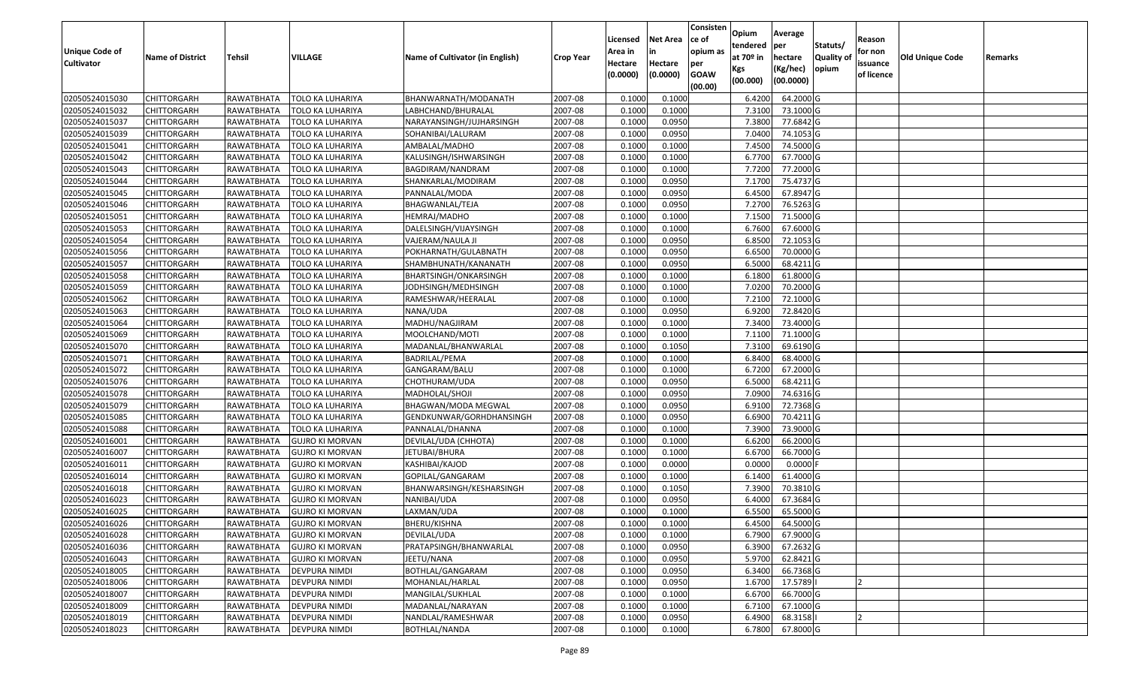| <b>Unique Code of</b><br><b>Cultivator</b> | <b>Name of District</b> | Tehsil     | VILLAGE                 | Name of Cultivator (in English) | <b>Crop Year</b> | Licensed<br>Area in<br>Hectare<br>(0.0000) | <b>Net Area</b><br>in<br>Hectare<br>(0.0000) | Consisten<br>ce of<br>opium as<br>per<br><b>GOAW</b><br>(00.00) | Opium<br>tendered<br>at 70º in<br>Kgs<br>(00.000) | Average<br>per<br>hectare<br>(Kg/hec)<br>(00.0000) | Statuts/<br>Quality o<br>opium | Reason<br>for non<br>issuance<br>of licence | Old Unique Code | Remarks |
|--------------------------------------------|-------------------------|------------|-------------------------|---------------------------------|------------------|--------------------------------------------|----------------------------------------------|-----------------------------------------------------------------|---------------------------------------------------|----------------------------------------------------|--------------------------------|---------------------------------------------|-----------------|---------|
| 02050524015030                             | <b>CHITTORGARH</b>      | RAWATBHATA | TOLO KA LUHARIYA        | BHANWARNATH/MODANATH            | 2007-08          | 0.1000                                     | 0.1000                                       |                                                                 | 6.4200                                            | 64.2000 G                                          |                                |                                             |                 |         |
| 02050524015032                             | <b>CHITTORGARH</b>      | RAWATBHATA | TOLO KA LUHARIYA        | LABHCHAND/BHURALAL              | 2007-08          | 0.1000                                     | 0.1000                                       |                                                                 | 7.3100                                            | 73.1000 G                                          |                                |                                             |                 |         |
| 02050524015037                             | <b>CHITTORGARH</b>      | RAWATBHATA | TOLO KA LUHARIYA        | NARAYANSINGH/JUJHARSINGH        | 2007-08          | 0.1000                                     | 0.0950                                       |                                                                 | 7.3800                                            | 77.6842 G                                          |                                |                                             |                 |         |
| 02050524015039                             | <b>CHITTORGARH</b>      | RAWATBHATA | TOLO KA LUHARIYA        | SOHANIBAI/LALURAM               | 2007-08          | 0.1000                                     | 0.0950                                       |                                                                 | 7.0400                                            | 74.1053 G                                          |                                |                                             |                 |         |
| 02050524015041                             | <b>CHITTORGARH</b>      | RAWATBHATA | TOLO KA LUHARIYA        | AMBALAL/MADHO                   | 2007-08          | 0.1000                                     | 0.1000                                       |                                                                 | 7.4500                                            | 74.5000 G                                          |                                |                                             |                 |         |
| 02050524015042                             | <b>CHITTORGARH</b>      | RAWATBHATA | TOLO KA LUHARIYA        | KALUSINGH/ISHWARSINGH           | 2007-08          | 0.1000                                     | 0.1000                                       |                                                                 | 6.7700                                            | 67.7000 G                                          |                                |                                             |                 |         |
| 02050524015043                             | CHITTORGARH             | RAWATBHATA | TOLO KA LUHARIYA        | BAGDIRAM/NANDRAM                | 2007-08          | 0.1000                                     | 0.1000                                       |                                                                 | 7.7200                                            | 77.2000 G                                          |                                |                                             |                 |         |
| 02050524015044                             | <b>CHITTORGARH</b>      | RAWATBHATA | TOLO KA LUHARIYA        | SHANKARLAL/MODIRAM              | 2007-08          | 0.1000                                     | 0.0950                                       |                                                                 | 7.1700                                            | 75.4737 G                                          |                                |                                             |                 |         |
| 02050524015045                             | <b>CHITTORGARH</b>      | RAWATBHATA | TOLO KA LUHARIYA        | PANNALAL/MODA                   | 2007-08          | 0.1000                                     | 0.0950                                       |                                                                 | 6.4500                                            | 67.8947 G                                          |                                |                                             |                 |         |
| 02050524015046                             | <b>CHITTORGARH</b>      | RAWATBHATA | TOLO KA LUHARIYA        | BHAGWANLAL/TEJA                 | 2007-08          | 0.1000                                     | 0.0950                                       |                                                                 | 7.2700                                            | 76.5263 G                                          |                                |                                             |                 |         |
| 02050524015051                             | <b>CHITTORGARH</b>      | RAWATBHATA | TOLO KA LUHARIYA        | HEMRAJ/MADHO                    | 2007-08          | 0.1000                                     | 0.1000                                       |                                                                 | 7.1500                                            | 71.5000 G                                          |                                |                                             |                 |         |
| 02050524015053                             | <b>CHITTORGARH</b>      | RAWATBHATA | TOLO KA LUHARIYA        | DALELSINGH/VIJAYSINGH           | 2007-08          | 0.1000                                     | 0.1000                                       |                                                                 | 6.7600                                            | 67.6000 G                                          |                                |                                             |                 |         |
| 02050524015054                             | <b>CHITTORGARH</b>      | RAWATBHATA | TOLO KA LUHARIYA        | VAJERAM/NAULA JI                | 2007-08          | 0.1000                                     | 0.0950                                       |                                                                 | 6.8500                                            | 72.1053 G                                          |                                |                                             |                 |         |
| 02050524015056                             | <b>CHITTORGARH</b>      | RAWATBHATA | TOLO KA LUHARIYA        | POKHARNATH/GULABNATH            | 2007-08          | 0.1000                                     | 0.0950                                       |                                                                 | 6.6500                                            | 70.0000 G                                          |                                |                                             |                 |         |
| 02050524015057                             | CHITTORGARH             | RAWATBHATA | TOLO KA LUHARIYA        | SHAMBHUNATH/KANANATH            | 2007-08          | 0.1000                                     | 0.0950                                       |                                                                 | 6.5000                                            | 68.4211 G                                          |                                |                                             |                 |         |
| 02050524015058                             | <b>CHITTORGARH</b>      | RAWATBHATA | TOLO KA LUHARIYA        | BHARTSINGH/ONKARSINGH           | 2007-08          | 0.1000                                     | 0.1000                                       |                                                                 | 6.1800                                            | 61.8000 G                                          |                                |                                             |                 |         |
| 02050524015059                             | <b>CHITTORGARH</b>      | RAWATBHATA | TOLO KA LUHARIYA        | JODHSINGH/MEDHSINGH             | 2007-08          | 0.1000                                     | 0.1000                                       |                                                                 | 7.0200                                            | 70.2000 G                                          |                                |                                             |                 |         |
| 02050524015062                             | <b>CHITTORGARH</b>      | RAWATBHATA | TOLO KA LUHARIYA        | RAMESHWAR/HEERALAL              | 2007-08          | 0.100                                      | 0.1000                                       |                                                                 | 7.2100                                            | 72.1000 G                                          |                                |                                             |                 |         |
| 02050524015063                             | <b>CHITTORGARH</b>      | RAWATBHATA | TOLO KA LUHARIYA        | NANA/UDA                        | 2007-08          | 0.1000                                     | 0.0950                                       |                                                                 | 6.9200                                            | 72.8420 G                                          |                                |                                             |                 |         |
| 02050524015064                             | <b>CHITTORGARH</b>      | RAWATBHATA | TOLO KA LUHARIYA        | MADHU/NAGJIRAM                  | 2007-08          | 0.1000                                     | 0.1000                                       |                                                                 | 7.3400                                            | 73.4000 G                                          |                                |                                             |                 |         |
| 02050524015069                             | <b>CHITTORGARH</b>      | RAWATBHATA | <b>TOLO KA LUHARIYA</b> | MOOLCHAND/MOTI                  | 2007-08          | 0.1000                                     | 0.1000                                       |                                                                 | 7.1100                                            | 71.1000 G                                          |                                |                                             |                 |         |
| 02050524015070                             | <b>CHITTORGARH</b>      | RAWATBHATA | TOLO KA LUHARIYA        | MADANLAL/BHANWARLAL             | 2007-08          | 0.1000                                     | 0.1050                                       |                                                                 | 7.3100                                            | 69.6190 G                                          |                                |                                             |                 |         |
| 02050524015071                             | <b>CHITTORGARH</b>      | RAWATBHATA | TOLO KA LUHARIYA        | BADRILAL/PEMA                   | 2007-08          | 0.1000                                     | 0.1000                                       |                                                                 | 6.8400                                            | 68.4000 G                                          |                                |                                             |                 |         |
| 02050524015072                             | <b>CHITTORGARH</b>      | RAWATBHATA | TOLO KA LUHARIYA        | GANGARAM/BALU                   | 2007-08          | 0.1000                                     | 0.1000                                       |                                                                 | 6.7200                                            | 67.2000 G                                          |                                |                                             |                 |         |
| 02050524015076                             | <b>CHITTORGARH</b>      | RAWATBHATA | TOLO KA LUHARIYA        | CHOTHURAM/UDA                   | 2007-08          | 0.1000                                     | 0.0950                                       |                                                                 | 6.5000                                            | 68.4211 G                                          |                                |                                             |                 |         |
| 02050524015078                             | <b>CHITTORGARH</b>      | RAWATBHATA | TOLO KA LUHARIYA        | MADHOLAL/SHOJI                  | 2007-08          | 0.1000                                     | 0.0950                                       |                                                                 | 7.0900                                            | 74.6316 G                                          |                                |                                             |                 |         |
| 02050524015079                             | <b>CHITTORGARH</b>      | RAWATBHATA | TOLO KA LUHARIYA        | BHAGWAN/MODA MEGWAL             | 2007-08          | 0.1000                                     | 0.0950                                       |                                                                 | 6.9100                                            | 72.7368 G                                          |                                |                                             |                 |         |
| 02050524015085                             | <b>CHITTORGARH</b>      | RAWATBHATA | TOLO KA LUHARIYA        | GENDKUNWAR/GORHDHANSINGH        | 2007-08          | 0.1000                                     | 0.0950                                       |                                                                 | 6.6900                                            | 70.4211 G                                          |                                |                                             |                 |         |
| 02050524015088                             | <b>CHITTORGARH</b>      | RAWATBHATA | TOLO KA LUHARIYA        | PANNALAL/DHANNA                 | 2007-08          | 0.1000                                     | 0.1000                                       |                                                                 | 7.3900                                            | 73.9000 G                                          |                                |                                             |                 |         |
| 02050524016001                             | <b>CHITTORGARH</b>      | RAWATBHATA | <b>GUJRO KI MORVAN</b>  | DEVILAL/UDA (CHHOTA)            | 2007-08          | 0.1000                                     | 0.1000                                       |                                                                 | 6.6200                                            | 66.2000 G                                          |                                |                                             |                 |         |
| 02050524016007                             | <b>CHITTORGARH</b>      | RAWATBHATA | <b>GUJRO KI MORVAN</b>  | JETUBAI/BHURA                   | 2007-08          | 0.1000                                     | 0.1000                                       |                                                                 | 6.6700                                            | 66.7000 G                                          |                                |                                             |                 |         |
| 02050524016011                             | CHITTORGARH             | RAWATBHATA | <b>GUJRO KI MORVAN</b>  | KASHIBAI/KAJOD                  | 2007-08          | 0.1000                                     | 0.0000                                       |                                                                 | 0.0000                                            | 0.0000                                             |                                |                                             |                 |         |
| 02050524016014                             | <b>CHITTORGARH</b>      | RAWATBHATA | <b>GUJRO KI MORVAN</b>  | GOPILAL/GANGARAM                | 2007-08          | 0.1000                                     | 0.1000                                       |                                                                 | 6.1400                                            | 61.4000 G                                          |                                |                                             |                 |         |
| 02050524016018                             | <b>CHITTORGARH</b>      | RAWATBHATA | <b>GUJRO KI MORVAN</b>  | BHANWARSINGH/KESHARSINGH        | 2007-08          | 0.1000                                     | 0.1050                                       |                                                                 | 7.3900                                            | 70.3810 G                                          |                                |                                             |                 |         |
| 02050524016023                             | <b>CHITTORGARH</b>      | RAWATBHATA | <b>GUJRO KI MORVAN</b>  | NANIBAI/UDA                     | 2007-08          | 0.1000                                     | 0.0950                                       |                                                                 | 6.4000                                            | 67.3684 G                                          |                                |                                             |                 |         |
| 02050524016025                             | <b>CHITTORGARH</b>      | RAWATBHATA | <b>GUJRO KI MORVAN</b>  | LAXMAN/UDA                      | 2007-08          | 0.1000                                     | 0.1000                                       |                                                                 | 6.5500                                            | 65.5000 G                                          |                                |                                             |                 |         |
| 02050524016026                             | CHITTORGARH             | RAWATBHATA | <b>GUJRO KI MORVAN</b>  | BHERU/KISHNA                    | 2007-08          | 0.1000                                     | 0.1000                                       |                                                                 | 6.4500                                            | 64.5000 G                                          |                                |                                             |                 |         |
| 02050524016028                             | <b>CHITTORGARH</b>      | RAWATBHATA | <b>GUJRO KI MORVAN</b>  | DEVILAL/UDA                     | 2007-08          | 0.1000                                     | 0.1000                                       |                                                                 | 6.7900                                            | 67.9000 G                                          |                                |                                             |                 |         |
| 02050524016036                             | CHITTORGARH             | RAWATBHATA | <b>GUJRO KI MORVAN</b>  | PRATAPSINGH/BHANWARLAL          | 2007-08          | 0.1000                                     | 0.0950                                       |                                                                 | 6.3900                                            | 67.2632 G                                          |                                |                                             |                 |         |
| 02050524016043                             | <b>CHITTORGARH</b>      | RAWATBHATA | <b>GUJRO KI MORVAN</b>  | JEETU/NANA                      | 2007-08          | 0.1000                                     | 0.0950                                       |                                                                 | 5.9700                                            | 62.8421G                                           |                                |                                             |                 |         |
| 02050524018005                             | <b>CHITTORGARH</b>      | RAWATBHATA | <b>DEVPURA NIMDI</b>    | BOTHLAL/GANGARAM                | 2007-08          | 0.1000                                     | 0.0950                                       |                                                                 | 6.3400                                            | 66.7368 G                                          |                                |                                             |                 |         |
| 02050524018006                             | <b>CHITTORGARH</b>      | RAWATBHATA | <b>DEVPURA NIMDI</b>    | MOHANLAL/HARLAL                 | 2007-08          | 0.1000                                     | 0.0950                                       |                                                                 | 1.6700                                            | 17.5789                                            |                                |                                             |                 |         |
| 02050524018007                             | <b>CHITTORGARH</b>      | RAWATBHATA | <b>DEVPURA NIMDI</b>    | MANGILAL/SUKHLAL                | 2007-08          | 0.1000                                     | 0.1000                                       |                                                                 | 6.6700                                            | 66.7000 G                                          |                                |                                             |                 |         |
| 02050524018009                             | <b>CHITTORGARH</b>      | RAWATBHATA | <b>DEVPURA NIMDI</b>    | MADANLAL/NARAYAN                | 2007-08          | 0.1000                                     | 0.1000                                       |                                                                 | 6.7100                                            | 67.1000 G                                          |                                |                                             |                 |         |
| 02050524018019                             | <b>CHITTORGARH</b>      | RAWATBHATA | <b>DEVPURA NIMDI</b>    | NANDLAL/RAMESHWAR               | 2007-08          | 0.1000                                     | 0.0950                                       |                                                                 | 6.4900                                            | 68.3158                                            |                                |                                             |                 |         |
| 02050524018023                             | <b>CHITTORGARH</b>      | RAWATBHATA | DEVPURA NIMDI           | BOTHLAL/NANDA                   | 2007-08          | 0.1000                                     | 0.1000                                       |                                                                 | 6.7800                                            | 67.8000 G                                          |                                |                                             |                 |         |
|                                            |                         |            |                         |                                 |                  |                                            |                                              |                                                                 |                                                   |                                                    |                                |                                             |                 |         |